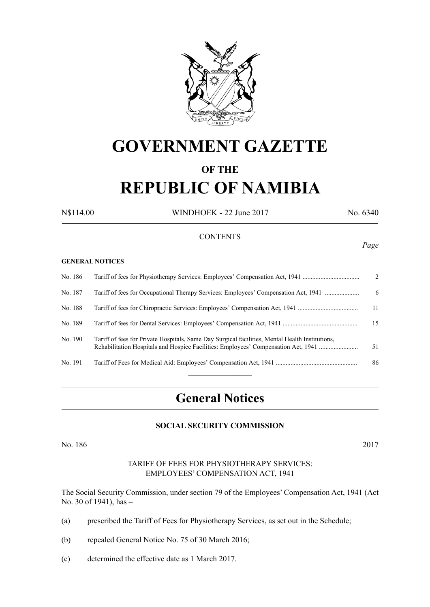

# **GOVERNMENT GAZETTE**

## **OF THE**

# **REPUBLIC OF NAMIBIA**

N\$114.00 WINDHOEK - 22 June 2017 No. 6340

#### **CONTENTS**

#### **GENERAL NOTICES**

| No. 186 | Tariff of fees for Physiotherapy Services: Employees' Compensation Act, 1941                                                                                                          | 2  |
|---------|---------------------------------------------------------------------------------------------------------------------------------------------------------------------------------------|----|
| No. 187 | Tariff of fees for Occupational Therapy Services: Employees' Compensation Act, 1941                                                                                                   | 6  |
| No. 188 |                                                                                                                                                                                       | 11 |
| No. 189 |                                                                                                                                                                                       | 15 |
| No. 190 | Tariff of fees for Private Hospitals, Same Day Surgical facilities, Mental Health Institutions,<br>Rehabilitation Hospitals and Hospice Facilities: Employees' Compensation Act, 1941 | 51 |
| No. 191 |                                                                                                                                                                                       | 86 |
|         |                                                                                                                                                                                       |    |

## **General Notices**

#### **SOCIAL SECURITY COMMISSION**

No. 186 2017

#### TARIFF OF FEES FOR PHYSIOTHERAPY SERVICES: EMPLOYEES' COMPENSATION ACT, 1941

The Social Security Commission, under section 79 of the Employees' Compensation Act, 1941 (Act No. 30 of 1941), has –

- (a) prescribed the Tariff of Fees for Physiotherapy Services, as set out in the Schedule;
- (b) repealed General Notice No. 75 of 30 March 2016;
- (c) determined the effective date as 1 March 2017.

#### *Page*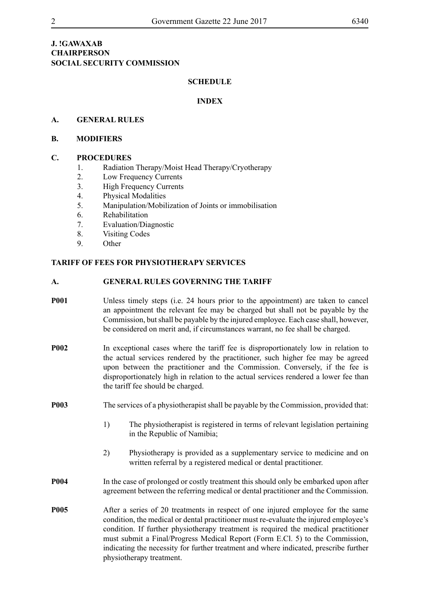#### **J. !Gawaxab CHAIRPERSON SOCIAL SECURITY COMMISSION**

#### **SCHEDULE**

#### **INDEX**

#### **A. GENERAL RULES**

#### **B. MODIFIERS**

#### **C. PROCEDURES**

- 1. Radiation Therapy/Moist Head Therapy/Cryotherapy
- 2. Low Frequency Currents
- 3. High Frequency Currents
- 4. Physical Modalities
- 5. Manipulation/Mobilization of Joints or immobilisation
- 6. Rehabilitation
- 7. Evaluation/Diagnostic
- 8. Visiting Codes
- 9. Other

#### **TARIFF OF FEES FOR PHYSIOTHERAPY SERVICES**

#### **A. GENERAL RULES GOVERNING THE TARIFF**

- **P001** Unless timely steps (i.e. 24 hours prior to the appointment) are taken to cancel an appointment the relevant fee may be charged but shall not be payable by the Commission, but shall be payable by the injured employee. Each case shall, however, be considered on merit and, if circumstances warrant, no fee shall be charged.
- **P002** In exceptional cases where the tariff fee is disproportionately low in relation to the actual services rendered by the practitioner, such higher fee may be agreed upon between the practitioner and the Commission. Conversely, if the fee is disproportionately high in relation to the actual services rendered a lower fee than the tariff fee should be charged.
- **P003** The services of a physiotherapist shall be payable by the Commission, provided that:
	- 1) The physiotherapist is registered in terms of relevant legislation pertaining in the Republic of Namibia;
	- 2) Physiotherapy is provided as a supplementary service to medicine and on written referral by a registered medical or dental practitioner.
- **P004** In the case of prolonged or costly treatment this should only be embarked upon after agreement between the referring medical or dental practitioner and the Commission.
- **P005** After a series of 20 treatments in respect of one injured employee for the same condition, the medical or dental practitioner must re-evaluate the injured employee's condition. If further physiotherapy treatment is required the medical practitioner must submit a Final/Progress Medical Report (Form E.Cl. 5) to the Commission, indicating the necessity for further treatment and where indicated, prescribe further physiotherapy treatment.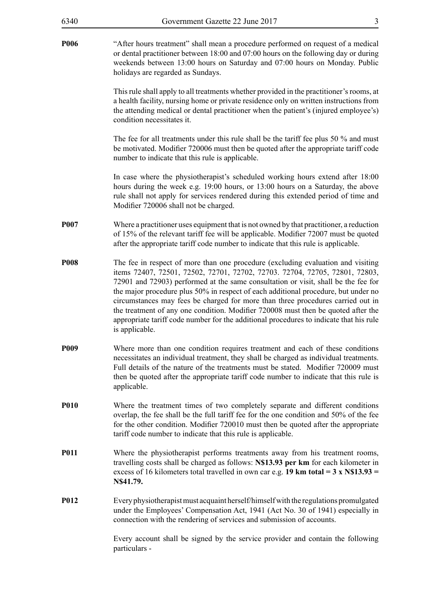| 6340        | Government Gazette 22 June 2017                                                                                                                                                                                                                                                                                                                                                                                                                                                                                                                                                                                                 | $\mathfrak{Z}$ |
|-------------|---------------------------------------------------------------------------------------------------------------------------------------------------------------------------------------------------------------------------------------------------------------------------------------------------------------------------------------------------------------------------------------------------------------------------------------------------------------------------------------------------------------------------------------------------------------------------------------------------------------------------------|----------------|
| <b>P006</b> | "After hours treatment" shall mean a procedure performed on request of a medical<br>or dental practitioner between 18:00 and 07:00 hours on the following day or during<br>weekends between 13:00 hours on Saturday and 07:00 hours on Monday. Public<br>holidays are regarded as Sundays.                                                                                                                                                                                                                                                                                                                                      |                |
|             | This rule shall apply to all treatments whether provided in the practitioner's rooms, at<br>a health facility, nursing home or private residence only on written instructions from<br>the attending medical or dental practitioner when the patient's (injured employee's)<br>condition necessitates it.                                                                                                                                                                                                                                                                                                                        |                |
|             | The fee for all treatments under this rule shall be the tariff fee plus 50 % and must<br>be motivated. Modifier 720006 must then be quoted after the appropriate tariff code<br>number to indicate that this rule is applicable.                                                                                                                                                                                                                                                                                                                                                                                                |                |
|             | In case where the physiotherapist's scheduled working hours extend after 18:00<br>hours during the week e.g. 19:00 hours, or 13:00 hours on a Saturday, the above<br>rule shall not apply for services rendered during this extended period of time and<br>Modifier 720006 shall not be charged.                                                                                                                                                                                                                                                                                                                                |                |
| <b>P007</b> | Where a practitioner uses equipment that is not owned by that practitioner, a reduction<br>of 15% of the relevant tariff fee will be applicable. Modifier 72007 must be quoted<br>after the appropriate tariff code number to indicate that this rule is applicable.                                                                                                                                                                                                                                                                                                                                                            |                |
| <b>P008</b> | The fee in respect of more than one procedure (excluding evaluation and visiting<br>items 72407, 72501, 72502, 72701, 72702, 72703. 72704, 72705, 72801, 72803,<br>72901 and 72903) performed at the same consultation or visit, shall be the fee for<br>the major procedure plus 50% in respect of each additional procedure, but under no<br>circumstances may fees be charged for more than three procedures carried out in<br>the treatment of any one condition. Modifier 720008 must then be quoted after the<br>appropriate tariff code number for the additional procedures to indicate that his rule<br>is applicable. |                |
| <b>P009</b> | Where more than one condition requires treatment and each of these conditions<br>necessitates an individual treatment, they shall be charged as individual treatments.<br>Full details of the nature of the treatments must be stated. Modifier 720009 must<br>then be quoted after the appropriate tariff code number to indicate that this rule is<br>applicable.                                                                                                                                                                                                                                                             |                |
| <b>P010</b> | Where the treatment times of two completely separate and different conditions<br>overlap, the fee shall be the full tariff fee for the one condition and 50% of the fee<br>for the other condition. Modifier 720010 must then be quoted after the appropriate<br>tariff code number to indicate that this rule is applicable.                                                                                                                                                                                                                                                                                                   |                |
| <b>P011</b> | Where the physiotherapist performs treatments away from his treatment rooms,<br>travelling costs shall be charged as follows: N\$13.93 per km for each kilometer in<br>excess of 16 kilometers total travelled in own car e.g. 19 km total = $3 \times N\$ 13.93 =<br>N\$41.79.                                                                                                                                                                                                                                                                                                                                                 |                |
| <b>P012</b> | Every physiotherapist must acquaint herself/himself with the regulations promulgated<br>under the Employees' Compensation Act, 1941 (Act No. 30 of 1941) especially in<br>connection with the rendering of services and submission of accounts.                                                                                                                                                                                                                                                                                                                                                                                 |                |
|             | Every account shall be signed by the service provider and contain the following<br>particulars -                                                                                                                                                                                                                                                                                                                                                                                                                                                                                                                                |                |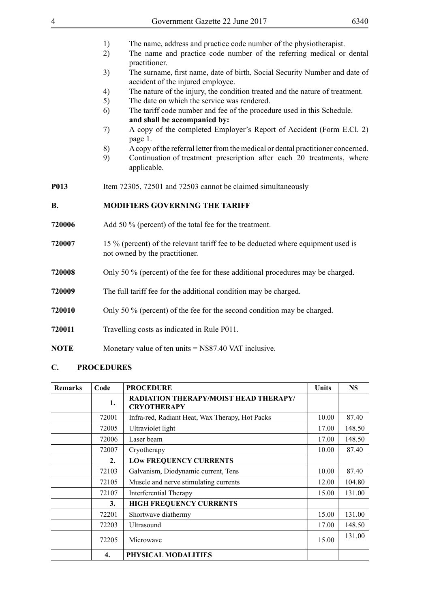- 1) The name, address and practice code number of the physiotherapist. 2) The name and practice code number of the referring medical or dental
	- practitioner.
	- 3) The surname, first name, date of birth, Social Security Number and date of accident of the injured employee.
	- 4) The nature of the injury, the condition treated and the nature of treatment.
	- 5) The date on which the service was rendered.
	- 6) The tariff code number and fee of the procedure used in this Schedule. **and shall be accompanied by:**
	- 7) A copy of the completed Employer's Report of Accident (Form E.Cl. 2) page 1.
	- 8) A copy of the referral letter from the medical or dental practitioner concerned.
	- 9) Continuation of treatment prescription after each 20 treatments, where applicable.
- **P013** Item 72305, 72501 and 72503 cannot be claimed simultaneously

## **B. MODIFIERS GOVERNING THE TARIFF**

- **720006** Add 50 % (percent) of the total fee for the treatment.
- **720007** 15 % (percent) of the relevant tariff fee to be deducted where equipment used is not owned by the practitioner.
- **720008** Only 50 % (percent) of the fee for these additional procedures may be charged.
- **720009** The full tariff fee for the additional condition may be charged.
- **720010** Only 50 % (percent) of the fee for the second condition may be charged.
- **720011** Travelling costs as indicated in Rule P011.
- **NOTE** Monetary value of ten units = N\$87.40 VAT inclusive.

## **C. PROCEDURES**

| <b>Remarks</b> | Code             | <b>PROCEDURE</b>                                                   | <b>Units</b> | N\$    |
|----------------|------------------|--------------------------------------------------------------------|--------------|--------|
|                | 1.               | <b>RADIATION THERAPY/MOIST HEAD THERAPY/</b><br><b>CRYOTHERAPY</b> |              |        |
|                | 72001            | Infra-red, Radiant Heat, Wax Therapy, Hot Packs                    | 10.00        | 87.40  |
|                | 72005            | Ultraviolet light                                                  | 17.00        | 148.50 |
|                | 72006            | Laser beam                                                         | 17.00        | 148.50 |
|                | 72007            | Cryotherapy                                                        | 10.00        | 87.40  |
|                | $\overline{2}$ . | <b>LOW FREQUENCY CURRENTS</b>                                      |              |        |
|                | 72103            | Galvanism, Diodynamic current, Tens                                | 10.00        | 87.40  |
|                | 72105            | Muscle and nerve stimulating currents                              | 12.00        | 104.80 |
|                | 72107            | <b>Interferential Therapy</b>                                      | 15.00        | 131.00 |
|                | 3.               | <b>HIGH FREQUENCY CURRENTS</b>                                     |              |        |
|                | 72201            | Shortwave diathermy                                                | 15.00        | 131.00 |
|                | 72203            | Ultrasound                                                         | 17.00        | 148.50 |
|                | 72205            | Microwave                                                          | 15.00        | 131.00 |
|                | 4.               | PHYSICAL MODALITIES                                                |              |        |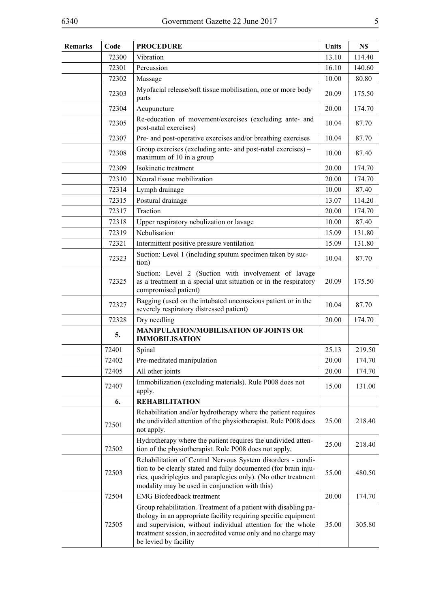|   | × |    |        |  |
|---|---|----|--------|--|
|   |   |    | I<br>I |  |
| × | v | ۰. | I      |  |

| <b>Remarks</b> | Code  | <b>PROCEDURE</b>                                                                                                                                                                                                                                                                            | <b>Units</b> | N\$    |
|----------------|-------|---------------------------------------------------------------------------------------------------------------------------------------------------------------------------------------------------------------------------------------------------------------------------------------------|--------------|--------|
|                | 72300 | Vibration                                                                                                                                                                                                                                                                                   | 13.10        | 114.40 |
|                | 72301 | Percussion                                                                                                                                                                                                                                                                                  | 16.10        | 140.60 |
|                | 72302 | Massage                                                                                                                                                                                                                                                                                     | 10.00        | 80.80  |
|                | 72303 | Myofacial release/soft tissue mobilisation, one or more body<br>parts                                                                                                                                                                                                                       | 20.09        | 175.50 |
|                | 72304 | Acupuncture                                                                                                                                                                                                                                                                                 | 20.00        | 174.70 |
|                | 72305 | Re-education of movement/exercises (excluding ante- and<br>post-natal exercises)                                                                                                                                                                                                            | 10.04        | 87.70  |
|                | 72307 | Pre- and post-operative exercises and/or breathing exercises                                                                                                                                                                                                                                | 10.04        | 87.70  |
|                | 72308 | Group exercises (excluding ante- and post-natal exercises) –<br>maximum of 10 in a group                                                                                                                                                                                                    | 10.00        | 87.40  |
|                | 72309 | Isokinetic treatment                                                                                                                                                                                                                                                                        | 20.00        | 174.70 |
|                | 72310 | Neural tissue mobilization                                                                                                                                                                                                                                                                  | 20.00        | 174.70 |
|                | 72314 | Lymph drainage                                                                                                                                                                                                                                                                              | 10.00        | 87.40  |
|                | 72315 | Postural drainage                                                                                                                                                                                                                                                                           | 13.07        | 114.20 |
|                | 72317 | Traction                                                                                                                                                                                                                                                                                    | 20.00        | 174.70 |
|                | 72318 | Upper respiratory nebulization or lavage                                                                                                                                                                                                                                                    | 10.00        | 87.40  |
|                | 72319 | Nebulisation                                                                                                                                                                                                                                                                                | 15.09        | 131.80 |
|                | 72321 | Intermittent positive pressure ventilation                                                                                                                                                                                                                                                  | 15.09        | 131.80 |
|                | 72323 | Suction: Level 1 (including sputum specimen taken by suc-<br>tion)                                                                                                                                                                                                                          | 10.04        | 87.70  |
|                | 72325 | Suction: Level 2 (Suction with involvement of lavage<br>as a treatment in a special unit situation or in the respiratory<br>compromised patient)                                                                                                                                            | 20.09        | 175.50 |
|                | 72327 | Bagging (used on the intubated unconscious patient or in the<br>severely respiratory distressed patient)                                                                                                                                                                                    | 10.04        | 87.70  |
|                | 72328 | Dry needling                                                                                                                                                                                                                                                                                | 20.00        | 174.70 |
|                | 5.    | <b>MANIPULATION/MOBILISATION OF JOINTS OR</b><br><b>IMMOBILISATION</b>                                                                                                                                                                                                                      |              |        |
|                | 72401 | Spinal                                                                                                                                                                                                                                                                                      | 25.13        | 219.50 |
|                | 72402 | Pre-meditated manipulation                                                                                                                                                                                                                                                                  | 20.00        | 174.70 |
|                | 72405 | All other joints                                                                                                                                                                                                                                                                            | 20.00        | 174.70 |
|                | 72407 | Immobilization (excluding materials). Rule P008 does not<br>apply.                                                                                                                                                                                                                          | 15.00        | 131.00 |
|                | 6.    | <b>REHABILITATION</b>                                                                                                                                                                                                                                                                       |              |        |
|                | 72501 | Rehabilitation and/or hydrotherapy where the patient requires<br>the undivided attention of the physiotherapist. Rule P008 does<br>not apply.                                                                                                                                               | 25.00        | 218.40 |
|                | 72502 | Hydrotherapy where the patient requires the undivided atten-<br>tion of the physiotherapist. Rule P008 does not apply.                                                                                                                                                                      | 25.00        | 218.40 |
|                | 72503 | Rehabilitation of Central Nervous System disorders - condi-<br>tion to be clearly stated and fully documented (for brain inju-<br>ries, quadriplegics and paraplegics only). (No other treatment<br>modality may be used in conjunction with this)                                          | 55.00        | 480.50 |
|                | 72504 | <b>EMG</b> Biofeedback treatment                                                                                                                                                                                                                                                            | 20.00        | 174.70 |
|                | 72505 | Group rehabilitation. Treatment of a patient with disabling pa-<br>thology in an appropriate facility requiring specific equipment<br>and supervision, without individual attention for the whole<br>treatment session, in accredited venue only and no charge may<br>be levied by facility | 35.00        | 305.80 |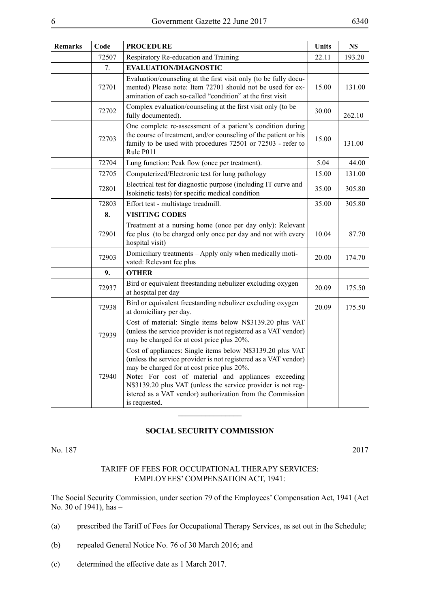| <b>Remarks</b> | Code  | <b>PROCEDURE</b>                                                                                                                                                                                                                                                                                                                                                                  | <b>Units</b> | N\$    |
|----------------|-------|-----------------------------------------------------------------------------------------------------------------------------------------------------------------------------------------------------------------------------------------------------------------------------------------------------------------------------------------------------------------------------------|--------------|--------|
|                | 72507 | Respiratory Re-education and Training                                                                                                                                                                                                                                                                                                                                             | 22.11        | 193.20 |
|                | 7.    | <b>EVALUATION/DIAGNOSTIC</b>                                                                                                                                                                                                                                                                                                                                                      |              |        |
|                | 72701 | Evaluation/counseling at the first visit only (to be fully docu-<br>mented) Please note: Item 72701 should not be used for ex-<br>amination of each so-called "condition" at the first visit                                                                                                                                                                                      | 15.00        | 131.00 |
|                | 72702 | Complex evaluation/counseling at the first visit only (to be<br>fully documented).                                                                                                                                                                                                                                                                                                | 30.00        | 262.10 |
|                | 72703 | One complete re-assessment of a patient's condition during<br>the course of treatment, and/or counseling of the patient or his<br>family to be used with procedures 72501 or 72503 - refer to<br>Rule P011                                                                                                                                                                        | 15.00        | 131.00 |
|                | 72704 | Lung function: Peak flow (once per treatment).                                                                                                                                                                                                                                                                                                                                    | 5.04         | 44.00  |
|                | 72705 | Computerized/Electronic test for lung pathology                                                                                                                                                                                                                                                                                                                                   | 15.00        | 131.00 |
|                | 72801 | Electrical test for diagnostic purpose (including IT curve and<br>Isokinetic tests) for specific medical condition                                                                                                                                                                                                                                                                | 35.00        | 305.80 |
|                | 72803 | Effort test - multistage treadmill.                                                                                                                                                                                                                                                                                                                                               | 35.00        | 305.80 |
|                | 8.    | <b>VISITING CODES</b>                                                                                                                                                                                                                                                                                                                                                             |              |        |
|                | 72901 | Treatment at a nursing home (once per day only): Relevant<br>fee plus (to be charged only once per day and not with every<br>hospital visit)                                                                                                                                                                                                                                      | 10.04        | 87.70  |
|                | 72903 | Domiciliary treatments - Apply only when medically moti-<br>vated: Relevant fee plus                                                                                                                                                                                                                                                                                              | 20.00        | 174.70 |
|                | 9.    | <b>OTHER</b>                                                                                                                                                                                                                                                                                                                                                                      |              |        |
|                | 72937 | Bird or equivalent freestanding nebulizer excluding oxygen<br>at hospital per day                                                                                                                                                                                                                                                                                                 | 20.09        | 175.50 |
|                | 72938 | Bird or equivalent freestanding nebulizer excluding oxygen<br>at domiciliary per day.                                                                                                                                                                                                                                                                                             | 20.09        | 175.50 |
|                | 72939 | Cost of material: Single items below N\$3139.20 plus VAT<br>(unless the service provider is not registered as a VAT vendor)<br>may be charged for at cost price plus 20%.                                                                                                                                                                                                         |              |        |
|                | 72940 | Cost of appliances: Single items below N\$3139.20 plus VAT<br>(unless the service provider is not registered as a VAT vendor)<br>may be charged for at cost price plus 20%.<br>Note: For cost of material and appliances exceeding<br>N\$3139.20 plus VAT (unless the service provider is not reg-<br>istered as a VAT vendor) authorization from the Commission<br>is requested. |              |        |

#### **SOCIAL SECURITY COMMISSION**

 $\overline{\phantom{a}}$  , where  $\overline{\phantom{a}}$ 

No. 187 2017

#### TARIFF OF FEES FOR OCCUPATIONAL THERAPY SERVICES: EMPLOYEES' COMPENSATION ACT, 1941:

The Social Security Commission, under section 79 of the Employees' Compensation Act, 1941 (Act No. 30 of 1941), has –

- (a) prescribed the Tariff of Fees for Occupational Therapy Services, as set out in the Schedule;
- (b) repealed General Notice No. 76 of 30 March 2016; and
- (c) determined the effective date as 1 March 2017.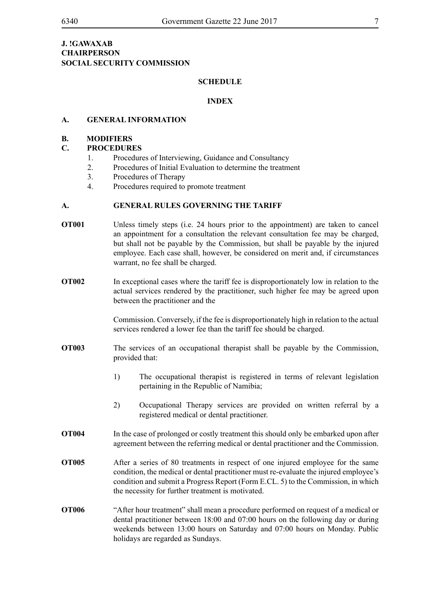#### **J. !Gawaxab CHAIRPERSON SOCIAL SECURITY COMMISSION**

#### **SCHEDULE**

#### **INDEX**

#### **A. GENERAL INFORMATION**

#### **B. MODIFIERS**

#### **C. PROCEDURES**

- 1. Procedures of Interviewing, Guidance and Consultancy
- 2. Procedures of Initial Evaluation to determine the treatment
- 3. Procedures of Therapy
- 4. Procedures required to promote treatment

#### **A. GENERAL RULES GOVERNING THE TARIFF**

- **OT001** Unless timely steps (i.e. 24 hours prior to the appointment) are taken to cancel an appointment for a consultation the relevant consultation fee may be charged, but shall not be payable by the Commission, but shall be payable by the injured employee. Each case shall, however, be considered on merit and, if circumstances warrant, no fee shall be charged.
- **OT002** In exceptional cases where the tariff fee is disproportionately low in relation to the actual services rendered by the practitioner, such higher fee may be agreed upon between the practitioner and the

Commission. Conversely, if the fee is disproportionately high in relation to the actual services rendered a lower fee than the tariff fee should be charged.

- **OT003** The services of an occupational therapist shall be payable by the Commission, provided that:
	- 1) The occupational therapist is registered in terms of relevant legislation pertaining in the Republic of Namibia;
	- 2) Occupational Therapy services are provided on written referral by a registered medical or dental practitioner.
- **OT004** In the case of prolonged or costly treatment this should only be embarked upon after agreement between the referring medical or dental practitioner and the Commission.
- **OT005** After a series of 80 treatments in respect of one injured employee for the same condition, the medical or dental practitioner must re-evaluate the injured employee's condition and submit a Progress Report (Form E.CL. 5) to the Commission, in which the necessity for further treatment is motivated.
- **OT006** "After hour treatment" shall mean a procedure performed on request of a medical or dental practitioner between 18:00 and 07:00 hours on the following day or during weekends between 13:00 hours on Saturday and 07:00 hours on Monday. Public holidays are regarded as Sundays.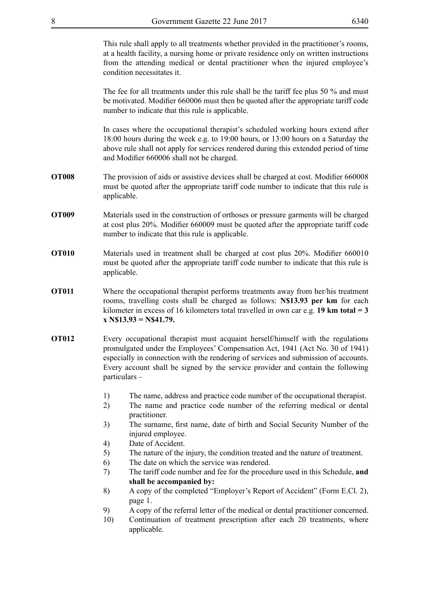This rule shall apply to all treatments whether provided in the practitioner's rooms, at a health facility, a nursing home or private residence only on written instructions from the attending medical or dental practitioner when the injured employee's condition necessitates it.

The fee for all treatments under this rule shall be the tariff fee plus 50 % and must be motivated. Modifier 660006 must then be quoted after the appropriate tariff code number to indicate that this rule is applicable.

In cases where the occupational therapist's scheduled working hours extend after 18:00 hours during the week e.g. to 19:00 hours, or 13:00 hours on a Saturday the above rule shall not apply for services rendered during this extended period of time and Modifier 660006 shall not be charged.

- **OT008** The provision of aids or assistive devices shall be charged at cost. Modifier 660008 must be quoted after the appropriate tariff code number to indicate that this rule is applicable.
- **OT009** Materials used in the construction of orthoses or pressure garments will be charged at cost plus 20%. Modifier 660009 must be quoted after the appropriate tariff code number to indicate that this rule is applicable.
- **OT010** Materials used in treatment shall be charged at cost plus 20%. Modifier 660010 must be quoted after the appropriate tariff code number to indicate that this rule is applicable.
- **OT011** Where the occupational therapist performs treatments away from her/his treatment rooms, travelling costs shall be charged as follows: **N\$13.93 per km** for each kilometer in excess of 16 kilometers total travelled in own car e.g. **19 km total = 3 x N\$13.93 = N\$41.79.**
- **OT012** Every occupational therapist must acquaint herself/himself with the regulations promulgated under the Employees' Compensation Act, 1941 (Act No. 30 of 1941) especially in connection with the rendering of services and submission of accounts. Every account shall be signed by the service provider and contain the following particulars –
	- 1) The name, address and practice code number of the occupational therapist.
	- 2) The name and practice code number of the referring medical or dental practitioner.
	- 3) The surname, first name, date of birth and Social Security Number of the injured employee.
	- 4) Date of Accident.
	- 5) The nature of the injury, the condition treated and the nature of treatment.
	- 6) The date on which the service was rendered.
	- 7) The tariff code number and fee for the procedure used in this Schedule, **and shall be accompanied by:**
	- 8) A copy of the completed "Employer's Report of Accident" (Form E.Cl. 2), page 1.
	- 9) A copy of the referral letter of the medical or dental practitioner concerned.
	- 10) Continuation of treatment prescription after each 20 treatments, where applicable.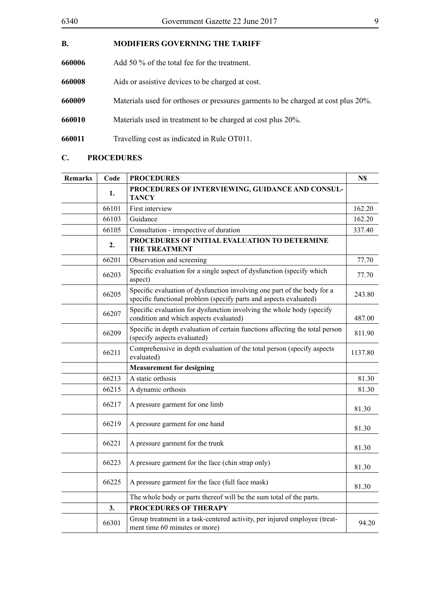| <b>B.</b> | <b>MODIFIERS GOVERNING THE TARIFF</b>                                             |
|-----------|-----------------------------------------------------------------------------------|
| 660006    | Add 50 $\%$ of the total fee for the treatment.                                   |
| 660008    | Aids or assistive devices to be charged at cost.                                  |
| 660009    | Materials used for orthoses or pressures garments to be charged at cost plus 20%. |
| 660010    | Materials used in treatment to be charged at cost plus 20%.                       |
| 660011    | Travelling cost as indicated in Rule OT011.                                       |
|           |                                                                                   |

## **C. PROCEDURES**

| <b>Remarks</b> | Code  | <b>PROCEDURES</b>                                                                                                                            | N\$     |
|----------------|-------|----------------------------------------------------------------------------------------------------------------------------------------------|---------|
|                | 1.    | PROCEDURES OF INTERVIEWING, GUIDANCE AND CONSUL-<br><b>TANCY</b>                                                                             |         |
|                | 66101 | First interview                                                                                                                              | 162.20  |
|                | 66103 | Guidance                                                                                                                                     | 162.20  |
|                | 66105 | Consultation - irrespective of duration                                                                                                      | 337.40  |
|                | 2.    | PROCEDURES OF INITIAL EVALUATION TO DETERMINE<br><b>THE TREATMENT</b>                                                                        |         |
|                | 66201 | Observation and screening                                                                                                                    | 77.70   |
|                | 66203 | Specific evaluation for a single aspect of dysfunction (specify which<br>aspect)                                                             | 77.70   |
|                | 66205 | Specific evaluation of dysfunction involving one part of the body for a<br>specific functional problem (specify parts and aspects evaluated) | 243.80  |
|                | 66207 | Specific evaluation for dysfunction involving the whole body (specify<br>condition and which aspects evaluated)                              | 487.00  |
|                | 66209 | Specific in depth evaluation of certain functions affecting the total person<br>(specify aspects evaluated)                                  | 811.90  |
|                | 66211 | Comprehensive in depth evaluation of the total person (specify aspects<br>evaluated)                                                         | 1137.80 |
|                |       | <b>Measurement for designing</b>                                                                                                             |         |
|                | 66213 | A static orthosis                                                                                                                            | 81.30   |
|                | 66215 | A dynamic orthosis                                                                                                                           | 81.30   |
|                | 66217 | A pressure garment for one limb                                                                                                              | 81.30   |
|                | 66219 | A pressure garment for one hand                                                                                                              | 81.30   |
|                | 66221 | A pressure garment for the trunk                                                                                                             | 81.30   |
|                | 66223 | A pressure garment for the face (chin strap only)                                                                                            | 81.30   |
|                | 66225 | A pressure garment for the face (full face mask)                                                                                             | 81.30   |
|                |       | The whole body or parts thereof will be the sum total of the parts.                                                                          |         |
|                | 3.    | <b>PROCEDURES OF THERAPY</b>                                                                                                                 |         |
|                | 66301 | Group treatment in a task-centered activity, per injured employee (treat-<br>ment time 60 minutes or more)                                   | 94.20   |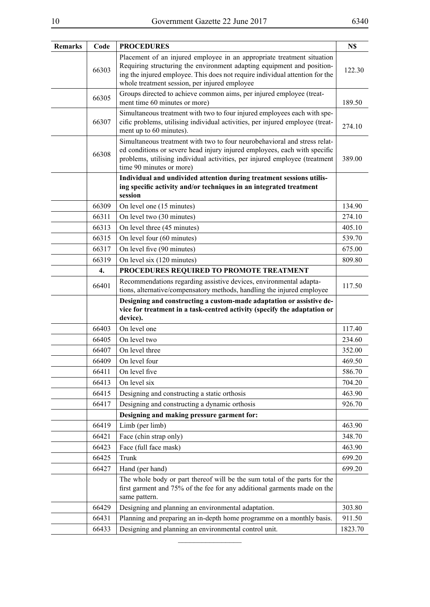| <b>Remarks</b> | Code  | <b>PROCEDURES</b>                                                                                                                                | N\$     |
|----------------|-------|--------------------------------------------------------------------------------------------------------------------------------------------------|---------|
|                |       | Placement of an injured employee in an appropriate treatment situation                                                                           |         |
|                | 66303 | Requiring structuring the environment adapting equipment and position-                                                                           | 122.30  |
|                |       | ing the injured employee. This does not require individual attention for the<br>whole treatment session, per injured employee                    |         |
|                |       | Groups directed to achieve common aims, per injured employee (treat-                                                                             |         |
|                | 66305 | ment time 60 minutes or more)                                                                                                                    | 189.50  |
|                |       | Simultaneous treatment with two to four injured employees each with spe-                                                                         |         |
|                | 66307 | cific problems, utilising individual activities, per injured employee (treat-<br>ment up to 60 minutes).                                         | 274.10  |
|                |       | Simultaneous treatment with two to four neurobehavioral and stress relat-                                                                        |         |
|                | 66308 | ed conditions or severe head injury injured employees, each with specific                                                                        |         |
|                |       | problems, utilising individual activities, per injured employee (treatment<br>time 90 minutes or more)                                           | 389.00  |
|                |       | Individual and undivided attention during treatment sessions utilis-                                                                             |         |
|                |       | ing specific activity and/or techniques in an integrated treatment<br>session                                                                    |         |
|                | 66309 | On level one (15 minutes)                                                                                                                        | 134.90  |
|                | 66311 | On level two (30 minutes)                                                                                                                        | 274.10  |
|                | 66313 | On level three (45 minutes)                                                                                                                      | 405.10  |
|                | 66315 | On level four (60 minutes)                                                                                                                       | 539.70  |
|                | 66317 | On level five (90 minutes)                                                                                                                       | 675.00  |
|                | 66319 | On level six (120 minutes)                                                                                                                       | 809.80  |
|                | 4.    | PROCEDURES REQUIRED TO PROMOTE TREATMENT                                                                                                         |         |
|                | 66401 | Recommendations regarding assistive devices, environmental adapta-                                                                               | 117.50  |
|                |       | tions, alternative/compensatory methods, handling the injured employee                                                                           |         |
|                |       | Designing and constructing a custom-made adaptation or assistive de-<br>vice for treatment in a task-centred activity (specify the adaptation or |         |
|                |       | device).                                                                                                                                         |         |
|                | 66403 | On level one                                                                                                                                     | 117.40  |
|                | 66405 | On level two                                                                                                                                     | 234.60  |
|                | 66407 | On level three                                                                                                                                   | 352.00  |
|                | 66409 | On level four                                                                                                                                    | 469.50  |
|                | 66411 | On level five                                                                                                                                    | 586.70  |
|                | 66413 | On level six                                                                                                                                     | 704.20  |
|                | 66415 | Designing and constructing a static orthosis                                                                                                     | 463.90  |
|                | 66417 | Designing and constructing a dynamic orthosis                                                                                                    | 926.70  |
|                |       | Designing and making pressure garment for:                                                                                                       |         |
|                | 66419 | Limb (per limb)                                                                                                                                  | 463.90  |
|                | 66421 | Face (chin strap only)                                                                                                                           | 348.70  |
|                | 66423 | Face (full face mask)                                                                                                                            | 463.90  |
|                | 66425 | Trunk                                                                                                                                            | 699.20  |
|                | 66427 | Hand (per hand)                                                                                                                                  | 699.20  |
|                |       | The whole body or part thereof will be the sum total of the parts for the                                                                        |         |
|                |       | first garment and 75% of the fee for any additional garments made on the<br>same pattern.                                                        |         |
|                | 66429 | Designing and planning an environmental adaptation.                                                                                              | 303.80  |
|                | 66431 | Planning and preparing an in-depth home programme on a monthly basis.                                                                            | 911.50  |
|                | 66433 | Designing and planning an environmental control unit.                                                                                            | 1823.70 |
|                |       |                                                                                                                                                  |         |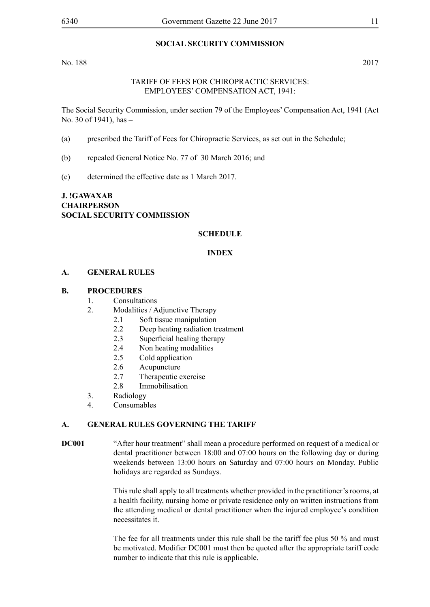#### **SOCIAL SECURITY COMMISSION**

No. 188 2017

#### TARIFF OF FEES FOR CHIROPRACTIC SERVICES: EMPLOYEES' COMPENSATION ACT, 1941:

The Social Security Commission, under section 79 of the Employees' Compensation Act, 1941 (Act No. 30 of 1941), has –

- (a) prescribed the Tariff of Fees for Chiropractic Services, as set out in the Schedule;
- (b) repealed General Notice No. 77 of 30 March 2016; and
- (c) determined the effective date as 1 March 2017.

## **J. !Gawaxab CHAIRPERSON SOCIAL SECURITY COMMISSION**

#### **SCHEDULE**

#### **INDEX**

#### **A. GENERAL RULES**

#### **B. PROCEDURES**

- 1. Consultations
- 2. Modalities / Adjunctive Therapy
	- 2.1 Soft tissue manipulation
	- 2.2 Deep heating radiation treatment
	- 2.3 Superficial healing therapy
	- 2.4 Non heating modalities
	- 2.5 Cold application
	- 2.6 Acupuncture
	- 2.7 Therapeutic exercise
	- 2.8 Immobilisation
- 3. Radiology
- 4. Consumables

#### **A. GENERAL RULES GOVERNING THE TARIFF**

**DC001** "After hour treatment" shall mean a procedure performed on request of a medical or dental practitioner between 18:00 and 07:00 hours on the following day or during weekends between 13:00 hours on Saturday and 07:00 hours on Monday. Public holidays are regarded as Sundays.

> This rule shall apply to all treatments whether provided in the practitioner's rooms, at a health facility, nursing home or private residence only on written instructions from the attending medical or dental practitioner when the injured employee's condition necessitates it.

> The fee for all treatments under this rule shall be the tariff fee plus 50 % and must be motivated. Modifier DC001 must then be quoted after the appropriate tariff code number to indicate that this rule is applicable.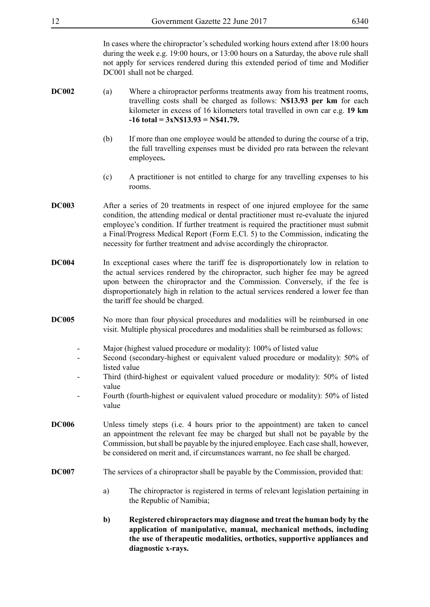In cases where the chiropractor's scheduled working hours extend after 18:00 hours during the week e.g. 19:00 hours, or 13:00 hours on a Saturday, the above rule shall not apply for services rendered during this extended period of time and Modifier DC001 shall not be charged.

- **DC002** (a) Where a chiropractor performs treatments away from his treatment rooms, travelling costs shall be charged as follows: **N\$13.93 per km** for each kilometer in excess of 16 kilometers total travelled in own car e.g. **19 km -16 total = 3xN\$13.93 = N\$41.79.**
	- (b) If more than one employee would be attended to during the course of a trip, the full travelling expenses must be divided pro rata between the relevant employees**.**
	- (c) A practitioner is not entitled to charge for any travelling expenses to his rooms.
- **DC003** After a series of 20 treatments in respect of one injured employee for the same condition, the attending medical or dental practitioner must re-evaluate the injured employee's condition. If further treatment is required the practitioner must submit a Final/Progress Medical Report (Form E.Cl. 5) to the Commission, indicating the necessity for further treatment and advise accordingly the chiropractor.
- **DC004** In exceptional cases where the tariff fee is disproportionately low in relation to the actual services rendered by the chiropractor, such higher fee may be agreed upon between the chiropractor and the Commission. Conversely, if the fee is disproportionately high in relation to the actual services rendered a lower fee than the tariff fee should be charged.
- **DC005** No more than four physical procedures and modalities will be reimbursed in one visit. Multiple physical procedures and modalities shall be reimbursed as follows:
	- Major (highest valued procedure or modality): 100% of listed value
	- Second (secondary-highest or equivalent valued procedure or modality): 50% of listed value
	- Third (third-highest or equivalent valued procedure or modality): 50% of listed value
	- Fourth (fourth-highest or equivalent valued procedure or modality): 50% of listed value
- **DC006** Unless timely steps (i.e. 4 hours prior to the appointment) are taken to cancel an appointment the relevant fee may be charged but shall not be payable by the Commission, but shall be payable by the injured employee. Each case shall, however, be considered on merit and, if circumstances warrant, no fee shall be charged.
- **DC007** The services of a chiropractor shall be payable by the Commission, provided that:
	- a) The chiropractor is registered in terms of relevant legislation pertaining in the Republic of Namibia;
	- **b) Registered chiropractors may diagnose and treat the human body by the application of manipulative, manual, mechanical methods, including the use of therapeutic modalities, orthotics, supportive appliances and diagnostic x-rays.**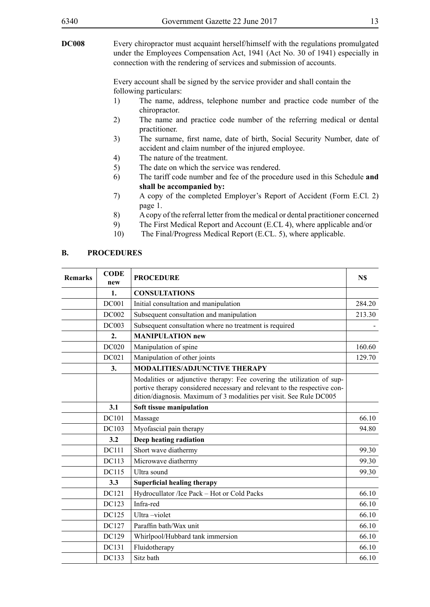**DC008** Every chiropractor must acquaint herself/himself with the regulations promulgated under the Employees Compensation Act, 1941 (Act No. 30 of 1941) especially in connection with the rendering of services and submission of accounts.

> Every account shall be signed by the service provider and shall contain the following particulars:

- 1) The name, address, telephone number and practice code number of the chiropractor.
- 2) The name and practice code number of the referring medical or dental practitioner.
- 3) The surname, first name, date of birth, Social Security Number, date of accident and claim number of the injured employee.
- 4) The nature of the treatment.
- 5) The date on which the service was rendered.
- 6) The tariff code number and fee of the procedure used in this Schedule **and shall be accompanied by:**
- 7) A copy of the completed Employer's Report of Accident (Form E.Cl. 2) page 1.
- 8) A copy of the referral letter from the medical or dental practitioner concerned
- 9) The First Medical Report and Account (E.CL 4), where applicable and/or
- 10) The Final/Progress Medical Report (E.CL. 5), where applicable.

#### **B. PROCEDURES**

| <b>Remarks</b> | <b>CODE</b><br>new | <b>PROCEDURE</b>                                                                                                                                                                                                          | N\$    |
|----------------|--------------------|---------------------------------------------------------------------------------------------------------------------------------------------------------------------------------------------------------------------------|--------|
|                | 1.                 | <b>CONSULTATIONS</b>                                                                                                                                                                                                      |        |
|                | <b>DC001</b>       | Initial consultation and manipulation                                                                                                                                                                                     | 284.20 |
|                | <b>DC002</b>       | Subsequent consultation and manipulation                                                                                                                                                                                  | 213.30 |
|                | <b>DC003</b>       | Subsequent consultation where no treatment is required                                                                                                                                                                    |        |
|                | 2.                 | <b>MANIPULATION new</b>                                                                                                                                                                                                   |        |
|                | <b>DC020</b>       | Manipulation of spine                                                                                                                                                                                                     | 160.60 |
|                | DC021              | Manipulation of other joints                                                                                                                                                                                              | 129.70 |
|                | 3.                 | <b>MODALITIES/ADJUNCTIVE THERAPY</b>                                                                                                                                                                                      |        |
|                |                    | Modalities or adjunctive therapy: Fee covering the utilization of sup-<br>portive therapy considered necessary and relevant to the respective con-<br>dition/diagnosis. Maximum of 3 modalities per visit. See Rule DC005 |        |
|                | 3.1                | Soft tissue manipulation                                                                                                                                                                                                  |        |
|                | DC101              | Massage                                                                                                                                                                                                                   | 66.10  |
|                | DC103              | Myofascial pain therapy                                                                                                                                                                                                   | 94.80  |
|                | 3.2                | Deep heating radiation                                                                                                                                                                                                    |        |
|                | <b>DC111</b>       | Short wave diathermy                                                                                                                                                                                                      | 99.30  |
|                | DC113              | Microwave diathermy                                                                                                                                                                                                       | 99.30  |
|                | <b>DC115</b>       | Ultra sound                                                                                                                                                                                                               | 99.30  |
|                | 3.3                | <b>Superficial healing therapy</b>                                                                                                                                                                                        |        |
|                | DC121              | Hydrocullator /Ice Pack - Hot or Cold Packs                                                                                                                                                                               | 66.10  |
|                | DC123              | Infra-red                                                                                                                                                                                                                 | 66.10  |
|                | DC125              | Ultra-violet                                                                                                                                                                                                              | 66.10  |
|                | DC127              | Paraffin bath/Wax unit                                                                                                                                                                                                    | 66.10  |
|                | DC129              | Whirlpool/Hubbard tank immersion                                                                                                                                                                                          | 66.10  |
|                | DC131              | Fluidotherapy                                                                                                                                                                                                             | 66.10  |
|                | DC133              | Sitz bath                                                                                                                                                                                                                 | 66.10  |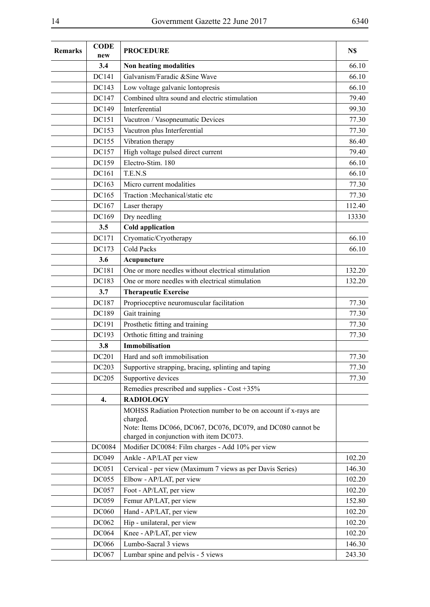| Remarks | <b>CODE</b><br>new | <b>PROCEDURE</b>                                                        | N\$    |
|---------|--------------------|-------------------------------------------------------------------------|--------|
|         | 3.4                | Non heating modalities                                                  | 66.10  |
|         | DC141              | Galvanism/Faradic &Sine Wave                                            | 66.10  |
|         | DC143              | Low voltage galvanic lontopresis                                        | 66.10  |
|         | DC147              | Combined ultra sound and electric stimulation                           | 79.40  |
|         | DC149              | Interferential                                                          | 99.30  |
|         | DC151              | Vacutron / Vasopneumatic Devices                                        | 77.30  |
|         | DC153              | Vacutron plus Interferential                                            | 77.30  |
|         | DC155              | Vibration therapy                                                       | 86.40  |
|         | DC157              | High voltage pulsed direct current                                      | 79.40  |
|         | DC159              | Electro-Stim. 180                                                       | 66.10  |
|         | DC161              | T.E.N.S                                                                 | 66.10  |
|         | DC163              | Micro current modalities                                                | 77.30  |
|         | DC165              | Traction : Mechanical/static etc                                        | 77.30  |
|         | DC167              | Laser therapy                                                           | 112.40 |
|         | DC169              | Dry needling                                                            | 13330  |
|         | 3.5                | <b>Cold application</b>                                                 |        |
|         | <b>DC171</b>       | Cryomatic/Cryotherapy                                                   | 66.10  |
|         | DC173              | <b>Cold Packs</b>                                                       | 66.10  |
|         | 3.6                | Acupuncture                                                             |        |
|         | DC181              | One or more needles without electrical stimulation                      | 132.20 |
|         | DC183              | One or more needles with electrical stimulation                         | 132.20 |
|         | 3.7                | <b>Therapeutic Exercise</b>                                             |        |
|         | DC187              | Proprioceptive neuromuscular facilitation                               | 77.30  |
|         | DC189              | Gait training                                                           | 77.30  |
|         | DC191              | Prosthetic fitting and training                                         | 77.30  |
|         | DC193              | Orthotic fitting and training                                           | 77.30  |
|         | 3.8                | <b>Immobilisation</b>                                                   |        |
|         | DC201              | Hard and soft immobilisation                                            | 77.30  |
|         | DC203              | Supportive strapping, bracing, splinting and taping                     | 77.30  |
|         | DC205              | Supportive devices                                                      | 77.30  |
|         |                    | Remedies prescribed and supplies - Cost +35%                            |        |
|         | 4.                 | <b>RADIOLOGY</b>                                                        |        |
|         |                    | MOHSS Radiation Protection number to be on account if x-rays are        |        |
|         |                    | charged.<br>Note: Items DC066, DC067, DC076, DC079, and DC080 cannot be |        |
|         |                    | charged in conjunction with item DC073.                                 |        |
|         | DC0084             | Modifier DC0084: Film charges - Add 10% per view                        |        |
|         | DC049              | Ankle - AP/LAT per view                                                 | 102.20 |
|         | DC051              | Cervical - per view (Maximum 7 views as per Davis Series)               | 146.30 |
|         | <b>DC055</b>       | Elbow - AP/LAT, per view                                                | 102.20 |
|         | DC057              | Foot - AP/LAT, per view                                                 | 102.20 |
|         | DC059              | Femur AP/LAT, per view                                                  | 152.80 |
|         | <b>DC060</b>       | Hand - AP/LAT, per view                                                 | 102.20 |
|         | DC062              | Hip - unilateral, per view                                              | 102.20 |
|         | <b>DC064</b>       | Knee - AP/LAT, per view                                                 | 102.20 |
|         | <b>DC066</b>       | Lumbo-Sacral 3 views                                                    | 146.30 |
|         | DC067              | Lumbar spine and pelvis - 5 views                                       | 243.30 |
|         |                    |                                                                         |        |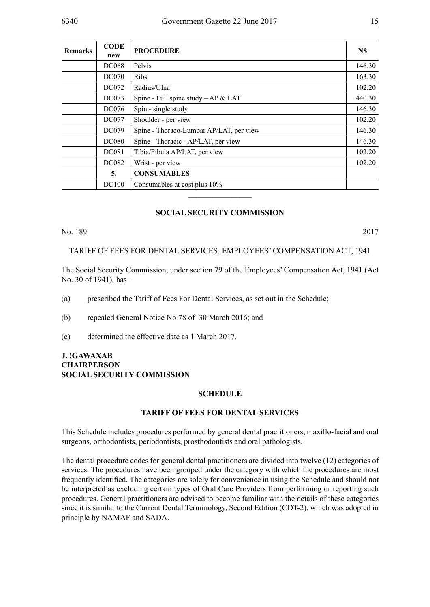| <b>Remarks</b> | <b>CODE</b><br>new | <b>PROCEDURE</b>                        | N\$    |
|----------------|--------------------|-----------------------------------------|--------|
|                | <b>DC068</b>       | Pelvis                                  | 146.30 |
|                | DC070              | <b>Ribs</b>                             | 163.30 |
|                | <b>DC072</b>       | Radius/Ulna                             | 102.20 |
|                | DC073              | Spine - Full spine study $- AP & LAT$   | 440.30 |
|                | <b>DC076</b>       | Spin - single study                     | 146.30 |
|                | <b>DC077</b>       | Shoulder - per view                     | 102.20 |
|                | <b>DC079</b>       | Spine - Thoraco-Lumbar AP/LAT, per view | 146.30 |
|                | <b>DC080</b>       | Spine - Thoracic - AP/LAT, per view     | 146.30 |
|                | <b>DC081</b>       | Tibia/Fibula AP/LAT, per view           | 102.20 |
|                | <b>DC082</b>       | Wrist - per view                        | 102.20 |
|                | 5.                 | <b>CONSUMABLES</b>                      |        |
|                | DC100              | Consumables at cost plus 10%            |        |
|                |                    |                                         |        |

#### **SOCIAL SECURITY COMMISSION**

No. 189 2017

TARIFF OF FEES FOR DENTAL SERVICES: EMPLOYEES' COMPENSATION ACT, 1941

The Social Security Commission, under section 79 of the Employees' Compensation Act, 1941 (Act No. 30 of 1941), has –

- (a) prescribed the Tariff of Fees For Dental Services, as set out in the Schedule;
- (b) repealed General Notice No 78 of 30 March 2016; and
- (c) determined the effective date as 1 March 2017.

#### **J. !Gawaxab CHAIRPERSON SOCIAL SECURITY COMMISSION**

#### **SCHEDULE**

#### **TARIFF OF FEES FOR DENTAL SERVICES**

This Schedule includes procedures performed by general dental practitioners, maxillo-facial and oral surgeons, orthodontists, periodontists, prosthodontists and oral pathologists.

The dental procedure codes for general dental practitioners are divided into twelve (12) categories of services. The procedures have been grouped under the category with which the procedures are most frequently identified. The categories are solely for convenience in using the Schedule and should not be interpreted as excluding certain types of Oral Care Providers from performing or reporting such procedures. General practitioners are advised to become familiar with the details of these categories since it is similar to the Current Dental Terminology, Second Edition (CDT-2), which was adopted in principle by NAMAF and SADA.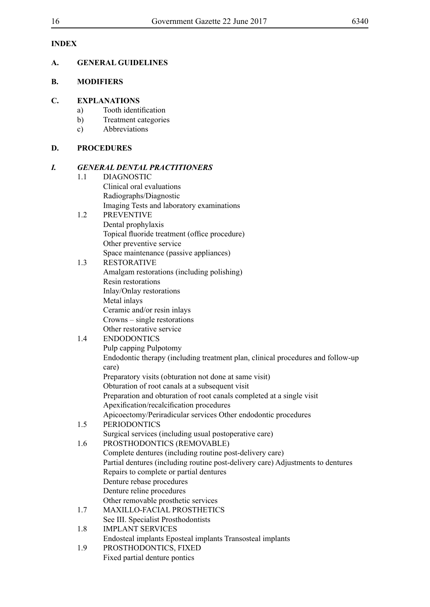## **INDEX**

## **A. GENERAL GUIDELINES**

## **B. MODIFIERS**

## **C. EXPLANATIONS**

- a) Tooth identification
- b) Treatment categories
- c) Abbreviations

## **D. PROCEDURES**

## *I. GENERAL DENTAL PRACTITIONERS*

## 1.1 DIAGNOSTIC

Clinical oral evaluations Radiographs/Diagnostic Imaging Tests and laboratory examinations

## 1.2 PREVENTIVE Dental prophylaxis Topical fluoride treatment (office procedure) Other preventive service

Space maintenance (passive appliances)

## 1.3 RESTORATIVE

Amalgam restorations (including polishing) Resin restorations Inlay/Onlay restorations Metal inlays Ceramic and/or resin inlays Crowns – single restorations Other restorative service

## 1.4 ENDODONTICS

Pulp capping Pulpotomy Endodontic therapy (including treatment plan, clinical procedures and follow-up care) Preparatory visits (obturation not done at same visit) Obturation of root canals at a subsequent visit Preparation and obturation of root canals completed at a single visit Apexification/recalcification procedures Apicoectomy/Periradicular services Other endodontic procedures 1.5 PERIODONTICS Surgical services (including usual postoperative care) 1.6 PROSTHODONTICS (REMOVABLE) Complete dentures (including routine post-delivery care) Partial dentures (including routine post-delivery care) Adjustments to dentures Repairs to complete or partial dentures Denture rebase procedures Denture reline procedures Other removable prosthetic services 1.7 MAXILLO-FACIAL PROSTHETICS

See III. Specialist Prosthodontists

## 1.8 IMPLANT SERVICES Endosteal implants Eposteal implants Transosteal implants

1.9 PROSTHODONTICS, FIXED Fixed partial denture pontics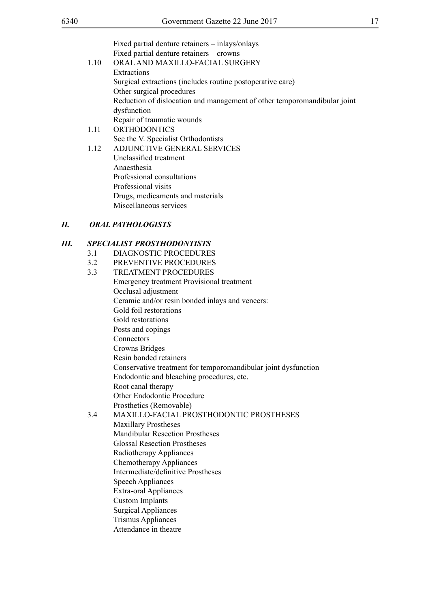|    | 1.10 | Fixed partial denture retainers - inlays/onlays<br>Fixed partial denture retainers – crowns<br>ORAL AND MAXILLO-FACIAL SURGERY<br>Extractions<br>Surgical extractions (includes routine postoperative care)<br>Other surgical procedures<br>Reduction of dislocation and management of other temporomandibular joint<br>dysfunction<br>Repair of traumatic wounds |
|----|------|-------------------------------------------------------------------------------------------------------------------------------------------------------------------------------------------------------------------------------------------------------------------------------------------------------------------------------------------------------------------|
|    | 1.11 | <b>ORTHODONTICS</b>                                                                                                                                                                                                                                                                                                                                               |
|    |      | See the V. Specialist Orthodontists                                                                                                                                                                                                                                                                                                                               |
|    | 1.12 | ADJUNCTIVE GENERAL SERVICES                                                                                                                                                                                                                                                                                                                                       |
|    |      | Unclassified treatment                                                                                                                                                                                                                                                                                                                                            |
|    |      | Anaesthesia                                                                                                                                                                                                                                                                                                                                                       |
|    |      | Professional consultations                                                                                                                                                                                                                                                                                                                                        |
|    |      | Professional visits                                                                                                                                                                                                                                                                                                                                               |
|    |      | Drugs, medicaments and materials                                                                                                                                                                                                                                                                                                                                  |
|    |      | Miscellaneous services                                                                                                                                                                                                                                                                                                                                            |
| П. |      | <b>ORAL PATHOLOGISTS</b>                                                                                                                                                                                                                                                                                                                                          |
| Ш. |      | <b>SPECIALIST PROSTHODONTISTS</b>                                                                                                                                                                                                                                                                                                                                 |
|    | 3.1  | DIAGNOSTIC PROCEDURES                                                                                                                                                                                                                                                                                                                                             |
|    | 3.2  | PREVENTIVE PROCEDURES                                                                                                                                                                                                                                                                                                                                             |
|    | 3.3  | <b>TREATMENT PROCEDURES</b>                                                                                                                                                                                                                                                                                                                                       |
|    |      | <b>Emergency treatment Provisional treatment</b>                                                                                                                                                                                                                                                                                                                  |
|    |      | Occlusal adjustment                                                                                                                                                                                                                                                                                                                                               |
|    |      | Ceramic and/or resin bonded inlays and veneers:                                                                                                                                                                                                                                                                                                                   |
|    |      | Gold foil restorations                                                                                                                                                                                                                                                                                                                                            |
|    |      | Gold restorations                                                                                                                                                                                                                                                                                                                                                 |
|    |      | Posts and copings                                                                                                                                                                                                                                                                                                                                                 |
|    |      | Connectors                                                                                                                                                                                                                                                                                                                                                        |
|    |      | <b>Crowns Bridges</b>                                                                                                                                                                                                                                                                                                                                             |
|    |      | Resin bonded retainers                                                                                                                                                                                                                                                                                                                                            |
|    |      | Conservative treatment for temporomandibular joint dysfunction                                                                                                                                                                                                                                                                                                    |
|    |      | Endodontic and bleaching procedures, etc.                                                                                                                                                                                                                                                                                                                         |
|    |      | Root canal therapy                                                                                                                                                                                                                                                                                                                                                |
|    |      | Other Endodontic Procedure                                                                                                                                                                                                                                                                                                                                        |
|    | 3.4  | Prosthetics (Removable)<br><b>MAXILLO-FACIAL PROSTHODONTIC PROSTHESES</b>                                                                                                                                                                                                                                                                                         |
|    |      | <b>Maxillary Prostheses</b>                                                                                                                                                                                                                                                                                                                                       |
|    |      | <b>Mandibular Resection Prostheses</b>                                                                                                                                                                                                                                                                                                                            |
|    |      | <b>Glossal Resection Prostheses</b>                                                                                                                                                                                                                                                                                                                               |
|    |      | Radiotherapy Appliances                                                                                                                                                                                                                                                                                                                                           |
|    |      | <b>Chemotherapy Appliances</b>                                                                                                                                                                                                                                                                                                                                    |
|    |      | Intermediate/definitive Prostheses                                                                                                                                                                                                                                                                                                                                |
|    |      | <b>Speech Appliances</b>                                                                                                                                                                                                                                                                                                                                          |
|    |      | <b>Extra-oral Appliances</b>                                                                                                                                                                                                                                                                                                                                      |
|    |      | <b>Custom Implants</b>                                                                                                                                                                                                                                                                                                                                            |
|    |      | <b>Surgical Appliances</b>                                                                                                                                                                                                                                                                                                                                        |
|    |      | <b>Trismus Appliances</b>                                                                                                                                                                                                                                                                                                                                         |
|    |      | Attendance in theatre                                                                                                                                                                                                                                                                                                                                             |
|    |      |                                                                                                                                                                                                                                                                                                                                                                   |
|    |      |                                                                                                                                                                                                                                                                                                                                                                   |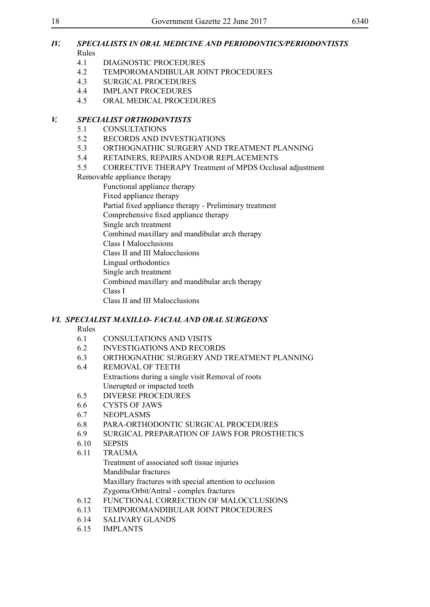#### *IV. SPECIALISTS IN ORAL MEDICINE AND PERIODONTICS/PERIODONTISTS* Rules

- 4.1 DIAGNOSTIC PROCEDURES
- 4.2 TEMPOROMANDIBULAR JOINT PROCEDURES
- 4.3 SURGICAL PROCEDURES
- 4.4 IMPLANT PROCEDURES<br>4.5 ORAL MEDICAL PROCED
	- 4.5 ORAL MEDICAL PROCEDURES

#### *V. SPECIALIST ORTHODONTISTS*

- 5.1 CONSULTATIONS
- 5.2 RECORDS AND INVESTIGATIONS
- 5.3 ORTHOGNATHIC SURGERY AND TREATMENT PLANNING
- 5.4 RETAINERS, REPAIRS AND/OR REPLACEMENTS
- 5.5 CORRECTIVE THERAPY Treatment of MPDS Occlusal adjustment

## Removable appliance therapy

Functional appliance therapy

- Fixed appliance therapy
- Partial fixed appliance therapy Preliminary treatment

Comprehensive fixed appliance therapy

Single arch treatment

Combined maxillary and mandibular arch therapy

Class I Malocclusions

Class II and III Malocclusions

Lingual orthodontics

Single arch treatment

Combined maxillary and mandibular arch therapy

Class I

Class II and III Malocclusions

## *VI. SPECIALIST MAXILLO- FACIAL AND ORAL SURGEONS*

#### Rules

- 6.1 CONSULTATIONS AND VISITS
- 6.2 INVESTIGATIONS AND RECORDS
- 6.3 ORTHOGNATHIC SURGERY AND TREATMENT PLANNING
- 6.4 REMOVAL OF TEETH Extractions during a single visit Removal of roots Unerupted or impacted teeth
- 6.5 DIVERSE PROCEDURES
- 6.6 CYSTS OF JAWS
- 6.7 NEOPLASMS
- 
- 6.8 PARA-ORTHODONTIC SURGICAL PROCEDURES<br>6.9 SURGICAL PREPARATION OF JAWS FOR PROSTE SURGICAL PREPARATION OF JAWS FOR PROSTHETICS
- 6.10 SEPSIS
- 6.11 TRAUMA Treatment of associated soft tissue injuries Mandibular fractures Maxillary fractures with special attention to occlusion Zygoma/Orbit/Antral - complex fractures
	- 6.12 FUNCTIONAL CORRECTION OF MALOCCLUSIONS
	- 6.13 TEMPOROMANDIBULAR JOINT PROCEDURES
	- 6.14 SALIVARY GLANDS
	- 6.15 IMPLANTS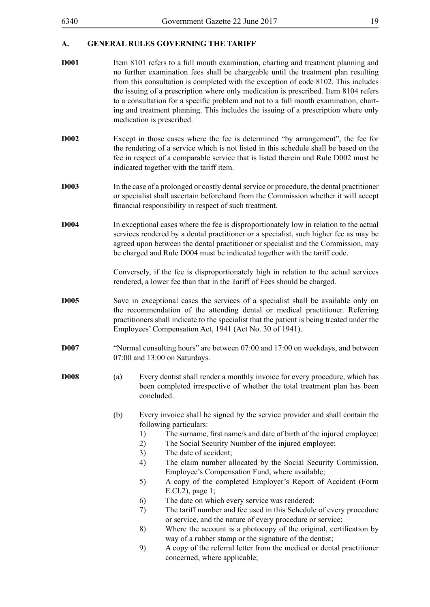## **A. GENERAL RULES GOVERNING THE TARIFF**

- **D001** Item 8101 refers to a full mouth examination, charting and treatment planning and no further examination fees shall be chargeable until the treatment plan resulting from this consultation is completed with the exception of code 8102. This includes the issuing of a prescription where only medication is prescribed. Item 8104 refers to a consultation for a specific problem and not to a full mouth examination, charting and treatment planning. This includes the issuing of a prescription where only medication is prescribed.
- **D002** Except in those cases where the fee is determined "by arrangement", the fee for the rendering of a service which is not listed in this schedule shall be based on the fee in respect of a comparable service that is listed therein and Rule D002 must be indicated together with the tariff item.
- **D003** In the case of a prolonged or costly dental service or procedure, the dental practitioner or specialist shall ascertain beforehand from the Commission whether it will accept financial responsibility in respect of such treatment.
- **D004** In exceptional cases where the fee is disproportionately low in relation to the actual services rendered by a dental practitioner or a specialist, such higher fee as may be agreed upon between the dental practitioner or specialist and the Commission, may be charged and Rule D004 must be indicated together with the tariff code.

Conversely, if the fee is disproportionately high in relation to the actual services rendered, a lower fee than that in the Tariff of Fees should be charged.

- **D005** Save in exceptional cases the services of a specialist shall be available only on the recommendation of the attending dental or medical practitioner. Referring practitioners shall indicate to the specialist that the patient is being treated under the Employees' Compensation Act, 1941 (Act No. 30 of 1941).
- **D007** "Normal consulting hours" are between 07:00 and 17:00 on weekdays, and between 07:00 and 13:00 on Saturdays.
- **D008** (a) Every dentist shall render a monthly invoice for every procedure, which has been completed irrespective of whether the total treatment plan has been concluded.
	- (b) Every invoice shall be signed by the service provider and shall contain the following particulars:
		- 1) The surname, first name/s and date of birth of the injured employee;
		- 2) The Social Security Number of the injured employee;
		- 3) The date of accident;
		- 4) The claim number allocated by the Social Security Commission, Employee's Compensation Fund, where available;
		- 5) A copy of the completed Employer's Report of Accident (Form E.Cl.2), page 1;
		- 6) The date on which every service was rendered;
		- 7) The tariff number and fee used in this Schedule of every procedure or service, and the nature of every procedure or service;
		- 8) Where the account is a photocopy of the original, certification by way of a rubber stamp or the signature of the dentist;
		- 9) A copy of the referral letter from the medical or dental practitioner concerned, where applicable;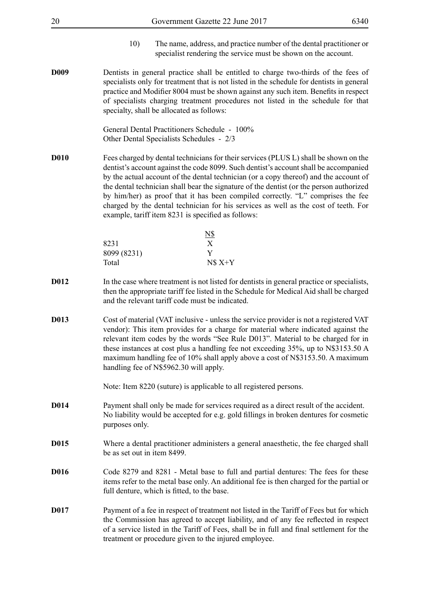- 10) The name, address, and practice number of the dental practitioner or specialist rendering the service must be shown on the account.
- **D009** Dentists in general practice shall be entitled to charge two-thirds of the fees of specialists only for treatment that is not listed in the schedule for dentists in general practice and Modifier 8004 must be shown against any such item. Benefits in respect of specialists charging treatment procedures not listed in the schedule for that specialty, shall be allocated as follows:

General Dental Practitioners Schedule - 100% Other Dental Specialists Schedules - 2/3

**D010** Fees charged by dental technicians for their services (PLUS L) shall be shown on the dentist's account against the code 8099. Such dentist's account shall be accompanied by the actual account of the dental technician (or a copy thereof) and the account of the dental technician shall bear the signature of the dentist (or the person authorized by him/her) as proof that it has been compiled correctly. "L" comprises the fee charged by the dental technician for his services as well as the cost of teeth. For example, tariff item 8231 is specified as follows:

|             | N\$      |
|-------------|----------|
| 8231        | Х        |
| 8099 (8231) | v        |
| Total       | $N$ X+Y$ |

- **D012** In the case where treatment is not listed for dentists in general practice or specialists, then the appropriate tariff fee listed in the Schedule for Medical Aid shall be charged and the relevant tariff code must be indicated.
- **D013** Cost of material (VAT inclusive unless the service provider is not a registered VAT vendor): This item provides for a charge for material where indicated against the relevant item codes by the words "See Rule D013". Material to be charged for in these instances at cost plus a handling fee not exceeding 35%, up to N\$3153.50 A maximum handling fee of 10% shall apply above a cost of N\$3153.50. A maximum handling fee of N\$5962.30 will apply.

Note: Item 8220 (suture) is applicable to all registered persons.

- **D014** Payment shall only be made for services required as a direct result of the accident. No liability would be accepted for e.g. gold fillings in broken dentures for cosmetic purposes only.
- **D015** Where a dental practitioner administers a general anaesthetic, the fee charged shall be as set out in item 8499.
- **D016** Code 8279 and 8281 Metal base to full and partial dentures: The fees for these items refer to the metal base only. An additional fee is then charged for the partial or full denture, which is fitted, to the base.
- **D017** Payment of a fee in respect of treatment not listed in the Tariff of Fees but for which the Commission has agreed to accept liability, and of any fee reflected in respect of a service listed in the Tariff of Fees, shall be in full and final settlement for the treatment or procedure given to the injured employee.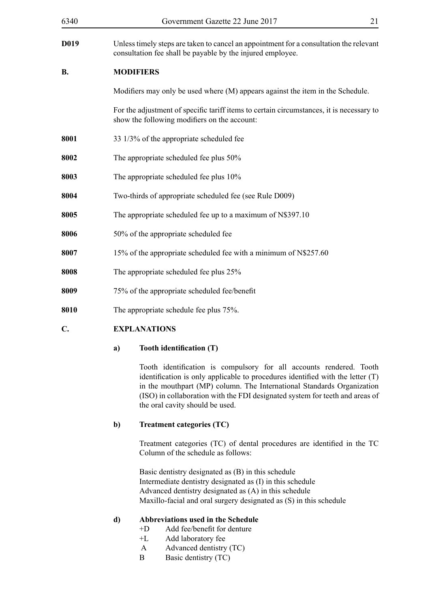| 6340           | Government Gazette 22 June 2017                                                                                                                      | 21 |
|----------------|------------------------------------------------------------------------------------------------------------------------------------------------------|----|
| <b>D019</b>    | Unless timely steps are taken to cancel an appointment for a consultation the relevant<br>consultation fee shall be payable by the injured employee. |    |
| <b>B.</b>      | <b>MODIFIERS</b>                                                                                                                                     |    |
|                | Modifiers may only be used where (M) appears against the item in the Schedule.                                                                       |    |
|                | For the adjustment of specific tariff items to certain circumstances, it is necessary to<br>show the following modifiers on the account:             |    |
| 8001           | 33 1/3% of the appropriate scheduled fee                                                                                                             |    |
| 8002           | The appropriate scheduled fee plus 50%                                                                                                               |    |
| 8003           | The appropriate scheduled fee plus 10%                                                                                                               |    |
| 8004           | Two-thirds of appropriate scheduled fee (see Rule D009)                                                                                              |    |
| 8005           | The appropriate scheduled fee up to a maximum of N\$397.10                                                                                           |    |
| 8006           | 50% of the appropriate scheduled fee                                                                                                                 |    |
| 8007           | 15% of the appropriate scheduled fee with a minimum of N\$257.60                                                                                     |    |
| 8008           | The appropriate scheduled fee plus 25%                                                                                                               |    |
| 8009           | 75% of the appropriate scheduled fee/benefit                                                                                                         |    |
| 8010           | The appropriate schedule fee plus 75%.                                                                                                               |    |
| $\mathbf{C}$ . | <b>EXPLANATIONS</b>                                                                                                                                  |    |

## **a) Tooth identification (T)**

Tooth identification is compulsory for all accounts rendered. Tooth identification is only applicable to procedures identified with the letter (T) in the mouthpart (MP) column. The International Standards Organization (ISO) in collaboration with the FDI designated system for teeth and areas of the oral cavity should be used.

## **b) Treatment categories (TC)**

Treatment categories (TC) of dental procedures are identified in the TC Column of the schedule as follows:

Basic dentistry designated as (B) in this schedule Intermediate dentistry designated as (I) in this schedule Advanced dentistry designated as (A) in this schedule Maxillo-facial and oral surgery designated as (S) in this schedule

## **d) Abbreviations used in the Schedule**

- +D Add fee/benefit for denture
- +L Add laboratory fee
- A Advanced dentistry (TC)
- B Basic dentistry (TC)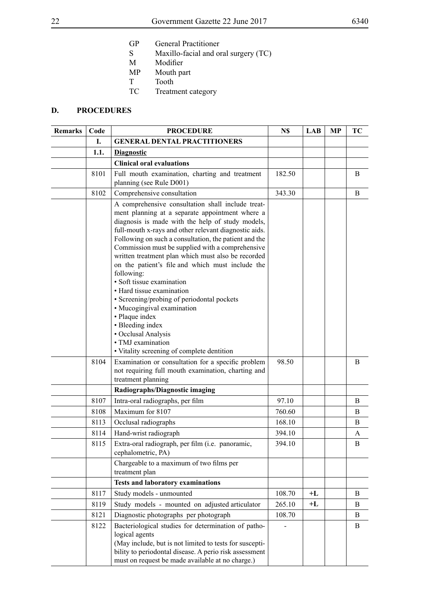- GP General Practitioner<br>S Maxillo-facial and or
- Maxillo-facial and oral surgery (TC)
- M Modifier<br>MP Mouth pa
- MP Mouth part<br>T Tooth
- T Tooth<br>TC Treatm
- Treatment category

## **D. PROCEDURES**

| <b>Remarks</b> | Code | <b>PROCEDURE</b>                                                                                                                                                                                                                                                                                                                                                                                                                                                                                                                                                                                                                                                                                                             | N\$    | <b>LAB</b> | MP | TС |
|----------------|------|------------------------------------------------------------------------------------------------------------------------------------------------------------------------------------------------------------------------------------------------------------------------------------------------------------------------------------------------------------------------------------------------------------------------------------------------------------------------------------------------------------------------------------------------------------------------------------------------------------------------------------------------------------------------------------------------------------------------------|--------|------------|----|----|
|                | I.   | <b>GENERAL DENTAL PRACTITIONERS</b>                                                                                                                                                                                                                                                                                                                                                                                                                                                                                                                                                                                                                                                                                          |        |            |    |    |
|                | 1.1. | <b>Diagnostic</b>                                                                                                                                                                                                                                                                                                                                                                                                                                                                                                                                                                                                                                                                                                            |        |            |    |    |
|                |      | <b>Clinical oral evaluations</b>                                                                                                                                                                                                                                                                                                                                                                                                                                                                                                                                                                                                                                                                                             |        |            |    |    |
|                | 8101 | Full mouth examination, charting and treatment<br>planning (see Rule D001)                                                                                                                                                                                                                                                                                                                                                                                                                                                                                                                                                                                                                                                   | 182.50 |            |    | B  |
|                | 8102 | Comprehensive consultation                                                                                                                                                                                                                                                                                                                                                                                                                                                                                                                                                                                                                                                                                                   | 343.30 |            |    | B  |
|                |      | A comprehensive consultation shall include treat-<br>ment planning at a separate appointment where a<br>diagnosis is made with the help of study models,<br>full-mouth x-rays and other relevant diagnostic aids.<br>Following on such a consultation, the patient and the<br>Commission must be supplied with a comprehensive<br>written treatment plan which must also be recorded<br>on the patient's file and which must include the<br>following:<br>· Soft tissue examination<br>• Hard tissue examination<br>• Screening/probing of periodontal pockets<br>• Mucogingival examination<br>• Plaque index<br>• Bleeding index<br>· Occlusal Analysis<br>• TMJ examination<br>• Vitality screening of complete dentition |        |            |    |    |
|                | 8104 | Examination or consultation for a specific problem<br>not requiring full mouth examination, charting and<br>treatment planning                                                                                                                                                                                                                                                                                                                                                                                                                                                                                                                                                                                               | 98.50  |            |    | B  |
|                |      | Radiographs/Diagnostic imaging                                                                                                                                                                                                                                                                                                                                                                                                                                                                                                                                                                                                                                                                                               |        |            |    |    |
|                | 8107 | Intra-oral radiographs, per film                                                                                                                                                                                                                                                                                                                                                                                                                                                                                                                                                                                                                                                                                             | 97.10  |            |    | B  |
|                | 8108 | Maximum for 8107                                                                                                                                                                                                                                                                                                                                                                                                                                                                                                                                                                                                                                                                                                             | 760.60 |            |    | B  |
|                | 8113 | Occlusal radiographs                                                                                                                                                                                                                                                                                                                                                                                                                                                                                                                                                                                                                                                                                                         | 168.10 |            |    | B  |
|                | 8114 | Hand-wrist radiograph                                                                                                                                                                                                                                                                                                                                                                                                                                                                                                                                                                                                                                                                                                        | 394.10 |            |    | A  |
|                | 8115 | Extra-oral radiograph, per film (i.e. panoramic,<br>cephalometric, PA)                                                                                                                                                                                                                                                                                                                                                                                                                                                                                                                                                                                                                                                       | 394.10 |            |    | B  |
|                |      | Chargeable to a maximum of two films per<br>treatment plan                                                                                                                                                                                                                                                                                                                                                                                                                                                                                                                                                                                                                                                                   |        |            |    |    |
|                |      | <b>Tests and laboratory examinations</b>                                                                                                                                                                                                                                                                                                                                                                                                                                                                                                                                                                                                                                                                                     |        |            |    |    |
|                | 8117 | Study models - unmounted                                                                                                                                                                                                                                                                                                                                                                                                                                                                                                                                                                                                                                                                                                     | 108.70 | $+L$       |    | B  |
|                | 8119 | Study models - mounted on adjusted articulator                                                                                                                                                                                                                                                                                                                                                                                                                                                                                                                                                                                                                                                                               | 265.10 | $+L$       |    | B  |
|                | 8121 | Diagnostic photographs per photograph                                                                                                                                                                                                                                                                                                                                                                                                                                                                                                                                                                                                                                                                                        | 108.70 |            |    | B  |
|                | 8122 | Bacteriological studies for determination of patho-<br>logical agents<br>(May include, but is not limited to tests for suscepti-<br>bility to periodontal disease. A perio risk assessment<br>must on request be made available at no charge.)                                                                                                                                                                                                                                                                                                                                                                                                                                                                               |        |            |    | B  |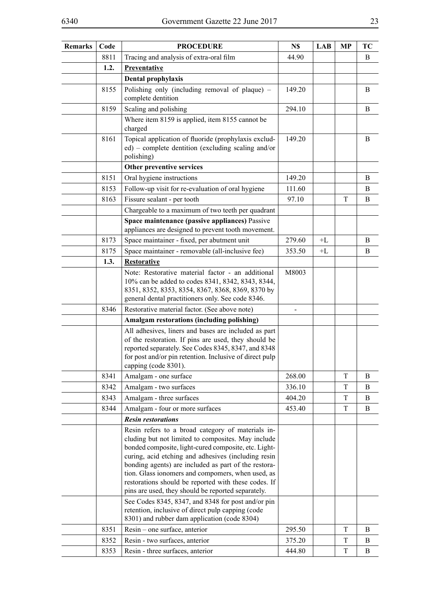| <b>Remarks</b> | Code | <b>PROCEDURE</b>                                                                                                                                                                                                                                                                                                                                                                                                                                  | N\$    | <b>LAB</b> | MP | TC       |
|----------------|------|---------------------------------------------------------------------------------------------------------------------------------------------------------------------------------------------------------------------------------------------------------------------------------------------------------------------------------------------------------------------------------------------------------------------------------------------------|--------|------------|----|----------|
|                | 8811 | Tracing and analysis of extra-oral film                                                                                                                                                                                                                                                                                                                                                                                                           | 44.90  |            |    | B        |
|                | 1.2. | Preventative                                                                                                                                                                                                                                                                                                                                                                                                                                      |        |            |    |          |
|                |      | Dental prophylaxis                                                                                                                                                                                                                                                                                                                                                                                                                                |        |            |    |          |
|                | 8155 | Polishing only (including removal of plaque) $-$<br>complete dentition                                                                                                                                                                                                                                                                                                                                                                            | 149.20 |            |    | B        |
|                | 8159 | Scaling and polishing                                                                                                                                                                                                                                                                                                                                                                                                                             | 294.10 |            |    | $\bf{B}$ |
|                |      | Where item 8159 is applied, item 8155 cannot be<br>charged                                                                                                                                                                                                                                                                                                                                                                                        |        |            |    |          |
|                | 8161 | Topical application of fluoride (prophylaxis exclud-<br>ed) – complete dentition (excluding scaling and/or<br>polishing)                                                                                                                                                                                                                                                                                                                          | 149.20 |            |    | B        |
|                |      | Other preventive services                                                                                                                                                                                                                                                                                                                                                                                                                         |        |            |    |          |
|                | 8151 | Oral hygiene instructions                                                                                                                                                                                                                                                                                                                                                                                                                         | 149.20 |            |    | B        |
|                | 8153 | Follow-up visit for re-evaluation of oral hygiene                                                                                                                                                                                                                                                                                                                                                                                                 | 111.60 |            |    | B        |
|                | 8163 | Fissure sealant - per tooth                                                                                                                                                                                                                                                                                                                                                                                                                       | 97.10  |            | T  | B        |
|                |      | Chargeable to a maximum of two teeth per quadrant                                                                                                                                                                                                                                                                                                                                                                                                 |        |            |    |          |
|                |      | Space maintenance (passive appliances) Passive<br>appliances are designed to prevent tooth movement.                                                                                                                                                                                                                                                                                                                                              |        |            |    |          |
|                | 8173 | Space maintainer - fixed, per abutment unit                                                                                                                                                                                                                                                                                                                                                                                                       | 279.60 | $+L$       |    | B        |
|                | 8175 | Space maintainer - removable (all-inclusive fee)                                                                                                                                                                                                                                                                                                                                                                                                  | 353.50 | $+L$       |    | B        |
|                | 1.3. | <b>Restorative</b>                                                                                                                                                                                                                                                                                                                                                                                                                                |        |            |    |          |
|                |      | Note: Restorative material factor - an additional<br>10% can be added to codes 8341, 8342, 8343, 8344,<br>8351, 8352, 8353, 8354, 8367, 8368, 8369, 8370 by<br>general dental practitioners only. See code 8346.                                                                                                                                                                                                                                  | M8003  |            |    |          |
|                | 8346 | Restorative material factor. (See above note)                                                                                                                                                                                                                                                                                                                                                                                                     |        |            |    |          |
|                |      | Amalgam restorations (including polishing)                                                                                                                                                                                                                                                                                                                                                                                                        |        |            |    |          |
|                |      | All adhesives, liners and bases are included as part<br>of the restoration. If pins are used, they should be<br>reported separately. See Codes 8345, 8347, and 8348<br>for post and/or pin retention. Inclusive of direct pulp<br>capping (code 8301).                                                                                                                                                                                            |        |            |    |          |
|                | 8341 | Amalgam - one surface                                                                                                                                                                                                                                                                                                                                                                                                                             | 268.00 |            | T  | B        |
|                | 8342 | Amalgam - two surfaces                                                                                                                                                                                                                                                                                                                                                                                                                            | 336.10 |            | T  | B        |
|                | 8343 | Amalgam - three surfaces                                                                                                                                                                                                                                                                                                                                                                                                                          | 404.20 |            | T  | B        |
|                | 8344 | Amalgam - four or more surfaces                                                                                                                                                                                                                                                                                                                                                                                                                   | 453.40 |            | T  | $\bf{B}$ |
|                |      | <b>Resin restorations</b>                                                                                                                                                                                                                                                                                                                                                                                                                         |        |            |    |          |
|                |      | Resin refers to a broad category of materials in-<br>cluding but not limited to composites. May include<br>bonded composite, light-cured composite, etc. Light-<br>curing, acid etching and adhesives (including resin<br>bonding agents) are included as part of the restora-<br>tion. Glass ionomers and compomers, when used, as<br>restorations should be reported with these codes. If<br>pins are used, they should be reported separately. |        |            |    |          |
|                |      | See Codes 8345, 8347, and 8348 for post and/or pin<br>retention, inclusive of direct pulp capping (code<br>8301) and rubber dam application (code 8304)                                                                                                                                                                                                                                                                                           |        |            |    |          |
|                | 8351 | Resin – one surface, anterior                                                                                                                                                                                                                                                                                                                                                                                                                     | 295.50 |            | T  | B        |
|                | 8352 | Resin - two surfaces, anterior                                                                                                                                                                                                                                                                                                                                                                                                                    | 375.20 |            | T  | B        |
|                | 8353 | Resin - three surfaces, anterior                                                                                                                                                                                                                                                                                                                                                                                                                  | 444.80 |            | T  | B        |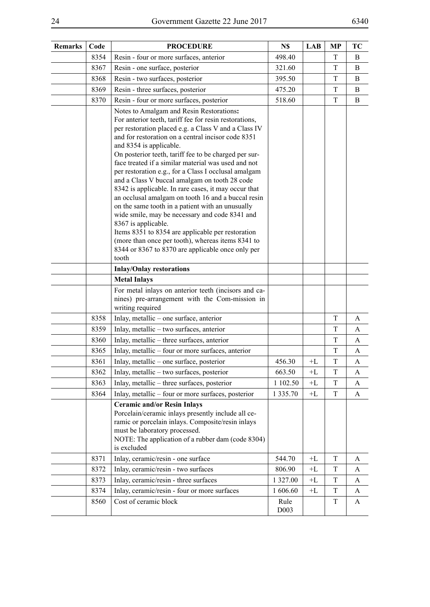| Remarks | Code | <b>PROCEDURE</b>                                                                                                                                                                                                                                                                                                                                                                                                                                                                                                                                                                                                                                                                                                                                                                                                                                                                        | N\$           | LAB  | <b>MP</b>   | TC |
|---------|------|-----------------------------------------------------------------------------------------------------------------------------------------------------------------------------------------------------------------------------------------------------------------------------------------------------------------------------------------------------------------------------------------------------------------------------------------------------------------------------------------------------------------------------------------------------------------------------------------------------------------------------------------------------------------------------------------------------------------------------------------------------------------------------------------------------------------------------------------------------------------------------------------|---------------|------|-------------|----|
|         | 8354 | Resin - four or more surfaces, anterior                                                                                                                                                                                                                                                                                                                                                                                                                                                                                                                                                                                                                                                                                                                                                                                                                                                 | 498.40        |      | T           | B  |
|         | 8367 | Resin - one surface, posterior                                                                                                                                                                                                                                                                                                                                                                                                                                                                                                                                                                                                                                                                                                                                                                                                                                                          | 321.60        |      | T           | B  |
|         | 8368 | Resin - two surfaces, posterior                                                                                                                                                                                                                                                                                                                                                                                                                                                                                                                                                                                                                                                                                                                                                                                                                                                         | 395.50        |      | T           | B  |
|         | 8369 | Resin - three surfaces, posterior                                                                                                                                                                                                                                                                                                                                                                                                                                                                                                                                                                                                                                                                                                                                                                                                                                                       | 475.20        |      | T           | B  |
|         | 8370 | Resin - four or more surfaces, posterior                                                                                                                                                                                                                                                                                                                                                                                                                                                                                                                                                                                                                                                                                                                                                                                                                                                | 518.60        |      | $\mathbf T$ | B  |
|         |      | Notes to Amalgam and Resin Restorations:<br>For anterior teeth, tariff fee for resin restorations,<br>per restoration placed e.g. a Class V and a Class IV<br>and for restoration on a central incisor code 8351<br>and 8354 is applicable.<br>On posterior teeth, tariff fee to be charged per sur-<br>face treated if a similar material was used and not<br>per restoration e.g., for a Class I occlusal amalgam<br>and a Class V buccal amalgam on tooth 28 code<br>8342 is applicable. In rare cases, it may occur that<br>an occlusal amalgam on tooth 16 and a buccal resin<br>on the same tooth in a patient with an unusually<br>wide smile, may be necessary and code 8341 and<br>8367 is applicable.<br>Items 8351 to 8354 are applicable per restoration<br>(more than once per tooth), whereas items 8341 to<br>8344 or 8367 to 8370 are applicable once only per<br>tooth |               |      |             |    |
|         |      | <b>Inlay/Onlay restorations</b>                                                                                                                                                                                                                                                                                                                                                                                                                                                                                                                                                                                                                                                                                                                                                                                                                                                         |               |      |             |    |
|         |      | <b>Metal Inlays</b>                                                                                                                                                                                                                                                                                                                                                                                                                                                                                                                                                                                                                                                                                                                                                                                                                                                                     |               |      |             |    |
|         |      | For metal inlays on anterior teeth (incisors and ca-<br>nines) pre-arrangement with the Com-mission in<br>writing required                                                                                                                                                                                                                                                                                                                                                                                                                                                                                                                                                                                                                                                                                                                                                              |               |      |             |    |
|         | 8358 | Inlay, metallic – one surface, anterior                                                                                                                                                                                                                                                                                                                                                                                                                                                                                                                                                                                                                                                                                                                                                                                                                                                 |               |      | T           | A  |
|         | 8359 | Inlay, metallic - two surfaces, anterior                                                                                                                                                                                                                                                                                                                                                                                                                                                                                                                                                                                                                                                                                                                                                                                                                                                |               |      | T           | A  |
|         | 8360 | Inlay, metallic - three surfaces, anterior                                                                                                                                                                                                                                                                                                                                                                                                                                                                                                                                                                                                                                                                                                                                                                                                                                              |               |      | $\mathbf T$ | A  |
|         | 8365 | Inlay, metallic – four or more surfaces, anterior                                                                                                                                                                                                                                                                                                                                                                                                                                                                                                                                                                                                                                                                                                                                                                                                                                       |               |      | $\mathbf T$ | A  |
|         | 8361 | Inlay, metallic - one surface, posterior                                                                                                                                                                                                                                                                                                                                                                                                                                                                                                                                                                                                                                                                                                                                                                                                                                                | 456.30        | $+L$ | $\mathbf T$ | A  |
|         | 8362 | Inlay, metallic – two surfaces, posterior                                                                                                                                                                                                                                                                                                                                                                                                                                                                                                                                                                                                                                                                                                                                                                                                                                               | 663.50        | +L   | T           | А  |
|         | 8363 | Inlay, metallic - three surfaces, posterior                                                                                                                                                                                                                                                                                                                                                                                                                                                                                                                                                                                                                                                                                                                                                                                                                                             | 1 102.50      | $+L$ | T           | A  |
|         | 8364 | Inlay, metallic – four or more surfaces, posterior                                                                                                                                                                                                                                                                                                                                                                                                                                                                                                                                                                                                                                                                                                                                                                                                                                      | 1 3 3 5 . 7 0 | $+L$ | $\mathbf T$ | A  |
|         |      | <b>Ceramic and/or Resin Inlays</b><br>Porcelain/ceramic inlays presently include all ce-<br>ramic or porcelain inlays. Composite/resin inlays<br>must be laboratory processed.<br>NOTE: The application of a rubber dam (code 8304)<br>is excluded                                                                                                                                                                                                                                                                                                                                                                                                                                                                                                                                                                                                                                      |               |      |             |    |
|         | 8371 | Inlay, ceramic/resin - one surface                                                                                                                                                                                                                                                                                                                                                                                                                                                                                                                                                                                                                                                                                                                                                                                                                                                      | 544.70        | $+L$ | $\mathbf T$ | A  |
|         | 8372 | Inlay, ceramic/resin - two surfaces                                                                                                                                                                                                                                                                                                                                                                                                                                                                                                                                                                                                                                                                                                                                                                                                                                                     | 806.90        | +L   | T           | A  |
|         | 8373 | Inlay, ceramic/resin - three surfaces                                                                                                                                                                                                                                                                                                                                                                                                                                                                                                                                                                                                                                                                                                                                                                                                                                                   | 1 327.00      | $+L$ | T           | A  |
|         | 8374 | Inlay, ceramic/resin - four or more surfaces                                                                                                                                                                                                                                                                                                                                                                                                                                                                                                                                                                                                                                                                                                                                                                                                                                            | 1 606.60      | $+L$ | T           | A  |
|         | 8560 | Cost of ceramic block                                                                                                                                                                                                                                                                                                                                                                                                                                                                                                                                                                                                                                                                                                                                                                                                                                                                   | Rule<br>D003  |      | T           | A  |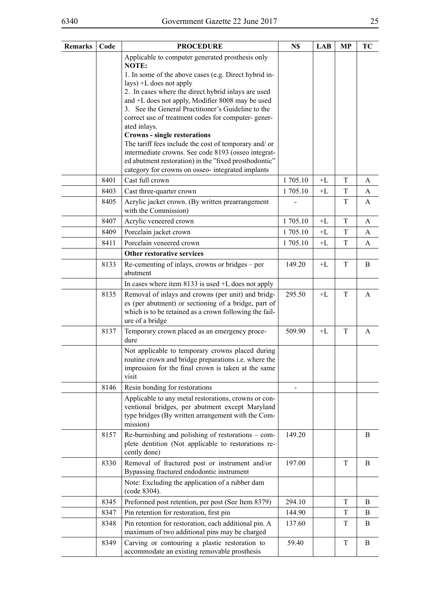| <b>Remarks</b> | Code | <b>PROCEDURE</b>                                                                                                                                                                        | N\$     | <b>LAB</b> | <b>MP</b>   | TC             |
|----------------|------|-----------------------------------------------------------------------------------------------------------------------------------------------------------------------------------------|---------|------------|-------------|----------------|
|                |      | Applicable to computer generated prosthesis only                                                                                                                                        |         |            |             |                |
|                |      | <b>NOTE:</b>                                                                                                                                                                            |         |            |             |                |
|                |      | 1. In some of the above cases (e.g. Direct hybrid in-<br>$lays$ ) +L does not apply                                                                                                     |         |            |             |                |
|                |      | 2. In cases where the direct hybrid inlays are used                                                                                                                                     |         |            |             |                |
|                |      | and +L does not apply, Modifier 8008 may be used                                                                                                                                        |         |            |             |                |
|                |      | 3. See the General Practitioner's Guideline to the                                                                                                                                      |         |            |             |                |
|                |      | correct use of treatment codes for computer-gener-<br>ated inlays.                                                                                                                      |         |            |             |                |
|                |      | <b>Crowns - single restorations</b>                                                                                                                                                     |         |            |             |                |
|                |      | The tariff fees include the cost of temporary and/ or                                                                                                                                   |         |            |             |                |
|                |      | intermediate crowns. See code 8193 (osseo integrat-                                                                                                                                     |         |            |             |                |
|                |      | ed abutment restoration) in the "fixed prosthodontic"                                                                                                                                   |         |            |             |                |
|                | 8401 | category for crowns on osseo- integrated implants<br>Cast full crown                                                                                                                    | 1705.10 | $+L$       | T           | A              |
|                | 8403 | Cast three-quarter crown                                                                                                                                                                | 1705.10 | $+L$       | T           | A              |
|                | 8405 | Acrylic jacket crown. (By written prearrangement                                                                                                                                        |         |            | T           | $\mathbf{A}$   |
|                |      | with the Commission)                                                                                                                                                                    |         |            |             |                |
|                | 8407 | Acrylic veneered crown                                                                                                                                                                  | 1705.10 | $+L$       | T           | A              |
|                | 8409 | Porcelain jacket crown                                                                                                                                                                  | 1705.10 | $+L$       | $\mathbf T$ | A              |
|                | 8411 | Porcelain veneered crown                                                                                                                                                                | 1705.10 | $+L$       | T           | A              |
|                |      | <b>Other restorative services</b>                                                                                                                                                       |         |            |             |                |
|                | 8133 | Re-cementing of inlays, crowns or bridges - per<br>abutment                                                                                                                             | 149.20  | $+L$       | T           | B              |
|                |      | In cases where item $8133$ is used $+L$ does not apply                                                                                                                                  |         |            |             |                |
|                | 8135 | Removal of inlays and crowns (per unit) and bridg-<br>es (per abutment) or sectioning of a bridge, part of<br>which is to be retained as a crown following the fail-<br>ure of a bridge | 295.50  | $+L$       | T           | $\overline{A}$ |
|                | 8137 | Temporary crown placed as an emergency proce-<br>dure                                                                                                                                   | 509.90  | $+L$       | T           | A              |
|                |      | Not applicable to temporary crowns placed during<br>routine crown and bridge preparations i.e. where the<br>impression for the final crown is taken at the same<br>visit                |         |            |             |                |
|                | 8146 | Resin bonding for restorations                                                                                                                                                          |         |            |             |                |
|                |      | Applicable to any metal restorations, crowns or con-<br>ventional bridges, per abutment except Maryland<br>type bridges (By written arrangement with the Com-<br>mission)               |         |            |             |                |
|                | 8157 | Re-burnishing and polishing of restorations – com-<br>plete dentition (Not applicable to restorations re-<br>cently done)                                                               | 149.20  |            |             | B              |
|                | 8330 | Removal of fractured post or instrument and/or<br>Bypassing fractured endodontic instrument                                                                                             | 197.00  |            | T           | B              |
|                |      | Note: Excluding the application of a rubber dam<br>(code 8304).                                                                                                                         |         |            |             |                |
|                | 8345 | Preformed post retention, per post (See Item 8379)                                                                                                                                      | 294.10  |            | T           | B              |
|                | 8347 | Pin retention for restoration, first pin                                                                                                                                                | 144.90  |            | T           | B              |
|                | 8348 | Pin retention for restoration, each additional pin. A<br>maximum of two additional pins may be charged                                                                                  | 137.60  |            | T           | B              |
|                | 8349 | Carving or contouring a plastic restoration to<br>accommodate an existing removable prosthesis                                                                                          | 59.40   |            | T           | B              |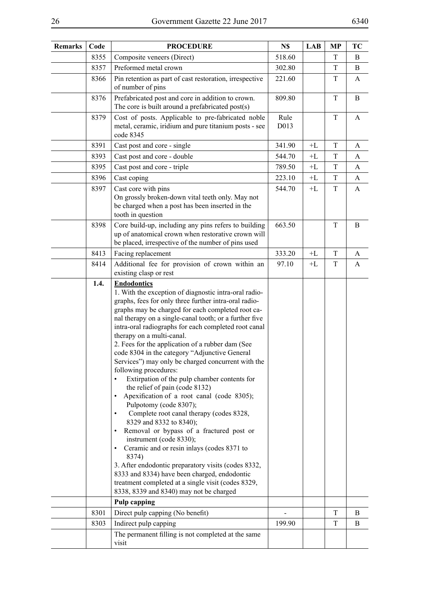| <b>Remarks</b> | Code | <b>PROCEDURE</b>                                                                                                                                                                                                                                                                                                                                                                                                                                                                                                                                                                                                                                                                                                                                                                                                                                                                                                                                                                                                                                                                                                                                                               | N\$          | <b>LAB</b> | <b>MP</b>   | TC           |
|----------------|------|--------------------------------------------------------------------------------------------------------------------------------------------------------------------------------------------------------------------------------------------------------------------------------------------------------------------------------------------------------------------------------------------------------------------------------------------------------------------------------------------------------------------------------------------------------------------------------------------------------------------------------------------------------------------------------------------------------------------------------------------------------------------------------------------------------------------------------------------------------------------------------------------------------------------------------------------------------------------------------------------------------------------------------------------------------------------------------------------------------------------------------------------------------------------------------|--------------|------------|-------------|--------------|
|                | 8355 | Composite veneers (Direct)                                                                                                                                                                                                                                                                                                                                                                                                                                                                                                                                                                                                                                                                                                                                                                                                                                                                                                                                                                                                                                                                                                                                                     | 518.60       |            | T           | B            |
|                | 8357 | Preformed metal crown                                                                                                                                                                                                                                                                                                                                                                                                                                                                                                                                                                                                                                                                                                                                                                                                                                                                                                                                                                                                                                                                                                                                                          | 302.80       |            | T           | B            |
|                | 8366 | Pin retention as part of cast restoration, irrespective<br>of number of pins                                                                                                                                                                                                                                                                                                                                                                                                                                                                                                                                                                                                                                                                                                                                                                                                                                                                                                                                                                                                                                                                                                   | 221.60       |            | T           | A            |
|                | 8376 | Prefabricated post and core in addition to crown.<br>The core is built around a prefabricated post(s)                                                                                                                                                                                                                                                                                                                                                                                                                                                                                                                                                                                                                                                                                                                                                                                                                                                                                                                                                                                                                                                                          | 809.80       |            | T           | B            |
|                | 8379 | Cost of posts. Applicable to pre-fabricated noble<br>metal, ceramic, iridium and pure titanium posts - see<br>code 8345                                                                                                                                                                                                                                                                                                                                                                                                                                                                                                                                                                                                                                                                                                                                                                                                                                                                                                                                                                                                                                                        | Rule<br>D013 |            | T           | $\mathsf{A}$ |
|                | 8391 | Cast post and core - single                                                                                                                                                                                                                                                                                                                                                                                                                                                                                                                                                                                                                                                                                                                                                                                                                                                                                                                                                                                                                                                                                                                                                    | 341.90       | $+L$       | T           | A            |
|                | 8393 | Cast post and core - double                                                                                                                                                                                                                                                                                                                                                                                                                                                                                                                                                                                                                                                                                                                                                                                                                                                                                                                                                                                                                                                                                                                                                    | 544.70       | $+L$       | T           | A            |
|                | 8395 | Cast post and core - triple                                                                                                                                                                                                                                                                                                                                                                                                                                                                                                                                                                                                                                                                                                                                                                                                                                                                                                                                                                                                                                                                                                                                                    | 789.50       | $+L$       | T           | A            |
|                | 8396 | Cast coping                                                                                                                                                                                                                                                                                                                                                                                                                                                                                                                                                                                                                                                                                                                                                                                                                                                                                                                                                                                                                                                                                                                                                                    | 223.10       | $+L$       | T           | A            |
|                | 8397 | Cast core with pins<br>On grossly broken-down vital teeth only. May not<br>be charged when a post has been inserted in the<br>tooth in question                                                                                                                                                                                                                                                                                                                                                                                                                                                                                                                                                                                                                                                                                                                                                                                                                                                                                                                                                                                                                                | 544.70       | $+L$       | T           | A            |
|                | 8398 | Core build-up, including any pins refers to building<br>up of anatomical crown when restorative crown will<br>be placed, irrespective of the number of pins used                                                                                                                                                                                                                                                                                                                                                                                                                                                                                                                                                                                                                                                                                                                                                                                                                                                                                                                                                                                                               | 663.50       |            | $\mathbf T$ | B            |
|                | 8413 | Facing replacement                                                                                                                                                                                                                                                                                                                                                                                                                                                                                                                                                                                                                                                                                                                                                                                                                                                                                                                                                                                                                                                                                                                                                             | 333.20       | $+L$       | $\mathbf T$ | A            |
|                | 8414 | Additional fee for provision of crown within an<br>existing clasp or rest                                                                                                                                                                                                                                                                                                                                                                                                                                                                                                                                                                                                                                                                                                                                                                                                                                                                                                                                                                                                                                                                                                      | 97.10        | +L         | T           | A            |
|                | 1.4. | <b>Endodontics</b><br>1. With the exception of diagnostic intra-oral radio-<br>graphs, fees for only three further intra-oral radio-<br>graphs may be charged for each completed root ca-<br>nal therapy on a single-canal tooth; or a further five<br>intra-oral radiographs for each completed root canal<br>therapy on a multi-canal.<br>2. Fees for the application of a rubber dam (See<br>code 8304 in the category "Adjunctive General<br>Services") may only be charged concurrent with the<br>following procedures:<br>Extirpation of the pulp chamber contents for<br>the relief of pain (code 8132)<br>Apexification of a root canal (code 8305);<br>$\bullet$<br>Pulpotomy (code 8307);<br>Complete root canal therapy (codes 8328,<br>$\bullet$<br>8329 and 8332 to 8340);<br>Removal or bypass of a fractured post or<br>$\bullet$<br>instrument (code 8330);<br>Ceramic and or resin inlays (codes 8371 to<br>$\bullet$<br>8374)<br>3. After endodontic preparatory visits (codes 8332,<br>8333 and 8334) have been charged, endodontic<br>treatment completed at a single visit (codes 8329,<br>8338, 8339 and 8340) may not be charged<br><b>Pulp capping</b> |              |            |             |              |
|                | 8301 | Direct pulp capping (No benefit)                                                                                                                                                                                                                                                                                                                                                                                                                                                                                                                                                                                                                                                                                                                                                                                                                                                                                                                                                                                                                                                                                                                                               |              |            | T           | B            |
|                | 8303 | Indirect pulp capping                                                                                                                                                                                                                                                                                                                                                                                                                                                                                                                                                                                                                                                                                                                                                                                                                                                                                                                                                                                                                                                                                                                                                          | 199.90       |            | T           | B            |
|                |      | The permanent filling is not completed at the same<br>visit                                                                                                                                                                                                                                                                                                                                                                                                                                                                                                                                                                                                                                                                                                                                                                                                                                                                                                                                                                                                                                                                                                                    |              |            |             |              |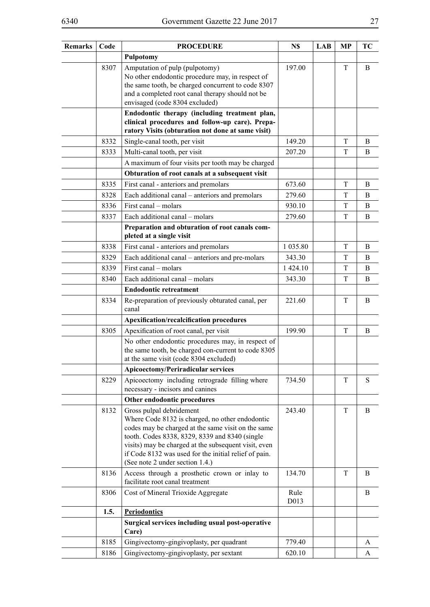| <b>Remarks</b> | Code | <b>PROCEDURE</b>                                                                                                                                                                                                                                                                                                                        | N\$          | <b>LAB</b> | MP | TC |
|----------------|------|-----------------------------------------------------------------------------------------------------------------------------------------------------------------------------------------------------------------------------------------------------------------------------------------------------------------------------------------|--------------|------------|----|----|
|                |      | Pulpotomy                                                                                                                                                                                                                                                                                                                               |              |            |    |    |
|                | 8307 | Amputation of pulp (pulpotomy)<br>No other endodontic procedure may, in respect of<br>the same tooth, be charged concurrent to code 8307<br>and a completed root canal therapy should not be<br>envisaged (code 8304 excluded)                                                                                                          | 197.00       |            | T  | B  |
|                |      | Endodontic therapy (including treatment plan,                                                                                                                                                                                                                                                                                           |              |            |    |    |
|                |      | clinical procedures and follow-up care). Prepa-<br>ratory Visits (obturation not done at same visit)                                                                                                                                                                                                                                    |              |            |    |    |
|                | 8332 | Single-canal tooth, per visit                                                                                                                                                                                                                                                                                                           | 149.20       |            | T  | B  |
|                | 8333 | Multi-canal tooth, per visit                                                                                                                                                                                                                                                                                                            | 207.20       |            | T  | B  |
|                |      | A maximum of four visits per tooth may be charged                                                                                                                                                                                                                                                                                       |              |            |    |    |
|                |      | Obturation of root canals at a subsequent visit                                                                                                                                                                                                                                                                                         |              |            |    |    |
|                | 8335 | First canal - anteriors and premolars                                                                                                                                                                                                                                                                                                   | 673.60       |            | T  | B  |
|                | 8328 | Each additional canal – anteriors and premolars                                                                                                                                                                                                                                                                                         | 279.60       |            | T  | B  |
|                | 8336 | First canal – molars                                                                                                                                                                                                                                                                                                                    | 930.10       |            | T  | B  |
|                | 8337 | Each additional canal - molars                                                                                                                                                                                                                                                                                                          | 279.60       |            | T  | B  |
|                |      | Preparation and obturation of root canals com-<br>pleted at a single visit                                                                                                                                                                                                                                                              |              |            |    |    |
|                | 8338 | First canal - anteriors and premolars                                                                                                                                                                                                                                                                                                   | 1 035.80     |            | T  | B  |
|                | 8329 | Each additional canal – anteriors and pre-molars                                                                                                                                                                                                                                                                                        | 343.30       |            | T  | B  |
|                | 8339 | First canal - molars                                                                                                                                                                                                                                                                                                                    | 1 424.10     |            | T  | B  |
|                | 8340 | Each additional canal - molars                                                                                                                                                                                                                                                                                                          | 343.30       |            | T  | B  |
|                |      | <b>Endodontic retreatment</b>                                                                                                                                                                                                                                                                                                           |              |            |    |    |
|                | 8334 | Re-preparation of previously obturated canal, per<br>canal                                                                                                                                                                                                                                                                              | 221.60       |            | T  | B  |
|                |      | Apexification/recalcification procedures                                                                                                                                                                                                                                                                                                |              |            |    |    |
|                | 8305 | Apexification of root canal, per visit                                                                                                                                                                                                                                                                                                  | 199.90       |            | T  | B  |
|                |      | No other endodontic procedures may, in respect of<br>the same tooth, be charged con-current to code 8305<br>at the same visit (code 8304 excluded)                                                                                                                                                                                      |              |            |    |    |
|                |      | <b>Apicoectomy/Periradicular services</b>                                                                                                                                                                                                                                                                                               |              |            |    |    |
|                | 8229 | Apicoectomy including retrograde filling where<br>necessary - incisors and canines                                                                                                                                                                                                                                                      | 734.50       |            | T  | S  |
|                |      | Other endodontic procedures                                                                                                                                                                                                                                                                                                             |              |            |    |    |
|                | 8132 | Gross pulpal debridement<br>Where Code 8132 is charged, no other endodontic<br>codes may be charged at the same visit on the same<br>tooth. Codes 8338, 8329, 8339 and 8340 (single<br>visits) may be charged at the subsequent visit, even<br>if Code 8132 was used for the initial relief of pain.<br>(See note 2 under section 1.4.) | 243.40       |            | T  | B  |
|                | 8136 | Access through a prosthetic crown or inlay to<br>facilitate root canal treatment                                                                                                                                                                                                                                                        | 134.70       |            | T  | B  |
|                | 8306 | Cost of Mineral Trioxide Aggregate                                                                                                                                                                                                                                                                                                      | Rule<br>D013 |            |    | B  |
|                | 1.5. | <b>Periodontics</b>                                                                                                                                                                                                                                                                                                                     |              |            |    |    |
|                |      | Surgical services including usual post-operative<br>Care)                                                                                                                                                                                                                                                                               |              |            |    |    |
|                | 8185 | Gingivectomy-gingivoplasty, per quadrant                                                                                                                                                                                                                                                                                                | 779.40       |            |    | A  |
|                | 8186 | Gingivectomy-gingivoplasty, per sextant                                                                                                                                                                                                                                                                                                 | 620.10       |            |    | A  |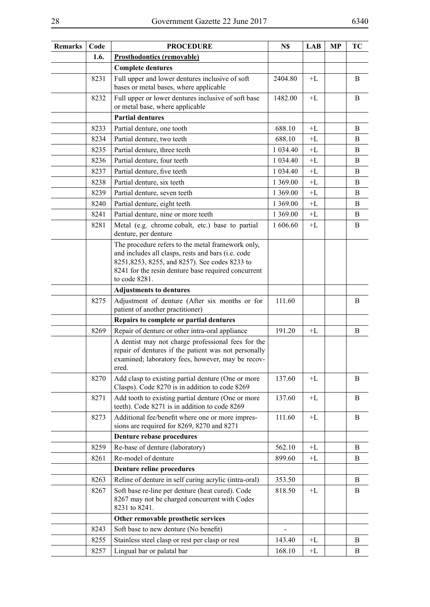| <b>Remarks</b> | Code | <b>PROCEDURE</b>                                                                                                                                                                                                                  | N\$       | <b>LAB</b> | <b>MP</b> | TC |
|----------------|------|-----------------------------------------------------------------------------------------------------------------------------------------------------------------------------------------------------------------------------------|-----------|------------|-----------|----|
|                | 1.6. | <b>Prosthodontics (removable)</b>                                                                                                                                                                                                 |           |            |           |    |
|                |      | <b>Complete dentures</b>                                                                                                                                                                                                          |           |            |           |    |
|                | 8231 | Full upper and lower dentures inclusive of soft<br>bases or metal bases, where applicable                                                                                                                                         | 2404.80   | $+L$       |           | B  |
|                | 8232 | Full upper or lower dentures inclusive of soft base<br>or metal base, where applicable                                                                                                                                            | 1482.00   | $+L$       |           | B  |
|                |      | <b>Partial dentures</b>                                                                                                                                                                                                           |           |            |           |    |
|                | 8233 | Partial denture, one tooth                                                                                                                                                                                                        | 688.10    | +L         |           | B  |
|                | 8234 | Partial denture, two teeth                                                                                                                                                                                                        | 688.10    | $+L$       |           | B  |
|                | 8235 | Partial denture, three teeth                                                                                                                                                                                                      | 1 0 34.40 | $+L$       |           | B  |
|                | 8236 | Partial denture, four teeth                                                                                                                                                                                                       | 1 0 34.40 | $+L$       |           | B  |
|                | 8237 | Partial denture, five teeth                                                                                                                                                                                                       | 1 0 34.40 | $+L$       |           | B  |
|                | 8238 | Partial denture, six teeth                                                                                                                                                                                                        | 1 369.00  | $+L$       |           | B  |
|                | 8239 | Partial denture, seven teeth                                                                                                                                                                                                      | 1 369.00  | $+L$       |           | B  |
|                | 8240 | Partial denture, eight teeth                                                                                                                                                                                                      | 1 369.00  | $+L$       |           | B  |
|                | 8241 | Partial denture, nine or more teeth                                                                                                                                                                                               | 1 369.00  | $+L$       |           | B  |
|                | 8281 | Metal (e.g. chrome cobalt, etc.) base to partial<br>denture, per denture                                                                                                                                                          | 1 606.60  | $+L$       |           | B  |
|                |      | The procedure refers to the metal framework only,<br>and includes all clasps, rests and bars (i.e. code<br>8251, 8253, 8255, and 8257). See codes 8233 to<br>8241 for the resin denture base required concurrent<br>to code 8281. |           |            |           |    |
|                |      | <b>Adjustments to dentures</b>                                                                                                                                                                                                    |           |            |           |    |
|                | 8275 | Adjustment of denture (After six months or for<br>patient of another practitioner)                                                                                                                                                | 111.60    |            |           | B  |
|                |      | Repairs to complete or partial dentures                                                                                                                                                                                           |           |            |           |    |
|                | 8269 | Repair of denture or other intra-oral appliance                                                                                                                                                                                   | 191.20    | +L         |           | B  |
|                |      | A dentist may not charge professional fees for the<br>repair of dentures if the patient was not personally<br>examined; laboratory fees, however, may be recov-<br>ered.                                                          |           |            |           |    |
|                | 8270 | Add clasp to existing partial denture (One or more<br>Clasps). Code 8270 is in addition to code 8269                                                                                                                              | 137.60    | +L         |           | B  |
|                | 8271 | Add tooth to existing partial denture (One or more<br>teeth). Code 8271 is in addition to code 8269                                                                                                                               | 137.60    | $+L$       |           | B  |
|                | 8273 | Additional fee/benefit where one or more impres-<br>sions are required for 8269, 8270 and 8271                                                                                                                                    | 111.60    | $+L$       |           | B  |
|                |      | Denture rebase procedures                                                                                                                                                                                                         |           |            |           |    |
|                | 8259 | Re-base of denture (laboratory)                                                                                                                                                                                                   | 562.10    | $+L$       |           | B  |
|                | 8261 | Re-model of denture                                                                                                                                                                                                               | 899.60    | $+L$       |           | B  |
|                |      | <b>Denture reline procedures</b>                                                                                                                                                                                                  |           |            |           |    |
|                | 8263 | Reline of denture in self curing acrylic (intra-oral)                                                                                                                                                                             | 353.50    |            |           | B  |
|                | 8267 | Soft base re-line per denture (heat cured). Code<br>8267 may not be charged concurrent with Codes<br>8231 to 8241.                                                                                                                | 818.50    | $+L$       |           | B  |
|                |      | Other removable prosthetic services                                                                                                                                                                                               |           |            |           |    |
|                | 8243 | Soft base to new denture (No benefit)                                                                                                                                                                                             |           |            |           |    |
|                | 8255 | Stainless steel clasp or rest per clasp or rest                                                                                                                                                                                   | 143.40    | $+L$       |           | B  |
|                | 8257 | Lingual bar or palatal bar                                                                                                                                                                                                        | 168.10    | $+L$       |           | B  |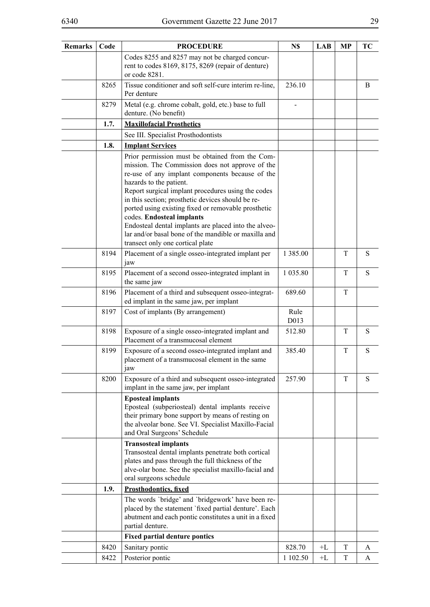| <b>Remarks</b> | Code | <b>PROCEDURE</b>                                                                                                                                                                                                                                                                                                                                                                                                                                                                                | N\$          | <b>LAB</b> | <b>MP</b> | TC        |
|----------------|------|-------------------------------------------------------------------------------------------------------------------------------------------------------------------------------------------------------------------------------------------------------------------------------------------------------------------------------------------------------------------------------------------------------------------------------------------------------------------------------------------------|--------------|------------|-----------|-----------|
|                |      | Codes 8255 and 8257 may not be charged concur-<br>rent to codes 8169, 8175, 8269 (repair of denture)<br>or code 8281.                                                                                                                                                                                                                                                                                                                                                                           |              |            |           |           |
|                | 8265 | Tissue conditioner and soft self-cure interim re-line,<br>Per denture                                                                                                                                                                                                                                                                                                                                                                                                                           | 236.10       |            |           | B         |
|                | 8279 | Metal (e.g. chrome cobalt, gold, etc.) base to full<br>denture. (No benefit)                                                                                                                                                                                                                                                                                                                                                                                                                    |              |            |           |           |
|                | 1.7. | <b>Maxillofacial Prosthetics</b>                                                                                                                                                                                                                                                                                                                                                                                                                                                                |              |            |           |           |
|                |      | See III. Specialist Prosthodontists                                                                                                                                                                                                                                                                                                                                                                                                                                                             |              |            |           |           |
|                | 1.8. | <b>Implant Services</b>                                                                                                                                                                                                                                                                                                                                                                                                                                                                         |              |            |           |           |
|                |      | Prior permission must be obtained from the Com-<br>mission. The Commission does not approve of the<br>re-use of any implant components because of the<br>hazards to the patient.<br>Report surgical implant procedures using the codes<br>in this section; prosthetic devices should be re-<br>ported using existing fixed or removable prosthetic<br>codes. Endosteal implants<br>Endosteal dental implants are placed into the alveo-<br>lar and/or basal bone of the mandible or maxilla and |              |            |           |           |
|                |      | transect only one cortical plate                                                                                                                                                                                                                                                                                                                                                                                                                                                                |              |            |           |           |
|                | 8194 | Placement of a single osseo-integrated implant per<br>jaw                                                                                                                                                                                                                                                                                                                                                                                                                                       | 1 385.00     |            | T         | S         |
|                | 8195 | Placement of a second osseo-integrated implant in<br>the same jaw                                                                                                                                                                                                                                                                                                                                                                                                                               | 1 035.80     |            | T         | S         |
|                | 8196 | Placement of a third and subsequent osseo-integrat-<br>ed implant in the same jaw, per implant                                                                                                                                                                                                                                                                                                                                                                                                  | 689.60       |            | T         |           |
|                | 8197 | Cost of implants (By arrangement)                                                                                                                                                                                                                                                                                                                                                                                                                                                               | Rule<br>D013 |            |           |           |
|                | 8198 | Exposure of a single osseo-integrated implant and<br>Placement of a transmucosal element                                                                                                                                                                                                                                                                                                                                                                                                        | 512.80       |            | T         | ${\bf S}$ |
|                | 8199 | Exposure of a second osseo-integrated implant and<br>placement of a transmucosal element in the same<br>jaw                                                                                                                                                                                                                                                                                                                                                                                     | 385.40       |            | T         | S         |
|                | 8200 | Exposure of a third and subsequent osseo-integrated<br>implant in the same jaw, per implant                                                                                                                                                                                                                                                                                                                                                                                                     | 257.90       |            | T         | S         |
|                |      | <b>Eposteal implants</b><br>Eposteal (subperiosteal) dental implants receive<br>their primary bone support by means of resting on<br>the alveolar bone. See VI. Specialist Maxillo-Facial<br>and Oral Surgeons' Schedule                                                                                                                                                                                                                                                                        |              |            |           |           |
|                |      | <b>Transosteal implants</b><br>Transosteal dental implants penetrate both cortical<br>plates and pass through the full thickness of the<br>alve-olar bone. See the specialist maxillo-facial and<br>oral surgeons schedule                                                                                                                                                                                                                                                                      |              |            |           |           |
|                | 1.9. | <b>Prosthodontics, fixed</b>                                                                                                                                                                                                                                                                                                                                                                                                                                                                    |              |            |           |           |
|                |      | The words 'bridge' and 'bridgework' have been re-<br>placed by the statement 'fixed partial denture'. Each<br>abutment and each pontic constitutes a unit in a fixed                                                                                                                                                                                                                                                                                                                            |              |            |           |           |
|                |      | partial denture.                                                                                                                                                                                                                                                                                                                                                                                                                                                                                |              |            |           |           |
|                |      | <b>Fixed partial denture pontics</b>                                                                                                                                                                                                                                                                                                                                                                                                                                                            |              |            |           |           |
|                | 8420 | Sanitary pontic                                                                                                                                                                                                                                                                                                                                                                                                                                                                                 | 828.70       | +L         | T         | A         |
|                | 8422 | Posterior pontic                                                                                                                                                                                                                                                                                                                                                                                                                                                                                | 1 102.50     | $+L$       | T         | A         |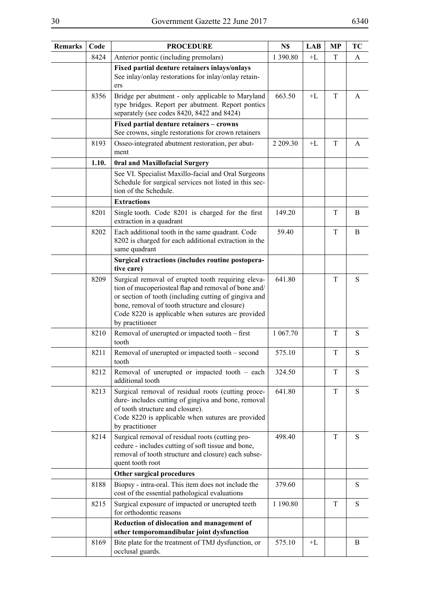| Remarks | Code  | <b>PROCEDURE</b>                                                                                                                                                                                                                                                                             | N\$           | LAB  | MP | TC        |
|---------|-------|----------------------------------------------------------------------------------------------------------------------------------------------------------------------------------------------------------------------------------------------------------------------------------------------|---------------|------|----|-----------|
|         | 8424  | Anterior pontic (including premolars)                                                                                                                                                                                                                                                        | 1 390.80      | $+L$ | T  | A         |
|         |       | Fixed partial denture retainers inlays/onlays<br>See inlay/onlay restorations for inlay/onlay retain-<br>ers                                                                                                                                                                                 |               |      |    |           |
|         | 8356  | Bridge per abutment - only applicable to Maryland<br>type bridges. Report per abutment. Report pontics<br>separately (see codes 8420, 8422 and 8424)                                                                                                                                         | 663.50        | $+I$ | T  | A         |
|         |       | Fixed partial denture retainers - crowns<br>See crowns, single restorations for crown retainers                                                                                                                                                                                              |               |      |    |           |
|         | 8193  | Osseo-integrated abutment restoration, per abut-<br>ment                                                                                                                                                                                                                                     | 2 2 0 9 . 3 0 | $+I$ | T  | A         |
|         | 1.10. | <b>Oral and Maxillofacial Surgery</b>                                                                                                                                                                                                                                                        |               |      |    |           |
|         |       | See VI. Specialist Maxillo-facial and Oral Surgeons<br>Schedule for surgical services not listed in this sec-<br>tion of the Schedule.                                                                                                                                                       |               |      |    |           |
|         |       | <b>Extractions</b>                                                                                                                                                                                                                                                                           |               |      |    |           |
|         | 8201  | Single tooth. Code 8201 is charged for the first<br>extraction in a quadrant                                                                                                                                                                                                                 | 149.20        |      | T  | B         |
|         | 8202  | Each additional tooth in the same quadrant. Code<br>8202 is charged for each additional extraction in the<br>same quadrant                                                                                                                                                                   | 59.40         |      | T  | B         |
|         |       | Surgical extractions (includes routine postopera-<br>tive care)                                                                                                                                                                                                                              |               |      |    |           |
|         | 8209  | Surgical removal of erupted tooth requiring eleva-<br>tion of mucoperiosteal flap and removal of bone and/<br>or section of tooth (including cutting of gingiva and<br>bone, removal of tooth structure and closure)<br>Code 8220 is applicable when sutures are provided<br>by practitioner | 641.80        |      | T  | S         |
|         | 8210  | Removal of unerupted or impacted tooth – first<br>tooth                                                                                                                                                                                                                                      | 1 0 67.70     |      | T  | S         |
|         | 8211  | Removal of unerupted or impacted tooth – second<br>tooth                                                                                                                                                                                                                                     | 575.10        |      | T  | S         |
|         | 8212  | Removal of unerupted or impacted tooth – each<br>additional tooth                                                                                                                                                                                                                            | 324.50        |      | T  | ${\bf S}$ |
|         | 8213  | Surgical removal of residual roots (cutting proce-<br>dure-includes cutting of gingiva and bone, removal<br>of tooth structure and closure).<br>Code 8220 is applicable when sutures are provided<br>by practitioner                                                                         | 641.80        |      | T  | S         |
|         | 8214  | Surgical removal of residual roots (cutting pro-<br>cedure - includes cutting of soft tissue and bone,<br>removal of tooth structure and closure) each subse-<br>quent tooth root                                                                                                            | 498.40        |      | T  | S         |
|         |       | Other surgical procedures                                                                                                                                                                                                                                                                    |               |      |    |           |
|         | 8188  | Biopsy - intra-oral. This item does not include the<br>cost of the essential pathological evaluations                                                                                                                                                                                        | 379.60        |      |    | S         |
|         | 8215  | Surgical exposure of impacted or unerupted teeth<br>for orthodontic reasons                                                                                                                                                                                                                  | 1 190.80      |      | T  | S         |
|         |       | Reduction of dislocation and management of                                                                                                                                                                                                                                                   |               |      |    |           |
|         | 8169  | other temporomandibular joint dysfunction<br>Bite plate for the treatment of TMJ dysfunction, or                                                                                                                                                                                             | 575.10        | +L   |    | B         |
|         |       | occlusal guards.                                                                                                                                                                                                                                                                             |               |      |    |           |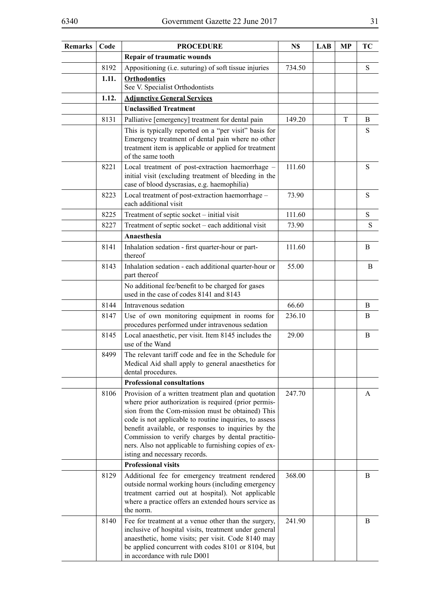| <b>Remarks</b> | Code  | <b>PROCEDURE</b>                                                                                                                                                                                                                                                                                                                                                                                                                | N\$    | <b>LAB</b> | <b>MP</b> | TC        |
|----------------|-------|---------------------------------------------------------------------------------------------------------------------------------------------------------------------------------------------------------------------------------------------------------------------------------------------------------------------------------------------------------------------------------------------------------------------------------|--------|------------|-----------|-----------|
|                |       | Repair of traumatic wounds                                                                                                                                                                                                                                                                                                                                                                                                      |        |            |           |           |
|                | 8192  | Appositioning (i.e. suturing) of soft tissue injuries                                                                                                                                                                                                                                                                                                                                                                           | 734.50 |            |           | S         |
|                | 1.11. | <b>Orthodontics</b><br>See V. Specialist Orthodontists                                                                                                                                                                                                                                                                                                                                                                          |        |            |           |           |
|                | 1.12. | <b>Adjunctive General Services</b>                                                                                                                                                                                                                                                                                                                                                                                              |        |            |           |           |
|                |       | <b>Unclassified Treatment</b>                                                                                                                                                                                                                                                                                                                                                                                                   |        |            |           |           |
|                | 8131  | Palliative [emergency] treatment for dental pain                                                                                                                                                                                                                                                                                                                                                                                | 149.20 |            | T         | B         |
|                |       | This is typically reported on a "per visit" basis for<br>Emergency treatment of dental pain where no other<br>treatment item is applicable or applied for treatment<br>of the same tooth                                                                                                                                                                                                                                        |        |            |           | S         |
|                | 8221  | Local treatment of post-extraction haemorrhage -<br>initial visit (excluding treatment of bleeding in the<br>case of blood dyscrasias, e.g. haemophilia)                                                                                                                                                                                                                                                                        | 111.60 |            |           | S         |
|                | 8223  | Local treatment of post-extraction haemorrhage -<br>each additional visit                                                                                                                                                                                                                                                                                                                                                       | 73.90  |            |           | S         |
|                | 8225  | Treatment of septic socket - initial visit                                                                                                                                                                                                                                                                                                                                                                                      | 111.60 |            |           | ${\bf S}$ |
|                | 8227  | Treatment of septic socket - each additional visit                                                                                                                                                                                                                                                                                                                                                                              | 73.90  |            |           | S         |
|                |       | Anaesthesia                                                                                                                                                                                                                                                                                                                                                                                                                     |        |            |           |           |
|                | 8141  | Inhalation sedation - first quarter-hour or part-<br>thereof                                                                                                                                                                                                                                                                                                                                                                    | 111.60 |            |           | B         |
|                | 8143  | Inhalation sedation - each additional quarter-hour or<br>part thereof                                                                                                                                                                                                                                                                                                                                                           | 55.00  |            |           | B         |
|                |       | No additional fee/benefit to be charged for gases<br>used in the case of codes 8141 and 8143                                                                                                                                                                                                                                                                                                                                    |        |            |           |           |
|                | 8144  | Intravenous sedation                                                                                                                                                                                                                                                                                                                                                                                                            | 66.60  |            |           | B         |
|                | 8147  | Use of own monitoring equipment in rooms for<br>procedures performed under intravenous sedation                                                                                                                                                                                                                                                                                                                                 | 236.10 |            |           | B         |
|                | 8145  | Local anaesthetic, per visit. Item 8145 includes the<br>use of the Wand                                                                                                                                                                                                                                                                                                                                                         | 29.00  |            |           | B         |
|                | 8499  | The relevant tariff code and fee in the Schedule for<br>Medical Aid shall apply to general anaesthetics for<br>dental procedures.                                                                                                                                                                                                                                                                                               |        |            |           |           |
|                |       | <b>Professional consultations</b>                                                                                                                                                                                                                                                                                                                                                                                               |        |            |           |           |
|                | 8106  | Provision of a written treatment plan and quotation<br>where prior authorization is required (prior permis-<br>sion from the Com-mission must be obtained) This<br>code is not applicable to routine inquiries, to assess<br>benefit available, or responses to inquiries by the<br>Commission to verify charges by dental practitio-<br>ners. Also not applicable to furnishing copies of ex-<br>isting and necessary records. | 247.70 |            |           | A         |
|                |       | <b>Professional visits</b>                                                                                                                                                                                                                                                                                                                                                                                                      |        |            |           |           |
|                | 8129  | Additional fee for emergency treatment rendered<br>outside normal working hours (including emergency<br>treatment carried out at hospital). Not applicable<br>where a practice offers an extended hours service as<br>the norm.                                                                                                                                                                                                 | 368.00 |            |           | B         |
|                | 8140  | Fee for treatment at a venue other than the surgery,<br>inclusive of hospital visits, treatment under general<br>anaesthetic, home visits; per visit. Code 8140 may<br>be applied concurrent with codes 8101 or 8104, but<br>in accordance with rule D001                                                                                                                                                                       | 241.90 |            |           | B         |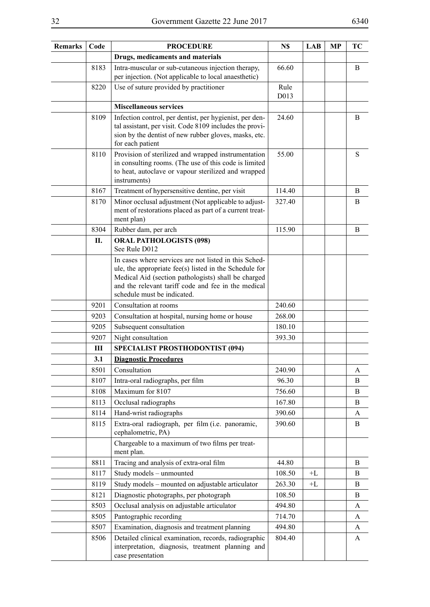| <b>Remarks</b> | Code         | <b>PROCEDURE</b>                                                                                                                                                                                                                                             | N\$              | <b>LAB</b> | <b>MP</b> | TC     |
|----------------|--------------|--------------------------------------------------------------------------------------------------------------------------------------------------------------------------------------------------------------------------------------------------------------|------------------|------------|-----------|--------|
|                |              | Drugs, medicaments and materials                                                                                                                                                                                                                             |                  |            |           |        |
|                | 8183         | Intra-muscular or sub-cutaneous injection therapy,<br>per injection. (Not applicable to local anaesthetic)                                                                                                                                                   | 66.60            |            |           | B      |
|                | 8220         | Use of suture provided by practitioner                                                                                                                                                                                                                       | Rule<br>D013     |            |           |        |
|                |              | <b>Miscellaneous services</b>                                                                                                                                                                                                                                |                  |            |           |        |
|                | 8109         | Infection control, per dentist, per hygienist, per den-<br>tal assistant, per visit. Code 8109 includes the provi-<br>sion by the dentist of new rubber gloves, masks, etc.<br>for each patient                                                              | 24.60            |            |           | B      |
|                | 8110         | Provision of sterilized and wrapped instrumentation<br>in consulting rooms. (The use of this code is limited<br>to heat, autoclave or vapour sterilized and wrapped<br>instruments)                                                                          | 55.00            |            |           | S      |
|                | 8167         | Treatment of hypersensitive dentine, per visit                                                                                                                                                                                                               | 114.40           |            |           | B      |
|                | 8170         | Minor occlusal adjustment (Not applicable to adjust-<br>ment of restorations placed as part of a current treat-<br>ment plan)                                                                                                                                | 327.40           |            |           | B      |
|                | 8304         | Rubber dam, per arch                                                                                                                                                                                                                                         | 115.90           |            |           | B      |
|                | П.           | <b>ORAL PATHOLOGISTS (098)</b><br>See Rule D012                                                                                                                                                                                                              |                  |            |           |        |
|                |              | In cases where services are not listed in this Sched-<br>ule, the appropriate fee(s) listed in the Schedule for<br>Medical Aid (section pathologists) shall be charged<br>and the relevant tariff code and fee in the medical<br>schedule must be indicated. |                  |            |           |        |
|                | 9201         | Consultation at rooms                                                                                                                                                                                                                                        | 240.60           |            |           |        |
|                | 9203         | Consultation at hospital, nursing home or house                                                                                                                                                                                                              | 268.00           |            |           |        |
|                | 9205         | Subsequent consultation                                                                                                                                                                                                                                      | 180.10           |            |           |        |
|                | 9207         | Night consultation                                                                                                                                                                                                                                           | 393.30           |            |           |        |
|                | Ш            | <b>SPECIALIST PROSTHODONTIST (094)</b>                                                                                                                                                                                                                       |                  |            |           |        |
|                | 3.1          | <b>Diagnostic Procedures</b>                                                                                                                                                                                                                                 |                  |            |           |        |
|                | 8501         | Consultation                                                                                                                                                                                                                                                 | 240.90           |            |           | A      |
|                | 8107         | Intra-oral radiographs, per film                                                                                                                                                                                                                             | 96.30            |            |           | B      |
|                | 8108         | Maximum for 8107                                                                                                                                                                                                                                             | 756.60           |            |           | B      |
|                | 8113         | Occlusal radiographs                                                                                                                                                                                                                                         | 167.80           |            |           | B      |
|                | 8114<br>8115 | Hand-wrist radiographs<br>Extra-oral radiograph, per film (i.e. panoramic,<br>cephalometric, PA)                                                                                                                                                             | 390.60<br>390.60 |            |           | A<br>B |
|                |              | Chargeable to a maximum of two films per treat-<br>ment plan.                                                                                                                                                                                                |                  |            |           |        |
|                | 8811         | Tracing and analysis of extra-oral film                                                                                                                                                                                                                      | 44.80            |            |           | B      |
|                | 8117         | Study models - unmounted                                                                                                                                                                                                                                     | 108.50           | $+L$       |           | B      |
|                | 8119         | Study models - mounted on adjustable articulator                                                                                                                                                                                                             | 263.30           | $+L$       |           | B      |
|                | 8121         | Diagnostic photographs, per photograph                                                                                                                                                                                                                       | 108.50           |            |           | B      |
|                | 8503         | Occlusal analysis on adjustable articulator                                                                                                                                                                                                                  | 494.80           |            |           | A      |
|                | 8505         | Pantographic recording                                                                                                                                                                                                                                       | 714.70           |            |           | A      |
|                | 8507         | Examination, diagnosis and treatment planning                                                                                                                                                                                                                | 494.80           |            |           | A      |
|                | 8506         | Detailed clinical examination, records, radiographic<br>interpretation, diagnosis, treatment planning and<br>case presentation                                                                                                                               | 804.40           |            |           | A      |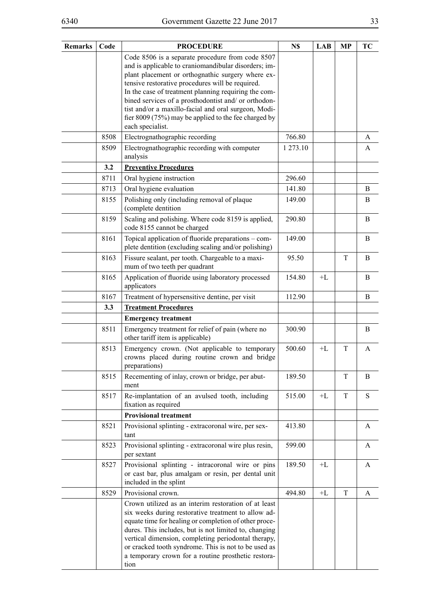| v<br>٧<br>I       | ٠<br>۰.      |
|-------------------|--------------|
| ×                 | ×            |
| I<br>۰.<br>v<br>× | I<br>I<br>۰. |

| <b>Remarks</b> | Code | <b>PROCEDURE</b>                                                                                                                                                                                                                                                                                                                                                                                            | N\$      | <b>LAB</b> | <b>MP</b>   | TC |
|----------------|------|-------------------------------------------------------------------------------------------------------------------------------------------------------------------------------------------------------------------------------------------------------------------------------------------------------------------------------------------------------------------------------------------------------------|----------|------------|-------------|----|
|                |      | Code 8506 is a separate procedure from code 8507<br>and is applicable to craniomandibular disorders; im-<br>plant placement or orthognathic surgery where ex-<br>tensive restorative procedures will be required.<br>In the case of treatment planning requiring the com-<br>bined services of a prosthodontist and/ or orthodon-<br>tist and/or a maxillo-facial and oral surgeon, Modi-                   |          |            |             |    |
|                |      | fier 8009 (75%) may be applied to the fee charged by<br>each specialist.                                                                                                                                                                                                                                                                                                                                    |          |            |             |    |
|                | 8508 | Electrognathographic recording                                                                                                                                                                                                                                                                                                                                                                              | 766.80   |            |             | A  |
|                | 8509 | Electrognathographic recording with computer<br>analysis                                                                                                                                                                                                                                                                                                                                                    | 1 273.10 |            |             | A  |
|                | 3.2  | <b>Preventive Procedures</b>                                                                                                                                                                                                                                                                                                                                                                                |          |            |             |    |
|                | 8711 | Oral hygiene instruction                                                                                                                                                                                                                                                                                                                                                                                    | 296.60   |            |             |    |
|                | 8713 | Oral hygiene evaluation                                                                                                                                                                                                                                                                                                                                                                                     | 141.80   |            |             | B  |
|                | 8155 | Polishing only (including removal of plaque<br>(complete dentition                                                                                                                                                                                                                                                                                                                                          | 149.00   |            |             | B  |
|                | 8159 | Scaling and polishing. Where code 8159 is applied,<br>code 8155 cannot be charged                                                                                                                                                                                                                                                                                                                           | 290.80   |            |             | B  |
|                | 8161 | Topical application of fluoride preparations – com-<br>plete dentition (excluding scaling and/or polishing)                                                                                                                                                                                                                                                                                                 | 149.00   |            |             | B  |
|                | 8163 | Fissure sealant, per tooth. Chargeable to a maxi-<br>mum of two teeth per quadrant                                                                                                                                                                                                                                                                                                                          | 95.50    |            | T           | B  |
|                | 8165 | Application of fluoride using laboratory processed<br>applicators                                                                                                                                                                                                                                                                                                                                           | 154.80   | $+L$       |             | B  |
|                | 8167 | Treatment of hypersensitive dentine, per visit                                                                                                                                                                                                                                                                                                                                                              | 112.90   |            |             | B  |
|                | 3.3  | <b>Treatment Procedures</b>                                                                                                                                                                                                                                                                                                                                                                                 |          |            |             |    |
|                |      | <b>Emergency treatment</b>                                                                                                                                                                                                                                                                                                                                                                                  |          |            |             |    |
|                | 8511 | Emergency treatment for relief of pain (where no<br>other tariff item is applicable)                                                                                                                                                                                                                                                                                                                        | 300.90   |            |             | B  |
|                | 8513 | Emergency crown. (Not applicable to temporary<br>crowns placed during routine crown and bridge<br>preparations)                                                                                                                                                                                                                                                                                             | 500.60   | $+L$       | T           | A  |
|                | 8515 | Recementing of inlay, crown or bridge, per abut-<br>ment                                                                                                                                                                                                                                                                                                                                                    | 189.50   |            | T           | B  |
|                | 8517 | Re-implantation of an avulsed tooth, including<br>fixation as required                                                                                                                                                                                                                                                                                                                                      | 515.00   | $+L$       | T           | S  |
|                |      | <b>Provisional treatment</b>                                                                                                                                                                                                                                                                                                                                                                                |          |            |             |    |
|                | 8521 | Provisional splinting - extracoronal wire, per sex-<br>tant                                                                                                                                                                                                                                                                                                                                                 | 413.80   |            |             | A  |
|                | 8523 | Provisional splinting - extracoronal wire plus resin,<br>per sextant                                                                                                                                                                                                                                                                                                                                        | 599.00   |            |             | A  |
|                | 8527 | Provisional splinting - intracoronal wire or pins<br>or cast bar, plus amalgam or resin, per dental unit<br>included in the splint                                                                                                                                                                                                                                                                          | 189.50   | $+L$       |             | A  |
|                | 8529 | Provisional crown.                                                                                                                                                                                                                                                                                                                                                                                          | 494.80   | $+L$       | $\mathbf T$ | A  |
|                |      | Crown utilized as an interim restoration of at least<br>six weeks during restorative treatment to allow ad-<br>equate time for healing or completion of other proce-<br>dures. This includes, but is not limited to, changing<br>vertical dimension, completing periodontal therapy,<br>or cracked tooth syndrome. This is not to be used as<br>a temporary crown for a routine prosthetic restora-<br>tion |          |            |             |    |
|                |      |                                                                                                                                                                                                                                                                                                                                                                                                             |          |            |             |    |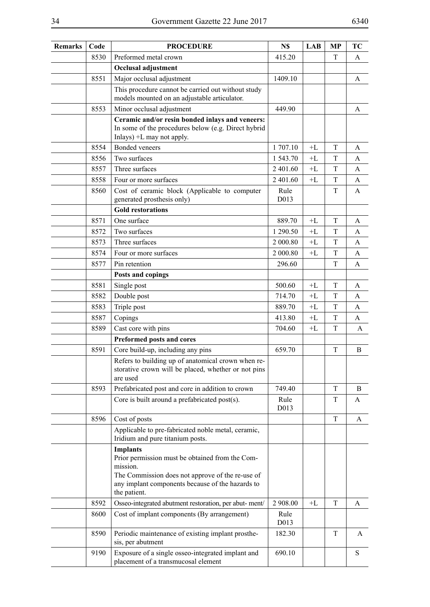| Remarks | Code         | <b>PROCEDURE</b>                                                                                                                                                                                       | N\$              | <b>LAB</b>   | MP          | TC     |
|---------|--------------|--------------------------------------------------------------------------------------------------------------------------------------------------------------------------------------------------------|------------------|--------------|-------------|--------|
|         | 8530         | Preformed metal crown                                                                                                                                                                                  | 415.20           |              | T           | A      |
|         |              | Occlusal adjustment                                                                                                                                                                                    |                  |              |             |        |
|         | 8551         | Major occlusal adjustment                                                                                                                                                                              | 1409.10          |              |             | A      |
|         |              | This procedure cannot be carried out without study<br>models mounted on an adjustable articulator.                                                                                                     |                  |              |             |        |
|         | 8553         | Minor occlusal adjustment                                                                                                                                                                              | 449.90           |              |             | A      |
|         |              | Ceramic and/or resin bonded inlays and veneers:                                                                                                                                                        |                  |              |             |        |
|         |              | In some of the procedures below (e.g. Direct hybrid<br>Inlays) $+L$ may not apply.                                                                                                                     |                  |              |             |        |
|         | 8554         | Bonded veneers                                                                                                                                                                                         | 1707.10          | $+I$ .       | T           | A      |
|         | 8556         | Two surfaces                                                                                                                                                                                           | 1 543.70         | $+L$         | T           | A      |
|         | 8557         | Three surfaces                                                                                                                                                                                         | 2 401.60         | $+L$         | T           | A      |
|         | 8558         | Four or more surfaces                                                                                                                                                                                  | 2 401.60         | $+L$         | T           | A      |
|         | 8560         | Cost of ceramic block (Applicable to computer                                                                                                                                                          | Rule             |              | T           | A      |
|         |              | generated prosthesis only)                                                                                                                                                                             | D013             |              |             |        |
|         |              | <b>Gold restorations</b>                                                                                                                                                                               |                  |              |             |        |
|         | 8571         | One surface                                                                                                                                                                                            | 889.70           | $+I$ .       | T           | A      |
|         | 8572         | Two surfaces                                                                                                                                                                                           | 1 290.50         | $+L$         | T           | A      |
|         | 8573         | Three surfaces                                                                                                                                                                                         | 2 000.80         | $+L$         | T           | A      |
|         | 8574         | Four or more surfaces                                                                                                                                                                                  | 2 000.80         | $+L$         | T           | A      |
|         | 8577         | Pin retention                                                                                                                                                                                          | 296.60           |              | T           | A      |
|         |              | Posts and copings                                                                                                                                                                                      |                  |              |             |        |
|         | 8581         | Single post                                                                                                                                                                                            | 500.60           | $+I$         | T           | A      |
|         | 8582         | Double post                                                                                                                                                                                            | 714.70           | $+L$         | T           | A      |
|         | 8583         | Triple post                                                                                                                                                                                            | 889.70           | $+L$         | T           | A      |
|         | 8587<br>8589 | Copings<br>Cast core with pins                                                                                                                                                                         | 413.80<br>704.60 | $+L$<br>$+L$ | T<br>T      | A<br>A |
|         |              | Preformed posts and cores                                                                                                                                                                              |                  |              |             |        |
|         | 8591         | Core build-up, including any pins                                                                                                                                                                      | 659.70           |              | T           | B      |
|         |              | Refers to building up of anatomical crown when re-                                                                                                                                                     |                  |              |             |        |
|         |              | storative crown will be placed, whether or not pins<br>are used                                                                                                                                        |                  |              |             |        |
|         | 8593         | Prefabricated post and core in addition to crown                                                                                                                                                       | 749.40           |              | $\mathbf T$ | B      |
|         |              | Core is built around a prefabricated post(s).                                                                                                                                                          | Rule<br>D013     |              | T           | A      |
|         | 8596         | Cost of posts                                                                                                                                                                                          |                  |              | T           | A      |
|         |              | Applicable to pre-fabricated noble metal, ceramic,<br>Iridium and pure titanium posts.                                                                                                                 |                  |              |             |        |
|         |              | <b>Implants</b><br>Prior permission must be obtained from the Com-<br>mission.<br>The Commission does not approve of the re-use of<br>any implant components because of the hazards to<br>the patient. |                  |              |             |        |
|         | 8592         | Osseo-integrated abutment restoration, per abut-ment/                                                                                                                                                  | 2 908.00         | $+L$         | T           | A      |
|         | 8600         | Cost of implant components (By arrangement)                                                                                                                                                            | Rule<br>D013     |              |             |        |
|         | 8590         | Periodic maintenance of existing implant prosthe-<br>sis, per abutment                                                                                                                                 | 182.30           |              | T           | A      |
|         | 9190         | Exposure of a single osseo-integrated implant and<br>placement of a transmucosal element                                                                                                               | 690.10           |              |             | S      |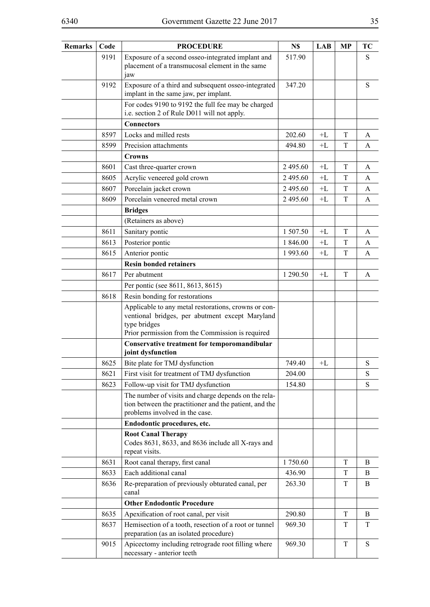| <b>Remarks</b> | Code | <b>PROCEDURE</b>                                                                                                                                                            | N\$      | <b>LAB</b> | <b>MP</b> | TC        |
|----------------|------|-----------------------------------------------------------------------------------------------------------------------------------------------------------------------------|----------|------------|-----------|-----------|
|                | 9191 | Exposure of a second osseo-integrated implant and<br>placement of a transmucosal element in the same<br>jaw                                                                 | 517.90   |            |           | S         |
|                | 9192 | Exposure of a third and subsequent osseo-integrated<br>implant in the same jaw, per implant.                                                                                | 347.20   |            |           | S         |
|                |      | For codes 9190 to 9192 the full fee may be charged<br>i.e. section 2 of Rule D011 will not apply.                                                                           |          |            |           |           |
|                |      | <b>Connectors</b>                                                                                                                                                           |          |            |           |           |
|                | 8597 | Locks and milled rests                                                                                                                                                      | 202.60   | $+I$       | T         | A         |
|                | 8599 | Precision attachments                                                                                                                                                       | 494.80   | $+L$       | T         | A         |
|                |      | <b>Crowns</b>                                                                                                                                                               |          |            |           |           |
|                | 8601 | Cast three-quarter crown                                                                                                                                                    | 2 495.60 | $+L$       | T         | A         |
|                | 8605 | Acrylic veneered gold crown                                                                                                                                                 | 2 495.60 | $+L$       | T         | A         |
|                | 8607 | Porcelain jacket crown                                                                                                                                                      | 2 495.60 | $+L$       | T         | A         |
|                | 8609 | Porcelain veneered metal crown                                                                                                                                              | 2 495.60 | $+L$       | T         | A         |
|                |      | <b>Bridges</b>                                                                                                                                                              |          |            |           |           |
|                |      | (Retainers as above)                                                                                                                                                        |          |            |           |           |
|                | 8611 | Sanitary pontic                                                                                                                                                             | 1 507.50 | +L         | T         | A         |
|                | 8613 | Posterior pontic                                                                                                                                                            | 1 846.00 | $+L$       | T         | A         |
|                | 8615 | Anterior pontic                                                                                                                                                             | 1 993.60 | $+L$       | T         | A         |
|                |      | <b>Resin bonded retainers</b>                                                                                                                                               |          |            |           |           |
|                | 8617 | Per abutment                                                                                                                                                                | 1 290.50 | $+L$       | T         | A         |
|                |      | Per pontic (see 8611, 8613, 8615)                                                                                                                                           |          |            |           |           |
|                | 8618 | Resin bonding for restorations                                                                                                                                              |          |            |           |           |
|                |      | Applicable to any metal restorations, crowns or con-<br>ventional bridges, per abutment except Maryland<br>type bridges<br>Prior permission from the Commission is required |          |            |           |           |
|                |      | Conservative treatment for temporomandibular<br>joint dysfunction                                                                                                           |          |            |           |           |
|                | 8625 | Bite plate for TMJ dysfunction                                                                                                                                              | 749.40   | $+L$       |           | ${\bf S}$ |
|                | 8621 | First visit for treatment of TMJ dysfunction                                                                                                                                | 204.00   |            |           | S         |
|                | 8623 | Follow-up visit for TMJ dysfunction                                                                                                                                         | 154.80   |            |           | S         |
|                |      | The number of visits and charge depends on the rela-<br>tion between the practitioner and the patient, and the<br>problems involved in the case.                            |          |            |           |           |
|                |      | Endodontic procedures, etc.                                                                                                                                                 |          |            |           |           |
|                |      | <b>Root Canal Therapy</b><br>Codes 8631, 8633, and 8636 include all X-rays and<br>repeat visits.                                                                            |          |            |           |           |
|                | 8631 | Root canal therapy, first canal                                                                                                                                             | 1750.60  |            | T         | B         |
|                | 8633 | Each additional canal                                                                                                                                                       | 436.90   |            | T         | B         |
|                | 8636 | Re-preparation of previously obturated canal, per<br>canal                                                                                                                  | 263.30   |            | T         | B         |
|                |      | <b>Other Endodontic Procedure</b>                                                                                                                                           |          |            |           |           |
|                | 8635 | Apexification of root canal, per visit                                                                                                                                      | 290.80   |            | T         | B         |
|                | 8637 | Hemisection of a tooth, resection of a root or tunnel<br>preparation (as an isolated procedure)                                                                             | 969.30   |            | T         | T         |
|                | 9015 | Apicectomy including retrograde root filling where<br>necessary - anterior teeth                                                                                            | 969.30   |            | T         | ${\bf S}$ |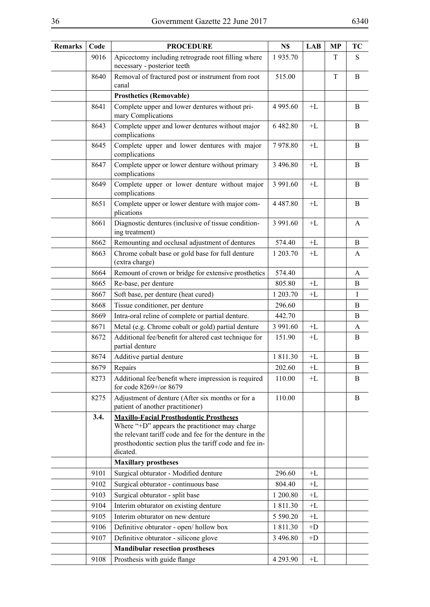| Remarks | Code | <b>PROCEDURE</b>                                                                                                                                                                                                                                                 | N\$           | <b>LAB</b> | <b>MP</b> | TC       |
|---------|------|------------------------------------------------------------------------------------------------------------------------------------------------------------------------------------------------------------------------------------------------------------------|---------------|------------|-----------|----------|
|         | 9016 | Apicectomy including retrograde root filling where<br>necessary - posterior teeth                                                                                                                                                                                | 1935.70       |            | T         | S        |
|         | 8640 | Removal of fractured post or instrument from root<br>canal                                                                                                                                                                                                       | 515.00        |            | T         | B        |
|         |      | <b>Prosthetics (Removable)</b>                                                                                                                                                                                                                                   |               |            |           |          |
|         | 8641 | Complete upper and lower dentures without pri-<br>mary Complications                                                                                                                                                                                             | 4 9 9 5 .60   | $+L$       |           | B        |
|         | 8643 | Complete upper and lower dentures without major<br>complications                                                                                                                                                                                                 | 6 482.80      | $+I$       |           | B        |
|         | 8645 | Complete upper and lower dentures with major<br>complications                                                                                                                                                                                                    | 7978.80       | $+L$       |           | B        |
|         | 8647 | Complete upper or lower denture without primary<br>complications                                                                                                                                                                                                 | 3 496.80      | $+L$       |           | B        |
|         | 8649 | Complete upper or lower denture without major<br>complications                                                                                                                                                                                                   | 3 991.60      | $+L$       |           | B        |
|         | 8651 | Complete upper or lower denture with major com-<br>plications                                                                                                                                                                                                    | 4 4 8 7 . 8 0 | $+L$       |           | $\bf{B}$ |
|         | 8661 | Diagnostic dentures (inclusive of tissue condition-<br>ing treatment)                                                                                                                                                                                            | 3 991.60      | $+L$       |           | A        |
|         | 8662 | Remounting and occlusal adjustment of dentures                                                                                                                                                                                                                   | 574.40        | $+L$       |           | B        |
|         | 8663 | Chrome cobalt base or gold base for full denture<br>(extra charge)                                                                                                                                                                                               | 1 203.70      | $+L$       |           | A        |
|         | 8664 | Remount of crown or bridge for extensive prosthetics                                                                                                                                                                                                             | 574.40        |            |           | A        |
|         | 8665 | Re-base, per denture                                                                                                                                                                                                                                             | 805.80        | $+L$       |           | B        |
|         | 8667 | Soft base, per denture (heat cured)                                                                                                                                                                                                                              | 1 203.70      | $+L$       |           | I        |
|         | 8668 | Tissue conditioner, per denture                                                                                                                                                                                                                                  | 296.60        |            |           | B        |
|         | 8669 | Intra-oral reline of complete or partial denture.                                                                                                                                                                                                                | 442.70        |            |           | B        |
|         | 8671 | Metal (e.g. Chrome cobalt or gold) partial denture                                                                                                                                                                                                               | 3 991.60      | $+L$       |           | A        |
|         | 8672 | Additional fee/benefit for altered cast technique for<br>partial denture                                                                                                                                                                                         | 151.90        | $+L$       |           | B        |
|         | 8674 | Additive partial denture                                                                                                                                                                                                                                         | 1811.30       | $+L$       |           | B        |
|         | 8679 | Repairs                                                                                                                                                                                                                                                          | 202.60        | $+L$       |           | B        |
|         | 8273 | Additional fee/benefit where impression is required<br>for code 8269+/or 8679                                                                                                                                                                                    | 110.00        | $+L$       |           | B        |
|         | 8275 | Adjustment of denture (After six months or for a<br>patient of another practitioner)                                                                                                                                                                             | 110.00        |            |           | B        |
|         | 3.4. | <b>Maxillo-Facial Prosthodontic Prostheses</b><br>Where "+D" appears the practitioner may charge<br>the relevant tariff code and fee for the denture in the<br>prosthodontic section plus the tariff code and fee in-<br>dicated.<br><b>Maxillary prostheses</b> |               |            |           |          |
|         | 9101 | Surgical obturator - Modified denture                                                                                                                                                                                                                            | 296.60        | $+L$       |           |          |
|         | 9102 | Surgical obturator - continuous base                                                                                                                                                                                                                             | 804.40        | $+L$       |           |          |
|         | 9103 | Surgical obturator - split base                                                                                                                                                                                                                                  | 1 200.80      | $+L$       |           |          |
|         | 9104 | Interim obturator on existing denture                                                                                                                                                                                                                            | 1811.30       | $+L$       |           |          |
|         | 9105 | Interim obturator on new denture                                                                                                                                                                                                                                 | 5 590.20      | $+L$       |           |          |
|         | 9106 | Definitive obturator - open/hollow box                                                                                                                                                                                                                           | 1811.30       | $+D$       |           |          |
|         | 9107 | Definitive obturator - silicone glove                                                                                                                                                                                                                            | 3 496.80      | $+D$       |           |          |
|         |      | <b>Mandibular resection prostheses</b>                                                                                                                                                                                                                           |               |            |           |          |
|         | 9108 | Prosthesis with guide flange                                                                                                                                                                                                                                     | 4 293.90      | $+L$       |           |          |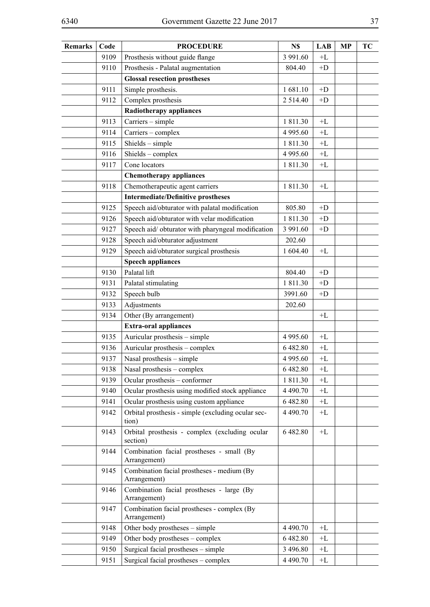| <b>Remarks</b> | Code | <b>PROCEDURE</b>                                            | N\$           | <b>LAB</b>     | <b>MP</b> | TC |
|----------------|------|-------------------------------------------------------------|---------------|----------------|-----------|----|
|                | 9109 | Prosthesis without guide flange                             | 3 991.60      | $+I$ .         |           |    |
|                | 9110 | Prosthesis - Palatal augmentation                           | 804.40        | $+D$           |           |    |
|                |      | <b>Glossal resection prostheses</b>                         |               |                |           |    |
|                | 9111 | Simple prosthesis.                                          | 1681.10       | $+D$           |           |    |
|                | 9112 | Complex prosthesis                                          | 2 5 1 4 .40   | $+D$           |           |    |
|                |      | <b>Radiotherapy appliances</b>                              |               |                |           |    |
|                | 9113 | Carriers - simple                                           | 1 811.30      | $+L$           |           |    |
|                | 9114 | Carriers - complex                                          | 4 9 9 5 .60   | $+ \mathbf{L}$ |           |    |
|                | 9115 | $Shields$ - simple                                          | 1811.30       | $+L$           |           |    |
|                | 9116 | Shields - complex                                           | 4 9 9 5 .60   | $+ \mathbf{L}$ |           |    |
|                | 9117 | Cone locators                                               | 1 811.30      | $+L$           |           |    |
|                |      | <b>Chemotherapy appliances</b>                              |               |                |           |    |
|                | 9118 | Chemotherapeutic agent carriers                             | 1 811.30      | $+L$           |           |    |
|                |      | <b>Intermediate/Definitive prostheses</b>                   |               |                |           |    |
|                | 9125 | Speech aid/obturator with palatal modification              | 805.80        | $+D$           |           |    |
|                | 9126 | Speech aid/obturator with velar modification                | 1811.30       | $+D$           |           |    |
|                | 9127 | Speech aid/obturator with pharyngeal modification           | 3 991.60      | $+D$           |           |    |
|                | 9128 | Speech aid/obturator adjustment                             | 202.60        |                |           |    |
|                | 9129 | Speech aid/obturator surgical prosthesis                    | 1 604.40      | $+L$           |           |    |
|                |      | <b>Speech appliances</b>                                    |               |                |           |    |
|                | 9130 | Palatal lift                                                | 804.40        | $+D$           |           |    |
|                | 9131 | Palatal stimulating                                         | 1811.30       | $+D$           |           |    |
|                | 9132 | Speech bulb                                                 | 3991.60       | $+D$           |           |    |
|                | 9133 | Adjustments                                                 | 202.60        |                |           |    |
|                | 9134 | Other (By arrangement)                                      |               | $+L$           |           |    |
|                |      | <b>Extra-oral appliances</b>                                |               |                |           |    |
|                | 9135 | Auricular prosthesis - simple                               | 4 9 9 5 .60   | $+L$           |           |    |
|                | 9136 | Auricular prosthesis - complex                              | 6482.80       | $+ \Gamma$     |           |    |
|                | 9137 | Nasal prosthesis - simple                                   | 4 9 9 5 . 6 0 | $+ \Gamma$     |           |    |
|                | 9138 | Nasal prosthesis - complex                                  | 6 482.80      | $+L$           |           |    |
|                | 9139 | Ocular prosthesis - conformer                               | 1811.30       | $+L$           |           |    |
|                | 9140 | Ocular prosthesis using modified stock appliance            | 4 4 9 0.70    | $+L$           |           |    |
|                | 9141 | Ocular prosthesis using custom appliance                    | 6482.80       | $+L$           |           |    |
|                | 9142 | Orbital prosthesis - simple (excluding ocular sec-<br>tion) | 4 4 9 0.70    | $+L$           |           |    |
|                | 9143 | Orbital prosthesis - complex (excluding ocular<br>section)  | 6482.80       | $+L$           |           |    |
|                | 9144 | Combination facial prostheses - small (By<br>Arrangement)   |               |                |           |    |
|                | 9145 | Combination facial prostheses - medium (By<br>Arrangement)  |               |                |           |    |
|                | 9146 | Combination facial prostheses - large (By<br>Arrangement)   |               |                |           |    |
|                | 9147 | Combination facial prostheses - complex (By<br>Arrangement) |               |                |           |    |
|                | 9148 | Other body prostheses – simple                              | 4 4 9 0.70    | $+L$           |           |    |
|                | 9149 | Other body prostheses - complex                             | 6 482.80      | +L             |           |    |
|                | 9150 | Surgical facial prostheses - simple                         | 3 496.80      | +L             |           |    |
|                | 9151 | Surgical facial prostheses - complex                        | 4 4 9 0.70    | +L             |           |    |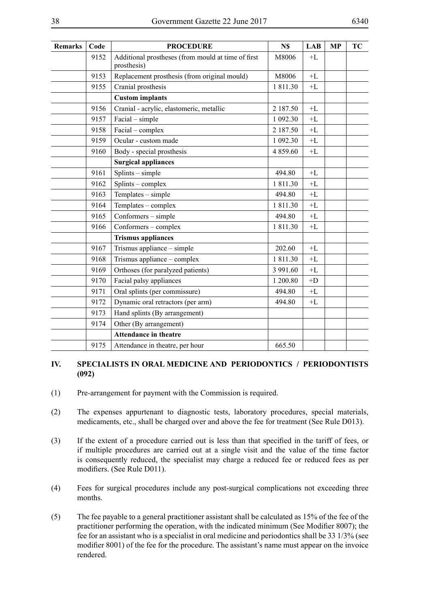| <b>Remarks</b> | Code | <b>PROCEDURE</b>                                                  | N\$      | <b>LAB</b>     | <b>MP</b> | <b>TC</b> |
|----------------|------|-------------------------------------------------------------------|----------|----------------|-----------|-----------|
|                | 9152 | Additional prostheses (from mould at time of first<br>prosthesis) | M8006    | $+L$           |           |           |
|                | 9153 | Replacement prosthesis (from original mould)                      | M8006    | $+L$           |           |           |
|                | 9155 | Cranial prosthesis                                                | 1811.30  | $+L$           |           |           |
|                |      | <b>Custom</b> implants                                            |          |                |           |           |
|                | 9156 | Cranial - acrylic, elastomeric, metallic                          | 2 187.50 | $+ \mathbf{L}$ |           |           |
|                | 9157 | Facial - simple                                                   | 1 092.30 | $+I$ .         |           |           |
|                | 9158 | Facial - complex                                                  | 2 187.50 | $+L$           |           |           |
|                | 9159 | Ocular - custom made                                              | 1 092.30 | $+L$           |           |           |
|                | 9160 | Body - special prosthesis                                         | 4 859.60 | $+L$           |           |           |
|                |      | <b>Surgical appliances</b>                                        |          |                |           |           |
|                | 9161 | Splints - simple                                                  | 494.80   | $+ \mathbf{L}$ |           |           |
|                | 9162 | Splints - complex                                                 | 1811.30  | $+ \mathbf{L}$ |           |           |
|                | 9163 | Templates - simple                                                | 494.80   | $+I$ .         |           |           |
|                | 9164 | Templates - complex                                               | 1811.30  | $+ \mathbf{L}$ |           |           |
|                | 9165 | Conformers - simple                                               | 494.80   | $+L$           |           |           |
|                | 9166 | Conformers - complex                                              | 1811.30  | $+ \mathbf{L}$ |           |           |
|                |      | <b>Trismus appliances</b>                                         |          |                |           |           |
|                | 9167 | Trismus appliance - simple                                        | 202.60   | $+ \mathbf{L}$ |           |           |
|                | 9168 | Trismus appliance – complex                                       | 1811.30  | $+L$           |           |           |
|                | 9169 | Orthoses (for paralyzed patients)                                 | 3 991.60 | $+ \mathbf{L}$ |           |           |
|                | 9170 | Facial palsy appliances                                           | 1 200.80 | $+{\bf D}$     |           |           |
|                | 9171 | Oral splints (per commissure)                                     | 494.80   | $+L$           |           |           |
|                | 9172 | Dynamic oral retractors (per arm)                                 | 494.80   | $+ \mathbf{L}$ |           |           |
|                | 9173 | Hand splints (By arrangement)                                     |          |                |           |           |
|                | 9174 | Other (By arrangement)                                            |          |                |           |           |
|                |      | <b>Attendance in theatre</b>                                      |          |                |           |           |
|                | 9175 | Attendance in theatre, per hour                                   | 665.50   |                |           |           |

## **IV. SPECIALISTS IN ORAL MEDICINE AND PERIODONTICS / PERIODONTISTS (092)**

- (1) Pre-arrangement for payment with the Commission is required.
- (2) The expenses appurtenant to diagnostic tests, laboratory procedures, special materials, medicaments, etc., shall be charged over and above the fee for treatment (See Rule D013).
- (3) If the extent of a procedure carried out is less than that specified in the tariff of fees, or if multiple procedures are carried out at a single visit and the value of the time factor is consequently reduced, the specialist may charge a reduced fee or reduced fees as per modifiers. (See Rule D011).
- (4) Fees for surgical procedures include any post-surgical complications not exceeding three months.
- (5) The fee payable to a general practitioner assistant shall be calculated as 15% of the fee of the practitioner performing the operation, with the indicated minimum (See Modifier 8007); the fee for an assistant who is a specialist in oral medicine and periodontics shall be 33 1/3% (see modifier 8001) of the fee for the procedure. The assistant's name must appear on the invoice rendered.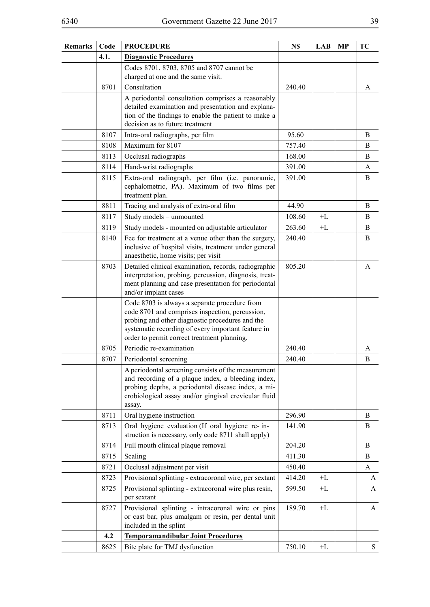| <b>Remarks</b> | Code | <b>PROCEDURE</b>                                                                                                                                                                                                                                         | N\$    | LAB  | MP | TC           |
|----------------|------|----------------------------------------------------------------------------------------------------------------------------------------------------------------------------------------------------------------------------------------------------------|--------|------|----|--------------|
|                | 4.1. | <b>Diagnostic Procedures</b>                                                                                                                                                                                                                             |        |      |    |              |
|                |      | Codes 8701, 8703, 8705 and 8707 cannot be<br>charged at one and the same visit.                                                                                                                                                                          |        |      |    |              |
|                | 8701 | Consultation                                                                                                                                                                                                                                             | 240.40 |      |    | A            |
|                |      | A periodontal consultation comprises a reasonably<br>detailed examination and presentation and explana-<br>tion of the findings to enable the patient to make a<br>decision as to future treatment                                                       |        |      |    |              |
|                | 8107 | Intra-oral radiographs, per film                                                                                                                                                                                                                         | 95.60  |      |    | B            |
|                | 8108 | Maximum for 8107                                                                                                                                                                                                                                         | 757.40 |      |    | B            |
|                | 8113 | Occlusal radiographs                                                                                                                                                                                                                                     | 168.00 |      |    | B            |
|                | 8114 | Hand-wrist radiographs                                                                                                                                                                                                                                   | 391.00 |      |    | A            |
|                | 8115 | Extra-oral radiograph, per film (i.e. panoramic,<br>cephalometric, PA). Maximum of two films per<br>treatment plan.                                                                                                                                      | 391.00 |      |    | B            |
|                | 8811 | Tracing and analysis of extra-oral film                                                                                                                                                                                                                  | 44.90  |      |    | B            |
|                | 8117 | Study models - unmounted                                                                                                                                                                                                                                 | 108.60 | $+L$ |    | B            |
|                | 8119 | Study models - mounted on adjustable articulator                                                                                                                                                                                                         | 263.60 | $+L$ |    | B            |
|                | 8140 | Fee for treatment at a venue other than the surgery,<br>inclusive of hospital visits, treatment under general<br>anaesthetic, home visits; per visit                                                                                                     | 240.40 |      |    | B            |
|                | 8703 | Detailed clinical examination, records, radiographic<br>interpretation, probing, percussion, diagnosis, treat-<br>ment planning and case presentation for periodontal<br>and/or implant cases                                                            | 805.20 |      |    | A            |
|                |      | Code 8703 is always a separate procedure from<br>code 8701 and comprises inspection, percussion,<br>probing and other diagnostic procedures and the<br>systematic recording of every important feature in<br>order to permit correct treatment planning. |        |      |    |              |
|                | 8705 | Periodic re-examination                                                                                                                                                                                                                                  | 240.40 |      |    | A            |
|                | 8707 | Periodontal screening                                                                                                                                                                                                                                    | 240.40 |      |    | B            |
|                |      | A periodontal screening consists of the measurement<br>and recording of a plaque index, a bleeding index,<br>probing depths, a periodontal disease index, a mi-<br>crobiological assay and/or gingival crevicular fluid<br>assay.                        |        |      |    |              |
|                | 8711 | Oral hygiene instruction                                                                                                                                                                                                                                 | 296.90 |      |    | B            |
|                | 8713 | Oral hygiene evaluation (If oral hygiene re-in-<br>struction is necessary, only code 8711 shall apply)                                                                                                                                                   | 141.90 |      |    | B            |
|                | 8714 | Full mouth clinical plaque removal                                                                                                                                                                                                                       | 204.20 |      |    | B            |
|                | 8715 | Scaling                                                                                                                                                                                                                                                  | 411.30 |      |    | B            |
|                | 8721 | Occlusal adjustment per visit                                                                                                                                                                                                                            | 450.40 |      |    | A            |
|                | 8723 | Provisional splinting - extracoronal wire, per sextant                                                                                                                                                                                                   | 414.20 | $+L$ |    | A            |
|                | 8725 | Provisional splinting - extracoronal wire plus resin,<br>per sextant                                                                                                                                                                                     | 599.50 | $+L$ |    | A            |
|                | 8727 | Provisional splinting - intracoronal wire or pins<br>or cast bar, plus amalgam or resin, per dental unit<br>included in the splint                                                                                                                       | 189.70 | $+L$ |    | $\mathbf{A}$ |
|                | 4.2  | <b>Temporamandibular Joint Procedures</b>                                                                                                                                                                                                                |        |      |    |              |
|                | 8625 | Bite plate for TMJ dysfunction                                                                                                                                                                                                                           | 750.10 | $+L$ |    | S.           |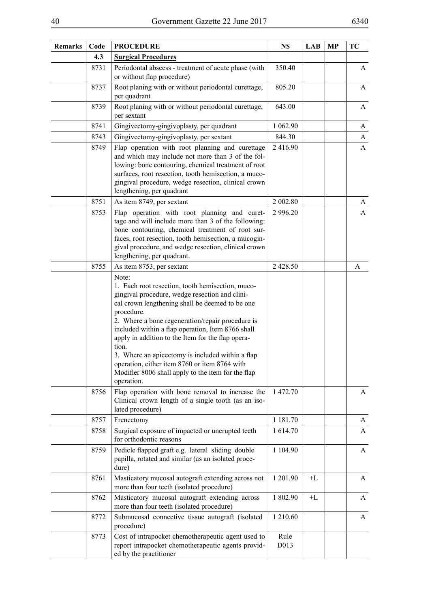| Remarks | Code | <b>PROCEDURE</b>                                                                                                                                                                                                                                                                                                                                                                                                                                                                                                             | N\$           | <b>LAB</b> | <b>MP</b> | TC           |
|---------|------|------------------------------------------------------------------------------------------------------------------------------------------------------------------------------------------------------------------------------------------------------------------------------------------------------------------------------------------------------------------------------------------------------------------------------------------------------------------------------------------------------------------------------|---------------|------------|-----------|--------------|
|         | 4.3  | <b>Surgical Procedures</b>                                                                                                                                                                                                                                                                                                                                                                                                                                                                                                   |               |            |           |              |
|         | 8731 | Periodontal abscess - treatment of acute phase (with<br>or without flap procedure)                                                                                                                                                                                                                                                                                                                                                                                                                                           | 350.40        |            |           | $\mathbf{A}$ |
|         | 8737 | Root planing with or without periodontal curettage,<br>per quadrant                                                                                                                                                                                                                                                                                                                                                                                                                                                          | 805.20        |            |           | $\mathbf{A}$ |
|         | 8739 | Root planing with or without periodontal curettage,<br>per sextant                                                                                                                                                                                                                                                                                                                                                                                                                                                           | 643.00        |            |           | $\mathbf{A}$ |
|         | 8741 | Gingivectomy-gingivoplasty, per quadrant                                                                                                                                                                                                                                                                                                                                                                                                                                                                                     | 1 062.90      |            |           | $\mathbf{A}$ |
|         | 8743 | Gingivectomy-gingivoplasty, per sextant                                                                                                                                                                                                                                                                                                                                                                                                                                                                                      | 844.30        |            |           | $\mathbf{A}$ |
|         | 8749 | Flap operation with root planning and curettage<br>and which may include not more than 3 of the fol-<br>lowing: bone contouring, chemical treatment of root<br>surfaces, root resection, tooth hemisection, a muco-<br>gingival procedure, wedge resection, clinical crown<br>lengthening, per quadrant                                                                                                                                                                                                                      | 2 416.90      |            |           | $\mathbf{A}$ |
|         | 8751 | As item 8749, per sextant                                                                                                                                                                                                                                                                                                                                                                                                                                                                                                    | 2 002.80      |            |           | A            |
|         | 8753 | Flap operation with root planning and curet-<br>tage and will include more than 3 of the following:<br>bone contouring, chemical treatment of root sur-<br>faces, root resection, tooth hemisection, a mucogin-<br>gival procedure, and wedge resection, clinical crown<br>lengthening, per quadrant.                                                                                                                                                                                                                        | 2 996.20      |            |           | A            |
|         | 8755 | As item 8753, per sextant                                                                                                                                                                                                                                                                                                                                                                                                                                                                                                    | 2 4 2 8 . 5 0 |            |           | A            |
|         |      | Note:<br>1. Each root resection, tooth hemisection, muco-<br>gingival procedure, wedge resection and clini-<br>cal crown lengthening shall be deemed to be one<br>procedure.<br>2. Where a bone regeneration/repair procedure is<br>included within a flap operation, Item 8766 shall<br>apply in addition to the Item for the flap opera-<br>tion.<br>3. Where an apicectomy is included within a flap<br>operation, either item 8760 or item 8764 with<br>Modifier 8006 shall apply to the item for the flap<br>operation. |               |            |           |              |
|         | 8756 | Flap operation with bone removal to increase the<br>Clinical crown length of a single tooth (as an iso-<br>lated procedure)                                                                                                                                                                                                                                                                                                                                                                                                  | 1 472.70      |            |           | $\mathbf{A}$ |
|         | 8757 | Frenectomy                                                                                                                                                                                                                                                                                                                                                                                                                                                                                                                   | 1 181.70      |            |           | A            |
|         | 8758 | Surgical exposure of impacted or unerupted teeth<br>for orthodontic reasons                                                                                                                                                                                                                                                                                                                                                                                                                                                  | 1614.70       |            |           | $\mathbf{A}$ |
|         | 8759 | Pedicle flapped graft e.g. lateral sliding double<br>papilla, rotated and similar (as an isolated proce-<br>dure)                                                                                                                                                                                                                                                                                                                                                                                                            | 1 104.90      |            |           | $\mathbf{A}$ |
|         | 8761 | Masticatory mucosal autograft extending across not<br>more than four teeth (isolated procedure)                                                                                                                                                                                                                                                                                                                                                                                                                              | 1 201.90      | $+L$       |           | A            |
|         | 8762 | Masticatory mucosal autograft extending across<br>more than four teeth (isolated procedure)                                                                                                                                                                                                                                                                                                                                                                                                                                  | 1 802.90      | $+L$       |           | A            |
|         | 8772 | Submucosal connective tissue autograft (isolated<br>procedure)                                                                                                                                                                                                                                                                                                                                                                                                                                                               | 1 210.60      |            |           | $\mathbf{A}$ |
|         | 8773 | Cost of intrapocket chemotherapeutic agent used to<br>report intrapocket chemotherapeutic agents provid-<br>ed by the practitioner                                                                                                                                                                                                                                                                                                                                                                                           | Rule<br>D013  |            |           |              |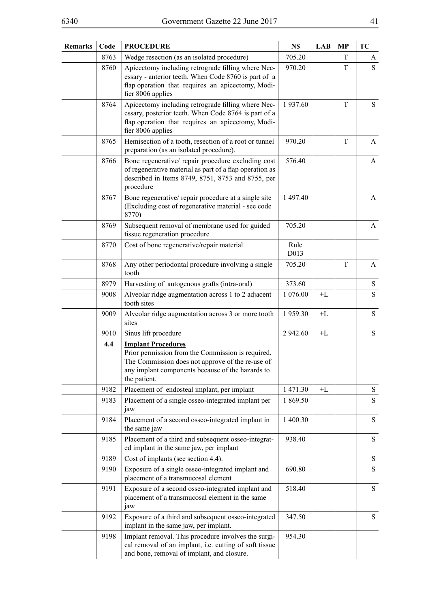| <b>Remarks</b> | Code | <b>PROCEDURE</b>                                                                                                                                                                                       | N\$          | <b>LAB</b> | <b>MP</b> | TC            |
|----------------|------|--------------------------------------------------------------------------------------------------------------------------------------------------------------------------------------------------------|--------------|------------|-----------|---------------|
|                | 8763 | Wedge resection (as an isolated procedure)                                                                                                                                                             | 705.20       |            | T         | A             |
|                | 8760 | Apicectomy including retrograde filling where Nec-<br>essary - anterior teeth. When Code 8760 is part of a<br>flap operation that requires an apicectomy, Modi-<br>fier 8006 applies                   | 970.20       |            | T         | S.            |
|                | 8764 | Apicectomy including retrograde filling where Nec-<br>essary, posterior teeth. When Code 8764 is part of a<br>flap operation that requires an apicectomy, Modi-<br>fier 8006 applies                   | 1937.60      |            | T         | S.            |
|                | 8765 | Hemisection of a tooth, resection of a root or tunnel<br>preparation (as an isolated procedure).                                                                                                       | 970.20       |            | T         | $\mathsf{A}$  |
|                | 8766 | Bone regenerative/ repair procedure excluding cost<br>of regenerative material as part of a flap operation as<br>described in Items 8749, 8751, 8753 and 8755, per<br>procedure                        | 576.40       |            |           | A             |
|                | 8767 | Bone regenerative/repair procedure at a single site<br>(Excluding cost of regenerative material - see code<br>8770)                                                                                    | 1497.40      |            |           | $\mathbf{A}$  |
|                | 8769 | Subsequent removal of membrane used for guided<br>tissue regeneration procedure                                                                                                                        | 705.20       |            |           | $\mathbf{A}$  |
|                | 8770 | Cost of bone regenerative/repair material                                                                                                                                                              | Rule<br>D013 |            |           |               |
|                | 8768 | Any other periodontal procedure involving a single<br>tooth                                                                                                                                            | 705.20       |            | T         | $\mathbf{A}$  |
|                | 8979 | Harvesting of autogenous grafts (intra-oral)                                                                                                                                                           | 373.60       |            |           | $S_{\text{}}$ |
|                | 9008 | Alveolar ridge augmentation across 1 to 2 adjacent<br>tooth sites                                                                                                                                      | 1 076.00     | $+L$       |           | S             |
|                | 9009 | Alveolar ridge augmentation across 3 or more tooth<br>sites                                                                                                                                            | 1959.30      | $+L$       |           | S             |
|                | 9010 | Sinus lift procedure                                                                                                                                                                                   | 2 942.60     | $+L$       |           | $S_{\text{}}$ |
|                | 4.4  | <b>Implant Procedures</b><br>Prior permission from the Commission is required.<br>The Commission does not approve of the re-use of<br>any implant components because of the hazards to<br>the patient. |              |            |           |               |
|                | 9182 | Placement of endosteal implant, per implant                                                                                                                                                            | 1471.30      | $+L$       |           | ${\bf S}$     |
|                | 9183 | Placement of a single osseo-integrated implant per<br>jaw                                                                                                                                              | 1869.50      |            |           | S             |
|                | 9184 | Placement of a second osseo-integrated implant in<br>the same jaw                                                                                                                                      | 1 400.30     |            |           | S             |
|                | 9185 | Placement of a third and subsequent osseo-integrat-<br>ed implant in the same jaw, per implant                                                                                                         | 938.40       |            |           | S             |
|                | 9189 | Cost of implants (see section 4.4).                                                                                                                                                                    |              |            |           | $S_{\text{}}$ |
|                | 9190 | Exposure of a single osseo-integrated implant and<br>placement of a transmucosal element                                                                                                               | 690.80       |            |           | S             |
|                | 9191 | Exposure of a second osseo-integrated implant and<br>placement of a transmucosal element in the same<br>jaw                                                                                            | 518.40       |            |           | S             |
|                | 9192 | Exposure of a third and subsequent osseo-integrated<br>implant in the same jaw, per implant.                                                                                                           | 347.50       |            |           | S.            |
|                | 9198 | Implant removal. This procedure involves the surgi-<br>cal removal of an implant, i.e. cutting of soft tissue<br>and bone, removal of implant, and closure.                                            | 954.30       |            |           |               |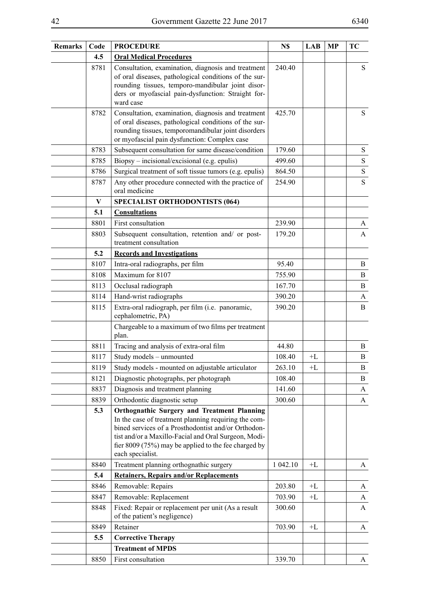| Remarks | Code | <b>PROCEDURE</b>                                                                                                                                                                                                                                                                                      | N\$      | <b>LAB</b>     | <b>MP</b> | TC            |
|---------|------|-------------------------------------------------------------------------------------------------------------------------------------------------------------------------------------------------------------------------------------------------------------------------------------------------------|----------|----------------|-----------|---------------|
|         | 4.5  | <b>Oral Medical Procedures</b>                                                                                                                                                                                                                                                                        |          |                |           |               |
|         | 8781 | Consultation, examination, diagnosis and treatment<br>of oral diseases, pathological conditions of the sur-<br>rounding tissues, temporo-mandibular joint disor-<br>ders or myofascial pain-dysfunction: Straight for-<br>ward case                                                                   | 240.40   |                |           | S             |
|         | 8782 | Consultation, examination, diagnosis and treatment<br>of oral diseases, pathological conditions of the sur-<br>rounding tissues, temporomandibular joint disorders<br>or myofascial pain dysfunction: Complex case                                                                                    | 425.70   |                |           | S.            |
|         | 8783 | Subsequent consultation for same disease/condition                                                                                                                                                                                                                                                    | 179.60   |                |           | S             |
|         | 8785 | Biopsy - incisional/excisional (e.g. epulis)                                                                                                                                                                                                                                                          | 499.60   |                |           | $S_{\text{}}$ |
|         | 8786 | Surgical treatment of soft tissue tumors (e.g. epulis)                                                                                                                                                                                                                                                | 864.50   |                |           | ${\bf S}$     |
|         | 8787 | Any other procedure connected with the practice of<br>oral medicine                                                                                                                                                                                                                                   | 254.90   |                |           | S             |
|         | V    | <b>SPECIALIST ORTHODONTISTS (064)</b>                                                                                                                                                                                                                                                                 |          |                |           |               |
|         | 5.1  | <b>Consultations</b>                                                                                                                                                                                                                                                                                  |          |                |           |               |
|         | 8801 | First consultation                                                                                                                                                                                                                                                                                    | 239.90   |                |           | A             |
|         | 8803 | Subsequent consultation, retention and/ or post-<br>treatment consultation                                                                                                                                                                                                                            | 179.20   |                |           | A             |
|         | 5.2  | <b>Records and Investigations</b>                                                                                                                                                                                                                                                                     |          |                |           |               |
|         | 8107 | Intra-oral radiographs, per film                                                                                                                                                                                                                                                                      | 95.40    |                |           | B             |
|         | 8108 | Maximum for 8107                                                                                                                                                                                                                                                                                      | 755.90   |                |           | B             |
|         | 8113 | Occlusal radiograph                                                                                                                                                                                                                                                                                   | 167.70   |                |           | B             |
|         | 8114 | Hand-wrist radiographs                                                                                                                                                                                                                                                                                | 390.20   |                |           | A             |
|         | 8115 | Extra-oral radiograph, per film (i.e. panoramic,<br>cephalometric, PA)                                                                                                                                                                                                                                | 390.20   |                |           | B             |
|         |      | Chargeable to a maximum of two films per treatment<br>plan.                                                                                                                                                                                                                                           |          |                |           |               |
|         | 8811 | Tracing and analysis of extra-oral film                                                                                                                                                                                                                                                               | 44.80    |                |           | B             |
|         | 8117 | Study models - unmounted                                                                                                                                                                                                                                                                              | 108.40   | $+L$           |           | B             |
|         | 8119 | Study models - mounted on adjustable articulator                                                                                                                                                                                                                                                      | 263.10   | $+L$           |           | B             |
|         | 8121 | Diagnostic photographs, per photograph                                                                                                                                                                                                                                                                | 108.40   |                |           | B             |
|         | 8837 | Diagnosis and treatment planning                                                                                                                                                                                                                                                                      | 141.60   |                |           | A             |
|         | 8839 | Orthodontic diagnostic setup                                                                                                                                                                                                                                                                          | 300.60   |                |           | A             |
|         | 5.3  | <b>Orthognathic Surgery and Treatment Planning</b><br>In the case of treatment planning requiring the com-<br>bined services of a Prosthodontist and/or Orthodon-<br>tist and/or a Maxillo-Facial and Oral Surgeon, Modi-<br>fier 8009 (75%) may be applied to the fee charged by<br>each specialist. |          |                |           |               |
|         | 8840 | Treatment planning orthognathic surgery                                                                                                                                                                                                                                                               | 1 042.10 | $+L$           |           | A             |
|         | 5.4  | <b>Retainers, Repairs and/or Replacements</b>                                                                                                                                                                                                                                                         |          |                |           |               |
|         | 8846 | Removable: Repairs                                                                                                                                                                                                                                                                                    | 203.80   | $+L$           |           | A             |
|         | 8847 | Removable: Replacement                                                                                                                                                                                                                                                                                | 703.90   | $+L$           |           | A             |
|         | 8848 | Fixed: Repair or replacement per unit (As a result<br>of the patient's negligence)                                                                                                                                                                                                                    | 300.60   |                |           | A             |
|         | 8849 | Retainer                                                                                                                                                                                                                                                                                              | 703.90   | $+ \mathbf{L}$ |           | $\mathbf{A}$  |
|         | 5.5  | <b>Corrective Therapy</b>                                                                                                                                                                                                                                                                             |          |                |           |               |
|         |      | <b>Treatment of MPDS</b>                                                                                                                                                                                                                                                                              |          |                |           |               |
|         | 8850 | First consultation                                                                                                                                                                                                                                                                                    | 339.70   |                |           | A             |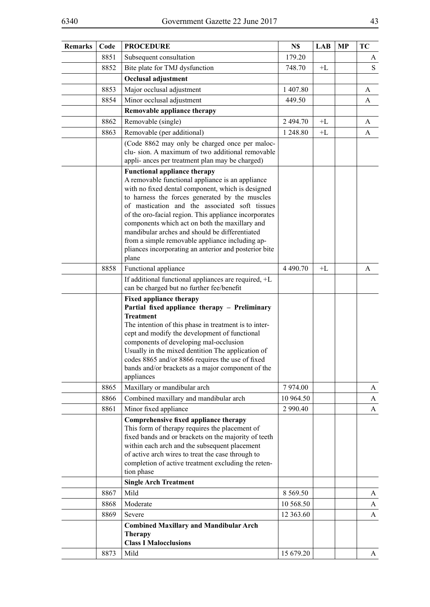| ٠ | ×            |
|---|--------------|
|   | I<br>I<br>۰. |

| Remarks | Code | <b>PROCEDURE</b>                                                                                                                                                                                                                                                                                                                                                                                                                                                                                                                   | N\$           | LAB  | <b>MP</b> | TC           |
|---------|------|------------------------------------------------------------------------------------------------------------------------------------------------------------------------------------------------------------------------------------------------------------------------------------------------------------------------------------------------------------------------------------------------------------------------------------------------------------------------------------------------------------------------------------|---------------|------|-----------|--------------|
|         | 8851 | Subsequent consultation                                                                                                                                                                                                                                                                                                                                                                                                                                                                                                            | 179.20        |      |           | A            |
|         | 8852 | Bite plate for TMJ dysfunction                                                                                                                                                                                                                                                                                                                                                                                                                                                                                                     | 748.70        | $+L$ |           | S            |
|         |      | Occlusal adjustment                                                                                                                                                                                                                                                                                                                                                                                                                                                                                                                |               |      |           |              |
|         | 8853 | Major occlusal adjustment                                                                                                                                                                                                                                                                                                                                                                                                                                                                                                          | 1 407.80      |      |           | A            |
|         | 8854 | Minor occlusal adjustment                                                                                                                                                                                                                                                                                                                                                                                                                                                                                                          | 449.50        |      |           | A            |
|         |      | Removable appliance therapy                                                                                                                                                                                                                                                                                                                                                                                                                                                                                                        |               |      |           |              |
|         | 8862 | Removable (single)                                                                                                                                                                                                                                                                                                                                                                                                                                                                                                                 | 2 494.70      | $+L$ |           | A            |
|         | 8863 | Removable (per additional)                                                                                                                                                                                                                                                                                                                                                                                                                                                                                                         | 1 248.80      | $+L$ |           | A            |
|         |      | (Code 8862 may only be charged once per maloc-<br>clu-sion. A maximum of two additional removable<br>appli- ances per treatment plan may be charged)                                                                                                                                                                                                                                                                                                                                                                               |               |      |           |              |
|         |      | <b>Functional appliance therapy</b><br>A removable functional appliance is an appliance<br>with no fixed dental component, which is designed<br>to harness the forces generated by the muscles<br>of mastication and the associated soft tissues<br>of the oro-facial region. This appliance incorporates<br>components which act on both the maxillary and<br>mandibular arches and should be differentiated<br>from a simple removable appliance including ap-<br>pliances incorporating an anterior and posterior bite<br>plane |               |      |           |              |
|         | 8858 | Functional appliance                                                                                                                                                                                                                                                                                                                                                                                                                                                                                                               | 4 4 9 0.70    | $+L$ |           | A            |
|         |      | If additional functional appliances are required, +L<br>can be charged but no further fee/benefit                                                                                                                                                                                                                                                                                                                                                                                                                                  |               |      |           |              |
|         |      | <b>Fixed appliance therapy</b><br>Partial fixed appliance therapy - Preliminary<br><b>Treatment</b><br>The intention of this phase in treatment is to inter-<br>cept and modify the development of functional<br>components of developing mal-occlusion<br>Usually in the mixed dentition The application of<br>codes 8865 and/or 8866 requires the use of fixed<br>bands and/or brackets as a major component of the<br>appliances                                                                                                |               |      |           |              |
|         | 8865 | Maxillary or mandibular arch                                                                                                                                                                                                                                                                                                                                                                                                                                                                                                       | 7974.00       |      |           | A            |
|         | 8866 | Combined maxillary and mandibular arch                                                                                                                                                                                                                                                                                                                                                                                                                                                                                             | 10 964.50     |      |           | A            |
|         | 8861 | Minor fixed appliance                                                                                                                                                                                                                                                                                                                                                                                                                                                                                                              | 2 9 9 0.40    |      |           | $\mathbf{A}$ |
|         |      | Comprehensive fixed appliance therapy<br>This form of therapy requires the placement of<br>fixed bands and or brackets on the majority of teeth<br>within each arch and the subsequent placement<br>of active arch wires to treat the case through to<br>completion of active treatment excluding the reten-<br>tion phase                                                                                                                                                                                                         |               |      |           |              |
|         |      | <b>Single Arch Treatment</b>                                                                                                                                                                                                                                                                                                                                                                                                                                                                                                       |               |      |           |              |
|         | 8867 | Mild                                                                                                                                                                                                                                                                                                                                                                                                                                                                                                                               | 8 5 6 9 . 5 0 |      |           | A            |
|         | 8868 | Moderate                                                                                                                                                                                                                                                                                                                                                                                                                                                                                                                           | 10 568.50     |      |           | A            |
|         | 8869 | Severe                                                                                                                                                                                                                                                                                                                                                                                                                                                                                                                             | 12 363.60     |      |           | A            |
|         |      | <b>Combined Maxillary and Mandibular Arch</b><br><b>Therapy</b><br><b>Class I Malocclusions</b>                                                                                                                                                                                                                                                                                                                                                                                                                                    |               |      |           |              |
|         | 8873 | Mild                                                                                                                                                                                                                                                                                                                                                                                                                                                                                                                               | 15 679.20     |      |           | $\mathbf{A}$ |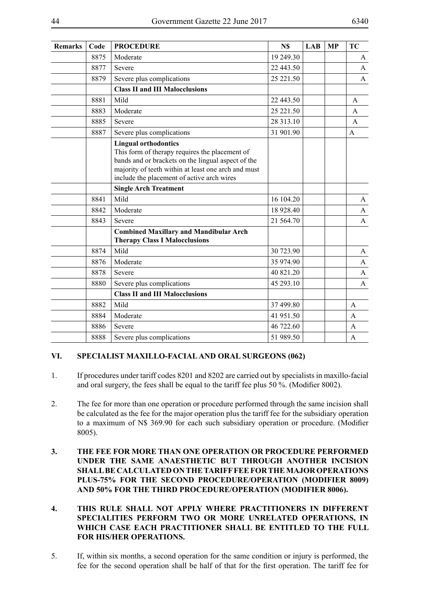| <b>Remarks</b> | Code | <b>PROCEDURE</b>                                                                                                                                                                                                                         | N\$        | <b>LAB</b> | <b>MP</b> | <b>TC</b>      |
|----------------|------|------------------------------------------------------------------------------------------------------------------------------------------------------------------------------------------------------------------------------------------|------------|------------|-----------|----------------|
|                | 8875 | Moderate                                                                                                                                                                                                                                 | 19 249.30  |            |           | A              |
|                | 8877 | Severe                                                                                                                                                                                                                                   | 22 443.50  |            |           | A              |
|                | 8879 | Severe plus complications                                                                                                                                                                                                                | 25 221.50  |            |           | A              |
|                |      | <b>Class II and III Malocclusions</b>                                                                                                                                                                                                    |            |            |           |                |
|                | 8881 | Mild                                                                                                                                                                                                                                     | 22 443.50  |            |           | $\mathsf{A}$   |
|                | 8883 | Moderate                                                                                                                                                                                                                                 | 25 221.50  |            |           | A              |
|                | 8885 | Severe                                                                                                                                                                                                                                   | 28 313.10  |            |           | A              |
|                | 8887 | Severe plus complications                                                                                                                                                                                                                | 31 901.90  |            |           | A              |
|                |      | <b>Lingual orthodontics</b><br>This form of therapy requires the placement of<br>bands and or brackets on the lingual aspect of the<br>majority of teeth within at least one arch and must<br>include the placement of active arch wires |            |            |           |                |
|                |      | <b>Single Arch Treatment</b>                                                                                                                                                                                                             |            |            |           |                |
|                | 8841 | Mild                                                                                                                                                                                                                                     | 16 104.20  |            |           | A              |
|                | 8842 | Moderate                                                                                                                                                                                                                                 | 18 928.40  |            |           | A              |
|                | 8843 | Severe                                                                                                                                                                                                                                   | 21 5 64.70 |            |           | A              |
|                |      | <b>Combined Maxillary and Mandibular Arch</b><br><b>Therapy Class I Malocclusions</b>                                                                                                                                                    |            |            |           |                |
|                | 8874 | Mild                                                                                                                                                                                                                                     | 30 723.90  |            |           | A              |
|                | 8876 | Moderate                                                                                                                                                                                                                                 | 35 974.90  |            |           | $\mathbf{A}$   |
|                | 8878 | Severe                                                                                                                                                                                                                                   | 40 821.20  |            |           | A              |
|                | 8880 | Severe plus complications                                                                                                                                                                                                                | 45 293.10  |            |           | A              |
|                |      | <b>Class II and III Malocclusions</b>                                                                                                                                                                                                    |            |            |           |                |
|                | 8882 | Mild                                                                                                                                                                                                                                     | 37 499.80  |            |           | $\overline{A}$ |
|                | 8884 | Moderate                                                                                                                                                                                                                                 | 41 951.50  |            |           | A              |
|                | 8886 | Severe                                                                                                                                                                                                                                   | 46 722.60  |            |           | A              |
|                | 8888 | Severe plus complications                                                                                                                                                                                                                | 51 989.50  |            |           | A              |

## **VI. SPECIALIST MAXILLO-FACIAL AND ORAL SURGEONS (062)**

- 1. If procedures under tariff codes 8201 and 8202 are carried out by specialists in maxillo-facial and oral surgery, the fees shall be equal to the tariff fee plus 50 %. (Modifier 8002).
- 2. The fee for more than one operation or procedure performed through the same incision shall be calculated as the fee for the major operation plus the tariff fee for the subsidiary operation to a maximum of N\$ 369.90 for each such subsidiary operation or procedure. (Modifier 8005).
- **3. THE FEE FOR MORE THAN ONE OPERATION OR PROCEDURE PERFORMED UNDER THE SAME ANAESTHETIC BUT THROUGH ANOTHER INCISION SHALL BE CALCULATED ON THE TARIFF FEE FOR THE MAJOR OPERATIONS PLUS-75% FOR THE SECOND PROCEDURE/OPERATION (MODIFIER 8009) AND 50% FOR THE THIRD PROCEDURE/OPERATION (MODIFIER 8006).**
- **4. THIS RULE SHALL NOT APPLY WHERE PRACTITIONERS IN DIFFERENT SPECIALITIES PERFORM TWO OR MORE UNRELATED OPERATIONS, IN WHICH CASE EACH PRACTITIONER SHALL BE ENTITLED TO THE FULL FOR HIS/HER OPERATIONS.**
- 5. If, within six months, a second operation for the same condition or injury is performed, the fee for the second operation shall be half of that for the first operation. The tariff fee for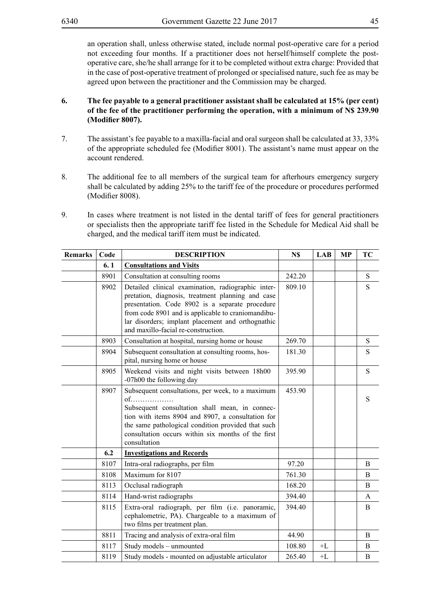an operation shall, unless otherwise stated, include normal post-operative care for a period not exceeding four months. If a practitioner does not herself/himself complete the postoperative care, she/he shall arrange for it to be completed without extra charge: Provided that in the case of post-operative treatment of prolonged or specialised nature, such fee as may be agreed upon between the practitioner and the Commission may be charged.

- **6. The fee payable to a general practitioner assistant shall be calculated at 15% (per cent) of the fee of the practitioner performing the operation, with a minimum of N\$ 239.90 (Modifier 8007).**
- 7. The assistant's fee payable to a maxilla-facial and oral surgeon shall be calculated at 33, 33% of the appropriate scheduled fee (Modifier 8001). The assistant's name must appear on the account rendered.
- 8. The additional fee to all members of the surgical team for afterhours emergency surgery shall be calculated by adding 25% to the tariff fee of the procedure or procedures performed (Modifier 8008).
- 9. In cases where treatment is not listed in the dental tariff of fees for general practitioners or specialists then the appropriate tariff fee listed in the Schedule for Medical Aid shall be charged, and the medical tariff item must be indicated.

| <b>Remarks</b> | Code | <b>DESCRIPTION</b>                                                                                                                                                                                                                                                                                           | N\$    | LAB  | <b>MP</b> | TC       |
|----------------|------|--------------------------------------------------------------------------------------------------------------------------------------------------------------------------------------------------------------------------------------------------------------------------------------------------------------|--------|------|-----------|----------|
|                | 6.1  | <b>Consultations and Visits</b>                                                                                                                                                                                                                                                                              |        |      |           |          |
|                | 8901 | Consultation at consulting rooms                                                                                                                                                                                                                                                                             | 242.20 |      |           | S        |
|                | 8902 | Detailed clinical examination, radiographic inter-<br>pretation, diagnosis, treatment planning and case<br>presentation. Code 8902 is a separate procedure<br>from code 8901 and is applicable to craniomandibu-<br>lar disorders; implant placement and orthognathic<br>and maxillo-facial re-construction. | 809.10 |      |           | S        |
|                | 8903 | Consultation at hospital, nursing home or house                                                                                                                                                                                                                                                              | 269.70 |      |           | S        |
|                | 8904 | Subsequent consultation at consulting rooms, hos-<br>pital, nursing home or house                                                                                                                                                                                                                            | 181.30 |      |           | S        |
|                | 8905 | Weekend visits and night visits between 18h00<br>-07h00 the following day                                                                                                                                                                                                                                    | 395.90 |      |           | S        |
|                | 8907 | Subsequent consultations, per week, to a maximum<br>$of$<br>Subsequent consultation shall mean, in connec-<br>tion with items 8904 and 8907, a consultation for<br>the same pathological condition provided that such<br>consultation occurs within six months of the first<br>consultation                  | 453.90 |      |           | S        |
|                | 6.2  | <b>Investigations and Records</b>                                                                                                                                                                                                                                                                            |        |      |           |          |
|                | 8107 | Intra-oral radiographs, per film                                                                                                                                                                                                                                                                             | 97.20  |      |           | B        |
|                | 8108 | Maximum for 8107                                                                                                                                                                                                                                                                                             | 761.30 |      |           | B        |
|                | 8113 | Occlusal radiograph                                                                                                                                                                                                                                                                                          | 168.20 |      |           | B        |
|                | 8114 | Hand-wrist radiographs                                                                                                                                                                                                                                                                                       | 394.40 |      |           | A        |
|                | 8115 | Extra-oral radiograph, per film (i.e. panoramic,<br>cephalometric, PA). Chargeable to a maximum of<br>two films per treatment plan.                                                                                                                                                                          | 394.40 |      |           | B        |
|                | 8811 | Tracing and analysis of extra-oral film                                                                                                                                                                                                                                                                      | 44.90  |      |           | B        |
|                | 8117 | Study models - unmounted                                                                                                                                                                                                                                                                                     | 108.80 | $+I$ |           | B        |
|                | 8119 | Study models - mounted on adjustable articulator                                                                                                                                                                                                                                                             | 265.40 | $+L$ |           | $\bf{B}$ |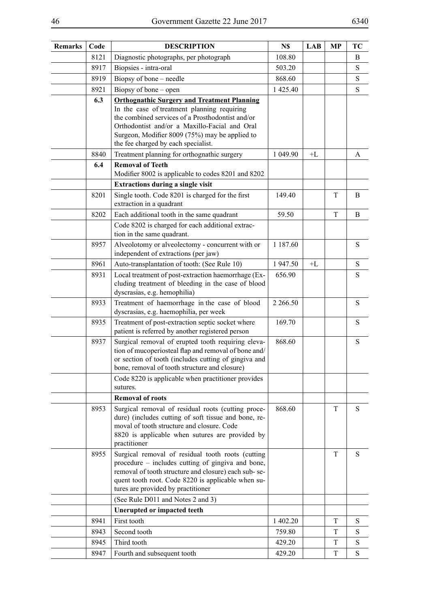| Remarks | Code | <b>DESCRIPTION</b>                                                                                                                                                                                                                                                                              | N\$        | <b>LAB</b> | <b>MP</b> | TC        |
|---------|------|-------------------------------------------------------------------------------------------------------------------------------------------------------------------------------------------------------------------------------------------------------------------------------------------------|------------|------------|-----------|-----------|
|         | 8121 | Diagnostic photographs, per photograph                                                                                                                                                                                                                                                          | 108.80     |            |           | B         |
|         | 8917 | Biopsies - intra-oral                                                                                                                                                                                                                                                                           | 503.20     |            |           | ${\bf S}$ |
|         | 8919 | Biopsy of bone – needle                                                                                                                                                                                                                                                                         | 868.60     |            |           | S         |
|         | 8921 | Biopsy of bone - open                                                                                                                                                                                                                                                                           | 1 425.40   |            |           | ${\bf S}$ |
|         | 6.3  | <b>Orthognathic Surgery and Treatment Planning</b><br>In the case of treatment planning requiring<br>the combined services of a Prosthodontist and/or<br>Orthodontist and/or a Maxillo-Facial and Oral<br>Surgeon, Modifier 8009 (75%) may be applied to<br>the fee charged by each specialist. |            |            |           |           |
|         | 8840 | Treatment planning for orthognathic surgery                                                                                                                                                                                                                                                     | 1 049.90   | $+L$       |           | A         |
|         | 6.4  | <b>Removal of Teeth</b><br>Modifier 8002 is applicable to codes 8201 and 8202                                                                                                                                                                                                                   |            |            |           |           |
|         |      | <b>Extractions during a single visit</b>                                                                                                                                                                                                                                                        |            |            |           |           |
|         | 8201 | Single tooth. Code 8201 is charged for the first<br>extraction in a quadrant                                                                                                                                                                                                                    | 149.40     |            | T         | B         |
|         | 8202 | Each additional tooth in the same quadrant                                                                                                                                                                                                                                                      | 59.50      |            | T         | B         |
|         |      | Code 8202 is charged for each additional extrac-<br>tion in the same quadrant.                                                                                                                                                                                                                  |            |            |           |           |
|         | 8957 | Alveolotomy or alveolectomy - concurrent with or<br>independent of extractions (per jaw)                                                                                                                                                                                                        | 1 187.60   |            |           | ${\bf S}$ |
|         | 8961 | Auto-transplantation of tooth: (See Rule 10)                                                                                                                                                                                                                                                    | 1947.50    | $+L$       |           | ${\bf S}$ |
|         | 8931 | Local treatment of post-extraction haemorrhage (Ex-<br>cluding treatment of bleeding in the case of blood<br>dyscrasias, e.g. hemophilia)                                                                                                                                                       | 656.90     |            |           | S         |
|         | 8933 | Treatment of haemorrhage in the case of blood<br>dyscrasias, e.g. haemophilia, per week                                                                                                                                                                                                         | 2 2 6 6.50 |            |           | ${\bf S}$ |
|         | 8935 | Treatment of post-extraction septic socket where<br>patient is referred by another registered person                                                                                                                                                                                            | 169.70     |            |           | ${\bf S}$ |
|         | 8937 | Surgical removal of erupted tooth requiring eleva-<br>tion of mucoperiosteal flap and removal of bone and/<br>or section of tooth (includes cutting of gingiva and<br>bone, removal of tooth structure and closure)                                                                             | 868.60     |            |           | ${\bf S}$ |
|         |      | Code 8220 is applicable when practitioner provides<br>sutures.                                                                                                                                                                                                                                  |            |            |           |           |
|         |      | <b>Removal of roots</b>                                                                                                                                                                                                                                                                         |            |            |           |           |
|         | 8953 | Surgical removal of residual roots (cutting proce-<br>dure) (includes cutting of soft tissue and bone, re-<br>moval of tooth structure and closure. Code<br>8820 is applicable when sutures are provided by<br>practitioner                                                                     | 868.60     |            | T         | S         |
|         | 8955 | Surgical removal of residual tooth roots (cutting<br>procedure – includes cutting of gingiva and bone,<br>removal of tooth structure and closure) each sub-se-<br>quent tooth root. Code 8220 is applicable when su-<br>tures are provided by practitioner                                      |            |            | T         | S         |
|         |      | (See Rule D011 and Notes 2 and 3)                                                                                                                                                                                                                                                               |            |            |           |           |
|         |      | <b>Unerupted or impacted teeth</b>                                                                                                                                                                                                                                                              |            |            |           |           |
|         | 8941 | First tooth                                                                                                                                                                                                                                                                                     | 1 402.20   |            | T         | S         |
|         | 8943 | Second tooth                                                                                                                                                                                                                                                                                    | 759.80     |            | T         | S         |
|         | 8945 | Third tooth                                                                                                                                                                                                                                                                                     | 429.20     |            | T         | S         |
|         | 8947 | Fourth and subsequent tooth                                                                                                                                                                                                                                                                     | 429.20     |            | T         | S         |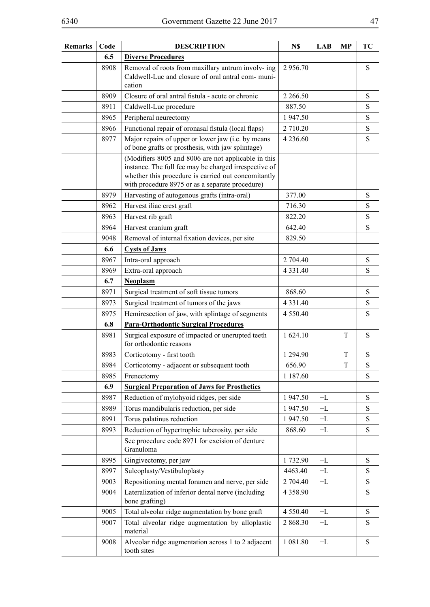| <b>Remarks</b> | Code | <b>DESCRIPTION</b>                                                                                                                                                                                                     | N\$           | <b>LAB</b> | <b>MP</b> | TC          |
|----------------|------|------------------------------------------------------------------------------------------------------------------------------------------------------------------------------------------------------------------------|---------------|------------|-----------|-------------|
|                | 6.5  | <b>Diverse Procedures</b>                                                                                                                                                                                              |               |            |           |             |
|                | 8908 | Removal of roots from maxillary antrum involv- ing<br>Caldwell-Luc and closure of oral antral com-muni-<br>cation                                                                                                      | 2956.70       |            |           | S           |
|                | 8909 | Closure of oral antral fistula - acute or chronic                                                                                                                                                                      | 2 2 6 6 .50   |            |           | S           |
|                | 8911 | Caldwell-Luc procedure                                                                                                                                                                                                 | 887.50        |            |           | S           |
|                | 8965 | Peripheral neurectomy                                                                                                                                                                                                  | 1947.50       |            |           | $\mathbf S$ |
|                | 8966 | Functional repair of oronasal fistula (local flaps)                                                                                                                                                                    | 2 710.20      |            |           | S           |
|                | 8977 | Major repairs of upper or lower jaw (i.e. by means<br>of bone grafts or prosthesis, with jaw splintage)                                                                                                                | 4 2 3 6 . 6 0 |            |           | S           |
|                |      | (Modifiers 8005 and 8006 are not applicable in this<br>instance. The full fee may be charged irrespective of<br>whether this procedure is carried out concomitantly<br>with procedure 8975 or as a separate procedure) |               |            |           |             |
|                | 8979 | Harvesting of autogenous grafts (intra-oral)                                                                                                                                                                           | 377.00        |            |           | S           |
|                | 8962 | Harvest iliac crest graft                                                                                                                                                                                              | 716.30        |            |           | S           |
|                | 8963 | Harvest rib graft                                                                                                                                                                                                      | 822.20        |            |           | S           |
|                | 8964 | Harvest cranium graft                                                                                                                                                                                                  | 642.40        |            |           | ${\bf S}$   |
|                | 9048 | Removal of internal fixation devices, per site                                                                                                                                                                         | 829.50        |            |           |             |
|                | 6.6  | <b>Cysts of Jaws</b>                                                                                                                                                                                                   |               |            |           |             |
|                | 8967 | Intra-oral approach                                                                                                                                                                                                    | 2 704.40      |            |           | ${\bf S}$   |
|                | 8969 | Extra-oral approach                                                                                                                                                                                                    | 4 3 3 1 . 4 0 |            |           | S           |
|                | 6.7  | <b>Neoplasm</b>                                                                                                                                                                                                        |               |            |           |             |
|                | 8971 | Surgical treatment of soft tissue tumors                                                                                                                                                                               | 868.60        |            |           | S           |
|                | 8973 | Surgical treatment of tumors of the jaws                                                                                                                                                                               | 4 3 3 1 .40   |            |           | ${\bf S}$   |
|                | 8975 | Hemiresection of jaw, with splintage of segments                                                                                                                                                                       | 4 5 5 0 . 4 0 |            |           | S           |
|                | 6.8  | <b>Para-Orthodontic Surgical Procedures</b>                                                                                                                                                                            |               |            |           |             |
|                | 8981 | Surgical exposure of impacted or unerupted teeth<br>for orthodontic reasons                                                                                                                                            | 1 624.10      |            | T         | S           |
|                | 8983 | Corticotomy - first tooth                                                                                                                                                                                              | 1 294.90      |            | T         | S           |
|                | 8984 | Corticotomy - adjacent or subsequent tooth                                                                                                                                                                             | 656.90        |            | T         | S           |
|                | 8985 | Frenectomy                                                                                                                                                                                                             | 1 187.60      |            |           | S           |
|                | 6.9  | <b>Surgical Preparation of Jaws for Prosthetics</b>                                                                                                                                                                    |               |            |           |             |
|                | 8987 | Reduction of mylohyoid ridges, per side                                                                                                                                                                                | 1947.50       | $+L$       |           | ${\bf S}$   |
|                | 8989 | Torus mandibularis reduction, per side                                                                                                                                                                                 | 1947.50       | $+L$       |           | S           |
|                | 8991 | Torus palatinus reduction                                                                                                                                                                                              | 1947.50       | $+L$       |           | ${\bf S}$   |
|                | 8993 | Reduction of hypertrophic tuberosity, per side                                                                                                                                                                         | 868.60        | +L         |           | S           |
|                |      | See procedure code 8971 for excision of denture<br>Granuloma                                                                                                                                                           |               |            |           |             |
|                | 8995 | Gingivectomy, per jaw                                                                                                                                                                                                  | 1732.90       | $+L$       |           | S           |
|                | 8997 | Sulcoplasty/Vestibuloplasty                                                                                                                                                                                            | 4463.40       | $+L$       |           | ${\bf S}$   |
|                | 9003 | Repositioning mental foramen and nerve, per side                                                                                                                                                                       | 2 704.40      | +L         |           | S           |
|                | 9004 | Lateralization of inferior dental nerve (including<br>bone grafting)                                                                                                                                                   | 4 3 5 8 9 0   |            |           | S           |
|                | 9005 | Total alveolar ridge augmentation by bone graft                                                                                                                                                                        | 4 5 5 0 . 4 0 | +L         |           | S           |
|                | 9007 | Total alveolar ridge augmentation by alloplastic<br>material                                                                                                                                                           | 2 868.30      | $+L$       |           | S           |
|                | 9008 | Alveolar ridge augmentation across 1 to 2 adjacent<br>tooth sites                                                                                                                                                      | 1 081.80      | $+L$       |           | ${\bf S}$   |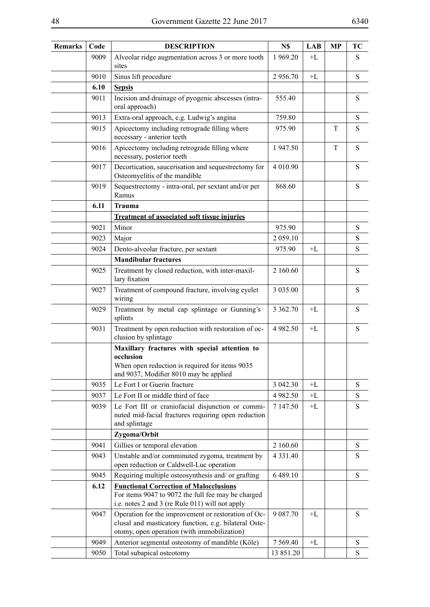| <b>Remarks</b> | Code | <b>DESCRIPTION</b>                                                                                                                                     | N\$           | LAB  | MP | TC          |
|----------------|------|--------------------------------------------------------------------------------------------------------------------------------------------------------|---------------|------|----|-------------|
|                | 9009 | Alveolar ridge augmentation across 3 or more tooth<br>sites                                                                                            | 1 969.20      | $+I$ |    | S           |
|                | 9010 | Sinus lift procedure                                                                                                                                   | 2956.70       | $+L$ |    | S           |
|                | 6.10 | <b>Sepsis</b>                                                                                                                                          |               |      |    |             |
|                | 9011 | Incision and drainage of pyogenic abscesses (intra-<br>oral approach)                                                                                  | 555.40        |      |    | ${\bf S}$   |
|                | 9013 | Extra-oral approach, e.g. Ludwig's angina                                                                                                              | 759.80        |      |    | S           |
|                | 9015 | Apicectomy including retrograde filling where<br>necessary - anterior teeth                                                                            | 975.90        |      | T  | S           |
|                | 9016 | Apicectomy including retrograde filling where<br>necessary, posterior teeth                                                                            | 1947.50       |      | T  | S           |
|                | 9017 | Decortication, saucerisation and sequestrectomy for<br>Osteomyelitis of the mandible                                                                   | 4 010.90      |      |    | S           |
|                | 9019 | Sequestrectomy - intra-oral, per sextant and/or per<br>Ramus                                                                                           | 868.60        |      |    | S           |
|                | 6.11 | <b>Trauma</b>                                                                                                                                          |               |      |    |             |
|                |      | <b>Treatment of associated soft tissue injuries</b>                                                                                                    |               |      |    |             |
|                | 9021 | Minor                                                                                                                                                  | 975.90        |      |    | S           |
|                | 9023 | Major                                                                                                                                                  | 2 059.10      |      |    | S           |
|                | 9024 | Dento-alveolar fracture, per sextant                                                                                                                   | 975.90        | $+L$ |    | S           |
|                |      | <b>Mandibular fractures</b>                                                                                                                            |               |      |    |             |
|                | 9025 | Treatment by closed reduction, with inter-maxil-<br>lary fixation                                                                                      | 2 160.60      |      |    | S           |
|                | 9027 | Treatment of compound fracture, involving eyelet<br>wiring                                                                                             | 3 0 3 5 .00   |      |    | S           |
|                | 9029 | Treatment by metal cap splintage or Gunning's<br>splints                                                                                               | 3 3 6 2 . 7 0 | $+L$ |    | S           |
|                | 9031 | Treatment by open reduction with restoration of oc-<br>clusion by splintage                                                                            | 4 9 8 2 .5 0  | $+L$ |    | S           |
|                |      | Maxillary fractures with special attention to<br>occlusion<br>When open reduction is required for items 9035<br>and 9037, Modifier 8010 may be applied |               |      |    |             |
|                | 9035 | Le Fort I or Guerin fracture                                                                                                                           | 3 042.30      | $+L$ |    | S           |
|                | 9037 | Le Fort II or middle third of face                                                                                                                     | 4 9 8 2.50    | $+L$ |    | S           |
|                | 9039 | Le Fort III or craniofacial disjunction or commi-<br>nuted mid-facial fractures requiring open reduction<br>and splintage                              | 7 147.50      | $+L$ |    | S           |
|                |      | Zygoma/Orbit                                                                                                                                           |               |      |    |             |
|                | 9041 | Gillies or temporal elevation                                                                                                                          | 2 160.60      |      |    | S           |
|                | 9043 | Unstable and/or comminuted zygoma, treatment by<br>open reduction or Caldwell-Luc operation                                                            | 4 3 3 1 . 4 0 |      |    | S           |
|                | 9045 | Requiring multiple osteosynthesis and/ or grafting                                                                                                     | 6 489.10      |      |    | $\mathbf S$ |
|                | 6.12 | <b>Functional Correction of Malocclusions</b><br>For items 9047 to 9072 the full fee may be charged                                                    |               |      |    |             |
|                | 9047 | i.e. notes 2 and 3 (re Rule 011) will not apply<br>Operation for the improvement or restoration of Oc-                                                 | 9 0 8 7 . 7 0 | $+L$ |    | S           |
|                |      | clusal and masticatory function, e.g. bilateral Oste-<br>otomy, open operation (with immobilization)                                                   |               |      |    |             |
|                | 9049 | Anterior segmental osteotomy of mandible (Köle)                                                                                                        | 7 5 6 9 . 4 0 | $+L$ |    | S           |
|                | 9050 | Total subapical osteotomy                                                                                                                              | 13 851.20     |      |    | $\mathbf S$ |
|                |      |                                                                                                                                                        |               |      |    |             |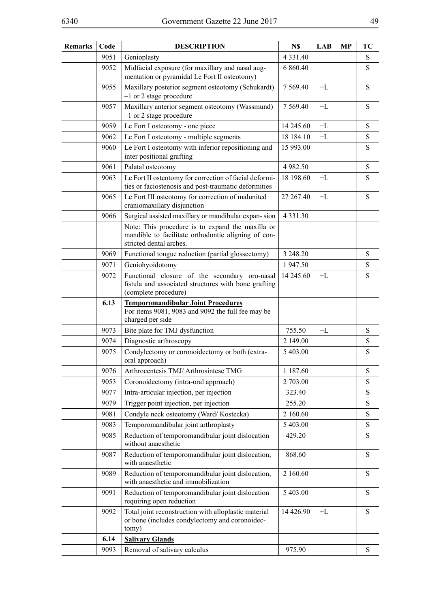| <b>Remarks</b> | Code | <b>DESCRIPTION</b>                                                                                                                 | N\$           | LAB  | <b>MP</b> | <b>TC</b>   |
|----------------|------|------------------------------------------------------------------------------------------------------------------------------------|---------------|------|-----------|-------------|
|                | 9051 | Genioplasty                                                                                                                        | 4 3 3 1 . 4 0 |      |           | S           |
|                | 9052 | Midfacial exposure (for maxillary and nasal aug-<br>mentation or pyramidal Le Fort II osteotomy)                                   | 6 860.40      |      |           | S           |
|                | 9055 | Maxillary posterior segment osteotomy (Schukardt)<br>$-1$ or 2 stage procedure                                                     | 7 5 6 9 . 4 0 | $+L$ |           | ${\bf S}$   |
|                | 9057 | Maxillary anterior segment osteotomy (Wassmund)<br>$-1$ or 2 stage procedure                                                       | 7 5 6 9 . 4 0 | $+L$ |           | S           |
|                | 9059 | Le Fort I osteotomy - one piece                                                                                                    | 14 245.60     | $+L$ |           | ${\bf S}$   |
|                | 9062 | Le Fort I osteotomy - multiple segments                                                                                            | 18 184.10     | $+L$ |           | ${\bf S}$   |
|                | 9060 | Le Fort I osteotomy with inferior repositioning and<br>inter positional grafting                                                   | 15 993.00     |      |           | S           |
|                | 9061 | Palatal osteotomy                                                                                                                  | 4 9 8 2 . 5 0 |      |           | ${\bf S}$   |
|                | 9063 | Le Fort II osteotomy for correction of facial deformi-<br>ties or faciostenosis and post-traumatic deformities                     | 18 198.60     | $+L$ |           | ${\bf S}$   |
|                | 9065 | Le Fort III osteotomy for correction of malunited<br>craniomaxillary disjunction                                                   | 27 267.40     | $+L$ |           | ${\bf S}$   |
|                | 9066 | Surgical assisted maxillary or mandibular expan-sion                                                                               | 4 3 3 1 . 3 0 |      |           |             |
|                |      | Note: This procedure is to expand the maxilla or<br>mandible to facilitate orthodontic aligning of con-<br>stricted dental arches. |               |      |           |             |
|                | 9069 | Functional tongue reduction (partial glossectomy)                                                                                  | 3 248.20      |      |           | S           |
|                | 9071 | Geniohyoidotomy                                                                                                                    | 1947.50       |      |           | S           |
|                | 9072 | Functional closure of the secondary oro-nasal<br>fistula and associated structures with bone grafting<br>(complete procedure)      | 14 245.60     | $+L$ |           | S           |
|                | 6.13 | <b>Temporomandibular Joint Procedures</b><br>For items 9081, 9083 and 9092 the full fee may be<br>charged per side                 |               |      |           |             |
|                | 9073 | Bite plate for TMJ dysfunction                                                                                                     | 755.50        | $+L$ |           | S           |
|                | 9074 | Diagnostic arthroscopy                                                                                                             | 2 149.00      |      |           | S           |
|                | 9075 | Condylectomy or coronoidectomy or both (extra-<br>oral approach)                                                                   | 5 403.00      |      |           | S           |
|                | 9076 | Arthrocentesis TMJ/ Arthrosintese TMG                                                                                              | 1 187.60      |      |           | $\mathbf S$ |
|                | 9053 | Coronoidectomy (intra-oral approach)                                                                                               | 2 703.00      |      |           | S           |
|                | 9077 | Intra-articular injection, per injection                                                                                           | 323.40        |      |           | S           |
|                | 9079 | Trigger point injection, per injection                                                                                             | 255.20        |      |           | ${\bf S}$   |
|                | 9081 | Condyle neck osteotomy (Ward/Kostecka)                                                                                             | 2 160.60      |      |           | S           |
|                | 9083 | Temporomandibular joint arthroplasty                                                                                               | 5 403.00      |      |           | S           |
|                | 9085 | Reduction of temporomandibular joint dislocation<br>without anaesthetic                                                            | 429.20        |      |           | ${\bf S}$   |
|                | 9087 | Reduction of temporomandibular joint dislocation,<br>with anaesthetic                                                              | 868.60        |      |           | S           |
|                | 9089 | Reduction of temporomandibular joint dislocation,<br>with anaesthetic and immobilization                                           | 2 160.60      |      |           | ${\bf S}$   |
|                | 9091 | Reduction of temporomandibular joint dislocation<br>requiring open reduction                                                       | 5 403.00      |      |           | S           |
|                | 9092 | Total joint reconstruction with alloplastic material<br>or bone (includes condylectomy and coronoidec-<br>tomy)                    | 14 4 26.90    | $+L$ |           | S           |
|                | 6.14 | <b>Salivary Glands</b>                                                                                                             |               |      |           |             |
|                | 9093 | Removal of salivary calculus                                                                                                       | 975.90        |      |           | S           |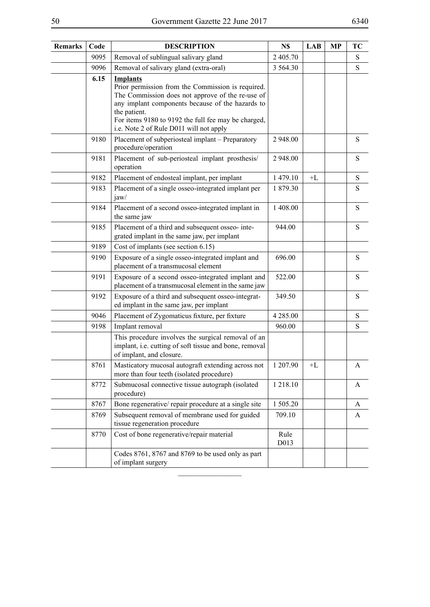| <b>Remarks</b> | Code | <b>DESCRIPTION</b>                                                                                                                                                                                                                                                                             | N\$           | <b>LAB</b> | <b>MP</b> | TC          |
|----------------|------|------------------------------------------------------------------------------------------------------------------------------------------------------------------------------------------------------------------------------------------------------------------------------------------------|---------------|------------|-----------|-------------|
|                | 9095 | Removal of sublingual salivary gland                                                                                                                                                                                                                                                           | 2 405.70      |            |           | S           |
|                | 9096 | Removal of salivary gland (extra-oral)                                                                                                                                                                                                                                                         | 3 5 6 4 . 3 0 |            |           | ${\bf S}$   |
|                | 6.15 | <b>Implants</b><br>Prior permission from the Commission is required.<br>The Commission does not approve of the re-use of<br>any implant components because of the hazards to<br>the patient.<br>For items 9180 to 9192 the full fee may be charged,<br>i.e. Note 2 of Rule D011 will not apply |               |            |           |             |
|                | 9180 | Placement of subperiosteal implant – Preparatory<br>procedure/operation                                                                                                                                                                                                                        | 2 948.00      |            |           | ${\bf S}$   |
|                | 9181 | Placement of sub-periosteal implant prosthesis/<br>operation                                                                                                                                                                                                                                   | 2 948.00      |            |           | S           |
|                | 9182 | Placement of endosteal implant, per implant                                                                                                                                                                                                                                                    | 1479.10       | $+L$       |           | S           |
|                | 9183 | Placement of a single osseo-integrated implant per<br>iaw/                                                                                                                                                                                                                                     | 1879.30       |            |           | ${\bf S}$   |
|                | 9184 | Placement of a second osseo-integrated implant in<br>the same jaw                                                                                                                                                                                                                              | 1 408.00      |            |           | $\mathbf S$ |
|                | 9185 | Placement of a third and subsequent osseo-inte-<br>grated implant in the same jaw, per implant                                                                                                                                                                                                 | 944.00        |            |           | S           |
|                | 9189 | Cost of implants (see section 6.15)                                                                                                                                                                                                                                                            |               |            |           |             |
|                | 9190 | Exposure of a single osseo-integrated implant and<br>placement of a transmucosal element                                                                                                                                                                                                       | 696.00        |            |           | ${\bf S}$   |
|                | 9191 | Exposure of a second osseo-integrated implant and<br>placement of a transmucosal element in the same jaw                                                                                                                                                                                       | 522.00        |            |           | S           |
|                | 9192 | Exposure of a third and subsequent osseo-integrat-<br>ed implant in the same jaw, per implant                                                                                                                                                                                                  | 349.50        |            |           | ${\bf S}$   |
|                | 9046 | Placement of Zygomaticus fixture, per fixture                                                                                                                                                                                                                                                  | 4 2 8 5 .00   |            |           | ${\bf S}$   |
|                | 9198 | Implant removal                                                                                                                                                                                                                                                                                | 960.00        |            |           | ${\bf S}$   |
|                |      | This procedure involves the surgical removal of an<br>implant, i.e. cutting of soft tissue and bone, removal<br>of implant, and closure.                                                                                                                                                       |               |            |           |             |
|                | 8761 | Masticatory mucosal autograft extending across not<br>more than four teeth (isolated procedure)                                                                                                                                                                                                | 1 207.90      | +L         |           | A           |
|                | 8772 | Submucosal connective tissue autograph (isolated<br>procedure)                                                                                                                                                                                                                                 | 1 218.10      |            |           | A           |
|                | 8767 | Bone regenerative/ repair procedure at a single site                                                                                                                                                                                                                                           | 1505.20       |            |           | A           |
|                | 8769 | Subsequent removal of membrane used for guided<br>tissue regeneration procedure                                                                                                                                                                                                                | 709.10        |            |           | A           |
|                | 8770 | Cost of bone regenerative/repair material                                                                                                                                                                                                                                                      | Rule<br>D013  |            |           |             |
|                |      | Codes 8761, 8767 and 8769 to be used only as part<br>of implant surgery                                                                                                                                                                                                                        |               |            |           |             |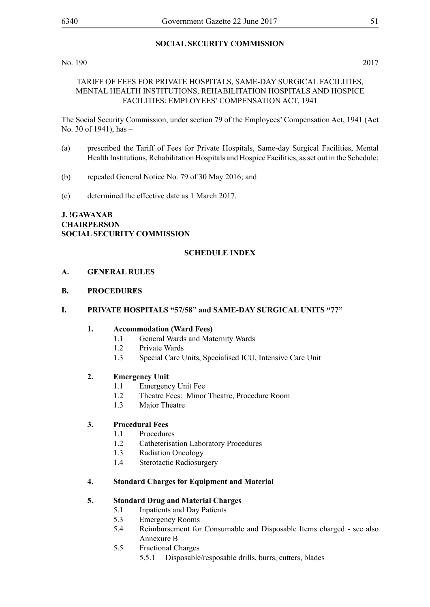# **SOCIAL SECURITY COMMISSION**

No. 190 2017

#### TARIFF OF FEES FOR PRIVATE HOSPITALS, SAME-DAY SURGICAL FACILITIES, MENTAL HEALTH INSTITUTIONS, REHABILITATION HOSPITALS AND HOSPICE FACILITIES: EMPLOYEES' COMPENSATION ACT, 1941

The Social Security Commission, under section 79 of the Employees' Compensation Act, 1941 (Act No. 30 of 1941), has –

- (a) prescribed the Tariff of Fees for Private Hospitals, Same-day Surgical Facilities, Mental Health Institutions, Rehabilitation Hospitals and Hospice Facilities, as set out in the Schedule;
- (b) repealed General Notice No. 79 of 30 May 2016; and
- (c) determined the effective date as 1 March 2017.

# **J. !Gawaxab CHAIRPERSON SOCIAL SECURITY COMMISSION**

## **SCHEDULE INDEX**

## **A. GENERAL RULES**

**B. PROCEDURES**

## **I. PRIVATE HOSPITALS "57/58" and SAME-DAY SURGICAL UNITS "77"**

## **1. Accommodation (Ward Fees)**

- 1.1 General Wards and Maternity Wards
- 1.2 Private Wards
- 1.3 Special Care Units, Specialised ICU, Intensive Care Unit

## **2. Emergency Unit**

- 1.1 Emergency Unit Fee
- 1.2 Theatre Fees: Minor Theatre, Procedure Room
- 1.3 Major Theatre

## **3. Procedural Fees**

- 1.1 Procedures
- 1.2 Catheterisation Laboratory Procedures
- 1.3 Radiation Oncology
- 1.4 Sterotactic Radiosurgery

## **4. Standard Charges for Equipment and Material**

## **5. Standard Drug and Material Charges**

- 5.1 Inpatients and Day Patients
- 5.3 Emergency Rooms
- 5.4 Reimbursement for Consumable and Disposable Items charged see also Annexure B
- 5.5 Fractional Charges
	- 5.5.1 Disposable/resposable drills, burrs, cutters, blades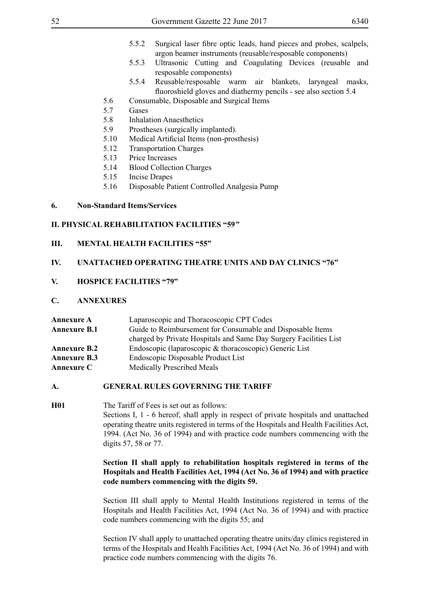- 5.5.2 Surgical laser fibre optic leads, hand pieces and probes, scalpels, argon beamer instruments (reusable/resposable components)
- 5.5.3 Ultrasonic Cutting and Coagulating Devices (reusable and resposable components)
- 5.5.4 Reusable/resposable warm air blankets, laryngeal masks, fluoroshield gloves and diathermy pencils - see also section 5.4
- 5.6 Consumable, Disposable and Surgical Items
- 5.7 Gases
- 5.8 Inhalation Anaesthetics
- 5.9 Prostheses (surgically implanted).
- 5.10 Medical Artificial Items (non-prosthesis)
- 5.12 Transportation Charges
- 5.13 Price Increases
- 5.14 Blood Collection Charges
- 5.15 Incise Drapes
- 5.16 Disposable Patient Controlled Analgesia Pump

#### **6. Non-Standard Items/Services**

#### **II. PHYSICAL REHABILITATION FACILITIES "59***"*

#### **III. MENTAL HEALTH FACILITIES "55"**

#### **IV. UNATTACHED OPERATING THEATRE UNITS AND DAY CLINICS "76"**

#### **V. HOSPICE FACILITIES "79"**

#### **C. ANNEXURES**

| <b>Annexure A</b>   | Laparoscopic and Thoracoscopic CPT Codes                          |
|---------------------|-------------------------------------------------------------------|
| <b>Annexure B.1</b> | Guide to Reimbursement for Consumable and Disposable Items        |
|                     | charged by Private Hospitals and Same Day Surgery Facilities List |
| <b>Annexure B.2</b> | Endoscopic (laparoscopic & thoracoscopic) Generic List            |
| <b>Annexure B.3</b> | Endoscopic Disposable Product List                                |
| Annexure C          | <b>Medically Prescribed Meals</b>                                 |

#### **A. GENERAL RULES GOVERNING THE TARIFF**

**H01** The Tariff of Fees is set out as follows: Sections I, 1 - 6 hereof, shall apply in respect of private hospitals and unattached operating theatre units registered in terms of the Hospitals and Health Facilities Act, 1994. (Act No. 36 of 1994) and with practice code numbers commencing with the digits 57, 58 or 77.

#### **Section II shall apply to rehabilitation hospitals registered in terms of the Hospitals and Health Facilities Act, 1994 (Act No. 36 of 1994) and with practice code numbers commencing with the digits 59.**

Section III shall apply to Mental Health Institutions registered in terms of the Hospitals and Health Facilities Act, 1994 (Act No. 36 of 1994) and with practice code numbers commencing with the digits 55; and

Section IV shall apply to unattached operating theatre units/day clinics registered in terms of the Hospitals and Health Facilities Act, 1994 (Act No. 36 of 1994) and with practice code numbers commencing with the digits 76.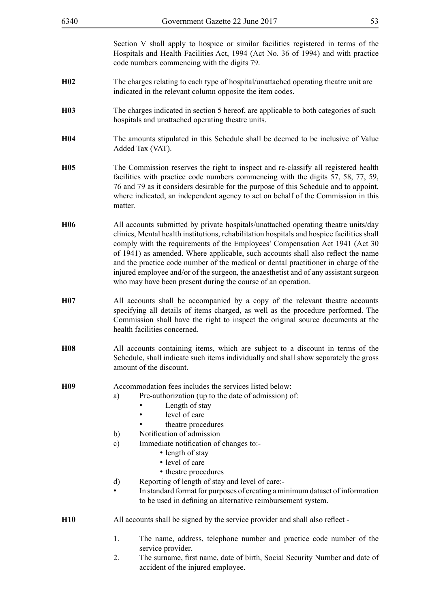| 6340            | 53<br>Government Gazette 22 June 2017                                                                                                                                                                                                                                                                                                                                                                                                                                                                                                                                                                |
|-----------------|------------------------------------------------------------------------------------------------------------------------------------------------------------------------------------------------------------------------------------------------------------------------------------------------------------------------------------------------------------------------------------------------------------------------------------------------------------------------------------------------------------------------------------------------------------------------------------------------------|
|                 | Section V shall apply to hospice or similar facilities registered in terms of the<br>Hospitals and Health Facilities Act, 1994 (Act No. 36 of 1994) and with practice<br>code numbers commencing with the digits 79.                                                                                                                                                                                                                                                                                                                                                                                 |
| H02             | The charges relating to each type of hospital/unattached operating theatre unit are<br>indicated in the relevant column opposite the item codes.                                                                                                                                                                                                                                                                                                                                                                                                                                                     |
| H <sub>03</sub> | The charges indicated in section 5 hereof, are applicable to both categories of such<br>hospitals and unattached operating theatre units.                                                                                                                                                                                                                                                                                                                                                                                                                                                            |
| H04             | The amounts stipulated in this Schedule shall be deemed to be inclusive of Value<br>Added Tax (VAT).                                                                                                                                                                                                                                                                                                                                                                                                                                                                                                 |
| H05             | The Commission reserves the right to inspect and re-classify all registered health<br>facilities with practice code numbers commencing with the digits 57, 58, 77, 59,<br>76 and 79 as it considers desirable for the purpose of this Schedule and to appoint,<br>where indicated, an independent agency to act on behalf of the Commission in this<br>matter.                                                                                                                                                                                                                                       |
| H <sub>06</sub> | All accounts submitted by private hospitals/unattached operating theatre units/day<br>clinics, Mental health institutions, rehabilitation hospitals and hospice facilities shall<br>comply with the requirements of the Employees' Compensation Act 1941 (Act 30<br>of 1941) as amended. Where applicable, such accounts shall also reflect the name<br>and the practice code number of the medical or dental practitioner in charge of the<br>injured employee and/or of the surgeon, the anaesthetist and of any assistant surgeon<br>who may have been present during the course of an operation. |
| H07             | All accounts shall be accompanied by a copy of the relevant theatre accounts<br>specifying all details of items charged, as well as the procedure performed. The<br>Commission shall have the right to inspect the original source documents at the<br>health facilities concerned.                                                                                                                                                                                                                                                                                                                  |
| H <sub>08</sub> | All accounts containing items, which are subject to a discount in terms of the<br>Schedule, shall indicate such items individually and shall show separately the gross<br>amount of the discount.                                                                                                                                                                                                                                                                                                                                                                                                    |
| H09             | Accommodation fees includes the services listed below:<br>Pre-authorization (up to the date of admission) of:<br>a)<br>Length of stay<br>level of care<br>theatre procedures<br>Notification of admission<br>b)<br>Immediate notification of changes to:-<br>$\mathbf{c})$<br>• length of stay<br>• level of care<br>• theatre procedures<br>Reporting of length of stay and level of care:-<br>d)<br>In standard format for purposes of creating a minimum dataset of information<br>$\bullet$<br>to be used in defining an alternative reimbursement system.                                       |
| H10             | All accounts shall be signed by the service provider and shall also reflect -                                                                                                                                                                                                                                                                                                                                                                                                                                                                                                                        |
|                 | 1.<br>The name, address, telephone number and practice code number of the<br>service provider.<br>2.<br>The surname, first name, date of birth, Social Security Number and date of<br>accident of the injured employee.                                                                                                                                                                                                                                                                                                                                                                              |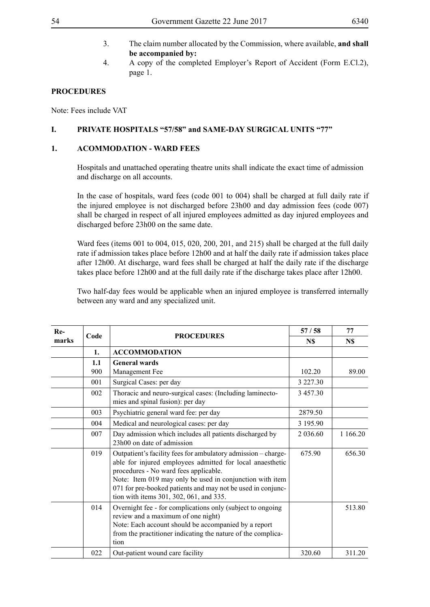- 3. The claim number allocated by the Commission, where available, **and shall be accompanied by:**
- 4. A copy of the completed Employer's Report of Accident (Form E.Cl.2), page 1.

#### **PROCEDURES**

Note: Fees include VAT

## **I. PRIVATE HOSPITALS "57/58" and SAME-DAY SURGICAL UNITS "77"**

### **1. ACOMMODATION - WARD FEES**

Hospitals and unattached operating theatre units shall indicate the exact time of admission and discharge on all accounts.

In the case of hospitals, ward fees (code 001 to 004) shall be charged at full daily rate if the injured employee is not discharged before 23h00 and day admission fees (code 007) shall be charged in respect of all injured employees admitted as day injured employees and discharged before 23h00 on the same date.

Ward fees (items 001 to 004, 015, 020, 200, 201, and 215) shall be charged at the full daily rate if admission takes place before 12h00 and at half the daily rate if admission takes place after 12h00. At discharge, ward fees shall be charged at half the daily rate if the discharge takes place before 12h00 and at the full daily rate if the discharge takes place after 12h00.

Two half-day fees would be applicable when an injured employee is transferred internally between any ward and any specialized unit.

| Re-   | Code |                                                                                                                                                                                                                                                                                                                                           | 57/58    | 77       |
|-------|------|-------------------------------------------------------------------------------------------------------------------------------------------------------------------------------------------------------------------------------------------------------------------------------------------------------------------------------------------|----------|----------|
| marks |      | <b>PROCEDURES</b>                                                                                                                                                                                                                                                                                                                         | N\$      | N\$      |
|       | 1.   | <b>ACCOMMODATION</b>                                                                                                                                                                                                                                                                                                                      |          |          |
|       | 1.1  | <b>General wards</b>                                                                                                                                                                                                                                                                                                                      |          |          |
|       | 900  | Management Fee                                                                                                                                                                                                                                                                                                                            | 102.20   | 89.00    |
|       | 001  | Surgical Cases: per day                                                                                                                                                                                                                                                                                                                   | 3 227.30 |          |
|       | 002  | Thoracic and neuro-surgical cases: (Including laminecto-<br>mies and spinal fusion): per day                                                                                                                                                                                                                                              | 3 457.30 |          |
|       | 003  | Psychiatric general ward fee: per day                                                                                                                                                                                                                                                                                                     | 2879.50  |          |
|       | 004  | Medical and neurological cases: per day                                                                                                                                                                                                                                                                                                   | 3 195.90 |          |
|       | 007  | Day admission which includes all patients discharged by<br>23h00 on date of admission                                                                                                                                                                                                                                                     | 2 036.60 | 1 166.20 |
|       | 019  | Outpatient's facility fees for ambulatory admission - charge-<br>able for injured employees admitted for local anaesthetic<br>procedures - No ward fees applicable.<br>Note: Item 019 may only be used in conjunction with item<br>071 for pre-booked patients and may not be used in conjunc-<br>tion with items 301, 302, 061, and 335. | 675.90   | 656.30   |
|       | 014  | Overnight fee - for complications only (subject to ongoing<br>review and a maximum of one night)<br>Note: Each account should be accompanied by a report<br>from the practitioner indicating the nature of the complica-<br>tion                                                                                                          |          | 513.80   |
|       | 022  | Out-patient wound care facility                                                                                                                                                                                                                                                                                                           | 320.60   | 311.20   |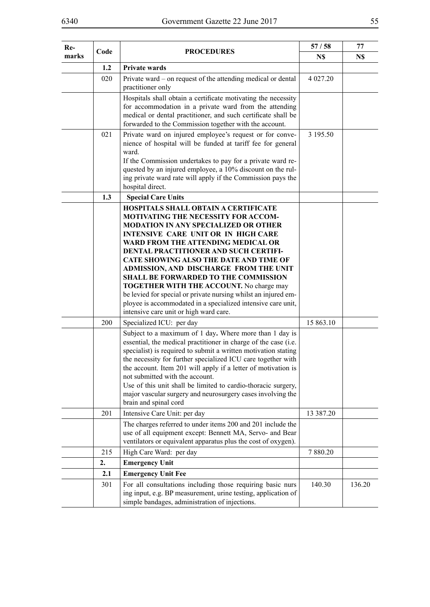| Re-   | Code      |                                                                                                                                                                                                                                                                                                                                                                                                                                                                                                                                                                                                                                                | 57/58     | 77     |
|-------|-----------|------------------------------------------------------------------------------------------------------------------------------------------------------------------------------------------------------------------------------------------------------------------------------------------------------------------------------------------------------------------------------------------------------------------------------------------------------------------------------------------------------------------------------------------------------------------------------------------------------------------------------------------------|-----------|--------|
| marks |           | <b>PROCEDURES</b>                                                                                                                                                                                                                                                                                                                                                                                                                                                                                                                                                                                                                              | N\$       | N\$    |
|       | 1.2       | Private wards                                                                                                                                                                                                                                                                                                                                                                                                                                                                                                                                                                                                                                  |           |        |
|       | 020       | Private ward – on request of the attending medical or dental<br>practitioner only                                                                                                                                                                                                                                                                                                                                                                                                                                                                                                                                                              | 4 027.20  |        |
|       |           | Hospitals shall obtain a certificate motivating the necessity<br>for accommodation in a private ward from the attending<br>medical or dental practitioner, and such certificate shall be<br>forwarded to the Commission together with the account.                                                                                                                                                                                                                                                                                                                                                                                             |           |        |
|       | 021       | Private ward on injured employee's request or for conve-<br>nience of hospital will be funded at tariff fee for general<br>ward.<br>If the Commission undertakes to pay for a private ward re-<br>quested by an injured employee, a 10% discount on the rul-<br>ing private ward rate will apply if the Commission pays the<br>hospital direct.                                                                                                                                                                                                                                                                                                | 3 195.50  |        |
|       | 1.3       | <b>Special Care Units</b>                                                                                                                                                                                                                                                                                                                                                                                                                                                                                                                                                                                                                      |           |        |
|       | 200       | HOSPITALS SHALL OBTAIN A CERTIFICATE<br>MOTIVATING THE NECESSITY FOR ACCOM-<br><b>MODATION IN ANY SPECIALIZED OR OTHER</b><br><b>INTENSIVE CARE UNIT OR IN HIGH CARE</b><br>WARD FROM THE ATTENDING MEDICAL OR<br>DENTAL PRACTITIONER AND SUCH CERTIFI-<br>CATE SHOWING ALSO THE DATE AND TIME OF<br>ADMISSION, AND DISCHARGE FROM THE UNIT<br>SHALL BE FORWARDED TO THE COMMISSION<br><b>TOGETHER WITH THE ACCOUNT.</b> No charge may<br>be levied for special or private nursing whilst an injured em-<br>ployee is accommodated in a specialized intensive care unit,<br>intensive care unit or high ward care.<br>Specialized ICU: per day | 15 863.10 |        |
|       |           | Subject to a maximum of 1 day. Where more than 1 day is<br>essential, the medical practitioner in charge of the case (i.e.<br>specialist) is required to submit a written motivation stating<br>the necessity for further specialized ICU care together with<br>the account. Item 201 will apply if a letter of motivation is<br>not submitted with the account.<br>Use of this unit shall be limited to cardio-thoracic surgery,<br>major vascular surgery and neurosurgery cases involving the<br>brain and spinal cord                                                                                                                      |           |        |
|       | 201       | Intensive Care Unit: per day<br>The charges referred to under items 200 and 201 include the<br>use of all equipment except: Bennett MA, Servo- and Bear                                                                                                                                                                                                                                                                                                                                                                                                                                                                                        | 13 387.20 |        |
|       |           | ventilators or equivalent apparatus plus the cost of oxygen).                                                                                                                                                                                                                                                                                                                                                                                                                                                                                                                                                                                  | 7880.20   |        |
|       | 215<br>2. | High Care Ward: per day<br><b>Emergency Unit</b>                                                                                                                                                                                                                                                                                                                                                                                                                                                                                                                                                                                               |           |        |
|       | 2.1       | <b>Emergency Unit Fee</b>                                                                                                                                                                                                                                                                                                                                                                                                                                                                                                                                                                                                                      |           |        |
|       | 301       | For all consultations including those requiring basic nurs<br>ing input, e.g. BP measurement, urine testing, application of<br>simple bandages, administration of injections.                                                                                                                                                                                                                                                                                                                                                                                                                                                                  | 140.30    | 136.20 |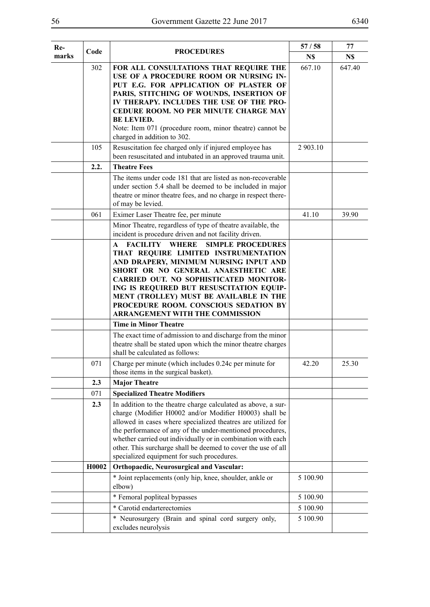| Re-   | Code  | <b>PROCEDURES</b>                                                                                                                                                                                                                                                                                                                                                                                                                   | 57/58    | 77     |
|-------|-------|-------------------------------------------------------------------------------------------------------------------------------------------------------------------------------------------------------------------------------------------------------------------------------------------------------------------------------------------------------------------------------------------------------------------------------------|----------|--------|
| marks |       |                                                                                                                                                                                                                                                                                                                                                                                                                                     | N\$      | N\$    |
|       | 302   | FOR ALL CONSULTATIONS THAT REQUIRE THE<br>USE OF A PROCEDURE ROOM OR NURSING IN-<br>PUT E.G. FOR APPLICATION OF PLASTER OF<br>PARIS, STITCHING OF WOUNDS, INSERTION OF                                                                                                                                                                                                                                                              | 667.10   | 647.40 |
|       |       | IV THERAPY. INCLUDES THE USE OF THE PRO-<br><b>CEDURE ROOM. NO PER MINUTE CHARGE MAY</b><br><b>BE LEVIED.</b><br>Note: Item 071 (procedure room, minor theatre) cannot be<br>charged in addition to 302.                                                                                                                                                                                                                            |          |        |
|       | 105   | Resuscitation fee charged only if injured employee has<br>been resuscitated and intubated in an approved trauma unit.                                                                                                                                                                                                                                                                                                               | 2 903.10 |        |
|       | 2.2.  | <b>Theatre Fees</b>                                                                                                                                                                                                                                                                                                                                                                                                                 |          |        |
|       |       | The items under code 181 that are listed as non-recoverable<br>under section 5.4 shall be deemed to be included in major<br>theatre or minor theatre fees, and no charge in respect there-<br>of may be levied.                                                                                                                                                                                                                     |          |        |
|       | 061   | Eximer Laser Theatre fee, per minute                                                                                                                                                                                                                                                                                                                                                                                                | 41.10    | 39.90  |
|       |       | Minor Theatre, regardless of type of theatre available, the<br>incident is procedure driven and not facility driven.                                                                                                                                                                                                                                                                                                                |          |        |
|       |       | <b>FACILITY WHERE</b><br><b>SIMPLE PROCEDURES</b><br>A<br>THAT REQUIRE LIMITED INSTRUMENTATION<br>AND DRAPERY, MINIMUM NURSING INPUT AND<br>SHORT OR NO GENERAL ANAESTHETIC ARE<br>CARRIED OUT. NO SOPHISTICATED MONITOR-<br>ING IS REQUIRED BUT RESUSCITATION EQUIP-<br>MENT (TROLLEY) MUST BE AVAILABLE IN THE<br>PROCEDURE ROOM. CONSCIOUS SEDATION BY<br><b>ARRANGEMENT WITH THE COMMISSION</b>                                 |          |        |
|       |       | <b>Time in Minor Theatre</b>                                                                                                                                                                                                                                                                                                                                                                                                        |          |        |
|       |       | The exact time of admission to and discharge from the minor<br>theatre shall be stated upon which the minor theatre charges<br>shall be calculated as follows:                                                                                                                                                                                                                                                                      |          |        |
|       | 071   | Charge per minute (which includes 0.24c per minute for<br>those items in the surgical basket).                                                                                                                                                                                                                                                                                                                                      | 42.20    | 25.30  |
|       | 2.3   | <b>Major Theatre</b>                                                                                                                                                                                                                                                                                                                                                                                                                |          |        |
|       | 071   | <b>Specialized Theatre Modifiers</b>                                                                                                                                                                                                                                                                                                                                                                                                |          |        |
|       | 2.3   | In addition to the theatre charge calculated as above, a sur-<br>charge (Modifier H0002 and/or Modifier H0003) shall be<br>allowed in cases where specialized theatres are utilized for<br>the performance of any of the under-mentioned procedures,<br>whether carried out individually or in combination with each<br>other. This surcharge shall be deemed to cover the use of all<br>specialized equipment for such procedures. |          |        |
|       | H0002 | Orthopaedic, Neurosurgical and Vascular:                                                                                                                                                                                                                                                                                                                                                                                            |          |        |
|       |       | * Joint replacements (only hip, knee, shoulder, ankle or<br>elbow)                                                                                                                                                                                                                                                                                                                                                                  | 5 100.90 |        |
|       |       | * Femoral popliteal bypasses                                                                                                                                                                                                                                                                                                                                                                                                        | 5 100.90 |        |
|       |       | * Carotid endarterectomies                                                                                                                                                                                                                                                                                                                                                                                                          | 5 100.90 |        |
|       |       | * Neurosurgery (Brain and spinal cord surgery only,<br>excludes neurolysis                                                                                                                                                                                                                                                                                                                                                          | 5 100.90 |        |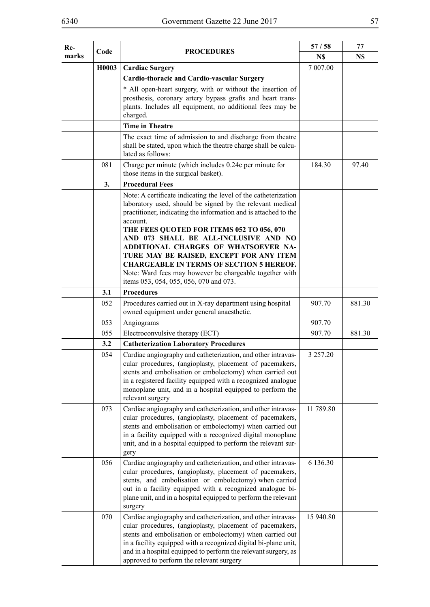|                    | . .<br>٠ |
|--------------------|----------|
| - 1                |          |
| ۰.<br>۰,<br>×<br>٧ |          |

| Re-   | Code  | <b>PROCEDURES</b>                                                                                                                                                                                                                                                                                                                                                     | 57/58     | 77     |
|-------|-------|-----------------------------------------------------------------------------------------------------------------------------------------------------------------------------------------------------------------------------------------------------------------------------------------------------------------------------------------------------------------------|-----------|--------|
| marks |       |                                                                                                                                                                                                                                                                                                                                                                       | N\$       | N\$    |
|       | H0003 | <b>Cardiac Surgery</b>                                                                                                                                                                                                                                                                                                                                                | 7 007.00  |        |
|       |       | <b>Cardio-thoracic and Cardio-vascular Surgery</b>                                                                                                                                                                                                                                                                                                                    |           |        |
|       |       | * All open-heart surgery, with or without the insertion of<br>prosthesis, coronary artery bypass grafts and heart trans-<br>plants. Includes all equipment, no additional fees may be<br>charged.                                                                                                                                                                     |           |        |
|       |       | <b>Time in Theatre</b>                                                                                                                                                                                                                                                                                                                                                |           |        |
|       |       | The exact time of admission to and discharge from theatre<br>shall be stated, upon which the theatre charge shall be calcu-<br>lated as follows:                                                                                                                                                                                                                      |           |        |
|       | 081   | Charge per minute (which includes 0.24c per minute for<br>those items in the surgical basket).                                                                                                                                                                                                                                                                        | 184.30    | 97.40  |
|       | 3.    | <b>Procedural Fees</b>                                                                                                                                                                                                                                                                                                                                                |           |        |
|       |       | Note: A certificate indicating the level of the catheterization<br>laboratory used, should be signed by the relevant medical<br>practitioner, indicating the information and is attached to the<br>account.<br>THE FEES QUOTED FOR ITEMS 052 TO 056, 070<br>AND 073 SHALL BE ALL-INCLUSIVE AND NO                                                                     |           |        |
|       |       | ADDITIONAL CHARGES OF WHATSOEVER NA-<br>TURE MAY BE RAISED, EXCEPT FOR ANY ITEM<br><b>CHARGEABLE IN TERMS OF SECTION 5 HEREOF.</b><br>Note: Ward fees may however be chargeable together with<br>items 053, 054, 055, 056, 070 and 073.                                                                                                                               |           |        |
|       | 3.1   | <b>Procedures</b>                                                                                                                                                                                                                                                                                                                                                     |           |        |
|       | 052   | Procedures carried out in X-ray department using hospital<br>owned equipment under general anaesthetic.                                                                                                                                                                                                                                                               | 907.70    | 881.30 |
|       | 053   | Angiograms                                                                                                                                                                                                                                                                                                                                                            | 907.70    |        |
|       | 055   | Electroconvulsive therapy (ECT)                                                                                                                                                                                                                                                                                                                                       | 907.70    | 881.30 |
|       | 3.2   | <b>Catheterization Laboratory Procedures</b>                                                                                                                                                                                                                                                                                                                          |           |        |
|       | 054   | Cardiac angiography and catheterization, and other intravas-<br>cular procedures, (angioplasty, placement of pacemakers,<br>stents and embolisation or embolectomy) when carried out<br>in a registered facility equipped with a recognized analogue<br>monoplane unit, and in a hospital equipped to perform the<br>relevant surgery                                 | 3 257.20  |        |
|       | 073   | Cardiac angiography and catheterization, and other intravas-<br>cular procedures, (angioplasty, placement of pacemakers,<br>stents and embolisation or embolectomy) when carried out<br>in a facility equipped with a recognized digital monoplane<br>unit, and in a hospital equipped to perform the relevant sur-<br>gery                                           | 11 789.80 |        |
|       | 056   | Cardiac angiography and catheterization, and other intravas-<br>cular procedures, (angioplasty, placement of pacemakers,<br>stents, and embolisation or embolectomy) when carried<br>out in a facility equipped with a recognized analogue bi-<br>plane unit, and in a hospital equipped to perform the relevant<br>surgery                                           | 6 136.30  |        |
|       | 070   | Cardiac angiography and catheterization, and other intravas-<br>cular procedures, (angioplasty, placement of pacemakers,<br>stents and embolisation or embolectomy) when carried out<br>in a facility equipped with a recognized digital bi-plane unit,<br>and in a hospital equipped to perform the relevant surgery, as<br>approved to perform the relevant surgery | 15 940.80 |        |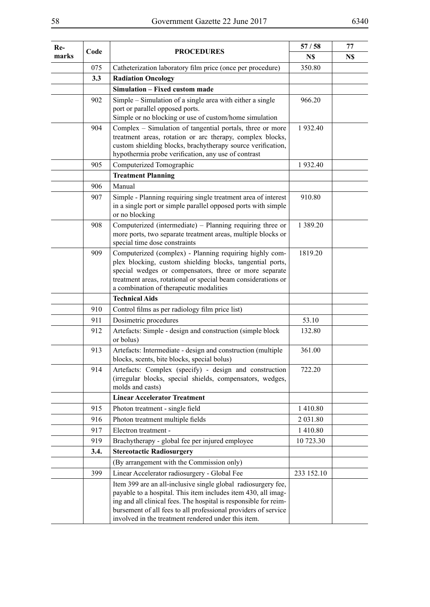| Re-   |      |                                                                                                                                                                                                                                                                                                                             | 57/58        | 77  |
|-------|------|-----------------------------------------------------------------------------------------------------------------------------------------------------------------------------------------------------------------------------------------------------------------------------------------------------------------------------|--------------|-----|
| marks | Code | <b>PROCEDURES</b>                                                                                                                                                                                                                                                                                                           | N\$          | N\$ |
|       | 075  | Catheterization laboratory film price (once per procedure)                                                                                                                                                                                                                                                                  | 350.80       |     |
|       | 3.3  | <b>Radiation Oncology</b>                                                                                                                                                                                                                                                                                                   |              |     |
|       |      | Simulation - Fixed custom made                                                                                                                                                                                                                                                                                              |              |     |
|       | 902  | Simple – Simulation of a single area with either a single<br>port or parallel opposed ports.<br>Simple or no blocking or use of custom/home simulation                                                                                                                                                                      | 966.20       |     |
|       | 904  | Complex – Simulation of tangential portals, three or more<br>treatment areas, rotation or arc therapy, complex blocks,<br>custom shielding blocks, brachytherapy source verification,<br>hypothermia probe verification, any use of contrast                                                                                | 1932.40      |     |
|       | 905  | Computerized Tomographic                                                                                                                                                                                                                                                                                                    | 1932.40      |     |
|       |      | <b>Treatment Planning</b>                                                                                                                                                                                                                                                                                                   |              |     |
|       | 906  | Manual                                                                                                                                                                                                                                                                                                                      |              |     |
|       | 907  | Simple - Planning requiring single treatment area of interest<br>in a single port or simple parallel opposed ports with simple<br>or no blocking                                                                                                                                                                            | 910.80       |     |
|       | 908  | Computerized (intermediate) - Planning requiring three or<br>more ports, two separate treatment areas, multiple blocks or<br>special time dose constraints                                                                                                                                                                  | 1 3 8 9 . 20 |     |
|       | 909  | Computerized (complex) - Planning requiring highly com-<br>plex blocking, custom shielding blocks, tangential ports,<br>special wedges or compensators, three or more separate<br>treatment areas, rotational or special beam considerations or<br>a combination of therapeutic modalities                                  | 1819.20      |     |
|       |      | <b>Technical Aids</b>                                                                                                                                                                                                                                                                                                       |              |     |
|       | 910  | Control films as per radiology film price list)                                                                                                                                                                                                                                                                             |              |     |
|       | 911  | Dosimetric procedures                                                                                                                                                                                                                                                                                                       | 53.10        |     |
|       | 912  | Artefacts: Simple - design and construction (simple block<br>or bolus)                                                                                                                                                                                                                                                      | 132.80       |     |
|       | 913  | Artefacts: Intermediate - design and construction (multiple<br>blocks, scents, bite blocks, special bolus)                                                                                                                                                                                                                  | 361.00       |     |
|       | 914  | Artefacts: Complex (specify) - design and construction<br>(irregular blocks, special shields, compensators, wedges,<br>molds and casts)                                                                                                                                                                                     | 722.20       |     |
|       |      | <b>Linear Accelerator Treatment</b>                                                                                                                                                                                                                                                                                         |              |     |
|       | 915  | Photon treatment - single field                                                                                                                                                                                                                                                                                             | 1410.80      |     |
|       | 916  | Photon treatment multiple fields                                                                                                                                                                                                                                                                                            | 2 031.80     |     |
|       | 917  | Electron treatment -                                                                                                                                                                                                                                                                                                        | 1410.80      |     |
|       | 919  | Brachytherapy - global fee per injured employee                                                                                                                                                                                                                                                                             | 10 723.30    |     |
|       | 3.4. | <b>Stereotactic Radiosurgery</b>                                                                                                                                                                                                                                                                                            |              |     |
|       |      | (By arrangement with the Commission only)                                                                                                                                                                                                                                                                                   |              |     |
|       | 399  | Linear Accelerator radiosurgery - Global Fee                                                                                                                                                                                                                                                                                | 233 152.10   |     |
|       |      | Item 399 are an all-inclusive single global radiosurgery fee,<br>payable to a hospital. This item includes item 430, all imag-<br>ing and all clinical fees. The hospital is responsible for reim-<br>bursement of all fees to all professional providers of service<br>involved in the treatment rendered under this item. |              |     |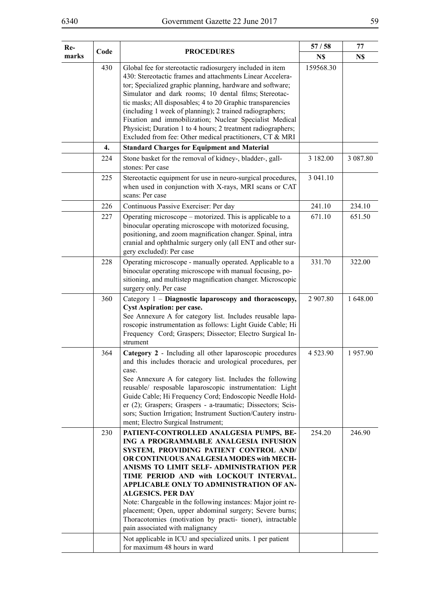| Re-   |      |                                                                                                                                                                                                                                                                                                                                                                                                                                                                                                                                                               | 57/58     | 77       |
|-------|------|---------------------------------------------------------------------------------------------------------------------------------------------------------------------------------------------------------------------------------------------------------------------------------------------------------------------------------------------------------------------------------------------------------------------------------------------------------------------------------------------------------------------------------------------------------------|-----------|----------|
| marks | Code | <b>PROCEDURES</b>                                                                                                                                                                                                                                                                                                                                                                                                                                                                                                                                             | N\$       | N\$      |
|       | 430  | Global fee for stereotactic radiosurgery included in item<br>430: Stereotactic frames and attachments Linear Accelera-<br>tor; Specialized graphic planning, hardware and software;<br>Simulator and dark rooms; 10 dental films; Stereotac-<br>tic masks; All disposables; 4 to 20 Graphic transparencies<br>(including 1 week of planning); 2 trained radiographers;<br>Fixation and immobilization; Nuclear Specialist Medical<br>Physicist; Duration 1 to 4 hours; 2 treatment radiographers;<br>Excluded from fee: Other medical practitioners, CT & MRI | 159568.30 |          |
|       | 4.   | <b>Standard Charges for Equipment and Material</b>                                                                                                                                                                                                                                                                                                                                                                                                                                                                                                            |           |          |
|       | 224  | Stone basket for the removal of kidney-, bladder-, gall-<br>stones: Per case                                                                                                                                                                                                                                                                                                                                                                                                                                                                                  | 3 182.00  | 3 087.80 |
|       | 225  | Stereotactic equipment for use in neuro-surgical procedures,<br>when used in conjunction with X-rays, MRI scans or CAT<br>scans: Per case                                                                                                                                                                                                                                                                                                                                                                                                                     | 3 041.10  |          |
|       | 226  | Continuous Passive Exerciser: Per day                                                                                                                                                                                                                                                                                                                                                                                                                                                                                                                         | 241.10    | 234.10   |
|       | 227  | Operating microscope – motorized. This is applicable to a<br>binocular operating microscope with motorized focusing,<br>positioning, and zoom magnification changer. Spinal, intra<br>cranial and ophthalmic surgery only (all ENT and other sur-<br>gery excluded): Per case                                                                                                                                                                                                                                                                                 | 671.10    | 651.50   |
|       | 228  | Operating microscope - manually operated. Applicable to a<br>binocular operating microscope with manual focusing, po-<br>sitioning, and multistep magnification changer. Microscopic<br>surgery only. Per case                                                                                                                                                                                                                                                                                                                                                | 331.70    | 322.00   |
|       | 360  | Category 1 - Diagnostic laparoscopy and thoracoscopy,<br><b>Cyst Aspiration: per case.</b><br>See Annexure A for category list. Includes reusable lapa-<br>roscopic instrumentation as follows: Light Guide Cable; Hi<br>Frequency Cord; Graspers; Dissector; Electro Surgical In-<br>strument                                                                                                                                                                                                                                                                | 2 907.80  | 1 648.00 |
|       | 364  | Category 2 - Including all other laparoscopic procedures<br>and this includes thoracic and urological procedures, per<br>case.<br>See Annexure A for category list. Includes the following<br>reusable/ resposable laparoscopic instrumentation: Light<br>Guide Cable; Hi Frequency Cord; Endoscopic Needle Hold-<br>er (2); Graspers; Graspers - a-traumatic; Dissectors; Scis-<br>sors; Suction Irrigation; Instrument Suction/Cautery instru-<br>ment; Electro Surgical Instrument;                                                                        | 4 5 23.90 | 1957.90  |
|       | 230  | PATIENT-CONTROLLED ANALGESIA PUMPS, BE-<br>ING A PROGRAMMABLE ANALGESIA INFUSION<br>SYSTEM, PROVIDING PATIENT CONTROL AND/<br>OR CONTINUOUS ANALGESIA MODES with MECH-<br>ANISMS TO LIMIT SELF- ADMINISTRATION PER<br>TIME PERIOD AND with LOCKOUT INTERVAL.<br>APPLICABLE ONLY TO ADMINISTRATION OF AN-<br><b>ALGESICS. PER DAY</b><br>Note: Chargeable in the following instances: Major joint re-<br>placement; Open, upper abdominal surgery; Severe burns;<br>Thoracotomies (motivation by practi- tioner), intractable                                  | 254.20    | 246.90   |

pain associated with malignancy

for maximum 48 hours in ward

Not applicable in ICU and specialized units. 1 per patient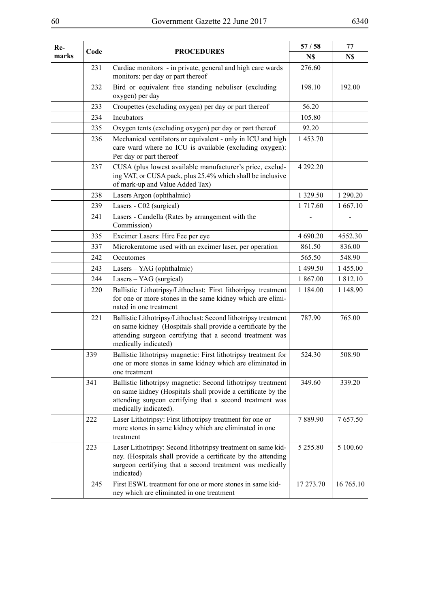| Re-   |      | <b>PROCEDURES</b>                                                                                                                                                                                                  | 57/58       | 77        |
|-------|------|--------------------------------------------------------------------------------------------------------------------------------------------------------------------------------------------------------------------|-------------|-----------|
| marks | Code |                                                                                                                                                                                                                    | N\$         | N\$       |
|       | 231  | Cardiac monitors - in private, general and high care wards<br>monitors: per day or part thereof                                                                                                                    | 276.60      |           |
|       | 232  | Bird or equivalent free standing nebuliser (excluding<br>oxygen) per day                                                                                                                                           | 198.10      | 192.00    |
|       | 233  | Croupettes (excluding oxygen) per day or part thereof                                                                                                                                                              | 56.20       |           |
|       | 234  | Incubators                                                                                                                                                                                                         | 105.80      |           |
|       | 235  | Oxygen tents (excluding oxygen) per day or part thereof                                                                                                                                                            | 92.20       |           |
|       | 236  | Mechanical ventilators or equivalent - only in ICU and high<br>care ward where no ICU is available (excluding oxygen):<br>Per day or part thereof                                                                  | 1 453.70    |           |
|       | 237  | CUSA (plus lowest available manufacturer's price, exclud-<br>ing VAT, or CUSA pack, plus 25.4% which shall be inclusive<br>of mark-up and Value Added Tax)                                                         | 4 292.20    |           |
|       | 238  | Lasers Argon (ophthalmic)                                                                                                                                                                                          | 1 3 29 . 50 | 1 290.20  |
|       | 239  | Lasers - C02 (surgical)                                                                                                                                                                                            | 1 717.60    | 1 667.10  |
|       | 241  | Lasers - Candella (Rates by arrangement with the<br>Commission)                                                                                                                                                    |             |           |
|       | 335  | Excimer Lasers: Hire Fee per eye                                                                                                                                                                                   | 4 690.20    | 4552.30   |
|       | 337  | Microkeratome used with an excimer laser, per operation                                                                                                                                                            | 861.50      | 836.00    |
|       | 242  | Occutomes                                                                                                                                                                                                          | 565.50      | 548.90    |
|       | 243  | Lasers - YAG (ophthalmic)                                                                                                                                                                                          | 1 499.50    | 1 455.00  |
|       | 244  | Lasers - YAG (surgical)                                                                                                                                                                                            | 1 867.00    | 1812.10   |
|       | 220  | Ballistic Lithotripsy/Lithoclast: First lithotripsy treatment<br>for one or more stones in the same kidney which are elimi-<br>nated in one treatment                                                              | 1 1 8 4 .00 | 1 148.90  |
|       | 221  | Ballistic Lithotripsy/Lithoclast: Second lithotripsy treatment<br>on same kidney (Hospitals shall provide a certificate by the<br>attending surgeon certifying that a second treatment was<br>medically indicated) | 787.90      | 765.00    |
|       | 339  | Ballistic lithotripsy magnetic: First lithotripsy treatment for<br>one or more stones in same kidney which are eliminated in<br>one treatment                                                                      | 524.30      | 508.90    |
|       | 341  | Ballistic lithotripsy magnetic: Second lithotripsy treatment<br>on same kidney (Hospitals shall provide a certificate by the<br>attending surgeon certifying that a second treatment was<br>medically indicated).  | 349.60      | 339.20    |
|       | 222  | Laser Lithotripsy: First lithotripsy treatment for one or<br>more stones in same kidney which are eliminated in one<br>treatment                                                                                   | 7889.90     | 7657.50   |
|       | 223  | Laser Lithotripsy: Second lithotripsy treatment on same kid-<br>ney. (Hospitals shall provide a certificate by the attending<br>surgeon certifying that a second treatment was medically<br>indicated)             | 5 255.80    | 5 100.60  |
|       | 245  | First ESWL treatment for one or more stones in same kid-<br>ney which are eliminated in one treatment                                                                                                              | 17 273.70   | 16 765.10 |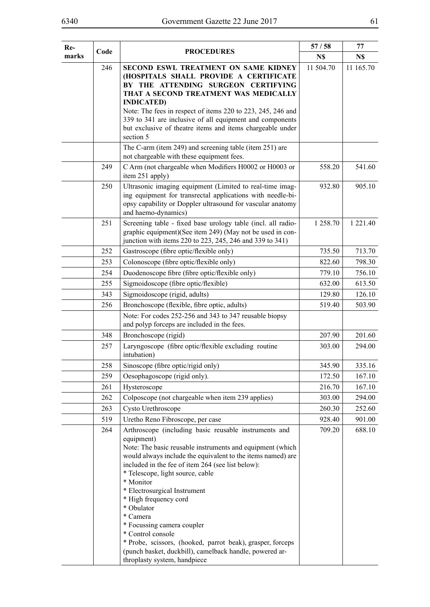| Code<br>246 | <b>PROCEDURES</b><br>SECOND ESWL TREATMENT ON SAME KIDNEY<br>(HOSPITALS SHALL PROVIDE A CERTIFICATE                                                                                                                                                                                                                                                                                                                                                                                                       | N\$<br>11 504.70                                                                        | N\$       |
|-------------|-----------------------------------------------------------------------------------------------------------------------------------------------------------------------------------------------------------------------------------------------------------------------------------------------------------------------------------------------------------------------------------------------------------------------------------------------------------------------------------------------------------|-----------------------------------------------------------------------------------------|-----------|
|             |                                                                                                                                                                                                                                                                                                                                                                                                                                                                                                           |                                                                                         |           |
|             | BY THE ATTENDING SURGEON CERTIFYING                                                                                                                                                                                                                                                                                                                                                                                                                                                                       |                                                                                         | 11 165.70 |
|             | THAT A SECOND TREATMENT WAS MEDICALLY<br><b>INDICATED)</b><br>Note: The fees in respect of items 220 to 223, 245, 246 and<br>339 to 341 are inclusive of all equipment and components<br>but exclusive of theatre items and items chargeable under<br>section 5                                                                                                                                                                                                                                           |                                                                                         |           |
|             | The C-arm (item 249) and screening table (item 251) are<br>not chargeable with these equipment fees.                                                                                                                                                                                                                                                                                                                                                                                                      |                                                                                         |           |
| 249         | C Arm (not chargeable when Modifiers H0002 or H0003 or<br>item 251 apply)                                                                                                                                                                                                                                                                                                                                                                                                                                 | 558.20                                                                                  | 541.60    |
| 250         | Ultrasonic imaging equipment (Limited to real-time imag-<br>ing equipment for transrectal applications with needle-bi-<br>opsy capability or Doppler ultrasound for vascular anatomy<br>and haemo-dynamics)                                                                                                                                                                                                                                                                                               | 932.80                                                                                  | 905.10    |
| 251         | Screening table - fixed base urology table (incl. all radio-<br>graphic equipment)(See item 249) (May not be used in con-<br>junction with items 220 to 223, 245, 246 and 339 to 341)                                                                                                                                                                                                                                                                                                                     | 1 258.70                                                                                | 1 221.40  |
| 252         | Gastroscope (fibre optic/flexible only)                                                                                                                                                                                                                                                                                                                                                                                                                                                                   | 735.50                                                                                  | 713.70    |
| 253         | Colonoscope (fibre optic/flexible only)                                                                                                                                                                                                                                                                                                                                                                                                                                                                   | 822.60                                                                                  | 798.30    |
| 254         | Duodenoscope fibre (fibre optic/flexible only)                                                                                                                                                                                                                                                                                                                                                                                                                                                            | 779.10                                                                                  | 756.10    |
| 255         | Sigmoidoscope (fibre optic/flexible)                                                                                                                                                                                                                                                                                                                                                                                                                                                                      | 632.00                                                                                  | 613.50    |
| 343         | Sigmoidoscope (rigid, adults)                                                                                                                                                                                                                                                                                                                                                                                                                                                                             | 129.80                                                                                  | 126.10    |
| 256         | Bronchoscope (flexible, fibre optic, adults)                                                                                                                                                                                                                                                                                                                                                                                                                                                              | 519.40                                                                                  | 503.90    |
|             | Note: For codes 252-256 and 343 to 347 reusable biopsy<br>and polyp forceps are included in the fees.                                                                                                                                                                                                                                                                                                                                                                                                     |                                                                                         |           |
| 348         | Bronchoscope (rigid)                                                                                                                                                                                                                                                                                                                                                                                                                                                                                      | 207.90                                                                                  | 201.60    |
| 257         | Laryngoscope (fibre optic/flexible excluding routine<br>intubation)                                                                                                                                                                                                                                                                                                                                                                                                                                       | 303.00                                                                                  | 294.00    |
| 258         | Sinoscope (fibre optic/rigid only)                                                                                                                                                                                                                                                                                                                                                                                                                                                                        | 345.90                                                                                  | 335.16    |
| 259         | Oesophagoscope (rigid only).                                                                                                                                                                                                                                                                                                                                                                                                                                                                              | 172.50                                                                                  | 167.10    |
| 261         | Hysteroscope                                                                                                                                                                                                                                                                                                                                                                                                                                                                                              | 216.70                                                                                  | 167.10    |
| 262         | Colposcope (not chargeable when item 239 applies)                                                                                                                                                                                                                                                                                                                                                                                                                                                         | 303.00                                                                                  | 294.00    |
| 263         | Cysto Urethroscope                                                                                                                                                                                                                                                                                                                                                                                                                                                                                        | 260.30                                                                                  | 252.60    |
| 519         | Uretho Reno Fibroscope, per case                                                                                                                                                                                                                                                                                                                                                                                                                                                                          | 928.40                                                                                  | 901.00    |
| 264         | Arthroscope (including basic reusable instruments and<br>equipment)<br>Note: The basic reusable instruments and equipment (which<br>would always include the equivalent to the items named) are<br>included in the fee of item 264 (see list below):<br>* Telescope, light source, cable<br>* Monitor<br>* Electrosurgical Instrument<br>* High frequency cord<br>* Obulator<br>* Camera<br>* Focussing camera coupler<br>* Control console<br>* Probe, scissors, (hooked, parrot beak), grasper, forceps | 709.20                                                                                  | 688.10    |
|             |                                                                                                                                                                                                                                                                                                                                                                                                                                                                                                           | (punch basket, duckbill), camelback handle, powered ar-<br>throplasty system, handpiece |           |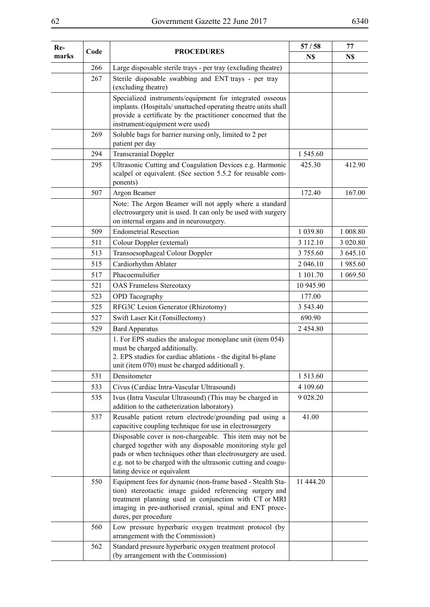| Re-   | Code | <b>PROCEDURES</b>                                                                                                                                                                                                                                                                    | 57/58     | 77        |
|-------|------|--------------------------------------------------------------------------------------------------------------------------------------------------------------------------------------------------------------------------------------------------------------------------------------|-----------|-----------|
| marks |      |                                                                                                                                                                                                                                                                                      | N\$       | N\$       |
|       | 266  | Large disposable sterile trays - per tray (excluding theatre)                                                                                                                                                                                                                        |           |           |
|       | 267  | Sterile disposable swabbing and ENT trays - per tray<br>(excluding theatre)                                                                                                                                                                                                          |           |           |
|       |      | Specialized instruments/equipment for integrated osseous<br>implants. (Hospitals/ unattached operating theatre units shall<br>provide a certificate by the practitioner concerned that the<br>instrument/equipment were used)                                                        |           |           |
|       | 269  | Soluble bags for barrier nursing only, limited to 2 per<br>patient per day                                                                                                                                                                                                           |           |           |
|       | 294  | <b>Transcranial Doppler</b>                                                                                                                                                                                                                                                          | 1 545.60  |           |
|       | 295  | Ultrasonic Cutting and Coagulation Devices e.g. Harmonic<br>scalpel or equivalent. (See section 5.5.2 for reusable com-<br>ponents)                                                                                                                                                  | 425.30    | 412.90    |
|       | 507  | Argon Beamer                                                                                                                                                                                                                                                                         | 172.40    | 167.00    |
|       |      | Note: The Argon Beamer will not apply where a standard<br>electrosurgery unit is used. It can only be used with surgery<br>on internal organs and in neurosurgery.                                                                                                                   |           |           |
|       | 509  | <b>Endometrial Resection</b>                                                                                                                                                                                                                                                         | 1 039.80  | 1 008.80  |
|       | 511  | Colour Doppler (external)                                                                                                                                                                                                                                                            | 3 112.10  | 3 0 20.80 |
|       | 513  | Transoesophageal Colour Doppler                                                                                                                                                                                                                                                      | 3 755.60  | 3 645.10  |
|       | 515  | Cardiorhythm Ablater                                                                                                                                                                                                                                                                 | 2 046.10  | 1985.60   |
|       | 517  | Phacoemulsifier                                                                                                                                                                                                                                                                      | 1 101.70  | 1 069.50  |
|       | 521  | <b>OAS Frameless Stereotaxy</b>                                                                                                                                                                                                                                                      | 10 945.90 |           |
|       | 523  | <b>OPD</b> Tacography                                                                                                                                                                                                                                                                | 177.00    |           |
|       | 525  | RFG3C Lesion Generator (Rhizotomy)                                                                                                                                                                                                                                                   | 3 543.40  |           |
|       | 527  | Swift Laser Kit (Tonsillectomy)                                                                                                                                                                                                                                                      | 690.90    |           |
|       | 529  | <b>Bard Apparatus</b>                                                                                                                                                                                                                                                                | 2 454.80  |           |
|       |      | 1. For EPS studies the analogue monoplane unit (item 054)<br>must be charged additionally.<br>2. EPS studies for cardiac ablations - the digital bi-plane<br>unit (item 070) must be charged additionall y.                                                                          |           |           |
|       | 531  | Densitometer                                                                                                                                                                                                                                                                         | 1 513.60  |           |
|       | 533  | Civus (Cardiac Intra-Vascular Ultrasound)                                                                                                                                                                                                                                            | 4 109.60  |           |
|       | 535  | Ivus (Intra Vascular Ultrasound) (This may be charged in<br>addition to the catheterization laboratory)                                                                                                                                                                              | 9 0 28.20 |           |
|       | 537  | Reusable patient return electrode/grounding pad using a<br>capacitive coupling technique for use in electrosurgery                                                                                                                                                                   | 41.00     |           |
|       |      | Disposable cover is non-chargeable. This item may not be<br>charged together with any disposable monitoring style gel<br>pads or when techniques other than electrosurgery are used.<br>e.g. not to be charged with the ultrasonic cutting and coagu-<br>lating device or equivalent |           |           |
|       | 550  | Equipment fees for dynamic (non-frame based - Stealth Sta-<br>tion) stereotactic image guided referencing surgery and<br>treatment planning used in conjunction with CT or MRI<br>imaging in pre-authorised cranial, spinal and ENT proce-<br>dures, per procedure                   | 11 444.20 |           |
|       | 560  | Low pressure hyperbaric oxygen treatment protocol (by<br>arrangement with the Commission)                                                                                                                                                                                            |           |           |
|       | 562  | Standard pressure hyperbaric oxygen treatment protocol<br>(by arrangement with the Commission)                                                                                                                                                                                       |           |           |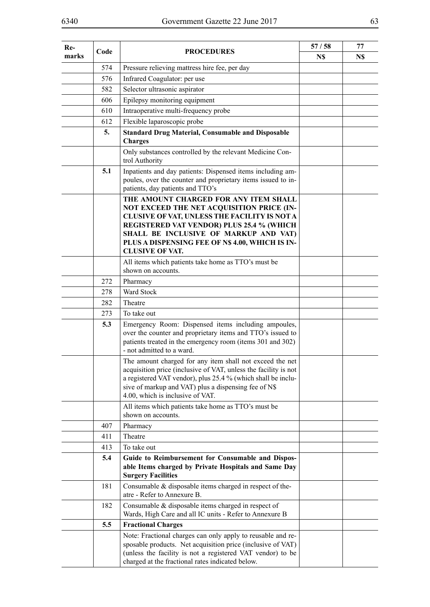| 6340         |      | Government Gazette 22 June 2017                                                                                                                                                                                                                                                         |       | 63  |
|--------------|------|-----------------------------------------------------------------------------------------------------------------------------------------------------------------------------------------------------------------------------------------------------------------------------------------|-------|-----|
|              |      |                                                                                                                                                                                                                                                                                         |       |     |
| Re-<br>marks | Code | <b>PROCEDURES</b>                                                                                                                                                                                                                                                                       | 57/58 | 77  |
|              | 574  | Pressure relieving mattress hire fee, per day                                                                                                                                                                                                                                           | N\$   | N\$ |
|              | 576  | Infrared Coagulator: per use                                                                                                                                                                                                                                                            |       |     |
|              | 582  | Selector ultrasonic aspirator                                                                                                                                                                                                                                                           |       |     |
|              | 606  | Epilepsy monitoring equipment                                                                                                                                                                                                                                                           |       |     |
|              | 610  | Intraoperative multi-frequency probe                                                                                                                                                                                                                                                    |       |     |
|              | 612  | Flexible laparoscopic probe                                                                                                                                                                                                                                                             |       |     |
|              | 5.   | <b>Standard Drug Material, Consumable and Disposable</b>                                                                                                                                                                                                                                |       |     |
|              |      | <b>Charges</b>                                                                                                                                                                                                                                                                          |       |     |
|              |      | Only substances controlled by the relevant Medicine Con-<br>trol Authority                                                                                                                                                                                                              |       |     |
|              | 5.1  | Inpatients and day patients: Dispensed items including am-<br>poules, over the counter and proprietary items issued to in-<br>patients, day patients and TTO's                                                                                                                          |       |     |
|              |      | THE AMOUNT CHARGED FOR ANY ITEM SHALL<br><b>NOT EXCEED THE NET ACQUISITION PRICE (IN-</b><br>CLUSIVE OF VAT, UNLESS THE FACILITY IS NOT A                                                                                                                                               |       |     |
|              |      | REGISTERED VAT VENDOR) PLUS 25.4 % (WHICH<br>SHALL BE INCLUSIVE OF MARKUP AND VAT)<br>PLUS A DISPENSING FEE OF N\$ 4.00, WHICH IS IN-<br><b>CLUSIVE OF VAT.</b>                                                                                                                         |       |     |
|              |      | All items which patients take home as TTO's must be<br>shown on accounts.                                                                                                                                                                                                               |       |     |
|              | 272  | Pharmacy                                                                                                                                                                                                                                                                                |       |     |
|              | 278  | Ward Stock                                                                                                                                                                                                                                                                              |       |     |
|              | 282  | Theatre                                                                                                                                                                                                                                                                                 |       |     |
|              | 273  | To take out                                                                                                                                                                                                                                                                             |       |     |
|              | 5.3  | Emergency Room: Dispensed items including ampoules,<br>over the counter and proprietary items and TTO's issued to<br>patients treated in the emergency room (items 301 and 302)<br>- not admitted to a ward.                                                                            |       |     |
|              |      | The amount charged for any item shall not exceed the net<br>acquisition price (inclusive of VAT, unless the facility is not<br>a registered VAT vendor), plus 25.4 % (which shall be inclu-<br>sive of markup and VAT) plus a dispensing fee of N\$<br>4.00, which is inclusive of VAT. |       |     |
|              |      | All items which patients take home as TTO's must be<br>shown on accounts.                                                                                                                                                                                                               |       |     |
|              | 407  | Pharmacy                                                                                                                                                                                                                                                                                |       |     |
|              | 411  | Theatre                                                                                                                                                                                                                                                                                 |       |     |
|              | 413  | To take out                                                                                                                                                                                                                                                                             |       |     |
|              | 5.4  | Guide to Reimbursement for Consumable and Dispos-<br>able Items charged by Private Hospitals and Same Day<br><b>Surgery Facilities</b>                                                                                                                                                  |       |     |
|              | 181  | Consumable & disposable items charged in respect of the-<br>atre - Refer to Annexure B.                                                                                                                                                                                                 |       |     |

182 Consumable & disposable items charged in respect of

charged at the fractional rates indicated below.

**5.5 Fractional Charges**

Wards, High Care and all IC units - Refer to Annexure B

Note: Fractional charges can only apply to reusable and resposable products. Net acquisition price (inclusive of VAT) (unless the facility is not a registered VAT vendor) to be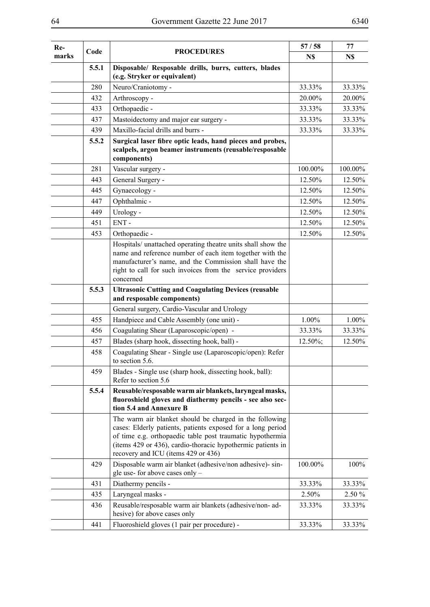| Re-   |       |                                                                                                                                                                                                                                                                                           | 57/58      | 77       |
|-------|-------|-------------------------------------------------------------------------------------------------------------------------------------------------------------------------------------------------------------------------------------------------------------------------------------------|------------|----------|
| marks | Code  | <b>PROCEDURES</b>                                                                                                                                                                                                                                                                         | N\$        | N\$      |
|       | 5.5.1 | Disposable/ Resposable drills, burrs, cutters, blades<br>(e.g. Stryker or equivalent)                                                                                                                                                                                                     |            |          |
|       | 280   | Neuro/Craniotomy -                                                                                                                                                                                                                                                                        | 33.33%     | 33.33%   |
|       | 432   | Arthroscopy -                                                                                                                                                                                                                                                                             | 20.00%     | 20.00%   |
|       | 433   | Orthopaedic -                                                                                                                                                                                                                                                                             | 33.33%     | 33.33%   |
|       | 437   | Mastoidectomy and major ear surgery -                                                                                                                                                                                                                                                     | 33.33%     | 33.33%   |
|       | 439   | Maxillo-facial drills and burrs -                                                                                                                                                                                                                                                         | 33.33%     | 33.33%   |
|       | 5.5.2 | Surgical laser fibre optic leads, hand pieces and probes,<br>scalpels, argon beamer instruments (reusable/resposable<br>components)                                                                                                                                                       |            |          |
|       | 281   | Vascular surgery -                                                                                                                                                                                                                                                                        | 100.00%    | 100.00%  |
|       | 443   | General Surgery -                                                                                                                                                                                                                                                                         | 12.50%     | 12.50%   |
|       | 445   | Gynaecology -                                                                                                                                                                                                                                                                             | 12.50%     | 12.50%   |
|       | 447   | Ophthalmic -                                                                                                                                                                                                                                                                              | 12.50%     | 12.50%   |
|       | 449   | Urology -                                                                                                                                                                                                                                                                                 | 12.50%     | 12.50%   |
|       | 451   | ENT-                                                                                                                                                                                                                                                                                      | 12.50%     | 12.50%   |
|       | 453   | Orthopaedic -                                                                                                                                                                                                                                                                             | 12.50%     | 12.50%   |
|       |       | Hospitals/ unattached operating theatre units shall show the<br>name and reference number of each item together with the<br>manufacturer's name, and the Commission shall have the<br>right to call for such invoices from the service providers<br>concerned                             |            |          |
|       | 5.5.3 | <b>Ultrasonic Cutting and Coagulating Devices (reusable</b><br>and resposable components)                                                                                                                                                                                                 |            |          |
|       |       | General surgery, Cardio-Vascular and Urology                                                                                                                                                                                                                                              |            |          |
|       | 455   | Handpiece and Cable Assembly (one unit) -                                                                                                                                                                                                                                                 | 1.00%      | 1.00%    |
|       | 456   | Coagulating Shear (Laparoscopic/open) -                                                                                                                                                                                                                                                   | 33.33%     | 33.33%   |
|       | 457   | Blades (sharp hook, dissecting hook, ball) -                                                                                                                                                                                                                                              | $12.50\%;$ | 12.50%   |
|       | 458   | Coagulating Shear - Single use (Laparoscopic/open): Refer<br>to section 5.6.                                                                                                                                                                                                              |            |          |
|       | 459   | Blades - Single use (sharp hook, dissecting hook, ball):<br>Refer to section 5.6                                                                                                                                                                                                          |            |          |
|       | 5.5.4 | Reusable/resposable warm air blankets, laryngeal masks,<br>fluoroshield gloves and diathermy pencils - see also sec-<br>tion 5.4 and Annexure B                                                                                                                                           |            |          |
|       |       | The warm air blanket should be charged in the following<br>cases: Elderly patients, patients exposed for a long period<br>of time e.g. orthopaedic table post traumatic hypothermia<br>(items 429 or 436), cardio-thoracic hypothermic patients in<br>recovery and ICU (items 429 or 436) |            |          |
|       | 429   | Disposable warm air blanket (adhesive/non adhesive)- sin-<br>gle use- for above cases only -                                                                                                                                                                                              | 100.00%    | 100%     |
|       | 431   | Diathermy pencils -                                                                                                                                                                                                                                                                       | 33.33%     | 33.33%   |
|       | 435   | Laryngeal masks -                                                                                                                                                                                                                                                                         | 2.50%      | $2.50\%$ |
|       | 436   | Reusable/resposable warm air blankets (adhesive/non-ad-<br>hesive) for above cases only                                                                                                                                                                                                   | 33.33%     | 33.33%   |
|       | 441   | Fluoroshield gloves (1 pair per procedure) -                                                                                                                                                                                                                                              | 33.33%     | 33.33%   |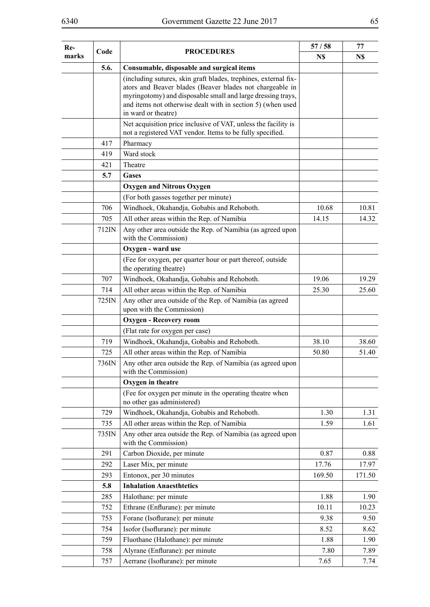| ٧<br>٠<br>         |                        |
|--------------------|------------------------|
| ۰.                 | ×                      |
| ×<br>۰,<br>×<br>۰. | I<br>ę<br>۰.<br>×<br>v |
|                    |                        |

| Re-<br>marks | Code  | <b>PROCEDURES</b>                                                                                                                                                                                                                                         | 57/58  | 77     |
|--------------|-------|-----------------------------------------------------------------------------------------------------------------------------------------------------------------------------------------------------------------------------------------------------------|--------|--------|
|              | 5.6.  | Consumable, disposable and surgical items                                                                                                                                                                                                                 | N\$    | N\$    |
|              |       | (including sutures, skin graft blades, trephines, external fix-<br>ators and Beaver blades (Beaver blades not chargeable in<br>myringotomy) and disposable small and large dressing trays,<br>and items not otherwise dealt with in section 5) (when used |        |        |
|              |       | in ward or theatre)<br>Net acquisition price inclusive of VAT, unless the facility is<br>not a registered VAT vendor. Items to be fully specified.                                                                                                        |        |        |
|              | 417   | Pharmacy                                                                                                                                                                                                                                                  |        |        |
|              | 419   | Ward stock                                                                                                                                                                                                                                                |        |        |
|              | 421   | Theatre                                                                                                                                                                                                                                                   |        |        |
|              | 5.7   | <b>Gases</b>                                                                                                                                                                                                                                              |        |        |
|              |       | <b>Oxygen and Nitrous Oxygen</b>                                                                                                                                                                                                                          |        |        |
|              |       | (For both gasses together per minute)                                                                                                                                                                                                                     |        |        |
|              | 706   | Windhoek, Okahandja, Gobabis and Rehoboth.                                                                                                                                                                                                                | 10.68  | 10.81  |
|              | 705   | All other areas within the Rep. of Namibia                                                                                                                                                                                                                | 14.15  | 14.32  |
|              | 712IN | Any other area outside the Rep. of Namibia (as agreed upon<br>with the Commission)                                                                                                                                                                        |        |        |
|              |       | Oxygen - ward use                                                                                                                                                                                                                                         |        |        |
|              |       | (Fee for oxygen, per quarter hour or part thereof, outside<br>the operating theatre)                                                                                                                                                                      |        |        |
|              | 707   | Windhoek, Okahandja, Gobabis and Rehoboth.                                                                                                                                                                                                                | 19.06  | 19.29  |
|              | 714   | All other areas within the Rep. of Namibia                                                                                                                                                                                                                | 25.30  | 25.60  |
|              | 725IN | Any other area outside of the Rep. of Namibia (as agreed<br>upon with the Commission)                                                                                                                                                                     |        |        |
|              |       | <b>Oxygen - Recovery room</b>                                                                                                                                                                                                                             |        |        |
|              |       | (Flat rate for oxygen per case)                                                                                                                                                                                                                           |        |        |
|              | 719   | Windhoek, Okahandja, Gobabis and Rehoboth.                                                                                                                                                                                                                | 38.10  | 38.60  |
|              | 725   | All other areas within the Rep. of Namibia                                                                                                                                                                                                                | 50.80  | 51.40  |
|              | 736IN | Any other area outside the Rep. of Namibia (as agreed upon<br>with the Commission)                                                                                                                                                                        |        |        |
|              |       | Oxygen in theatre                                                                                                                                                                                                                                         |        |        |
|              |       | (Fee for oxygen per minute in the operating theatre when<br>no other gas administered)                                                                                                                                                                    |        |        |
|              | 729   | Windhoek, Okahandja, Gobabis and Rehoboth.                                                                                                                                                                                                                | 1.30   | 1.31   |
|              | 735   | All other areas within the Rep. of Namibia                                                                                                                                                                                                                | 1.59   | 1.61   |
|              | 735IN | Any other area outside the Rep. of Namibia (as agreed upon<br>with the Commission)                                                                                                                                                                        |        |        |
|              | 291   | Carbon Dioxide, per minute                                                                                                                                                                                                                                | 0.87   | 0.88   |
|              | 292   | Laser Mix, per minute                                                                                                                                                                                                                                     | 17.76  | 17.97  |
|              | 293   | Entonox, per 30 minutes                                                                                                                                                                                                                                   | 169.50 | 171.50 |
|              | 5.8   | <b>Inhalation Anaesthtetics</b>                                                                                                                                                                                                                           |        |        |
|              | 285   | Halothane: per minute                                                                                                                                                                                                                                     | 1.88   | 1.90   |
|              | 752   | Ethrane (Enflurane): per minute                                                                                                                                                                                                                           | 10.11  | 10.23  |
|              | 753   | Forane (Isoflurane): per minute                                                                                                                                                                                                                           | 9.38   | 9.50   |
|              | 754   | Isofor (Isoflurane): per minute                                                                                                                                                                                                                           | 8.52   | 8.62   |
|              | 759   | Fluothane (Halothane): per minute                                                                                                                                                                                                                         | 1.88   | 1.90   |
|              | 758   | Alyrane (Enflurane): per minute                                                                                                                                                                                                                           | 7.80   | 7.89   |
|              | 757   | Aerrane (Isoflurane): per minute                                                                                                                                                                                                                          | 7.65   | 7.74   |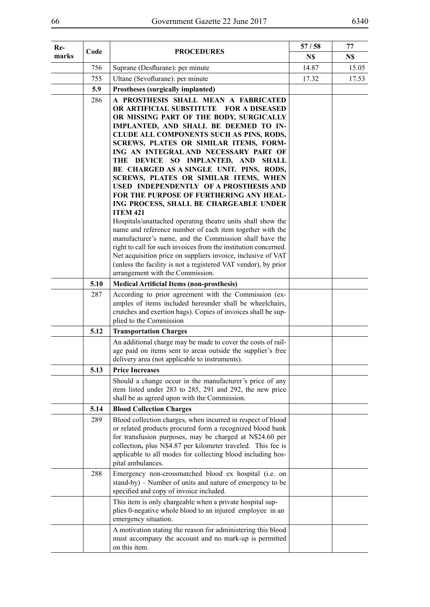| Re-   | Code<br><b>PROCEDURES</b> | 57/58                                                                                                                                                                                                                                                                                                                                                                                                                                                                                                                                                                                                                                                                                                                                                                | 77    |       |
|-------|---------------------------|----------------------------------------------------------------------------------------------------------------------------------------------------------------------------------------------------------------------------------------------------------------------------------------------------------------------------------------------------------------------------------------------------------------------------------------------------------------------------------------------------------------------------------------------------------------------------------------------------------------------------------------------------------------------------------------------------------------------------------------------------------------------|-------|-------|
| marks |                           |                                                                                                                                                                                                                                                                                                                                                                                                                                                                                                                                                                                                                                                                                                                                                                      | N\$   | N\$   |
|       | 756                       | Suprane (Desflurane): per minute                                                                                                                                                                                                                                                                                                                                                                                                                                                                                                                                                                                                                                                                                                                                     | 14.87 | 15.05 |
|       | 755                       | Ultane (Sevoflurane): per minute                                                                                                                                                                                                                                                                                                                                                                                                                                                                                                                                                                                                                                                                                                                                     | 17.32 | 17.53 |
|       | 5.9                       | Prostheses (surgically implanted)                                                                                                                                                                                                                                                                                                                                                                                                                                                                                                                                                                                                                                                                                                                                    |       |       |
|       | 286                       | A PROSTHESIS SHALL MEAN A FABRICATED<br>OR ARTIFICIAL SUBSTITUTE FOR A DISEASED<br>OR MISSING PART OF THE BODY, SURGICALLY<br>IMPLANTED, AND SHALL BE DEEMED TO IN-<br>CLUDE ALL COMPONENTS SUCH AS PINS, RODS,<br>SCREWS, PLATES OR SIMILAR ITEMS, FORM-<br>ING AN INTEGRAL AND NECESSARY PART OF<br>THE DEVICE SO IMPLANTED, AND SHALL<br>BE CHARGED AS A SINGLE UNIT. PINS, RODS,<br>SCREWS, PLATES OR SIMILAR ITEMS, WHEN<br>USED INDEPENDENTLY OF A PROSTHESIS AND<br>FOR THE PURPOSE OF FURTHERING ANY HEAL-<br>ING PROCESS, SHALL BE CHARGEABLE UNDER<br><b>ITEM 421</b><br>Hospitals/unattached operating theatre units shall show the<br>name and reference number of each item together with the<br>manufacturer's name, and the Commission shall have the |       |       |
|       |                           | right to call for such invoices from the institution concerned.<br>Net acquisition price on suppliers invoice, inclusive of VAT<br>(unless the facility is not a registered VAT vendor), by prior<br>arrangement with the Commission.                                                                                                                                                                                                                                                                                                                                                                                                                                                                                                                                |       |       |
|       | 5.10                      | <b>Medical Artificial Items (non-prosthesis)</b>                                                                                                                                                                                                                                                                                                                                                                                                                                                                                                                                                                                                                                                                                                                     |       |       |
|       | 287                       | According to prior agreement with the Commission (ex-<br>amples of items included hereunder shall be wheelchairs,<br>crutches and exertion bags). Copies of invoices shall be sup-<br>plied to the Commission                                                                                                                                                                                                                                                                                                                                                                                                                                                                                                                                                        |       |       |
|       | 5.12                      | <b>Transportation Charges</b>                                                                                                                                                                                                                                                                                                                                                                                                                                                                                                                                                                                                                                                                                                                                        |       |       |
|       |                           | An additional charge may be made to cover the costs of rail-<br>age paid on items sent to areas outside the supplier's free<br>delivery area (not applicable to instruments).                                                                                                                                                                                                                                                                                                                                                                                                                                                                                                                                                                                        |       |       |
|       | 5.13                      | <b>Price Increases</b>                                                                                                                                                                                                                                                                                                                                                                                                                                                                                                                                                                                                                                                                                                                                               |       |       |
|       |                           | Should a change occur in the manufacturer's price of any<br>item listed under 283 to 285, 291 and 292, the new price<br>shall be as agreed upon with the Commission.                                                                                                                                                                                                                                                                                                                                                                                                                                                                                                                                                                                                 |       |       |
|       | 5.14                      | <b>Blood Collection Charges</b>                                                                                                                                                                                                                                                                                                                                                                                                                                                                                                                                                                                                                                                                                                                                      |       |       |
|       | 289                       | Blood collection charges, when incurred in respect of blood<br>or related products procured form a recognized blood bank<br>for transfusion purposes, may be charged at N\$24.60 per<br>collection, plus N\$4.87 per kilometer traveled. This fee is<br>applicable to all modes for collecting blood including hos-<br>pital ambulances.                                                                                                                                                                                                                                                                                                                                                                                                                             |       |       |
|       | 288                       | Emergency non-crossmatched blood ex hospital (i.e. on<br>stand-by) – Number of units and nature of emergency to be<br>specified and copy of invoice included.                                                                                                                                                                                                                                                                                                                                                                                                                                                                                                                                                                                                        |       |       |
|       |                           | This item is only chargeable when a private hospital sup-<br>plies 0-negative whole blood to an injured employee in an<br>emergency situation.                                                                                                                                                                                                                                                                                                                                                                                                                                                                                                                                                                                                                       |       |       |
|       |                           | A motivation stating the reason for administering this blood<br>must accompany the account and no mark-up is permitted<br>on this item.                                                                                                                                                                                                                                                                                                                                                                                                                                                                                                                                                                                                                              |       |       |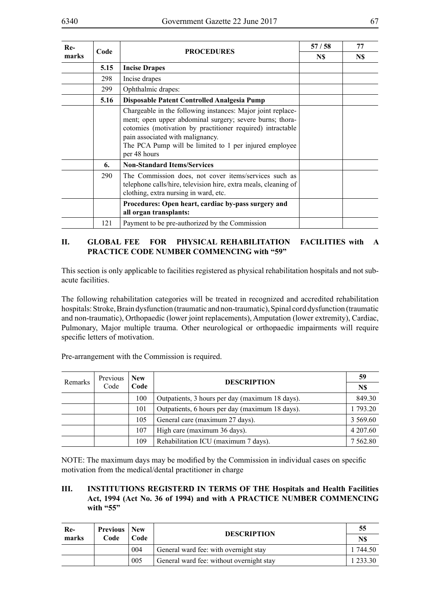| Re-<br>marks | Code |                                                                                                                                                                                                                                                                                                     | 57/58 | 77  |
|--------------|------|-----------------------------------------------------------------------------------------------------------------------------------------------------------------------------------------------------------------------------------------------------------------------------------------------------|-------|-----|
|              |      | <b>PROCEDURES</b>                                                                                                                                                                                                                                                                                   | N\$   | N\$ |
|              | 5.15 | <b>Incise Drapes</b>                                                                                                                                                                                                                                                                                |       |     |
|              | 298  | Incise drapes                                                                                                                                                                                                                                                                                       |       |     |
|              | 299  | Ophthalmic drapes:                                                                                                                                                                                                                                                                                  |       |     |
|              | 5.16 | Disposable Patent Controlled Analgesia Pump                                                                                                                                                                                                                                                         |       |     |
|              |      | Chargeable in the following instances: Major joint replace-<br>ment; open upper abdominal surgery; severe burns; thora-<br>cotomies (motivation by practitioner required) intractable<br>pain associated with malignancy.<br>The PCA Pump will be limited to 1 per injured employee<br>per 48 hours |       |     |
|              | 6.   | <b>Non-Standard Items/Services</b>                                                                                                                                                                                                                                                                  |       |     |
|              | 290  | The Commission does, not cover items/services such as<br>telephone calls/hire, television hire, extra meals, cleaning of<br>clothing, extra nursing in ward, etc.                                                                                                                                   |       |     |
|              |      | Procedures: Open heart, cardiac by-pass surgery and<br>all organ transplants:                                                                                                                                                                                                                       |       |     |
|              | 121  | Payment to be pre-authorized by the Commission                                                                                                                                                                                                                                                      |       |     |

#### **II. GLOBAL FEE FOR PHYSICAL REHABILITATION FACILITIES with A PRACTICE CODE NUMBER COMMENCING with "59"**

This section is only applicable to facilities registered as physical rehabilitation hospitals and not subacute facilities.

The following rehabilitation categories will be treated in recognized and accredited rehabilitation hospitals: Stroke, Brain dysfunction (traumatic and non-traumatic), Spinal cord dysfunction (traumatic and non-traumatic), Orthopaedic (lower joint replacements), Amputation (lower extremity), Cardiac, Pulmonary, Major multiple trauma. Other neurological or orthopaedic impairments will require specific letters of motivation.

| Remarks | Previous | <b>New</b><br>Code<br>Code |                                                 | 59            |
|---------|----------|----------------------------|-------------------------------------------------|---------------|
|         |          |                            | <b>DESCRIPTION</b>                              | N\$           |
|         |          | 100                        | Outpatients, 3 hours per day (maximum 18 days). | 849.30        |
|         |          | 101                        | Outpatients, 6 hours per day (maximum 18 days). | 1 793.20      |
|         |          | 105                        | General care (maximum 27 days).                 | 3 5 6 9 . 6 0 |
|         |          | 107                        | High care (maximum 36 days).                    | 4 207.60      |
|         |          | 109                        | Rehabilitation ICU (maximum 7 days).            | 7 5 6 2.80    |

Pre-arrangement with the Commission is required.

NOTE: The maximum days may be modified by the Commission in individual cases on specific motivation from the medical/dental practitioner in charge

#### **III. INSTITUTIONS REGISTERD IN TERMS OF THE Hospitals and Health Facilities Act, 1994 (Act No. 36 of 1994) and with A PRACTICE NUMBER COMMENCING with "55"**

| Re-   | <b>Previous</b> New |      | <b>DESCRIPTION</b>                       | 55          |
|-------|---------------------|------|------------------------------------------|-------------|
| marks | Code                | Code |                                          | N\$         |
|       |                     | 004  | General ward fee: with overnight stay    | 1 744.50    |
|       |                     | 005  | General ward fee: without overnight stay | 1 2 3 3 3 0 |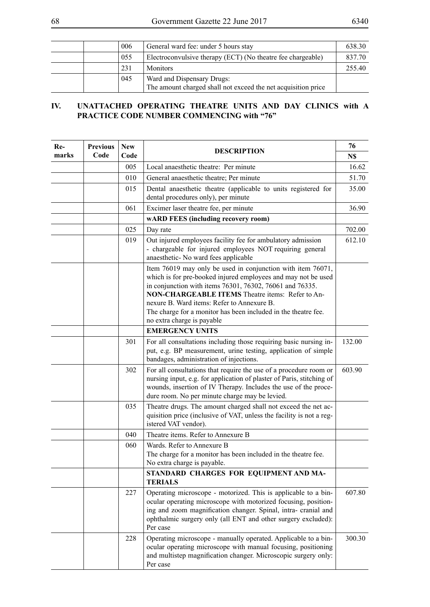|  | 006 | General ward fee: under 5 hours stay                                                        | 638.30 |
|--|-----|---------------------------------------------------------------------------------------------|--------|
|  | 055 | Electroconvulsive therapy (ECT) (No theatre fee chargeable)                                 | 837.70 |
|  | 231 | <b>Monitors</b>                                                                             | 255.40 |
|  | 045 | Ward and Dispensary Drugs:<br>The amount charged shall not exceed the net acquisition price |        |

## **IV. UNATTACHED OPERATING THEATRE UNITS AND DAY CLINICS with A PRACTICE CODE NUMBER COMMENCING with "76"**

| Re-   | <b>Previous</b><br>Code | <b>New</b><br>Code | <b>DESCRIPTION</b>                                                                                                                                                                                                                                                                                                                                                                                |        |
|-------|-------------------------|--------------------|---------------------------------------------------------------------------------------------------------------------------------------------------------------------------------------------------------------------------------------------------------------------------------------------------------------------------------------------------------------------------------------------------|--------|
| marks |                         |                    |                                                                                                                                                                                                                                                                                                                                                                                                   |        |
|       |                         | 005                | Local anaesthetic theatre: Per minute                                                                                                                                                                                                                                                                                                                                                             | 16.62  |
|       |                         | 010                | General anaesthetic theatre; Per minute                                                                                                                                                                                                                                                                                                                                                           | 51.70  |
|       |                         | 015                | Dental anaesthetic theatre (applicable to units registered for<br>dental procedures only), per minute                                                                                                                                                                                                                                                                                             | 35.00  |
|       |                         | 061                | Excimer laser theatre fee, per minute                                                                                                                                                                                                                                                                                                                                                             | 36.90  |
|       |                         |                    | wARD FEES (including recovery room)                                                                                                                                                                                                                                                                                                                                                               |        |
|       |                         | 025                | Day rate                                                                                                                                                                                                                                                                                                                                                                                          | 702.00 |
|       |                         | 019                | Out injured employees facility fee for ambulatory admission<br>- chargeable for injured employees NOT requiring general<br>anaesthetic- No ward fees applicable                                                                                                                                                                                                                                   | 612.10 |
|       |                         |                    | Item 76019 may only be used in conjunction with item 76071,<br>which is for pre-booked injured employees and may not be used<br>in conjunction with items 76301, 76302, 76061 and 76335.<br><b>NON-CHARGEABLE ITEMS</b> Theatre items: Refer to An-<br>nexure B. Ward items: Refer to Annexure B.<br>The charge for a monitor has been included in the theatre fee.<br>no extra charge is payable |        |
|       |                         |                    | <b>EMERGENCY UNITS</b>                                                                                                                                                                                                                                                                                                                                                                            |        |
|       |                         | 301                | For all consultations including those requiring basic nursing in-<br>put, e.g. BP measurement, urine testing, application of simple<br>bandages, administration of injections.                                                                                                                                                                                                                    | 132.00 |
|       |                         | 302                | For all consultations that require the use of a procedure room or<br>nursing input, e.g. for application of plaster of Paris, stitching of<br>wounds, insertion of IV Therapy. Includes the use of the proce-<br>dure room. No per minute charge may be levied.                                                                                                                                   | 603.90 |
|       |                         | 035                | Theatre drugs. The amount charged shall not exceed the net ac-<br>quisition price (inclusive of VAT, unless the facility is not a reg-<br>istered VAT vendor).                                                                                                                                                                                                                                    |        |
|       |                         | 040                | Theatre items. Refer to Annexure B                                                                                                                                                                                                                                                                                                                                                                |        |
|       |                         | 060                | Wards. Refer to Annexure B<br>The charge for a monitor has been included in the theatre fee.<br>No extra charge is payable.                                                                                                                                                                                                                                                                       |        |
|       |                         |                    | STANDARD CHARGES FOR EQUIPMENT AND MA-<br><b>TERIALS</b>                                                                                                                                                                                                                                                                                                                                          |        |
|       |                         | 227                | Operating microscope - motorized. This is applicable to a bin-<br>ocular operating microscope with motorized focusing, position-<br>ing and zoom magnification changer. Spinal, intra- cranial and<br>ophthalmic surgery only (all ENT and other surgery excluded):<br>Per case                                                                                                                   | 607.80 |
|       |                         | 228                | Operating microscope - manually operated. Applicable to a bin-<br>ocular operating microscope with manual focusing, positioning<br>and multistep magnification changer. Microscopic surgery only:<br>Per case                                                                                                                                                                                     | 300.30 |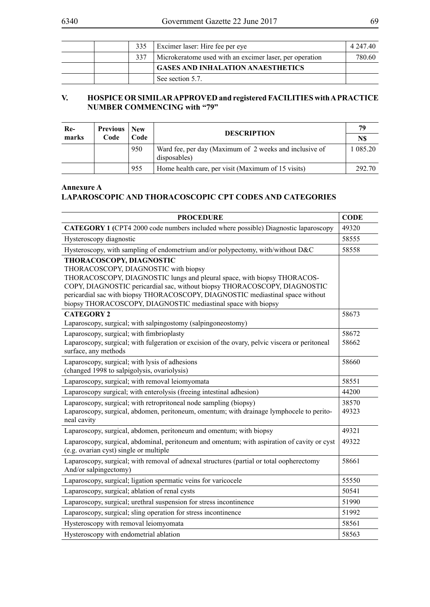|                                                                | 335 | Excimer laser: Hire fee per eye          | 4 247.40 |
|----------------------------------------------------------------|-----|------------------------------------------|----------|
| 337<br>Microkeratome used with an excimer laser, per operation |     |                                          | 780.60   |
|                                                                |     | <b>GASES AND INHALATION ANAESTHETICS</b> |          |
|                                                                |     | See section 5.7.                         |          |

## **V. HOSPICE OR SIMILAR APPROVED and registered FACILITIES with A PRACTICE NUMBER COMMENCING with "79"**

| Re-   | Previous | <b>New</b> | <b>DESCRIPTION</b>                                                     | 79       |
|-------|----------|------------|------------------------------------------------------------------------|----------|
| marks | Code     | Code       |                                                                        | N\$      |
|       |          | 950        | Ward fee, per day (Maximum of 2 weeks and inclusive of<br>disposables) | 1 085.20 |
|       |          | 955        | Home health care, per visit (Maximum of 15 visits)                     | 292.70   |

# **Annexure A LAPAROSCOPIC AND THORACOSCOPIC CPT CODES AND CATEGORIES**

| <b>PROCEDURE</b>                                                                               | <b>CODE</b>    |  |  |  |
|------------------------------------------------------------------------------------------------|----------------|--|--|--|
| CATEGORY 1 (CPT4 2000 code numbers included where possible) Diagnostic laparoscopy             |                |  |  |  |
| Hysteroscopy diagnostic                                                                        |                |  |  |  |
| Hysteroscopy, with sampling of endometrium and/or polypectomy, with/without D&C                |                |  |  |  |
| THORACOSCOPY, DIAGNOSTIC                                                                       |                |  |  |  |
| THORACOSCOPY, DIAGNOSTIC with biopsy                                                           |                |  |  |  |
| THORACOSCOPY, DIAGNOSTIC lungs and pleural space, with biopsy THORACOS-                        |                |  |  |  |
| COPY, DIAGNOSTIC pericardial sac, without biopsy THORACOSCOPY, DIAGNOSTIC                      |                |  |  |  |
| pericardial sac with biopsy THORACOSCOPY, DIAGNOSTIC mediastinal space without                 |                |  |  |  |
| biopsy THORACOSCOPY, DIAGNOSTIC mediastinal space with biopsy                                  |                |  |  |  |
| <b>CATEGORY 2</b>                                                                              | 58673          |  |  |  |
| Laparoscopy, surgical; with salpingostomy (salpingoneostomy)                                   |                |  |  |  |
| Laparoscopy, surgical; with fimbrioplasty                                                      | 58672          |  |  |  |
| Laparoscopy, surgical; with fulgeration or excision of the ovary, pelvic viscera or peritoneal | 58662          |  |  |  |
| surface, any methods                                                                           |                |  |  |  |
| Laparoscopy, surgical; with lysis of adhesions                                                 | 58660          |  |  |  |
| (changed 1998 to salpigolysis, ovariolysis)                                                    |                |  |  |  |
| Laparoscopy, surgical; with removal leiomyomata                                                |                |  |  |  |
| Laparoscopy surgical; with enterolysis (freeing intestinal adhesion)                           |                |  |  |  |
| Laparoscopy, surgical; with retropritoneal node sampling (biopsy)                              | 38570<br>49323 |  |  |  |
| Laparoscopy, surgical, abdomen, peritoneum, omentum; with drainage lymphocele to perito-       |                |  |  |  |
| neal cavity                                                                                    |                |  |  |  |
| Laparoscopy, surgical, abdomen, peritoneum and omentum; with biopsy                            | 49321          |  |  |  |
| Laparoscopy, surgical, abdominal, peritoneum and omentum; with aspiration of cavity or cyst    | 49322          |  |  |  |
| (e.g. ovarian cyst) single or multiple                                                         |                |  |  |  |
| Laparoscopy, surgical; with removal of adnexal structures (partial or total oopherectomy       | 58661          |  |  |  |
| And/or salpingectomy)                                                                          |                |  |  |  |
| Laparoscopy, surgical; ligation spermatic veins for varicocele                                 | 55550          |  |  |  |
| Laparoscopy, surgical; ablation of renal cysts                                                 |                |  |  |  |
| Laparoscopy, surgical; urethral suspension for stress incontinence                             |                |  |  |  |
| Laparoscopy, surgical; sling operation for stress incontinence                                 |                |  |  |  |
| Hysteroscopy with removal leiomyomata                                                          |                |  |  |  |
| Hysteroscopy with endometrial ablation                                                         |                |  |  |  |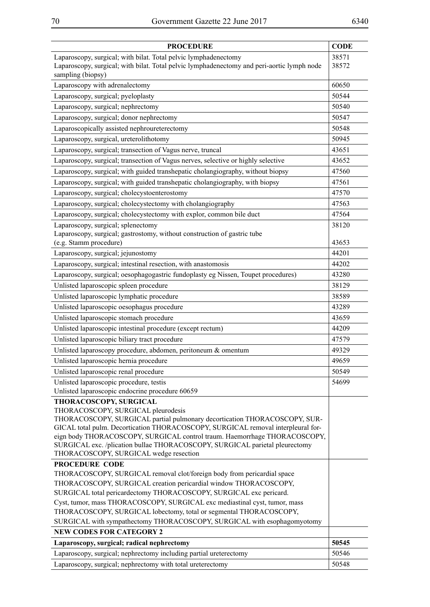| <b>PROCEDURE</b>                                                                                                                                                                                                                                                                                                                                                                                                                    | <b>CODE</b>    |
|-------------------------------------------------------------------------------------------------------------------------------------------------------------------------------------------------------------------------------------------------------------------------------------------------------------------------------------------------------------------------------------------------------------------------------------|----------------|
| Laparoscopy, surgical; with bilat. Total pelvic lymphadenectomy<br>Laparoscopy, surgical; with bilat. Total pelvic lymphadenectomy and peri-aortic lymph node                                                                                                                                                                                                                                                                       | 38571<br>38572 |
| sampling (biopsy)                                                                                                                                                                                                                                                                                                                                                                                                                   |                |
| Laparoscopy with adrenalectomy                                                                                                                                                                                                                                                                                                                                                                                                      | 60650          |
| Laparoscopy, surgical; pyeloplasty                                                                                                                                                                                                                                                                                                                                                                                                  | 50544          |
| Laparoscopy, surgical; nephrectomy                                                                                                                                                                                                                                                                                                                                                                                                  | 50540          |
| Laparoscopy, surgical; donor nephrectomy                                                                                                                                                                                                                                                                                                                                                                                            | 50547          |
| Laparoscopically assisted nephroureterectomy                                                                                                                                                                                                                                                                                                                                                                                        | 50548          |
| Laparoscopy, surgical, ureterolithotomy                                                                                                                                                                                                                                                                                                                                                                                             | 50945          |
| Laparoscopy, surgical; transection of Vagus nerve, truncal                                                                                                                                                                                                                                                                                                                                                                          | 43651          |
| Laparoscopy, surgical; transection of Vagus nerves, selective or highly selective                                                                                                                                                                                                                                                                                                                                                   | 43652          |
| Laparoscopy, surgical; with guided transhepatic cholangiography, without biopsy                                                                                                                                                                                                                                                                                                                                                     | 47560          |
| Laparoscopy, surgical; with guided transhepatic cholangiography, with biopsy                                                                                                                                                                                                                                                                                                                                                        | 47561          |
| Laparoscopy, surgical; cholecystoenterostomy                                                                                                                                                                                                                                                                                                                                                                                        | 47570          |
| Laparoscopy, surgical; cholecystectomy with cholangiography                                                                                                                                                                                                                                                                                                                                                                         | 47563          |
| Laparoscopy, surgical; cholecystectomy with explor, common bile duct                                                                                                                                                                                                                                                                                                                                                                | 47564          |
| Laparoscopy, surgical; splenectomy<br>Laparoscopy, surgical; gastrostomy, without construction of gastric tube                                                                                                                                                                                                                                                                                                                      | 38120          |
| (e.g. Stamm procedure)                                                                                                                                                                                                                                                                                                                                                                                                              | 43653          |
| Laparoscopy, surgical; jejunostomy                                                                                                                                                                                                                                                                                                                                                                                                  | 44201          |
| Laparoscopy, surgical; intestinal resection, with anastomosis                                                                                                                                                                                                                                                                                                                                                                       | 44202          |
| Laparoscopy, surgical; oesophagogastric fundoplasty eg Nissen, Toupet procedures)                                                                                                                                                                                                                                                                                                                                                   | 43280          |
| Unlisted laparoscopic spleen procedure                                                                                                                                                                                                                                                                                                                                                                                              | 38129          |
| Unlisted laparoscopic lymphatic procedure                                                                                                                                                                                                                                                                                                                                                                                           | 38589          |
| Unlisted laparoscopic oesophagus procedure                                                                                                                                                                                                                                                                                                                                                                                          | 43289          |
| Unlisted laparoscopic stomach procedure                                                                                                                                                                                                                                                                                                                                                                                             | 43659          |
| Unlisted laparoscopic intestinal procedure (except rectum)                                                                                                                                                                                                                                                                                                                                                                          | 44209          |
| Unlisted laparoscopic biliary tract procedure                                                                                                                                                                                                                                                                                                                                                                                       | 47579          |
| Unlisted laparoscopy procedure, abdomen, peritoneum & omentum                                                                                                                                                                                                                                                                                                                                                                       | 49329          |
| Unlisted laparoscopic hernia procedure                                                                                                                                                                                                                                                                                                                                                                                              | 49659          |
|                                                                                                                                                                                                                                                                                                                                                                                                                                     | 50549          |
| Unlisted laparoscopic renal procedure                                                                                                                                                                                                                                                                                                                                                                                               |                |
| Unlisted laparoscopic procedure, testis<br>Unlisted laparoscopic endocrine procedure 60659                                                                                                                                                                                                                                                                                                                                          | 54699          |
| THORACOSCOPY, SURGICAL<br>THORACOSCOPY, SURGICAL pleurodesis<br>THORACOSCOPY, SURGICAL partial pulmonary decortication THORACOSCOPY, SUR-<br>GICAL total pulm. Decortication THORACOSCOPY, SURGICAL removal interpleural for-<br>eign body THORACOSCOPY, SURGICAL control traum. Haemorrhage THORACOSCOPY,<br>SURGICAL exc. /plication bullae THORACOSCOPY, SURGICAL parietal pleurectomy<br>THORACOSCOPY, SURGICAL wedge resection |                |
| <b>PROCEDURE CODE</b>                                                                                                                                                                                                                                                                                                                                                                                                               |                |
| THORACOSCOPY, SURGICAL removal clot/foreign body from pericardial space                                                                                                                                                                                                                                                                                                                                                             |                |
| THORACOSCOPY, SURGICAL creation pericardial window THORACOSCOPY,                                                                                                                                                                                                                                                                                                                                                                    |                |
| SURGICAL total pericardectomy THORACOSCOPY, SURGICAL exc pericard.                                                                                                                                                                                                                                                                                                                                                                  |                |
| Cyst, tumor, mass THORACOSCOPY, SURGICAL exc mediastinal cyst, tumor, mass<br>THORACOSCOPY, SURGICAL lobectomy, total or segmental THORACOSCOPY,                                                                                                                                                                                                                                                                                    |                |
| SURGICAL with sympathectomy THORACOSCOPY, SURGICAL with esophagomyotomy                                                                                                                                                                                                                                                                                                                                                             |                |
| <b>NEW CODES FOR CATEGORY 2</b>                                                                                                                                                                                                                                                                                                                                                                                                     |                |
|                                                                                                                                                                                                                                                                                                                                                                                                                                     |                |
| Laparoscopy, surgical; radical nephrectomy                                                                                                                                                                                                                                                                                                                                                                                          | 50545          |
| Laparoscopy, surgical; nephrectomy including partial ureterectomy                                                                                                                                                                                                                                                                                                                                                                   | 50546          |
| Laparoscopy, surgical; nephrectomy with total ureterectomy                                                                                                                                                                                                                                                                                                                                                                          | 50548          |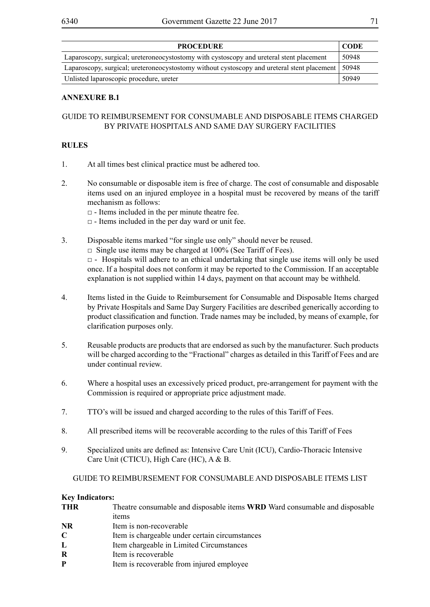| <b>PROCEDURE</b>                                                                            |       |  |  |  |
|---------------------------------------------------------------------------------------------|-------|--|--|--|
| Laparoscopy, surgical; ureteroneocystostomy with cystoscopy and ureteral stent placement    | 50948 |  |  |  |
| Laparoscopy, surgical; ureteroneocystostomy without cystoscopy and ureteral stent placement |       |  |  |  |
| Unlisted laparoscopic procedure, ureter                                                     |       |  |  |  |

# **ANNEXURE B.1**

## GUIDE TO REIMBURSEMENT FOR CONSUMABLE AND DISPOSABLE ITEMS CHARGED BY PRIVATE HOSPITALS AND SAME DAY SURGERY FACILITIES

## **RULES**

- 1. At all times best clinical practice must be adhered too.
- 2. No consumable or disposable item is free of charge. The cost of consumable and disposable items used on an injured employee in a hospital must be recovered by means of the tariff mechanism as follows:
	- $\Box$  Items included in the per minute theatre fee.
	- $\Box$  Items included in the per day ward or unit fee.
- 3. Disposable items marked "for single use only" should never be reused.  $\Box$  Single use items may be charged at 100% (See Tariff of Fees).

 $\Box$  - Hospitals will adhere to an ethical undertaking that single use items will only be used once. If a hospital does not conform it may be reported to the Commission. If an acceptable explanation is not supplied within 14 days, payment on that account may be withheld.

- 4. Items listed in the Guide to Reimbursement for Consumable and Disposable Items charged by Private Hospitals and Same Day Surgery Facilities are described generically according to product classification and function. Trade names may be included, by means of example, for clarification purposes only.
- 5. Reusable products are products that are endorsed as such by the manufacturer. Such products will be charged according to the "Fractional" charges as detailed in this Tariff of Fees and are under continual review.
- 6. Where a hospital uses an excessively priced product, pre-arrangement for payment with the Commission is required or appropriate price adjustment made.
- 7. TTO's will be issued and charged according to the rules of this Tariff of Fees.
- 8. All prescribed items will be recoverable according to the rules of this Tariff of Fees
- 9. Specialized units are defined as: Intensive Care Unit (ICU), Cardio-Thoracic Intensive Care Unit (CTICU), High Care (HC), A & B.

## GUIDE TO REIMBURSEMENT FOR CONSUMABLE AND DISPOSABLE ITEMS LIST

# **Key Indicators:**

| <b>THR</b>  | Theatre consumable and disposable items <b>WRD</b> Ward consumable and disposable |  |  |  |
|-------------|-----------------------------------------------------------------------------------|--|--|--|
|             | items                                                                             |  |  |  |
| <b>NR</b>   | Item is non-recoverable                                                           |  |  |  |
| $\mathbf C$ | Item is chargeable under certain circumstances                                    |  |  |  |
| L           | Item chargeable in Limited Circumstances                                          |  |  |  |
| R           | Item is recoverable                                                               |  |  |  |
| P           | Item is recoverable from injured employee                                         |  |  |  |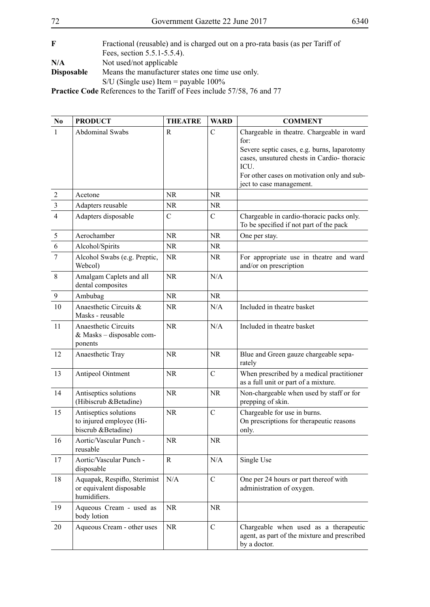| F   | Fractional (reusable) and is charged out on a pro-rata basis (as per Tariff of |
|-----|--------------------------------------------------------------------------------|
|     | Fees, section 5.5.1-5.5.4).                                                    |
| N/A | Not used/not applicable                                                        |
| ∽.  | $\mathbf{M}$ and $\mathbf{C}$ and $\mathbf{C}$                                 |

**Disposable** Means the manufacturer states one time use only.

S/U (Single use) Item = payable 100%

**Practice Code** References to the Tariff of Fees include 57/58, 76 and 77

| N <sub>0</sub>          | <b>PRODUCT</b>                                                           | <b>THEATRE</b> | <b>WARD</b>   | <b>COMMENT</b>                                                                                                                                                                                                                    |
|-------------------------|--------------------------------------------------------------------------|----------------|---------------|-----------------------------------------------------------------------------------------------------------------------------------------------------------------------------------------------------------------------------------|
| $\mathbf{1}$            | <b>Abdominal Swabs</b>                                                   | R              | C             | Chargeable in theatre. Chargeable in ward<br>for:<br>Severe septic cases, e.g. burns, laparotomy<br>cases, unsutured chests in Cardio-thoracic<br>ICU.<br>For other cases on motivation only and sub-<br>ject to case management. |
| $\sqrt{2}$              | Acetone                                                                  | <b>NR</b>      | <b>NR</b>     |                                                                                                                                                                                                                                   |
| $\overline{\mathbf{3}}$ | Adapters reusable                                                        | NR             | NR.           |                                                                                                                                                                                                                                   |
| $\overline{4}$          | Adapters disposable                                                      | $\mathcal{C}$  | $\mathbf C$   | Chargeable in cardio-thoracic packs only.<br>To be specified if not part of the pack                                                                                                                                              |
| 5                       | Aerochamber                                                              | <b>NR</b>      | <b>NR</b>     | One per stay.                                                                                                                                                                                                                     |
| 6                       | Alcohol/Spirits                                                          | <b>NR</b>      | NR.           |                                                                                                                                                                                                                                   |
| $\boldsymbol{7}$        | Alcohol Swabs (e.g. Preptic,<br>Webcol)                                  | NR.            | NR.           | For appropriate use in theatre and ward<br>and/or on prescription                                                                                                                                                                 |
| 8                       | Amalgam Caplets and all<br>dental composites                             | <b>NR</b>      | N/A           |                                                                                                                                                                                                                                   |
| 9                       | Ambubag                                                                  | <b>NR</b>      | NR.           |                                                                                                                                                                                                                                   |
| 10                      | Anaesthetic Circuits &<br>Masks - reusable                               | <b>NR</b>      | N/A           | Included in theatre basket                                                                                                                                                                                                        |
| 11                      | Anaesthetic Circuits<br>& Masks - disposable com-<br>ponents             | <b>NR</b>      | N/A           | Included in theatre basket                                                                                                                                                                                                        |
| 12                      | Anaesthetic Tray                                                         | <b>NR</b>      | <b>NR</b>     | Blue and Green gauze chargeable sepa-<br>rately                                                                                                                                                                                   |
| 13                      | Antipeol Ointment                                                        | <b>NR</b>      | $\mathcal{C}$ | When prescribed by a medical practitioner<br>as a full unit or part of a mixture.                                                                                                                                                 |
| 14                      | Antiseptics solutions<br>(Hibiscrub & Betadine)                          | <b>NR</b>      | <b>NR</b>     | Non-chargeable when used by staff or for<br>prepping of skin.                                                                                                                                                                     |
| 15                      | Antiseptics solutions<br>to injured employee (Hi-<br>biscrub &Betadine)  | <b>NR</b>      | $\mathbf C$   | Chargeable for use in burns.<br>On prescriptions for therapeutic reasons<br>only.                                                                                                                                                 |
| 16                      | Aortic/Vascular Punch -<br>reusable                                      | <b>NR</b>      | <b>NR</b>     |                                                                                                                                                                                                                                   |
| 17                      | Aortic/Vascular Punch -<br>disposable                                    | R              | N/A           | Single Use                                                                                                                                                                                                                        |
| 18                      | Aquapak, Respiflo, Sterimist<br>or equivalent disposable<br>humidifiers. | N/A            | $\mathcal{C}$ | One per 24 hours or part thereof with<br>administration of oxygen.                                                                                                                                                                |
| 19                      | Aqueous Cream - used as<br>body lotion                                   | <b>NR</b>      | <b>NR</b>     |                                                                                                                                                                                                                                   |
| 20                      | Aqueous Cream - other uses                                               | <b>NR</b>      | $\mathbf C$   | Chargeable when used as a therapeutic<br>agent, as part of the mixture and prescribed<br>by a doctor.                                                                                                                             |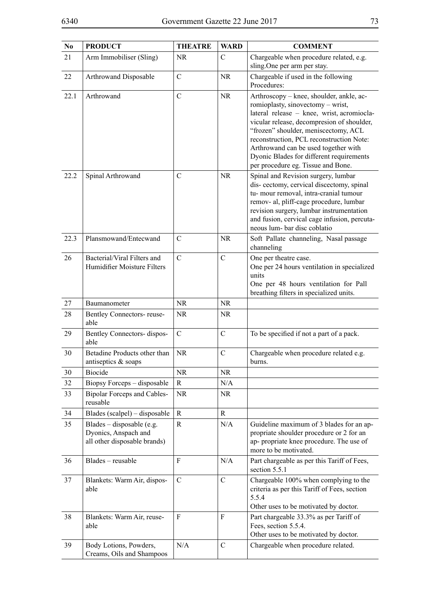| N <sub>0</sub> | <b>PRODUCT</b>                                                                    | <b>THEATRE</b> | <b>WARD</b>   | <b>COMMENT</b>                                                                                                                                                                                                                                                                                                                                                                          |
|----------------|-----------------------------------------------------------------------------------|----------------|---------------|-----------------------------------------------------------------------------------------------------------------------------------------------------------------------------------------------------------------------------------------------------------------------------------------------------------------------------------------------------------------------------------------|
| 21             | Arm Immobiliser (Sling)                                                           | NR.            | $\mathcal{C}$ | Chargeable when procedure related, e.g.<br>sling. One per arm per stay.                                                                                                                                                                                                                                                                                                                 |
| 22             | Arthrowand Disposable                                                             | $\mathcal{C}$  | <b>NR</b>     | Chargeable if used in the following<br>Procedures:                                                                                                                                                                                                                                                                                                                                      |
| 22.1           | Arthrowand                                                                        | $\mathcal{C}$  | <b>NR</b>     | Arthroscopy – knee, shoulder, ankle, ac-<br>romioplasty, sinovectomy - wrist,<br>lateral release - knee, wrist, acromiocla-<br>vicular release, decompresion of shoulder,<br>"frozen" shoulder, meniscectomy, ACL<br>reconstruction, PCL reconstruction Note:<br>Arthrowand can be used together with<br>Dyonic Blades for different requirements<br>per procedure eg. Tissue and Bone. |
| 22.2           | Spinal Arthrowand                                                                 | $\mathcal{C}$  | <b>NR</b>     | Spinal and Revision surgery, lumbar<br>dis- cectomy, cervical discectomy, spinal<br>tu- mour removal, intra-cranial tumour<br>remov- al, pliff-cage procedure, lumbar<br>revision surgery, lumbar instrumentation<br>and fusion, cervical cage infusion, percuta-<br>neous lum- bar disc coblatio                                                                                       |
| 22.3           | Plansmowand/Entecwand                                                             | $\mathcal{C}$  | <b>NR</b>     | Soft Pallate channeling, Nasal passage<br>channeling                                                                                                                                                                                                                                                                                                                                    |
| 26             | Bacterial/Viral Filters and<br>Humidifier Moisture Filters                        | $\overline{C}$ | $\mathcal{C}$ | One per theatre case.<br>One per 24 hours ventilation in specialized<br>units<br>One per 48 hours ventilation for Pall<br>breathing filters in specialized units.                                                                                                                                                                                                                       |
| 27             | Baumanometer                                                                      | <b>NR</b>      | NR.           |                                                                                                                                                                                                                                                                                                                                                                                         |
| 28             | Bentley Connectors-reuse-<br>able                                                 | <b>NR</b>      | <b>NR</b>     |                                                                                                                                                                                                                                                                                                                                                                                         |
| 29             | Bentley Connectors- dispos-<br>able                                               | $\overline{C}$ | $\mathcal{C}$ | To be specified if not a part of a pack.                                                                                                                                                                                                                                                                                                                                                |
| 30             | Betadine Products other than<br>antiseptics $\&$ soaps                            | <b>NR</b>      | $\mathcal{C}$ | Chargeable when procedure related e.g.<br>burns.                                                                                                                                                                                                                                                                                                                                        |
| 30             | <b>Biocide</b>                                                                    | <b>NR</b>      | <b>NR</b>     |                                                                                                                                                                                                                                                                                                                                                                                         |
| 32             | Biopsy Forceps - disposable                                                       | $\mathbf R$    | N/A           |                                                                                                                                                                                                                                                                                                                                                                                         |
| 33             | <b>Bipolar Forceps and Cables-</b><br>reusable                                    | <b>NR</b>      | NR.           |                                                                                                                                                                                                                                                                                                                                                                                         |
| 34             | Blades (scalpel) – disposable                                                     | $\mathbf R$    | $\mathbf R$   |                                                                                                                                                                                                                                                                                                                                                                                         |
| 35             | Blades - disposable (e.g.<br>Dyonics, Anspach and<br>all other disposable brands) | R              | N/A           | Guideline maximum of 3 blades for an ap-<br>propriate shoulder procedure or 2 for an<br>ap- propriate knee procedure. The use of<br>more to be motivated.                                                                                                                                                                                                                               |
| 36             | Blades - reusable                                                                 | F              | N/A           | Part chargeable as per this Tariff of Fees,<br>section 5.5.1                                                                                                                                                                                                                                                                                                                            |
| 37             | Blankets: Warm Air, dispos-<br>able                                               | $\mathcal{C}$  | $\mathcal{C}$ | Chargeable 100% when complying to the<br>criteria as per this Tariff of Fees, section<br>5.5.4<br>Other uses to be motivated by doctor.                                                                                                                                                                                                                                                 |
| 38             | Blankets: Warm Air, reuse-<br>able                                                | F              | F             | Part chargeable 33.3% as per Tariff of<br>Fees, section 5.5.4.<br>Other uses to be motivated by doctor.                                                                                                                                                                                                                                                                                 |
| 39             | Body Lotions, Powders,<br>Creams, Oils and Shampoos                               | N/A            | $\mathcal{C}$ | Chargeable when procedure related.                                                                                                                                                                                                                                                                                                                                                      |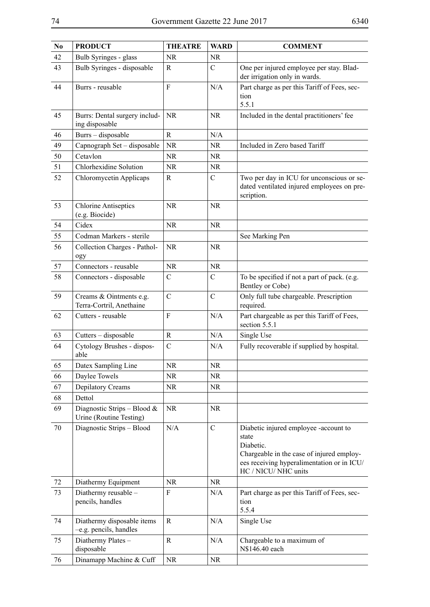| N <sub>0</sub> | <b>PRODUCT</b>                                           | <b>THEATRE</b> | <b>WARD</b>    | <b>COMMENT</b>                                                                                                                                                                 |
|----------------|----------------------------------------------------------|----------------|----------------|--------------------------------------------------------------------------------------------------------------------------------------------------------------------------------|
| 42             | Bulb Syringes - glass                                    | <b>NR</b>      | <b>NR</b>      |                                                                                                                                                                                |
| 43             | Bulb Syringes - disposable                               | R              | $\mathbf C$    | One per injured employee per stay. Blad-<br>der irrigation only in wards.                                                                                                      |
| 44             | Burrs - reusable                                         | $\mathbf{F}$   | N/A            | Part charge as per this Tariff of Fees, sec-<br>tion<br>5.5.1                                                                                                                  |
| 45             | Burrs: Dental surgery includ-<br>ing disposable          | <b>NR</b>      | <b>NR</b>      | Included in the dental practitioners' fee                                                                                                                                      |
| 46             | Burrs - disposable                                       | $\mathbf R$    | N/A            |                                                                                                                                                                                |
| 49             | Capnograph Set - disposable                              | <b>NR</b>      | <b>NR</b>      | Included in Zero based Tariff                                                                                                                                                  |
| 50             | Cetavlon                                                 | <b>NR</b>      | <b>NR</b>      |                                                                                                                                                                                |
| 51             | Chlorhexidine Solution                                   | <b>NR</b>      | NR.            |                                                                                                                                                                                |
| 52             | Chloromycetin Applicaps                                  | R              | $\mathcal{C}$  | Two per day in ICU for unconscious or se-<br>dated ventilated injured employees on pre-<br>scription.                                                                          |
| 53             | <b>Chlorine Antiseptics</b><br>(e.g. Biocide)            | <b>NR</b>      | <b>NR</b>      |                                                                                                                                                                                |
| 54             | Cidex                                                    | <b>NR</b>      | <b>NR</b>      |                                                                                                                                                                                |
| 55             | Codman Markers - sterile                                 |                |                | See Marking Pen                                                                                                                                                                |
| 56             | Collection Charges - Pathol-<br>ogy                      | <b>NR</b>      | <b>NR</b>      |                                                                                                                                                                                |
| 57             | Connectors - reusable                                    | NR             | <b>NR</b>      |                                                                                                                                                                                |
| 58             | Connectors - disposable                                  | $\mathcal{C}$  | $\mathsf{C}$   | To be specified if not a part of pack. (e.g.<br>Bentley or Cobe)                                                                                                               |
| 59             | Creams & Ointments e.g.<br>Terra-Cortril, Anethaine      | $\overline{C}$ | $\overline{C}$ | Only full tube chargeable. Prescription<br>required.                                                                                                                           |
| 62             | Cutters - reusable                                       | ${\bf F}$      | $\rm N/A$      | Part chargeable as per this Tariff of Fees,<br>section 5.5.1                                                                                                                   |
| 63             | Cutters - disposable                                     | $\mathbb{R}$   | $\rm N/A$      | Single Use                                                                                                                                                                     |
| 64             | Cytology Brushes - dispos-<br>able                       | $\mathcal{C}$  | N/A            | Fully recoverable if supplied by hospital.                                                                                                                                     |
| 65             | Datex Sampling Line                                      | $\rm NR$       | $\rm NR$       |                                                                                                                                                                                |
| 66             | Daylee Towels                                            | NR.            | <b>NR</b>      |                                                                                                                                                                                |
| 67             | Depilatory Creams                                        | NR.            | <b>NR</b>      |                                                                                                                                                                                |
| 68             | Dettol                                                   |                |                |                                                                                                                                                                                |
| 69             | Diagnostic Strips - Blood $&$<br>Urine (Routine Testing) | <b>NR</b>      | <b>NR</b>      |                                                                                                                                                                                |
| 70             | Diagnostic Strips - Blood                                | N/A            | $\mathbf C$    | Diabetic injured employee -account to<br>state<br>Diabetic.<br>Chargeable in the case of injured employ-<br>ees receiving hyperalimentation or in ICU/<br>HC / NICU/ NHC units |
| 72             | Diathermy Equipment                                      | <b>NR</b>      | <b>NR</b>      |                                                                                                                                                                                |
| 73             | Diathermy reusable -<br>pencils, handles                 | F              | N/A            | Part charge as per this Tariff of Fees, sec-<br>tion<br>5.5.4                                                                                                                  |
| 74             | Diathermy disposable items<br>-e.g. pencils, handles     | R              | N/A            | Single Use                                                                                                                                                                     |
| 75             | Diathermy Plates -<br>disposable                         | R              | N/A            | Chargeable to a maximum of<br>N\$146.40 each                                                                                                                                   |
| 76             | Dinamapp Machine & Cuff                                  | <b>NR</b>      | <b>NR</b>      |                                                                                                                                                                                |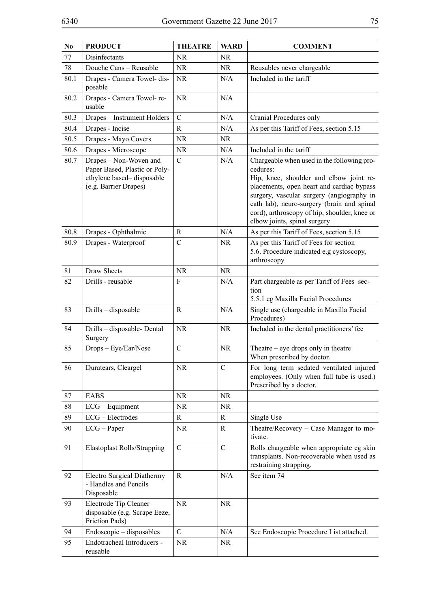| $\mathbf{N}\mathbf{0}$ | <b>PRODUCT</b>                                                                                                | <b>THEATRE</b> | <b>WARD</b>   | <b>COMMENT</b>                                                                                                                                                                                                                                                                                                            |
|------------------------|---------------------------------------------------------------------------------------------------------------|----------------|---------------|---------------------------------------------------------------------------------------------------------------------------------------------------------------------------------------------------------------------------------------------------------------------------------------------------------------------------|
| 77                     | Disinfectants                                                                                                 | NR             | <b>NR</b>     |                                                                                                                                                                                                                                                                                                                           |
| 78                     | Douche Cans - Reusable                                                                                        | NR.            | NR            | Reusables never chargeable                                                                                                                                                                                                                                                                                                |
| 80.1                   | Drapes - Camera Towel- dis-<br>posable                                                                        | <b>NR</b>      | N/A           | Included in the tariff                                                                                                                                                                                                                                                                                                    |
| 80.2                   | Drapes - Camera Towel-re-<br>usable                                                                           | <b>NR</b>      | N/A           |                                                                                                                                                                                                                                                                                                                           |
| 80.3                   | Drapes - Instrument Holders                                                                                   | $\mathcal{C}$  | N/A           | Cranial Procedures only                                                                                                                                                                                                                                                                                                   |
| 80.4                   | Drapes - Incise                                                                                               | $\mathbf R$    | N/A           | As per this Tariff of Fees, section 5.15                                                                                                                                                                                                                                                                                  |
| 80.5                   | Drapes - Mayo Covers                                                                                          | NR             | <b>NR</b>     |                                                                                                                                                                                                                                                                                                                           |
| 80.6                   | Drapes - Microscope                                                                                           | <b>NR</b>      | N/A           | Included in the tariff                                                                                                                                                                                                                                                                                                    |
| 80.7                   | Drapes - Non-Woven and<br>Paper Based, Plastic or Poly-<br>ethylene based-disposable<br>(e.g. Barrier Drapes) | $\overline{C}$ | N/A           | Chargeable when used in the following pro-<br>cedures:<br>Hip, knee, shoulder and elbow joint re-<br>placements, open heart and cardiac bypass<br>surgery, vascular surgery (angiography in<br>cath lab), neuro-surgery (brain and spinal<br>cord), arthroscopy of hip, shoulder, knee or<br>elbow joints, spinal surgery |
| 80.8                   | Drapes - Ophthalmic                                                                                           | R              | N/A           | As per this Tariff of Fees, section 5.15                                                                                                                                                                                                                                                                                  |
| 80.9                   | Drapes - Waterproof                                                                                           | $\mathcal{C}$  | NR            | As per this Tariff of Fees for section<br>5.6. Procedure indicated e.g cystoscopy,<br>arthroscopy                                                                                                                                                                                                                         |
| 81                     | Draw Sheets                                                                                                   | <b>NR</b>      | NR            |                                                                                                                                                                                                                                                                                                                           |
| 82                     | Drills - reusable                                                                                             | F              | N/A           | Part chargeable as per Tariff of Fees sec-<br>tion<br>5.5.1 eg Maxilla Facial Procedures                                                                                                                                                                                                                                  |
| 83                     | Drills - disposable                                                                                           | R              | N/A           | Single use (chargeable in Maxilla Facial<br>Procedures)                                                                                                                                                                                                                                                                   |
| 84                     | Drills - disposable- Dental<br>Surgery                                                                        | <b>NR</b>      | <b>NR</b>     | Included in the dental practitioners' fee                                                                                                                                                                                                                                                                                 |
| 85                     | Drops - Eye/Ear/Nose                                                                                          | $\overline{C}$ | <b>NR</b>     | Theatre – eye drops only in theatre<br>When prescribed by doctor.                                                                                                                                                                                                                                                         |
| 86                     | Duratears, Cleargel                                                                                           | <b>NR</b>      | $\mathbf C$   | For long term sedated ventilated injured<br>employees. (Only when full tube is used.)<br>Prescribed by a doctor.                                                                                                                                                                                                          |
| 87                     | <b>EABS</b>                                                                                                   | <b>NR</b>      | <b>NR</b>     |                                                                                                                                                                                                                                                                                                                           |
| 88                     | ECG - Equipment                                                                                               | <b>NR</b>      | <b>NR</b>     |                                                                                                                                                                                                                                                                                                                           |
| 89                     | $ECG - Electrodes$                                                                                            | R              | R             | Single Use                                                                                                                                                                                                                                                                                                                |
| 90                     | $ECG-Paper$                                                                                                   | NR             | R             | Theatre/Recovery – Case Manager to mo-<br>tivate.                                                                                                                                                                                                                                                                         |
| 91                     | <b>Elastoplast Rolls/Strapping</b>                                                                            | $\mathcal{C}$  | $\mathcal{C}$ | Rolls chargeable when appropriate eg skin<br>transplants. Non-recoverable when used as<br>restraining strapping.                                                                                                                                                                                                          |
| 92                     | <b>Electro Surgical Diathermy</b><br>- Handles and Pencils<br>Disposable                                      | R              | N/A           | See item 74                                                                                                                                                                                                                                                                                                               |
| 93                     | Electrode Tip Cleaner-<br>disposable (e.g. Scrape Eeze,<br>Friction Pads)                                     | <b>NR</b>      | <b>NR</b>     |                                                                                                                                                                                                                                                                                                                           |
| 94                     | Endoscopic – disposables                                                                                      | $\mathcal{C}$  | N/A           | See Endoscopic Procedure List attached.                                                                                                                                                                                                                                                                                   |
| 95                     | Endotracheal Introducers -<br>reusable                                                                        | <b>NR</b>      | NR.           |                                                                                                                                                                                                                                                                                                                           |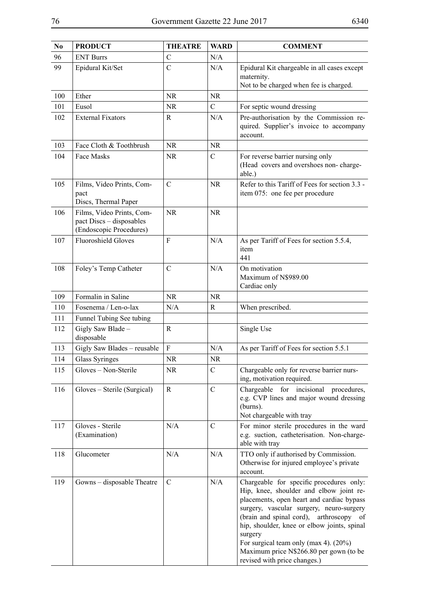| N <sub>0</sub> | <b>PRODUCT</b>                                                                   | <b>THEATRE</b> | <b>WARD</b>   | <b>COMMENT</b>                                                                                                                                                                                                                                                                                                                                                                                        |
|----------------|----------------------------------------------------------------------------------|----------------|---------------|-------------------------------------------------------------------------------------------------------------------------------------------------------------------------------------------------------------------------------------------------------------------------------------------------------------------------------------------------------------------------------------------------------|
| 96             | <b>ENT Burrs</b>                                                                 | $\mathcal{C}$  | N/A           |                                                                                                                                                                                                                                                                                                                                                                                                       |
| 99             | Epidural Kit/Set                                                                 | $\mathcal{C}$  | N/A           | Epidural Kit chargeable in all cases except<br>maternity.<br>Not to be charged when fee is charged.                                                                                                                                                                                                                                                                                                   |
| 100            | Ether                                                                            | <b>NR</b>      | NR            |                                                                                                                                                                                                                                                                                                                                                                                                       |
| 101            | Eusol                                                                            | <b>NR</b>      | C             | For septic wound dressing                                                                                                                                                                                                                                                                                                                                                                             |
| 102            | <b>External Fixators</b>                                                         | R              | N/A           | Pre-authorisation by the Commission re-<br>quired. Supplier's invoice to accompany<br>account.                                                                                                                                                                                                                                                                                                        |
| 103            | Face Cloth & Toothbrush                                                          | <b>NR</b>      | <b>NR</b>     |                                                                                                                                                                                                                                                                                                                                                                                                       |
| 104            | Face Masks                                                                       | <b>NR</b>      | C             | For reverse barrier nursing only<br>(Head covers and overshoes non-charge-<br>able.)                                                                                                                                                                                                                                                                                                                  |
| 105            | Films, Video Prints, Com-<br>pact<br>Discs, Thermal Paper                        | $\mathcal{C}$  | NR            | Refer to this Tariff of Fees for section 3.3 -<br>item 075: one fee per procedure                                                                                                                                                                                                                                                                                                                     |
| 106            | Films, Video Prints, Com-<br>pact Discs - disposables<br>(Endoscopic Procedures) | <b>NR</b>      | <b>NR</b>     |                                                                                                                                                                                                                                                                                                                                                                                                       |
| 107            | <b>Fluoroshield Gloves</b>                                                       | F              | N/A           | As per Tariff of Fees for section 5.5.4,<br>item<br>441                                                                                                                                                                                                                                                                                                                                               |
| 108            | Foley's Temp Catheter                                                            | $\mathcal{C}$  | N/A           | On motivation<br>Maximum of N\$989.00<br>Cardiac only                                                                                                                                                                                                                                                                                                                                                 |
| 109            | Formalin in Saline                                                               | <b>NR</b>      | <b>NR</b>     |                                                                                                                                                                                                                                                                                                                                                                                                       |
| $110\,$        | Fosenema / Len-o-lax                                                             | N/A            | R             | When prescribed.                                                                                                                                                                                                                                                                                                                                                                                      |
| 111            | Funnel Tubing See tubing                                                         |                |               |                                                                                                                                                                                                                                                                                                                                                                                                       |
| 112            | Gigly Saw Blade -<br>disposable                                                  | R              |               | Single Use                                                                                                                                                                                                                                                                                                                                                                                            |
| 113            | Gigly Saw Blades - reusable                                                      | $\rm F$        | N/A           | As per Tariff of Fees for section 5.5.1                                                                                                                                                                                                                                                                                                                                                               |
| 114            | <b>Glass Syringes</b>                                                            | <b>NR</b>      | <b>NR</b>     |                                                                                                                                                                                                                                                                                                                                                                                                       |
| 115            | Gloves - Non-Sterile                                                             | <b>NR</b>      | $\mathsf C$   | Chargeable only for reverse barrier nurs-<br>ing, motivation required.                                                                                                                                                                                                                                                                                                                                |
| 116            | Gloves – Sterile (Surgical)                                                      | R              | $\mathcal{C}$ | Chargeable for incisional procedures,<br>e.g. CVP lines and major wound dressing<br>(burns).<br>Not chargeable with tray                                                                                                                                                                                                                                                                              |
| 117            | Gloves - Sterile<br>(Examination)                                                | N/A            | $\mathcal{C}$ | For minor sterile procedures in the ward<br>e.g. suction, catheterisation. Non-charge-<br>able with tray                                                                                                                                                                                                                                                                                              |
| 118            | Glucometer                                                                       | N/A            | N/A           | TTO only if authorised by Commission.<br>Otherwise for injured employee's private<br>account.                                                                                                                                                                                                                                                                                                         |
| 119            | Gowns - disposable Theatre                                                       | $\mathbf C$    | N/A           | Chargeable for specific procedures only:<br>Hip, knee, shoulder and elbow joint re-<br>placements, open heart and cardiac bypass<br>surgery, vascular surgery, neuro-surgery<br>(brain and spinal cord), arthroscopy of<br>hip, shoulder, knee or elbow joints, spinal<br>surgery<br>For surgical team only (max 4). (20%)<br>Maximum price N\$266.80 per gown (to be<br>revised with price changes.) |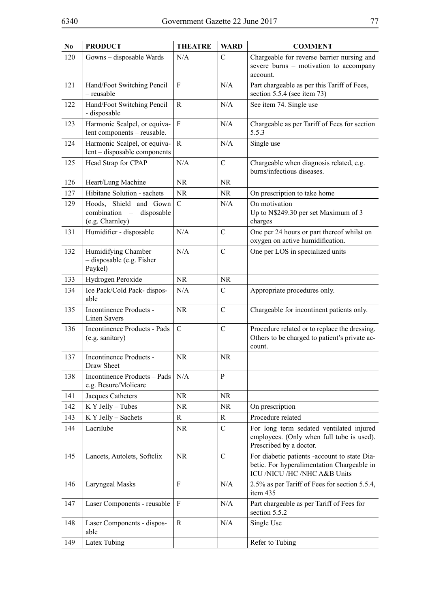| $\bf No$ | <b>PRODUCT</b>                                                           | <b>THEATRE</b>   | <b>WARD</b>   | <b>COMMENT</b>                                                                                                             |  |
|----------|--------------------------------------------------------------------------|------------------|---------------|----------------------------------------------------------------------------------------------------------------------------|--|
| 120      | Gowns - disposable Wards                                                 | N/A              | $\mathcal{C}$ | Chargeable for reverse barrier nursing and<br>severe burns - motivation to accompany<br>account.                           |  |
| 121      | Hand/Foot Switching Pencil<br>- reusable                                 | $\mathbf{F}$     | N/A           | Part chargeable as per this Tariff of Fees,<br>section 5.5.4 (see item 73)                                                 |  |
| 122      | Hand/Foot Switching Pencil<br>- disposable                               | $\mathbf R$      | N/A           | See item 74. Single use                                                                                                    |  |
| 123      | Harmonic Scalpel, or equiva-<br>lent components - reusable.              | ${\bf F}$        | N/A           | Chargeable as per Tariff of Fees for section<br>5.5.3                                                                      |  |
| 124      | Harmonic Scalpel, or equiva-<br>lent - disposable components             | $\mathbf R$      | N/A           | Single use                                                                                                                 |  |
| 125      | Head Strap for CPAP                                                      | N/A              | $\mathcal{C}$ | Chargeable when diagnosis related, e.g.<br>burns/infectious diseases.                                                      |  |
| 126      | Heart/Lung Machine                                                       | <b>NR</b>        | <b>NR</b>     |                                                                                                                            |  |
| 127      | Hibitane Solution - sachets                                              | <b>NR</b>        | <b>NR</b>     | On prescription to take home                                                                                               |  |
| 129      | Hoods, Shield and Gown<br>combination -<br>disposable<br>(e.g. Charnley) | $\mathcal{C}$    | N/A           | On motivation<br>Up to N\$249.30 per set Maximum of 3<br>charges                                                           |  |
| 131      | Humidifier - disposable                                                  | N/A              | $\mathcal{C}$ | One per 24 hours or part thereof whilst on<br>oxygen on active humidification.                                             |  |
| 132      | Humidifying Chamber<br>- disposable (e.g. Fisher<br>Paykel)              | N/A              | $\mathcal{C}$ | One per LOS in specialized units                                                                                           |  |
| 133      | Hydrogen Peroxide                                                        | <b>NR</b>        | NR.           |                                                                                                                            |  |
| 134      | Ice Pack/Cold Pack- dispos-<br>able                                      | N/A              | $\mathcal{C}$ | Appropriate procedures only.                                                                                               |  |
| 135      | Incontinence Products -<br><b>Linen Savers</b>                           | <b>NR</b>        | $\mathcal{C}$ | Chargeable for incontinent patients only.                                                                                  |  |
| 136      | Incontinence Products - Pads<br>(e.g. sanitary)                          | $\mathbf C$      | $\mathcal{C}$ | Procedure related or to replace the dressing.<br>Others to be charged to patient's private ac-<br>count.                   |  |
| 137      | Incontinence Products -<br>Draw Sheet                                    | <b>NR</b>        | <b>NR</b>     |                                                                                                                            |  |
| 138      | Incontinence Products - Pads<br>e.g. Besure/Molicare                     | N/A              | P             |                                                                                                                            |  |
| 141      | Jacques Catheters                                                        | <b>NR</b>        | NR.           |                                                                                                                            |  |
| 142      | K Y Jelly - Tubes                                                        | <b>NR</b>        | NR.           | On prescription                                                                                                            |  |
| 143      | K Y Jelly - Sachets                                                      | R                | R             | Procedure related                                                                                                          |  |
| 144      | Lacrilube                                                                | NR.              | $\mathcal{C}$ | For long term sedated ventilated injured<br>employees. (Only when full tube is used).<br>Prescribed by a doctor.           |  |
| 145      | Lancets, Autolets, Softclix                                              | <b>NR</b>        | $\mathcal{C}$ | For diabetic patients -account to state Dia-<br>betic. For hyperalimentation Chargeable in<br>ICU /NICU /HC /NHC A&B Units |  |
| 146      | Laryngeal Masks                                                          | F                | N/A           | 2.5% as per Tariff of Fees for section 5.5.4,<br>item 435                                                                  |  |
| 147      | Laser Components - reusable                                              | $\boldsymbol{F}$ | N/A           | Part chargeable as per Tariff of Fees for<br>section 5.5.2                                                                 |  |
| 148      | Laser Components - dispos-<br>able                                       | R                | N/A           | Single Use                                                                                                                 |  |
| 149      | Latex Tubing                                                             |                  |               | Refer to Tubing                                                                                                            |  |
|          |                                                                          |                  |               |                                                                                                                            |  |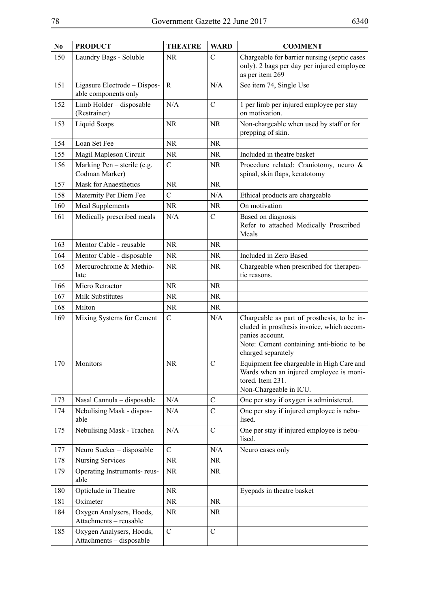| N <sub>0</sub> | <b>PRODUCT</b>                                       | <b>THEATRE</b> | <b>WARD</b>   | <b>COMMENT</b>                                                                                                                                                                  |
|----------------|------------------------------------------------------|----------------|---------------|---------------------------------------------------------------------------------------------------------------------------------------------------------------------------------|
| 150            | Laundry Bags - Soluble                               | NR.            | $\mathcal{C}$ | Chargeable for barrier nursing (septic cases<br>only). 2 bags per day per injured employee<br>as per item 269                                                                   |
| 151            | Ligasure Electrode - Dispos-<br>able components only | R              | N/A           | See item 74, Single Use                                                                                                                                                         |
| 152            | Limb Holder - disposable<br>(Restrainer)             | N/A            | $\mathcal{C}$ | 1 per limb per injured employee per stay<br>on motivation.                                                                                                                      |
| 153            | Liquid Soaps                                         | <b>NR</b>      | <b>NR</b>     | Non-chargeable when used by staff or for<br>prepping of skin.                                                                                                                   |
| 154            | Loan Set Fee                                         | <b>NR</b>      | <b>NR</b>     |                                                                                                                                                                                 |
| 155            | Magil Mapleson Circuit                               | NR.            | NR            | Included in theatre basket                                                                                                                                                      |
| 156            | Marking Pen - sterile (e.g.<br>Codman Marker)        | $\mathcal{C}$  | NR            | Procedure related: Craniotomy, neuro &<br>spinal, skin flaps, keratotomy                                                                                                        |
| 157            | Mask for Anaesthetics                                | <b>NR</b>      | NR            |                                                                                                                                                                                 |
| 158            | Maternity Per Diem Fee                               | $\mathcal{C}$  | N/A           | Ethical products are chargeable                                                                                                                                                 |
| 160            | <b>Meal Supplements</b>                              | NR.            | NR            | On motivation                                                                                                                                                                   |
| 161            | Medically prescribed meals                           | N/A            | C             | Based on diagnosis<br>Refer to attached Medically Prescribed<br>Meals                                                                                                           |
| 163            | Mentor Cable - reusable                              | <b>NR</b>      | NR            |                                                                                                                                                                                 |
| 164            | Mentor Cable - disposable                            | <b>NR</b>      | NR            | Included in Zero Based                                                                                                                                                          |
| 165            | Mercurochrome & Methio-<br>late                      | <b>NR</b>      | NR            | Chargeable when prescribed for therapeu-<br>tic reasons.                                                                                                                        |
| 166            | Micro Retractor                                      | <b>NR</b>      | NR            |                                                                                                                                                                                 |
| 167            | <b>Milk Substitutes</b>                              | <b>NR</b>      | NR.           |                                                                                                                                                                                 |
| 168            | Milton                                               | <b>NR</b>      | NR            |                                                                                                                                                                                 |
| 169            | Mixing Systems for Cement                            | $\mathcal{C}$  | N/A           | Chargeable as part of prosthesis, to be in-<br>cluded in prosthesis invoice, which accom-<br>panies account.<br>Note: Cement containing anti-biotic to be<br>charged separately |
| 170            | Monitors                                             | <b>NR</b>      | $\mathcal{C}$ | Equipment fee chargeable in High Care and<br>Wards when an injured employee is moni-<br>tored. Item 231.<br>Non-Chargeable in ICU.                                              |
| 173            | Nasal Cannula - disposable                           | N/A            | $\mathcal{C}$ | One per stay if oxygen is administered.                                                                                                                                         |
| 174            | Nebulising Mask - dispos-<br>able                    | N/A            | $\mathcal{C}$ | One per stay if injured employee is nebu-<br>lised.                                                                                                                             |
| 175            | Nebulising Mask - Trachea                            | N/A            | $\mathcal{C}$ | One per stay if injured employee is nebu-<br>lised.                                                                                                                             |
| 177            | Neuro Sucker - disposable                            | $\mathbf C$    | N/A           | Neuro cases only                                                                                                                                                                |
| 178            | <b>Nursing Services</b>                              | <b>NR</b>      | NR            |                                                                                                                                                                                 |
| 179            | Operating Instruments-reus-<br>able                  | NR.            | NR            |                                                                                                                                                                                 |
| 180            | Opticlude in Theatre                                 | <b>NR</b>      |               | Eyepads in theatre basket                                                                                                                                                       |
| 181            | Oximeter                                             | $\rm NR$       | <b>NR</b>     |                                                                                                                                                                                 |
| 184            | Oxygen Analysers, Hoods,<br>Attachments - reusable   | <b>NR</b>      | NR            |                                                                                                                                                                                 |
| 185            | Oxygen Analysers, Hoods,<br>Attachments - disposable | $\mathbf C$    | $\mathcal{C}$ |                                                                                                                                                                                 |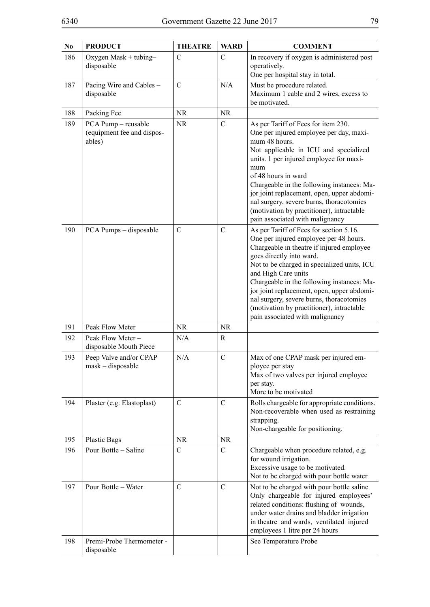| N <sub>0</sub> | <b>PRODUCT</b>                                              | <b>THEATRE</b> | <b>WARD</b>   | <b>COMMENT</b>                                                                                                                                                                                                                                                                                                                                                                                                                                           |
|----------------|-------------------------------------------------------------|----------------|---------------|----------------------------------------------------------------------------------------------------------------------------------------------------------------------------------------------------------------------------------------------------------------------------------------------------------------------------------------------------------------------------------------------------------------------------------------------------------|
| 186            | Oxygen Mask + tubing-<br>disposable                         | $\mathcal{C}$  | $\mathcal{C}$ | In recovery if oxygen is administered post<br>operatively.<br>One per hospital stay in total.                                                                                                                                                                                                                                                                                                                                                            |
| 187            | Pacing Wire and Cables -<br>disposable                      | $\mathbf C$    | N/A           | Must be procedure related.<br>Maximum 1 cable and 2 wires, excess to<br>be motivated.                                                                                                                                                                                                                                                                                                                                                                    |
| 188            | Packing Fee                                                 | NR             | <b>NR</b>     |                                                                                                                                                                                                                                                                                                                                                                                                                                                          |
| 189            | PCA Pump - reusable<br>(equipment fee and dispos-<br>ables) | <b>NR</b>      | $\mathcal{C}$ | As per Tariff of Fees for item 230.<br>One per injured employee per day, maxi-<br>mum 48 hours.<br>Not applicable in ICU and specialized<br>units. 1 per injured employee for maxi-<br>mum<br>of 48 hours in ward<br>Chargeable in the following instances: Ma-<br>jor joint replacement, open, upper abdomi-<br>nal surgery, severe burns, thoracotomies<br>(motivation by practitioner), intractable<br>pain associated with malignancy                |
| 190            | PCA Pumps - disposable                                      | $\mathcal{C}$  | $\mathcal{C}$ | As per Tariff of Fees for section 5.16.<br>One per injured employee per 48 hours.<br>Chargeable in theatre if injured employee<br>goes directly into ward.<br>Not to be charged in specialized units, ICU<br>and High Care units<br>Chargeable in the following instances: Ma-<br>jor joint replacement, open, upper abdomi-<br>nal surgery, severe burns, thoracotomies<br>(motivation by practitioner), intractable<br>pain associated with malignancy |
| 191            | Peak Flow Meter                                             | <b>NR</b>      | <b>NR</b>     |                                                                                                                                                                                                                                                                                                                                                                                                                                                          |
| 192            | Peak Flow Meter -<br>disposable Mouth Piece                 | N/A            | R             |                                                                                                                                                                                                                                                                                                                                                                                                                                                          |
| 193            | Peep Valve and/or CPAP<br>mask - disposable                 | N/A            | $\mathcal{C}$ | Max of one CPAP mask per injured em-<br>ployee per stay<br>Max of two valves per injured employee<br>per stay.<br>More to be motivated                                                                                                                                                                                                                                                                                                                   |
| 194            | Plaster (e.g. Elastoplast)                                  | $\mathcal{C}$  | $\mathcal{C}$ | Rolls chargeable for appropriate conditions.<br>Non-recoverable when used as restraining<br>strapping.<br>Non-chargeable for positioning.                                                                                                                                                                                                                                                                                                                |
| 195            | <b>Plastic Bags</b>                                         | <b>NR</b>      | <b>NR</b>     |                                                                                                                                                                                                                                                                                                                                                                                                                                                          |
| 196            | Pour Bottle – Saline                                        | $\mathcal{C}$  | $\mathcal{C}$ | Chargeable when procedure related, e.g.<br>for wound irrigation.<br>Excessive usage to be motivated.<br>Not to be charged with pour bottle water                                                                                                                                                                                                                                                                                                         |
| 197            | Pour Bottle - Water                                         | $\mathcal{C}$  | $\mathcal{C}$ | Not to be charged with pour bottle saline<br>Only chargeable for injured employees'<br>related conditions: flushing of wounds,<br>under water drains and bladder irrigation<br>in theatre and wards, ventilated injured<br>employees 1 litre per 24 hours                                                                                                                                                                                                |
| 198            | Premi-Probe Thermometer -<br>disposable                     |                |               | See Temperature Probe                                                                                                                                                                                                                                                                                                                                                                                                                                    |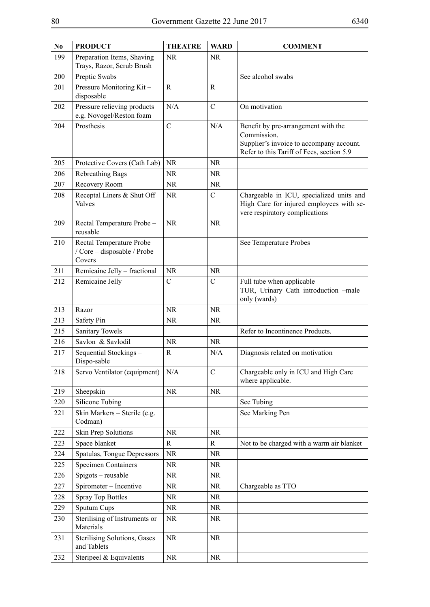| N <sub>0</sub> | <b>PRODUCT</b>                                                    | <b>THEATRE</b> | <b>WARD</b>   | <b>COMMENT</b>                                                                                                                              |
|----------------|-------------------------------------------------------------------|----------------|---------------|---------------------------------------------------------------------------------------------------------------------------------------------|
| 199            | Preparation Items, Shaving<br>Trays, Razor, Scrub Brush           | <b>NR</b>      | NR            |                                                                                                                                             |
| 200            | Preptic Swabs                                                     |                |               | See alcohol swabs                                                                                                                           |
| 201            | Pressure Monitoring Kit-<br>disposable                            | R              | $\mathbf R$   |                                                                                                                                             |
| 202            | Pressure relieving products<br>e.g. Novogel/Reston foam           | N/A            | $\mathcal{C}$ | On motivation                                                                                                                               |
| 204            | Prosthesis                                                        | $\mathcal{C}$  | $\rm N/A$     | Benefit by pre-arrangement with the<br>Commission.<br>Supplier's invoice to accompany account.<br>Refer to this Tariff of Fees, section 5.9 |
| 205            | Protective Covers (Cath Lab)                                      | <b>NR</b>      | <b>NR</b>     |                                                                                                                                             |
| 206            | Rebreathing Bags                                                  | <b>NR</b>      | NR            |                                                                                                                                             |
| 207            | Recovery Room                                                     | <b>NR</b>      | NR            |                                                                                                                                             |
| 208            | Receptal Liners & Shut Off<br>Valves                              | <b>NR</b>      | $\mathcal{C}$ | Chargeable in ICU, specialized units and<br>High Care for injured employees with se-<br>vere respiratory complications                      |
| 209            | Rectal Temperature Probe -<br>reusable                            | <b>NR</b>      | <b>NR</b>     |                                                                                                                                             |
| 210            | Rectal Temperature Probe<br>/ Core – disposable / Probe<br>Covers |                |               | See Temperature Probes                                                                                                                      |
| 211            | Remicaine Jelly - fractional                                      | <b>NR</b>      | NR.           |                                                                                                                                             |
| 212            | Remicaine Jelly                                                   | $\mathcal{C}$  | $\mathcal{C}$ | Full tube when applicable<br>TUR, Urinary Cath introduction -male<br>only (wards)                                                           |
| 213            | Razor                                                             | <b>NR</b>      | <b>NR</b>     |                                                                                                                                             |
| 213            | Safety Pin                                                        | <b>NR</b>      | NR.           |                                                                                                                                             |
| 215            | <b>Sanitary Towels</b>                                            |                |               | Refer to Incontinence Products.                                                                                                             |
| 216            | Savlon & Savlodil                                                 | <b>NR</b>      | <b>NR</b>     |                                                                                                                                             |
| 217            | Sequential Stockings -<br>Dispo-sable                             | R              | N/A           | Diagnosis related on motivation                                                                                                             |
| 218            | Servo Ventilator (equipment)                                      | N/A            | $\mathcal{C}$ | Chargeable only in ICU and High Care<br>where applicable.                                                                                   |
| 219            | Sheepskin                                                         | <b>NR</b>      | <b>NR</b>     |                                                                                                                                             |
| 220            | Silicone Tubing                                                   |                |               | See Tubing                                                                                                                                  |
| 221            | Skin Markers - Sterile (e.g.<br>Codman)                           |                |               | See Marking Pen                                                                                                                             |
| 222            | Skin Prep Solutions                                               | <b>NR</b>      | <b>NR</b>     |                                                                                                                                             |
| 223            | Space blanket                                                     | $\mathbf R$    | R             | Not to be charged with a warm air blanket                                                                                                   |
| 224            | Spatulas, Tongue Depressors                                       | <b>NR</b>      | NR            |                                                                                                                                             |
| 225            | <b>Specimen Containers</b>                                        | <b>NR</b>      | NR            |                                                                                                                                             |
| 226            | Spigots - reusable                                                | <b>NR</b>      | NR            |                                                                                                                                             |
| 227            | Spirometer - Incentive                                            | <b>NR</b>      | NR            | Chargeable as TTO                                                                                                                           |
| 228            | <b>Spray Top Bottles</b>                                          | <b>NR</b>      | NR            |                                                                                                                                             |
| 229            | Sputum Cups                                                       | <b>NR</b>      | NR            |                                                                                                                                             |
| 230            | Sterilising of Instruments or<br>Materials                        | <b>NR</b>      | NR            |                                                                                                                                             |
| 231            | Sterilising Solutions, Gases<br>and Tablets                       | $\rm NR$       | NR            |                                                                                                                                             |
| 232            | Steripeel & Equivalents                                           | <b>NR</b>      | <b>NR</b>     |                                                                                                                                             |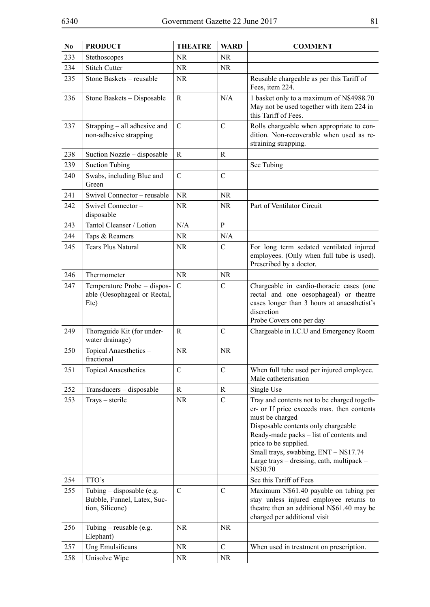| No  | <b>PRODUCT</b>                                                                | <b>THEATRE</b> | <b>WARD</b>   | <b>COMMENT</b>                                                                                                                                                                                                                                                                                                            |
|-----|-------------------------------------------------------------------------------|----------------|---------------|---------------------------------------------------------------------------------------------------------------------------------------------------------------------------------------------------------------------------------------------------------------------------------------------------------------------------|
| 233 | Stethoscopes                                                                  | NR             | <b>NR</b>     |                                                                                                                                                                                                                                                                                                                           |
| 234 | <b>Stitch Cutter</b>                                                          | NR             | NR            |                                                                                                                                                                                                                                                                                                                           |
| 235 | Stone Baskets - reusable                                                      | <b>NR</b>      |               | Reusable chargeable as per this Tariff of<br>Fees, item 224.                                                                                                                                                                                                                                                              |
| 236 | Stone Baskets - Disposable                                                    | R              | N/A           | 1 basket only to a maximum of N\$4988.70<br>May not be used together with item 224 in<br>this Tariff of Fees.                                                                                                                                                                                                             |
| 237 | Strapping - all adhesive and<br>non-adhesive strapping                        | $\overline{C}$ | $\mathcal{C}$ | Rolls chargeable when appropriate to con-<br>dition. Non-recoverable when used as re-<br>straining strapping.                                                                                                                                                                                                             |
| 238 | Suction Nozzle - disposable                                                   | R              | R             |                                                                                                                                                                                                                                                                                                                           |
| 239 | <b>Suction Tubing</b>                                                         |                |               | See Tubing                                                                                                                                                                                                                                                                                                                |
| 240 | Swabs, including Blue and<br>Green                                            | $\mathcal{C}$  | C             |                                                                                                                                                                                                                                                                                                                           |
| 241 | Swivel Connector - reusable                                                   | <b>NR</b>      | <b>NR</b>     |                                                                                                                                                                                                                                                                                                                           |
| 242 | Swivel Connector-<br>disposable                                               | NR             | NR.           | Part of Ventilator Circuit                                                                                                                                                                                                                                                                                                |
| 243 | Tantol Cleanser / Lotion                                                      | N/A            | ${\bf P}$     |                                                                                                                                                                                                                                                                                                                           |
| 244 | Taps & Reamers                                                                | NR             | N/A           |                                                                                                                                                                                                                                                                                                                           |
| 245 | <b>Tears Plus Natural</b>                                                     | <b>NR</b>      | $\mathcal{C}$ | For long term sedated ventilated injured<br>employees. (Only when full tube is used).<br>Prescribed by a doctor.                                                                                                                                                                                                          |
| 246 | Thermometer                                                                   | <b>NR</b>      | <b>NR</b>     |                                                                                                                                                                                                                                                                                                                           |
| 247 | Temperature Probe - dispos-<br>able (Oesophageal or Rectal,<br>Etc)           | $\mathcal{C}$  | $\mathcal{C}$ | Chargeable in cardio-thoracic cases (one<br>rectal and one oesophageal) or theatre<br>cases longer than 3 hours at anaesthetist's<br>discretion<br>Probe Covers one per day                                                                                                                                               |
| 249 | Thoraguide Kit (for under-<br>water drainage)                                 | R              | $\mathcal{C}$ | Chargeable in I.C.U and Emergency Room                                                                                                                                                                                                                                                                                    |
| 250 | Topical Anaesthetics-<br>fractional                                           | NR             | <b>NR</b>     |                                                                                                                                                                                                                                                                                                                           |
| 251 | <b>Topical Anaesthetics</b>                                                   | $\mathcal{C}$  | $\mathcal{C}$ | When full tube used per injured employee.<br>Male catheterisation                                                                                                                                                                                                                                                         |
| 252 | Transducers - disposable                                                      | $\mathbf R$    | R             | Single Use                                                                                                                                                                                                                                                                                                                |
| 253 | Trays - sterile                                                               | <b>NR</b>      | $\mathcal{C}$ | Tray and contents not to be charged togeth-<br>er- or If price exceeds max. then contents<br>must be charged<br>Disposable contents only chargeable<br>Ready-made packs - list of contents and<br>price to be supplied.<br>Small trays, swabbing, ENT - N\$17.74<br>Large trays - dressing, cath, multipack -<br>N\$30.70 |
| 254 | TTO's                                                                         |                |               | See this Tariff of Fees                                                                                                                                                                                                                                                                                                   |
| 255 | Tubing $-$ disposable (e.g.<br>Bubble, Funnel, Latex, Suc-<br>tion, Silicone) | $\mathcal{C}$  | $\mathcal{C}$ | Maximum N\$61.40 payable on tubing per<br>stay unless injured employee returns to<br>theatre then an additional N\$61.40 may be<br>charged per additional visit                                                                                                                                                           |
| 256 | Tubing - reusable (e.g.<br>Elephant)                                          | <b>NR</b>      | <b>NR</b>     |                                                                                                                                                                                                                                                                                                                           |
| 257 | Ung Emulsificans                                                              | <b>NR</b>      | $\mathcal{C}$ | When used in treatment on prescription.                                                                                                                                                                                                                                                                                   |
| 258 | Unisolve Wipe                                                                 | <b>NR</b>      | NR            |                                                                                                                                                                                                                                                                                                                           |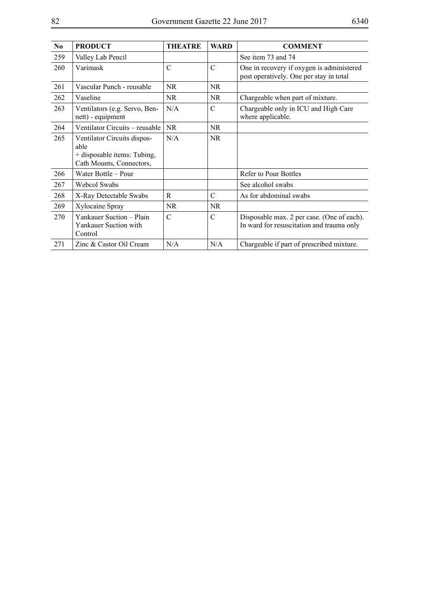| No. | <b>PRODUCT</b>                                                                                 | THEATRE       | <b>WARD</b>   | <b>COMMENT</b>                                                                          |
|-----|------------------------------------------------------------------------------------------------|---------------|---------------|-----------------------------------------------------------------------------------------|
| 259 | Valley Lab Pencil                                                                              |               |               | See item 73 and 74                                                                      |
| 260 | Varimask                                                                                       | $\mathcal{C}$ | $\mathcal{C}$ | One in recovery if oxygen is administered<br>post operatively. One per stay in total    |
| 261 | Vascular Punch - reusable                                                                      | <b>NR</b>     | <b>NR</b>     |                                                                                         |
| 262 | Vaseline                                                                                       | NR.           | NR.           | Chargeable when part of mixture.                                                        |
| 263 | Ventilators (e.g. Servo, Ben-<br>nett) - equipment                                             | N/A           | $\mathcal{C}$ | Chargeable only in ICU and High Care<br>where applicable.                               |
| 264 | Ventilator Circuits - reusable                                                                 | <b>NR</b>     | <b>NR</b>     |                                                                                         |
| 265 | Ventilator Circuits dispos-<br>able<br>+ disposable items: Tubing,<br>Cath Mounts, Connectors, | N/A           | NR.           |                                                                                         |
| 266 | Water Bottle – Pour                                                                            |               |               | Refer to Pour Bottles                                                                   |
| 267 | <b>Webcol Swabs</b>                                                                            |               |               | See alcohol swabs                                                                       |
| 268 | X-Ray Detectable Swabs                                                                         | R             | $\mathcal{C}$ | As for abdominal swabs                                                                  |
| 269 | Xylocaine Spray                                                                                | <b>NR</b>     | <b>NR</b>     |                                                                                         |
| 270 | Yankauer Suction - Plain<br>Yankauer Suction with<br>Control                                   | $\mathcal{C}$ | $\mathcal{C}$ | Disposable max. 2 per case. (One of each).<br>In ward for resuscitation and trauma only |
| 271 | Zinc & Castor Oil Cream                                                                        | N/A           | N/A           | Chargeable if part of prescribed mixture.                                               |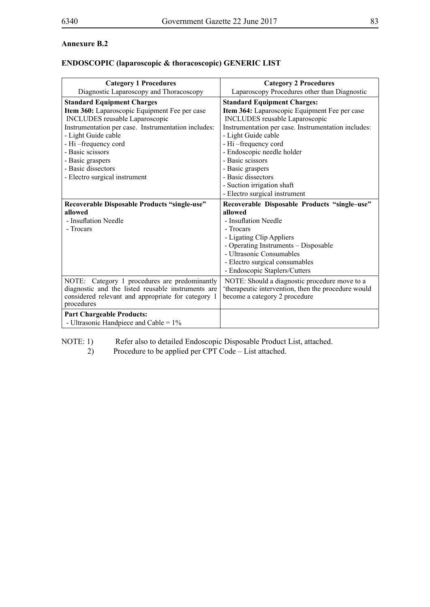# **Annexure B.2**

# **ENDOSCOPIC (laparoscopic & thoracoscopic) GENERIC LIST**

| <b>Category 1 Procedures</b>                        | <b>Category 2 Procedures</b>                        |
|-----------------------------------------------------|-----------------------------------------------------|
| Diagnostic Laparoscopy and Thoracoscopy             | Laparoscopy Procedures other than Diagnostic        |
| <b>Standard Equipment Charges</b>                   | <b>Standard Equipment Charges:</b>                  |
| Item 360: Laparoscopic Equipment Fee per case       | Item 364: Laparoscopic Equipment Fee per case       |
| <b>INCLUDES</b> reusable Laparoscopic               | <b>INCLUDES</b> reusable Laparoscopic               |
| Instrumentation per case. Instrumentation includes: | Instrumentation per case. Instrumentation includes: |
| - Light Guide cable                                 | - Light Guide cable                                 |
| - Hi-frequency cord                                 | - Hi-frequency cord                                 |
| - Basic scissors                                    | - Endoscopic needle holder                          |
| - Basic graspers                                    | - Basic scissors                                    |
| - Basic dissectors                                  | - Basic graspers                                    |
| - Electro surgical instrument                       | - Basic dissectors                                  |
|                                                     | - Suction irrigation shaft                          |
|                                                     | - Electro surgical instrument                       |
| Recoverable Disposable Products "single-use"        | Recoverable Disposable Products "single-use"        |
| allowed                                             | allowed                                             |
| - Insuflation Needle                                | - Insuflation Needle                                |
| - Trocars                                           | - Trocars                                           |
|                                                     | - Ligating Clip Appliers                            |
|                                                     | - Operating Instruments - Disposable                |
|                                                     | - Ultrasonic Consumables                            |
|                                                     | - Electro surgical consumables                      |
|                                                     | - Endoscopic Staplers/Cutters                       |
| NOTE: Category 1 procedures are predominantly       | NOTE: Should a diagnostic procedure move to a       |
| diagnostic and the listed reusable instruments are  | 'therapeutic intervention, then the procedure would |
| considered relevant and appropriate for category 1  | become a category 2 procedure                       |
| procedures                                          |                                                     |
| <b>Part Chargeable Products:</b>                    |                                                     |
| - Ultrasonic Handpiece and Cable = $1\%$            |                                                     |

NOTE: 1) Refer also to detailed Endoscopic Disposable Product List, attached.<br>2) Procedure to be applied per CPT Code – List attached.

2) Procedure to be applied per CPT Code – List attached.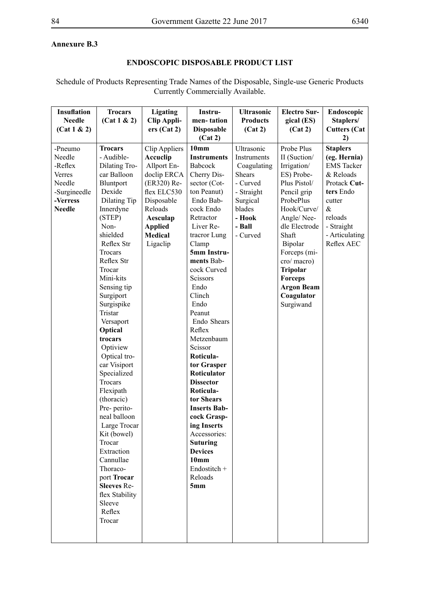# **Annexure B.3**

# **ENDOSCOPIC DISPOSABLE PRODUCT LIST**

Schedule of Products Representing Trade Names of the Disposable, Single-use Generic Products Currently Commercially Available.

| Insuflation   | <b>Trocars</b>               | Ligating             | Instru-                            | <b>Ultrasonic</b> | <b>Electro Sur-</b> | Endoscopic          |
|---------------|------------------------------|----------------------|------------------------------------|-------------------|---------------------|---------------------|
| <b>Needle</b> | (Cat 1 & 2)                  | <b>Clip Appli-</b>   | men-tation                         | <b>Products</b>   | gical (ES)          | Staplers/           |
| (Cat 1 & 2)   |                              | ers (Cat 2)          | <b>Disposable</b>                  | (Cat 2)           | (Cat 2)             | <b>Cutters (Cat</b> |
|               |                              |                      | (Cat 2)                            |                   |                     | 2)                  |
| -Pneumo       | <b>Trocars</b>               | <b>Clip Appliers</b> | 10mm                               | Ultrasonic        | Probe Plus          | <b>Staplers</b>     |
| Needle        | - Audible-                   | Accuclip             | <b>Instruments</b>                 | Instruments       | II (Suction/        | (eg. Hernia)        |
| -Reflex       | Dilating Tro-                | Allport En-          | <b>Babcock</b>                     | Coagulating       | Irrigation/         | <b>EMS</b> Tacker   |
| Verres        | car Balloon                  | doclip ERCA          | Cherry Dis-                        | <b>Shears</b>     | ES) Probe-          | & Reloads           |
| Needle        | Bluntport                    | (ER320) Re-          | sector (Cot-                       | - Curved          | Plus Pistol/        | Protack Cut-        |
| -Surgineedle  | Dexide                       | flex ELC530          | ton Peanut)                        | - Straight        | Pencil grip         | ters Endo           |
| -Verress      | Dilating Tip                 | Disposable           | Endo Bab-                          | Surgical          | ProbePlus           | cutter              |
| <b>Needle</b> | Innerdyne                    | Reloads              | cock Endo                          | blades            | Hook/Curve/         | &                   |
|               | (STEP)                       | Aesculap             | Retractor                          | - Hook            | Angle/Nee-          | reloads             |
|               | Non-                         | <b>Applied</b>       | Liver Re-                          | - Ball            | dle Electrode       | - Straight          |
|               | shielded                     | Medical              | tracror Lung                       | - Curved          | Shaft               | - Articulating      |
|               | Reflex Str                   | Ligaclip             | Clamp                              |                   | Bipolar             | Reflex AEC          |
|               | Trocars                      |                      | 5mm Instru-                        |                   | Forceps (mi-        |                     |
|               | Reflex Str                   |                      | ments Bab-                         |                   | cro/macro)          |                     |
|               | Trocar                       |                      | cock Curved                        |                   | <b>Tripolar</b>     |                     |
|               | Mini-kits                    |                      | Scissors                           |                   | <b>Forceps</b>      |                     |
|               | Sensing tip                  |                      | Endo                               |                   | <b>Argon Beam</b>   |                     |
|               | Surgiport                    |                      | Clinch                             |                   | Coagulator          |                     |
|               | Surgispike                   |                      | Endo                               |                   | Surgiwand           |                     |
|               | Tristar                      |                      | Peanut                             |                   |                     |                     |
|               | Versaport                    |                      | Endo Shears                        |                   |                     |                     |
|               | Optical                      |                      | Reflex                             |                   |                     |                     |
|               | trocars                      |                      | Metzenbaum                         |                   |                     |                     |
|               | Optiview                     |                      | Scissor                            |                   |                     |                     |
|               | Optical tro-                 |                      | Roticula-                          |                   |                     |                     |
|               | car Visiport                 |                      | tor Grasper                        |                   |                     |                     |
|               | Specialized                  |                      | Roticulator                        |                   |                     |                     |
|               | Trocars                      |                      | <b>Dissector</b>                   |                   |                     |                     |
|               | Flexipath                    |                      | Roticula-<br>tor Shears            |                   |                     |                     |
|               | (thoracic)                   |                      |                                    |                   |                     |                     |
|               | Pre- perito-<br>neal balloon |                      | <b>Inserts Bab-</b><br>cock Grasp- |                   |                     |                     |
|               | Large Trocar                 |                      | ing Inserts                        |                   |                     |                     |
|               | Kit (bowel)                  |                      | Accessories:                       |                   |                     |                     |
|               | Trocar                       |                      | <b>Suturing</b>                    |                   |                     |                     |
|               | Extraction                   |                      | <b>Devices</b>                     |                   |                     |                     |
|               | Cannullae                    |                      | 10mm                               |                   |                     |                     |
|               | Thoraco-                     |                      | Endostitch +                       |                   |                     |                     |
|               | port Trocar                  |                      | Reloads                            |                   |                     |                     |
|               | <b>Sleeves Re-</b>           |                      | 5mm                                |                   |                     |                     |
|               | flex Stability               |                      |                                    |                   |                     |                     |
|               | Sleeve                       |                      |                                    |                   |                     |                     |
|               | Reflex                       |                      |                                    |                   |                     |                     |
|               | Trocar                       |                      |                                    |                   |                     |                     |
|               |                              |                      |                                    |                   |                     |                     |
|               |                              |                      |                                    |                   |                     |                     |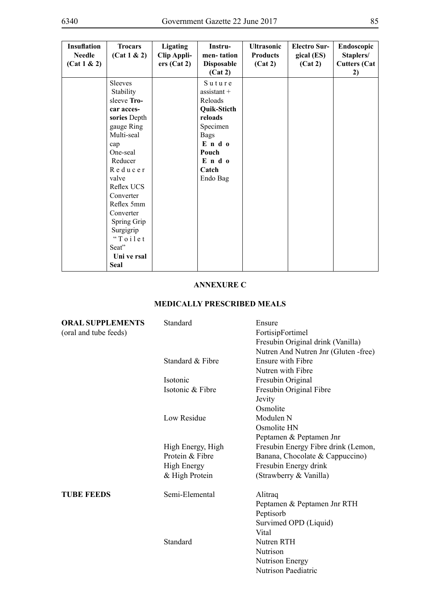| <b>Insuflation</b><br><b>Needle</b><br>(Cat 1 & 2) | <b>Trocars</b><br>(Cat 1 & 2) | <b>Ligating</b><br><b>Clip Appli-</b><br>ers (Cat 2) | Instru-<br>men-tation<br><b>Disposable</b><br>(Cat 2) | <b>Ultrasonic</b><br><b>Products</b><br>(Cat 2) | <b>Electro Sur-</b><br>gical (ES)<br>(Cat 2) | Endoscopic<br>Staplers/<br><b>Cutters (Cat</b><br>2) |
|----------------------------------------------------|-------------------------------|------------------------------------------------------|-------------------------------------------------------|-------------------------------------------------|----------------------------------------------|------------------------------------------------------|
|                                                    | Sleeves                       |                                                      | Suture                                                |                                                 |                                              |                                                      |
|                                                    | Stability                     |                                                      | $assistant +$                                         |                                                 |                                              |                                                      |
|                                                    | sleeve Tro-                   |                                                      | Reloads                                               |                                                 |                                              |                                                      |
|                                                    | car acces-                    |                                                      | Quik-Sticth                                           |                                                 |                                              |                                                      |
|                                                    | sories Depth                  |                                                      | reloads                                               |                                                 |                                              |                                                      |
|                                                    | gauge Ring                    |                                                      | Specimen                                              |                                                 |                                              |                                                      |
|                                                    | Multi-seal                    |                                                      | <b>Bags</b>                                           |                                                 |                                              |                                                      |
|                                                    | cap                           |                                                      | Endo                                                  |                                                 |                                              |                                                      |
|                                                    | One-seal                      |                                                      | Pouch                                                 |                                                 |                                              |                                                      |
|                                                    | Reducer                       |                                                      | Endo                                                  |                                                 |                                              |                                                      |
|                                                    | Reducer                       |                                                      | Catch                                                 |                                                 |                                              |                                                      |
|                                                    | valve                         |                                                      | Endo Bag                                              |                                                 |                                              |                                                      |
|                                                    | Reflex UCS                    |                                                      |                                                       |                                                 |                                              |                                                      |
|                                                    | Converter                     |                                                      |                                                       |                                                 |                                              |                                                      |
|                                                    | Reflex 5mm                    |                                                      |                                                       |                                                 |                                              |                                                      |
|                                                    | Converter                     |                                                      |                                                       |                                                 |                                              |                                                      |
|                                                    | Spring Grip                   |                                                      |                                                       |                                                 |                                              |                                                      |
|                                                    | Surgigrip                     |                                                      |                                                       |                                                 |                                              |                                                      |
|                                                    | "Toilet                       |                                                      |                                                       |                                                 |                                              |                                                      |
|                                                    | Seat"                         |                                                      |                                                       |                                                 |                                              |                                                      |
|                                                    | Uni ve rsal                   |                                                      |                                                       |                                                 |                                              |                                                      |
|                                                    | <b>Seal</b>                   |                                                      |                                                       |                                                 |                                              |                                                      |

## **ANNEXURE C**

## **MEDICALLY PRESCRIBED MEALS**

| <b>ORAL SUPPLEMENTS</b> | Standard           | Ensure                               |
|-------------------------|--------------------|--------------------------------------|
| (oral and tube feeds)   |                    | FortisipFortimel                     |
|                         |                    | Fresubin Original drink (Vanilla)    |
|                         |                    | Nutren And Nutren Jnr (Gluten -free) |
|                         | Standard & Fibre   | Ensure with Fibre                    |
|                         |                    | Nutren with Fibre                    |
|                         | Isotonic           | Fresubin Original                    |
|                         | Isotonic & Fibre   | Fresubin Original Fibre              |
|                         |                    | Jevity                               |
|                         |                    | Osmolite                             |
|                         | Low Residue        | Modulen N                            |
|                         |                    | Osmolite HN                          |
|                         |                    | Peptamen & Peptamen Jnr              |
|                         | High Energy, High  | Fresubin Energy Fibre drink (Lemon,  |
|                         | Protein & Fibre    | Banana, Chocolate & Cappuccino)      |
|                         | <b>High Energy</b> | Fresubin Energy drink                |
|                         | & High Protein     | (Strawberry & Vanilla)               |
| <b>TUBE FEEDS</b>       | Semi-Elemental     | Alitraq                              |
|                         |                    | Peptamen & Peptamen Jnr RTH          |
|                         |                    | Peptisorb                            |
|                         |                    | Survimed OPD (Liquid)                |
|                         |                    | Vital                                |
|                         | Standard           | Nutren RTH                           |
|                         |                    | Nutrison                             |
|                         |                    | <b>Nutrison Energy</b>               |
|                         |                    | Nutrison Paediatric                  |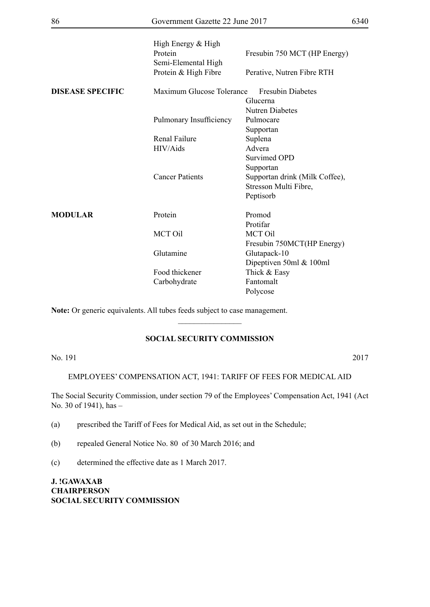|                         | High Energy & High<br>Protein<br>Semi-Elemental High<br>Protein & High Fibre | Fresubin 750 MCT (HP Energy)<br>Perative, Nutren Fibre RTH |
|-------------------------|------------------------------------------------------------------------------|------------------------------------------------------------|
| <b>DISEASE SPECIFIC</b> | Maximum Glucose Tolerance                                                    | <b>Fresubin Diabetes</b>                                   |
|                         |                                                                              | Glucerna                                                   |
|                         |                                                                              | <b>Nutren Diabetes</b>                                     |
|                         | Pulmonary Insufficiency                                                      | Pulmocare                                                  |
|                         |                                                                              | Supportan                                                  |
|                         | <b>Renal Failure</b>                                                         | Suplena                                                    |
|                         | HIV/Aids                                                                     | Advera                                                     |
|                         |                                                                              | Survimed OPD                                               |
|                         |                                                                              | Supportan                                                  |
|                         | <b>Cancer Patients</b>                                                       | Supportan drink (Milk Coffee),                             |
|                         |                                                                              | Stresson Multi Fibre,                                      |
|                         |                                                                              | Peptisorb                                                  |
| <b>MODULAR</b>          | Protein                                                                      | Promod                                                     |
|                         |                                                                              | Protifar                                                   |
|                         | <b>MCT Oil</b>                                                               | <b>MCT Oil</b>                                             |
|                         |                                                                              | Fresubin 750MCT(HP Energy)                                 |
|                         | Glutamine                                                                    | Glutapack-10                                               |
|                         |                                                                              | Dipeptiven 50ml & 100ml                                    |
|                         | Food thickener                                                               | Thick & Easy                                               |
|                         | Carbohydrate                                                                 | Fantomalt                                                  |
|                         |                                                                              | Polycose                                                   |

**Note:** Or generic equivalents. All tubes feeds subject to case management.

# **SOCIAL SECURITY COMMISSION**

 $\frac{1}{2}$ 

No. 191 2017

EMPLOYEES' COMPENSATION ACT, 1941: TARIFF OF FEES FOR MEDICAL AID

The Social Security Commission, under section 79 of the Employees' Compensation Act, 1941 (Act No. 30 of 1941), has –

- (a) prescribed the Tariff of Fees for Medical Aid, as set out in the Schedule;
- (b) repealed General Notice No. 80 of 30 March 2016; and
- (c) determined the effective date as 1 March 2017.

**J. !Gawaxab CHAIRPERSON SOCIAL SECURITY COMMISSION**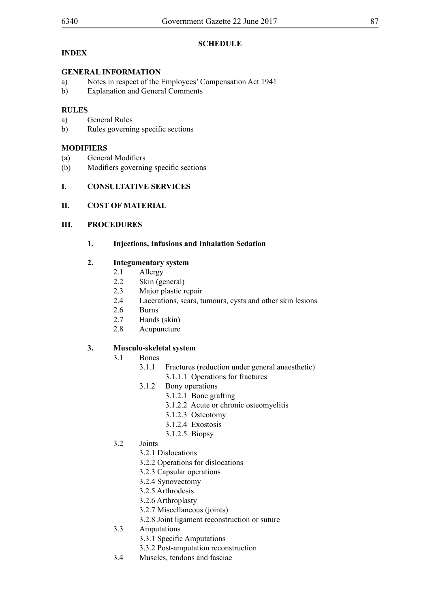**SCHEDULE** 

# **INDEX**

# **GENERAL INFORMATION**

- a) Notes in respect of the Employees' Compensation Act 1941
- b) Explanation and General Comments

# **RULES**

- a) General Rules
- b) Rules governing specific sections

# **MODIFIERS**

- (a) General Modifiers
- (b) Modifiers governing specific sections

# **I. CONSULTATIVE SERVICES**

## **II. COST OF MATERIAL**

# **III. PROCEDURES**

# **1. Injections, Infusions and Inhalation Sedation**

# **2. Integumentary system**

- 2.1 Allergy
- 2.2 Skin (general)<br>2.3 Maior plastic r
- Major plastic repair
- 2.4 Lacerations, scars, tumours, cysts and other skin lesions
- 2.6 Burns
- 2.7 Hands (skin)
- 2.8 Acupuncture

## **3. Musculo-skeletal system**

- 3.1 Bones
	- 3.1.1 Fractures (reduction under general anaesthetic) 3.1.1.1 Operations for fractures
	- 3.1.2 Bony operations
		- 3.1.2.1 Bone grafting
		- 3.1.2.2 Acute or chronic osteomyelitis
		- 3.1.2.3 Osteotomy
		- 3.1.2.4 Exostosis
		- 3.1.2.5 Biopsy
- 3.2 Joints
	- 3.2.1 Dislocations
		- 3.2.2 Operations for dislocations
		- 3.2.3 Capsular operations
	- 3.2.4 Synovectomy
	- 3.2.5 Arthrodesis
	- 3.2.6 Arthroplasty
	- 3.2.7 Miscellaneous (joints)
	- 3.2.8 Joint ligament reconstruction or suture
- 3.3 Amputations
	- 3.3.1 Specific Amputations
	- 3.3.2 Post-amputation reconstruction
- 3.4 Muscles, tendons and fasciae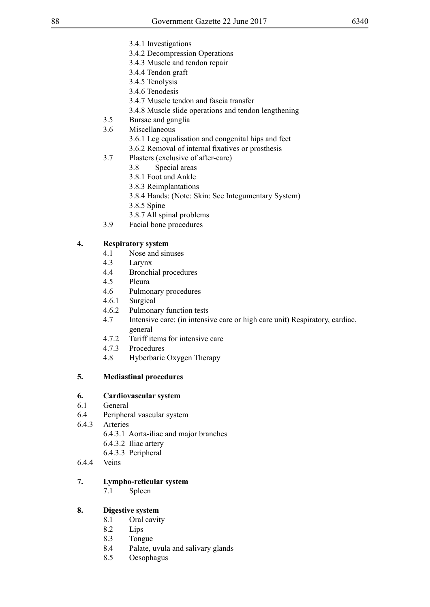- 3.4.1 Investigations
- 3.4.2 Decompression Operations
- 3.4.3 Muscle and tendon repair
- 3.4.4 Tendon graft
- 3.4.5 Tenolysis
- 3.4.6 Tenodesis
- 3.4.7 Muscle tendon and fascia transfer
- 3.4.8 Muscle slide operations and tendon lengthening
- 3.5 Bursae and ganglia
- 3.6 Miscellaneous
	- 3.6.1 Leg equalisation and congenital hips and feet
	- 3.6.2 Removal of internal fixatives or prosthesis
- 3.7 Plasters (exclusive of after-care)
	- 3.8 Special areas
	- 3.8.1 Foot and Ankle
	- 3.8.3 Reimplantations
	- 3.8.4 Hands: (Note: Skin: See Integumentary System)
	- 3.8.5 Spine
	- 3.8.7 All spinal problems
- 3.9 Facial bone procedures

# **4. Respiratory system**

- 4.1 Nose and sinuses
- 4.3 Larynx
- 4.4 Bronchial procedures
- 4.5 Pleura
- 4.6 Pulmonary procedures
- 4.6.1 Surgical
- 4.6.2 Pulmonary function tests
- 4.7 Intensive care: (in intensive care or high care unit) Respiratory, cardiac, general
- 4.7.2 Tariff items for intensive care
- 4.7.3 Procedures
- 4.8 Hyberbaric Oxygen Therapy

# **5. Mediastinal procedures**

# **6. Cardiovascular system**

- 6.1 General
- 6.4 Peripheral vascular system
- 6.4.3 Arteries
	- 6.4.3.1 Aorta-iliac and major branches
	- 6.4.3.2 Iliac artery
	- 6.4.3.3 Peripheral
- 6.4.4 Veins

## **7. Lympho-reticular system**

7.1 Spleen

# **8. Digestive system**

- 8.1 Oral cavity
- 8.2 Lips
- 8.3 Tongue
- 8.4 Palate, uvula and salivary glands
- 8.5 Oesophagus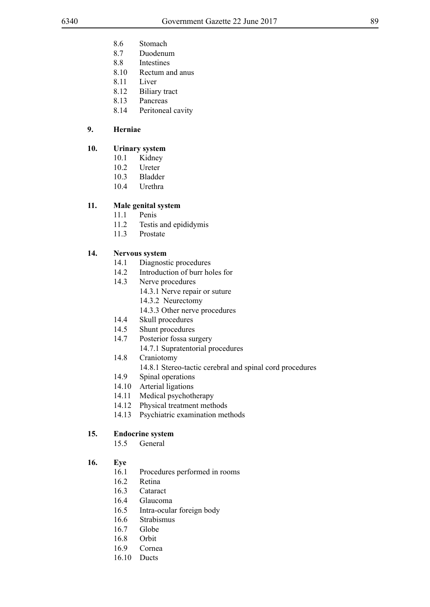- 8.6 Stomach
- 8.7 Duodenum
- 8.8 Intestines
- 8.10 Rectum and anus
- 8.11 Liver
- 8.12 Biliary tract
- 8.13 Pancreas
- 8.14 Peritoneal cavity

## **9. Herniae**

## **10. Urinary system**

- 10.1 Kidney
- 10.2 Ureter
- 10.3 Bladder
- 10.4 Urethra

## **11. Male genital system**

- 11.1 Penis
- 11.2 Testis and epididymis
- 11.3 Prostate

## **14. Nervous system**

- 14.1 Diagnostic procedures
- 14.2 Introduction of burr holes for
- 14.3 Nerve procedures
	- 14.3.1 Nerve repair or suture
	- 14.3.2 Neurectomy
		- 14.3.3 Other nerve procedures
- 14.4 Skull procedures
- 14.5 Shunt procedures
- 14.7 Posterior fossa surgery
	- 14.7.1 Supratentorial procedures
- 14.8 Craniotomy
	- 14.8.1 Stereo-tactic cerebral and spinal cord procedures
- 14.9 Spinal operations
- 14.10 Arterial ligations
- 14.11 Medical psychotherapy
- 14.12 Physical treatment methods
- 14.13 Psychiatric examination methods

#### **15. Endocrine system**

- 15.5 General
- **16. Eye**
	- 16.1 Procedures performed in rooms
	- 16.2 Retina
	- 16.3 Cataract
	- 16.4 Glaucoma
	- 16.5 Intra-ocular foreign body
	- 16.6 Strabismus
	- 16.7 Globe
	- 16.8 Orbit
	- 16.9 Cornea
	- 16.10 Ducts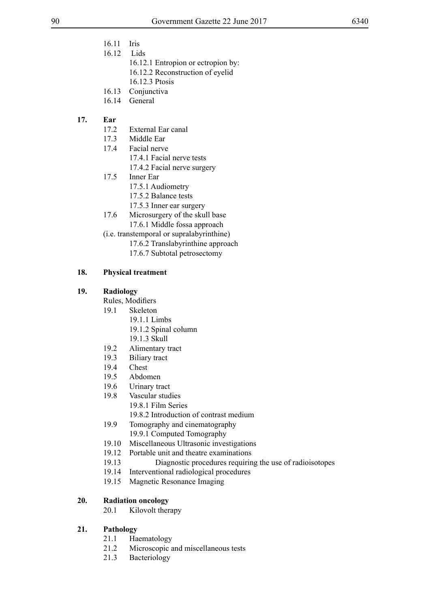- 16.11 Iris
- 16.12 Lids
	- 16.12.1 Entropion or ectropion by:
	- 16.12.2 Reconstruction of eyelid
	- 16.12.3 Ptosis
- 16.13 Conjunctiva
- 16.14 General

## **17. Ear**

- 17.2 External Ear canal
- 17.3 Middle Ear
- 17.4 Facial nerve 17.4.1 Facial nerve tests 17.4.2 Facial nerve surgery
- 17.5 Inner Ear
	- 17.5.1 Audiometry
	- 17.5.2 Balance tests
	- 17.5.3 Inner ear surgery
- 17.6 Microsurgery of the skull base 17.6.1 Middle fossa approach
- (i.e. transtemporal or supralabyrinthine)
	- 17.6.2 Translabyrinthine approach
	- 17.6.7 Subtotal petrosectomy

## **18. Physical treatment**

## **19. Radiology**

- Rules, Modifiers
	- 19.1 Skeleton
		- 19.1.1 Limbs
		- 19.1.2 Spinal column
		- 19.1.3 Skull
	- 19.2 Alimentary tract
	- 19.3 Biliary tract
	- 19.4 Chest
	- 19.5 Abdomen
	- 19.6 Urinary tract
	- 19.8 Vascular studies
		- 19.8.1 Film Series
		- 19.8.2 Introduction of contrast medium
	- 19.9 Tomography and cinematography 19.9.1 Computed Tomography
	- 19.10 Miscellaneous Ultrasonic investigations
	- 19.12 Portable unit and theatre examinations
	- 19.13 Diagnostic procedures requiring the use of radioisotopes
	- 19.14 Interventional radiological procedures
	- 19.15 Magnetic Resonance Imaging

# **20. Radiation oncology**

20.1 Kilovolt therapy

## **21. Pathology**

- 21.1 Haematology
- 21.2 Microscopic and miscellaneous tests
- 21.3 Bacteriology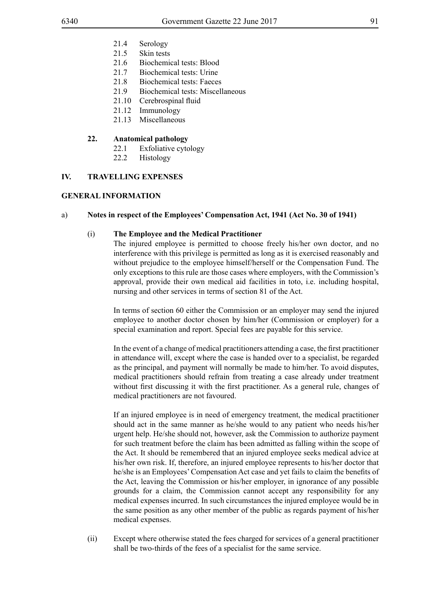- 21.4 Serology
- 21.5 Skin tests
- 21.6 Biochemical tests: Blood
- 21.7 Biochemical tests: Urine
- 21.8 Biochemical tests: Faeces
- 21.9 Biochemical tests: Miscellaneous
- 21.10 Cerebrospinal fluid
- 21.12 Immunology
- 21.13 Miscellaneous

#### **22. Anatomical pathology**

- 22.1 Exfoliative cytology
- 22.2 Histology

#### **IV. TRAVELLING EXPENSES**

#### **GENERAL INFORMATION**

#### a) **Notes in respect of the Employees' Compensation Act, 1941 (Act No. 30 of 1941)**

#### (i) **The Employee and the Medical Practitioner**

The injured employee is permitted to choose freely his/her own doctor, and no interference with this privilege is permitted as long as it is exercised reasonably and without prejudice to the employee himself/herself or the Compensation Fund. The only exceptions to this rule are those cases where employers, with the Commission's approval, provide their own medical aid facilities in toto, i.e. including hospital, nursing and other services in terms of section 81 of the Act.

In terms of section 60 either the Commission or an employer may send the injured employee to another doctor chosen by him/her (Commission or employer) for a special examination and report. Special fees are payable for this service.

In the event of a change of medical practitioners attending a case, the first practitioner in attendance will, except where the case is handed over to a specialist, be regarded as the principal, and payment will normally be made to him/her. To avoid disputes, medical practitioners should refrain from treating a case already under treatment without first discussing it with the first practitioner. As a general rule, changes of medical practitioners are not favoured.

If an injured employee is in need of emergency treatment, the medical practitioner should act in the same manner as he/she would to any patient who needs his/her urgent help. He/she should not, however, ask the Commission to authorize payment for such treatment before the claim has been admitted as falling within the scope of the Act. It should be remembered that an injured employee seeks medical advice at his/her own risk. If, therefore, an injured employee represents to his/her doctor that he/she is an Employees' Compensation Act case and yet fails to claim the benefits of the Act, leaving the Commission or his/her employer, in ignorance of any possible grounds for a claim, the Commission cannot accept any responsibility for any medical expenses incurred. In such circumstances the injured employee would be in the same position as any other member of the public as regards payment of his/her medical expenses.

(ii) Except where otherwise stated the fees charged for services of a general practitioner shall be two-thirds of the fees of a specialist for the same service.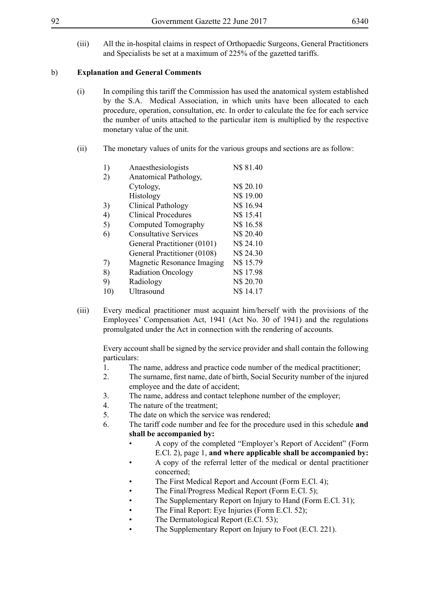(iii) All the in-hospital claims in respect of Orthopaedic Surgeons, General Practitioners and Specialists be set at a maximum of 225% of the gazetted tariffs.

## b) **Explanation and General Comments**

- (i) In compiling this tariff the Commission has used the anatomical system established by the S.A. Medical Association, in which units have been allocated to each procedure, operation, consultation, etc. In order to calculate the fee for each service the number of units attached to the particular item is multiplied by the respective monetary value of the unit.
- (ii) The monetary values of units for the various groups and sections are as follow:

| 1)  | Anaesthesiologists           | N\$ 81.40 |
|-----|------------------------------|-----------|
| 2)  | Anatomical Pathology,        |           |
|     | Cytology,                    | N\$ 20.10 |
|     | Histology                    | N\$ 19.00 |
| 3)  | Clinical Pathology           | N\$ 16.94 |
| 4)  | <b>Clinical Procedures</b>   | N\$ 15.41 |
| 5)  | Computed Tomography          | N\$ 16.58 |
| 6)  | <b>Consultative Services</b> | N\$ 20.40 |
|     | General Practitioner (0101)  | N\$ 24.10 |
|     | General Practitioner (0108)  | N\$ 24.30 |
| 7)  | Magnetic Resonance Imaging   | N\$ 15.79 |
| 8)  | <b>Radiation Oncology</b>    | N\$17.98  |
| 9)  | Radiology                    | N\$ 20.70 |
| 10) | Ultrasound                   | N\$ 14.17 |

(iii) Every medical practitioner must acquaint him/herself with the provisions of the Employees' Compensation Act, 1941 (Act No. 30 of 1941) and the regulations promulgated under the Act in connection with the rendering of accounts.

Every account shall be signed by the service provider and shall contain the following particulars:

- 1. The name, address and practice code number of the medical practitioner;
- 2. The surname, first name, date of birth, Social Security number of the injured employee and the date of accident;
- 3. The name, address and contact telephone number of the employer;
- 4. The nature of the treatment;
- 5. The date on which the service was rendered;
- 6. The tariff code number and fee for the procedure used in this schedule **and shall be accompanied by:**
	- A copy of the completed "Employer's Report of Accident" (Form E.Cl. 2), page 1, **and where applicable shall be accompanied by:**
	- A copy of the referral letter of the medical or dental practitioner concerned;
	- The First Medical Report and Account (Form E.Cl. 4);
	- The Final/Progress Medical Report (Form E.Cl. 5);
	- The Supplementary Report on Injury to Hand (Form E.Cl. 31);
	- The Final Report: Eye Injuries (Form E.Cl. 52);
	- The Dermatological Report (E.Cl. 53);
	- The Supplementary Report on Injury to Foot (E.Cl. 221).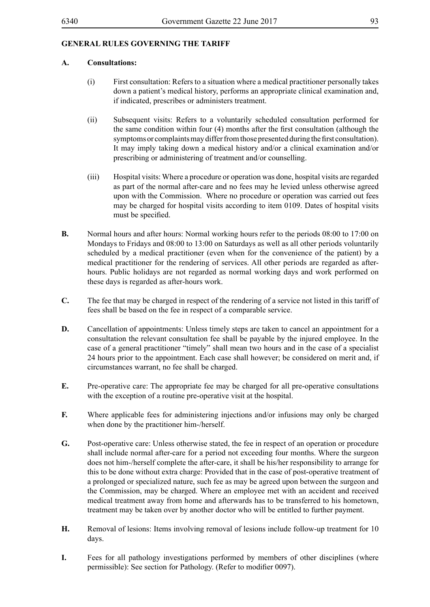# **GENERAL RULES GOVERNING THE TARIFF**

## **A. Consultations:**

- (i) First consultation: Refers to a situation where a medical practitioner personally takes down a patient's medical history, performs an appropriate clinical examination and, if indicated, prescribes or administers treatment.
- (ii) Subsequent visits: Refers to a voluntarily scheduled consultation performed for the same condition within four (4) months after the first consultation (although the symptoms or complaints may differ from those presented during the first consultation). It may imply taking down a medical history and/or a clinical examination and/or prescribing or administering of treatment and/or counselling.
- (iii) Hospital visits: Where a procedure or operation was done, hospital visits are regarded as part of the normal after-care and no fees may he levied unless otherwise agreed upon with the Commission. Where no procedure or operation was carried out fees may be charged for hospital visits according to item 0109. Dates of hospital visits must be specified.
- **B.** Normal hours and after hours: Normal working hours refer to the periods 08:00 to 17:00 on Mondays to Fridays and 08:00 to 13:00 on Saturdays as well as all other periods voluntarily scheduled by a medical practitioner (even when for the convenience of the patient) by a medical practitioner for the rendering of services. All other periods are regarded as afterhours. Public holidays are not regarded as normal working days and work performed on these days is regarded as after-hours work.
- **C.** The fee that may be charged in respect of the rendering of a service not listed in this tariff of fees shall be based on the fee in respect of a comparable service.
- **D.** Cancellation of appointments: Unless timely steps are taken to cancel an appointment for a consultation the relevant consultation fee shall be payable by the injured employee. In the case of a general practitioner "timely" shall mean two hours and in the case of a specialist 24 hours prior to the appointment. Each case shall however; be considered on merit and, if circumstances warrant, no fee shall be charged.
- **E.** Pre-operative care: The appropriate fee may be charged for all pre-operative consultations with the exception of a routine pre-operative visit at the hospital.
- **F.** Where applicable fees for administering injections and/or infusions may only be charged when done by the practitioner him-/herself.
- **G.** Post-operative care: Unless otherwise stated, the fee in respect of an operation or procedure shall include normal after-care for a period not exceeding four months. Where the surgeon does not him-/herself complete the after-care, it shall be his/her responsibility to arrange for this to be done without extra charge: Provided that in the case of post-operative treatment of a prolonged or specialized nature, such fee as may be agreed upon between the surgeon and the Commission, may be charged. Where an employee met with an accident and received medical treatment away from home and afterwards has to be transferred to his hometown, treatment may be taken over by another doctor who will be entitled to further payment.
- **H.** Removal of lesions: Items involving removal of lesions include follow-up treatment for 10 days.
- **I.** Fees for all pathology investigations performed by members of other disciplines (where permissible): See section for Pathology. (Refer to modifier 0097).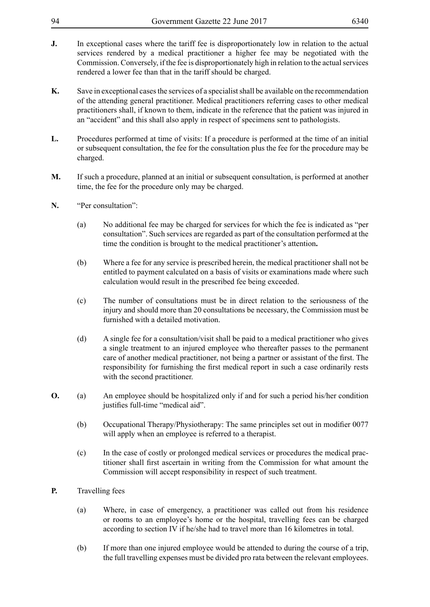- **J.** In exceptional cases where the tariff fee is disproportionately low in relation to the actual services rendered by a medical practitioner a higher fee may be negotiated with the Commission. Conversely, if the fee is disproportionately high in relation to the actual services rendered a lower fee than that in the tariff should be charged.
- **K.** Save in exceptional cases the services of a specialist shall be available on the recommendation of the attending general practitioner. Medical practitioners referring cases to other medical practitioners shall, if known to them, indicate in the reference that the patient was injured in an "accident" and this shall also apply in respect of specimens sent to pathologists.
- **L.** Procedures performed at time of visits: If a procedure is performed at the time of an initial or subsequent consultation, the fee for the consultation plus the fee for the procedure may be charged.
- **M.** If such a procedure, planned at an initial or subsequent consultation, is performed at another time, the fee for the procedure only may be charged.
- **N.** "Per consultation":
	- (a) No additional fee may be charged for services for which the fee is indicated as "per consultation". Such services are regarded as part of the consultation performed at the time the condition is brought to the medical practitioner's attention**.**
	- (b) Where a fee for any service is prescribed herein, the medical practitioner shall not be entitled to payment calculated on a basis of visits or examinations made where such calculation would result in the prescribed fee being exceeded.
	- (c) The number of consultations must be in direct relation to the seriousness of the injury and should more than 20 consultations be necessary, the Commission must be furnished with a detailed motivation.
	- (d) A single fee for a consultation/visit shall be paid to a medical practitioner who gives a single treatment to an injured employee who thereafter passes to the permanent care of another medical practitioner, not being a partner or assistant of the first. The responsibility for furnishing the first medical report in such a case ordinarily rests with the second practitioner.
- **O.** (a) An employee should be hospitalized only if and for such a period his/her condition justifies full-time "medical aid".
	- (b) Occupational Therapy/Physiotherapy: The same principles set out in modifier 0077 will apply when an employee is referred to a therapist.
	- (c) In the case of costly or prolonged medical services or procedures the medical practitioner shall first ascertain in writing from the Commission for what amount the Commission will accept responsibility in respect of such treatment.
- **P.** Travelling fees
	- (a) Where, in case of emergency, a practitioner was called out from his residence or rooms to an employee's home or the hospital, travelling fees can be charged according to section IV if he/she had to travel more than 16 kilometres in total.
	- (b) If more than one injured employee would be attended to during the course of a trip, the full travelling expenses must be divided pro rata between the relevant employees.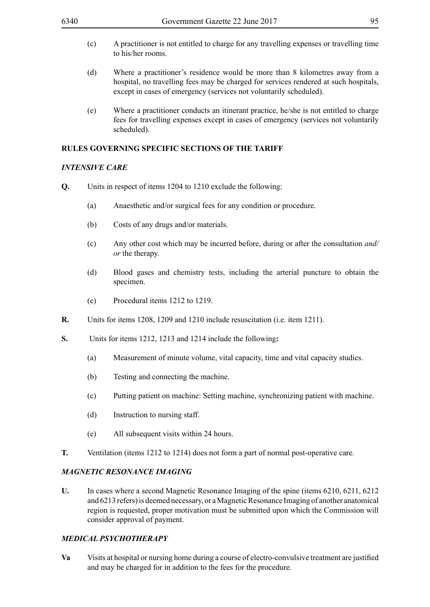- (c) A practitioner is not entitled to charge for any travelling expenses or travelling time to his/her rooms.
- (d) Where a practitioner's residence would be more than 8 kilometres away from a hospital, no travelling fees may be charged for services rendered at such hospitals, except in cases of emergency (services not voluntarily scheduled).
- (e) Where a practitioner conducts an itinerant practice, he/she is not entitled to charge fees for travelling expenses except in cases of emergency (services not voluntarily scheduled).

## **RULES GOVERNING SPECIFIC SECTIONS OF THE TARIFF**

#### *INTENSIVE CARE*

- **Q.** Units in respect of items 1204 to 1210 exclude the following:
	- (a) Anaesthetic and/or surgical fees for any condition or procedure.
	- (b) Costs of any drugs and/or materials.
	- (c) Any other cost which may be incurred before, during or after the consultation *and/ or* the therapy.
	- (d) Blood gases and chemistry tests, including the arterial puncture to obtain the specimen.
	- (e) Procedural items 1212 to 1219.
- **R.** Units for items 1208, 1209 and 1210 include resuscitation (i.e. item 1211).
- **S.** Units for items 1212, 1213 and 1214 include the following**:**
	- (a) Measurement of minute volume, vital capacity, time and vital capacity studies.
	- (b) Testing and connecting the machine.
	- (c) Putting patient on machine: Setting machine, synchronizing patient with machine.
	- (d) Instruction to nursing staff.
	- (e) All subsequent visits within 24 hours.
- **T.** Ventilation (items 1212 to 1214) does not form a part of normal post-operative care.

#### *MAGNETIC RESONANCE IMAGING*

**U.** In cases where a second Magnetic Resonance Imaging of the spine (items 6210, 6211, 6212 and 6213 refers) is deemed necessary, or a Magnetic Resonance Imaging of another anatomical region is requested, proper motivation must be submitted upon which the Commission will consider approval of payment.

## *MEDICAL PSYCHOTHERAPY*

**Va** Visits at hospital or nursing home during a course of electro-convulsive treatment are justified and may be charged for in addition to the fees for the procedure.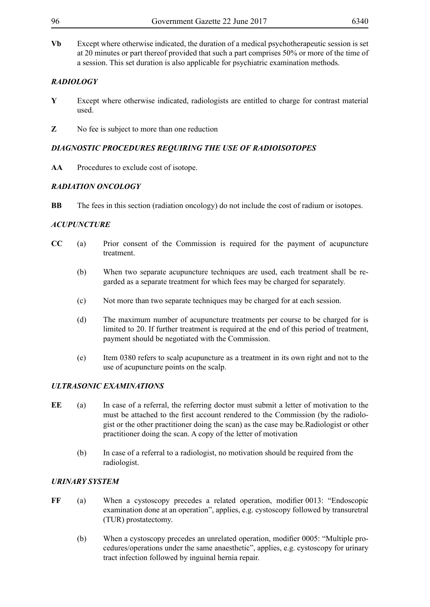**Vb** Except where otherwise indicated, the duration of a medical psychotherapeutic session is set at 20 minutes or part thereof provided that such a part comprises 50% or more of the time of a session. This set duration is also applicable for psychiatric examination methods.

# *RADIOLOGY*

- **Y** Except where otherwise indicated, radiologists are entitled to charge for contrast material used.
- **Z** No fee is subject to more than one reduction

# *DIAGNOSTIC PROCEDURES REQUIRING THE USE OF RADIOISOTOPES*

**AA** Procedures to exclude cost of isotope.

# *RADIATION ONCOLOGY*

**BB** The fees in this section (radiation oncology) do not include the cost of radium or isotopes.

# *ACUPUNCTURE*

- **CC** (a) Prior consent of the Commission is required for the payment of acupuncture treatment.
	- (b) When two separate acupuncture techniques are used, each treatment shall be regarded as a separate treatment for which fees may be charged for separately.
	- (c) Not more than two separate techniques may be charged for at each session.
	- (d) The maximum number of acupuncture treatments per course to be charged for is limited to 20. If further treatment is required at the end of this period of treatment, payment should be negotiated with the Commission.
	- (e) Item 0380 refers to scalp acupuncture as a treatment in its own right and not to the use of acupuncture points on the scalp.

## *ULTRASONIC EXAMINATIONS*

- **EE** (a) In case of a referral, the referring doctor must submit a letter of motivation to the must be attached to the first account rendered to the Commission (by the radiologist or the other practitioner doing the scan) as the case may be.Radiologist or other practitioner doing the scan. A copy of the letter of motivation
	- (b) In case of a referral to a radiologist, no motivation should be required from the radiologist.

## *URINARY SYSTEM*

- **FF** (a) When a cystoscopy precedes a related operation, modifier 0013: "Endoscopic examination done at an operation", applies, e.g. cystoscopy followed by transuretral (TUR) prostatectomy.
	- (b) When a cystoscopy precedes an unrelated operation, modifier 0005: "Multiple procedures/operations under the same anaesthetic", applies, e.g. cystoscopy for urinary tract infection followed by inguinal hernia repair.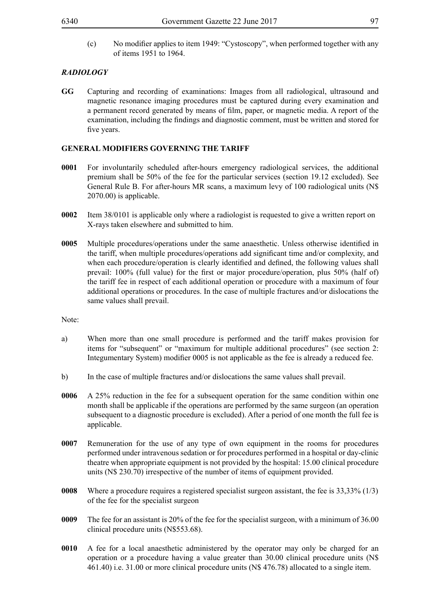(c) No modifier applies to item 1949: "Cystoscopy", when performed together with any of items 1951 to 1964.

## *RADIOLOGY*

**GG** Capturing and recording of examinations: Images from all radiological, ultrasound and magnetic resonance imaging procedures must be captured during every examination and a permanent record generated by means of film, paper, or magnetic media. A report of the examination, including the findings and diagnostic comment, must be written and stored for five years.

#### **GENERAL MODIFIERS GOVERNING THE TARIFF**

- **0001** For involuntarily scheduled after-hours emergency radiological services, the additional premium shall be 50% of the fee for the particular services (section 19.12 excluded). See General Rule B. For after-hours MR scans, a maximum levy of 100 radiological units (N\$ 2070.00) is applicable.
- **0002** Item 38/0101 is applicable only where a radiologist is requested to give a written report on X-rays taken elsewhere and submitted to him.
- **0005** Multiple procedures/operations under the same anaesthetic. Unless otherwise identified in the tariff, when multiple procedures/operations add significant time and/or complexity, and when each procedure/operation is clearly identified and defined, the following values shall prevail: 100% (full value) for the first or major procedure/operation, plus 50% (half of) the tariff fee in respect of each additional operation or procedure with a maximum of four additional operations or procedures. In the case of multiple fractures and/or dislocations the same values shall prevail.

Note:

- a) When more than one small procedure is performed and the tariff makes provision for items for "subsequent" or "maximum for multiple additional procedures" (see section 2: Integumentary System) modifier 0005 is not applicable as the fee is already a reduced fee.
- b) In the case of multiple fractures and/or dislocations the same values shall prevail.
- **0006** A 25% reduction in the fee for a subsequent operation for the same condition within one month shall be applicable if the operations are performed by the same surgeon (an operation subsequent to a diagnostic procedure is excluded). After a period of one month the full fee is applicable.
- **0007** Remuneration for the use of any type of own equipment in the rooms for procedures performed under intravenous sedation or for procedures performed in a hospital or day-clinic theatre when appropriate equipment is not provided by the hospital: 15.00 clinical procedure units (N\$ 230.70) irrespective of the number of items of equipment provided.
- **0008** Where a procedure requires a registered specialist surgeon assistant, the fee is 33,33% (1/3) of the fee for the specialist surgeon
- **0009** The fee for an assistant is 20% of the fee for the specialist surgeon, with a minimum of 36.00 clinical procedure units (N\$553.68).
- **0010** A fee for a local anaesthetic administered by the operator may only be charged for an operation or a procedure having a value greater than 30.00 clinical procedure units (N\$ 461.40) i.e. 31.00 or more clinical procedure units (N\$ 476.78) allocated to a single item.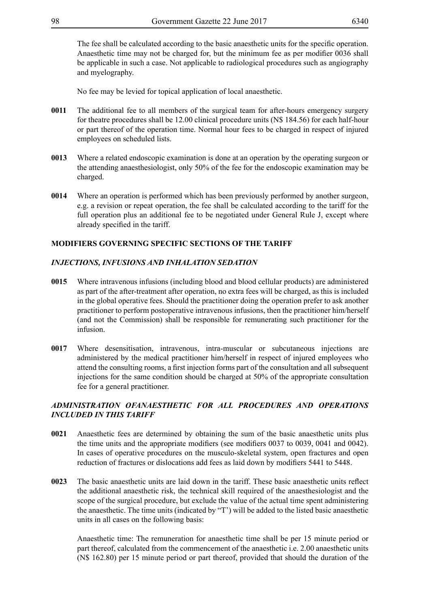The fee shall be calculated according to the basic anaesthetic units for the specific operation. Anaesthetic time may not be charged for, but the minimum fee as per modifier 0036 shall be applicable in such a case. Not applicable to radiological procedures such as angiography and myelography.

No fee may be levied for topical application of local anaesthetic.

- **0011** The additional fee to all members of the surgical team for after-hours emergency surgery for theatre procedures shall be 12.00 clinical procedure units (N\$ 184.56) for each half-hour or part thereof of the operation time. Normal hour fees to be charged in respect of injured employees on scheduled lists.
- **0013** Where a related endoscopic examination is done at an operation by the operating surgeon or the attending anaesthesiologist, only 50% of the fee for the endoscopic examination may be charged.
- **0014** Where an operation is performed which has been previously performed by another surgeon, e.g. a revision or repeat operation, the fee shall be calculated according to the tariff for the full operation plus an additional fee to be negotiated under General Rule J, except where already specified in the tariff.

## **MODIFIERS GOVERNING SPECIFIC SECTIONS OF THE TARIFF**

## *INJECTIONS, INFUSIONS AND INHALATION SEDATION*

- **0015** Where intravenous infusions (including blood and blood cellular products) are administered as part of the after-treatment after operation, no extra fees will be charged, as this is included in the global operative fees. Should the practitioner doing the operation prefer to ask another practitioner to perform postoperative intravenous infusions, then the practitioner him/herself (and not the Commission) shall be responsible for remunerating such practitioner for the infusion.
- **0017** Where desensitisation, intravenous, intra-muscular or subcutaneous injections are administered by the medical practitioner him/herself in respect of injured employees who attend the consulting rooms, a first injection forms part of the consultation and all subsequent injections for the same condition should be charged at 50% of the appropriate consultation fee for a general practitioner.

## *ADMINISTRATION OFANAESTHETIC FOR ALL PROCEDURES AND OPERATIONS INCLUDED IN THIS TARIFF*

- **0021** Anaesthetic fees are determined by obtaining the sum of the basic anaesthetic units plus the time units and the appropriate modifiers (see modifiers 0037 to 0039, 0041 and 0042). In cases of operative procedures on the musculo-skeletal system, open fractures and open reduction of fractures or dislocations add fees as laid down by modifiers 5441 to 5448.
- **0023** The basic anaesthetic units are laid down in the tariff. These basic anaesthetic units reflect the additional anaesthetic risk, the technical skill required of the anaesthesiologist and the scope of the surgical procedure, but exclude the value of the actual time spent administering the anaesthetic. The time units (indicated by "T') will be added to the listed basic anaesthetic units in all cases on the following basis:

Anaesthetic time: The remuneration for anaesthetic time shall be per 15 minute period or part thereof, calculated from the commencement of the anaesthetic i.e. 2.00 anaesthetic units (N\$ 162.80) per 15 minute period or part thereof, provided that should the duration of the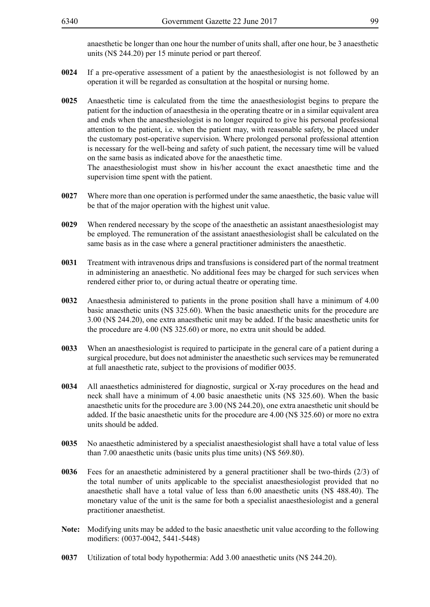anaesthetic be longer than one hour the number of units shall, after one hour, be 3 anaesthetic units (N\$ 244.20) per 15 minute period or part thereof.

- **0024** If a pre-operative assessment of a patient by the anaesthesiologist is not followed by an operation it will be regarded as consultation at the hospital or nursing home.
- **0025** Anaesthetic time is calculated from the time the anaesthesiologist begins to prepare the patient for the induction of anaesthesia in the operating theatre or in a similar equivalent area and ends when the anaesthesiologist is no longer required to give his personal professional attention to the patient, i.e. when the patient may, with reasonable safety, be placed under the customary post-operative supervision. Where prolonged personal professional attention is necessary for the well-being and safety of such patient, the necessary time will be valued on the same basis as indicated above for the anaesthetic time.

The anaesthesiologist must show in his/her account the exact anaesthetic time and the supervision time spent with the patient.

- **0027** Where more than one operation is performed under the same anaesthetic, the basic value will be that of the major operation with the highest unit value.
- **0029** When rendered necessary by the scope of the anaesthetic an assistant anaesthesiologist may be employed. The remuneration of the assistant anaesthesiologist shall be calculated on the same basis as in the case where a general practitioner administers the anaesthetic.
- **0031** Treatment with intravenous drips and transfusions is considered part of the normal treatment in administering an anaesthetic. No additional fees may be charged for such services when rendered either prior to, or during actual theatre or operating time.
- **0032** Anaesthesia administered to patients in the prone position shall have a minimum of 4.00 basic anaesthetic units (N\$ 325.60). When the basic anaesthetic units for the procedure are 3.00 (N\$ 244.20), one extra anaesthetic unit may be added. If the basic anaesthetic units for the procedure are 4.00 (N\$ 325.60) or more, no extra unit should be added.
- **0033** When an anaesthesiologist is required to participate in the general care of a patient during a surgical procedure, but does not administer the anaesthetic such services may be remunerated at full anaesthetic rate, subject to the provisions of modifier 0035.
- **0034** All anaesthetics administered for diagnostic, surgical or X-ray procedures on the head and neck shall have a minimum of 4.00 basic anaesthetic units (N\$ 325.60). When the basic anaesthetic units for the procedure are 3.00 (N\$ 244.20), one extra anaesthetic unit should be added. If the basic anaesthetic units for the procedure are 4.00 (N\$ 325.60) or more no extra units should be added.
- **0035** No anaesthetic administered by a specialist anaesthesiologist shall have a total value of less than 7.00 anaesthetic units (basic units plus time units) (N\$ 569.80).
- **0036** Fees for an anaesthetic administered by a general practitioner shall be two-thirds (2/3) of the total number of units applicable to the specialist anaesthesiologist provided that no anaesthetic shall have a total value of less than 6.00 anaesthetic units (N\$ 488.40). The monetary value of the unit is the same for both a specialist anaesthesiologist and a general practitioner anaesthetist.
- **Note:** Modifying units may be added to the basic anaesthetic unit value according to the following modifiers: (0037-0042, 5441-5448)
- **0037** Utilization of total body hypothermia: Add 3.00 anaesthetic units (N\$ 244.20).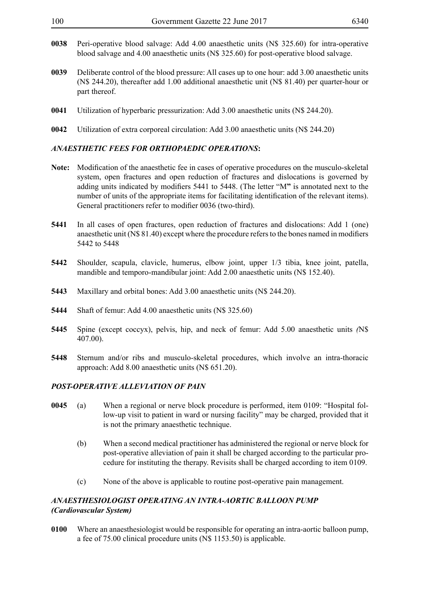- **0038** Peri-operative blood salvage: Add 4.00 anaesthetic units (N\$ 325.60) for intra-operative blood salvage and 4.00 anaesthetic units (N\$ 325.60) for post-operative blood salvage.
- **0039** Deliberate control of the blood pressure: All cases up to one hour: add 3.00 anaesthetic units (N\$ 244.20), thereafter add 1.00 additional anaesthetic unit (N\$ 81.40) per quarter-hour or part thereof.
- **0041** Utilization of hyperbaric pressurization: Add 3.00 anaesthetic units (N\$ 244.20).
- **0042** Utilization of extra corporeal circulation: Add 3.00 anaesthetic units (N\$ 244.20)

## *ANAESTHETIC FEES FOR ORTHOPAEDIC OPERATIONS***:**

- **Note:** Modification of the anaesthetic fee in cases of operative procedures on the musculo-skeletal system, open fractures and open reduction of fractures and dislocations is governed by adding units indicated by modifiers 5441 to 5448. (The letter "M**"** is annotated next to the number of units of the appropriate items for facilitating identification of the relevant items). General practitioners refer to modifier 0036 (two-third).
- **5441** In all cases of open fractures, open reduction of fractures and dislocations: Add 1 (one) anaesthetic unit (N\$ 81.40) except where the procedure refers to the bones named in modifiers 5442 to 5448
- **5442** Shoulder, scapula, clavicle, humerus, elbow joint, upper 1/3 tibia, knee joint, patella, mandible and temporo-mandibular joint: Add 2.00 anaesthetic units (N\$ 152.40).
- **5443** Maxillary and orbital bones: Add 3.00 anaesthetic units (N\$ 244.20).
- **5444** Shaft of femur: Add 4.00 anaesthetic units (N\$ 325.60)
- **5445** Spine (except coccyx), pelvis, hip, and neck of femur: Add 5.00 anaesthetic units *(*N\$ 407.00).
- **5448** Sternum and/or ribs and musculo-skeletal procedures, which involve an intra-thoracic approach: Add 8.00 anaesthetic units (N\$ 651.20).

#### *POST-OPERATIVE ALLEVIATION OF PAIN*

- **0045** (a) When a regional or nerve block procedure is performed, item 0109: "Hospital follow-up visit to patient in ward or nursing facility" may be charged, provided that it is not the primary anaesthetic technique.
	- (b) When a second medical practitioner has administered the regional or nerve block for post-operative alleviation of pain it shall be charged according to the particular procedure for instituting the therapy. Revisits shall be charged according to item 0109.
	- (c) None of the above is applicable to routine post-operative pain management.

#### *ANAESTHESIOLOGIST OPERATING AN INTRA-AORTIC BALLOON PUMP (Cardiovascular System)*

**0100** Where an anaesthesiologist would be responsible for operating an intra-aortic balloon pump, a fee of 75.00 clinical procedure units (N\$ 1153.50) is applicable.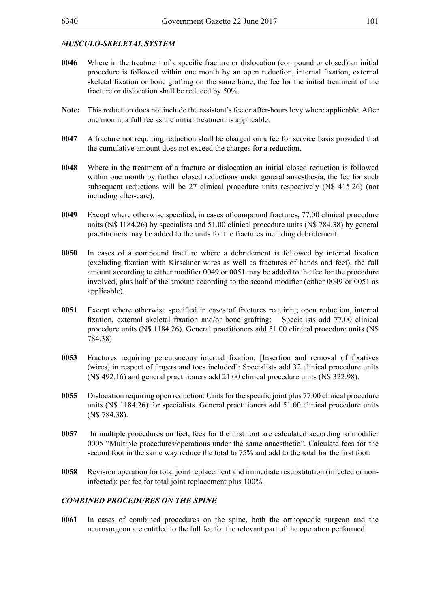## *MUSCULO-SKELETAL SYSTEM*

- **0046** Where in the treatment of a specific fracture or dislocation (compound or closed) an initial procedure is followed within one month by an open reduction, internal fixation, external skeletal fixation or bone grafting on the same bone, the fee for the initial treatment of the fracture or dislocation shall be reduced by 50%.
- **Note:** This reduction does not include the assistant's fee or after-hours levy where applicable. After one month, a full fee as the initial treatment is applicable.
- **0047** A fracture not requiring reduction shall be charged on a fee for service basis provided that the cumulative amount does not exceed the charges for a reduction.
- **0048** Where in the treatment of a fracture or dislocation an initial closed reduction is followed within one month by further closed reductions under general anaesthesia, the fee for such subsequent reductions will be 27 clinical procedure units respectively (N\$ 415.26) (not including after-care).
- **0049** Except where otherwise specified**,** in cases of compound fractures**,** 77.00 clinical procedure units (N\$ 1184.26) by specialists and 51.00 clinical procedure units (N\$ 784.38) by general practitioners may be added to the units for the fractures including debridement.
- **0050** In cases of a compound fracture where a debridement is followed by internal fixation (excluding fixation with Kirschner wires as well as fractures of hands and feet), the full amount according to either modifier 0049 or 0051 may be added to the fee for the procedure involved, plus half of the amount according to the second modifier (either 0049 or 0051 as applicable).
- **0051** Except where otherwise specified in cases of fractures requiring open reduction, internal fixation, external skeletal fixation and/or bone grafting: Specialists add 77.00 clinical procedure units (N\$ 1184.26). General practitioners add 51.00 clinical procedure units (N\$ 784.38)
- **0053** Fractures requiring percutaneous internal fixation: [Insertion and removal of fixatives (wires) in respect of fingers and toes included]: Specialists add 32 clinical procedure units (N\$ 492.16) and general practitioners add 21.00 clinical procedure units (N\$ 322.98).
- **0055** Dislocation requiring open reduction: Units for the specific joint plus 77.00 clinical procedure units (N\$ 1184.26) for specialists. General practitioners add 51.00 clinical procedure units (N\$ 784.38).
- **0057** In multiple procedures on feet, fees for the first foot are calculated according to modifier 0005 "Multiple procedures/operations under the same anaesthetic". Calculate fees for the second foot in the same way reduce the total to 75% and add to the total for the first foot.
- **0058** Revision operation for total joint replacement and immediate resubstitution (infected or noninfected): per fee for total joint replacement plus 100%.

## *COMBINED PROCEDURES ON THE SPINE*

**0061** In cases of combined procedures on the spine, both the orthopaedic surgeon and the neurosurgeon are entitled to the full fee for the relevant part of the operation performed.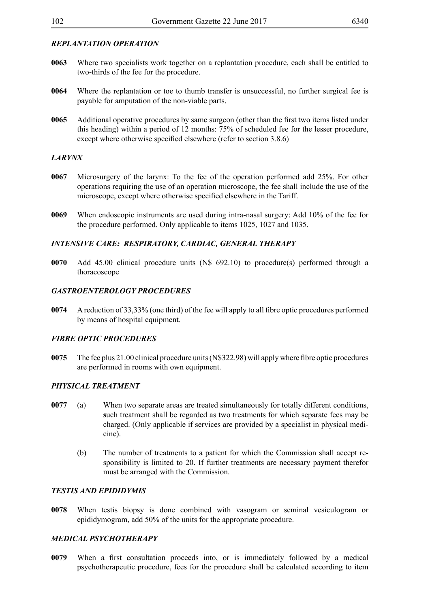## *REPLANTATION OPERATION*

- **0063** Where two specialists work together on a replantation procedure, each shall be entitled to two-thirds of the fee for the procedure.
- **0064** Where the replantation or toe to thumb transfer is unsuccessful, no further surgical fee is payable for amputation of the non-viable parts.
- **0065** Additional operative procedures by same surgeon (other than the first two items listed under this heading) within a period of 12 months: 75% of scheduled fee for the lesser procedure, except where otherwise specified elsewhere (refer to section 3.8.6)

## *LARYNX*

- **0067** Microsurgery of the larynx: To the fee of the operation performed add 25%. For other operations requiring the use of an operation microscope, the fee shall include the use of the microscope, except where otherwise specified elsewhere in the Tariff.
- **0069** When endoscopic instruments are used during intra-nasal surgery: Add 10% of the fee for the procedure performed. Only applicable to items 1025, 1027 and 1035.

#### *INTENSIVE CARE: RESPIRATORY, CARDIAC, GENERAL THERAPY*

**0070** Add 45.00 clinical procedure units (N\$ 692.10) to procedure(s) performed through a thoracoscope

#### *GASTROENTEROLOGY PROCEDURES*

**0074** A reduction of 33,33% (one third) of the fee will apply to all fibre optic procedures performed by means of hospital equipment.

#### *FIBRE OPTIC PROCEDURES*

**0075** The fee plus 21.00 clinical procedure units (N\$322.98) will apply where fibre optic procedures are performed in rooms with own equipment.

#### *PHYSICAL TREATMENT*

- **0077** (a) When two separate areas are treated simultaneously for totally different conditions, **s**uch treatment shall be regarded as two treatments for which separate fees may be charged. (Only applicable if services are provided by a specialist in physical medicine).
	- (b) The number of treatments to a patient for which the Commission shall accept responsibility is limited to 20. If further treatments are necessary payment therefor must be arranged with the Commission.

#### *TESTIS AND EPIDIDYMIS*

**0078** When testis biopsy is done combined with vasogram or seminal vesiculogram or epididymogram, add 50% of the units for the appropriate procedure.

#### *MEDICAL PSYCHOTHERAPY*

**0079** When a first consultation proceeds into, or is immediately followed by a medical psychotherapeutic procedure, fees for the procedure shall be calculated according to item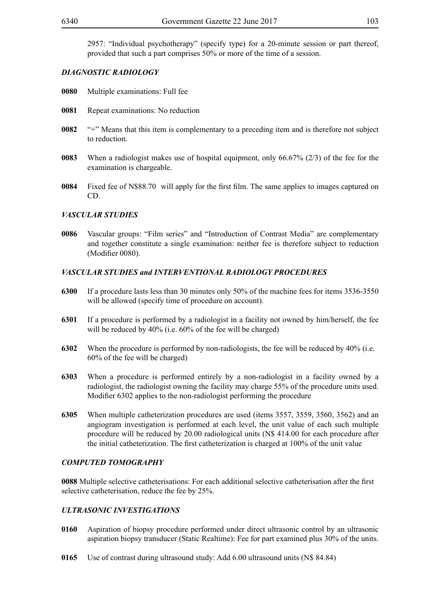2957: "Individual psychotherapy" (specify type) for a 20-minute session or part thereof, provided that such a part comprises 50% or more of the time of a session.

## *DIAGNOSTIC RADIOLOGY*

- **0080** Multiple examinations: Full fee
- **0081** Repeat examinations: No reduction
- **0082** "+" Means that this item is complementary to a preceding item and is therefore not subject to reduction.
- **0083** When a radiologist makes use of hospital equipment, only 66.67% (2/3) of the fee for the examination is chargeable.
- **0084** Fixed fee of N\$88.70 will apply for the first film. The same applies to images captured on CD.

#### *VASCULAR STUDIES*

**0086** Vascular groups: "Film series" and "Introduction of Contrast Media" are complementary and together constitute a single examination: neither fee is therefore subject to reduction (Modifier 0080).

#### *VASCULAR STUDIES and INTERVENTIONAL RADIOLOGY PROCEDURES*

- **6300** If a procedure lasts less than 30 minutes only 50% of the machine fees for items 3536-3550 will be allowed (specify time of procedure on account).
- **6301** If a procedure is performed by a radiologist in a facility not owned by him/herself, the fee will be reduced by 40% (i.e. 60% of the fee will be charged)
- **6302** When the procedure is performed by non-radiologists, the fee will be reduced by 40% (i.e. 60% of the fee will be charged)
- **6303** When a procedure is performed entirely by a non-radiologist in a facility owned by a radiologist, the radiologist owning the facility may charge 55% of the procedure units used. Modifier 6302 applies to the non-radiologist performing the procedure
- **6305** When multiple catheterization procedures are used (items 3557, 3559, 3560, 3562) and an angiogram investigation is performed at each level, the unit value of each such multiple procedure will be reduced by 20.00 radiological units (N\$ 414.00 for each procedure after the initial catheterization. The first catheterization is charged at 100% of the unit value

## *COMPUTED TOMOGRAPHY*

**0088** Multiple selective catheterisations: For each additional selective catheterisation after the first selective catheterisation, reduce the fee by 25%.

#### *ULTRASONIC INVESTIGATIONS*

- **0160** Aspiration of biopsy procedure performed under direct ultrasonic control by an ultrasonic aspiration biopsy transducer (Static Realtime): Fee for part examined plus 30% of the units.
- **0165** Use of contrast during ultrasound study: Add 6.00 ultrasound units (N\$ 84.84)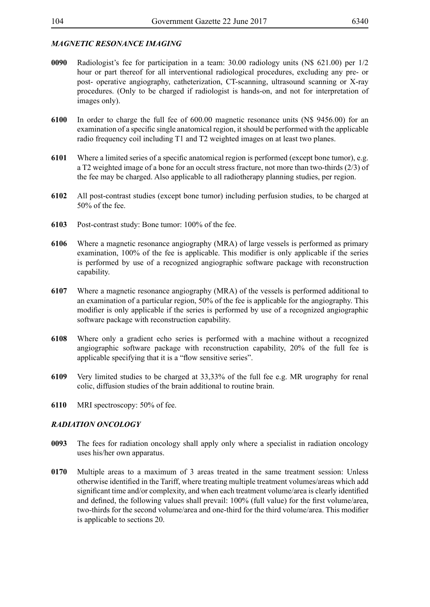## *MAGNETIC RESONANCE IMAGING*

- **0090** Radiologist's fee for participation in a team: 30.00 radiology units (N\$ 621.00) per 1/2 hour or part thereof for all interventional radiological procedures, excluding any pre- or post- operative angiography, catheterization, CT-scanning, ultrasound scanning or X-ray procedures. (Only to be charged if radiologist is hands-on, and not for interpretation of images only).
- **6100** In order to charge the full fee of 600.00 magnetic resonance units (N\$ 9456.00) for an examination of a specific single anatomical region, it should be performed with the applicable radio frequency coil including T1 and T2 weighted images on at least two planes.
- **6101** Where a limited series of a specific anatomical region is performed (except bone tumor), e.g. a T2 weighted image of a bone for an occult stress fracture, not more than two-thirds (2/3) of the fee may be charged. Also applicable to all radiotherapy planning studies, per region.
- **6102** All post-contrast studies (except bone tumor) including perfusion studies, to be charged at 50% of the fee.
- **6103** Post-contrast study: Bone tumor: 100% of the fee.
- **6106** Where a magnetic resonance angiography (MRA) of large vessels is performed as primary examination, 100% of the fee is applicable. This modifier is only applicable if the series is performed by use of a recognized angiographic software package with reconstruction capability.
- **6107** Where a magnetic resonance angiography (MRA) of the vessels is performed additional to an examination of a particular region, 50% of the fee is applicable for the angiography. This modifier is only applicable if the series is performed by use of a recognized angiographic software package with reconstruction capability.
- **6108** Where only a gradient echo series is performed with a machine without a recognized angiographic software package with reconstruction capability, 20% of the full fee is applicable specifying that it is a "flow sensitive series".
- **6109** Very limited studies to be charged at 33,33% of the full fee e.g. MR urography for renal colic, diffusion studies of the brain additional to routine brain.
- **6110** MRI spectroscopy: 50% of fee.

#### *RADIATION ONCOLOGY*

- **0093** The fees for radiation oncology shall apply only where a specialist in radiation oncology uses his/her own apparatus.
- **0170** Multiple areas to a maximum of 3 areas treated in the same treatment session: Unless otherwise identified in the Tariff, where treating multiple treatment volumes/areas which add significant time and/or complexity, and when each treatment volume/area is clearly identified and defined, the following values shall prevail: 100% (full value) for the first volume/area, two-thirds for the second volume/area and one-third for the third volume/area. This modifier is applicable to sections 20.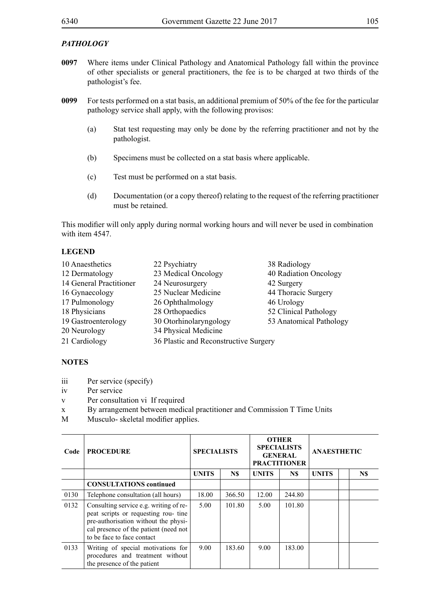# *PATHOLOGY*

- **0097** Where items under Clinical Pathology and Anatomical Pathology fall within the province of other specialists or general practitioners, the fee is to be charged at two thirds of the pathologist's fee.
- **0099** For tests performed on a stat basis, an additional premium of 50% of the fee for the particular pathology service shall apply, with the following provisos:
	- (a) Stat test requesting may only be done by the referring practitioner and not by the pathologist.
	- (b) Specimens must be collected on a stat basis where applicable.
	- (c) Test must be performed on a stat basis.
	- (d) Documentation (or a copy thereof) relating to the request of the referring practitioner must be retained.

This modifier will only apply during normal working hours and will never be used in combination with item 4547.

## **LEGEND**

| 10 Anaesthetics         | 22 Psychiatry                         | 38 Radiology            |
|-------------------------|---------------------------------------|-------------------------|
| 12 Dermatology          | 23 Medical Oncology                   | 40 Radiation Oncology   |
| 14 General Practitioner | 24 Neurosurgery                       | 42 Surgery              |
| 16 Gynaecology          | 25 Nuclear Medicine                   | 44 Thoracic Surgery     |
| 17 Pulmonology          | 26 Ophthalmology                      | 46 Urology              |
| 18 Physicians           | 28 Orthopaedics                       | 52 Clinical Pathology   |
| 19 Gastroenterology     | 30 Otorhinolaryngology                | 53 Anatomical Pathology |
| 20 Neurology            | 34 Physical Medicine                  |                         |
| 21 Cardiology           | 36 Plastic and Reconstructive Surgery |                         |

#### **NOTES**

- iii Per service (specify)
- iv Per service
- v Per consultation vi If required
- x By arrangement between medical practitioner and Commission T Time Units
- M Musculo- skeletal modifier applies.

| Code | <b>PROCEDURE</b>                                                                                                                                                                              | <b>SPECIALISTS</b> |        | <b>OTHER</b><br><b>SPECIALISTS</b><br><b>GENERAL</b><br><b>PRACTITIONER</b> |        | <b>ANAESTHETIC</b> |  |     |
|------|-----------------------------------------------------------------------------------------------------------------------------------------------------------------------------------------------|--------------------|--------|-----------------------------------------------------------------------------|--------|--------------------|--|-----|
|      |                                                                                                                                                                                               | <b>UNITS</b>       | N\$    | <b>UNITS</b>                                                                | N\$    | <b>UNITS</b>       |  | N\$ |
|      | <b>CONSULTATIONS continued</b>                                                                                                                                                                |                    |        |                                                                             |        |                    |  |     |
| 0130 | Telephone consultation (all hours)                                                                                                                                                            | 18.00              | 366.50 | 12.00                                                                       | 244.80 |                    |  |     |
| 0132 | Consulting service e.g. writing of re-<br>peat scripts or requesting rou- tine<br>pre-authorisation without the physi-<br>cal presence of the patient (need not<br>to be face to face contact | 5.00               | 101.80 | 5.00                                                                        | 101.80 |                    |  |     |
| 0133 | Writing of special motivations for<br>procedures and treatment without<br>the presence of the patient                                                                                         | 9.00               | 183.60 | 9.00                                                                        | 183.00 |                    |  |     |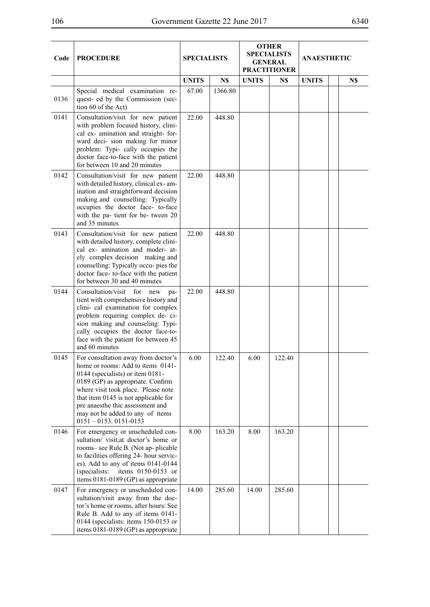| Code | <b>PROCEDURE</b>                                                                                                                                                                                                                                                                                                                      | <b>SPECIALISTS</b> |         | <b>OTHER</b><br><b>SPECIALISTS</b><br><b>GENERAL</b><br><b>PRACTITIONER</b> |        | <b>ANAESTHETIC</b> |  |     |
|------|---------------------------------------------------------------------------------------------------------------------------------------------------------------------------------------------------------------------------------------------------------------------------------------------------------------------------------------|--------------------|---------|-----------------------------------------------------------------------------|--------|--------------------|--|-----|
|      |                                                                                                                                                                                                                                                                                                                                       | <b>UNITS</b>       | N\$     | <b>UNITS</b>                                                                | N\$    | <b>UNITS</b>       |  | N\$ |
| 0136 | Special medical examination re-<br>quest- ed by the Commission (sec-<br>tion 60 of the Act)                                                                                                                                                                                                                                           | 67.00              | 1366.80 |                                                                             |        |                    |  |     |
| 0141 | Consultation/visit for new patient<br>with problem focused history, clini-<br>cal ex- amination and straight- for-<br>ward deci- sion making for minor<br>problem: Typi- cally occupies the<br>doctor face-to-face with the patient<br>for between 10 and 20 minutes                                                                  | 22.00              | 448.80  |                                                                             |        |                    |  |     |
| 0142 | Consultation/visit for new patient<br>with detailed history, clinical ex-am-<br>ination and straightforward decision<br>making and counselling: Typically<br>occupies the doctor face- to-face<br>with the pa- tient for be- tween 20<br>and 35 minutes                                                                               | 22.00              | 448.80  |                                                                             |        |                    |  |     |
| 0143 | Consultation/visit for new patient<br>with detailed history, complete clini-<br>cal ex- amination and moder- at-<br>ely complex decision making and<br>counselling: Typically occu- pies the<br>doctor face- to-face with the patient<br>for between 30 and 40 minutes                                                                | 22.00              | 448.80  |                                                                             |        |                    |  |     |
| 0144 | Consultation/visit<br>for new<br>pa-<br>tient with comprehensive history and<br>clini- cal examination for complex<br>problem requiring complex de-ci-<br>sion making and counseling: Typi-<br>cally occupies the doctor face-to-<br>face with the patient for between 45<br>and 60 minutes                                           | 22.00              | 448.80  |                                                                             |        |                    |  |     |
| 0145 | For consultation away from doctor's<br>home or rooms: Add to items 0141-<br>0144 (specialists) or item 0181-<br>0189 (GP) as appropriate. Confirm<br>where visit took place. Please note<br>that item 0145 is not applicable for<br>pre anaesthe thic assessment and<br>may not be added to any of items<br>$0151 - 0153$ . 0151-0153 | 6.00               | 122.40  | 6.00                                                                        | 122.40 |                    |  |     |
| 0146 | For emergency or unscheduled con-<br>sultation/ visit, at doctor's home or<br>rooms-see Rule B. (Not ap-plicable<br>to facilities offering 24- hour servic-<br>es). Add to any of items 0141-0144<br>items 0150-0153 or<br>(specialists:<br>items 0181-0189 (GP) as appropriate                                                       | 8.00               | 163.20  | 8.00                                                                        | 163.20 |                    |  |     |
| 0147 | For emergency or unscheduled con-<br>sultation/visit away from the doc-<br>tor's home or rooms, after hours: See<br>Rule B. Add to any of items 0141-<br>0144 (specialists: items 150-0153 or<br>items 0181-0189 (GP) as appropriate                                                                                                  | 14.00              | 285.60  | 14.00                                                                       | 285.60 |                    |  |     |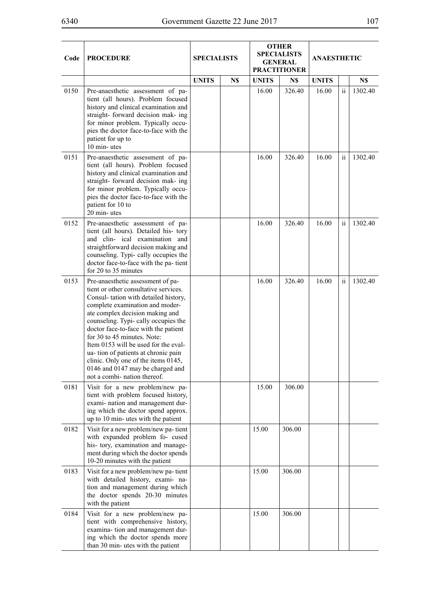| Code | <b>PROCEDURE</b>                                                                                                                                                                                                                                                                                                                                                                                                                                                                                  | <b>OTHER</b><br><b>SPECIALISTS</b><br><b>SPECIALISTS</b><br><b>GENERAL</b><br><b>PRACTITIONER</b> |     |              | <b>ANAESTHETIC</b> |              |               |         |
|------|---------------------------------------------------------------------------------------------------------------------------------------------------------------------------------------------------------------------------------------------------------------------------------------------------------------------------------------------------------------------------------------------------------------------------------------------------------------------------------------------------|---------------------------------------------------------------------------------------------------|-----|--------------|--------------------|--------------|---------------|---------|
|      |                                                                                                                                                                                                                                                                                                                                                                                                                                                                                                   | <b>UNITS</b>                                                                                      | N\$ | <b>UNITS</b> | N\$                | <b>UNITS</b> |               | N\$     |
| 0150 | Pre-anaesthetic assessment of pa-<br>tient (all hours). Problem focused<br>history and clinical examination and<br>straight- forward decision mak- ing<br>for minor problem. Typically occu-<br>pies the doctor face-to-face with the<br>patient for up to<br>10 min-utes                                                                                                                                                                                                                         |                                                                                                   |     | 16.00        | 326.40             | 16.00        | $\mathbf{ii}$ | 1302.40 |
| 0151 | Pre-anaesthetic assessment of pa-<br>tient (all hours). Problem focused<br>history and clinical examination and<br>straight- forward decision mak- ing<br>for minor problem. Typically occu-<br>pies the doctor face-to-face with the<br>patient for 10 to<br>20 min-utes                                                                                                                                                                                                                         |                                                                                                   |     | 16.00        | 326.40             | 16.00        | ii            | 1302.40 |
| 0152 | Pre-anaesthetic assessment of pa-<br>tient (all hours). Detailed his- tory<br>and clin- ical examination and<br>straightforward decision making and<br>counseling. Typi- cally occupies the<br>doctor face-to-face with the pa- tient<br>for 20 to 35 minutes                                                                                                                                                                                                                                     |                                                                                                   |     | 16.00        | 326.40             | 16.00        | $\mathbf{ii}$ | 1302.40 |
| 0153 | Pre-anaesthetic assessment of pa-<br>tient or other consultative services.<br>Consul-tation with detailed history,<br>complete examination and moder-<br>ate complex decision making and<br>counseling. Typi- cally occupies the<br>doctor face-to-face with the patient<br>for 30 to 45 minutes. Note:<br>Item 0153 will be used for the eval-<br>ua-tion of patients at chronic pain<br>clinic. Only one of the items 0145,<br>0146 and 0147 may be charged and<br>not a combi- nation thereof. |                                                                                                   |     | 16.00        | 326.40             | 16.00        | $\mathbf{ii}$ | 1302.40 |
| 0181 | Visit for a new problem/new pa-<br>tient with problem focused history,<br>exami- nation and management dur-<br>ing which the doctor spend approx.<br>up to 10 min- utes with the patient                                                                                                                                                                                                                                                                                                          |                                                                                                   |     | 15.00        | 306.00             |              |               |         |
| 0182 | Visit for a new problem/new pa-tient<br>with expanded problem fo- cused<br>his- tory, examination and manage-<br>ment during which the doctor spends<br>10-20 minutes with the patient                                                                                                                                                                                                                                                                                                            |                                                                                                   |     | 15.00        | 306.00             |              |               |         |
| 0183 | Visit for a new problem/new pa-tient<br>with detailed history, exami- na-<br>tion and management during which<br>the doctor spends 20-30 minutes<br>with the patient                                                                                                                                                                                                                                                                                                                              |                                                                                                   |     | 15.00        | 306.00             |              |               |         |
| 0184 | Visit for a new problem/new pa-<br>tient with comprehensive history,<br>examina- tion and management dur-<br>ing which the doctor spends more<br>than 30 min- utes with the patient                                                                                                                                                                                                                                                                                                               |                                                                                                   |     | 15.00        | 306.00             |              |               |         |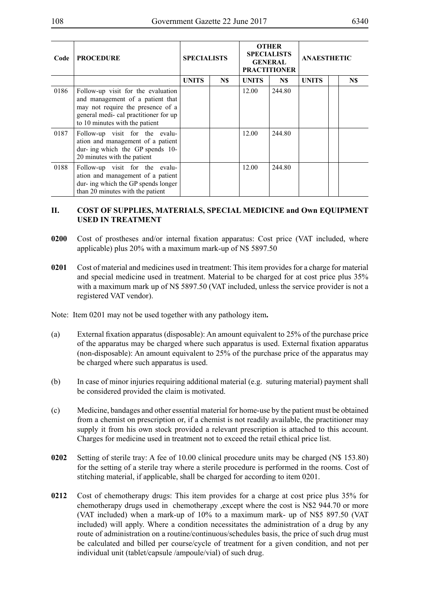| Code | <b>PROCEDURE</b>                                                                                                                                                                       | <b>SPECIALISTS</b> |     | <b>OTHER</b><br><b>SPECIALISTS</b><br><b>GENERAL</b><br><b>PRACTITIONER</b> | <b>ANAESTHETIC</b> |              |  |     |
|------|----------------------------------------------------------------------------------------------------------------------------------------------------------------------------------------|--------------------|-----|-----------------------------------------------------------------------------|--------------------|--------------|--|-----|
|      |                                                                                                                                                                                        | <b>UNITS</b>       | N\$ | <b>UNITS</b>                                                                | N\$                | <b>UNITS</b> |  | N\$ |
| 0186 | Follow-up visit for the evaluation<br>and management of a patient that<br>may not require the presence of a<br>general medi- cal practitioner for up<br>to 10 minutes with the patient |                    |     | 12.00                                                                       | 244.80             |              |  |     |
| 0187 | Follow-up visit for the evalu-<br>ation and management of a patient<br>dur- ing which the GP spends 10-<br>20 minutes with the patient                                                 |                    |     | 12.00                                                                       | 244.80             |              |  |     |
| 0188 | Follow-up visit for the evalu-<br>ation and management of a patient<br>dur- ing which the GP spends longer<br>than 20 minutes with the patient                                         |                    |     | 12.00                                                                       | 244.80             |              |  |     |

## **II. COST OF SUPPLIES, MATERIALS, SPECIAL MEDICINE and Own EQUIPMENT USED IN TREATMENT**

- **0200** Cost of prostheses and/or internal fixation apparatus: Cost price (VAT included, where applicable) plus 20% with a maximum mark-up of N\$ 5897.50
- **0201** Cost of material and medicines used in treatment: This item provides for a charge for material and special medicine used in treatment. Material to be charged for at cost price plus 35% with a maximum mark up of N\$ 5897.50 (VAT included, unless the service provider is not a registered VAT vendor).

Note: Item 0201 may not be used together with any pathology item**.**

- (a) External fixation apparatus (disposable): An amount equivalent to 25% of the purchase price of the apparatus may be charged where such apparatus is used. External fixation apparatus (non-disposable): An amount equivalent to 25% of the purchase price of the apparatus may be charged where such apparatus is used.
- (b) In case of minor injuries requiring additional material (e.g. suturing material) payment shall be considered provided the claim is motivated.
- (c) Medicine, bandages and other essential material for home-use by the patient must be obtained from a chemist on prescription or, if a chemist is not readily available, the practitioner may supply it from his own stock provided a relevant prescription is attached to this account. Charges for medicine used in treatment not to exceed the retail ethical price list.
- **0202** Setting of sterile tray: A fee of 10.00 clinical procedure units may be charged (N\$ 153.80) for the setting of a sterile tray where a sterile procedure is performed in the rooms. Cost of stitching material, if applicable, shall be charged for according to item 0201.
- **0212** Cost of chemotherapy drugs: This item provides for a charge at cost price plus 35% for chemotherapy drugs used in chemotherapy ,except where the cost is N\$2 944.70 or more (VAT included) when a mark-up of 10% to a maximum mark- up of N\$5 897.50 (VAT included) will apply. Where a condition necessitates the administration of a drug by any route of administration on a routine/continuous/schedules basis, the price of such drug must be calculated and billed per course/cycle of treatment for a given condition, and not per individual unit (tablet/capsule /ampoule/vial) of such drug.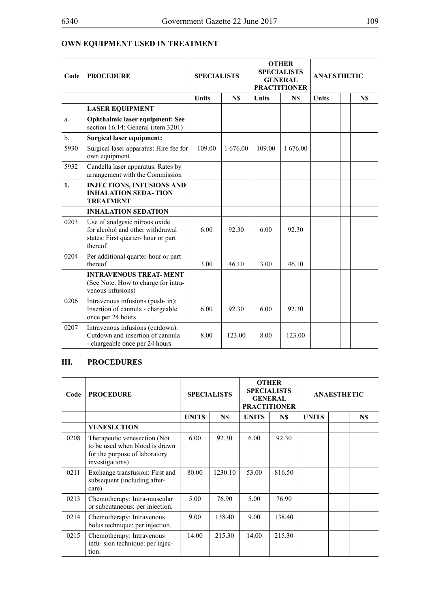|                    | <b>SPECIALISTS</b> |     |       | <b>SPECIALISTS</b><br><b>GENERAL</b><br><b>PRACTITIONER</b> |
|--------------------|--------------------|-----|-------|-------------------------------------------------------------|
|                    | Units              | N\$ | Units | N\$                                                         |
|                    |                    |     |       |                                                             |
| nt: See<br>(3201 ہ |                    |     |       |                                                             |

**OTHER** 

 $\overline{\phantom{a}}$ 

## **OWN EQUIPMENT USED IN TREATMENT**

| Code           | <b>PROCEDURE</b>                                                                                                     | <b>SPECIALISTS</b> |          |              | <b>SPECIALISTS</b><br><b>GENERAL</b><br><b>PRACTITIONER</b> | <b>ANAESTHETIC</b> |     |
|----------------|----------------------------------------------------------------------------------------------------------------------|--------------------|----------|--------------|-------------------------------------------------------------|--------------------|-----|
|                |                                                                                                                      | <b>Units</b>       | N\$      | <b>Units</b> | N\$                                                         | <b>Units</b>       | N\$ |
|                | <b>LASER EQUIPMENT</b>                                                                                               |                    |          |              |                                                             |                    |     |
| a.             | <b>Ophthalmic laser equipment: See</b><br>section 16.14: General (item 3201)                                         |                    |          |              |                                                             |                    |     |
| $\mathbf{b}$ . | <b>Surgical laser equipment:</b>                                                                                     |                    |          |              |                                                             |                    |     |
| 5930           | Surgical laser apparatus: Hire fee for<br>own equipment                                                              | 109.00             | 1 676.00 | 109.00       | 1676.00                                                     |                    |     |
| 5932           | Candella laser apparatus: Rates by<br>arrangement with the Commission                                                |                    |          |              |                                                             |                    |     |
| $\mathbf{1}$ . | <b>INJECTIONS, INFUSIONS AND</b><br><b>INHALATION SEDA-TION</b><br><b>TREATMENT</b>                                  |                    |          |              |                                                             |                    |     |
|                | <b>INHALATION SEDATION</b>                                                                                           |                    |          |              |                                                             |                    |     |
| 0203           | Use of analgesic nitrous oxide<br>for alcohol and other withdrawal<br>states: First quarter- hour or part<br>thereof | 6.00               | 92.30    | 6.00         | 92.30                                                       |                    |     |
| 0204           | Per additional quarter-hour or part<br>thereof                                                                       | 3.00               | 46.10    | 3.00         | 46.10                                                       |                    |     |
|                | <b>INTRAVENOUS TREAT- MENT</b><br>(See Note: How to charge for intra-<br>venous infusions)                           |                    |          |              |                                                             |                    |     |
| 0206           | Intravenous infusions (push-in):<br>Insertion of cannula - chargeable<br>once per 24 hours                           | 6.00               | 92.30    | 6.00         | 92.30                                                       |                    |     |
| 0207           | Intravenous infusions (cutdown):<br>Cutdown and insertion of cannula<br>- chargeable once per 24 hours               | 8.00               | 123.00   | 8.00         | 123.00                                                      |                    |     |

## **III. PROCEDURES**

| Code | <b>PROCEDURE</b>                                                                                                   | <b>SPECIALISTS</b> |         | <b>OTHER</b><br><b>SPECIALISTS</b><br><b>GENERAL</b><br><b>PRACTITIONER</b> |        | <b>ANAESTHETIC</b> |  |     |
|------|--------------------------------------------------------------------------------------------------------------------|--------------------|---------|-----------------------------------------------------------------------------|--------|--------------------|--|-----|
|      |                                                                                                                    | <b>UNITS</b>       | N\$     | <b>UNITS</b><br>N\$                                                         |        | <b>UNITS</b>       |  | N\$ |
|      | <b>VENESECTION</b>                                                                                                 |                    |         |                                                                             |        |                    |  |     |
| 0208 | Therapeutic venesection (Not<br>to be used when blood is drawn<br>for the purpose of laboratory<br>investigations) | 6.00               | 92.30   | 6.00                                                                        | 92.30  |                    |  |     |
| 0211 | Exchange transfusion: First and<br>subsequent (including after-<br>care)                                           | 80.00              | 1230.10 | 53.00                                                                       | 816.50 |                    |  |     |
| 0213 | Chemotherapy: Intra-muscular<br>or subcutaneous: per injection.                                                    | 5.00               | 76.90   | 5.00                                                                        | 76.90  |                    |  |     |
| 0214 | Chemotherapy: Intravenous<br>bolus technique: per injection.                                                       | 9.00               | 138.40  | 9.00                                                                        | 138.40 |                    |  |     |
| 0215 | Chemotherapy: Intravenous<br>infu-sion technique: per injec-<br>tion.                                              | 14.00              | 215.30  | 14.00                                                                       | 215.30 |                    |  |     |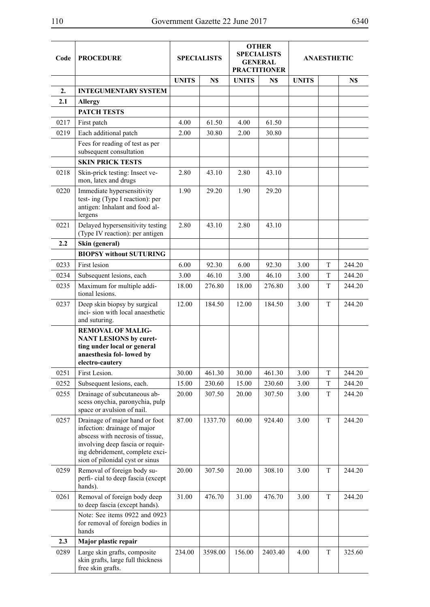$\overline{\phantom{a}}$ 

| Code | <b>PROCEDURE</b>                                                                                                                                                                                             |              | <b>SPECIALISTS</b> |              | <b>OTHER</b><br><b>SPECIALISTS</b><br><b>GENERAL</b><br><b>PRACTITIONER</b> |              | <b>ANAESTHETIC</b> |        |
|------|--------------------------------------------------------------------------------------------------------------------------------------------------------------------------------------------------------------|--------------|--------------------|--------------|-----------------------------------------------------------------------------|--------------|--------------------|--------|
|      |                                                                                                                                                                                                              | <b>UNITS</b> | N\$                | <b>UNITS</b> | N\$                                                                         | <b>UNITS</b> |                    | N\$    |
| 2.   | <b>INTEGUMENTARY SYSTEM</b>                                                                                                                                                                                  |              |                    |              |                                                                             |              |                    |        |
| 2.1  | <b>Allergy</b>                                                                                                                                                                                               |              |                    |              |                                                                             |              |                    |        |
|      | <b>PATCH TESTS</b>                                                                                                                                                                                           |              |                    |              |                                                                             |              |                    |        |
| 0217 | First patch                                                                                                                                                                                                  | 4.00         | 61.50              | 4.00         | 61.50                                                                       |              |                    |        |
| 0219 | Each additional patch                                                                                                                                                                                        | 2.00         | 30.80              | 2.00         | 30.80                                                                       |              |                    |        |
|      | Fees for reading of test as per<br>subsequent consultation                                                                                                                                                   |              |                    |              |                                                                             |              |                    |        |
|      | <b>SKIN PRICK TESTS</b>                                                                                                                                                                                      |              |                    |              |                                                                             |              |                    |        |
| 0218 | Skin-prick testing: Insect ve-<br>mon, latex and drugs                                                                                                                                                       | 2.80         | 43.10              | 2.80         | 43.10                                                                       |              |                    |        |
| 0220 | Immediate hypersensitivity<br>test- ing (Type I reaction): per<br>antigen: Inhalant and food al-<br>lergens                                                                                                  | 1.90         | 29.20              | 1.90         | 29.20                                                                       |              |                    |        |
| 0221 | Delayed hypersensitivity testing<br>(Type IV reaction): per antigen                                                                                                                                          | 2.80         | 43.10              | 2.80         | 43.10                                                                       |              |                    |        |
| 2.2  | Skin (general)                                                                                                                                                                                               |              |                    |              |                                                                             |              |                    |        |
|      | <b>BIOPSY without SUTURING</b>                                                                                                                                                                               |              |                    |              |                                                                             |              |                    |        |
| 0233 | First lesion                                                                                                                                                                                                 | 6.00         | 92.30              | 6.00         | 92.30                                                                       | 3.00         | T                  | 244.20 |
| 0234 | Subsequent lesions, each                                                                                                                                                                                     | 3.00         | 46.10              | 3.00         | 46.10                                                                       | 3.00         | T                  | 244.20 |
| 0235 | Maximum for multiple addi-<br>tional lesions.                                                                                                                                                                | 18.00        | 276.80             | 18.00        | 276.80                                                                      | 3.00         | T                  | 244.20 |
| 0237 | Deep skin biopsy by surgical<br>inci-sion with local anaesthetic<br>and suturing.                                                                                                                            | 12.00        | 184.50             | 12.00        | 184.50                                                                      | 3.00         | T                  | 244.20 |
|      | <b>REMOVAL OF MALIG-</b><br><b>NANT LESIONS by curet-</b><br>ting under local or general<br>anaesthesia fol-lowed by<br>electro-cautery                                                                      |              |                    |              |                                                                             |              |                    |        |
| 0251 | First Lesion.                                                                                                                                                                                                | 30.00        | 461.30             | 30.00        | 461.30                                                                      | 3.00         | T                  | 244.20 |
| 0252 | Subsequent lesions, each.                                                                                                                                                                                    | 15.00        | 230.60             | 15.00        | 230.60                                                                      | 3.00         | T                  | 244.20 |
| 0255 | Drainage of subcutaneous ab-<br>scess onychia, paronychia, pulp<br>space or avulsion of nail.                                                                                                                | 20.00        | 307.50             | 20.00        | 307.50                                                                      | 3.00         | T                  | 244.20 |
| 0257 | Drainage of major hand or foot<br>infection: drainage of major<br>abscess with necrosis of tissue,<br>involving deep fascia or requir-<br>ing debridement, complete exci-<br>sion of pilonidal cyst or sinus | 87.00        | 1337.70            | 60.00        | 924.40                                                                      | 3.00         | T                  | 244.20 |
| 0259 | Removal of foreign body su-<br>perfi-cial to deep fascia (except<br>hands).                                                                                                                                  | 20.00        | 307.50             | 20.00        | 308.10                                                                      | 3.00         | T                  | 244.20 |
| 0261 | Removal of foreign body deep<br>to deep fascia (except hands).                                                                                                                                               | 31.00        | 476.70             | 31.00        | 476.70                                                                      | 3.00         | T                  | 244.20 |
|      | Note: See items 0922 and 0923<br>for removal of foreign bodies in<br>hands                                                                                                                                   |              |                    |              |                                                                             |              |                    |        |
| 2.3  | Major plastic repair                                                                                                                                                                                         |              |                    |              |                                                                             |              |                    |        |
| 0289 | Large skin grafts, composite<br>skin grafts, large full thickness<br>free skin grafts.                                                                                                                       | 234.00       | 3598.00            | 156.00       | 2403.40                                                                     | 4.00         | $\mathbf T$        | 325.60 |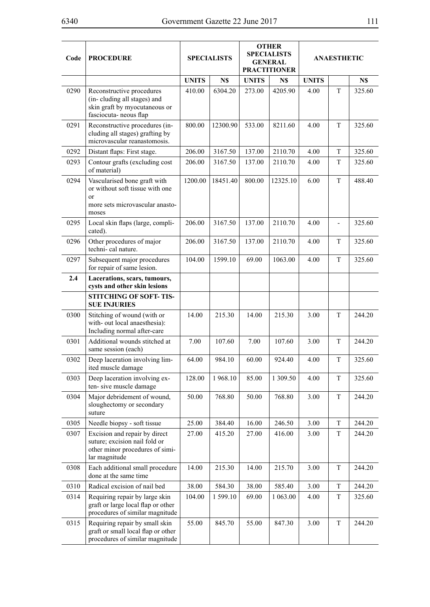| Code | <b>PROCEDURE</b>                                                                                                             |              | <b>SPECIALISTS</b> |              | <b>OTHER</b><br><b>SPECIALISTS</b><br><b>GENERAL</b><br><b>PRACTITIONER</b> |              | <b>ANAESTHETIC</b> |        |
|------|------------------------------------------------------------------------------------------------------------------------------|--------------|--------------------|--------------|-----------------------------------------------------------------------------|--------------|--------------------|--------|
|      |                                                                                                                              | <b>UNITS</b> | N\$                | <b>UNITS</b> | N\$                                                                         | <b>UNITS</b> |                    | N\$    |
| 0290 | Reconstructive procedures<br>(in-cluding all stages) and<br>skin graft by myocutaneous or<br>fasciocuta- neous flap          | 410.00       | 6304.20            | 273.00       | 4205.90                                                                     | 4.00         | T                  | 325.60 |
| 0291 | Reconstructive procedures (in-<br>cluding all stages) grafting by<br>microvascular reanastomosis.                            | 800.00       | 12300.90           | 533.00       | 8211.60                                                                     | 4.00         | T                  | 325.60 |
| 0292 | Distant flaps: First stage.                                                                                                  | 206.00       | 3167.50            | 137.00       | 2110.70                                                                     | 4.00         | T                  | 325.60 |
| 0293 | Contour grafts (excluding cost<br>of material)                                                                               | 206.00       | 3167.50            | 137.00       | 2110.70                                                                     | 4.00         | T                  | 325.60 |
| 0294 | Vascularised bone graft with<br>or without soft tissue with one<br><sub>or</sub><br>more sets microvascular anasto-<br>moses | 1200.00      | 18451.40           | 800.00       | 12325.10                                                                    | 6.00         | T                  | 488.40 |
| 0295 | Local skin flaps (large, compli-<br>cated).                                                                                  | 206.00       | 3167.50            | 137.00       | 2110.70                                                                     | 4.00         |                    | 325.60 |
| 0296 | Other procedures of major<br>techni-cal nature.                                                                              | 206.00       | 3167.50            | 137.00       | 2110.70                                                                     | 4.00         | T                  | 325.60 |
| 0297 | Subsequent major procedures<br>for repair of same lesion.                                                                    | 104.00       | 1599.10            | 69.00        | 1063.00                                                                     | 4.00         | T                  | 325.60 |
| 2.4  | Lacerations, scars, tumours,<br>cysts and other skin lesions                                                                 |              |                    |              |                                                                             |              |                    |        |
|      | <b>STITCHING OF SOFT-TIS-</b><br><b>SUE INJURIES</b>                                                                         |              |                    |              |                                                                             |              |                    |        |
| 0300 | Stitching of wound (with or<br>with- out local anaesthesia):<br>Including normal after-care                                  | 14.00        | 215.30             | 14.00        | 215.30                                                                      | 3.00         | T                  | 244.20 |
| 0301 | Additional wounds stitched at<br>same session (each)                                                                         | 7.00         | 107.60             | 7.00         | 107.60                                                                      | 3.00         | T                  | 244.20 |
| 0302 | Deep laceration involving lim-<br>ited muscle damage                                                                         | 64.00        | 984.10             | 60.00        | 924.40                                                                      | 4.00         | T                  | 325.60 |
| 0303 | Deep laceration involving ex-<br>ten-sive muscle damage                                                                      | 128.00       | 1968.10            | 85.00        | 1 309.50                                                                    | 4.00         | T                  | 325.60 |
| 0304 | Major debridement of wound,<br>sloughectomy or secondary<br>suture                                                           | 50.00        | 768.80             | 50.00        | 768.80                                                                      | 3.00         | T                  | 244.20 |
| 0305 | Needle biopsy - soft tissue                                                                                                  | 25.00        | 384.40             | 16.00        | 246.50                                                                      | 3.00         | T                  | 244.20 |
| 0307 | Excision and repair by direct<br>suture; excision nail fold or<br>other minor procedures of simi-<br>lar magnitude           | 27.00        | 415.20             | 27.00        | 416.00                                                                      | 3.00         | T                  | 244.20 |
| 0308 | Each additional small procedure<br>done at the same time                                                                     | 14.00        | 215.30             | 14.00        | 215.70                                                                      | 3.00         | T                  | 244.20 |
| 0310 | Radical excision of nail bed                                                                                                 | 38.00        | 584.30             | 38.00        | 585.40                                                                      | 3.00         | T                  | 244.20 |
| 0314 | Requiring repair by large skin<br>graft or large local flap or other<br>procedures of similar magnitude                      | 104.00       | 1 599.10           | 69.00        | 1 063.00                                                                    | 4.00         | T                  | 325.60 |
| 0315 | Requiring repair by small skin<br>graft or small local flap or other<br>procedures of similar magnitude                      | 55.00        | 845.70             | 55.00        | 847.30                                                                      | 3.00         | T                  | 244.20 |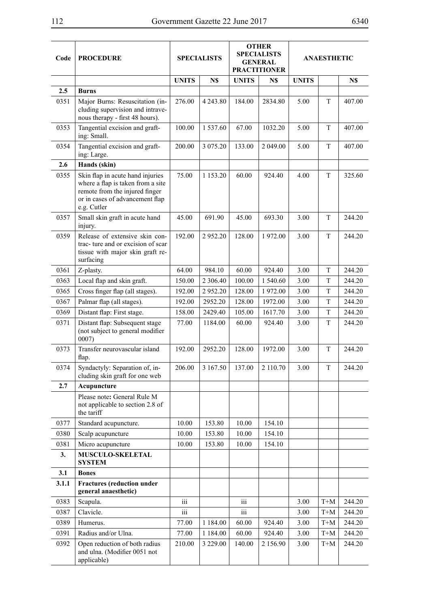$\overline{a}$ 

 $\overline{\phantom{a}}$ 

 $\overline{\phantom{a}}$ 

| Code  | <b>PROCEDURE</b>                                                                                                                                          | <b>OTHER</b><br><b>SPECIALISTS</b><br><b>SPECIALISTS</b><br><b>GENERAL</b><br><b>PRACTITIONER</b> |               | <b>ANAESTHETIC</b> |          |              |             |        |
|-------|-----------------------------------------------------------------------------------------------------------------------------------------------------------|---------------------------------------------------------------------------------------------------|---------------|--------------------|----------|--------------|-------------|--------|
|       |                                                                                                                                                           | <b>UNITS</b>                                                                                      | N\$           | <b>UNITS</b>       | N\$      | <b>UNITS</b> |             | N\$    |
| 2.5   | <b>Burns</b>                                                                                                                                              |                                                                                                   |               |                    |          |              |             |        |
| 0351  | Major Burns: Resuscitation (in-<br>cluding supervision and intrave-<br>nous therapy - first 48 hours).                                                    | 276.00                                                                                            | 4 2 4 3 . 8 0 | 184.00             | 2834.80  | 5.00         | T           | 407.00 |
| 0353  | Tangential excision and graft-<br>ing: Small.                                                                                                             | 100.00                                                                                            | 1537.60       | 67.00              | 1032.20  | 5.00         | T           | 407.00 |
| 0354  | Tangential excision and graft-<br>ing: Large.                                                                                                             | 200.00                                                                                            | 3 075.20      | 133.00             | 2 049.00 | 5.00         | T           | 407.00 |
| 2.6   | Hands (skin)                                                                                                                                              |                                                                                                   |               |                    |          |              |             |        |
| 0355  | Skin flap in acute hand injuries<br>where a flap is taken from a site<br>remote from the injured finger<br>or in cases of advancement flap<br>e.g. Cutler | 75.00                                                                                             | 1 1 5 3 . 20  | 60.00              | 924.40   | 4.00         | T           | 325.60 |
| 0357  | Small skin graft in acute hand<br>injury.                                                                                                                 | 45.00                                                                                             | 691.90        | 45.00              | 693.30   | 3.00         | T           | 244.20 |
| 0359  | Release of extensive skin con-<br>trac- ture and or excision of scar<br>tissue with major skin graft re-<br>surfacing                                     | 192.00                                                                                            | 2952.20       | 128.00             | 1972.00  | 3.00         | $\mathbf T$ | 244.20 |
| 0361  | Z-plasty.                                                                                                                                                 | 64.00                                                                                             | 984.10        | 60.00              | 924.40   | 3.00         | T           | 244.20 |
| 0363  | Local flap and skin graft.                                                                                                                                | 150.00                                                                                            | 2 3 0 6.40    | 100.00             | 1540.60  | 3.00         | T           | 244.20 |
| 0365  | Cross finger flap (all stages).                                                                                                                           | 192.00                                                                                            | 2952.20       | 128.00             | 1972.00  | 3.00         | T           | 244.20 |
| 0367  | Palmar flap (all stages).                                                                                                                                 | 192.00                                                                                            | 2952.20       | 128.00             | 1972.00  | 3.00         | T           | 244.20 |
| 0369  | Distant flap: First stage.                                                                                                                                | 158.00                                                                                            | 2429.40       | 105.00             | 1617.70  | 3.00         | T           | 244.20 |
| 0371  | Distant flap: Subsequent stage<br>(not subject to general modifier<br>0007)                                                                               | 77.00                                                                                             | 1184.00       | 60.00              | 924.40   | 3.00         | T           | 244.20 |
| 0373  | Transfer neurovascular island<br>flap.                                                                                                                    | 192.00                                                                                            | 2952.20       | 128.00             | 1972.00  | 3.00         | T           | 244.20 |
| 0374  | Syndactyly: Separation of, in-<br>cluding skin graft for one web                                                                                          | 206.00                                                                                            | 3 167.50      | 137.00             | 2 110.70 | 3.00         | T           | 244.20 |
| 2.7   | Acupuncture                                                                                                                                               |                                                                                                   |               |                    |          |              |             |        |
|       | Please note: General Rule M<br>not applicable to section 2.8 of<br>the tariff                                                                             |                                                                                                   |               |                    |          |              |             |        |
| 0377  | Standard acupuncture.                                                                                                                                     | 10.00                                                                                             | 153.80        | 10.00              | 154.10   |              |             |        |
| 0380  | Scalp acupuncture                                                                                                                                         | 10.00                                                                                             | 153.80        | 10.00              | 154.10   |              |             |        |
| 0381  | Micro acupuncture                                                                                                                                         | 10.00                                                                                             | 153.80        | 10.00              | 154.10   |              |             |        |
| 3.    | <b>MUSCULO-SKELETAL</b><br><b>SYSTEM</b>                                                                                                                  |                                                                                                   |               |                    |          |              |             |        |
| 3.1   | <b>Bones</b>                                                                                                                                              |                                                                                                   |               |                    |          |              |             |        |
| 3.1.1 | <b>Fractures (reduction under</b><br>general anaesthetic)                                                                                                 |                                                                                                   |               |                    |          |              |             |        |
| 0383  | Scapula.                                                                                                                                                  | $\overline{111}$                                                                                  |               | iii                |          | 3.00         | $T+M$       | 244.20 |
| 0387  | Clavicle.                                                                                                                                                 | $\overline{111}$                                                                                  |               | iii                |          | 3.00         | $T+M$       | 244.20 |
| 0389  | Humerus.                                                                                                                                                  | 77.00                                                                                             | 1 1 8 4 .00   | 60.00              | 924.40   | 3.00         | $T+M$       | 244.20 |
| 0391  | Radius and/or Ulna.                                                                                                                                       | 77.00                                                                                             | 1 1 8 4 .00   | 60.00              | 924.40   | 3.00         | $T+M$       | 244.20 |
| 0392  | Open reduction of both radius<br>and ulna. (Modifier 0051 not<br>applicable)                                                                              | 210.00                                                                                            | 3 2 2 9 .00   | 140.00             | 2 156.90 | 3.00         | $T+M$       | 244.20 |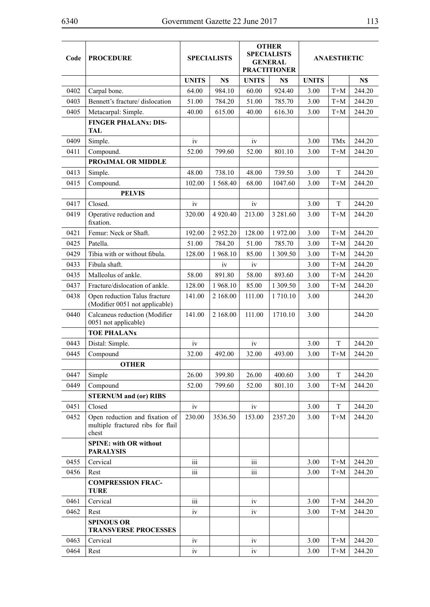| Code | <b>PROCEDURE</b>                                                             |                           | <b>SPECIALISTS</b> |                  | <b>OTHER</b><br><b>SPECIALISTS</b><br><b>GENERAL</b><br><b>PRACTITIONER</b> |              | <b>ANAESTHETIC</b> |        |
|------|------------------------------------------------------------------------------|---------------------------|--------------------|------------------|-----------------------------------------------------------------------------|--------------|--------------------|--------|
|      |                                                                              | <b>UNITS</b>              | N\$                | <b>UNITS</b>     | N\$                                                                         | <b>UNITS</b> |                    | N\$    |
| 0402 | Carpal bone.                                                                 | 64.00                     | 984.10             | 60.00            | 924.40                                                                      | 3.00         | $T+M$              | 244.20 |
| 0403 | Bennett's fracture/ dislocation                                              | 51.00                     | 784.20             | 51.00            | 785.70                                                                      | 3.00         | $T+M$              | 244.20 |
| 0405 | Metacarpal: Simple.                                                          | 40.00                     | 615.00             | 40.00            | 616.30                                                                      | 3.00         | $T+M$              | 244.20 |
|      | <b>FINGER PHALANx: DIS-</b><br><b>TAL</b>                                    |                           |                    |                  |                                                                             |              |                    |        |
| 0409 | Simple.                                                                      | iv                        |                    | iv               |                                                                             | 3.00         | <b>TMx</b>         | 244.20 |
| 0411 | Compound.                                                                    | 52.00                     | 799.60             | 52.00            | 801.10                                                                      | 3.00         | $T+M$              | 244.20 |
|      | PROXIMAL OR MIDDLE                                                           |                           |                    |                  |                                                                             |              |                    |        |
| 0413 | Simple.                                                                      | 48.00                     | 738.10             | 48.00            | 739.50                                                                      | 3.00         | $\mathbf T$        | 244.20 |
| 0415 | Compound.                                                                    | 102.00                    | 1 5 68.40          | 68.00            | 1047.60                                                                     | 3.00         | $T+M$              | 244.20 |
|      | <b>PELVIS</b>                                                                |                           |                    |                  |                                                                             |              |                    |        |
| 0417 | Closed.                                                                      | iv                        |                    | iv               |                                                                             | 3.00         | T                  | 244.20 |
| 0419 | Operative reduction and<br>fixation.                                         | 320.00                    | 4 9 20.40          | 213.00           | 3 2 8 1 .60                                                                 | 3.00         | $T+M$              | 244.20 |
| 0421 | Femur: Neck or Shaft.                                                        | 192.00                    | 2952.20            | 128.00           | 1972.00                                                                     | 3.00         | $T+M$              | 244.20 |
| 0425 | Patella.                                                                     | 51.00                     | 784.20             | 51.00            | 785.70                                                                      | 3.00         | $T+M$              | 244.20 |
| 0429 | Tibia with or without fibula.                                                | 128.00                    | 1968.10            | 85.00            | 1 309.50                                                                    | 3.00         | $T+M$              | 244.20 |
| 0433 | Fibula shaft.                                                                |                           | iv                 | iv               |                                                                             | 3.00         | $T+M$              | 244.20 |
| 0435 | Malleolus of ankle.                                                          | 58.00                     | 891.80             | 58.00            | 893.60                                                                      | 3.00         | $T+M$              | 244.20 |
| 0437 | Fracture/dislocation of ankle.                                               | 128.00                    | 1968.10            | 85.00            | 1 309.50                                                                    | 3.00         | $T+M$              | 244.20 |
| 0438 | Open reduction Talus fracture<br>(Modifier 0051 not applicable)              | 141.00                    | 2 168.00           | 111.00           | 1710.10                                                                     | 3.00         |                    | 244.20 |
| 0440 | Calcaneus reduction (Modifier<br>0051 not applicable)                        | 141.00                    | 2 168.00           | 111.00           | 1710.10                                                                     | 3.00         |                    | 244.20 |
|      | <b>TOE PHALANX</b>                                                           |                           |                    |                  |                                                                             |              |                    |        |
| 0443 | Distal: Simple.                                                              | iv                        |                    | iv               |                                                                             | 3.00         | T                  | 244.20 |
| 0445 | Compound                                                                     | 32.00                     | 492.00             | 32.00            | 493.00                                                                      | 3.00         | $T+M$              | 244.20 |
|      | <b>OTHER</b>                                                                 |                           |                    |                  |                                                                             |              |                    |        |
| 0447 | Simple                                                                       | 26.00                     | 399.80             | 26.00            | 400.60                                                                      | 3.00         | T                  | 244.20 |
| 0449 | Compound                                                                     | 52.00                     | 799.60             | 52.00            | 801.10                                                                      | 3.00         | $T+M$              | 244.20 |
|      | <b>STERNUM</b> and (or) RIBS                                                 |                           |                    |                  |                                                                             |              |                    |        |
| 0451 | Closed                                                                       | iv                        |                    | iv               |                                                                             | 3.00         | T                  | 244.20 |
| 0452 | Open reduction and fixation of<br>multiple fractured ribs for flail<br>chest | 230.00                    | 3536.50            | 153.00           | 2357.20                                                                     | 3.00         | $T+M$              | 244.20 |
|      | <b>SPINE: with OR without</b><br><b>PARALYSIS</b>                            |                           |                    |                  |                                                                             |              |                    |        |
| 0455 | Cervical                                                                     | iii                       |                    | $\overline{111}$ |                                                                             | 3.00         | $T+M$              | 244.20 |
| 0456 | Rest                                                                         | $\overline{\textbf{iii}}$ |                    | iii              |                                                                             | 3.00         | $T+M$              | 244.20 |
|      | <b>COMPRESSION FRAC-</b><br><b>TURE</b>                                      |                           |                    |                  |                                                                             |              |                    |        |
| 0461 | Cervical                                                                     | $\overline{\text{iii}}$   |                    | iv               |                                                                             | 3.00         | $T+M$              | 244.20 |
| 0462 | Rest                                                                         | iv                        |                    | iv               |                                                                             | 3.00         | $T+M$              | 244.20 |
|      | <b>SPINOUS OR</b><br><b>TRANSVERSE PROCESSES</b>                             |                           |                    |                  |                                                                             |              |                    |        |
| 0463 | Cervical                                                                     | iv                        |                    | iv               |                                                                             | 3.00         | $T+M$              | 244.20 |
| 0464 | Rest                                                                         | iv                        |                    | iv               |                                                                             | 3.00         | $T+M$              | 244.20 |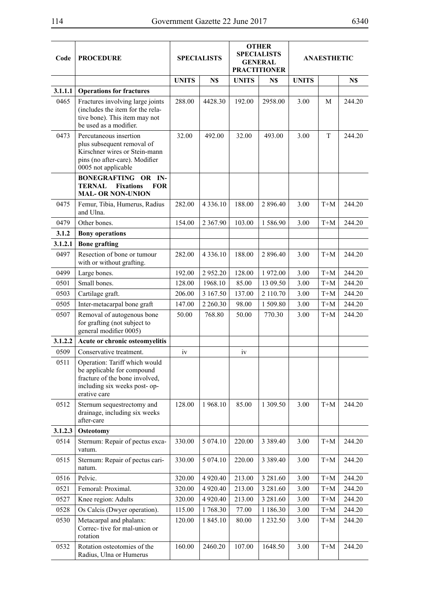$\overline{a}$ 

 $\overline{\phantom{a}}$ 

 $\overline{\phantom{a}}$ 

|         |                                                                                                                                                | <b>OTHER</b><br><b>SPECIALISTS</b><br><b>SPECIALISTS</b> |               | <b>ANAESTHETIC</b> |                                       |              |       |        |
|---------|------------------------------------------------------------------------------------------------------------------------------------------------|----------------------------------------------------------|---------------|--------------------|---------------------------------------|--------------|-------|--------|
| Code    | <b>PROCEDURE</b>                                                                                                                               |                                                          |               |                    | <b>GENERAL</b><br><b>PRACTITIONER</b> |              |       |        |
|         |                                                                                                                                                | <b>UNITS</b>                                             | N\$           | <b>UNITS</b>       | N\$                                   | <b>UNITS</b> |       | N\$    |
| 3.1.1.1 | <b>Operations for fractures</b>                                                                                                                |                                                          |               |                    |                                       |              |       |        |
| 0465    | Fractures involving large joints<br>(includes the item for the rela-<br>tive bone). This item may not<br>be used as a modifier.                | 288.00                                                   | 4428.30       | 192.00             | 2958.00                               | 3.00         | М     | 244.20 |
| 0473    | Percutaneous insertion<br>plus subsequent removal of<br>Kirschner wires or Stein-mann<br>pins (no after-care). Modifier<br>0005 not applicable | 32.00                                                    | 492.00        | 32.00              | 493.00                                | 3.00         | T     | 244.20 |
|         | <b>BONEGRAFTING</b><br>OR IN-<br><b>Fixations</b><br><b>TERNAL</b><br><b>FOR</b><br><b>MAL- OR NON-UNION</b>                                   |                                                          |               |                    |                                       |              |       |        |
| 0475    | Femur, Tibia, Humerus, Radius<br>and Ulna.                                                                                                     | 282.00                                                   | 4 3 3 6 1 0   | 188.00             | 2 896.40                              | 3.00         | $T+M$ | 244.20 |
| 0479    | Other bones.                                                                                                                                   | 154.00                                                   | 2 3 6 7 . 9 0 | 103.00             | 1586.90                               | 3.00         | $T+M$ | 244.20 |
| 3.1.2   | <b>Bony operations</b>                                                                                                                         |                                                          |               |                    |                                       |              |       |        |
| 3.1.2.1 | <b>Bone grafting</b>                                                                                                                           |                                                          |               |                    |                                       |              |       |        |
| 0497    | Resection of bone or tumour<br>with or without grafting.                                                                                       | 282.00                                                   | 4 3 3 6 1 0   | 188.00             | 2896.40                               | 3.00         | $T+M$ | 244.20 |
| 0499    | Large bones.                                                                                                                                   | 192.00                                                   | 2952.20       | 128.00             | 1972.00                               | 3.00         | $T+M$ | 244.20 |
| 0501    | Small bones.                                                                                                                                   | 128.00                                                   | 1968.10       | 85.00              | 13 09.50                              | 3.00         | $T+M$ | 244.20 |
| 0503    | Cartilage graft.                                                                                                                               | 206.00                                                   | 3 167.50      | 137.00             | 2 110.70                              | 3.00         | $T+M$ | 244.20 |
| 0505    | Inter-metacarpal bone graft                                                                                                                    | 147.00                                                   | 2 2 6 0 . 3 0 | 98.00              | 1509.80                               | 3.00         | $T+M$ | 244.20 |
| 0507    | Removal of autogenous bone<br>for grafting (not subject to<br>general modifier 0005)                                                           | 50.00                                                    | 768.80        | 50.00              | 770.30                                | 3.00         | $T+M$ | 244.20 |
| 3.1.2.2 | Acute or chronic osteomyelitis                                                                                                                 |                                                          |               |                    |                                       |              |       |        |
| 0509    | Conservative treatment.                                                                                                                        | iv                                                       |               | iv                 |                                       |              |       |        |
| 0511    | Operation: Tariff which would<br>be applicable for compound<br>fracture of the bone involved,<br>including six weeks post- op-<br>erative care |                                                          |               |                    |                                       |              |       |        |
| 0512    | Sternum sequestrectomy and<br>drainage, including six weeks<br>after-care                                                                      | 128.00                                                   | 1968.10       | 85.00              | 1 309.50                              | 3.00         | $T+M$ | 244.20 |
| 3.1.2.3 | <b>Osteotomy</b>                                                                                                                               |                                                          |               |                    |                                       |              |       |        |
| 0514    | Sternum: Repair of pectus exca-<br>vatum.                                                                                                      | 330.00                                                   | 5 0 74.10     | 220.00             | 3 3 8 9 . 4 0                         | 3.00         | $T+M$ | 244.20 |
| 0515    | Sternum: Repair of pectus cari-<br>natum.                                                                                                      | 330.00                                                   | 5 0 74.10     | 220.00             | 3 3 8 9 . 4 0                         | 3.00         | $T+M$ | 244.20 |
| 0516    | Pelvic.                                                                                                                                        | 320.00                                                   | 4 9 20.40     | 213.00             | 3 281.60                              | 3.00         | $T+M$ | 244.20 |
| 0521    | Femoral: Proximal.                                                                                                                             | 320.00                                                   | 4 9 20.40     | 213.00             | 3 281.60                              | 3.00         | $T+M$ | 244.20 |
| 0527    | Knee region: Adults                                                                                                                            | 320.00                                                   | 4 9 20.40     | 213.00             | 3 281.60                              | 3.00         | $T+M$ | 244.20 |
| 0528    | Os Calcis (Dwyer operation).                                                                                                                   | 115.00                                                   | 1768.30       | 77.00              | 1 186.30                              | 3.00         | $T+M$ | 244.20 |
| 0530    | Metacarpal and phalanx:<br>Correc- tive for mal-union or<br>rotation                                                                           | 120.00                                                   | 1845.10       | 80.00              | 1 2 3 2 . 5 0                         | 3.00         | $T+M$ | 244.20 |
| 0532    | Rotation osteotomies of the<br>Radius, Ulna or Humerus                                                                                         | 160.00                                                   | 2460.20       | 107.00             | 1648.50                               | 3.00         | $T+M$ | 244.20 |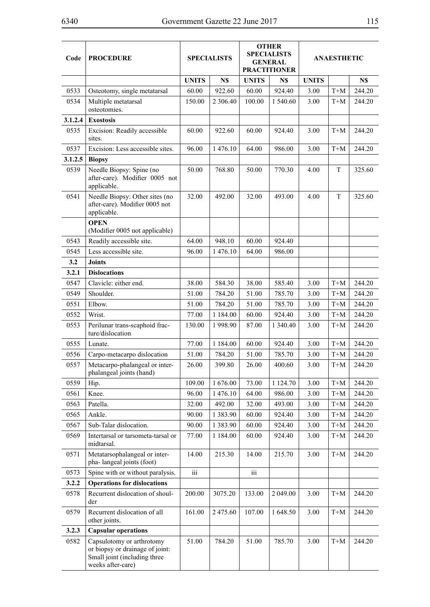| Code    | <b>PROCEDURE</b>                                                                                                  |              | <b>SPECIALISTS</b> |                         | <b>OTHER</b><br><b>SPECIALISTS</b><br><b>GENERAL</b><br><b>PRACTITIONER</b> |              | <b>ANAESTHETIC</b>              |        |
|---------|-------------------------------------------------------------------------------------------------------------------|--------------|--------------------|-------------------------|-----------------------------------------------------------------------------|--------------|---------------------------------|--------|
|         |                                                                                                                   | <b>UNITS</b> | N\$                | <b>UNITS</b>            | N\$                                                                         | <b>UNITS</b> |                                 | N\$    |
| 0533    | Osteotomy, single metatarsal                                                                                      | 60.00        | 922.60             | 60.00                   | 924.40                                                                      | 3.00         | $T+M$                           | 244.20 |
| 0534    | Multiple metatarsal<br>osteotomies.                                                                               | 150.00       | 2 3 0 6.40         | 100.00                  | 1 540.60                                                                    | 3.00         | $T+M$                           | 244.20 |
| 3.1.2.4 | <b>Exostosis</b>                                                                                                  |              |                    |                         |                                                                             |              |                                 |        |
| 0535    | Excision: Readily accessible<br>sites.                                                                            | 60.00        | 922.60             | 60.00                   | 924.40                                                                      | 3.00         | $T+M$                           | 244.20 |
| 0537    | Excision: Less accessible sites.                                                                                  | 96.00        | 1476.10            | 64.00                   | 986.00                                                                      | 3.00         | $T+M$                           | 244.20 |
| 3.1.2.5 | <b>Biopsy</b>                                                                                                     |              |                    |                         |                                                                             |              |                                 |        |
| 0539    | Needle Biopsy: Spine (no<br>after-care). Modifier 0005 not<br>applicable.                                         | 50.00        | 768.80             | 50.00                   | 770.30                                                                      | 4.00         | T                               | 325.60 |
| 0541    | Needle Biopsy: Other sites (no<br>after-care). Modifier 0005 not<br>applicable.                                   | 32.00        | 492.00             | 32.00                   | 493.00                                                                      | 4.00         | T                               | 325.60 |
|         | <b>OPEN</b><br>(Modifier 0005 not applicable)                                                                     |              |                    |                         |                                                                             |              |                                 |        |
| 0543    | Readily accessible site.                                                                                          | 64.00        | 948.10             | 60.00                   | 924.40                                                                      |              |                                 |        |
| 0545    | Less accessible site.                                                                                             | 96.00        | 1476.10            | 64.00                   | 986.00                                                                      |              |                                 |        |
| 3.2     | <b>Joints</b>                                                                                                     |              |                    |                         |                                                                             |              |                                 |        |
| 3.2.1   | <b>Dislocations</b>                                                                                               |              |                    |                         |                                                                             |              |                                 |        |
| 0547    | Clavicle: either end.                                                                                             | 38.00        | 584.30             | 38.00                   | 585.40                                                                      | 3.00         | $\mbox{T+}\mbox{M}$             | 244.20 |
| 0549    | Shoulder.                                                                                                         | 51.00        | 784.20             | 51.00                   | 785.70                                                                      | 3.00         | $T+M$                           | 244.20 |
| 0551    | Elbow.                                                                                                            | 51.00        | 784.20             | 51.00                   | 785.70                                                                      | 3.00         | $T+M$                           | 244.20 |
| 0552    | Wrist.                                                                                                            | 77.00        | 1 1 8 4 .00        | 60.00                   | 924.40                                                                      | 3.00         | $T+M$                           | 244.20 |
| 0553    | Perilunar trans-scaphoid frac-<br>ture/dislocation                                                                | 130.00       | 1998.90            | 87.00                   | 1 340.40                                                                    | 3.00         | $T+M$                           | 244.20 |
| 0555    | Lunate.                                                                                                           | 77.00        | 1 1 8 4 .00        | 60.00                   | 924.40                                                                      | 3.00         | $T+M$                           | 244.20 |
| 0556    | Carpo-metacarpo dislocation                                                                                       | 51.00        | 784.20             | 51.00                   | 785.70                                                                      | 3.00         | $T+M$                           | 244.20 |
| 0557    | Metacarpo-phalangeal or inter-<br>phalangeal joints (hand)                                                        | 26.00        | 399.80             | 26.00                   | 400.60                                                                      | 3.00         | $T+M$                           | 244.20 |
| 0559    | Hip.                                                                                                              | 109.00       | 1676.00            | 73.00                   | 1 1 24 .70                                                                  | 3.00         | $T+M$                           | 244.20 |
| 0561    | Knee.                                                                                                             | 96.00        | 1476.10            | 64.00                   | 986.00                                                                      | 3.00         | $T+M$                           | 244.20 |
| 0563    | Patella.                                                                                                          | 32.00        | 492.00             | 32.00                   | 493.00                                                                      | 3.00         | $T+M$                           | 244.20 |
| 0565    | Ankle.                                                                                                            | 90.00        | 1 3 8 3 . 9 0      | 60.00                   | 924.40                                                                      | 3.00         | $\mbox{T+}\mbox{M}$             | 244.20 |
| 0567    | Sub-Talar dislocation.                                                                                            | 90.00        | 1383.90            | 60.00                   | 924.40                                                                      | 3.00         | $T+M$                           | 244.20 |
| 0569    | Intertarsal or tarsometa-tarsal or<br>midtarsal.                                                                  | 77.00        | 1 1 8 4 .00        | 60.00                   | 924.40                                                                      | 3.00         | $T+M$                           | 244.20 |
| 0571    | Metatarsophalangeal or inter-<br>pha-langeal joints (foot)                                                        | 14.00        | 215.30             | 14.00                   | 215.70                                                                      | 3.00         | $T+M$                           | 244.20 |
| 0573    | Spine with or without paralysis.                                                                                  | iii          |                    | $\overline{\text{iii}}$ |                                                                             |              |                                 |        |
| 3.2.2   | <b>Operations for dislocations</b>                                                                                |              |                    |                         |                                                                             |              |                                 |        |
| 0578    | Recurrent dislocation of shoul-<br>der                                                                            | 200.00       | 3075.20            | 133.00                  | 2 049.00                                                                    | 3.00         | $T+M$                           | 244.20 |
| 0579    | Recurrent dislocation of all<br>other joints.                                                                     | 161.00       | 2 475.60           | 107.00                  | 1648.50                                                                     | 3.00         | $T+M$                           | 244.20 |
| 3.2.3   | <b>Capsular operations</b>                                                                                        |              |                    |                         |                                                                             |              |                                 |        |
| 0582    | Capsulotomy or arthrotomy<br>or biopsy or drainage of joint:<br>Small joint (including three<br>weeks after-care) | 51.00        | 784.20             | 51.00                   | 785.70                                                                      | 3.00         | $\mathbf{T} \text{+}\mathbf{M}$ | 244.20 |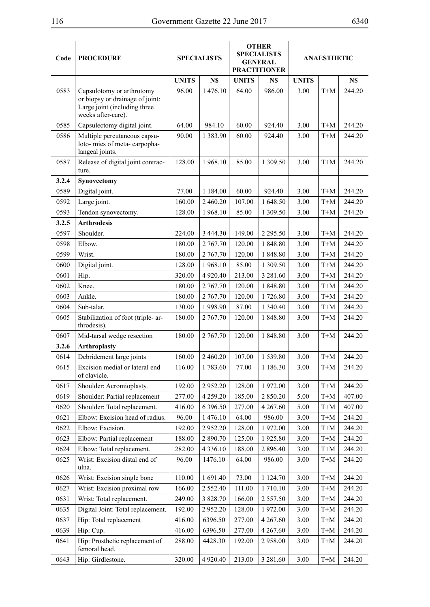$\overline{1}$ 

 $\overline{\phantom{a}}$ 

 $\overline{\phantom{a}}$ 

| Code  | <b>PROCEDURE</b>                                                                                                   | <b>SPECIALISTS</b> |               |              | <b>OTHER</b><br><b>SPECIALISTS</b><br><b>GENERAL</b><br><b>PRACTITIONER</b> | <b>ANAESTHETIC</b> |                     |        |
|-------|--------------------------------------------------------------------------------------------------------------------|--------------------|---------------|--------------|-----------------------------------------------------------------------------|--------------------|---------------------|--------|
|       |                                                                                                                    | <b>UNITS</b>       | N\$           | <b>UNITS</b> | N\$                                                                         | <b>UNITS</b>       |                     | N\$    |
| 0583  | Capsulotomy or arthrotomy<br>or biopsy or drainage of joint:<br>Large joint (including three<br>weeks after-care). | 96.00              | 1476.10       | 64.00        | 986.00                                                                      | 3.00               | $T+M$               | 244.20 |
| 0585  | Capsulectomy digital joint.                                                                                        | 64.00              | 984.10        | 60.00        | 924.40                                                                      | 3.00               | $T+M$               | 244.20 |
| 0586  | Multiple percutaneous capsu-<br>loto-mies of meta-carpopha-<br>langeal joints.                                     | 90.00              | 1383.90       | 60.00        | 924.40                                                                      | 3.00               | $T+M$               | 244.20 |
| 0587  | Release of digital joint contrac-<br>ture.                                                                         | 128.00             | 1968.10       | 85.00        | 1 309.50                                                                    | 3.00               | $T+M$               | 244.20 |
| 3.2.4 | Synovectomy                                                                                                        |                    |               |              |                                                                             |                    |                     |        |
| 0589  | Digital joint.                                                                                                     | 77.00              | 1 1 8 4 .00   | 60.00        | 924.40                                                                      | 3.00               | $T+M$               | 244.20 |
| 0592  | Large joint.                                                                                                       | 160.00             | 2 460.20      | 107.00       | 1 648.50                                                                    | 3.00               | $T+M$               | 244.20 |
| 0593  | Tendon synovectomy.                                                                                                | 128.00             | 1968.10       | 85.00        | 1 309.50                                                                    | 3.00               | $T+M$               | 244.20 |
| 3.2.5 | <b>Arthrodesis</b>                                                                                                 |                    |               |              |                                                                             |                    |                     |        |
| 0597  | Shoulder.                                                                                                          | 224.00             | 3 444.30      | 149.00       | 2 2 9 5 .50                                                                 | 3.00               | $T+M$               | 244.20 |
| 0598  | Elbow.                                                                                                             | 180.00             | 2 767.70      | 120.00       | 1848.80                                                                     | 3.00               | $T+M$               | 244.20 |
| 0599  | Wrist.                                                                                                             | 180.00             | 2 767.70      | 120.00       | 1848.80                                                                     | 3.00               | $T+M$               | 244.20 |
| 0600  | Digital joint.                                                                                                     | 128.00             | 1968.10       | 85.00        | 1 309.50                                                                    | 3.00               | $T+M$               | 244.20 |
| 0601  | Hip.                                                                                                               | 320.00             | 4 9 20.40     | 213.00       | 3 281.60                                                                    | 3.00               | $T+M$               | 244.20 |
| 0602  | Knee.                                                                                                              | 180.00             | 2 767.70      | 120.00       | 1848.80                                                                     | 3.00               | $T+M$               | 244.20 |
| 0603  | Ankle.                                                                                                             | 180.00             | 2 767.70      | 120.00       | 1726.80                                                                     | 3.00               | $T+M$               | 244.20 |
| 0604  | Sub-talar.                                                                                                         | 130.00             | 1998.90       | 87.00        | 1 340.40                                                                    | 3.00               | $T+M$               | 244.20 |
| 0605  | Stabilization of foot (triple-ar-<br>throdesis).                                                                   | 180.00             | 2 767.70      | 120.00       | 1848.80                                                                     | 3.00               | $T+M$               | 244.20 |
| 0607  | Mid-tarsal wedge resection                                                                                         | 180.00             | 2 767.70      | 120.00       | 1848.80                                                                     | 3.00               | $T+M$               | 244.20 |
| 3.2.6 | <b>Arthroplasty</b>                                                                                                |                    |               |              |                                                                             |                    |                     |        |
| 0614  | Debridement large joints                                                                                           | 160.00             | 2 460.20      | 107.00       | 1539.80                                                                     | 3.00               | $T+M$               | 244.20 |
| 0615  | Excision medial or lateral end<br>of clavicle.                                                                     | 116.00             | 1783.60       | 77.00        | 1 186.30                                                                    | 3.00               | $\mbox{T+}\mbox{M}$ | 244.20 |
| 0617  | Shoulder: Acromioplasty.                                                                                           | 192.00             | 2952.20       | 128.00       | 1972.00                                                                     | 3.00               | $T+M$               | 244.20 |
| 0619  | Shoulder: Partial replacement                                                                                      | 277.00             | 4 2 5 9 . 2 0 | 185.00       | 2850.20                                                                     | 5.00               | $T+M$               | 407.00 |
| 0620  | Shoulder: Total replacement.                                                                                       | 416.00             | 6 3 9 6 .50   | 277.00       | 4 267.60                                                                    | 5.00               | $T+M$               | 407.00 |
| 0621  | Elbow: Excision head of radius.                                                                                    | 96.00              | 1476.10       | 64.00        | 986.00                                                                      | 3.00               | $T+M$               | 244.20 |
| 0622  | Elbow: Excision.                                                                                                   | 192.00             | 2952.20       | 128.00       | 1972.00                                                                     | 3.00               | $T+M$               | 244.20 |
| 0623  | Elbow: Partial replacement                                                                                         | 188.00             | 2890.70       | 125.00       | 1925.80                                                                     | 3.00               | $T+M$               | 244.20 |
| 0624  | Elbow: Total replacement.                                                                                          | 282.00             | 4 3 3 6 1 0   | 188.00       | 2896.40                                                                     | 3.00               | $T+M$               | 244.20 |
| 0625  | Wrist: Excision distal end of<br>ulna.                                                                             | 96.00              | 1476.10       | 64.00        | 986.00                                                                      | 3.00               | $T+M$               | 244.20 |
| 0626  | Wrist: Excision single bone                                                                                        | 110.00             | 1691.40       | 73.00        | 1 1 24 .70                                                                  | 3.00               | $T+M$               | 244.20 |
| 0627  | Wrist: Excision proximal row                                                                                       | 166.00             | 2 5 5 2 . 4 0 | 111.00       | 1710.10                                                                     | 3.00               | $T+M$               | 244.20 |
| 0631  | Wrist: Total replacement.                                                                                          | 249.00             | 3 828.70      | 166.00       | 2 5 5 7 . 5 0                                                               | 3.00               | $T+M$               | 244.20 |
| 0635  | Digital Joint: Total replacement.                                                                                  | 192.00             | 2952.20       | 128.00       | 1972.00                                                                     | 3.00               | $T+M$               | 244.20 |
| 0637  | Hip: Total replacement                                                                                             | 416.00             | 6396.50       | 277.00       | 4 2 6 7 . 6 0                                                               | 3.00               | $T+M$               | 244.20 |
| 0639  | Hip: Cup.                                                                                                          | 416.00             | 6396.50       | 277.00       | 4 2 6 7 .60                                                                 | 3.00               | $T+M$               | 244.20 |
| 0641  | Hip: Prosthetic replacement of<br>femoral head.                                                                    | 288.00             | 4428.30       | 192.00       | 2958.00                                                                     | 3.00               | $T+M$               | 244.20 |
| 0643  | Hip: Girdlestone.                                                                                                  | 320.00             | 4 9 20.40     | 213.00       | 3 281.60                                                                    | 3.00               | $T+M$               | 244.20 |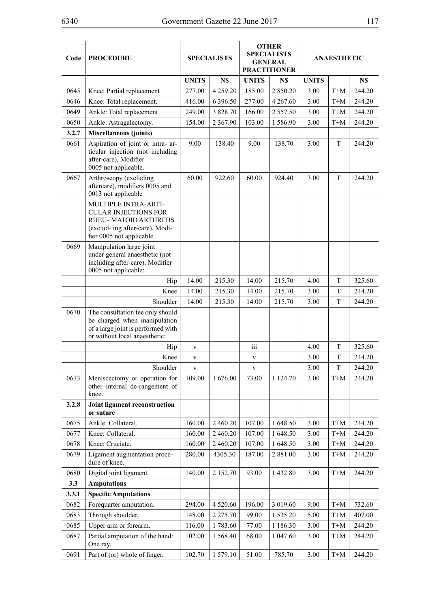| Code  | <b>PROCEDURE</b>                                                                                                                            |              | <b>SPECIALISTS</b> |              | <b>OTHER</b><br><b>SPECIALISTS</b><br><b>GENERAL</b><br><b>PRACTITIONER</b> |              | <b>ANAESTHETIC</b>  |        |
|-------|---------------------------------------------------------------------------------------------------------------------------------------------|--------------|--------------------|--------------|-----------------------------------------------------------------------------|--------------|---------------------|--------|
|       |                                                                                                                                             | <b>UNITS</b> | N\$                | <b>UNITS</b> | N\$                                                                         | <b>UNITS</b> |                     | N\$    |
| 0645  | Knee: Partial replacement                                                                                                                   | 277.00       | 4 2 5 9 . 2 0      | 185.00       | 2 850.20                                                                    | 3.00         | $T+M$               | 244.20 |
| 0646  | Knee: Total replacement.                                                                                                                    | 416.00       | 6 3 9 6 .50        | 277.00       | 4 2 6 7 .60                                                                 | 3.00         | $T+M$               | 244.20 |
| 0649  | Ankle: Total replacement                                                                                                                    | 249.00       | 3 828.70           | 166.00       | 2 5 5 7 . 5 0                                                               | 3.00         | $T+M$               | 244.20 |
| 0650  | Ankle: Astragalectomy.                                                                                                                      | 154.00       | 2 3 6 7 . 9 0      | 103.00       | 1586.90                                                                     | 3.00         | $T+M$               | 244.20 |
| 3.2.7 | <b>Miscellaneous (joints)</b>                                                                                                               |              |                    |              |                                                                             |              |                     |        |
| 0661  | Aspiration of joint or intra- ar-<br>ticular injection (not including<br>after-care), Modifier<br>0005 not applicable.                      | 9.00         | 138.40             | 9.00         | 138.70                                                                      | 3.00         | T                   | 244.20 |
| 0667  | Arthroscopy (excluding<br>aftercare), modifiers 0005 and<br>0013 not applicable                                                             | 60.00        | 922.60             | 60.00        | 924.40                                                                      | 3.00         | T                   | 244.20 |
|       | MULTIPLE INTRA-ARTI-<br><b>CULAR INJECTIONS FOR</b><br>RHEU-MATOID ARTHRITIS<br>(exclud- ing after-care). Modi-<br>fier 0005 not applicable |              |                    |              |                                                                             |              |                     |        |
| 0669  | Manipulation large joint<br>under general anaesthetic (not<br>including after-care). Modifier<br>0005 not applicable:                       |              |                    |              |                                                                             |              |                     |        |
|       | Hip                                                                                                                                         | 14.00        | 215.30             | 14.00        | 215.70                                                                      | 4.00         | T                   | 325.60 |
|       | Knee                                                                                                                                        | 14.00        | 215.30             | 14.00        | 215.70                                                                      | 3.00         | T                   | 244.20 |
|       | Shoulder                                                                                                                                    | 14.00        | 215.30             | 14.00        | 215.70                                                                      | 3.00         | T                   | 244.20 |
| 0670  | The consultation fee only should<br>be charged when manipulation<br>of a large joint is performed with<br>or without local anaesthetic:     |              |                    |              |                                                                             |              |                     |        |
|       | Hip                                                                                                                                         | $\mathbf{V}$ |                    | iii          |                                                                             | 4.00         | T                   | 325.60 |
|       | Knee                                                                                                                                        | $\mathbf V$  |                    | $\mathbf{V}$ |                                                                             | 3.00         | T                   | 244.20 |
|       | Shoulder                                                                                                                                    | $\mathbf V$  |                    | $\mathbf{V}$ |                                                                             | 3.00         | T                   | 244.20 |
| 0673  | Meniscectomy or operation for<br>other internal de-rangement of<br>knee.                                                                    | 109.00       | 1 676.00           | 73.00        | 1 1 24 .70                                                                  | 3.00         | $T+M$               | 244.20 |
| 3.2.8 | Joint ligament reconstruction<br>or suture                                                                                                  |              |                    |              |                                                                             |              |                     |        |
| 0675  | Ankle: Collateral.                                                                                                                          | 160.00       | 2 460.20           | 107.00       | 1648.50                                                                     | 3.00         | $T+M$               | 244.20 |
| 0677  | Knee: Collateral.                                                                                                                           | 160.00       | 2 460.20           | 107.00       | 1648.50                                                                     | 3.00         | $T+M$               | 244.20 |
| 0678  | Knee: Cruciate.                                                                                                                             | 160.00       | 2 460.20           | 107.00       | 1648.50                                                                     | 3.00         | $T+M$               | 244.20 |
| 0679  | Ligament augmentation proce-<br>dure of knee.                                                                                               | 280.00       | 4305.30            | 187.00       | 2 881.00                                                                    | 3.00         | $\mbox{T+}\mbox{M}$ | 244.20 |
| 0680  | Digital joint ligament.                                                                                                                     | 140.00       | 2 152.70           | 93.00        | 1432.80                                                                     | 3.00         | $T+M$               | 244.20 |
| 3.3   | <b>Amputations</b>                                                                                                                          |              |                    |              |                                                                             |              |                     |        |
| 3.3.1 | <b>Specific Amputations</b>                                                                                                                 |              |                    |              |                                                                             |              |                     |        |
| 0682  | Forequarter amputation.                                                                                                                     | 294.00       | 4 5 20.60          | 196.00       | 3 019.60                                                                    | 9.00         | $T+M$               | 732.60 |
| 0683  | Through shoulder.                                                                                                                           | 148.00       | 2 2 7 5 . 7 0      | 99.00        | 1525.20                                                                     | 5.00         | $T+M$               | 407.00 |
| 0685  | Upper arm or forearm.                                                                                                                       | 116.00       | 1783.60            | 77.00        | 1 186.30                                                                    | 3.00         | $T+M$               | 244.20 |
| 0687  | Partial amputation of the hand:<br>One ray.                                                                                                 | 102.00       | 1568.40            | 68.00        | 1 047.60                                                                    | 3.00         | $T+M$               | 244.20 |
| 0691  | Part of (or) whole of finger.                                                                                                               | 102.70       | 1579.10            | 51.00        | 785.70                                                                      | 3.00         | $T+M$               | 244.20 |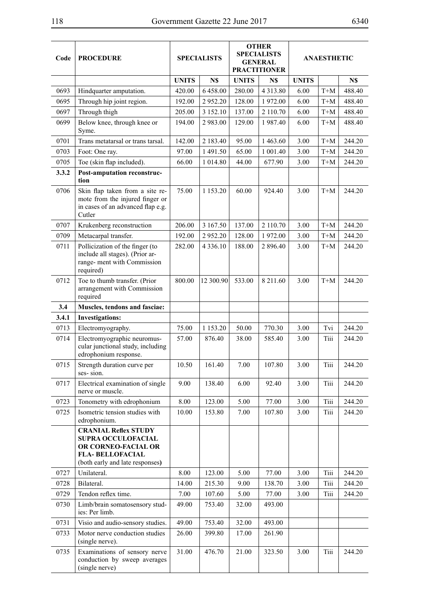| Code  | <b>PROCEDURE</b>                                                                                                                              |              | <b>SPECIALISTS</b> |              | <b>OTHER</b><br><b>SPECIALISTS</b><br><b>GENERAL</b><br><b>PRACTITIONER</b> |              | <b>ANAESTHETIC</b>  |        |
|-------|-----------------------------------------------------------------------------------------------------------------------------------------------|--------------|--------------------|--------------|-----------------------------------------------------------------------------|--------------|---------------------|--------|
|       |                                                                                                                                               | <b>UNITS</b> | N\$                | <b>UNITS</b> | N\$                                                                         | <b>UNITS</b> |                     | N\$    |
| 0693  | Hindquarter amputation.                                                                                                                       | 420.00       | 6458.00            | 280.00       | 4 3 1 3 . 8 0                                                               | 6.00         | $\mbox{T+}\mbox{M}$ | 488.40 |
| 0695  | Through hip joint region.                                                                                                                     | 192.00       | 2952.20            | 128.00       | 1972.00                                                                     | 6.00         | $\mbox{T+}\mbox{M}$ | 488.40 |
| 0697  | Through thigh                                                                                                                                 | 205.00       | 3 152.10           | 137.00       | 2 110.70                                                                    | 6.00         | $T+M$               | 488.40 |
| 0699  | Below knee, through knee or<br>Syme.                                                                                                          | 194.00       | 2983.00            | 129.00       | 1987.40                                                                     | 6.00         | $T+M$               | 488.40 |
| 0701  | Trans metatarsal or trans tarsal.                                                                                                             | 142.00       | 2 183.40           | 95.00        | 1463.60                                                                     | 3.00         | $T+M$               | 244.20 |
| 0703  | Foot: One ray.                                                                                                                                | 97.00        | 1491.50            | 65.00        | 1 001.40                                                                    | 3.00         | $\mbox{T+}\mbox{M}$ | 244.20 |
| 0705  | Toe (skin flap included).                                                                                                                     | 66.00        | 1 0 1 4 . 8 0      | 44.00        | 677.90                                                                      | 3.00         | $T+M$               | 244.20 |
| 3.3.2 | Post-amputation reconstruc-<br>tion                                                                                                           |              |                    |              |                                                                             |              |                     |        |
| 0706  | Skin flap taken from a site re-<br>mote from the injured finger or<br>in cases of an advanced flap e.g.<br>Cutler                             | 75.00        | 1 1 5 3 . 2 0      | 60.00        | 924.40                                                                      | 3.00         | $T+M$               | 244.20 |
| 0707  | Krukenberg reconstruction                                                                                                                     | 206.00       | 3 167.50           | 137.00       | 2 110.70                                                                    | 3.00         | $T+M$               | 244.20 |
| 0709  | Metacarpal transfer.                                                                                                                          | 192.00       | 2952.20            | 128.00       | 1972.00                                                                     | 3.00         | $T+M$               | 244.20 |
| 0711  | Pollicization of the finger (to<br>include all stages). (Prior ar-<br>range- ment with Commission<br>required)                                | 282.00       | 4 3 3 6 1 0        | 188.00       | 2896.40                                                                     | 3.00         | $T+M$               | 244.20 |
| 0712  | Toe to thumb transfer. (Prior<br>arrangement with Commission<br>required                                                                      | 800.00       | 12 300.90          | 533.00       | 8 211.60                                                                    | 3.00         | $T+M$               | 244.20 |
| 3.4   | Muscles, tendons and fasciae:                                                                                                                 |              |                    |              |                                                                             |              |                     |        |
| 3.4.1 | <b>Investigations:</b>                                                                                                                        |              |                    |              |                                                                             |              |                     |        |
| 0713  | Electromyography.                                                                                                                             | 75.00        | 1 1 5 3 . 2 0      | 50.00        | 770.30                                                                      | 3.00         | Tvi                 | 244.20 |
| 0714  | Electromyographic neuromus-<br>cular junctional study, including<br>edrophonium response.                                                     | 57.00        | 876.40             | 38.00        | 585.40                                                                      | 3.00         | Tiii                | 244.20 |
| 0715  | Strength duration curve per<br>ses-sion.                                                                                                      | 10.50        | 161.40             | 7.00         | 107.80                                                                      | 3.00         | Tiii                | 244.20 |
| 0717  | Electrical examination of single<br>nerve or muscle.                                                                                          | 9.00         | 138.40             | 6.00         | 92.40                                                                       | 3.00         | Tiii                | 244.20 |
| 0723  | Tonometry with edrophonium                                                                                                                    | 8.00         | 123.00             | 5.00         | 77.00                                                                       | 3.00         | Tiii                | 244.20 |
| 0725  | Isometric tension studies with<br>edrophonium.                                                                                                | 10.00        | 153.80             | 7.00         | 107.80                                                                      | 3.00         | Tiii                | 244.20 |
|       | <b>CRANIAL Reflex STUDY</b><br><b>SUPRA OCCULOFACIAL</b><br>OR CORNEO-FACIAL OR<br><b>FLA- BELLOFACIAL</b><br>(both early and late responses) |              |                    |              |                                                                             |              |                     |        |
| 0727  | Unilateral.                                                                                                                                   | 8.00         | 123.00             | 5.00         | 77.00                                                                       | 3.00         | Tiii                | 244.20 |
| 0728  | Bilateral.                                                                                                                                    | 14.00        | 215.30             | 9.00         | 138.70                                                                      | 3.00         | Tiii                | 244.20 |
| 0729  | Tendon reflex time.                                                                                                                           | 7.00         | 107.60             | 5.00         | 77.00                                                                       | 3.00         | Tiii                | 244.20 |
| 0730  | Limb/brain somatosensory stud-<br>ies: Per limb.                                                                                              | 49.00        | 753.40             | 32.00        | 493.00                                                                      |              |                     |        |
| 0731  | Visio and audio-sensory studies.                                                                                                              | 49.00        | 753.40             | 32.00        | 493.00                                                                      |              |                     |        |
| 0733  | Motor nerve conduction studies<br>(single nerve).                                                                                             | 26.00        | 399.80             | 17.00        | 261.90                                                                      |              |                     |        |
| 0735  | Examinations of sensory nerve<br>conduction by sweep averages<br>(single nerve)                                                               | 31.00        | 476.70             | 21.00        | 323.50                                                                      | 3.00         | Tiii                | 244.20 |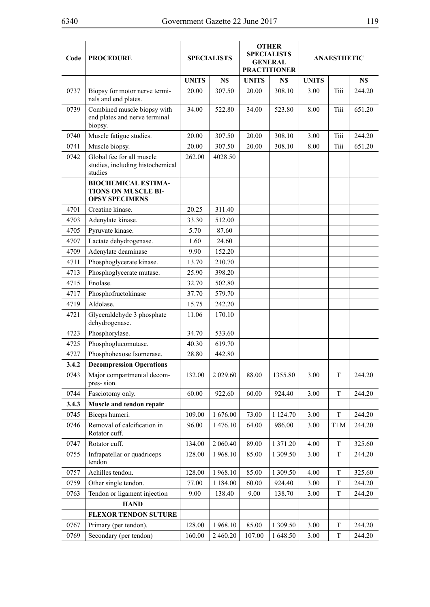| Code  | <b>PROCEDURE</b>                                                           | <b>SPECIALISTS</b> |             | <b>OTHER</b><br><b>SPECIALISTS</b><br><b>GENERAL</b><br><b>PRACTITIONER</b> |            |              | <b>ANAESTHETIC</b>  |        |
|-------|----------------------------------------------------------------------------|--------------------|-------------|-----------------------------------------------------------------------------|------------|--------------|---------------------|--------|
|       |                                                                            | <b>UNITS</b>       | N\$         | <b>UNITS</b>                                                                | N\$        | <b>UNITS</b> |                     | N\$    |
| 0737  | Biopsy for motor nerve termi-<br>nals and end plates.                      | 20.00              | 307.50      | 20.00                                                                       | 308.10     | 3.00         | Tiii                | 244.20 |
| 0739  | Combined muscle biopsy with<br>end plates and nerve terminal<br>biopsy.    | 34.00              | 522.80      | 34.00                                                                       | 523.80     | 8.00         | Tiii                | 651.20 |
| 0740  | Muscle fatigue studies.                                                    | 20.00              | 307.50      | 20.00                                                                       | 308.10     | 3.00         | Tiii                | 244.20 |
| 0741  | Muscle biopsy.                                                             | 20.00              | 307.50      | 20.00                                                                       | 308.10     | 8.00         | Tiii                | 651.20 |
| 0742  | Global fee for all muscle<br>studies, including histochemical<br>studies   | 262.00             | 4028.50     |                                                                             |            |              |                     |        |
|       | <b>BIOCHEMICAL ESTIMA-</b><br>TIONS ON MUSCLE BI-<br><b>OPSY SPECIMENS</b> |                    |             |                                                                             |            |              |                     |        |
| 4701  | Creatine kinase.                                                           | 20.25              | 311.40      |                                                                             |            |              |                     |        |
| 4703  | Adenylate kinase.                                                          | 33.30              | 512.00      |                                                                             |            |              |                     |        |
| 4705  | Pyruvate kinase.                                                           | 5.70               | 87.60       |                                                                             |            |              |                     |        |
| 4707  | Lactate dehydrogenase.                                                     | 1.60               | 24.60       |                                                                             |            |              |                     |        |
| 4709  | Adenylate deaminase                                                        | 9.90               | 152.20      |                                                                             |            |              |                     |        |
| 4711  | Phosphoglycerate kinase.                                                   | 13.70              | 210.70      |                                                                             |            |              |                     |        |
| 4713  | Phosphoglycerate mutase.                                                   | 25.90              | 398.20      |                                                                             |            |              |                     |        |
| 4715  | Enolase.                                                                   | 32.70              | 502.80      |                                                                             |            |              |                     |        |
| 4717  | Phosphofructokinase                                                        | 37.70              | 579.70      |                                                                             |            |              |                     |        |
| 4719  | Aldolase.                                                                  | 15.75              | 242.20      |                                                                             |            |              |                     |        |
| 4721  | Glyceraldehyde 3 phosphate<br>dehydrogenase.                               | 11.06              | 170.10      |                                                                             |            |              |                     |        |
| 4723  | Phosphorylase.                                                             | 34.70              | 533.60      |                                                                             |            |              |                     |        |
| 4725  | Phosphoglucomutase.                                                        | 40.30              | 619.70      |                                                                             |            |              |                     |        |
| 4727  | Phosphohexose Isomerase.                                                   | 28.80              | 442.80      |                                                                             |            |              |                     |        |
| 3.4.2 | <b>Decompression Operations</b>                                            |                    |             |                                                                             |            |              |                     |        |
| 0743  | Major compartmental decom-<br>pres-sion.                                   | 132.00             | 2 029.60    | 88.00                                                                       | 1355.80    | 3.00         | T                   | 244.20 |
| 0744  | Fasciotomy only.                                                           | 60.00              | 922.60      | 60.00                                                                       | 924.40     | 3.00         | T                   | 244.20 |
| 3.4.3 | Muscle and tendon repair                                                   |                    |             |                                                                             |            |              |                     |        |
| 0745  | Biceps humeri.                                                             | 109.00             | 1676.00     | 73.00                                                                       | 1 1 24 .70 | 3.00         | T                   | 244.20 |
| 0746  | Removal of calcification in<br>Rotator cuff.                               | 96.00              | 1476.10     | 64.00                                                                       | 986.00     | 3.00         | $\mbox{T+}\mbox{M}$ | 244.20 |
| 0747  | Rotator cuff.                                                              | 134.00             | 2 060.40    | 89.00                                                                       | 1 371.20   | 4.00         | T                   | 325.60 |
| 0755  | Infrapatellar or quadriceps<br>tendon                                      | 128.00             | 1968.10     | 85.00                                                                       | 1 309.50   | 3.00         | T                   | 244.20 |
| 0757  | Achilles tendon.                                                           | 128.00             | 1968.10     | 85.00                                                                       | 1 309.50   | 4.00         | $\mathbf T$         | 325.60 |
| 0759  | Other single tendon.                                                       | 77.00              | 1 1 8 4 .00 | 60.00                                                                       | 924.40     | 3.00         | T                   | 244.20 |
| 0763  | Tendon or ligament injection                                               | 9.00               | 138.40      | 9.00                                                                        | 138.70     | 3.00         | T                   | 244.20 |
|       | <b>HAND</b>                                                                |                    |             |                                                                             |            |              |                     |        |
|       | <b>FLEXOR TENDON SUTURE</b>                                                |                    |             |                                                                             |            |              |                     |        |
| 0767  | Primary (per tendon).                                                      | 128.00             | 1968.10     | 85.00                                                                       | 1 309.50   | 3.00         | T                   | 244.20 |
| 0769  | Secondary (per tendon)                                                     | 160.00             | 2 460.20    | 107.00                                                                      | 1648.50    | 3.00         | T                   | 244.20 |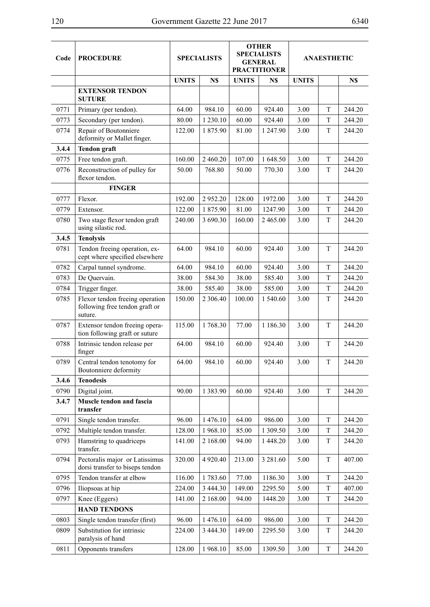$\overline{1}$ 

 $\overline{\phantom{a}}$ 

 $\overline{\phantom{a}}$ 

| Code  | <b>PROCEDURE</b>                                                             |              | <b>OTHER</b><br><b>SPECIALISTS</b><br><b>SPECIALISTS</b><br><b>GENERAL</b><br><b>PRACTITIONER</b> |              |               |              | <b>ANAESTHETIC</b> |        |
|-------|------------------------------------------------------------------------------|--------------|---------------------------------------------------------------------------------------------------|--------------|---------------|--------------|--------------------|--------|
|       |                                                                              | <b>UNITS</b> | N\$                                                                                               | <b>UNITS</b> | N\$           | <b>UNITS</b> |                    | N\$    |
|       | <b>EXTENSOR TENDON</b><br><b>SUTURE</b>                                      |              |                                                                                                   |              |               |              |                    |        |
| 0771  | Primary (per tendon).                                                        | 64.00        | 984.10                                                                                            | 60.00        | 924.40        | 3.00         | T                  | 244.20 |
| 0773  | Secondary (per tendon).                                                      | 80.00        | 1 230.10                                                                                          | 60.00        | 924.40        | 3.00         | T                  | 244.20 |
| 0774  | Repair of Boutonniere<br>deformity or Mallet finger.                         | 122.00       | 1875.90                                                                                           | 81.00        | 1 247.90      | 3.00         | $\mathbf T$        | 244.20 |
| 3.4.4 | <b>Tendon</b> graft                                                          |              |                                                                                                   |              |               |              |                    |        |
| 0775  | Free tendon graft.                                                           | 160.00       | 2 460.20                                                                                          | 107.00       | 1 648.50      | 3.00         | $\mathbf T$        | 244.20 |
| 0776  | Reconstruction of pulley for<br>flexor tendon.                               | 50.00        | 768.80                                                                                            | 50.00        | 770.30        | 3.00         | T                  | 244.20 |
|       | <b>FINGER</b>                                                                |              |                                                                                                   |              |               |              |                    |        |
| 0777  | Flexor.                                                                      | 192.00       | 2952.20                                                                                           | 128.00       | 1972.00       | 3.00         | T                  | 244.20 |
| 0779  | Extensor.                                                                    | 122.00       | 1875.90                                                                                           | 81.00        | 1247.90       | 3.00         | T                  | 244.20 |
| 0780  | Two stage flexor tendon graft<br>using silastic rod.                         | 240.00       | 3 690.30                                                                                          | 160.00       | 2 465.00      | 3.00         | T                  | 244.20 |
| 3.4.5 | <b>Tenolysis</b>                                                             |              |                                                                                                   |              |               |              |                    |        |
| 0781  | Tendon freeing operation, ex-<br>cept where specified elsewhere              | 64.00        | 984.10                                                                                            | 60.00        | 924.40        | 3.00         | T                  | 244.20 |
| 0782  | Carpal tunnel syndrome.                                                      | 64.00        | 984.10                                                                                            | 60.00        | 924.40        | 3.00         | T                  | 244.20 |
| 0783  | De Quervain.                                                                 | 38.00        | 584.30                                                                                            | 38.00        | 585.40        | 3.00         | T                  | 244.20 |
| 0784  | Trigger finger.                                                              | 38.00        | 585.40                                                                                            | 38.00        | 585.00        | 3.00         | T                  | 244.20 |
| 0785  | Flexor tendon freeing operation<br>following free tendon graft or<br>suture. | 150.00       | 2 3 0 6 . 4 0                                                                                     | 100.00       | 1 540.60      | 3.00         | T                  | 244.20 |
| 0787  | Extensor tendon freeing opera-<br>tion following graft or suture             | 115.00       | 1768.30                                                                                           | 77.00        | 1 1 8 6 . 3 0 | 3.00         | T                  | 244.20 |
| 0788  | Intrinsic tendon release per<br>finger                                       | 64.00        | 984.10                                                                                            | 60.00        | 924.40        | 3.00         | T                  | 244.20 |
| 0789  | Central tendon tenotomy for<br>Boutonniere deformity                         | 64.00        | 984.10                                                                                            | 60.00        | 924.40        | 3.00         | T                  | 244.20 |
| 3.4.6 | <b>Tenodesis</b>                                                             |              |                                                                                                   |              |               |              |                    |        |
| 0790  | Digital joint.                                                               | 90.00        | 1383.90                                                                                           | 60.00        | 924.40        | 3.00         | T                  | 244.20 |
| 3.4.7 | Muscle tendon and fascia<br>transfer                                         |              |                                                                                                   |              |               |              |                    |        |
| 0791  | Single tendon transfer.                                                      | 96.00        | 1476.10                                                                                           | 64.00        | 986.00        | 3.00         | T                  | 244.20 |
| 0792  | Multiple tendon transfer.                                                    | 128.00       | 1968.10                                                                                           | 85.00        | 1 309.50      | 3.00         | T                  | 244.20 |
| 0793  | Hamstring to quadriceps<br>transfer.                                         | 141.00       | 2 168.00                                                                                          | 94.00        | 1448.20       | 3.00         | T                  | 244.20 |
| 0794  | Pectoralis major or Latissimus<br>dorsi transfer to biseps tendon            | 320.00       | 4 9 20.40                                                                                         | 213.00       | 3 2 8 1 .60   | 5.00         | T                  | 407.00 |
| 0795  | Tendon transfer at elbow                                                     | 116.00       | 1783.60                                                                                           | 77.00        | 1186.30       | 3.00         | T                  | 244.20 |
| 0796  | Iliopsoas at hip                                                             | 224.00       | 3 444.30                                                                                          | 149.00       | 2295.50       | 5.00         | T                  | 407.00 |
| 0797  | Knee (Eggers)                                                                | 141.00       | 2 168.00                                                                                          | 94.00        | 1448.20       | 3.00         | T                  | 244.20 |
|       | <b>HAND TENDONS</b>                                                          |              |                                                                                                   |              |               |              |                    |        |
| 0803  | Single tendon transfer (first)                                               | 96.00        | 1476.10                                                                                           | 64.00        | 986.00        | 3.00         | T                  | 244.20 |
| 0809  | Substitution for intrinsic<br>paralysis of hand                              | 224.00       | 3 444.30                                                                                          | 149.00       | 2295.50       | 3.00         | T                  | 244.20 |
| 0811  | Opponents transfers                                                          | 128.00       | 1968.10                                                                                           | 85.00        | 1309.50       | 3.00         | $\mathbf T$        | 244.20 |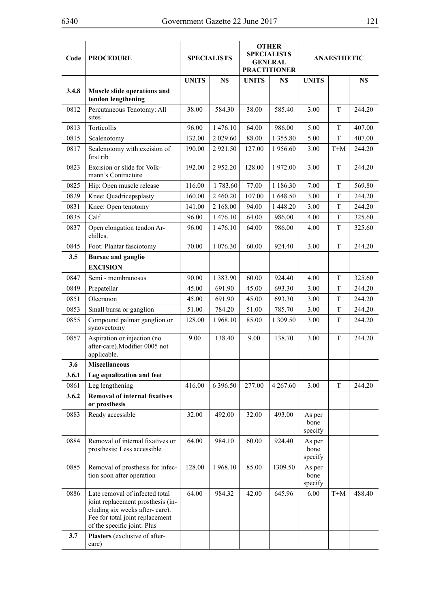| Code  | <b>PROCEDURE</b>                                                                                                                                                        | <b>SPECIALISTS</b> |               | <b>OTHER</b><br><b>SPECIALISTS</b><br><b>GENERAL</b><br><b>PRACTITIONER</b> |               |                           | <b>ANAESTHETIC</b> |        |
|-------|-------------------------------------------------------------------------------------------------------------------------------------------------------------------------|--------------------|---------------|-----------------------------------------------------------------------------|---------------|---------------------------|--------------------|--------|
|       |                                                                                                                                                                         | <b>UNITS</b>       | N\$           | <b>UNITS</b>                                                                | N\$           | <b>UNITS</b>              |                    | N\$    |
| 3.4.8 | Muscle slide operations and<br>tendon lengthening                                                                                                                       |                    |               |                                                                             |               |                           |                    |        |
| 0812  | Percutaneous Tenotomy: All<br>sites                                                                                                                                     | 38.00              | 584.30        | 38.00                                                                       | 585.40        | 3.00                      | T                  | 244.20 |
| 0813  | Torticollis                                                                                                                                                             | 96.00              | 1476.10       | 64.00                                                                       | 986.00        | 5.00                      | T                  | 407.00 |
| 0815  | Scalenotomy                                                                                                                                                             | 132.00             | 2 029.60      | 88.00                                                                       | 1 3 5 5 . 8 0 | 5.00                      | T                  | 407.00 |
| 0817  | Scalenotomy with excision of<br>first rib                                                                                                                               | 190.00             | 2921.50       | 127.00                                                                      | 1956.60       | 3.00                      | $T+M$              | 244.20 |
| 0823  | Excision or slide for Volk-<br>mann's Contracture                                                                                                                       | 192.00             | 2952.20       | 128.00                                                                      | 1972.00       | 3.00                      | T                  | 244.20 |
| 0825  | Hip: Open muscle release                                                                                                                                                | 116.00             | 1783.60       | 77.00                                                                       | 1 1 8 6 . 3 0 | 7.00                      | T                  | 569.80 |
| 0829  | Knee: Quadricepsplasty                                                                                                                                                  | 160.00             | 2 460.20      | 107.00                                                                      | 1648.50       | 3.00                      | T                  | 244.20 |
| 0831  | Knee: Open tenotomy                                                                                                                                                     | 141.00             | 2 168.00      | 94.00                                                                       | 1 448.20      | 3.00                      | T                  | 244.20 |
| 0835  | Calf                                                                                                                                                                    | 96.00              | 1476.10       | 64.00                                                                       | 986.00        | 4.00                      | T                  | 325.60 |
| 0837  | Open elongation tendon Ar-<br>chilles.                                                                                                                                  | 96.00              | 1 476.10      | 64.00                                                                       | 986.00        | 4.00                      | T                  | 325.60 |
| 0845  | Foot: Plantar fasciotomy                                                                                                                                                | 70.00              | 1 0 7 6 . 3 0 | 60.00                                                                       | 924.40        | 3.00                      | T                  | 244.20 |
| 3.5   | <b>Bursae and ganglio</b>                                                                                                                                               |                    |               |                                                                             |               |                           |                    |        |
|       | <b>EXCISION</b>                                                                                                                                                         |                    |               |                                                                             |               |                           |                    |        |
| 0847  | Semi - membranosus                                                                                                                                                      | 90.00              | 1383.90       | 60.00                                                                       | 924.40        | 4.00                      | T                  | 325.60 |
| 0849  | Prepatellar                                                                                                                                                             | 45.00              | 691.90        | 45.00                                                                       | 693.30        | 3.00                      | T                  | 244.20 |
| 0851  | Olecranon                                                                                                                                                               | 45.00              | 691.90        | 45.00                                                                       | 693.30        | 3.00                      | T                  | 244.20 |
| 0853  | Small bursa or ganglion                                                                                                                                                 | 51.00              | 784.20        | 51.00                                                                       | 785.70        | 3.00                      | T                  | 244.20 |
| 0855  | Compound palmar ganglion or<br>synovectomy                                                                                                                              | 128.00             | 1968.10       | 85.00                                                                       | 1 309.50      | 3.00                      | T                  | 244.20 |
| 0857  | Aspiration or injection (no<br>after-care). Modifier 0005 not<br>applicable.                                                                                            | 9.00               | 138.40        | 9.00                                                                        | 138.70        | 3.00                      | T                  | 244.20 |
| 3.6   | <b>Miscellaneous</b>                                                                                                                                                    |                    |               |                                                                             |               |                           |                    |        |
| 3.6.1 | Leg equalization and feet                                                                                                                                               |                    |               |                                                                             |               |                           |                    |        |
| 0861  | Leg lengthening                                                                                                                                                         | 416.00             | 6 3 9 6 .50   | 277.00                                                                      | 4 267.60      | 3.00                      | T                  | 244.20 |
| 3.6.2 | <b>Removal of internal fixatives</b><br>or prosthesis                                                                                                                   |                    |               |                                                                             |               |                           |                    |        |
| 0883  | Ready accessible                                                                                                                                                        | 32.00              | 492.00        | 32.00                                                                       | 493.00        | As per<br>bone<br>specify |                    |        |
| 0884  | Removal of internal fixatives or<br>prosthesis: Less accessible                                                                                                         | 64.00              | 984.10        | 60.00                                                                       | 924.40        | As per<br>bone<br>specify |                    |        |
| 0885  | Removal of prosthesis for infec-<br>tion soon after operation                                                                                                           | 128.00             | 1968.10       | 85.00                                                                       | 1309.50       | As per<br>bone<br>specify |                    |        |
| 0886  | Late removal of infected total<br>joint replacement prosthesis (in-<br>cluding six weeks after-care).<br>Fee for total joint replacement<br>of the specific joint: Plus | 64.00              | 984.32        | 42.00                                                                       | 645.96        | 6.00                      | $T+M$              | 488.40 |
| 3.7   | Plasters (exclusive of after-<br>care)                                                                                                                                  |                    |               |                                                                             |               |                           |                    |        |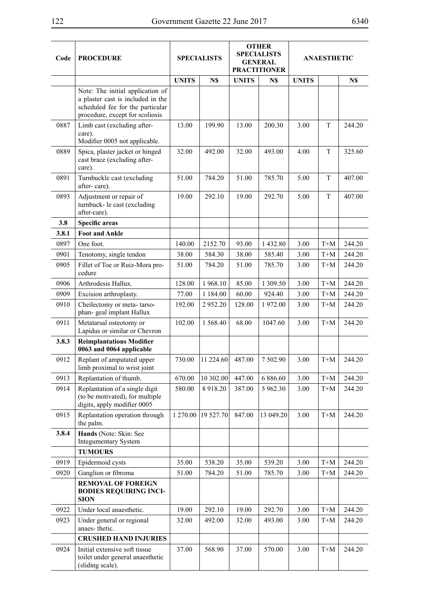$\overline{a}$ 

 $\overline{\phantom{a}}$ 

| Code  | <b>PROCEDURE</b>                                                                                                                             |              | <b>SPECIALISTS</b> |              | <b>OTHER</b><br><b>SPECIALISTS</b><br><b>GENERAL</b><br><b>PRACTITIONER</b> | <b>ANAESTHETIC</b> |       |        |
|-------|----------------------------------------------------------------------------------------------------------------------------------------------|--------------|--------------------|--------------|-----------------------------------------------------------------------------|--------------------|-------|--------|
|       |                                                                                                                                              | <b>UNITS</b> | N\$                | <b>UNITS</b> | N\$                                                                         | <b>UNITS</b>       |       | N\$    |
|       | Note: The initial application of<br>a plaster cast is included in the<br>scheduled fee for the particular<br>procedure, except for scoliosis |              |                    |              |                                                                             |                    |       |        |
| 0887  | Limb cast (excluding after-<br>care).<br>Modifier 0005 not applicable.                                                                       | 13.00        | 199.90             | 13.00        | 200.30                                                                      | 3.00               | T     | 244.20 |
| 0889  | Spica, plaster jacket or hinged<br>cast brace (excluding after-<br>care).                                                                    | 32.00        | 492.00             | 32.00        | 493.00                                                                      | 4.00               | T     | 325.60 |
| 0891  | Turnbuckle cast (excluding<br>after-care).                                                                                                   | 51.00        | 784.20             | 51.00        | 785.70                                                                      | 5.00               | T     | 407.00 |
| 0893  | Adjustment or repair of<br>turnbuck- le cast (excluding<br>after-care).                                                                      | 19.00        | 292.10             | 19.00        | 292.70                                                                      | 5.00               | T     | 407.00 |
| 3.8   | <b>Specific areas</b>                                                                                                                        |              |                    |              |                                                                             |                    |       |        |
| 3.8.1 | <b>Foot and Ankle</b>                                                                                                                        |              |                    |              |                                                                             |                    |       |        |
| 0897  | One foot.                                                                                                                                    | 140.00       | 2152.70            | 93.00        | 1 432.80                                                                    | 3.00               | $T+M$ | 244.20 |
| 0901  | Tenotomy, single tendon                                                                                                                      | 38.00        | 584.30             | 38.00        | 585.40                                                                      | 3.00               | $T+M$ | 244.20 |
| 0905  | Fillet of Toe or Ruiz-Mora pro-<br>cedure                                                                                                    | 51.00        | 784.20             | 51.00        | 785.70                                                                      | 3.00               | $T+M$ | 244.20 |
| 0906  | Arthrodesis Hallux.                                                                                                                          | 128.00       | 1968.10            | 85.00        | 1 309.50                                                                    | 3.00               | $T+M$ | 244.20 |
| 0909  | Excision arthroplasty.                                                                                                                       | 77.00        | 1 1 8 4 .0 0       | 60.00        | 924.40                                                                      | 3.00               | $T+M$ | 244.20 |
| 0910  | Cheilectomy or meta-tarso-<br>phan-geal implant Hallux                                                                                       | 192.00       | 2952.20            | 128.00       | 1972.00                                                                     | 3.00               | $T+M$ | 244.20 |
| 0911  | Metatarsal osteotomy or<br>Lapidus or similar or Chevron                                                                                     | 102.00       | 1 5 68.40          | 68.00        | 1047.60                                                                     | 3.00               | $T+M$ | 244.20 |
| 3.8.3 | <b>Reimplantations Modifier</b><br>0063 and 0064 applicable                                                                                  |              |                    |              |                                                                             |                    |       |        |
| 0912  | Replant of amputated upper<br>limb proximal to wrist joint                                                                                   | 730.00       | 11 224.60          | 487.00       | 7502.90                                                                     | 3.00               | $T+M$ | 244.20 |
| 0913  | Replantation of thumb.                                                                                                                       | 670.00       | 10 302.00          | 447.00       | 6 8 8 6 . 6 0                                                               | 3.00               | $T+M$ | 244.20 |
| 0914  | Replantation of a single digit<br>(to be motivated), for multiple<br>digits, apply modifier 0005                                             | 580.00       | 8 9 18.20          | 387.00       | 5 962.30                                                                    | 3.00               | $T+M$ | 244.20 |
| 0915  | Replantation operation through<br>the palm.                                                                                                  | 1 270.00     | 19 527.70          | 847.00       | 13 049.20                                                                   | 3.00               | $T+M$ | 244.20 |
| 3.8.4 | Hands (Note: Skin: See<br><b>Integumentary System</b>                                                                                        |              |                    |              |                                                                             |                    |       |        |
|       | <b>TUMOURS</b>                                                                                                                               |              |                    |              |                                                                             |                    |       |        |
| 0919  | Epidermoid cysts                                                                                                                             | 35.00        | 538.20             | 35.00        | 539.20                                                                      | 3.00               | $T+M$ | 244.20 |
| 0920  | Ganglion or fibroma                                                                                                                          | 51.00        | 784.20             | 51.00        | 785.70                                                                      | 3.00               | $T+M$ | 244.20 |
|       | <b>REMOVAL OF FOREIGN</b><br><b>BODIES REQUIRING INCI-</b><br><b>SION</b>                                                                    |              |                    |              |                                                                             |                    |       |        |
| 0922  | Under local anaesthetic.                                                                                                                     | 19.00        | 292.10             | 19.00        | 292.70                                                                      | 3.00               | $T+M$ | 244.20 |
| 0923  | Under general or regional<br>anaes-thetic.                                                                                                   | 32.00        | 492.00             | 32.00        | 493.00                                                                      | 3.00               | $T+M$ | 244.20 |
|       | <b>CRUSHED HAND INJURIES</b>                                                                                                                 |              |                    |              |                                                                             |                    |       |        |
| 0924  | Initial extensive soft tissue<br>toilet under general anaesthetic<br>(sliding scale).                                                        | 37.00        | 568.90             | 37.00        | 570.00                                                                      | 3.00               | $T+M$ | 244.20 |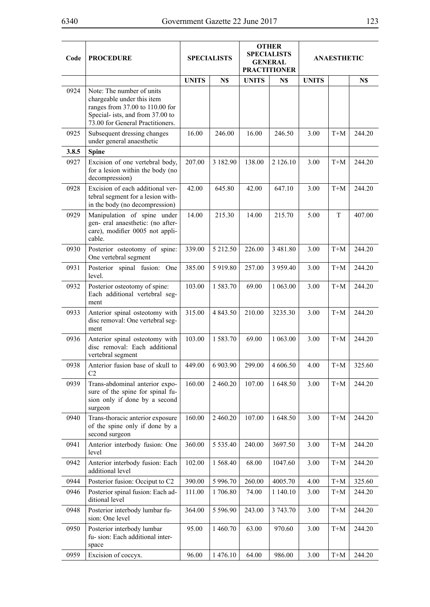| Code  | <b>PROCEDURE</b>                                                                                                                                                   |              | <b>SPECIALISTS</b> | <b>OTHER</b><br><b>SPECIALISTS</b><br><b>GENERAL</b><br><b>PRACTITIONER</b> |               |              | <b>ANAESTHETIC</b>  |        |
|-------|--------------------------------------------------------------------------------------------------------------------------------------------------------------------|--------------|--------------------|-----------------------------------------------------------------------------|---------------|--------------|---------------------|--------|
|       |                                                                                                                                                                    | <b>UNITS</b> | N\$                | <b>UNITS</b>                                                                | N\$           | <b>UNITS</b> |                     | N\$    |
| 0924  | Note: The number of units<br>chargeable under this item<br>ranges from 37.00 to 110.00 for<br>Special- ists, and from 37.00 to<br>73.00 for General Practitioners. |              |                    |                                                                             |               |              |                     |        |
| 0925  | Subsequent dressing changes<br>under general anaesthetic                                                                                                           | 16.00        | 246.00             | 16.00                                                                       | 246.50        | 3.00         | $T+M$               | 244.20 |
| 3.8.5 | <b>Spine</b>                                                                                                                                                       |              |                    |                                                                             |               |              |                     |        |
| 0927  | Excision of one vertebral body,<br>for a lesion within the body (no<br>decompression)                                                                              | 207.00       | 3 182.90           | 138.00                                                                      | 2 126.10      | 3.00         | $T+M$               | 244.20 |
| 0928  | Excision of each additional ver-<br>tebral segment for a lesion with-<br>in the body (no decompression)                                                            | 42.00        | 645.80             | 42.00                                                                       | 647.10        | 3.00         | $T+M$               | 244.20 |
| 0929  | Manipulation of spine under<br>gen- eral anaesthetic: (no after-<br>care), modifier 0005 not appli-<br>cable.                                                      | 14.00        | 215.30             | 14.00                                                                       | 215.70        | 5.00         | T                   | 407.00 |
| 0930  | Posterior osteotomy of spine:<br>One vertebral segment                                                                                                             | 339.00       | 5 212.50           | 226.00                                                                      | 3 481.80      | 3.00         | $T+M$               | 244.20 |
| 0931  | Posterior spinal fusion: One<br>level.                                                                                                                             | 385.00       | 5919.80            | 257.00                                                                      | 3 9 5 9 . 4 0 | 3.00         | $T+M$               | 244.20 |
| 0932  | Posterior osteotomy of spine:<br>Each additional vertebral seg-<br>ment                                                                                            | 103.00       | 1 5 8 3 . 7 0      | 69.00                                                                       | 1 063.00      | 3.00         | $T+M$               | 244.20 |
| 0933  | Anterior spinal osteotomy with<br>disc removal: One vertebral seg-<br>ment                                                                                         | 315.00       | 4 8 4 3 .50        | 210.00                                                                      | 3235.30       | 3.00         | $T+M$               | 244.20 |
| 0936  | Anterior spinal osteotomy with<br>disc removal: Each additional<br>vertebral segment                                                                               | 103.00       | 1583.70            | 69.00                                                                       | 1 063.00      | 3.00         | $\mbox{T+}\mbox{M}$ | 244.20 |
| 0938  | Anterior fusion base of skull to<br>C <sub>2</sub>                                                                                                                 | 449.00       | 6 9 03.90          | 299.00                                                                      | 4 606.50      | 4.00         | $T+M$               | 325.60 |
| 0939  | Trans-abdominal anterior expo-<br>sure of the spine for spinal fu-<br>sion only if done by a second<br>surgeon                                                     | 160.00       | 2 460.20           | 107.00                                                                      | 1648.50       | 3.00         | $T+M$               | 244.20 |
| 0940  | Trans-thoracic anterior exposure<br>of the spine only if done by a<br>second surgeon                                                                               | 160.00       | 2 460.20           | 107.00                                                                      | 1648.50       | 3.00         | $T+M$               | 244.20 |
| 0941  | Anterior interbody fusion: One<br>level                                                                                                                            | 360.00       | 5 5 3 5 .40        | 240.00                                                                      | 3697.50       | 3.00         | $T+M$               | 244.20 |
| 0942  | Anterior interbody fusion: Each<br>additional level                                                                                                                | 102.00       | 1 5 68.40          | 68.00                                                                       | 1047.60       | 3.00         | $T+M$               | 244.20 |
| 0944  | Posterior fusion: Occiput to C2                                                                                                                                    | 390.00       | 5 9 9 6.70         | 260.00                                                                      | 4005.70       | 4.00         | $T+M$               | 325.60 |
| 0946  | Posterior spinal fusion: Each ad-<br>ditional level                                                                                                                | 111.00       | 1706.80            | 74.00                                                                       | 1 140.10      | 3.00         | $\mbox{T+}\mbox{M}$ | 244.20 |
| 0948  | Posterior interbody lumbar fu-<br>sion: One level                                                                                                                  | 364.00       | 5 5 9 6.90         | 243.00                                                                      | 3 743.70      | 3.00         | $T+M$               | 244.20 |
| 0950  | Posterior interbody lumbar<br>fu-sion: Each additional inter-<br>space                                                                                             | 95.00        | 1 460.70           | 63.00                                                                       | 970.60        | 3.00         | $T+M$               | 244.20 |
| 0959  | Excision of coccyx.                                                                                                                                                | 96.00        | 1476.10            | 64.00                                                                       | 986.00        | 3.00         | $T+M$               | 244.20 |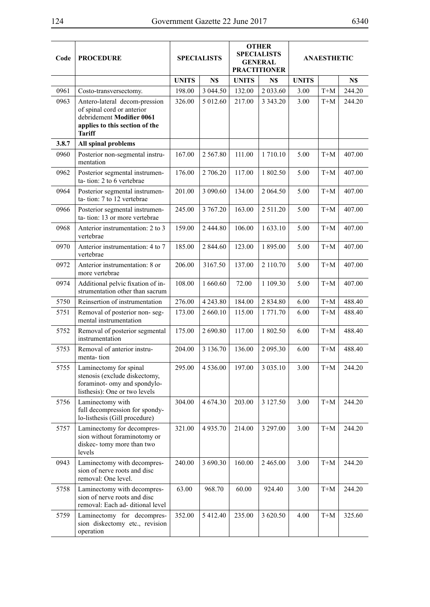$\overline{\phantom{a}}$ 

| Code  | <b>PROCEDURE</b>                                                                                                                            | <b>SPECIALISTS</b> |               | <b>OTHER</b><br><b>SPECIALISTS</b><br><b>GENERAL</b><br><b>PRACTITIONER</b> |              |              | ANAESTHETIC         |        |
|-------|---------------------------------------------------------------------------------------------------------------------------------------------|--------------------|---------------|-----------------------------------------------------------------------------|--------------|--------------|---------------------|--------|
|       |                                                                                                                                             | <b>UNITS</b>       | N\$           | <b>UNITS</b>                                                                | N\$          | <b>UNITS</b> |                     | N\$    |
| 0961  | Costo-transversectomy.                                                                                                                      | 198.00             | 3 044.50      | 132.00                                                                      | 2 033.60     | 3.00         | $T+M$               | 244.20 |
| 0963  | Antero-lateral decom-pression<br>of spinal cord or anterior<br>debridement Modifier 0061<br>applies to this section of the<br><b>Tariff</b> | 326.00             | 5 012.60      | 217.00                                                                      | 3 3 4 3 . 20 | 3.00         | $T+M$               | 244.20 |
| 3.8.7 | All spinal problems                                                                                                                         |                    |               |                                                                             |              |              |                     |        |
| 0960  | Posterior non-segmental instru-<br>mentation                                                                                                | 167.00             | 2 5 6 7 . 8 0 | 111.00                                                                      | 1710.10      | 5.00         | $T+M$               | 407.00 |
| 0962  | Posterior segmental instrumen-<br>ta-tion: 2 to 6 vertebrae                                                                                 | 176.00             | 2 706.20      | 117.00                                                                      | 1802.50      | 5.00         | $T+M$               | 407.00 |
| 0964  | Posterior segmental instrumen-<br>ta-tion: 7 to 12 vertebrae                                                                                | 201.00             | 3 090.60      | 134.00                                                                      | 2 0 64.50    | 5.00         | $T+M$               | 407.00 |
| 0966  | Posterior segmental instrumen-<br>ta-tion: 13 or more vertebrae                                                                             | 245.00             | 3 767.20      | 163.00                                                                      | 2 511.20     | 5.00         | $T+M$               | 407.00 |
| 0968  | Anterior instrumentation: 2 to 3<br>vertebrae                                                                                               | 159.00             | 2444.80       | 106.00                                                                      | 1633.10      | 5.00         | $T+M$               | 407.00 |
| 0970  | Anterior instrumentation: 4 to 7<br>vertebrae                                                                                               | 185.00             | 2 844.60      | 123.00                                                                      | 1 895.00     | 5.00         | $T+M$               | 407.00 |
| 0972  | Anterior instrumentation: 8 or<br>more vertebrae                                                                                            | 206.00             | 3167.50       | 137.00                                                                      | 2 110.70     | 5.00         | $T+M$               | 407.00 |
| 0974  | Additional pelvic fixation of in-<br>strumentation other than sacrum                                                                        | 108.00             | 1 660.60      | 72.00                                                                       | 1 109.30     | 5.00         | $T+M$               | 407.00 |
| 5750  | Reinsertion of instrumentation                                                                                                              | 276.00             | 4 2 4 3 . 8 0 | 184.00                                                                      | 2834.80      | 6.00         | $T+M$               | 488.40 |
| 5751  | Removal of posterior non-seg-<br>mental instrumentation                                                                                     | 173.00             | 2 660.10      | 115.00                                                                      | 1 771.70     | 6.00         | $T+M$               | 488.40 |
| 5752  | Removal of posterior segmental<br>instrumentation                                                                                           | 175.00             | 2690.80       | 117.00                                                                      | 1 802.50     | 6.00         | $T+M$               | 488.40 |
| 5753  | Removal of anterior instru-<br>menta-tion                                                                                                   | 204.00             | 3 136.70      | 136.00                                                                      | 2 095.30     | 6.00         | $T+M$               | 488.40 |
| 5755  | Laminectomy for spinal<br>stenosis (exclude diskectomy,<br>foraminot- omy and spondylo-<br>listhesis): One or two levels                    | 295.00             | 4 5 3 6 .00   | 197.00                                                                      | 3 035.10     | 3.00         | $T+M$               | 244.20 |
| 5756  | Laminectomy with<br>full decompression for spondy-<br>lo-listhesis (Gill procedure)                                                         | 304.00             | 4 6 7 4 . 3 0 | 203.00                                                                      | 3 127.50     | 3.00         | $T+M$               | 244.20 |
| 5757  | Laminectomy for decompres-<br>sion without foraminotomy or<br>diskec-tomy more than two<br>levels                                           | 321.00             | 4 9 3 5 .70   | 214.00                                                                      | 3 297.00     | 3.00         | $\mbox{T+}\mbox{M}$ | 244.20 |
| 0943  | Laminectomy with decompres-<br>sion of nerve roots and disc<br>removal: One level.                                                          | 240.00             | 3 690.30      | 160.00                                                                      | 2 465.00     | 3.00         | $T+M$               | 244.20 |
| 5758  | Laminectomy with decompres-<br>sion of nerve roots and disc<br>removal: Each ad- ditional level                                             | 63.00              | 968.70        | 60.00                                                                       | 924.40       | 3.00         | $T+M$               | 244.20 |
| 5759  | Laminectomy for decompres-<br>sion diskectomy etc., revision<br>operation                                                                   | 352.00             | 5 412.40      | 235.00                                                                      | 3 620.50     | 4.00         | $T+M$               | 325.60 |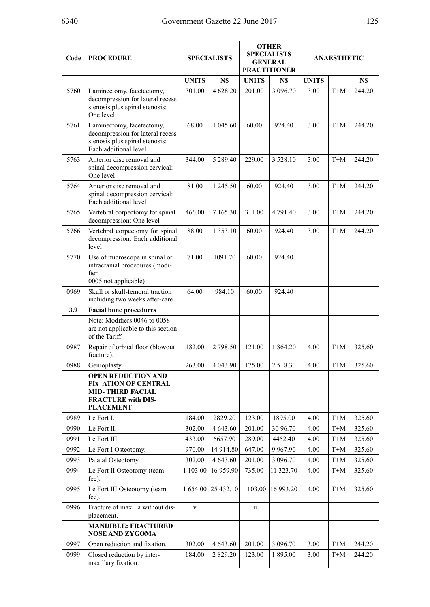| Code | <b>PROCEDURE</b>                                                                                                                     |              | <b>SPECIALISTS</b> |              | <b>OTHER</b><br><b>SPECIALISTS</b><br><b>GENERAL</b><br><b>PRACTITIONER</b> | <b>ANAESTHETIC</b> |       |        |
|------|--------------------------------------------------------------------------------------------------------------------------------------|--------------|--------------------|--------------|-----------------------------------------------------------------------------|--------------------|-------|--------|
|      |                                                                                                                                      | <b>UNITS</b> | N\$                | <b>UNITS</b> | N\$                                                                         | <b>UNITS</b>       |       | N\$    |
| 5760 | Laminectomy, facetectomy,<br>decompression for lateral recess<br>stenosis plus spinal stenosis:<br>One level                         | 301.00       | 4 628.20           | 201.00       | 3 096.70                                                                    | 3.00               | $T+M$ | 244.20 |
| 5761 | Laminectomy, facetectomy,<br>decompression for lateral recess<br>stenosis plus spinal stenosis.<br>Each additional level             | 68.00        | 1 045.60           | 60.00        | 924.40                                                                      | 3.00               | $T+M$ | 244.20 |
| 5763 | Anterior disc removal and<br>spinal decompression cervical:<br>One level                                                             | 344.00       | 5 289.40           | 229.00       | 3 5 28 10                                                                   | 3.00               | $T+M$ | 244.20 |
| 5764 | Anterior disc removal and<br>spinal decompression cervical:<br>Each additional level                                                 | 81.00        | 1 245.50           | 60.00        | 924.40                                                                      | 3.00               | $T+M$ | 244.20 |
| 5765 | Vertebral corpectomy for spinal<br>decompression: One level                                                                          | 466.00       | 7 1 65.30          | 311.00       | 4 791.40                                                                    | 3.00               | $T+M$ | 244.20 |
| 5766 | Vertebral corpectomy for spinal<br>decompression: Each additional<br>level                                                           | 88.00        | 1 3 5 3 . 1 0      | 60.00        | 924.40                                                                      | 3.00               | $T+M$ | 244.20 |
| 5770 | Use of microscope in spinal or<br>intracranial procedures (modi-<br>fier<br>0005 not applicable)                                     | 71.00        | 1091.70            | 60.00        | 924.40                                                                      |                    |       |        |
| 0969 | Skull or skull-femoral traction<br>including two weeks after-care                                                                    | 64.00        | 984.10             | 60.00        | 924.40                                                                      |                    |       |        |
| 3.9  | <b>Facial bone procedures</b>                                                                                                        |              |                    |              |                                                                             |                    |       |        |
|      | Note: Modifiers 0046 to 0058<br>are not applicable to this section<br>of the Tariff                                                  |              |                    |              |                                                                             |                    |       |        |
| 0987 | Repair of orbital floor (blowout<br>fracture).                                                                                       | 182.00       | 2 798.50           | 121.00       | 1 864.20                                                                    | 4.00               | $T+M$ | 325.60 |
| 0988 | Genioplasty.                                                                                                                         | 263.00       | 4 043.90           | 175.00       | 2518.30                                                                     | 4.00               | $T+M$ | 325.60 |
|      | <b>OPEN REDUCTION AND</b><br><b>FIX-ATION OF CENTRAL</b><br><b>MID-THIRD FACIAL</b><br><b>FRACTURE</b> with DIS-<br><b>PLACEMENT</b> |              |                    |              |                                                                             |                    |       |        |
| 0989 | Le Fort I.                                                                                                                           | 184.00       | 2829.20            | 123.00       | 1895.00                                                                     | 4.00               | $T+M$ | 325.60 |
| 0990 | Le Fort II.                                                                                                                          | 302.00       | 4 643.60           | 201.00       | 30 96.70                                                                    | 4.00               | $T+M$ | 325.60 |
| 0991 | Le Fort III.                                                                                                                         | 433.00       | 6657.90            | 289.00       | 4452.40                                                                     | 4.00               | $T+M$ | 325.60 |
| 0992 | Le Fort I Osteotomy.                                                                                                                 | 970.00       | 14 914.80          | 647.00       | 9 9 67.90                                                                   | 4.00               | $T+M$ | 325.60 |
| 0993 | Palatal Osteotomy.                                                                                                                   | 302.00       | 4 643.60           | 201.00       | 3 096.70                                                                    | 4.00               | $T+M$ | 325.60 |
| 0994 | Le Fort II Osteotomy (team<br>fee).                                                                                                  | 1 103.00     | 16 959.90          | 735.00       | 11 323.70                                                                   | 4.00               | $T+M$ | 325.60 |
| 0995 | Le Fort III Osteotomy (team<br>fee).                                                                                                 |              | 1 654.00 25 432.10 | 1 103.00     | 16 993.20                                                                   | 4.00               | $T+M$ | 325.60 |
| 0996 | Fracture of maxilla without dis-<br>placement.                                                                                       | $\mathbf{V}$ |                    | iii          |                                                                             |                    |       |        |
|      | <b>MANDIBLE: FRACTURED</b><br><b>NOSE AND ZYGOMA</b>                                                                                 |              |                    |              |                                                                             |                    |       |        |
| 0997 | Open reduction and fixation.                                                                                                         | 302.00       | 4 643.60           | 201.00       | 3 096.70                                                                    | 3.00               | $T+M$ | 244.20 |
| 0999 | Closed reduction by inter-<br>maxillary fixation.                                                                                    | 184.00       | 2 8 29 . 20        | 123.00       | 1895.00                                                                     | 3.00               | $T+M$ | 244.20 |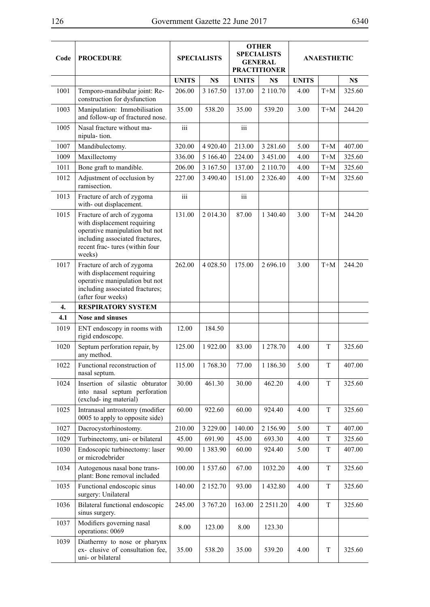| Code | <b>PROCEDURE</b>                                                                                                                                                            |                  | <b>OTHER</b><br><b>SPECIALISTS</b><br><b>SPECIALISTS</b><br><b>GENERAL</b><br><b>PRACTITIONER</b> |              |                 | <b>ANAESTHETIC</b> |             |        |  |
|------|-----------------------------------------------------------------------------------------------------------------------------------------------------------------------------|------------------|---------------------------------------------------------------------------------------------------|--------------|-----------------|--------------------|-------------|--------|--|
|      |                                                                                                                                                                             | <b>UNITS</b>     | N\$                                                                                               | <b>UNITS</b> | N\$             | <b>UNITS</b>       |             | N\$    |  |
| 1001 | Temporo-mandibular joint: Re-<br>construction for dysfunction                                                                                                               | 206.00           | 3 167.50                                                                                          | 137.00       | 2 110.70        | 4.00               | $T+M$       | 325.60 |  |
| 1003 | Manipulation: Immobilisation<br>and follow-up of fractured nose.                                                                                                            | 35.00            | 538.20                                                                                            | 35.00        | 539.20          | 3.00               | $T+M$       | 244.20 |  |
| 1005 | Nasal fracture without ma-<br>nipula-tion.                                                                                                                                  | $\overline{111}$ |                                                                                                   | iii          |                 |                    |             |        |  |
| 1007 | Mandibulectomy.                                                                                                                                                             | 320.00           | 4 9 20.40                                                                                         | 213.00       | 3 2 8 1 .60     | 5.00               | $T+M$       | 407.00 |  |
| 1009 | Maxillectomy                                                                                                                                                                | 336.00           | 5 166.40                                                                                          | 224.00       | 3 451.00        | 4.00               | $T+M$       | 325.60 |  |
| 1011 | Bone graft to mandible.                                                                                                                                                     | 206.00           | 3 167.50                                                                                          | 137.00       | 2 110.70        | 4.00               | $T+M$       | 325.60 |  |
| 1012 | Adjustment of occlusion by<br>ramisection.                                                                                                                                  | 227.00           | 3 490.40                                                                                          | 151.00       | 2 3 2 6 . 4 0   | 4.00               | $T+M$       | 325.60 |  |
| 1013 | Fracture of arch of zygoma<br>with- out displacement.                                                                                                                       | $\overline{iii}$ |                                                                                                   | iii          |                 |                    |             |        |  |
| 1015 | Fracture of arch of zygoma<br>with displacement requiring<br>operative manipulation but not<br>including associated fractures,<br>recent frac- tures (within four<br>weeks) | 131.00           | 2 014.30                                                                                          | 87.00        | 1 340.40        | 3.00               | $T+M$       | 244.20 |  |
| 1017 | Fracture of arch of zygoma<br>with displacement requiring<br>operative manipulation but not<br>including associated fractures;<br>(after four weeks)                        | 262.00           | 4 0 28.50                                                                                         | 175.00       | 2 696.10        | 3.00               | $T+M$       | 244.20 |  |
| 4.   | <b>RESPIRATORY SYSTEM</b>                                                                                                                                                   |                  |                                                                                                   |              |                 |                    |             |        |  |
| 4.1  | Nose and sinuses                                                                                                                                                            |                  |                                                                                                   |              |                 |                    |             |        |  |
| 1019 | ENT endoscopy in rooms with<br>rigid endoscope.                                                                                                                             | 12.00            | 184.50                                                                                            |              |                 |                    |             |        |  |
| 1020 | Septum perforation repair, by<br>any method.                                                                                                                                | 125.00           | 1922.00                                                                                           | 83.00        | 1 278.70        | 4.00               | T           | 325.60 |  |
| 1022 | Functional reconstruction of<br>nasal septum.                                                                                                                               | 115.00           | 1768.30                                                                                           | 77.00        | 1 1 8 6 . 3 0   | 5.00               | T           | 407.00 |  |
| 1024 | Insertion of silastic obturator<br>into nasal septum perforation<br>(exclud-ing material)                                                                                   | 30.00            | 461.30                                                                                            | 30.00        | 462.20          | 4.00               | $\mathbf T$ | 325.60 |  |
| 1025 | Intranasal antrostomy (modifier<br>0005 to apply to opposite side)                                                                                                          | 60.00            | 922.60                                                                                            | 60.00        | 924.40          | 4.00               | T           | 325.60 |  |
| 1027 | Dacrocystorhinostomy.                                                                                                                                                       | 210.00           | 3 2 2 9 .00                                                                                       | 140.00       | 2 156.90        | 5.00               | T           | 407.00 |  |
| 1029 | Turbinectomy, uni- or bilateral                                                                                                                                             | 45.00            | 691.90                                                                                            | 45.00        | 693.30          | 4.00               | T           | 325.60 |  |
| 1030 | Endoscopic turbinectomy: laser<br>or microdebrider                                                                                                                          | 90.00            | 1383.90                                                                                           | 60.00        | 924.40          | 5.00               | T           | 407.00 |  |
| 1034 | Autogenous nasal bone trans-<br>plant: Bone removal included                                                                                                                | 100.00           | 1 5 3 7 .60                                                                                       | 67.00        | 1032.20         | 4.00               | T           | 325.60 |  |
| 1035 | Functional endoscopic sinus<br>surgery: Unilateral                                                                                                                          | 140.00           | 2 1 5 2 . 7 0                                                                                     | 93.00        | 1432.80         | 4.00               | T           | 325.60 |  |
| 1036 | Bilateral functional endoscopic<br>sinus surgery.                                                                                                                           | 245.00           | 3 767.20                                                                                          | 163.00       | 2 2 5 1 1 . 2 0 | 4.00               | T           | 325.60 |  |
| 1037 | Modifiers governing nasal<br>operations: 0069                                                                                                                               | 8.00             | 123.00                                                                                            | 8.00         | 123.30          |                    |             |        |  |
| 1039 | Diathermy to nose or pharynx<br>ex- clusive of consultation fee,<br>uni- or bilateral                                                                                       | 35.00            | 538.20                                                                                            | 35.00        | 539.20          | 4.00               | T           | 325.60 |  |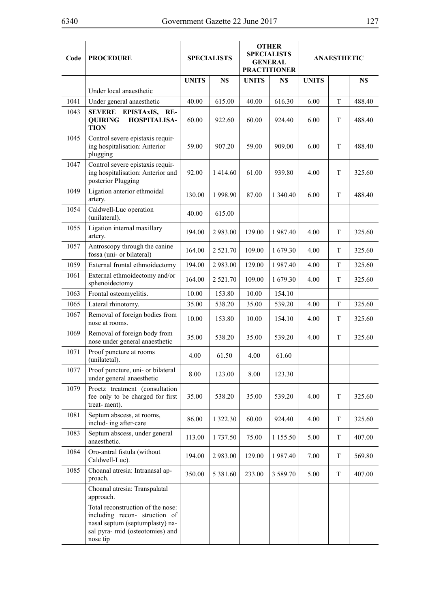| Code | <b>PROCEDURE</b>                                                                                                                                    | <b>SPECIALISTS</b> |             | <b>OTHER</b><br><b>SPECIALISTS</b><br><b>GENERAL</b><br><b>PRACTITIONER</b> |               |              | <b>ANAESTHETIC</b> |        |
|------|-----------------------------------------------------------------------------------------------------------------------------------------------------|--------------------|-------------|-----------------------------------------------------------------------------|---------------|--------------|--------------------|--------|
|      |                                                                                                                                                     | <b>UNITS</b>       | N\$         | <b>UNITS</b>                                                                | N\$           | <b>UNITS</b> |                    | N\$    |
|      | Under local anaesthetic                                                                                                                             |                    |             |                                                                             |               |              |                    |        |
| 1041 | Under general anaesthetic                                                                                                                           | 40.00              | 615.00      | 40.00                                                                       | 616.30        | 6.00         | T                  | 488.40 |
| 1043 | SEVERE EPISTAXIS,<br>RE-<br><b>HOSPITALISA-</b><br><b>QUIRING</b><br><b>TION</b>                                                                    | 60.00              | 922.60      | 60.00                                                                       | 924.40        | 6.00         | T                  | 488.40 |
| 1045 | Control severe epistaxis requir-<br>ing hospitalisation: Anterior<br>plugging                                                                       | 59.00              | 907.20      | 59.00                                                                       | 909.00        | 6.00         | T                  | 488.40 |
| 1047 | Control severe epistaxis requir-<br>ing hospitalisation: Anterior and<br>posterior Plugging                                                         | 92.00              | 1414.60     | 61.00                                                                       | 939.80        | 4.00         | T                  | 325.60 |
| 1049 | Ligation anterior ethmoidal<br>artery.                                                                                                              | 130.00             | 1998.90     | 87.00                                                                       | 1 340.40      | 6.00         | T                  | 488.40 |
| 1054 | Caldwell-Luc operation<br>(unilateral).                                                                                                             | 40.00              | 615.00      |                                                                             |               |              |                    |        |
| 1055 | Ligation internal maxillary<br>artery.                                                                                                              | 194.00             | 2 983.00    | 129.00                                                                      | 1987.40       | 4.00         | T                  | 325.60 |
| 1057 | Antroscopy through the canine<br>fossa (uni- or bilateral)                                                                                          | 164.00             | 2 5 2 1 .70 | 109.00                                                                      | 1 679.30      | 4.00         | T                  | 325.60 |
| 1059 | External frontal ethmoidectomy                                                                                                                      | 194.00             | 2 983.00    | 129.00                                                                      | 1987.40       | 4.00         | T                  | 325.60 |
| 1061 | External ethmoidectomy and/or<br>sphenoidectomy                                                                                                     | 164.00             | 2 5 2 1 .70 | 109.00                                                                      | 1 679.30      | 4.00         | T                  | 325.60 |
| 1063 | Frontal osteomyelitis.                                                                                                                              | 10.00              | 153.80      | 10.00                                                                       | 154.10        |              |                    |        |
| 1065 | Lateral rhinotomy.                                                                                                                                  | 35.00              | 538.20      | 35.00                                                                       | 539.20        | 4.00         | T                  | 325.60 |
| 1067 | Removal of foreign bodies from<br>nose at rooms.                                                                                                    | 10.00              | 153.80      | 10.00                                                                       | 154.10        | 4.00         | T                  | 325.60 |
| 1069 | Removal of foreign body from<br>nose under general anaesthetic                                                                                      | 35.00              | 538.20      | 35.00                                                                       | 539.20        | 4.00         | T                  | 325.60 |
| 1071 | Proof puncture at rooms<br>(unilatetal).                                                                                                            | 4.00               | 61.50       | 4.00                                                                        | 61.60         |              |                    |        |
| 1077 | Proof puncture, uni- or bilateral<br>under general anaesthetic                                                                                      | 8.00               | 123.00      | 8.00                                                                        | 123.30        |              |                    |        |
| 1079 | Proetz treatment (consultation<br>fee only to be charged for first<br>treat-ment).                                                                  | 35.00              | 538.20      | 35.00                                                                       | 539.20        | 4.00         | T                  | 325.60 |
| 1081 | Septum abscess, at rooms,<br>includ- ing after-care                                                                                                 | 86.00              | 1 322.30    | 60.00                                                                       | 924.40        | 4.00         | T                  | 325.60 |
| 1083 | Septum abscess, under general<br>anaesthetic.                                                                                                       | 113.00             | 1 737.50    | 75.00                                                                       | 1 1 5 5 . 5 0 | 5.00         | T                  | 407.00 |
| 1084 | Oro-antral fistula (without<br>Caldwell-Luc).                                                                                                       | 194.00             | 2 9 8 3 .00 | 129.00                                                                      | 1987.40       | 7.00         | T                  | 569.80 |
| 1085 | Choanal atresia: Intranasal ap-<br>proach.                                                                                                          | 350.00             | 5 381.60    | 233.00                                                                      | 3 5 8 9 . 7 0 | 5.00         | T                  | 407.00 |
|      | Choanal atresia: Transpalatal<br>approach.                                                                                                          |                    |             |                                                                             |               |              |                    |        |
|      | Total reconstruction of the nose:<br>including recon-struction of<br>nasal septum (septumplasty) na-<br>sal pyra- mid (osteotomies) and<br>nose tip |                    |             |                                                                             |               |              |                    |        |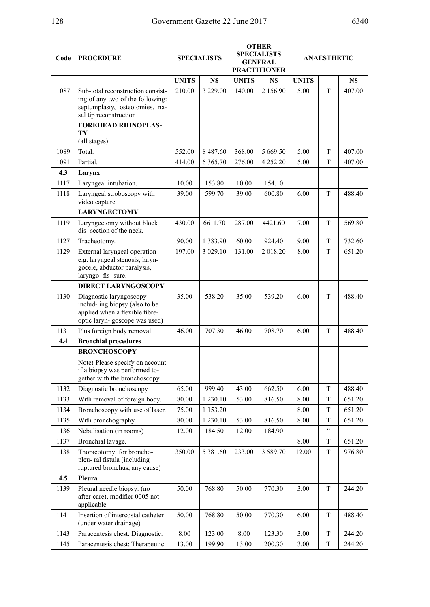| Code | <b>PROCEDURE</b>                                                                                                                  | <b>SPECIALISTS</b> |               | <b>OTHER</b><br><b>SPECIALISTS</b><br><b>GENERAL</b> |                     | <b>ANAESTHETIC</b> |                       |        |
|------|-----------------------------------------------------------------------------------------------------------------------------------|--------------------|---------------|------------------------------------------------------|---------------------|--------------------|-----------------------|--------|
|      |                                                                                                                                   |                    |               |                                                      | <b>PRACTITIONER</b> |                    |                       |        |
|      |                                                                                                                                   | <b>UNITS</b>       | N\$           | <b>UNITS</b>                                         | N\$                 | <b>UNITS</b>       |                       | N\$    |
| 1087 | Sub-total reconstruction consist-<br>ing of any two of the following:<br>septumplasty, osteotomies, na-<br>sal tip reconstruction | 210.00             | 3 229.00      | 140.00                                               | 2 156.90            | 5.00               | T                     | 407.00 |
|      | <b>FOREHEAD RHINOPLAS-</b><br>TY<br>(all stages)                                                                                  |                    |               |                                                      |                     |                    |                       |        |
| 1089 | Total.                                                                                                                            | 552.00             | 8 4 8 7 . 6 0 | 368.00                                               | 5 669.50            | 5.00               | T                     | 407.00 |
| 1091 | Partial.                                                                                                                          | 414.00             | 6 3 6 5 .70   | 276.00                                               | 4 2 5 2 . 2 0       | 5.00               | $\mathbf T$           | 407.00 |
| 4.3  | Larynx                                                                                                                            |                    |               |                                                      |                     |                    |                       |        |
| 1117 | Laryngeal intubation.                                                                                                             | 10.00              | 153.80        | 10.00                                                | 154.10              |                    |                       |        |
| 1118 | Laryngeal stroboscopy with<br>video capture                                                                                       | 39.00              | 599.70        | 39.00                                                | 600.80              | 6.00               | T                     | 488.40 |
|      | <b>LARYNGECTOMY</b>                                                                                                               |                    |               |                                                      |                     |                    |                       |        |
| 1119 | Laryngectomy without block<br>dis-section of the neck.                                                                            | 430.00             | 6611.70       | 287.00                                               | 4421.60             | 7.00               | T                     | 569.80 |
| 1127 | Tracheotomy.                                                                                                                      | 90.00              | 1 3 8 3 . 9 0 | 60.00                                                | 924.40              | 9.00               | T                     | 732.60 |
| 1129 | External laryngeal operation<br>e.g. laryngeal stenosis, laryn-<br>gocele, abductor paralysis,<br>laryngo-fis-sure.               | 197.00             | 3 0 29 10     | 131.00                                               | 2 018.20            | 8.00               | T                     | 651.20 |
|      | <b>DIRECT LARYNGOSCOPY</b>                                                                                                        |                    |               |                                                      |                     |                    |                       |        |
| 1130 | Diagnostic laryngoscopy<br>includ- ing biopsy (also to be<br>applied when a flexible fibre-<br>optic laryn-goscope was used)      | 35.00              | 538.20        | 35.00                                                | 539.20              | 6.00               | T                     | 488.40 |
| 1131 | Plus foreign body removal                                                                                                         | 46.00              | 707.30        | 46.00                                                | 708.70              | 6.00               | T                     | 488.40 |
| 4.4  | <b>Bronchial procedures</b>                                                                                                       |                    |               |                                                      |                     |                    |                       |        |
|      | <b>BRONCHOSCOPY</b>                                                                                                               |                    |               |                                                      |                     |                    |                       |        |
|      | Note: Please specify on account<br>if a biopsy was performed to-<br>gether with the bronchoscopy                                  |                    |               |                                                      |                     |                    |                       |        |
| 1132 | Diagnostic bronchoscopy                                                                                                           | 65.00              | 999.40        | 43.00                                                | 662.50              | 6.00               | T                     | 488.40 |
| 1133 | With removal of foreign body.                                                                                                     | 80.00              | 1 230.10      | 53.00                                                | 816.50              | 8.00               | T                     | 651.20 |
| 1134 | Bronchoscopy with use of laser.                                                                                                   | 75.00              | 1 1 5 3 . 2 0 |                                                      |                     | 8.00               | T                     | 651.20 |
| 1135 | With bronchography.                                                                                                               | 80.00              | 1 2 3 0 . 1 0 | 53.00                                                | 816.50              | 8.00               | T                     | 651.20 |
| 1136 | Nebulisation (in rooms)                                                                                                           | 12.00              | 184.50        | 12.00                                                | 184.90              |                    | $\epsilon$ $\epsilon$ |        |
| 1137 | Bronchial lavage.                                                                                                                 |                    |               |                                                      |                     | 8.00               | T                     | 651.20 |
| 1138 | Thoracotomy: for broncho-<br>pleu- ral fistula (including<br>ruptured bronchus, any cause)                                        | 350.00             | 5 381.60      | 233.00                                               | 3 5 8 9 . 7 0       | 12.00              | T                     | 976.80 |
| 4.5  | Pleura                                                                                                                            |                    |               |                                                      |                     |                    |                       |        |
| 1139 | Pleural needle biopsy: (no<br>after-care), modifier 0005 not<br>applicable                                                        | 50.00              | 768.80        | 50.00                                                | 770.30              | 3.00               | T                     | 244.20 |
| 1141 | Insertion of intercostal catheter<br>(under water drainage)                                                                       | 50.00              | 768.80        | 50.00                                                | 770.30              | 6.00               | T                     | 488.40 |
| 1143 | Paracentesis chest: Diagnostic.                                                                                                   | 8.00               | 123.00        | 8.00                                                 | 123.30              | 3.00               | T                     | 244.20 |
| 1145 | Paracentesis chest: Therapeutic.                                                                                                  | 13.00              | 199.90        | 13.00                                                | 200.30              | 3.00               | T                     | 244.20 |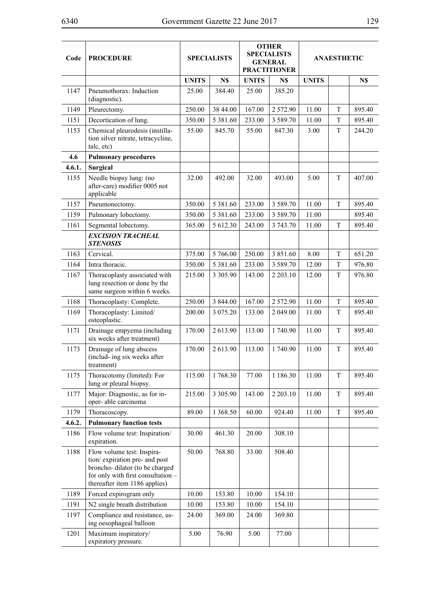| Code   | <b>PROCEDURE</b>                                                                                                                                                     |              | <b>SPECIALISTS</b> | <b>OTHER</b><br><b>SPECIALISTS</b><br><b>GENERAL</b><br><b>PRACTITIONER</b> |               |              | <b>ANAESTHETIC</b> |        |
|--------|----------------------------------------------------------------------------------------------------------------------------------------------------------------------|--------------|--------------------|-----------------------------------------------------------------------------|---------------|--------------|--------------------|--------|
|        |                                                                                                                                                                      | <b>UNITS</b> | N\$                | <b>UNITS</b>                                                                | N\$           | <b>UNITS</b> |                    | N\$    |
| 1147   | Pneumothorax: Induction<br>(diagnostic).                                                                                                                             | 25.00        | 384.40             | 25.00                                                                       | 385.20        |              |                    |        |
| 1149   | Pleurectomy.                                                                                                                                                         | 250.00       | 38 44.00           | 167.00                                                                      | 2572.90       | 11.00        | T                  | 895.40 |
| 1151   | Decortication of lung.                                                                                                                                               | 350.00       | 5 3 8 1 .60        | 233.00                                                                      | 3 5 8 9 . 7 0 | 11.00        | T                  | 895.40 |
| 1153   | Chemical pleurodesis (instilla-<br>tion silver nitrate, tetracycline,<br>talc, etc)                                                                                  | 55.00        | 845.70             | 55.00                                                                       | 847.30        | 3.00         | T                  | 244.20 |
| 4.6    | <b>Pulmonary procedures</b>                                                                                                                                          |              |                    |                                                                             |               |              |                    |        |
| 4.6.1. | <b>Surgical</b>                                                                                                                                                      |              |                    |                                                                             |               |              |                    |        |
| 1155   | Needle biopsy lung: (no<br>after-care) modifier 0005 not<br>applicable                                                                                               | 32.00        | 492.00             | 32.00                                                                       | 493.00        | 5.00         | T                  | 407.00 |
| 1157   | Pneumonectomy.                                                                                                                                                       | 350.00       | 5 3 8 1 .60        | 233.00                                                                      | 3 5 8 9 . 7 0 | 11.00        | T                  | 895.40 |
| 1159   | Pulmonary lobectomy.                                                                                                                                                 | 350.00       | 5 3 8 1 .60        | 233.00                                                                      | 3 5 8 9 . 7 0 | 11.00        |                    | 895.40 |
| 1161   | Segmental lobectomy.                                                                                                                                                 | 365.00       | 5 612.30           | 243.00                                                                      | 3 743.70      | 11.00        | T                  | 895.40 |
|        | <b>EXCISION TRACHEAL</b><br><b>STENOSIS</b>                                                                                                                          |              |                    |                                                                             |               |              |                    |        |
| 1163   | Cervical.                                                                                                                                                            | 375.00       | 5 766.00           | 250.00                                                                      | 3 851.60      | 8.00         | T                  | 651.20 |
| 1164   | Intra thoracic.                                                                                                                                                      | 350.00       | 5 3 8 1 .60        | 233.00                                                                      | 3 5 8 9 . 7 0 | 12.00        | T                  | 976.80 |
| 1167   | Thoracoplasty associated with<br>lung resection or done by the<br>same surgeon within 6 weeks.                                                                       | 215.00       | 3 3 0 5 .90        | 143.00                                                                      | 2 2 0 3 . 1 0 | 12.00        | T                  | 976.80 |
| 1168   | Thoracoplasty: Complete.                                                                                                                                             | 250.00       | 3 844.00           | 167.00                                                                      | 2572.90       | 11.00        | T                  | 895.40 |
| 1169   | Thoracoplasty: Limited/<br>osteoplastic.                                                                                                                             | 200.00       | 3 075.20           | 133.00                                                                      | 2 049.00      | 11.00        | T                  | 895.40 |
| 1171   | Drainage empyema (including<br>six weeks after treatment)                                                                                                            | 170.00       | 2 613.90           | 113.00                                                                      | 1740.90       | 11.00        | T                  | 895.40 |
| 1173   | Drainage of lung abscess<br>(includ- ing six weeks after<br>treatment)                                                                                               | 170.00       | 2 613.90           | 113.00                                                                      | 1740.90       | 11.00        | T                  | 895.40 |
| 1175   | Thoracotomy (limited): For<br>lung or pleural biopsy.                                                                                                                | 115.00       | 1768.30            | 77.00                                                                       | 1 186.30      | 11.00        | T                  | 895.40 |
| 1177   | Major: Diagnostic, as for in-<br>oper-able carcinoma                                                                                                                 | 215.00       | 3 3 0 5 .90        | 143.00                                                                      | 2 2 0 3 . 1 0 | 11.00        | T                  | 895.40 |
| 1179   | Thoracoscopy.                                                                                                                                                        | 89.00        | 1 3 68.50          | 60.00                                                                       | 924.40        | 11.00        | T                  | 895.40 |
| 4.6.2. | <b>Pulmonary function tests</b>                                                                                                                                      |              |                    |                                                                             |               |              |                    |        |
| 1186   | Flow volume test: Inspiration/<br>expiration.                                                                                                                        | 30.00        | 461.30             | 20.00                                                                       | 308.10        |              |                    |        |
| 1188   | Flow volume test: Inspira-<br>tion/expiration pre- and post<br>broncho-dilator (to be charged<br>for only with first consultation -<br>thereafter item 1186 applies) | 50.00        | 768.80             | 33.00                                                                       | 508.40        |              |                    |        |
| 1189   | Forced expirogram only                                                                                                                                               | 10.00        | 153.80             | 10.00                                                                       | 154.10        |              |                    |        |
| 1191   | N2 single breath distribution                                                                                                                                        | 10.00        | 153.80             | 10.00                                                                       | 154.10        |              |                    |        |
| 1197   | Compliance and resistance, us-<br>ing oesophageal balloon                                                                                                            | 24.00        | 369.00             | 24.00                                                                       | 369.80        |              |                    |        |
| 1201   | Maximum inspiratory/<br>expiratory pressure.                                                                                                                         | 5.00         | 76.90              | 5.00                                                                        | 77.00         |              |                    |        |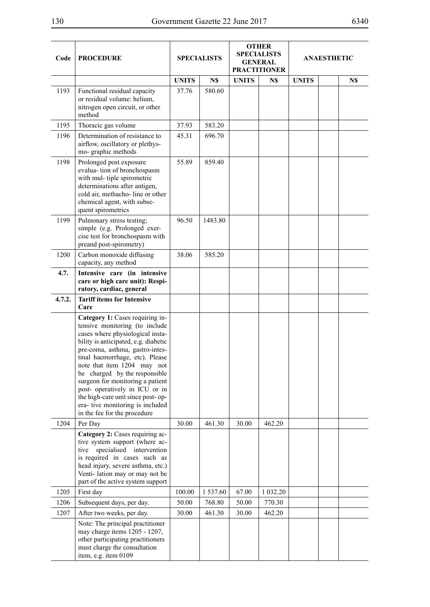| Code   | <b>PROCEDURE</b>                                                                                                                                                                                                                                                                                                                                                                                                                                                   |              | <b>SPECIALISTS</b> | <b>OTHER</b><br><b>SPECIALISTS</b><br><b>GENERAL</b><br><b>PRACTITIONER</b> |          | <b>ANAESTHETIC</b> |  |     |  |  |
|--------|--------------------------------------------------------------------------------------------------------------------------------------------------------------------------------------------------------------------------------------------------------------------------------------------------------------------------------------------------------------------------------------------------------------------------------------------------------------------|--------------|--------------------|-----------------------------------------------------------------------------|----------|--------------------|--|-----|--|--|
|        |                                                                                                                                                                                                                                                                                                                                                                                                                                                                    | <b>UNITS</b> | N\$                | <b>UNITS</b>                                                                | N\$      | <b>UNITS</b>       |  | N\$ |  |  |
| 1193   | Functional residual capacity<br>or residual volume: helium,<br>nitrogen open circuit, or other<br>method                                                                                                                                                                                                                                                                                                                                                           | 37.76        | 580.60             |                                                                             |          |                    |  |     |  |  |
| 1195   | Thoracic gas volume                                                                                                                                                                                                                                                                                                                                                                                                                                                | 37.93        | 583.20             |                                                                             |          |                    |  |     |  |  |
| 1196   | Determination of resistance to<br>airflow, oscillatory or plethys-<br>mo-graphic methods                                                                                                                                                                                                                                                                                                                                                                           | 45.31        | 696.70             |                                                                             |          |                    |  |     |  |  |
| 1198   | Prolonged post exposure<br>evalua-tion of bronchospasm<br>with mul- tiple spirometric<br>determinations after antigen,<br>cold air, methacho-line or other<br>chemical agent, with subse-<br>quent spirometrics                                                                                                                                                                                                                                                    | 55.89        | 859.40             |                                                                             |          |                    |  |     |  |  |
| 1199   | Pulmonary stress testing;<br>simple (e.g. Prolonged exer-<br>cise test for bronchospasm with<br>preand post-spirometry)                                                                                                                                                                                                                                                                                                                                            | 96.50        | 1483.80            |                                                                             |          |                    |  |     |  |  |
| 1200   | Carbon monoxide diffusing<br>capacity, any method                                                                                                                                                                                                                                                                                                                                                                                                                  | 38.06        | 585.20             |                                                                             |          |                    |  |     |  |  |
| 4.7.   | Intensive care (in intensive<br>care or high care unit): Respi-<br>ratory, cardiac, general                                                                                                                                                                                                                                                                                                                                                                        |              |                    |                                                                             |          |                    |  |     |  |  |
| 4.7.2. | <b>Tariff items for Intensive</b>                                                                                                                                                                                                                                                                                                                                                                                                                                  |              |                    |                                                                             |          |                    |  |     |  |  |
|        | Care                                                                                                                                                                                                                                                                                                                                                                                                                                                               |              |                    |                                                                             |          |                    |  |     |  |  |
|        | Category 1: Cases requiring in-<br>tensive monitoring (to include<br>cases where physiological insta-<br>bility is anticipated, e.g. diabetic<br>pre-coma, asthma, gastro-intes-<br>tinal haemorrhage, etc). Please<br>note that item 1204 may not<br>be charged by the responsible<br>surgeon for monitoring a patient<br>post- operatively in ICU or in<br>the high-care unit since post-op-<br>era- tive monitoring is included<br>in the fee for the procedure |              |                    |                                                                             |          |                    |  |     |  |  |
| 1204   | Per Day                                                                                                                                                                                                                                                                                                                                                                                                                                                            | 30.00        | 461.30             | 30.00                                                                       | 462.20   |                    |  |     |  |  |
|        | Category 2: Cases requiring ac-<br>tive system support (where ac-<br>specialised intervention<br>tive<br>is required in cases such as<br>head injury, severe asthma, etc.)<br>Venti-lation may or may not be<br>part of the active system support                                                                                                                                                                                                                  |              |                    |                                                                             |          |                    |  |     |  |  |
| 1205   | First day                                                                                                                                                                                                                                                                                                                                                                                                                                                          | 100.00       | 1537.60            | 67.00                                                                       | 1 032.20 |                    |  |     |  |  |
| 1206   | Subsequent days, per day.                                                                                                                                                                                                                                                                                                                                                                                                                                          | 50.00        | 768.80             | 50.00                                                                       | 770.30   |                    |  |     |  |  |
| 1207   | After two weeks, per day.                                                                                                                                                                                                                                                                                                                                                                                                                                          | 30.00        | 461.30             | 30.00                                                                       | 462.20   |                    |  |     |  |  |
|        | Note: The principal practitioner<br>may charge items 1205 - 1207,<br>other participating practitioners<br>must charge the consultation<br>item, e.g. item 0109                                                                                                                                                                                                                                                                                                     |              |                    |                                                                             |          |                    |  |     |  |  |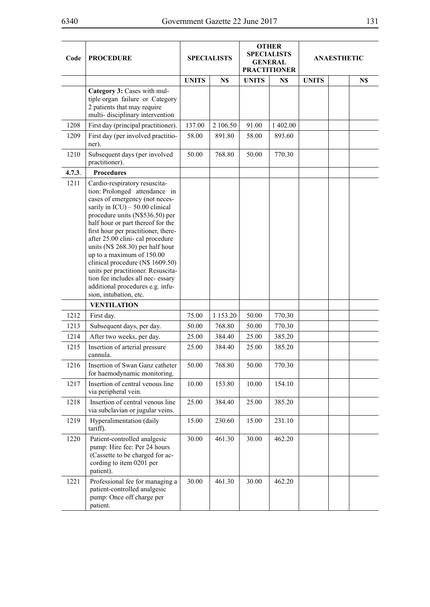| Code   | <b>PROCEDURE</b>                                                                                                                                                                                                                                                                                                                                                                                                                                                                                                                        | <b>SPECIALISTS</b> |              | <b>OTHER</b><br><b>SPECIALISTS</b><br><b>GENERAL</b><br><b>PRACTITIONER</b> |          | <b>ANAESTHETIC</b> |  |     |
|--------|-----------------------------------------------------------------------------------------------------------------------------------------------------------------------------------------------------------------------------------------------------------------------------------------------------------------------------------------------------------------------------------------------------------------------------------------------------------------------------------------------------------------------------------------|--------------------|--------------|-----------------------------------------------------------------------------|----------|--------------------|--|-----|
|        |                                                                                                                                                                                                                                                                                                                                                                                                                                                                                                                                         | <b>UNITS</b>       | N\$          | <b>UNITS</b>                                                                | N\$      | <b>UNITS</b>       |  | N\$ |
|        | Category 3: Cases with mul-<br>tiple organ failure or Category<br>2 patients that may require<br>multi-disciplinary intervention                                                                                                                                                                                                                                                                                                                                                                                                        |                    |              |                                                                             |          |                    |  |     |
| 1208   | First day (principal practitioner).                                                                                                                                                                                                                                                                                                                                                                                                                                                                                                     | 137.00             | 2 106.50     | 91.00                                                                       | 1 402.00 |                    |  |     |
| 1209   | First day (per involved practitio-<br>ner).                                                                                                                                                                                                                                                                                                                                                                                                                                                                                             | 58.00              | 891.80       | 58.00                                                                       | 893.60   |                    |  |     |
| 1210   | Subsequent days (per involved<br>practitioner).                                                                                                                                                                                                                                                                                                                                                                                                                                                                                         | 50.00              | 768.80       | 50.00                                                                       | 770.30   |                    |  |     |
| 4.7.3. | <b>Procedures</b>                                                                                                                                                                                                                                                                                                                                                                                                                                                                                                                       |                    |              |                                                                             |          |                    |  |     |
| 1211   | Cardio-respiratory resuscita-<br>tion: Prolonged attendance in<br>cases of emergency (not neces-<br>sarily in $ICU$ ) – 50.00 clinical<br>procedure units (N\$536.50) per<br>half hour or part thereof for the<br>first hour per practitioner, there-<br>after 25.00 clini- cal procedure<br>units (N\$ 268.30) per half hour<br>up to a maximum of 150.00<br>clinical procedure (N\$ 1609.50)<br>units per practitioner. Resuscita-<br>tion fee includes all nec- essary<br>additional procedures e.g. infu-<br>sion, intubation, etc. |                    |              |                                                                             |          |                    |  |     |
|        | <b>VENTILATION</b>                                                                                                                                                                                                                                                                                                                                                                                                                                                                                                                      |                    |              |                                                                             |          |                    |  |     |
| 1212   | First day.                                                                                                                                                                                                                                                                                                                                                                                                                                                                                                                              | 75.00              | 1 1 5 3 . 20 | 50.00                                                                       | 770.30   |                    |  |     |
| 1213   | Subsequent days, per day.                                                                                                                                                                                                                                                                                                                                                                                                                                                                                                               | 50.00              | 768.80       | 50.00                                                                       | 770.30   |                    |  |     |
| 1214   | After two weeks, per day.                                                                                                                                                                                                                                                                                                                                                                                                                                                                                                               | 25.00              | 384.40       | 25.00                                                                       | 385.20   |                    |  |     |
| 1215   | Insertion of arterial pressure<br>cannula.                                                                                                                                                                                                                                                                                                                                                                                                                                                                                              | 25.00              | 384.40       | 25.00                                                                       | 385.20   |                    |  |     |
| 1216   | Insertion of Swan Ganz catheter<br>for haemodynamic monitoring.                                                                                                                                                                                                                                                                                                                                                                                                                                                                         | 50.00              | 768.80       | 50.00                                                                       | 770.30   |                    |  |     |
| 1217   | Insertion of central venous line<br>via peripheral vein.                                                                                                                                                                                                                                                                                                                                                                                                                                                                                | 10.00              | 153.80       | 10.00                                                                       | 154.10   |                    |  |     |
| 1218   | Insertion of central venous line<br>via subclavian or jugular veins.                                                                                                                                                                                                                                                                                                                                                                                                                                                                    | 25.00              | 384.40       | 25.00                                                                       | 385.20   |                    |  |     |
| 1219   | Hyperalimentation (daily<br>tariff).                                                                                                                                                                                                                                                                                                                                                                                                                                                                                                    | 15.00              | 230.60       | 15.00                                                                       | 231.10   |                    |  |     |
| 1220   | Patient-controlled analgesic<br>pump: Hire fee: Per 24 hours<br>(Cassette to be charged for ac-<br>cording to item 0201 per<br>patient).                                                                                                                                                                                                                                                                                                                                                                                                | 30.00              | 461.30       | 30.00                                                                       | 462.20   |                    |  |     |
| 1221   | Professional fee for managing a<br>patient-controlled analgesic<br>pump: Once off charge per<br>patient.                                                                                                                                                                                                                                                                                                                                                                                                                                | 30.00              | 461.30       | 30.00                                                                       | 462.20   |                    |  |     |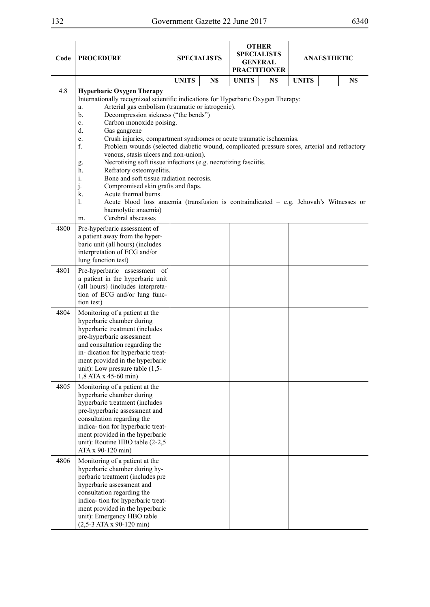| Code | <b>PROCEDURE</b>                                                                                                                                                                                                                                                                                                                                                                                                                                                                                                                                                                                                                                                                                                                                                                                                                                                                                                                    | <b>SPECIALISTS</b> |     | <b>OTHER</b><br><b>SPECIALISTS</b><br><b>GENERAL</b> | <b>PRACTITIONER</b> |              | <b>ANAESTHETIC</b> |
|------|-------------------------------------------------------------------------------------------------------------------------------------------------------------------------------------------------------------------------------------------------------------------------------------------------------------------------------------------------------------------------------------------------------------------------------------------------------------------------------------------------------------------------------------------------------------------------------------------------------------------------------------------------------------------------------------------------------------------------------------------------------------------------------------------------------------------------------------------------------------------------------------------------------------------------------------|--------------------|-----|------------------------------------------------------|---------------------|--------------|--------------------|
|      |                                                                                                                                                                                                                                                                                                                                                                                                                                                                                                                                                                                                                                                                                                                                                                                                                                                                                                                                     | <b>UNITS</b>       | N\$ | <b>UNITS</b>                                         | N\$                 | <b>UNITS</b> | N\$                |
| 4.8  | <b>Hyperbaric Oxygen Therapy</b><br>Internationally recognized scientific indications for Hyperbaric Oxygen Therapy:<br>Arterial gas embolism (traumatic or iatrogenic).<br>a.<br>Decompression sickness ("the bends")<br>b.<br>Carbon monoxide poising.<br>c.<br>Gas gangrene<br>d.<br>Crush injuries, compartment syndromes or acute traumatic ischaemias.<br>e.<br>f.<br>Problem wounds (selected diabetic wound, complicated pressure sores, arterial and refractory<br>venous, stasis ulcers and non-union).<br>Necrotising soft tissue infections (e.g. necrotizing fasciitis.<br>g.<br>Refratory osteomyelitis.<br>h.<br>Bone and soft tissue radiation necrosis.<br>$\mathbf{i}$ .<br>j.<br>Compromised skin grafts and flaps.<br>k.<br>Acute thermal burns.<br>$\mathbf{1}$ .<br>Acute blood loss anaemia (transfusion is contraindicated - e.g. Jehovah's Witnesses or<br>haemolytic anaemia)<br>Cerebral abscesses<br>m. |                    |     |                                                      |                     |              |                    |
| 4800 | Pre-hyperbaric assessment of<br>a patient away from the hyper-<br>baric unit (all hours) (includes<br>interpretation of ECG and/or<br>lung function test)                                                                                                                                                                                                                                                                                                                                                                                                                                                                                                                                                                                                                                                                                                                                                                           |                    |     |                                                      |                     |              |                    |
| 4801 | Pre-hyperbaric assessment of<br>a patient in the hyperbaric unit<br>(all hours) (includes interpreta-<br>tion of ECG and/or lung func-<br>tion test)                                                                                                                                                                                                                                                                                                                                                                                                                                                                                                                                                                                                                                                                                                                                                                                |                    |     |                                                      |                     |              |                    |
| 4804 | Monitoring of a patient at the<br>hyperbaric chamber during<br>hyperbaric treatment (includes<br>pre-hyperbaric assessment<br>and consultation regarding the<br>in-dication for hyperbaric treat-<br>ment provided in the hyperbaric<br>unit): Low pressure table $(1,5-$<br>1,8 ATA x 45-60 min)                                                                                                                                                                                                                                                                                                                                                                                                                                                                                                                                                                                                                                   |                    |     |                                                      |                     |              |                    |
| 4805 | Monitoring of a patient at the<br>hyperbaric chamber during<br>hyperbaric treatment (includes<br>pre-hyperbaric assessment and<br>consultation regarding the<br>indica- tion for hyperbaric treat-<br>ment provided in the hyperbaric<br>unit): Routine HBO table (2-2,5)<br>ATA x 90-120 min)                                                                                                                                                                                                                                                                                                                                                                                                                                                                                                                                                                                                                                      |                    |     |                                                      |                     |              |                    |
| 4806 | Monitoring of a patient at the<br>hyperbaric chamber during hy-<br>perbaric treatment (includes pre<br>hyperbaric assessment and<br>consultation regarding the<br>indica- tion for hyperbaric treat-<br>ment provided in the hyperbaric<br>unit): Emergency HBO table<br>$(2,5-3$ ATA x 90-120 min)                                                                                                                                                                                                                                                                                                                                                                                                                                                                                                                                                                                                                                 |                    |     |                                                      |                     |              |                    |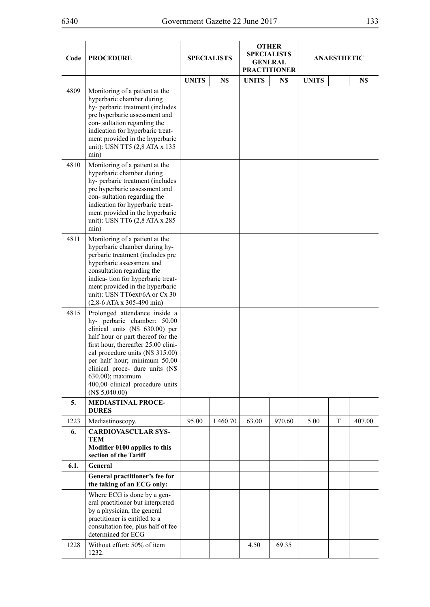| Code | <b>PROCEDURE</b>                                                                                                                                                                                                                                                                                                                                           |              | <b>SPECIALISTS</b> |              | <b>OTHER</b><br><b>SPECIALISTS</b><br><b>GENERAL</b><br><b>PRACTITIONER</b> |              | <b>ANAESTHETIC</b> |        |
|------|------------------------------------------------------------------------------------------------------------------------------------------------------------------------------------------------------------------------------------------------------------------------------------------------------------------------------------------------------------|--------------|--------------------|--------------|-----------------------------------------------------------------------------|--------------|--------------------|--------|
|      |                                                                                                                                                                                                                                                                                                                                                            | <b>UNITS</b> | N\$                | <b>UNITS</b> | N\$                                                                         | <b>UNITS</b> |                    | N\$    |
| 4809 | Monitoring of a patient at the<br>hyperbaric chamber during<br>hy-perbaric treatment (includes<br>pre hyperbaric assessment and<br>con-sultation regarding the<br>indication for hyperbaric treat-<br>ment provided in the hyperbaric<br>unit): USN TT5 (2,8 ATA x 135<br>min)                                                                             |              |                    |              |                                                                             |              |                    |        |
| 4810 | Monitoring of a patient at the<br>hyperbaric chamber during<br>hy-perbaric treatment (includes<br>pre hyperbaric assessment and<br>con-sultation regarding the<br>indication for hyperbaric treat-<br>ment provided in the hyperbaric<br>unit): USN TT6 (2,8 ATA x 285<br>min)                                                                             |              |                    |              |                                                                             |              |                    |        |
| 4811 | Monitoring of a patient at the<br>hyperbaric chamber during hy-<br>perbaric treatment (includes pre<br>hyperbaric assessment and<br>consultation regarding the<br>indica-tion for hyperbaric treat-<br>ment provided in the hyperbaric<br>unit): USN TT6ext/6A or Cx 30<br>$(2,8-6$ ATA x 305-490 min)                                                     |              |                    |              |                                                                             |              |                    |        |
| 4815 | Prolonged attendance inside a<br>hy- perbaric chamber: 50.00<br>clinical units (N\$ 630.00) per<br>half hour or part thereof for the<br>first hour, thereafter 25.00 clini-<br>cal procedure units (N\$ 315.00)<br>per half hour; minimum 50.00<br>clinical proce- dure units (N\$<br>630.00); maximum<br>400,00 clinical procedure units<br>(N\$5,040.00) |              |                    |              |                                                                             |              |                    |        |
| 5.   | <b>MEDIASTINAL PROCE-</b><br><b>DURES</b>                                                                                                                                                                                                                                                                                                                  |              |                    |              |                                                                             |              |                    |        |
| 1223 | Mediastinoscopy.                                                                                                                                                                                                                                                                                                                                           | 95.00        | 1460.70            | 63.00        | 970.60                                                                      | 5.00         | T                  | 407.00 |
| 6.   | <b>CARDIOVASCULAR SYS-</b><br><b>TEM</b><br>Modifier 0100 applies to this<br>section of the Tariff                                                                                                                                                                                                                                                         |              |                    |              |                                                                             |              |                    |        |
| 6.1. | General                                                                                                                                                                                                                                                                                                                                                    |              |                    |              |                                                                             |              |                    |        |
|      | General practitioner's fee for<br>the taking of an ECG only:                                                                                                                                                                                                                                                                                               |              |                    |              |                                                                             |              |                    |        |
|      | Where ECG is done by a gen-<br>eral practitioner but interpreted<br>by a physician, the general<br>practitioner is entitled to a<br>consultation fee, plus half of fee<br>determined for ECG                                                                                                                                                               |              |                    |              |                                                                             |              |                    |        |
| 1228 | Without effort: 50% of item<br>1232.                                                                                                                                                                                                                                                                                                                       |              |                    | 4.50         | 69.35                                                                       |              |                    |        |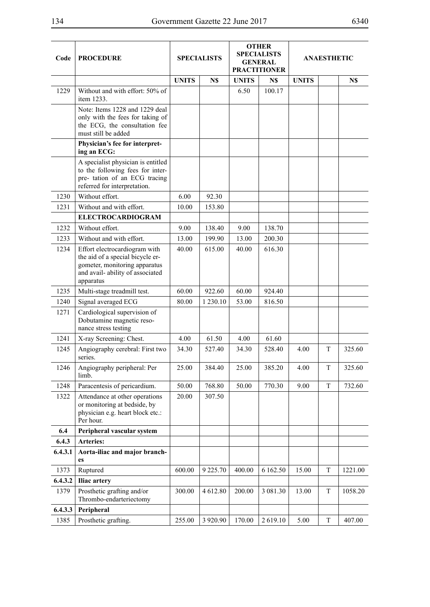| Code    | <b>PROCEDURE</b>                                                                                                                                    |              | <b>SPECIALISTS</b> | <b>OTHER</b><br><b>SPECIALISTS</b><br><b>GENERAL</b><br><b>PRACTITIONER</b> |               | <b>ANAESTHETIC</b> |   |         |
|---------|-----------------------------------------------------------------------------------------------------------------------------------------------------|--------------|--------------------|-----------------------------------------------------------------------------|---------------|--------------------|---|---------|
|         |                                                                                                                                                     | <b>UNITS</b> | N\$                | <b>UNITS</b>                                                                | N\$           | <b>UNITS</b>       |   | N\$     |
| 1229    | Without and with effort: 50% of<br>item 1233.                                                                                                       |              |                    | 6.50                                                                        | 100.17        |                    |   |         |
|         | Note: Items 1228 and 1229 deal<br>only with the fees for taking of<br>the ECG, the consultation fee<br>must still be added                          |              |                    |                                                                             |               |                    |   |         |
|         | Physician's fee for interpret-<br>ing an ECG:                                                                                                       |              |                    |                                                                             |               |                    |   |         |
|         | A specialist physician is entitled<br>to the following fees for inter-<br>pre- tation of an ECG tracing<br>referred for interpretation.             |              |                    |                                                                             |               |                    |   |         |
| 1230    | Without effort.                                                                                                                                     | 6.00         | 92.30              |                                                                             |               |                    |   |         |
| 1231    | Without and with effort.                                                                                                                            | 10.00        | 153.80             |                                                                             |               |                    |   |         |
|         | <b>ELECTROCARDIOGRAM</b>                                                                                                                            |              |                    |                                                                             |               |                    |   |         |
| 1232    | Without effort.                                                                                                                                     | 9.00         | 138.40             | 9.00                                                                        | 138.70        |                    |   |         |
| 1233    | Without and with effort.                                                                                                                            | 13.00        | 199.90             | 13.00                                                                       | 200.30        |                    |   |         |
| 1234    | Effort electrocardiogram with<br>the aid of a special bicycle er-<br>gometer, monitoring apparatus<br>and avail- ability of associated<br>apparatus | 40.00        | 615.00             | 40.00                                                                       | 616.30        |                    |   |         |
| 1235    | Multi-stage treadmill test.                                                                                                                         | 60.00        | 922.60             | 60.00                                                                       | 924.40        |                    |   |         |
| 1240    | Signal averaged ECG                                                                                                                                 | 80.00        | 1 2 3 0 . 1 0      | 53.00                                                                       | 816.50        |                    |   |         |
| 1271    | Cardiological supervision of<br>Dobutamine magnetic reso-<br>nance stress testing                                                                   |              |                    |                                                                             |               |                    |   |         |
| 1241    | X-ray Screening: Chest.                                                                                                                             | 4.00         | 61.50              | 4.00                                                                        | 61.60         |                    |   |         |
| 1245    | Angiography cerebral: First two<br>series.                                                                                                          | 34.30        | 527.40             | 34.30                                                                       | 528.40        | 4.00               | T | 325.60  |
| 1246    | Angiography peripheral: Per<br>limb.                                                                                                                | 25.00        | 384.40             | 25.00                                                                       | 385.20        | 4.00               | T | 325.60  |
| 1248    | Paracentesis of pericardium.                                                                                                                        | 50.00        | 768.80             | 50.00                                                                       | 770.30        | 9.00               | T | 732.60  |
| 1322    | Attendance at other operations<br>or monitoring at bedside, by<br>physician e.g. heart block etc.:<br>Per hour.                                     | 20.00        | 307.50             |                                                                             |               |                    |   |         |
| 6.4     | Peripheral vascular system                                                                                                                          |              |                    |                                                                             |               |                    |   |         |
| 6.4.3   | Arteries:                                                                                                                                           |              |                    |                                                                             |               |                    |   |         |
| 6.4.3.1 | Aorta-iliac and major branch-<br>es                                                                                                                 |              |                    |                                                                             |               |                    |   |         |
| 1373    | Ruptured                                                                                                                                            | 600.00       | 9 2 2 5 . 7 0      | 400.00                                                                      | 6 1 6 2 . 5 0 | 15.00              | T | 1221.00 |
| 6.4.3.2 | <b>Iliac artery</b>                                                                                                                                 |              |                    |                                                                             |               |                    |   |         |
| 1379    | Prosthetic grafting and/or<br>Thrombo-endarteriectomy                                                                                               | 300.00       | 4 612.80           | 200.00                                                                      | 3 081.30      | 13.00              | T | 1058.20 |
| 6.4.3.3 | Peripheral                                                                                                                                          |              |                    |                                                                             |               |                    |   |         |
| 1385    | Prosthetic grafting.                                                                                                                                | 255.00       | 3 9 2 0 . 9 0      | 170.00                                                                      | 2 619.10      | 5.00               | T | 407.00  |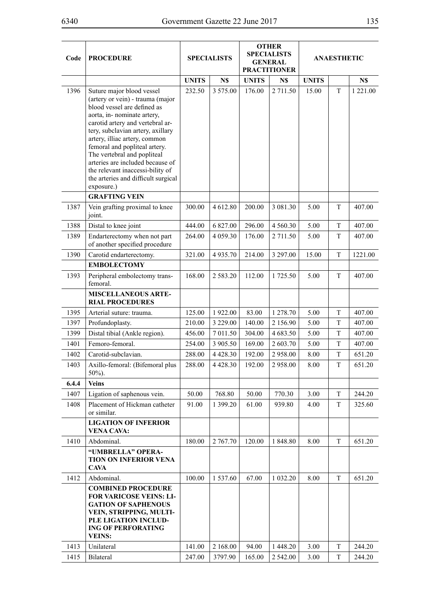| Code  | <b>PROCEDURE</b>                                                                                                                                                                                                                                                                                                                                                                                                                   |              | <b>OTHER</b><br><b>SPECIALISTS</b><br><b>SPECIALISTS</b><br>ANAESTHETIC<br><b>GENERAL</b><br><b>PRACTITIONER</b> |              |               |              |   |          |
|-------|------------------------------------------------------------------------------------------------------------------------------------------------------------------------------------------------------------------------------------------------------------------------------------------------------------------------------------------------------------------------------------------------------------------------------------|--------------|------------------------------------------------------------------------------------------------------------------|--------------|---------------|--------------|---|----------|
|       |                                                                                                                                                                                                                                                                                                                                                                                                                                    | <b>UNITS</b> | N\$                                                                                                              | <b>UNITS</b> | N\$           | <b>UNITS</b> |   | N\$      |
| 1396  | Suture major blood vessel<br>(artery or vein) - trauma (major<br>blood vessel are defined as<br>aorta, in- nominate artery,<br>carotid artery and vertebral ar-<br>tery, subclavian artery, axillary<br>artery, illiac artery, common<br>femoral and popliteal artery.<br>The vertebral and popliteal<br>arteries are included because of<br>the relevant inaccessi-bility of<br>the arteries and difficult surgical<br>exposure.) | 232.50       | 3 575.00                                                                                                         | 176.00       | 2 711.50      | 15.00        | T | 1 221.00 |
|       | <b>GRAFTING VEIN</b>                                                                                                                                                                                                                                                                                                                                                                                                               |              |                                                                                                                  |              |               |              |   |          |
| 1387  | Vein grafting proximal to knee<br>joint.                                                                                                                                                                                                                                                                                                                                                                                           | 300.00       | 4 6 1 2 . 8 0                                                                                                    | 200.00       | 3 081.30      | 5.00         | T | 407.00   |
| 1388  | Distal to knee joint                                                                                                                                                                                                                                                                                                                                                                                                               | 444.00       | 6 827.00                                                                                                         | 296.00       | 4 5 6 0 . 3 0 | 5.00         | T | 407.00   |
| 1389  | Endarterectomy when not part<br>of another specified procedure                                                                                                                                                                                                                                                                                                                                                                     | 264.00       | 4 0 59.30                                                                                                        | 176.00       | 2 7 1 1 .50   | 5.00         | T | 407.00   |
| 1390  | Carotid endarterectomy.                                                                                                                                                                                                                                                                                                                                                                                                            | 321.00       | 4 9 3 5 .70                                                                                                      | 214.00       | 3 297.00      | 15.00        | T | 1221.00  |
|       | <b>EMBOLECTOMY</b>                                                                                                                                                                                                                                                                                                                                                                                                                 |              |                                                                                                                  |              |               |              |   |          |
| 1393  | Peripheral embolectomy trans-<br>femoral.                                                                                                                                                                                                                                                                                                                                                                                          | 168.00       | 2 5 8 3 . 2 0                                                                                                    | 112.00       | 1 725.50      | 5.00         | T | 407.00   |
|       | <b>MISCELLANEOUS ARTE-</b><br><b>RIAL PROCEDURES</b>                                                                                                                                                                                                                                                                                                                                                                               |              |                                                                                                                  |              |               |              |   |          |
| 1395  | Arterial suture: trauma.                                                                                                                                                                                                                                                                                                                                                                                                           | 125.00       | 1922.00                                                                                                          | 83.00        | 1 278.70      | 5.00         | T | 407.00   |
| 1397  | Profundoplasty.                                                                                                                                                                                                                                                                                                                                                                                                                    | 210.00       | 3 2 2 9 .00                                                                                                      | 140.00       | 2 156.90      | 5.00         | T | 407.00   |
| 1399  | Distal tibial (Ankle region).                                                                                                                                                                                                                                                                                                                                                                                                      | 456.00       | 7 011.50                                                                                                         | 304.00       | 4683.50       | 5.00         | T | 407.00   |
| 1401  | Femoro-femoral.                                                                                                                                                                                                                                                                                                                                                                                                                    | 254.00       | 3 905.50                                                                                                         | 169.00       | 2 603.70      | 5.00         | T | 407.00   |
| 1402  | Carotid-subclavian.                                                                                                                                                                                                                                                                                                                                                                                                                | 288.00       | 4 4 28 . 30                                                                                                      | 192.00       | 2958.00       | 8.00         | T | 651.20   |
| 1403  | Axillo-femoral: (Bifemoral plus<br>$50\%$ ).                                                                                                                                                                                                                                                                                                                                                                                       | 288.00       | 4 4 28 30                                                                                                        | 192.00       | 2958.00       | 8.00         | T | 651.20   |
| 6.4.4 | <b>Veins</b>                                                                                                                                                                                                                                                                                                                                                                                                                       |              |                                                                                                                  |              |               |              |   |          |
| 1407  | Ligation of saphenous vein.                                                                                                                                                                                                                                                                                                                                                                                                        | 50.00        | 768.80                                                                                                           | 50.00        | 770.30        | 3.00         | T | 244.20   |
| 1408  | Placement of Hickman catheter<br>or similar.                                                                                                                                                                                                                                                                                                                                                                                       | 91.00        | 1 399.20                                                                                                         | 61.00        | 939.80        | 4.00         | T | 325.60   |
|       | <b>LIGATION OF INFERIOR</b><br><b>VENA CAVA:</b>                                                                                                                                                                                                                                                                                                                                                                                   |              |                                                                                                                  |              |               |              |   |          |
| 1410  | Abdominal.                                                                                                                                                                                                                                                                                                                                                                                                                         | 180.00       | 2 767.70                                                                                                         | 120.00       | 1 848.80      | 8.00         | T | 651.20   |
|       | "UMBRELLA" OPERA-<br><b>TION ON INFERIOR VENA</b><br><b>CAVA</b>                                                                                                                                                                                                                                                                                                                                                                   |              |                                                                                                                  |              |               |              |   |          |
| 1412  | Abdominal.                                                                                                                                                                                                                                                                                                                                                                                                                         | 100.00       | 1 537.60                                                                                                         | 67.00        | 1 0 3 2 . 2 0 | 8.00         | T | 651.20   |
|       | <b>COMBINED PROCEDURE</b><br><b>FOR VARICOSE VEINS: LI-</b>                                                                                                                                                                                                                                                                                                                                                                        |              |                                                                                                                  |              |               |              |   |          |
|       | <b>GATION OF SAPHENOUS</b><br>VEIN, STRIPPING, MULTI-<br>PLE LIGATION INCLUD-<br><b>ING OF PERFORATING</b><br><b>VEINS:</b>                                                                                                                                                                                                                                                                                                        |              |                                                                                                                  |              |               |              |   |          |
| 1413  | Unilateral                                                                                                                                                                                                                                                                                                                                                                                                                         | 141.00       | 2 168.00                                                                                                         | 94.00        | 1448.20       | 3.00         | T | 244.20   |
| 1415  | Bilateral                                                                                                                                                                                                                                                                                                                                                                                                                          | 247.00       | 3797.90                                                                                                          | 165.00       | 2 542.00      | 3.00         | T | 244.20   |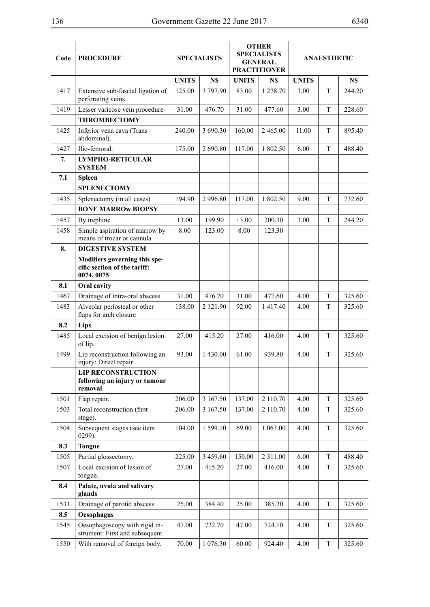$\overline{1}$ 

| Code | <b>PROCEDURE</b>                                                            | <b>SPECIALISTS</b> |            | <b>OTHER</b><br><b>SPECIALISTS</b>    |             | <b>ANAESTHETIC</b> |   |        |
|------|-----------------------------------------------------------------------------|--------------------|------------|---------------------------------------|-------------|--------------------|---|--------|
|      |                                                                             |                    |            | <b>GENERAL</b><br><b>PRACTITIONER</b> |             |                    |   |        |
|      |                                                                             | <b>UNITS</b>       | N\$        | <b>UNITS</b>                          | N\$         | <b>UNITS</b>       |   | N\$    |
| 1417 | Extensive sub-fascial ligation of                                           | 125.00             | 3 797.90   | 83.00                                 | 1 278.70    | 3.00               | T | 244.20 |
|      | perforating veins.                                                          |                    |            |                                       |             |                    |   |        |
| 1419 | Lesser varicose vein procedure                                              | 31.00              | 476.70     | 31.00                                 | 477.60      | 3.00               | T | 228.60 |
|      | <b>THROMBECTOMY</b>                                                         |                    |            |                                       |             |                    |   |        |
| 1425 | Inferior vena cava (Trans<br>abdominal).                                    | 240.00             | 3 690.30   | 160.00                                | 2465.00     | 11.00              | T | 895.40 |
| 1427 | Ilio-femoral.                                                               | 175.00             | 2690.80    | 117.00                                | 1 802.50    | 6.00               | T | 488.40 |
| 7.   | LYMPHO-RETICULAR<br><b>SYSTEM</b>                                           |                    |            |                                       |             |                    |   |        |
| 7.1  | <b>Spleen</b>                                                               |                    |            |                                       |             |                    |   |        |
|      | <b>SPLENECTOMY</b>                                                          |                    |            |                                       |             |                    |   |        |
| 1435 | Splenectomy (in all cases)                                                  | 194.90             | 2 9 9 6.80 | 117.00                                | 1802.50     | 9.00               | T | 732.60 |
|      | <b>BONE MARROW BIOPSY</b>                                                   |                    |            |                                       |             |                    |   |        |
| 1457 | By trephine                                                                 | 13.00              | 199.90     | 13.00                                 | 200.30      | 3.00               | T | 244.20 |
| 1458 | Simple aspiration of marrow by<br>means of trocar or cannula                | 8.00               | 123.00     | 8.00                                  | 123.30      |                    |   |        |
| 8.   | <b>DIGESTIVE SYSTEM</b>                                                     |                    |            |                                       |             |                    |   |        |
|      | Modifiers governing this spe-<br>cific section of the tariff:<br>0074, 0075 |                    |            |                                       |             |                    |   |        |
| 8.1  | Oral cavity                                                                 |                    |            |                                       |             |                    |   |        |
| 1467 | Drainage of intra-oral abscess.                                             | 31.00              | 476.70     | 31.00                                 | 477.60      | 4.00               | T | 325.60 |
| 1483 | Alveolar periosteal or other<br>flaps for arch closure                      | 138.00             | 2 121.90   | 92.00                                 | 1417.40     | 4.00               | T | 325.60 |
| 8.2  | <b>Lips</b>                                                                 |                    |            |                                       |             |                    |   |        |
| 1485 | Local excision of benign lesion<br>of lip.                                  | 27.00              | 415.20     | 27.00                                 | 416.00      | 4.00               | T | 325.60 |
| 1499 | Lip reconstruction following an<br>injury: Direct repair                    | 93.00              | 1430.00    | 61.00                                 | 939.80      | 4.00               | T | 325.60 |
|      | <b>LIP RECONSTRUCTION</b><br>following an injury or tumour<br>removal       |                    |            |                                       |             |                    |   |        |
| 1501 | Flap repair.                                                                | 206.00             | 3 167.50   | 137.00                                | 2 110.70    | 4.00               | T | 325.60 |
| 1503 | Total reconstruction (first<br>stage).                                      | 206.00             | 3 167.50   | 137.00                                | 2 110.70    | 4.00               | T | 325.60 |
| 1504 | Subsequent stages (see item<br>$0299$ ).                                    | 104.00             | 1599.10    | 69.00                                 | 1 063.00    | 4.00               | T | 325.60 |
| 8.3  | <b>Tongue</b>                                                               |                    |            |                                       |             |                    |   |        |
| 1505 | Partial glossectomy.                                                        | 225.00             | 3 459.60   | 150.00                                | 2 3 1 1 .00 | 6.00               | T | 488.40 |
| 1507 | Local excision of lesion of<br>tongue.                                      | 27.00              | 415.20     | 27.00                                 | 416.00      | 4.00               | T | 325.60 |
| 8.4  | Palate, uvula and salivary<br>glands                                        |                    |            |                                       |             |                    |   |        |
| 1531 | Drainage of parotid abscess.                                                | 25.00              | 384.40     | 25.00                                 | 385.20      | 4.00               | T | 325.60 |
| 8.5  | Oesophagus                                                                  |                    |            |                                       |             |                    |   |        |
| 1545 | Oesophagoscopy with rigid in-<br>strument: First and subsequent             | 47.00              | 722.70     | 47.00                                 | 724.10      | 4.00               | T | 325.60 |

1550 With removal of foreign body. 70.00 | 1 076.30 | 60.00 | 924.40 | 4.00 | T | 325.60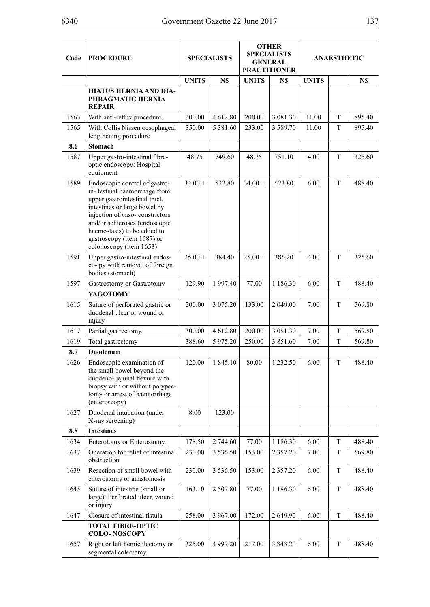| Code | <b>PROCEDURE</b>                                                                                                                                                                                                                                                                          |              | <b>SPECIALISTS</b> | <b>OTHER</b><br><b>SPECIALISTS</b><br><b>GENERAL</b><br><b>PRACTITIONER</b> |               | <b>ANAESTHETIC</b> |   |        |  |  |
|------|-------------------------------------------------------------------------------------------------------------------------------------------------------------------------------------------------------------------------------------------------------------------------------------------|--------------|--------------------|-----------------------------------------------------------------------------|---------------|--------------------|---|--------|--|--|
|      |                                                                                                                                                                                                                                                                                           | <b>UNITS</b> | N\$                | <b>UNITS</b>                                                                | N\$           | <b>UNITS</b>       |   | N\$    |  |  |
|      | <b>HIATUS HERNIA AND DIA-</b><br>PHRAGMATIC HERNIA<br><b>REPAIR</b>                                                                                                                                                                                                                       |              |                    |                                                                             |               |                    |   |        |  |  |
| 1563 | With anti-reflux procedure.                                                                                                                                                                                                                                                               | 300.00       | 4612.80            | 200.00                                                                      | 3 081.30      | 11.00              | T | 895.40 |  |  |
| 1565 | With Collis Nissen oesophageal<br>lengthening procedure                                                                                                                                                                                                                                   | 350.00       | 5 3 8 1 .60        | 233.00                                                                      | 3 5 8 9 . 7 0 | 11.00              | T | 895.40 |  |  |
| 8.6  | <b>Stomach</b>                                                                                                                                                                                                                                                                            |              |                    |                                                                             |               |                    |   |        |  |  |
| 1587 | Upper gastro-intestinal fibre-<br>optic endoscopy: Hospital<br>equipment                                                                                                                                                                                                                  | 48.75        | 749.60             | 48.75                                                                       | 751.10        | 4.00               | T | 325.60 |  |  |
| 1589 | Endoscopic control of gastro-<br>in-testinal haemorrhage from<br>upper gastrointestinal tract,<br>intestines or large bowel by<br>injection of vaso-constrictors<br>and/or schleroses (endoscopic<br>haemostasis) to be added to<br>gastroscopy (item 1587) or<br>colonoscopy (item 1653) | $34.00 +$    | 522.80             | $34.00 +$                                                                   | 523.80        | 6.00               | T | 488.40 |  |  |
| 1591 | Upper gastro-intestinal endos-<br>co- py with removal of foreign<br>bodies (stomach)                                                                                                                                                                                                      | $25.00 +$    | 384.40             | $25.00 +$                                                                   | 385.20        | 4.00               | T | 325.60 |  |  |
| 1597 | Gastrostomy or Gastrotomy                                                                                                                                                                                                                                                                 | 129.90       | 1997.40            | 77.00                                                                       | 1 186.30      | 6.00               | T | 488.40 |  |  |
|      | <b>VAGOTOMY</b>                                                                                                                                                                                                                                                                           |              |                    |                                                                             |               |                    |   |        |  |  |
| 1615 | Suture of perforated gastric or<br>duodenal ulcer or wound or<br>injury                                                                                                                                                                                                                   | 200.00       | 3 075.20           | 133.00                                                                      | 2 049.00      | 7.00               | T | 569.80 |  |  |
| 1617 | Partial gastrectomy.                                                                                                                                                                                                                                                                      | 300.00       | 4 612.80           | 200.00                                                                      | 3 081.30      | 7.00               | T | 569.80 |  |  |
| 1619 | Total gastrectomy                                                                                                                                                                                                                                                                         | 388.60       | 5 975.20           | 250.00                                                                      | 3 851.60      | 7.00               | T | 569.80 |  |  |
| 8.7  | Duodenum                                                                                                                                                                                                                                                                                  |              |                    |                                                                             |               |                    |   |        |  |  |
| 1626 | Endoscopic examination of<br>the small bowel beyond the<br>duodeno- jejunal flexure with<br>biopsy with or without polypec-<br>tomy or arrest of haemorrhage<br>(enteroscopy)                                                                                                             | 120.00       | 1 845.10           | 80.00                                                                       | 1 2 3 2 . 5 0 | 6.00               | T | 488.40 |  |  |
| 1627 | Duodenal intubation (under<br>X-ray screening)                                                                                                                                                                                                                                            | 8.00         | 123.00             |                                                                             |               |                    |   |        |  |  |
| 8.8  | <b>Intestines</b>                                                                                                                                                                                                                                                                         |              |                    |                                                                             |               |                    |   |        |  |  |
| 1634 | Enterotomy or Enterostomy.                                                                                                                                                                                                                                                                | 178.50       | 2 744.60           | 77.00                                                                       | 1 186.30      | 6.00               | T | 488.40 |  |  |
| 1637 | Operation for relief of intestinal<br>obstruction                                                                                                                                                                                                                                         | 230.00       | 3 5 3 6 .50        | 153.00                                                                      | 2 3 5 7 . 2 0 | 7.00               | T | 569.80 |  |  |
| 1639 | Resection of small bowel with<br>enterostomy or anastomosis                                                                                                                                                                                                                               | 230.00       | 3 5 3 6 . 5 0      | 153.00                                                                      | 2 3 5 7 . 20  | 6.00               | T | 488.40 |  |  |
| 1645 | Suture of intestine (small or<br>large): Perforated ulcer, wound<br>or injury                                                                                                                                                                                                             | 163.10       | 2507.80            | 77.00                                                                       | 1 1 8 6 . 3 0 | 6.00               | T | 488.40 |  |  |
| 1647 | Closure of intestinal fistula                                                                                                                                                                                                                                                             | 258.00       | 3 967.00           | 172.00                                                                      | 2649.90       | 6.00               | T | 488.40 |  |  |
|      | <b>TOTAL FIBRE-OPTIC</b><br><b>COLO-NOSCOPY</b>                                                                                                                                                                                                                                           |              |                    |                                                                             |               |                    |   |        |  |  |
| 1657 | Right or left hemicolectomy or<br>segmental colectomy.                                                                                                                                                                                                                                    | 325.00       | 4 9 9 7.20         | 217.00                                                                      | 3 3 4 3 . 20  | 6.00               | T | 488.40 |  |  |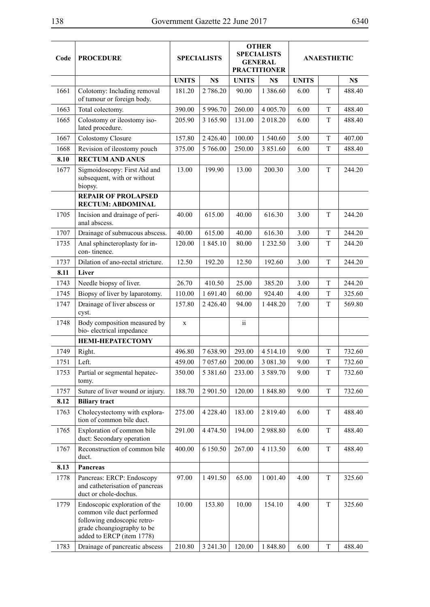| Code         | <b>PROCEDURE</b>                                                                                                                                      |                 | <b>SPECIALISTS</b> |                 | <b>OTHER</b><br><b>SPECIALISTS</b><br><b>GENERAL</b><br><b>PRACTITIONER</b> | <b>ANAESTHETIC</b> |        |                  |  |
|--------------|-------------------------------------------------------------------------------------------------------------------------------------------------------|-----------------|--------------------|-----------------|-----------------------------------------------------------------------------|--------------------|--------|------------------|--|
|              |                                                                                                                                                       | <b>UNITS</b>    | N\$                | <b>UNITS</b>    | N\$                                                                         | <b>UNITS</b>       |        | N\$              |  |
| 1661         | Colotomy: Including removal<br>of tumour or foreign body.                                                                                             | 181.20          | 2 786.20           | 90.00           | 1 3 8 6 . 6 0                                                               | 6.00               | T      | 488.40           |  |
| 1663         | Total colectomy.                                                                                                                                      | 390.00          | 5 996.70           | 260.00          | 4 005.70                                                                    | 6.00               | T      | 488.40           |  |
| 1665         | Colostomy or ileostomy iso-<br>lated procedure.                                                                                                       | 205.90          | 3 165.90           | 131.00          | 2 018.20                                                                    | 6.00               | T      | 488.40           |  |
| 1667         | Colostomy Closure                                                                                                                                     | 157.80          | 2 4 2 6 . 4 0      | 100.00          | 1 540.60                                                                    | 5.00               | T      | 407.00           |  |
| 1668         | Revision of ileostomy pouch                                                                                                                           | 375.00          | 5 766.00           | 250.00          | 3 851.60                                                                    | 6.00               | T      | 488.40           |  |
| 8.10         | <b>RECTUM AND ANUS</b>                                                                                                                                |                 |                    |                 |                                                                             |                    |        |                  |  |
| 1677         | Sigmoidoscopy: First Aid and<br>subsequent, with or without<br>biopsy.                                                                                | 13.00           | 199.90             | 13.00           | 200.30                                                                      | 3.00               | T      | 244.20           |  |
|              | <b>REPAIR OF PROLAPSED</b><br><b>RECTUM: ABDOMINAL</b>                                                                                                |                 |                    |                 |                                                                             |                    |        |                  |  |
| 1705         | Incision and drainage of peri-<br>anal abscess.                                                                                                       | 40.00           | 615.00             | 40.00           | 616.30                                                                      | 3.00               | T      | 244.20           |  |
| 1707         | Drainage of submucous abscess.                                                                                                                        | 40.00           | 615.00             | 40.00           | 616.30                                                                      | 3.00               | T      | 244.20           |  |
| 1735         | Anal sphincteroplasty for in-<br>con-tinence.                                                                                                         | 120.00          | 1 845.10           | 80.00           | 1 2 3 2 . 5 0                                                               | 3.00               | T      | 244.20           |  |
| 1737         | Dilation of ano-rectal stricture.                                                                                                                     | 12.50           | 192.20             | 12.50           | 192.60                                                                      | 3.00               | T      | 244.20           |  |
| 8.11         | Liver                                                                                                                                                 |                 |                    |                 |                                                                             |                    |        |                  |  |
| 1743         | Needle biopsy of liver.                                                                                                                               | 26.70           | 410.50             | 25.00           | 385.20                                                                      | 3.00               | T      | 244.20           |  |
| 1745         | Biopsy of liver by laparotomy.                                                                                                                        | 110.00          | 1 691.40           | 60.00           | 924.40                                                                      | 4.00               | T      | 325.60           |  |
| 1747         | Drainage of liver abscess or<br>cyst.                                                                                                                 | 157.80          | 2 4 2 6 . 4 0      | 94.00           | 1 448.20                                                                    | 7.00               | T      | 569.80           |  |
| 1748         | Body composition measured by<br>bio-electrical impedance                                                                                              | $\mathbf X$     |                    | $\ddot{\rm n}$  |                                                                             |                    |        |                  |  |
|              | <b>HEMI-HEPATECTOMY</b>                                                                                                                               |                 |                    |                 |                                                                             |                    |        |                  |  |
| 1749         | Right.                                                                                                                                                | 496.80          | 7638.90            | 293.00          | 4 5 1 4 . 1 0                                                               | 9.00               | T      | 732.60           |  |
| 1751         | Left.                                                                                                                                                 | 459.00          | 7 0 5 7 .60        | 200.00          | 3 081.30                                                                    | 9.00               | T      | 732.60           |  |
| 1753         | Partial or segmental hepatec-<br>tomy.                                                                                                                | 350.00          | 5 3 8 1 .60        | 233.00          | 3 5 8 9 . 7 0                                                               | 9.00               | T      | 732.60           |  |
| 1757         | Suture of liver wound or injury.                                                                                                                      | 188.70          | 2 901.50           | 120.00          | 1848.80                                                                     | 9.00               | T      | 732.60           |  |
| 8.12         | <b>Biliary tract</b>                                                                                                                                  |                 |                    |                 |                                                                             |                    |        |                  |  |
| 1763         | Cholecystectomy with explora-<br>tion of common bile duct.                                                                                            | 275.00          | 4 2 2 8 . 4 0      | 183.00          | 2 8 1 9 . 4 0                                                               | 6.00               | T      | 488.40           |  |
| 1765         | Exploration of common bile<br>duct: Secondary operation                                                                                               | 291.00          | 4 4 7 4 .50        | 194.00          | 2988.80                                                                     | 6.00               | T      | 488.40           |  |
| 1767         | Reconstruction of common bile<br>duct.                                                                                                                | 400.00          | 6 150.50           | 267.00          | 4 113.50                                                                    | 6.00               | T      | 488.40           |  |
| 8.13         | Pancreas                                                                                                                                              |                 |                    |                 |                                                                             |                    |        |                  |  |
| 1778         | Pancreas: ERCP: Endoscopy<br>and catheterisation of pancreas<br>duct or chole-dochus.                                                                 | 97.00           | 1491.50            | 65.00           | 1 001.40                                                                    | 4.00               | T      | 325.60           |  |
| 1779<br>1783 | Endoscopic exploration of the<br>common vile duct performed<br>following endoscopic retro-<br>grade choangiography to be<br>added to ERCP (item 1778) | 10.00<br>210.80 | 153.80             | 10.00<br>120.00 | 154.10                                                                      | 4.00<br>6.00       | T<br>T | 325.60<br>488.40 |  |
|              | Drainage of pancreatic abscess                                                                                                                        |                 | 3 241.30           |                 | 1 848.80                                                                    |                    |        |                  |  |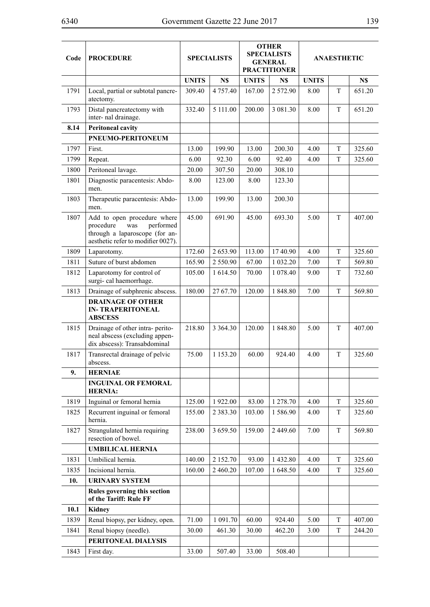| Code | <b>PROCEDURE</b>                                                                                                                     |              | <b>SPECIALISTS</b> |              | <b>OTHER</b><br><b>SPECIALISTS</b><br><b>GENERAL</b> | <b>ANAESTHETIC</b> |   |        |
|------|--------------------------------------------------------------------------------------------------------------------------------------|--------------|--------------------|--------------|------------------------------------------------------|--------------------|---|--------|
|      |                                                                                                                                      |              |                    |              | <b>PRACTITIONER</b>                                  |                    |   |        |
|      |                                                                                                                                      | <b>UNITS</b> | N\$                | <b>UNITS</b> | N\$                                                  | <b>UNITS</b>       |   | N\$    |
| 1791 | Local, partial or subtotal pancre-<br>atectomy.                                                                                      | 309.40       | 4 7 5 7 . 4 0      | 167.00       | 2 572.90                                             | 8.00               | T | 651.20 |
| 1793 | Distal pancreatectomy with<br>inter- nal drainage.                                                                                   | 332.40       | 5 111.00           | 200.00       | 3 081.30                                             | 8.00               | T | 651.20 |
| 8.14 | <b>Peritoneal cavity</b>                                                                                                             |              |                    |              |                                                      |                    |   |        |
|      | PNEUMO-PERITONEUM                                                                                                                    |              |                    |              |                                                      |                    |   |        |
| 1797 | First.                                                                                                                               | 13.00        | 199.90             | 13.00        | 200.30                                               | 4.00               | T | 325.60 |
| 1799 | Repeat.                                                                                                                              | 6.00         | 92.30              | 6.00         | 92.40                                                | 4.00               | T | 325.60 |
| 1800 | Peritoneal lavage.                                                                                                                   | 20.00        | 307.50             | 20.00        | 308.10                                               |                    |   |        |
| 1801 | Diagnostic paracentesis: Abdo-<br>men.                                                                                               | 8.00         | 123.00             | 8.00         | 123.30                                               |                    |   |        |
| 1803 | Therapeutic paracentesis: Abdo-<br>men.                                                                                              | 13.00        | 199.90             | 13.00        | 200.30                                               |                    |   |        |
| 1807 | Add to open procedure where<br>procedure<br>performed<br>was<br>through a laparoscope (for an-<br>aesthetic refer to modifier 0027). | 45.00        | 691.90             | 45.00        | 693.30                                               | 5.00               | T | 407.00 |
| 1809 | Laparotomy.                                                                                                                          | 172.60       | 2 653.90           | 113.00       | 17 40.90                                             | 4.00               | T | 325.60 |
| 1811 | Suture of burst abdomen                                                                                                              | 165.90       | 2 5 5 0 . 9 0      | 67.00        | 1 0 3 2 . 2 0                                        | 7.00               | T | 569.80 |
| 1812 | Laparotomy for control of<br>surgi- cal haemorrhage.                                                                                 | 105.00       | 1614.50            | 70.00        | 1 078.40                                             | 9.00               | T | 732.60 |
| 1813 | Drainage of subphrenic abscess.                                                                                                      | 180.00       | 27 67.70           | 120.00       | 1848.80                                              | 7.00               | T | 569.80 |
|      | <b>DRAINAGE OF OTHER</b><br><b>IN-TRAPERITONEAL</b><br><b>ABSCESS</b>                                                                |              |                    |              |                                                      |                    |   |        |
| 1815 | Drainage of other intra- perito-<br>neal abscess (excluding appen-<br>dix abscess): Transabdominal                                   | 218.80       | 3 3 6 4 3 0        | 120.00       | 1848.80                                              | 5.00               | T | 407.00 |
| 1817 | Transrectal drainage of pelvic<br>abscess.                                                                                           | 75.00        | 1 1 5 3 . 2 0      | 60.00        | 924.40                                               | 4.00               | T | 325.60 |
| 9.   | <b>HERNIAE</b>                                                                                                                       |              |                    |              |                                                      |                    |   |        |
|      | <b>INGUINAL OR FEMORAL</b><br><b>HERNIA:</b>                                                                                         |              |                    |              |                                                      |                    |   |        |
| 1819 | Inguinal or femoral hernia                                                                                                           | 125.00       | 1922.00            | 83.00        | 1 278.70                                             | 4.00               | T | 325.60 |
| 1825 | Recurrent inguinal or femoral<br>hernia.                                                                                             | 155.00       | 2 3 8 3 . 3 0      | 103.00       | 1586.90                                              | 4.00               | T | 325.60 |
| 1827 | Strangulated hernia requiring<br>resection of bowel.                                                                                 | 238.00       | 3 659.50           | 159.00       | 2 449.60                                             | 7.00               | T | 569.80 |
|      | <b>UMBILICAL HERNIA</b>                                                                                                              |              |                    |              |                                                      |                    |   |        |
| 1831 | Umbilical hernia.                                                                                                                    | 140.00       | 2 1 5 2 . 7 0      | 93.00        | 1 432.80                                             | 4.00               | T | 325.60 |
| 1835 | Incisional hernia.                                                                                                                   | 160.00       | 2 460.20           | 107.00       | 1 648.50                                             | 4.00               | T | 325.60 |
| 10.  | <b>URINARY SYSTEM</b>                                                                                                                |              |                    |              |                                                      |                    |   |        |
|      | Rules governing this section<br>of the Tariff: Rule FF                                                                               |              |                    |              |                                                      |                    |   |        |
| 10.1 | <b>Kidney</b>                                                                                                                        |              |                    |              |                                                      |                    |   |        |
| 1839 | Renal biopsy, per kidney, open.                                                                                                      | 71.00        | 1 091.70           | 60.00        | 924.40                                               | 5.00               | T | 407.00 |
| 1841 | Renal biopsy (needle).                                                                                                               | 30.00        | 461.30             | 30.00        | 462.20                                               | 3.00               | T | 244.20 |
|      | PERITONEAL DIALYSIS                                                                                                                  |              |                    |              |                                                      |                    |   |        |
| 1843 | First day.                                                                                                                           | 33.00        | 507.40             | 33.00        | 508.40                                               |                    |   |        |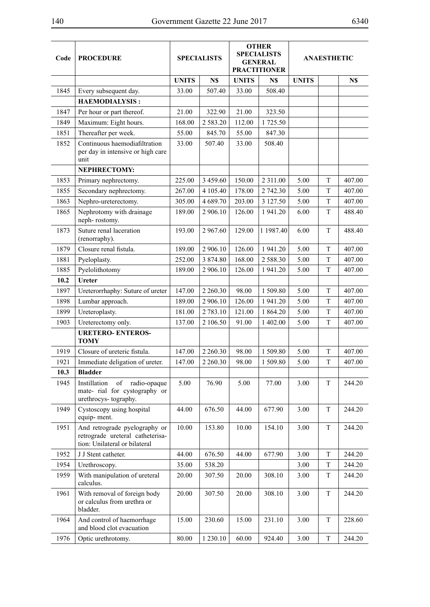۳,

 $\overline{\phantom{a}}$ 

| Code | <b>PROCEDURE</b>                                                                                   |              | <b>SPECIALISTS</b> |              | <b>OTHER</b><br><b>SPECIALISTS</b><br><b>GENERAL</b><br><b>PRACTITIONER</b> | <b>ANAESTHETIC</b> |             |        |
|------|----------------------------------------------------------------------------------------------------|--------------|--------------------|--------------|-----------------------------------------------------------------------------|--------------------|-------------|--------|
|      |                                                                                                    | <b>UNITS</b> | N\$                | <b>UNITS</b> | N\$                                                                         | <b>UNITS</b>       |             | N\$    |
| 1845 | Every subsequent day.                                                                              | 33.00        | 507.40             | 33.00        | 508.40                                                                      |                    |             |        |
|      | <b>HAEMODIALYSIS:</b>                                                                              |              |                    |              |                                                                             |                    |             |        |
| 1847 | Per hour or part thereof.                                                                          | 21.00        | 322.90             | 21.00        | 323.50                                                                      |                    |             |        |
| 1849 | Maximum: Eight hours.                                                                              | 168.00       | 2 5 8 3 . 2 0      | 112.00       | 1725.50                                                                     |                    |             |        |
| 1851 | Thereafter per week.                                                                               | 55.00        | 845.70             | 55.00        | 847.30                                                                      |                    |             |        |
| 1852 | Continuous haemodiafiltration<br>per day in intensive or high care<br>unit                         | 33.00        | 507.40             | 33.00        | 508.40                                                                      |                    |             |        |
|      | NEPHRECTOMY:                                                                                       |              |                    |              |                                                                             |                    |             |        |
| 1853 | Primary nephrectomy.                                                                               | 225.00       | 3 459.60           | 150.00       | 2 3 1 1 .00                                                                 | 5.00               | T           | 407.00 |
| 1855 | Secondary nephrectomy.                                                                             | 267.00       | 4 105.40           | 178.00       | 2 742.30                                                                    | 5.00               | T           | 407.00 |
| 1863 | Nephro-ureterectomy.                                                                               | 305.00       | 4 689.70           | 203.00       | 3 127.50                                                                    | 5.00               | T           | 407.00 |
| 1865 | Nephrotomy with drainage<br>neph-rostomy.                                                          | 189.00       | 2 906.10           | 126.00       | 1941.20                                                                     | 6.00               | T           | 488.40 |
| 1873 | Suture renal laceration<br>(renorraphy).                                                           | 193.00       | 2 967.60           | 129.00       | 1 1987.40                                                                   | 6.00               | T           | 488.40 |
| 1879 | Closure renal fistula.                                                                             | 189.00       | 2 906.10           | 126.00       | 1941.20                                                                     | 5.00               | T           | 407.00 |
| 1881 | Pyeloplasty.                                                                                       | 252.00       | 3 874.80           | 168.00       | 2588.30                                                                     | 5.00               | T           | 407.00 |
| 1885 | Pyelolithotomy                                                                                     | 189.00       | 2 906.10           | 126.00       | 1941.20                                                                     | 5.00               | T           | 407.00 |
| 10.2 | Ureter                                                                                             |              |                    |              |                                                                             |                    |             |        |
| 1897 | Ureterorrhaphy: Suture of ureter                                                                   | 147.00       | 2 2 6 0 . 3 0      | 98.00        | 1 509.80                                                                    | 5.00               | T           | 407.00 |
| 1898 | Lumbar approach.                                                                                   | 189.00       | 2 906.10           | 126.00       | 1941.20                                                                     | 5.00               | T           | 407.00 |
| 1899 | Ureteroplasty.                                                                                     | 181.00       | 2 783.10           | 121.00       | 1864.20                                                                     | 5.00               | T           | 407.00 |
| 1903 | Ureterectomy only.                                                                                 | 137.00       | 2 106.50           | 91.00        | 1 402.00                                                                    | 5.00               | $\mathbf T$ | 407.00 |
|      | <b>URETERO- ENTEROS-</b><br><b>TOMY</b>                                                            |              |                    |              |                                                                             |                    |             |        |
| 1919 | Closure of ureteric fistula.                                                                       | 147.00       | 2 2 6 0 . 3 0      | 98.00        | 1509.80                                                                     | 5.00               | T           | 407.00 |
| 1921 | Immediate deligation of ureter.                                                                    | 147.00       | 2 2 6 0 . 3 0      | 98.00        | 1509.80                                                                     | 5.00               | T           | 407.00 |
| 10.3 | <b>Bladder</b>                                                                                     |              |                    |              |                                                                             |                    |             |        |
| 1945 | Instillation<br>of<br>radio-opaque<br>mate- rial for cystography or<br>urethrocys-tography.        | 5.00         | 76.90              | 5.00         | 77.00                                                                       | 3.00               | T           | 244.20 |
| 1949 | Cystoscopy using hospital<br>equip-ment.                                                           | 44.00        | 676.50             | 44.00        | 677.90                                                                      | 3.00               | T           | 244.20 |
| 1951 | And retrograde pyelography or<br>retrograde ureteral catheterisa-<br>tion: Unilateral or bilateral | 10.00        | 153.80             | 10.00        | 154.10                                                                      | 3.00               | T           | 244.20 |
| 1952 | J J Stent catheter.                                                                                | 44.00        | 676.50             | 44.00        | 677.90                                                                      | 3.00               | T           | 244.20 |
| 1954 | Urethroscopy.                                                                                      | 35.00        | 538.20             |              |                                                                             | 3.00               | T           | 244.20 |
| 1959 | With manipulation of ureteral<br>calculus.                                                         | 20.00        | 307.50             | 20.00        | 308.10                                                                      | 3.00               | T           | 244.20 |
| 1961 | With removal of foreign body<br>or calculus from urethra or<br>bladder.                            | 20.00        | 307.50             | 20.00        | 308.10                                                                      | 3.00               | $\mathbf T$ | 244.20 |
| 1964 | And control of haemorrhage<br>and blood clot evacuation                                            | 15.00        | 230.60             | 15.00        | 231.10                                                                      | 3.00               | T           | 228.60 |
| 1976 | Optic urethrotomy.                                                                                 | 80.00        | 1 230.10           | 60.00        | 924.40                                                                      | 3.00               | T           | 244.20 |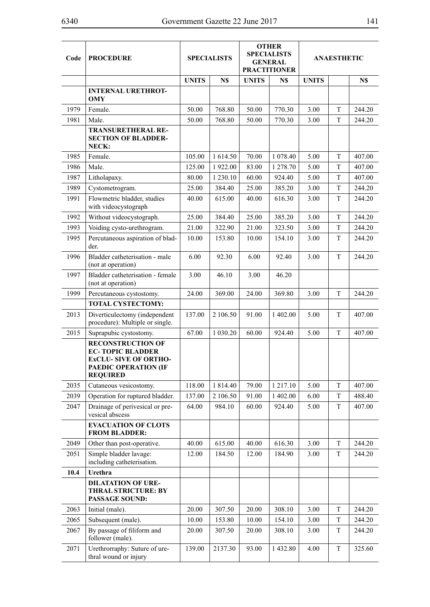| Code | <b>PROCEDURE</b>                                                                                                                     |              | <b>SPECIALISTS</b> |              | <b>OTHER</b><br><b>SPECIALISTS</b><br><b>GENERAL</b><br><b>PRACTITIONER</b> | <b>ANAESTHETIC</b> |   |        |
|------|--------------------------------------------------------------------------------------------------------------------------------------|--------------|--------------------|--------------|-----------------------------------------------------------------------------|--------------------|---|--------|
|      |                                                                                                                                      | <b>UNITS</b> | N\$                | <b>UNITS</b> | N\$                                                                         | <b>UNITS</b>       |   | N\$    |
|      | <b>INTERNAL URETHROT-</b><br>OMY                                                                                                     |              |                    |              |                                                                             |                    |   |        |
| 1979 | Female.                                                                                                                              | 50.00        | 768.80             | 50.00        | 770.30                                                                      | 3.00               | T | 244.20 |
| 1981 | Male.                                                                                                                                | 50.00        | 768.80             | 50.00        | 770.30                                                                      | 3.00               | T | 244.20 |
|      | <b>TRANSURETHERAL RE-</b><br><b>SECTION OF BLADDER-</b><br>NECK:                                                                     |              |                    |              |                                                                             |                    |   |        |
| 1985 | Female.                                                                                                                              | 105.00       | 1614.50            | 70.00        | 1 078.40                                                                    | 5.00               | T | 407.00 |
| 1986 | Male.                                                                                                                                | 125.00       | 1922.00            | 83.00        | 1 278.70                                                                    | 5.00               | T | 407.00 |
| 1987 | Litholapaxy.                                                                                                                         | 80.00        | 1 230.10           | 60.00        | 924.40                                                                      | 5.00               | T | 407.00 |
| 1989 | Cystometrogram.                                                                                                                      | 25.00        | 384.40             | 25.00        | 385.20                                                                      | 3.00               | T | 244.20 |
| 1991 | Flowmetric bladder, studies<br>with videocystograph                                                                                  | 40.00        | 615.00             | 40.00        | 616.30                                                                      | 3.00               | T | 244.20 |
| 1992 | Without videocystograph.                                                                                                             | 25.00        | 384.40             | 25.00        | 385.20                                                                      | 3.00               | T | 244.20 |
| 1993 | Voiding cysto-urethrogram.                                                                                                           | 21.00        | 322.90             | 21.00        | 323.50                                                                      | 3.00               | T | 244.20 |
| 1995 | Percutaneous aspiration of blad-<br>der.                                                                                             | 10.00        | 153.80             | 10.00        | 154.10                                                                      | 3.00               | T | 244.20 |
| 1996 | Bladder catheterisation - male<br>(not at operation)                                                                                 | 6.00         | 92.30              | 6.00         | 92.40                                                                       | 3.00               | T | 244.20 |
| 1997 | Bladder catheterisation - female<br>(not at operation)                                                                               | 3.00         | 46.10              | 3.00         | 46.20                                                                       |                    |   |        |
| 1999 | Percutaneous cystostomy.                                                                                                             | 24.00        | 369.00             | 24.00        | 369.80                                                                      | 3.00               | T | 244.20 |
|      | <b>TOTAL CYSTECTOMY:</b>                                                                                                             |              |                    |              |                                                                             |                    |   |        |
| 2013 | Diverticulectomy (independent<br>procedure): Multiple or single.                                                                     | 137.00       | 2 106.50           | 91.00        | 1 402.00                                                                    | 5.00               | T | 407.00 |
| 2015 | Suprapubic cystostomy.                                                                                                               | 67.00        | 1 030.20           | 60.00        | 924.40                                                                      | 5.00               | T | 407.00 |
|      | <b>RECONSTRUCTION OF</b><br><b>EC-TOPIC BLADDER</b><br><b>EXCLU-SIVE OF ORTHO-</b><br><b>PAEDIC OPERATION (IF</b><br><b>REQUIRED</b> |              |                    |              |                                                                             |                    |   |        |
| 2035 | Cutaneous vesicostomy.                                                                                                               | 118.00       | 1814.40            | 79.00        | 1217.10                                                                     | 5.00               | T | 407.00 |
| 2039 | Operation for ruptured bladder.                                                                                                      | 137.00       | 2 106.50           | 91.00        | 1 402.00                                                                    | 6.00               | T | 488.40 |
| 2047 | Drainage of perivesical or pre-<br>vesical abscess                                                                                   | 64.00        | 984.10             | 60.00        | 924.40                                                                      | 5.00               | T | 407.00 |
|      | <b>EVACUATION OF CLOTS</b><br><b>FROM BLADDER:</b>                                                                                   |              |                    |              |                                                                             |                    |   |        |
| 2049 | Other than post-operative.                                                                                                           | 40.00        | 615.00             | 40.00        | 616.30                                                                      | 3.00               | T | 244.20 |
| 2051 | Simple bladder lavage:<br>including catheterisation.                                                                                 | 12.00        | 184.50             | 12.00        | 184.90                                                                      | 3.00               | T | 244.20 |
| 10.4 | <b>Urethra</b>                                                                                                                       |              |                    |              |                                                                             |                    |   |        |
|      | <b>DILATATION OF URE-</b><br><b>THRAL STRICTURE: BY</b><br>PASSAGE SOUND:                                                            |              |                    |              |                                                                             |                    |   |        |
| 2063 | Initial (male).                                                                                                                      | 20.00        | 307.50             | 20.00        | 308.10                                                                      | 3.00               | T | 244.20 |
| 2065 | Subsequent (male).                                                                                                                   | 10.00        | 153.80             | 10.00        | 154.10                                                                      | 3.00               | T | 244.20 |
| 2067 | By passage of filiform and<br>follower (male).                                                                                       | 20.00        | 307.50             | 20.00        | 308.10                                                                      | 3.00               | T | 244.20 |
| 2071 | Urethrorraphy: Suture of ure-<br>thral wound or injury                                                                               | 139.00       | 2137.30            | 93.00        | 1432.80                                                                     | 4.00               | T | 325.60 |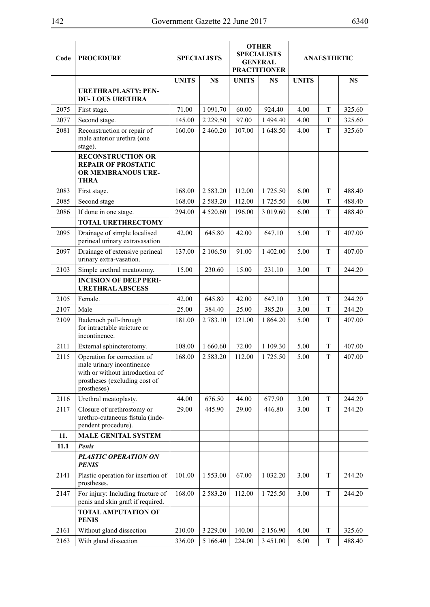| Code | <b>PROCEDURE</b>                                                                                                                            | <b>SPECIALISTS</b> |               | <b>OTHER</b><br><b>SPECIALISTS</b><br><b>GENERAL</b> |                     | <b>ANAESTHETIC</b> |   |        |
|------|---------------------------------------------------------------------------------------------------------------------------------------------|--------------------|---------------|------------------------------------------------------|---------------------|--------------------|---|--------|
|      |                                                                                                                                             |                    |               |                                                      | <b>PRACTITIONER</b> |                    |   |        |
|      |                                                                                                                                             | <b>UNITS</b>       | N\$           | <b>UNITS</b>                                         | N\$                 | <b>UNITS</b>       |   | N\$    |
|      | <b>URETHRAPLASTY: PEN-</b><br><b>DU-LOUS URETHRA</b>                                                                                        |                    |               |                                                      |                     |                    |   |        |
| 2075 | First stage.                                                                                                                                | 71.00              | 1 091.70      | 60.00                                                | 924.40              | 4.00               | T | 325.60 |
| 2077 | Second stage.                                                                                                                               | 145.00             | 2 2 2 9 . 5 0 | 97.00                                                | 1 494.40            | 4.00               | T | 325.60 |
| 2081 | Reconstruction or repair of<br>male anterior urethra (one<br>stage).                                                                        | 160.00             | 2460.20       | 107.00                                               | 1648.50             | 4.00               | T | 325.60 |
|      | <b>RECONSTRUCTION OR</b><br><b>REPAIR OF PROSTATIC</b><br>OR MEMBRANOUS URE-<br><b>THRA</b>                                                 |                    |               |                                                      |                     |                    |   |        |
| 2083 | First stage.                                                                                                                                | 168.00             | 2 5 8 3 . 2 0 | 112.00                                               | 1 725.50            | 6.00               | T | 488.40 |
| 2085 | Second stage                                                                                                                                | 168.00             | 2 5 8 3 . 2 0 | 112.00                                               | 1725.50             | 6.00               | T | 488.40 |
| 2086 | If done in one stage.                                                                                                                       | 294.00             | 4 5 20.60     | 196.00                                               | 3 019.60            | 6.00               | T | 488.40 |
|      | <b>TOTAL URETHRECTOMY</b>                                                                                                                   |                    |               |                                                      |                     |                    |   |        |
| 2095 | Drainage of simple localised<br>perineal urinary extravasation                                                                              | 42.00              | 645.80        | 42.00                                                | 647.10              | 5.00               | T | 407.00 |
| 2097 | Drainage of extensive perineal<br>urinary extra-vasation.                                                                                   | 137.00             | 2 106.50      | 91.00                                                | 1402.00             | 5.00               | T | 407.00 |
| 2103 | Simple urethral meatotomy.                                                                                                                  | 15.00              | 230.60        | 15.00                                                | 231.10              | 3.00               | T | 244.20 |
|      | <b>INCISION OF DEEP PERI-</b><br><b>URETHRAL ABSCESS</b>                                                                                    |                    |               |                                                      |                     |                    |   |        |
| 2105 | Female.                                                                                                                                     | 42.00              | 645.80        | 42.00                                                | 647.10              | 3.00               | T | 244.20 |
| 2107 | Male                                                                                                                                        | 25.00              | 384.40        | 25.00                                                | 385.20              | 3.00               | T | 244.20 |
| 2109 | Badenoch pull-through<br>for intractable stricture or<br>incontinence.                                                                      | 181.00             | 2 783.10      | 121.00                                               | 1 864.20            | 5.00               | T | 407.00 |
| 2111 | External sphincterotomy.                                                                                                                    | 108.00             | 1 660.60      | 72.00                                                | 1 109.30            | 5.00               | T | 407.00 |
| 2115 | Operation for correction of<br>male urinary incontinence<br>with or without introduction of<br>prostheses (excluding cost of<br>prostheses) | 168.00             | 2583.20       | 112.00                                               | 1725.50             | 5.00               | T | 407.00 |
| 2116 | Urethral meatoplasty.                                                                                                                       | 44.00              | 676.50        | 44.00                                                | 677.90              | 3.00               | T | 244.20 |
| 2117 | Closure of urethrostomy or<br>urethro-cutaneous fistula (inde-<br>pendent procedure).                                                       | 29.00              | 445.90        | 29.00                                                | 446.80              | 3.00               | T | 244.20 |
| 11.  | <b>MALE GENITAL SYSTEM</b>                                                                                                                  |                    |               |                                                      |                     |                    |   |        |
| 11.1 | <b>Penis</b>                                                                                                                                |                    |               |                                                      |                     |                    |   |        |
|      | <b>PLASTIC OPERATION ON</b><br><b>PENIS</b>                                                                                                 |                    |               |                                                      |                     |                    |   |        |
| 2141 | Plastic operation for insertion of<br>prostheses.                                                                                           | 101.00             | 1 553.00      | 67.00                                                | 1 0 3 2 . 2 0       | 3.00               | T | 244.20 |
| 2147 | For injury: Including fracture of<br>penis and skin graft if required.                                                                      | 168.00             | 2583.20       | 112.00                                               | 1 725.50            | 3.00               | T | 244.20 |
|      | <b>TOTAL AMPUTATION OF</b><br><b>PENIS</b>                                                                                                  |                    |               |                                                      |                     |                    |   |        |
| 2161 | Without gland dissection                                                                                                                    | 210.00             | 3 2 2 9 .00   | 140.00                                               | 2 156.90            | 4.00               | T | 325.60 |
| 2163 | With gland dissection                                                                                                                       | 336.00             | 5 166.40      | 224.00                                               | 3 451.00            | 6.00               | T | 488.40 |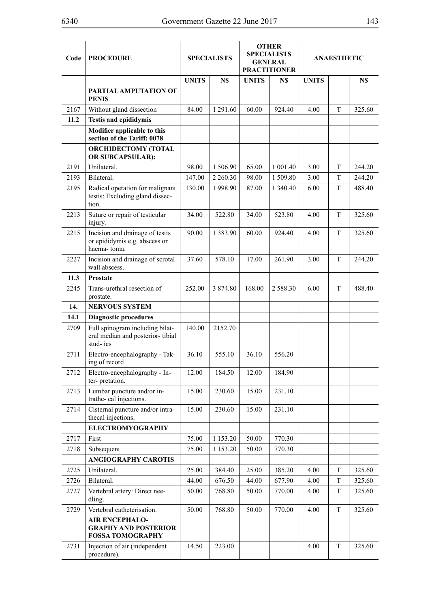| Code | <b>PROCEDURE</b>                                                                |              | <b>SPECIALISTS</b> |              | <b>OTHER</b><br><b>SPECIALISTS</b><br><b>GENERAL</b><br><b>PRACTITIONER</b> | <b>ANAESTHETIC</b> |   |        |  |  |
|------|---------------------------------------------------------------------------------|--------------|--------------------|--------------|-----------------------------------------------------------------------------|--------------------|---|--------|--|--|
|      |                                                                                 | <b>UNITS</b> | N\$                | <b>UNITS</b> | N\$                                                                         | <b>UNITS</b>       |   | N\$    |  |  |
|      | PARTIAL AMPUTATION OF<br><b>PENIS</b>                                           |              |                    |              |                                                                             |                    |   |        |  |  |
| 2167 | Without gland dissection                                                        | 84.00        | 1 291.60           | 60.00        | 924.40                                                                      | 4.00               | T | 325.60 |  |  |
| 11.2 | <b>Testis and epididymis</b>                                                    |              |                    |              |                                                                             |                    |   |        |  |  |
|      | Modifier applicable to this<br>section of the Tariff: 0078                      |              |                    |              |                                                                             |                    |   |        |  |  |
|      | <b>ORCHIDECTOMY (TOTAL</b><br>OR SUBCAPSULAR):                                  |              |                    |              |                                                                             |                    |   |        |  |  |
| 2191 | Unilateral.                                                                     | 98.00        | 1 506.90           | 65.00        | 1 001.40                                                                    | 3.00               | T | 244.20 |  |  |
| 2193 | Bilateral.                                                                      | 147.00       | 2 2 6 0 . 3 0      | 98.00        | 1 509.80                                                                    | 3.00               | T | 244.20 |  |  |
| 2195 | Radical operation for malignant<br>testis: Excluding gland dissec-<br>tion.     | 130.00       | 1998.90            | 87.00        | 1 340.40                                                                    | 6.00               | T | 488.40 |  |  |
| 2213 | Suture or repair of testicular<br>injury.                                       | 34.00        | 522.80             | 34.00        | 523.80                                                                      | 4.00               | T | 325.60 |  |  |
| 2215 | Incision and drainage of testis<br>or epididymis e.g. abscess or<br>haema-toma. | 90.00        | 1 3 8 3 . 9 0      | 60.00        | 924.40                                                                      | 4.00               | T | 325.60 |  |  |
| 2227 | Incision and drainage of scrotal<br>wall abscess.                               | 37.60        | 578.10             | 17.00        | 261.90                                                                      | 3.00               | T | 244.20 |  |  |
| 11.3 | <b>Prostate</b>                                                                 |              |                    |              |                                                                             |                    |   |        |  |  |
| 2245 | Trans-urethral resection of<br>prostate.                                        | 252.00       | 3 874.80           | 168.00       | 2 5 8 8 . 3 0                                                               | 6.00               | T | 488.40 |  |  |
| 14.  | <b>NERVOUS SYSTEM</b>                                                           |              |                    |              |                                                                             |                    |   |        |  |  |
| 14.1 | <b>Diagnostic procedures</b>                                                    |              |                    |              |                                                                             |                    |   |        |  |  |
| 2709 | Full spinogram including bilat-<br>eral median and posterior-tibial<br>stud-ies | 140.00       | 2152.70            |              |                                                                             |                    |   |        |  |  |
| 2711 | Electro-encephalography - Tak-<br>ing of record                                 | 36.10        | 555.10             | 36.10        | 556.20                                                                      |                    |   |        |  |  |
| 2712 | Electro-encephalography - In-<br>ter-pretation.                                 | 12.00        | 184.50             | 12.00        | 184.90                                                                      |                    |   |        |  |  |
| 2713 | Lumbar puncture and/or in-<br>trathe-cal injections.                            | 15.00        | 230.60             | 15.00        | 231.10                                                                      |                    |   |        |  |  |
| 2714 | Cisternal puncture and/or intra-<br>thecal injections.                          | 15.00        | 230.60             | 15.00        | 231.10                                                                      |                    |   |        |  |  |
|      | <b>ELECTROMYOGRAPHY</b>                                                         |              |                    |              |                                                                             |                    |   |        |  |  |
| 2717 | First                                                                           | 75.00        | 1 153.20           | 50.00        | 770.30                                                                      |                    |   |        |  |  |
| 2718 | Subsequent                                                                      | 75.00        | 1 1 5 3 . 2 0      | 50.00        | 770.30                                                                      |                    |   |        |  |  |
|      | <b>ANGIOGRAPHY CAROTIS</b>                                                      |              |                    |              |                                                                             |                    |   |        |  |  |
| 2725 | Unilateral.                                                                     | 25.00        | 384.40             | 25.00        | 385.20                                                                      | 4.00               | T | 325.60 |  |  |
| 2726 | Bilateral.                                                                      | 44.00        | 676.50             | 44.00        | 677.90                                                                      | 4.00               | T | 325.60 |  |  |
| 2727 | Vertebral artery: Direct nee-<br>dling.                                         | 50.00        | 768.80             | 50.00        | 770.00                                                                      | 4.00               | T | 325.60 |  |  |
| 2729 | Vertebral catheterisation.                                                      | 50.00        | 768.80             | 50.00        | 770.00                                                                      | 4.00               | T | 325.60 |  |  |
|      | <b>AIR ENCEPHALO-</b><br><b>GRAPHY AND POSTERIOR</b><br><b>FOSSA TOMOGRAPHY</b> |              |                    |              |                                                                             |                    |   |        |  |  |
| 2731 | Injection of air (independent<br>procedure).                                    | 14.50        | 223.00             |              |                                                                             | 4.00               | T | 325.60 |  |  |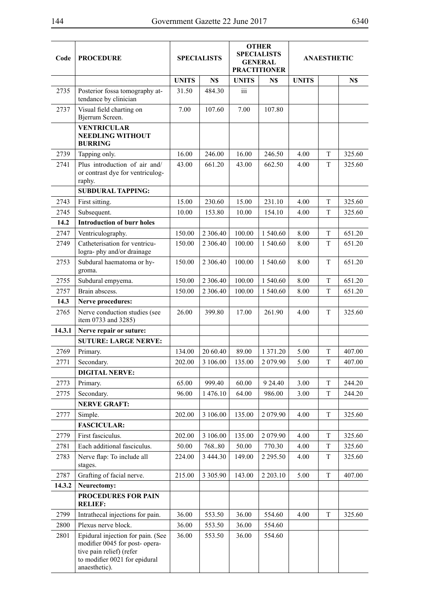۰.

 $\overline{\phantom{a}}$ 

| Code   | <b>PROCEDURE</b>                                                                                                                                  |              | <b>SPECIALISTS</b> | <b>SPECIALISTS</b><br><b>GENERAL</b><br><b>PRACTITIONER</b> |               | <b>OTHER</b><br><b>ANAESTHETIC</b> |             |        |
|--------|---------------------------------------------------------------------------------------------------------------------------------------------------|--------------|--------------------|-------------------------------------------------------------|---------------|------------------------------------|-------------|--------|
|        |                                                                                                                                                   | <b>UNITS</b> | N\$                | <b>UNITS</b>                                                | N\$           | <b>UNITS</b>                       |             | N\$    |
| 2735   | Posterior fossa tomography at-<br>tendance by clinician                                                                                           | 31.50        | 484.30             | iii                                                         |               |                                    |             |        |
| 2737   | Visual field charting on<br>Bjerrum Screen.                                                                                                       | 7.00         | 107.60             | 7.00                                                        | 107.80        |                                    |             |        |
|        | <b>VENTRICULAR</b><br><b>NEEDLING WITHOUT</b><br><b>BURRING</b>                                                                                   |              |                    |                                                             |               |                                    |             |        |
| 2739   | Tapping only.                                                                                                                                     | 16.00        | 246.00             | 16.00                                                       | 246.50        | 4.00                               | T           | 325.60 |
| 2741   | Plus introduction of air and/<br>or contrast dye for ventriculog-<br>raphy.                                                                       | 43.00        | 661.20             | 43.00                                                       | 662.50        | 4.00                               | T           | 325.60 |
|        | <b>SUBDURAL TAPPING:</b>                                                                                                                          |              |                    |                                                             |               |                                    |             |        |
| 2743   | First sitting.                                                                                                                                    | 15.00        | 230.60             | 15.00                                                       | 231.10        | 4.00                               | T           | 325.60 |
| 2745   | Subsequent.                                                                                                                                       | 10.00        | 153.80             | 10.00                                                       | 154.10        | 4.00                               | T           | 325.60 |
| 14.2   | <b>Introduction of burr holes</b>                                                                                                                 |              |                    |                                                             |               |                                    |             |        |
| 2747   | Ventriculography.                                                                                                                                 | 150.00       | 2 3 0 6 .40        | 100.00                                                      | 1 540.60      | 8.00                               | $\mathbf T$ | 651.20 |
| 2749   | Catheterisation for ventricu-<br>logra-phy and/or drainage                                                                                        | 150.00       | 2 3 0 6 . 4 0      | 100.00                                                      | 1 540.60      | 8.00                               | T           | 651.20 |
| 2753   | Subdural haematoma or hy-<br>groma.                                                                                                               | 150.00       | 2 3 0 6 . 4 0      | 100.00                                                      | 1 540.60      | 8.00                               | T           | 651.20 |
| 2755   | Subdural empyema.                                                                                                                                 | 150.00       | 2 3 0 6.40         | 100.00                                                      | 1 540.60      | 8.00                               | T           | 651.20 |
| 2757   | Brain abscess.                                                                                                                                    | 150.00       | 2 3 0 6 . 4 0      | 100.00                                                      | 1 540.60      | 8.00                               | T           | 651.20 |
| 14.3   | Nerve procedures:                                                                                                                                 |              |                    |                                                             |               |                                    |             |        |
| 2765   | Nerve conduction studies (see<br>item 0733 and 3285)                                                                                              | 26.00        | 399.80             | 17.00                                                       | 261.90        | 4.00                               | T           | 325.60 |
| 14.3.1 | Nerve repair or suture:                                                                                                                           |              |                    |                                                             |               |                                    |             |        |
|        | <b>SUTURE: LARGE NERVE:</b>                                                                                                                       |              |                    |                                                             |               |                                    |             |        |
| 2769   | Primary.                                                                                                                                          | 134.00       | 20 60.40           | 89.00                                                       | 1371.20       | 5.00                               | T           | 407.00 |
| 2771   | Secondary.                                                                                                                                        | 202.00       | 3 106.00           | 135.00                                                      | 2079.90       | 5.00                               | T           | 407.00 |
|        | <b>DIGITAL NERVE:</b>                                                                                                                             |              |                    |                                                             |               |                                    |             |        |
| 2773   | Primary.                                                                                                                                          | 65.00        | 999.40             | 60.00                                                       | 9 24.40       | 3.00                               | T           | 244.20 |
| 2775   | Secondary.                                                                                                                                        | 96.00        | 1476.10            | 64.00                                                       | 986.00        | 3.00                               | T           | 244.20 |
|        | <b>NERVE GRAFT:</b>                                                                                                                               |              |                    |                                                             |               |                                    |             |        |
| 2777   | Simple.                                                                                                                                           | 202.00       | 3 106.00           | 135.00                                                      | 2 0 79.90     | 4.00                               | T           | 325.60 |
|        | <b>FASCICULAR:</b>                                                                                                                                |              |                    |                                                             |               |                                    |             |        |
| 2779   | First fasciculus.                                                                                                                                 | 202.00       | 3 106.00           | 135.00                                                      | 2 0 7 9 . 9 0 | 4.00                               | T           | 325.60 |
| 2781   | Each additional fasciculus.                                                                                                                       | 50.00        | 76880              | 50.00                                                       | 770.30        | 4.00                               | T           | 325.60 |
| 2783   | Nerve flap: To include all<br>stages.                                                                                                             | 224.00       | 3 444.30           | 149.00                                                      | 2 2 9 5 .50   | 4.00                               | T           | 325.60 |
| 2787   | Grafting of facial nerve.                                                                                                                         | 215.00       | 3 3 0 5 .90        | 143.00                                                      | 2 2 0 3 . 1 0 | 5.00                               | T           | 407.00 |
| 14.3.2 | Neurectomy:                                                                                                                                       |              |                    |                                                             |               |                                    |             |        |
|        | PROCEDURES FOR PAIN<br><b>RELIEF:</b>                                                                                                             |              |                    |                                                             |               |                                    |             |        |
| 2799   | Intrathecal injections for pain.                                                                                                                  | 36.00        | 553.50             | 36.00                                                       | 554.60        | 4.00                               | T           | 325.60 |
| 2800   | Plexus nerve block.                                                                                                                               | 36.00        | 553.50             | 36.00                                                       | 554.60        |                                    |             |        |
| 2801   | Epidural injection for pain. (See<br>modifier 0045 for post- opera-<br>tive pain relief) (refer<br>to modifier 0021 for epidural<br>anaesthetic). | 36.00        | 553.50             | 36.00                                                       | 554.60        |                                    |             |        |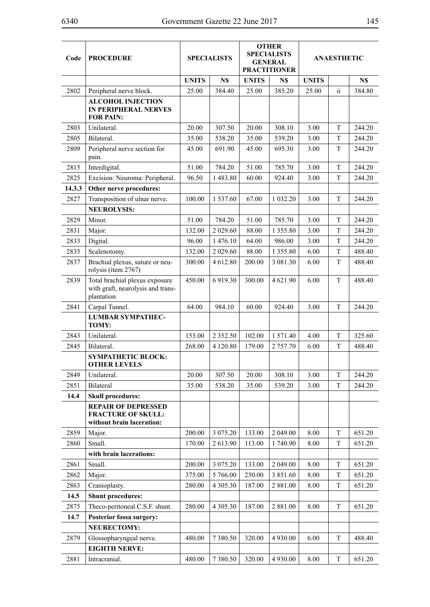| Code   | <b>PROCEDURE</b>                                                                     |              | <b>SPECIALISTS</b> | <b>OTHER</b><br><b>SPECIALISTS</b><br><b>GENERAL</b><br><b>PRACTITIONER</b> |               |              | <b>ANAESTHETIC</b> |        |
|--------|--------------------------------------------------------------------------------------|--------------|--------------------|-----------------------------------------------------------------------------|---------------|--------------|--------------------|--------|
|        |                                                                                      | <b>UNITS</b> | N\$                | <b>UNITS</b>                                                                | N\$           | <b>UNITS</b> |                    | N\$    |
| 2802   | Peripheral nerve block.                                                              | 25.00        | 384.40             | 25.00                                                                       | 385.20        | 25.00        | $\ddot{\rm{11}}$   | 384.80 |
|        | <b>ALCOHOL INJECTION</b><br><b>IN PERIPHERAL NERVES</b><br><b>FOR PAIN:</b>          |              |                    |                                                                             |               |              |                    |        |
| 2803   | Unilateral.                                                                          | 20.00        | 307.50             | 20.00                                                                       | 308.10        | 3.00         | T                  | 244.20 |
| 2805   | Bilateral.                                                                           | 35.00        | 538.20             | 35.00                                                                       | 539.20        | 3.00         | T                  | 244.20 |
| 2809   | Peripheral nerve section for<br>pain.                                                | 45.00        | 691.90             | 45.00                                                                       | 695.30        | 3.00         | T                  | 244.20 |
| 2815   | Interdigital.                                                                        | 51.00        | 784.20             | 51.00                                                                       | 785.70        | 3.00         | T                  | 244.20 |
| 2825   | Excision: Neuroma: Peripheral.                                                       | 96.50        | 1483.80            | 60.00                                                                       | 924.40        | 3.00         | T                  | 244.20 |
| 14.3.3 | Other nerve procedures:                                                              |              |                    |                                                                             |               |              |                    |        |
| 2827   | Transposition of ulnar nerve.                                                        | 100.00       | 1 537.60           | 67.00                                                                       | 1 0 3 2 . 2 0 | 3.00         | T                  | 244.20 |
|        | <b>NEUROLYSIS:</b>                                                                   |              |                    |                                                                             |               |              |                    |        |
| 2829   | Minor.                                                                               | 51.00        | 784.20             | 51.00                                                                       | 785.70        | 3.00         | T                  | 244.20 |
| 2831   | Major.                                                                               | 132.00       | 2 029.60           | 88.00                                                                       | 1 3 5 5 . 8 0 | 3.00         | T                  | 244.20 |
| 2833   | Digital.                                                                             | 96.00        | 1 476.10           | 64.00                                                                       | 986.00        | 3.00         | T                  | 244.20 |
| 2835   | Scalenotomy.                                                                         | 132.00       | 2 029.60           | 88.00                                                                       | 1355.80       | 6.00         | T                  | 488.40 |
| 2837   | Brachial plexus, suture or neu-<br>rolysis (item 2767)                               | 300.00       | 4 612.80           | 200.00                                                                      | 3 081.30      | 6.00         | T                  | 488.40 |
| 2839   | Total brachial plexus exposure<br>with graft, neurolysis and trans-<br>plantation    | 450.00       | 6919.30            | 300.00                                                                      | 4 621.90      | 6.00         | T                  | 488.40 |
| 2841   | Carpal Tunnel.                                                                       | 64.00        | 984.10             | 60.00                                                                       | 924.40        | 3.00         | T                  | 244.20 |
|        | <b>LUMBAR SYMPATHEC-</b><br>TOMY:                                                    |              |                    |                                                                             |               |              |                    |        |
| 2843   | Unilateral.                                                                          | 153.00       | 2 3 5 2 . 5 0      | 102.00                                                                      | 1 571.40      | 4.00         | T                  | 325.60 |
| 2845   | Bilateral.                                                                           | 268.00       | 4 120.80           | 179.00                                                                      | 2 757.70      | 6.00         | T                  | 488.40 |
|        | <b>SYMPATHETIC BLOCK:</b><br><b>OTHER LEVELS</b>                                     |              |                    |                                                                             |               |              |                    |        |
| 2849   | Unilateral.                                                                          | 20.00        | 307.50             | 20.00                                                                       | 308.10        | 3.00         | T                  | 244.20 |
| 2851   | Bilateral                                                                            | 35.00        | 538.20             | 35.00                                                                       | 539.20        | 3.00         | T                  | 244.20 |
| 14.4   | <b>Skull procedures:</b>                                                             |              |                    |                                                                             |               |              |                    |        |
|        | <b>REPAIR OF DEPRESSED</b><br><b>FRACTURE OF SKULL:</b><br>without brain laceration: |              |                    |                                                                             |               |              |                    |        |
| 2859   | Major.                                                                               | 200.00       | 3 075.20           | 133.00                                                                      | 2 049.00      | 8.00         | T                  | 651.20 |
| 2860   | Small.                                                                               | 170.00       | 2613.90            | 113.00                                                                      | 1740.90       | 8.00         | T                  | 651.20 |
|        | with brain lacerations:                                                              |              |                    |                                                                             |               |              |                    |        |
| 2861   | Small.                                                                               | 200.00       | 3 075.20           | 133.00                                                                      | 2 049.00      | 8.00         | T                  | 651.20 |
| 2862   | Major.                                                                               | 375.00       | 5 766.00           | 250.00                                                                      | 3 851.60      | 8.00         | T                  | 651.20 |
| 2863   | Cranioplasty.                                                                        | 280.00       | 4 3 0 5 . 3 0      | 187.00                                                                      | 2 881.00      | 8.00         | T                  | 651.20 |
| 14.5   | <b>Shunt procedures:</b>                                                             |              |                    |                                                                             |               |              |                    |        |
| 2875   | Theco-peritoneal C.S.F. shunt.                                                       | 280.00       | 4 3 0 5 . 3 0      | 187.00                                                                      | 2 881.00      | 8.00         | T                  | 651.20 |
| 14.7   | <b>Posterior fossa surgery:</b>                                                      |              |                    |                                                                             |               |              |                    |        |
|        | <b>NEURECTOMY:</b>                                                                   |              |                    |                                                                             |               |              |                    |        |
| 2879   | Glossopharyngeal nerve.                                                              | 480.00       | 7380.50            | 320.00                                                                      | 4930.00       | 6.00         | T                  | 488.40 |
|        | <b>EIGHTH NERVE:</b>                                                                 |              |                    |                                                                             |               |              |                    |        |
| 2881   | Intracranial.                                                                        | 480.00       | 7380.50            | 320.00                                                                      | 4930.00       | 8.00         | $\mathbf T$        | 651.20 |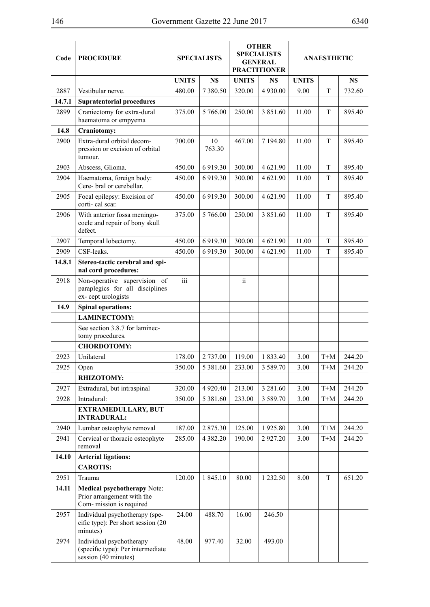۳

 $\overline{\phantom{a}}$ 

|                |                                                                                             |                           |                    |               | <b>OTHER</b><br><b>SPECIALISTS</b> |              |                    |        |  |
|----------------|---------------------------------------------------------------------------------------------|---------------------------|--------------------|---------------|------------------------------------|--------------|--------------------|--------|--|
| Code           | <b>PROCEDURE</b>                                                                            |                           | <b>SPECIALISTS</b> |               | <b>GENERAL</b>                     |              | <b>ANAESTHETIC</b> |        |  |
|                |                                                                                             |                           |                    |               | <b>PRACTITIONER</b>                |              |                    |        |  |
|                |                                                                                             | <b>UNITS</b>              | N\$                | <b>UNITS</b>  | N\$<br>4 9 3 0 . 0 0               | <b>UNITS</b> | T                  | N\$    |  |
| 2887<br>14.7.1 | Vestibular nerve.<br><b>Supratentorial procedures</b>                                       | 480.00                    | 7380.50            | 320.00        |                                    | 9.00         |                    | 732.60 |  |
| 2899           |                                                                                             |                           |                    | 250.00        |                                    | 11.00        | T                  | 895.40 |  |
|                | Craniectomy for extra-dural<br>haematoma or empyema                                         | 375.00                    | 5 766.00           |               | 3 851.60                           |              |                    |        |  |
| 14.8           | Craniotomy:                                                                                 |                           |                    |               |                                    |              |                    |        |  |
| 2900           | Extra-dural orbital decom-<br>pression or excision of orbital<br>tumour.                    | 700.00                    | 10<br>763.30       | 467.00        | 7 194.80                           | 11.00        | T                  | 895.40 |  |
| 2903           | Abscess, Glioma.                                                                            | 450.00                    | 6919.30            | 300.00        | 4 621.90                           | 11.00        | T                  | 895.40 |  |
| 2904           | Haematoma, foreign body:<br>Cere- bral or cerebellar.                                       | 450.00                    | 6919.30            | 300.00        | 4 621.90                           | 11.00        | T                  | 895.40 |  |
| 2905           | Focal epilepsy: Excision of<br>corti-cal scar.                                              | 450.00                    | 6919.30            | 300.00        | 4 621.90                           | 11.00        | T                  | 895.40 |  |
| 2906           | With anterior fossa meningo-<br>coele and repair of bony skull<br>defect.                   | 375.00                    | 5 766.00           | 250.00        | 3 851.60                           | 11.00        | T                  | 895.40 |  |
| 2907           | Temporal lobectomy.                                                                         | 450.00                    | 6919.30            | 300.00        | 4 621.90                           | 11.00        | T                  | 895.40 |  |
| 2909           | CSF-leaks.                                                                                  | 450.00                    | 6919.30            | 300.00        | 4 621.90                           | 11.00        | T                  | 895.40 |  |
| 14.8.1         | Stereo-tactic cerebral and spi-<br>nal cord procedures:                                     |                           |                    |               |                                    |              |                    |        |  |
| 2918           | Non-operative supervision of<br>paraplegics for all disciplines<br>ex-cept urologists       | $\overline{\textbf{iii}}$ |                    | $\mathrm{ii}$ |                                    |              |                    |        |  |
| 14.9           | <b>Spinal operations:</b>                                                                   |                           |                    |               |                                    |              |                    |        |  |
|                | <b>LAMINECTOMY:</b>                                                                         |                           |                    |               |                                    |              |                    |        |  |
|                | See section 3.8.7 for laminec-<br>tomy procedures.                                          |                           |                    |               |                                    |              |                    |        |  |
|                | <b>CHORDOTOMY:</b>                                                                          |                           |                    |               |                                    |              |                    |        |  |
| 2923           | Unilateral                                                                                  | 178.00                    | 2 737.00           | 119.00        | 1 833.40                           | 3.00         | $T+M$              | 244.20 |  |
| 2925           | Open                                                                                        | 350.00                    | 5 3 8 1 .60        | 233.00        | 3 5 8 9 . 7 0                      | 3.00         | $T+M$              | 244.20 |  |
|                | RHIZOTOMY:                                                                                  |                           |                    |               |                                    |              |                    |        |  |
| 2927           | Extradural, but intraspinal                                                                 | 320.00                    | 4 9 20.40          | 213.00        | 3 281.60                           | 3.00         | $T+M$              | 244.20 |  |
| 2928           | Intradural:                                                                                 | 350.00                    | 5 3 8 1 .60        | 233.00        | 3 5 8 9 . 7 0                      | 3.00         | $T+M$              | 244.20 |  |
|                | <b>EXTRAMEDULLARY, BUT</b><br><b>INTRADURAL:</b>                                            |                           |                    |               |                                    |              |                    |        |  |
| 2940           | Lumbar osteophyte removal                                                                   | 187.00                    | 2875.30            | 125.00        | 1925.80                            | 3.00         | $T+M$              | 244.20 |  |
| 2941           | Cervical or thoracic osteophyte<br>removal                                                  | 285.00                    | 4 3 8 2 . 2 0      | 190.00        | 2927.20                            | 3.00         | $T+M$              | 244.20 |  |
| 14.10          | <b>Arterial ligations:</b>                                                                  |                           |                    |               |                                    |              |                    |        |  |
|                | <b>CAROTIS:</b>                                                                             |                           |                    |               |                                    |              |                    |        |  |
| 2951           | Trauma                                                                                      | 120.00                    | 1845.10            | 80.00         | 1 2 3 2 . 5 0                      | 8.00         | T                  | 651.20 |  |
| 14.11          | <b>Medical psychotherapy Note:</b><br>Prior arrangement with the<br>Com-mission is required |                           |                    |               |                                    |              |                    |        |  |
| 2957           | Individual psychotherapy (spe-<br>cific type): Per short session (20<br>minutes)            | 24.00                     | 488.70             | 16.00         | 246.50                             |              |                    |        |  |
| 2974           | Individual psychotherapy<br>(specific type): Per intermediate<br>session (40 minutes)       | 48.00                     | 977.40             | 32.00         | 493.00                             |              |                    |        |  |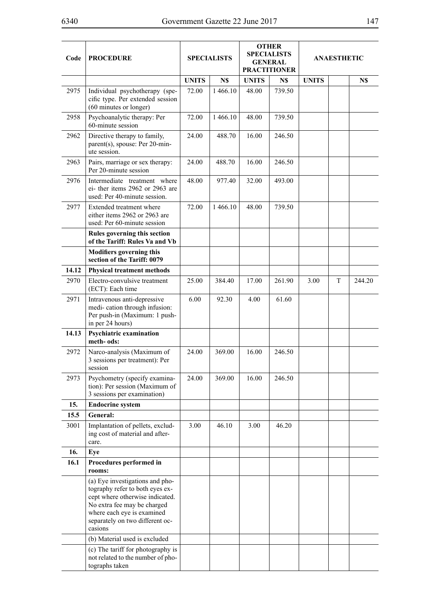| Code  | <b>PROCEDURE</b>                                                                                                                                                                                                 |              | <b>SPECIALISTS</b> |              | <b>OTHER</b><br><b>SPECIALISTS</b><br><b>GENERAL</b><br><b>PRACTITIONER</b> | <b>ANAESTHETIC</b> |   |        |
|-------|------------------------------------------------------------------------------------------------------------------------------------------------------------------------------------------------------------------|--------------|--------------------|--------------|-----------------------------------------------------------------------------|--------------------|---|--------|
|       |                                                                                                                                                                                                                  | <b>UNITS</b> | N\$                | <b>UNITS</b> | N\$                                                                         | <b>UNITS</b>       |   | N\$    |
| 2975  | Individual psychotherapy (spe-<br>cific type. Per extended session<br>(60 minutes or longer)                                                                                                                     | 72.00        | 1466.10            | 48.00        | 739.50                                                                      |                    |   |        |
| 2958  | Psychoanalytic therapy: Per<br>60-minute session                                                                                                                                                                 | 72.00        | 1466.10            | 48.00        | 739.50                                                                      |                    |   |        |
| 2962  | Directive therapy to family,<br>parent(s), spouse: Per 20-min-<br>ute session.                                                                                                                                   | 24.00        | 488.70             | 16.00        | 246.50                                                                      |                    |   |        |
| 2963  | Pairs, marriage or sex therapy:<br>Per 20-minute session                                                                                                                                                         | 24.00        | 488.70             | 16.00        | 246.50                                                                      |                    |   |        |
| 2976  | Intermediate treatment where<br>ei- ther items 2962 or 2963 are<br>used: Per 40-minute session.                                                                                                                  | 48.00        | 977.40             | 32.00        | 493.00                                                                      |                    |   |        |
| 2977  | Extended treatment where<br>either items 2962 or 2963 are<br>used: Per 60-minute session                                                                                                                         | 72.00        | 1466.10            | 48.00        | 739.50                                                                      |                    |   |        |
|       | Rules governing this section<br>of the Tariff: Rules Va and Vb                                                                                                                                                   |              |                    |              |                                                                             |                    |   |        |
|       | <b>Modifiers governing this</b><br>section of the Tariff: 0079                                                                                                                                                   |              |                    |              |                                                                             |                    |   |        |
| 14.12 | <b>Physical treatment methods</b>                                                                                                                                                                                |              |                    |              |                                                                             |                    |   |        |
| 2970  | Electro-convulsive treatment<br>(ECT): Each time                                                                                                                                                                 | 25.00        | 384.40             | 17.00        | 261.90                                                                      | 3.00               | T | 244.20 |
| 2971  | Intravenous anti-depressive<br>medi-cation through infusion:<br>Per push-in (Maximum: 1 push-<br>in per 24 hours)                                                                                                | 6.00         | 92.30              | 4.00         | 61.60                                                                       |                    |   |        |
| 14.13 | Psychiatric examination<br>meth-ods:                                                                                                                                                                             |              |                    |              |                                                                             |                    |   |        |
| 2972  | Narco-analysis (Maximum of<br>3 sessions per treatment): Per<br>session                                                                                                                                          | 24.00        | 369.00             | 16.00        | 246.50                                                                      |                    |   |        |
| 2973  | Psychometry (specify examina-<br>tion): Per session (Maximum of<br>3 sessions per examination)                                                                                                                   | 24.00        | 369.00             | 16.00        | 246.50                                                                      |                    |   |        |
| 15.   | <b>Endocrine system</b>                                                                                                                                                                                          |              |                    |              |                                                                             |                    |   |        |
| 15.5  | General:                                                                                                                                                                                                         |              |                    |              |                                                                             |                    |   |        |
| 3001  | Implantation of pellets, exclud-<br>ing cost of material and after-<br>care.                                                                                                                                     | 3.00         | 46.10              | 3.00         | 46.20                                                                       |                    |   |        |
| 16.   | Eye                                                                                                                                                                                                              |              |                    |              |                                                                             |                    |   |        |
| 16.1  | Procedures performed in<br>rooms:                                                                                                                                                                                |              |                    |              |                                                                             |                    |   |        |
|       | (a) Eye investigations and pho-<br>tography refer to both eyes ex-<br>cept where otherwise indicated.<br>No extra fee may be charged<br>where each eye is examined<br>separately on two different oc-<br>casions |              |                    |              |                                                                             |                    |   |        |
|       | (b) Material used is excluded                                                                                                                                                                                    |              |                    |              |                                                                             |                    |   |        |
|       | (c) The tariff for photography is<br>not related to the number of pho-<br>tographs taken                                                                                                                         |              |                    |              |                                                                             |                    |   |        |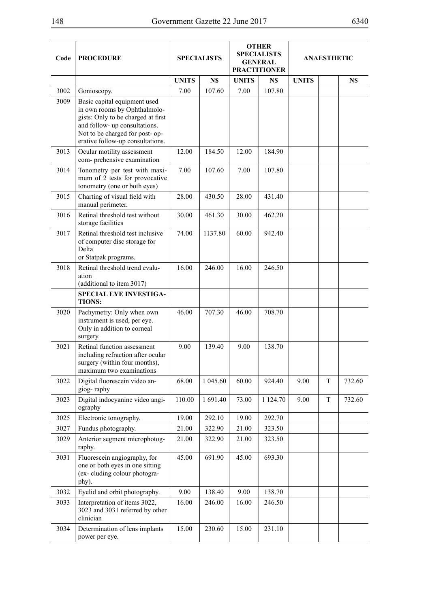۳,

 $\overline{\phantom{a}}$ 

| Code | <b>PROCEDURE</b>                                                                                                                                                                                           |              | <b>SPECIALISTS</b> |              | <b>OTHER</b><br><b>SPECIALISTS</b><br><b>GENERAL</b><br><b>PRACTITIONER</b> |              | <b>ANAESTHETIC</b> |        |  |
|------|------------------------------------------------------------------------------------------------------------------------------------------------------------------------------------------------------------|--------------|--------------------|--------------|-----------------------------------------------------------------------------|--------------|--------------------|--------|--|
|      |                                                                                                                                                                                                            | <b>UNITS</b> | N\$                | <b>UNITS</b> | N\$                                                                         | <b>UNITS</b> |                    | N\$    |  |
| 3002 | Gonioscopy.                                                                                                                                                                                                | 7.00         | 107.60             | 7.00         | 107.80                                                                      |              |                    |        |  |
| 3009 | Basic capital equipment used<br>in own rooms by Ophthalmolo-<br>gists: Only to be charged at first<br>and follow- up consultations.<br>Not to be charged for post- op-<br>erative follow-up consultations. |              |                    |              |                                                                             |              |                    |        |  |
| 3013 | Ocular motility assessment<br>com- prehensive examination                                                                                                                                                  | 12.00        | 184.50             | 12.00        | 184.90                                                                      |              |                    |        |  |
| 3014 | Tonometry per test with maxi-<br>mum of 2 tests for provocative<br>tonometry (one or both eyes)                                                                                                            | 7.00         | 107.60             | 7.00         | 107.80                                                                      |              |                    |        |  |
| 3015 | Charting of visual field with<br>manual perimeter.                                                                                                                                                         | 28.00        | 430.50             | 28.00        | 431.40                                                                      |              |                    |        |  |
| 3016 | Retinal threshold test without<br>storage facilities                                                                                                                                                       | 30.00        | 461.30             | 30.00        | 462.20                                                                      |              |                    |        |  |
| 3017 | Retinal threshold test inclusive<br>of computer disc storage for<br>Delta<br>or Statpak programs.                                                                                                          | 74.00        | 1137.80            | 60.00        | 942.40                                                                      |              |                    |        |  |
| 3018 | Retinal threshold trend evalu-<br>ation<br>(additional to item 3017)                                                                                                                                       | 16.00        | 246.00             | 16.00        | 246.50                                                                      |              |                    |        |  |
|      | <b>SPECIAL EYE INVESTIGA-</b><br><b>TIONS:</b>                                                                                                                                                             |              |                    |              |                                                                             |              |                    |        |  |
| 3020 | Pachymetry: Only when own<br>instrument is used, per eye.<br>Only in addition to corneal<br>surgery.                                                                                                       | 46.00        | 707.30             | 46.00        | 708.70                                                                      |              |                    |        |  |
| 3021 | Retinal function assessment<br>including refraction after ocular<br>surgery (within four months),<br>maximum two examinations                                                                              | 9.00         | 139.40             | 9.00         | 138.70                                                                      |              |                    |        |  |
| 3022 | Digital fluorescein video an-<br>giog-raphy                                                                                                                                                                | 68.00        | 1 045.60           | 60.00        | 924.40                                                                      | 9.00         | T                  | 732.60 |  |
| 3023 | Digital indocyanine video angi-<br>ography                                                                                                                                                                 | 110.00       | 1691.40            | 73.00        | 1 124.70                                                                    | 9.00         | T                  | 732.60 |  |
| 3025 | Electronic tonography.                                                                                                                                                                                     | 19.00        | 292.10             | 19.00        | 292.70                                                                      |              |                    |        |  |
| 3027 | Fundus photography.                                                                                                                                                                                        | 21.00        | 322.90             | 21.00        | 323.50                                                                      |              |                    |        |  |
| 3029 | Anterior segment microphotog-<br>raphy.                                                                                                                                                                    | 21.00        | 322.90             | 21.00        | 323.50                                                                      |              |                    |        |  |
| 3031 | Fluorescein angiography, for<br>one or both eyes in one sitting<br>(ex-cluding colour photogra-<br>phy).                                                                                                   | 45.00        | 691.90             | 45.00        | 693.30                                                                      |              |                    |        |  |
| 3032 | Eyelid and orbit photography.                                                                                                                                                                              | 9.00         | 138.40             | 9.00         | 138.70                                                                      |              |                    |        |  |
| 3033 | Interpretation of items 3022,<br>3023 and 3031 referred by other<br>clinician                                                                                                                              | 16.00        | 246.00             | 16.00        | 246.50                                                                      |              |                    |        |  |
| 3034 | Determination of lens implants<br>power per eye.                                                                                                                                                           | 15.00        | 230.60             | 15.00        | 231.10                                                                      |              |                    |        |  |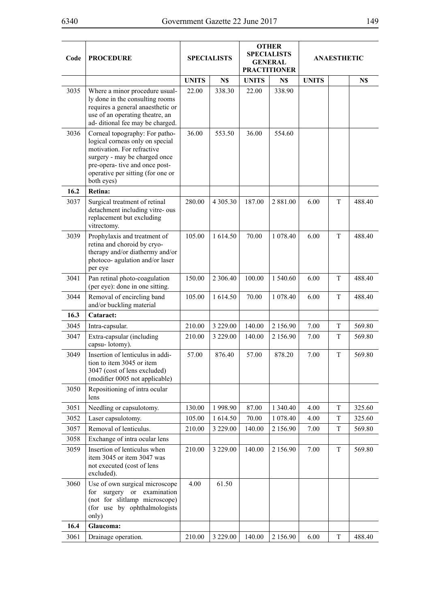| Code | <b>PROCEDURE</b>                                                                                                                                                                                                      |              | <b>SPECIALISTS</b> |              | <b>OTHER</b><br><b>SPECIALISTS</b><br><b>GENERAL</b><br><b>PRACTITIONER</b> | <b>ANAESTHETIC</b> |   |        |
|------|-----------------------------------------------------------------------------------------------------------------------------------------------------------------------------------------------------------------------|--------------|--------------------|--------------|-----------------------------------------------------------------------------|--------------------|---|--------|
|      |                                                                                                                                                                                                                       | <b>UNITS</b> | N\$                | <b>UNITS</b> | N\$                                                                         | <b>UNITS</b>       |   | N\$    |
| 3035 | Where a minor procedure usual-<br>ly done in the consulting rooms<br>requires a general anaesthetic or<br>use of an operating theatre, an<br>ad-ditional fee may be charged.                                          | 22.00        | 338.30             | 22.00        | 338.90                                                                      |                    |   |        |
| 3036 | Corneal topography: For patho-<br>logical corneas only on special<br>motivation. For refractive<br>surgery - may be charged once<br>pre-opera- tive and once post-<br>operative per sitting (for one or<br>both eyes) | 36.00        | 553.50             | 36.00        | 554.60                                                                      |                    |   |        |
| 16.2 | Retina:                                                                                                                                                                                                               |              |                    |              |                                                                             |                    |   |        |
| 3037 | Surgical treatment of retinal<br>detachment including vitre- ous<br>replacement but excluding<br>vitrectomy.                                                                                                          | 280.00       | 4 3 0 5 . 3 0      | 187.00       | 2 881.00                                                                    | 6.00               | T | 488.40 |
| 3039 | Prophylaxis and treatment of<br>retina and choroid by cryo-<br>therapy and/or diathermy and/or<br>photoco- agulation and/or laser<br>per eye                                                                          | 105.00       | 1 614.50           | 70.00        | 1 078.40                                                                    | 6.00               | T | 488.40 |
| 3041 | Pan retinal photo-coagulation<br>(per eye): done in one sitting.                                                                                                                                                      | 150.00       | 2 3 0 6 . 4 0      | 100.00       | 1540.60                                                                     | 6.00               | T | 488.40 |
| 3044 | Removal of encircling band<br>and/or buckling material                                                                                                                                                                | 105.00       | 1614.50            | 70.00        | 1 078.40                                                                    | 6.00               | T | 488.40 |
| 16.3 | Cataract:                                                                                                                                                                                                             |              |                    |              |                                                                             |                    |   |        |
| 3045 | Intra-capsular.                                                                                                                                                                                                       | 210.00       | 3 2 2 9 .00        | 140.00       | 2 156.90                                                                    | 7.00               | T | 569.80 |
| 3047 | Extra-capsular (including<br>capsu-lotomy).                                                                                                                                                                           | 210.00       | 3 229.00           | 140.00       | 2 156.90                                                                    | 7.00               | T | 569.80 |
| 3049 | Insertion of lenticulus in addi-<br>tion to item 3045 or item<br>3047 (cost of lens excluded)<br>(modifier 0005 not applicable)                                                                                       | 57.00        | 876.40             | 57.00        | 878.20                                                                      | 7.00               | T | 569.80 |
| 3050 | Repositioning of intra ocular<br>lens                                                                                                                                                                                 |              |                    |              |                                                                             |                    |   |        |
| 3051 | Needling or capsulotomy.                                                                                                                                                                                              | 130.00       | 1998.90            | 87.00        | 1 340.40                                                                    | 4.00               | T | 325.60 |
| 3052 | Laser capsulotomy.                                                                                                                                                                                                    | 105.00       | 1614.50            | 70.00        | 1 078.40                                                                    | 4.00               | T | 325.60 |
| 3057 | Removal of lenticulus.                                                                                                                                                                                                | 210.00       | 3 2 2 9 .00        | 140.00       | 2 156.90                                                                    | 7.00               | T | 569.80 |
| 3058 | Exchange of intra ocular lens                                                                                                                                                                                         |              |                    |              |                                                                             |                    |   |        |
| 3059 | Insertion of lenticulus when<br>item 3045 or item 3047 was<br>not executed (cost of lens<br>excluded).                                                                                                                | 210.00       | 3 2 2 9 .00        | 140.00       | 2 1 5 6 .90                                                                 | 7.00               | T | 569.80 |
| 3060 | Use of own surgical microscope<br>surgery or examination<br>for<br>(not for slitlamp microscope)<br>(for use by ophthalmologists<br>only)                                                                             | 4.00         | 61.50              |              |                                                                             |                    |   |        |
| 16.4 | Glaucoma:                                                                                                                                                                                                             |              |                    |              |                                                                             |                    |   |        |
| 3061 | Drainage operation.                                                                                                                                                                                                   | 210.00       | 3 2 2 9 .00        | 140.00       | 2 156.90                                                                    | 6.00               | T | 488.40 |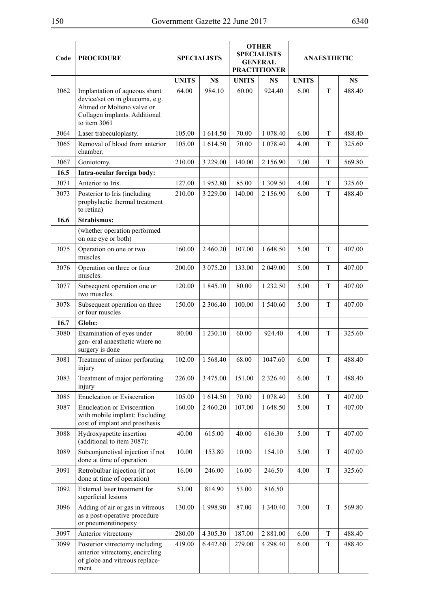۳,

 $\overline{\phantom{a}}$ 

| Code | <b>PROCEDURE</b>                                                                                                                               |              | <b>SPECIALISTS</b> | <b>OTHER</b><br><b>SPECIALISTS</b><br><b>GENERAL</b><br><b>PRACTITIONER</b> |               | <b>ANAESTHETIC</b> |   |        |  |  |  |
|------|------------------------------------------------------------------------------------------------------------------------------------------------|--------------|--------------------|-----------------------------------------------------------------------------|---------------|--------------------|---|--------|--|--|--|
|      |                                                                                                                                                | <b>UNITS</b> | N\$                | <b>UNITS</b>                                                                | N\$           | <b>UNITS</b>       |   | N\$    |  |  |  |
| 3062 | Implantation of aqueous shunt<br>device/set on in glaucoma, e.g.<br>Ahmed or Molteno valve or<br>Collagen implants. Additional<br>to item 3061 | 64.00        | 984.10             | 60.00                                                                       | 924.40        | 6.00               | T | 488.40 |  |  |  |
| 3064 | Laser trabeculoplasty.                                                                                                                         | 105.00       | 1 614.50           | 70.00                                                                       | 1 078.40      | 6.00               | T | 488.40 |  |  |  |
| 3065 | Removal of blood from anterior<br>chamber.                                                                                                     | 105.00       | 1614.50            | 70.00                                                                       | 1 078.40      | 4.00               | T | 325.60 |  |  |  |
| 3067 | Goniotomy.                                                                                                                                     | 210.00       | 3 2 2 9 .00        | 140.00                                                                      | 2 156.90      | 7.00               | T | 569.80 |  |  |  |
| 16.5 | Intra-ocular foreign body:                                                                                                                     |              |                    |                                                                             |               |                    |   |        |  |  |  |
| 3071 | Anterior to Iris.                                                                                                                              | 127.00       | 1952.80            | 85.00                                                                       | 1 309.50      | 4.00               | T | 325.60 |  |  |  |
| 3073 | Posterior to Iris (including<br>prophylactic thermal treatment<br>to retina)                                                                   | 210.00       | 3 2 2 9 .00        | 140.00                                                                      | 2 156.90      | 6.00               | T | 488.40 |  |  |  |
| 16.6 | Strabismus:                                                                                                                                    |              |                    |                                                                             |               |                    |   |        |  |  |  |
|      | (whether operation performed<br>on one eye or both)                                                                                            |              |                    |                                                                             |               |                    |   |        |  |  |  |
| 3075 | Operation on one or two<br>muscles.                                                                                                            | 160.00       | 2 460.20           | 107.00                                                                      | 1648.50       | 5.00               | T | 407.00 |  |  |  |
| 3076 | Operation on three or four<br>muscles.                                                                                                         | 200.00       | 3 075.20           | 133.00                                                                      | 2 049.00      | 5.00               | T | 407.00 |  |  |  |
| 3077 | Subsequent operation one or<br>two muscles.                                                                                                    | 120.00       | 1 845.10           | 80.00                                                                       | 1 2 3 2 . 5 0 | 5.00               | T | 407.00 |  |  |  |
| 3078 | Subsequent operation on three<br>or four muscles                                                                                               | 150.00       | 2 3 0 6 . 4 0      | 100.00                                                                      | 1 540.60      | 5.00               | T | 407.00 |  |  |  |
| 16.7 | Globe:                                                                                                                                         |              |                    |                                                                             |               |                    |   |        |  |  |  |
| 3080 | Examination of eyes under<br>gen-eral anaesthetic where no<br>surgery is done                                                                  | 80.00        | 1 2 3 0 . 1 0      | 60.00                                                                       | 924.40        | 4.00               | T | 325.60 |  |  |  |
| 3081 | Treatment of minor perforating<br>injury                                                                                                       | 102.00       | 1568.40            | 68.00                                                                       | 1047.60       | 6.00               | T | 488.40 |  |  |  |
| 3083 | Treatment of major perforating<br>injury                                                                                                       | 226.00       | 3 475.00           | 151.00                                                                      | 2 3 2 6 . 4 0 | 6.00               | T | 488.40 |  |  |  |
| 3085 | Enucleation or Evisceration                                                                                                                    | 105.00       | 1614.50            | 70.00                                                                       | 1 078.40      | 5.00               | T | 407.00 |  |  |  |
| 3087 | <b>Enucleation or Evisceration</b><br>with mobile implant: Excluding<br>cost of implant and prosthesis                                         | 160.00       | 2 460.20           | 107.00                                                                      | 1648.50       | 5.00               | T | 407.00 |  |  |  |
| 3088 | Hydroxyapetite insertion<br>(additional to item 3087):                                                                                         | 40.00        | 615.00             | 40.00                                                                       | 616.30        | 5.00               | T | 407.00 |  |  |  |
| 3089 | Subconjunctival injection if not<br>done at time of operation                                                                                  | 10.00        | 153.80             | 10.00                                                                       | 154.10        | 5.00               | T | 407.00 |  |  |  |
| 3091 | Retrobulbar injection (if not<br>done at time of operation)                                                                                    | 16.00        | 246.00             | 16.00                                                                       | 246.50        | 4.00               | T | 325.60 |  |  |  |
| 3092 | External laser treatment for<br>superficial lesions                                                                                            | 53.00        | 814.90             | 53.00                                                                       | 816.50        |                    |   |        |  |  |  |
| 3096 | Adding of air or gas in vitreous<br>as a post-operative procedure<br>or pneumoretinopexy                                                       | 130.00       | 1998.90            | 87.00                                                                       | 1 340.40      | 7.00               | T | 569.80 |  |  |  |
| 3097 | Anterior vitrectomy                                                                                                                            | 280.00       | 4 3 0 5 . 3 0      | 187.00                                                                      | 2 881.00      | 6.00               | T | 488.40 |  |  |  |
| 3099 | Posterior vitrectomy including<br>anterior vitrectomy, encircling<br>of globe and vitreous replace-<br>ment                                    | 419.00       | 6 4 4 2 . 6 0      | 279.00                                                                      | 4 2 9 8 . 4 0 | 6.00               | T | 488.40 |  |  |  |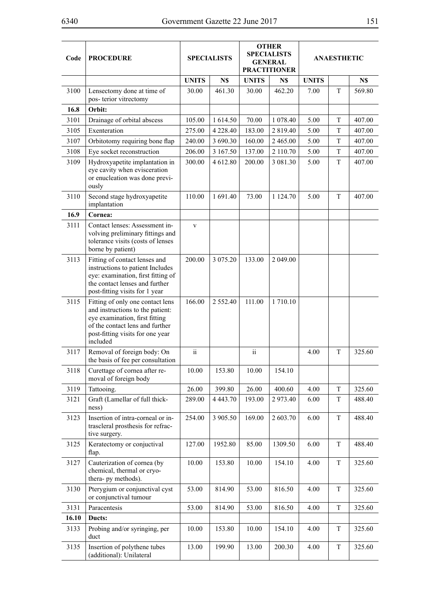| Code  | <b>PROCEDURE</b>                                                                                                                                                                          |                 | <b>SPECIALISTS</b> |               | <b>OTHER</b><br><b>SPECIALISTS</b><br><b>GENERAL</b><br><b>PRACTITIONER</b> | <b>ANAESTHETIC</b> |             |        |
|-------|-------------------------------------------------------------------------------------------------------------------------------------------------------------------------------------------|-----------------|--------------------|---------------|-----------------------------------------------------------------------------|--------------------|-------------|--------|
|       |                                                                                                                                                                                           | <b>UNITS</b>    | N\$                | <b>UNITS</b>  | N\$                                                                         | <b>UNITS</b>       |             | N\$    |
| 3100  | Lensectomy done at time of<br>pos-terior vitrectomy                                                                                                                                       | 30.00           | 461.30             | 30.00         | 462.20                                                                      | 7.00               | T           | 569.80 |
| 16.8  | Orbit:                                                                                                                                                                                    |                 |                    |               |                                                                             |                    |             |        |
| 3101  | Drainage of orbital abscess                                                                                                                                                               | 105.00          | 1614.50            | 70.00         | 1 078.40                                                                    | 5.00               | T           | 407.00 |
| 3105  | Exenteration                                                                                                                                                                              | 275.00          | 4 2 2 8 . 4 0      | 183.00        | 2819.40                                                                     | 5.00               | T           | 407.00 |
| 3107  | Orbitotomy requiring bone flap                                                                                                                                                            | 240.00          | 3 690.30           | 160.00        | 2 465.00                                                                    | 5.00               | T           | 407.00 |
| 3108  | Eye socket reconstruction                                                                                                                                                                 | 206.00          | 3 167.50           | 137.00        | 2 110.70                                                                    | 5.00               | T           | 407.00 |
| 3109  | Hydroxyapetite implantation in<br>eye cavity when evisceration<br>or enucleation was done previ-<br>ously                                                                                 | 300.00          | 4 612.80           | 200.00        | 3 081.30                                                                    | 5.00               | T           | 407.00 |
| 3110  | Second stage hydroxyapetite<br>implantation                                                                                                                                               | 110.00          | 1 691.40           | 73.00         | 1 1 24 .70                                                                  | 5.00               | T           | 407.00 |
| 16.9  | Cornea:                                                                                                                                                                                   |                 |                    |               |                                                                             |                    |             |        |
| 3111  | Contact lenses: Assessment in-<br>volving preliminary fittings and<br>tolerance visits (costs of lenses<br>borne by patient)                                                              | $\mathbf{V}$    |                    |               |                                                                             |                    |             |        |
| 3113  | Fitting of contact lenses and<br>instructions to patient Includes<br>eye: examination, first fitting of<br>the contact lenses and further<br>post-fitting visits for 1 year               | 200.00          | 3 075.20           | 133.00        | 2 049.00                                                                    |                    |             |        |
| 3115  | Fitting of only one contact lens<br>and instructions to the patient:<br>eye examination, first fitting<br>of the contact lens and further<br>post-fitting visits for one year<br>included | 166.00          | 2 5 5 2 . 4 0      | 111.00        | 1710.10                                                                     |                    |             |        |
| 3117  | Removal of foreign body: On<br>the basis of fee per consultation                                                                                                                          | $\ddot{\rm ii}$ |                    | $\mathrm{ii}$ |                                                                             | 4.00               | T           | 325.60 |
| 3118  | Curettage of cornea after re-<br>moval of foreign body                                                                                                                                    | 10.00           | 153.80             | 10.00         | 154.10                                                                      |                    |             |        |
| 3119  | Tattooing.                                                                                                                                                                                | 26.00           | 399.80             | 26.00         | 400.60                                                                      | 4.00               | T           | 325.60 |
| 3121  | Graft (Lamellar of full thick-<br>ness)                                                                                                                                                   | 289.00          | 4 4 4 3 .70        | 193.00        | 2973.40                                                                     | 6.00               | T           | 488.40 |
| 3123  | Insertion of intra-corneal or in-<br>trascleral prosthesis for refrac-<br>tive surgery.                                                                                                   | 254.00          | 3 905.50           | 169.00        | 2 603.70                                                                    | 6.00               | T           | 488.40 |
| 3125  | Keratectomy or conjuctival<br>flap.                                                                                                                                                       | 127.00          | 1952.80            | 85.00         | 1309.50                                                                     | 6.00               | T           | 488.40 |
| 3127  | Cauterization of cornea (by<br>chemical, thermal or cryo-<br>thera- py methods).                                                                                                          | 10.00           | 153.80             | 10.00         | 154.10                                                                      | 4.00               | T           | 325.60 |
| 3130  | Pterygium or conjunctival cyst<br>or conjunctival tumour                                                                                                                                  | 53.00           | 814.90             | 53.00         | 816.50                                                                      | 4.00               | T           | 325.60 |
| 3131  | Paracentesis                                                                                                                                                                              | 53.00           | 814.90             | 53.00         | 816.50                                                                      | 4.00               | $\mathbf T$ | 325.60 |
| 16.10 | Ducts:                                                                                                                                                                                    |                 |                    |               |                                                                             |                    |             |        |
| 3133  | Probing and/or syringing, per<br>duct                                                                                                                                                     | 10.00           | 153.80             | 10.00         | 154.10                                                                      | 4.00               | T           | 325.60 |
| 3135  | Insertion of polythene tubes<br>(additional): Unilateral                                                                                                                                  | 13.00           | 199.90             | 13.00         | 200.30                                                                      | 4.00               | T           | 325.60 |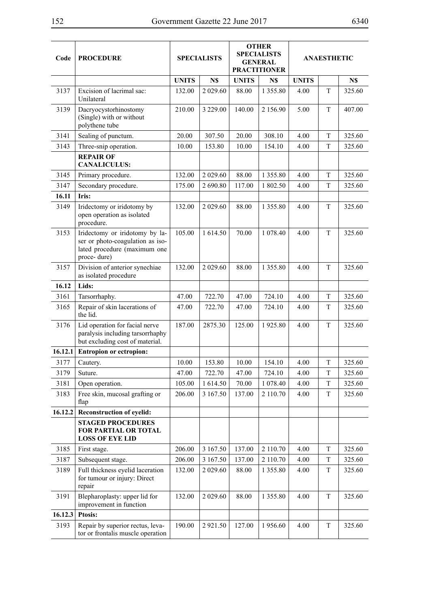| Code    | <b>PROCEDURE</b>                                                                                                  |              | <b>SPECIALISTS</b> |              | <b>OTHER</b><br><b>SPECIALISTS</b><br><b>GENERAL</b><br><b>PRACTITIONER</b> | <b>ANAESTHETIC</b> |             |        |  |  |
|---------|-------------------------------------------------------------------------------------------------------------------|--------------|--------------------|--------------|-----------------------------------------------------------------------------|--------------------|-------------|--------|--|--|
|         |                                                                                                                   | <b>UNITS</b> | N\$                | <b>UNITS</b> | N\$                                                                         | <b>UNITS</b>       |             | N\$    |  |  |
| 3137    | Excision of lacrimal sac:<br>Unilateral                                                                           | 132.00       | 2 0 29.60          | 88.00        | 1 3 5 5 . 8 0                                                               | 4.00               | T           | 325.60 |  |  |
| 3139    | Dacryocystorhinostomy<br>(Single) with or without<br>polythene tube                                               | 210.00       | 3 2 2 9 .00        | 140.00       | 2 156.90                                                                    | 5.00               | T           | 407.00 |  |  |
| 3141    | Sealing of punctum.                                                                                               | 20.00        | 307.50             | 20.00        | 308.10                                                                      | 4.00               | T           | 325.60 |  |  |
| 3143    | Three-snip operation.                                                                                             | 10.00        | 153.80             | 10.00        | 154.10                                                                      | 4.00               | T           | 325.60 |  |  |
|         | <b>REPAIR OF</b><br><b>CANALICULUS:</b>                                                                           |              |                    |              |                                                                             |                    |             |        |  |  |
| 3145    | Primary procedure.                                                                                                | 132.00       | 2 0 29.60          | 88.00        | 1 355.80                                                                    | 4.00               | T           | 325.60 |  |  |
| 3147    | Secondary procedure.                                                                                              | 175.00       | 2 690.80           | 117.00       | 1 802.50                                                                    | 4.00               | T           | 325.60 |  |  |
| 16.11   | Iris:                                                                                                             |              |                    |              |                                                                             |                    |             |        |  |  |
| 3149    | Iridectomy or iridotomy by<br>open operation as isolated<br>procedure.                                            | 132.00       | 2 0 29.60          | 88.00        | 1 3 5 5 .80                                                                 | 4.00               | T           | 325.60 |  |  |
| 3153    | Iridectomy or iridotomy by la-<br>ser or photo-coagulation as iso-<br>lated procedure (maximum one<br>proce-dure) | 105.00       | 1 614.50           | 70.00        | 1 078.40                                                                    | 4.00               | T           | 325.60 |  |  |
| 3157    | Division of anterior synechiae<br>as isolated procedure                                                           | 132.00       | 2 0 29.60          | 88.00        | 1 3 5 5 . 8 0                                                               | 4.00               | T           | 325.60 |  |  |
| 16.12   | Lids:                                                                                                             |              |                    |              |                                                                             |                    |             |        |  |  |
| 3161    | Tarsorrhaphy.                                                                                                     | 47.00        | 722.70             | 47.00        | 724.10                                                                      | 4.00               | T           | 325.60 |  |  |
| 3165    | Repair of skin lacerations of<br>the lid.                                                                         | 47.00        | 722.70             | 47.00        | 724.10                                                                      | 4.00               | T           | 325.60 |  |  |
| 3176    | Lid operation for facial nerve<br>paralysis including tarsorrhaphy<br>but excluding cost of material.             | 187.00       | 2875.30            | 125.00       | 1925.80                                                                     | 4.00               | T           | 325.60 |  |  |
| 16.12.1 | <b>Entropion or ectropion:</b>                                                                                    |              |                    |              |                                                                             |                    |             |        |  |  |
| 3177    | Cautery.                                                                                                          | 10.00        | 153.80             | 10.00        | 154.10                                                                      | 4.00               | T           | 325.60 |  |  |
| 3179    | Suture.                                                                                                           | 47.00        | 722.70             | 47.00        | 724.10                                                                      | 4.00               | T           | 325.60 |  |  |
| 3181    | Open operation.                                                                                                   | 105.00       | 1614.50            | 70.00        | 1 078.40                                                                    | 4.00               | $\mathbf T$ | 325.60 |  |  |
| 3183    | Free skin, mucosal grafting or<br>flap                                                                            | 206.00       | 3 167.50           | 137.00       | 2 110.70                                                                    | 4.00               | T           | 325.60 |  |  |
| 16.12.2 | <b>Reconstruction of eyelid:</b>                                                                                  |              |                    |              |                                                                             |                    |             |        |  |  |
|         | <b>STAGED PROCEDURES</b><br>FOR PARTIAL OR TOTAL<br><b>LOSS OF EYE LID</b>                                        |              |                    |              |                                                                             |                    |             |        |  |  |
| 3185    | First stage.                                                                                                      | 206.00       | 3 167.50           | 137.00       | 2 110.70                                                                    | 4.00               | T           | 325.60 |  |  |
| 3187    | Subsequent stage.                                                                                                 | 206.00       | 3 167.50           | 137.00       | 2 110.70                                                                    | 4.00               | T           | 325.60 |  |  |
| 3189    | Full thickness eyelid laceration<br>for tumour or injury: Direct<br>repair                                        | 132.00       | 2 0 29.60          | 88.00        | 1355.80                                                                     | 4.00               | T           | 325.60 |  |  |
| 3191    | Blepharoplasty: upper lid for<br>improvement in function                                                          | 132.00       | 2 0 29.60          | 88.00        | 1 3 5 5 . 8 0                                                               | 4.00               | T           | 325.60 |  |  |
| 16.12.3 | <b>Ptosis:</b>                                                                                                    |              |                    |              |                                                                             |                    |             |        |  |  |
| 3193    | Repair by superior rectus, leva-<br>tor or frontalis muscle operation                                             | 190.00       | 2921.50            | 127.00       | 1956.60                                                                     | 4.00               | T           | 325.60 |  |  |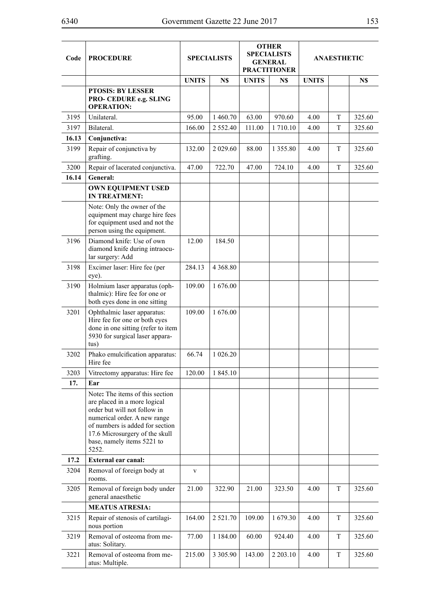| Code  | <b>PROCEDURE</b>                                                                                                                                                                                                                            |              | <b>SPECIALISTS</b> | <b>OTHER</b><br><b>SPECIALISTS</b><br><b>GENERAL</b><br><b>PRACTITIONER</b> |               | <b>ANAESTHETIC</b> |   |        |
|-------|---------------------------------------------------------------------------------------------------------------------------------------------------------------------------------------------------------------------------------------------|--------------|--------------------|-----------------------------------------------------------------------------|---------------|--------------------|---|--------|
|       |                                                                                                                                                                                                                                             | <b>UNITS</b> | N\$                | <b>UNITS</b>                                                                | N\$           | <b>UNITS</b>       |   | N\$    |
|       | <b>PTOSIS: BY LESSER</b><br>PRO- CEDURE e.g. SLING<br><b>OPERATION:</b>                                                                                                                                                                     |              |                    |                                                                             |               |                    |   |        |
| 3195  | Unilateral.                                                                                                                                                                                                                                 | 95.00        | 1460.70            | 63.00                                                                       | 970.60        | 4.00               | T | 325.60 |
| 3197  | Bilateral.                                                                                                                                                                                                                                  | 166.00       | 2 5 5 2 . 4 0      | 111.00                                                                      | 1 710.10      | 4.00               | T | 325.60 |
| 16.13 | Conjunctiva:                                                                                                                                                                                                                                |              |                    |                                                                             |               |                    |   |        |
| 3199  | Repair of conjunctiva by<br>grafting.                                                                                                                                                                                                       | 132.00       | 2 0 29.60          | 88.00                                                                       | 1 3 5 5 . 8 0 | 4.00               | T | 325.60 |
| 3200  | Repair of lacerated conjunctiva.                                                                                                                                                                                                            | 47.00        | 722.70             | 47.00                                                                       | 724.10        | 4.00               | T | 325.60 |
| 16.14 | General:                                                                                                                                                                                                                                    |              |                    |                                                                             |               |                    |   |        |
|       | <b>OWN EQUIPMENT USED</b><br><b>IN TREATMENT:</b>                                                                                                                                                                                           |              |                    |                                                                             |               |                    |   |        |
|       | Note: Only the owner of the<br>equipment may charge hire fees<br>for equipment used and not the<br>person using the equipment.                                                                                                              |              |                    |                                                                             |               |                    |   |        |
| 3196  | Diamond knife: Use of own<br>diamond knife during intraocu-<br>lar surgery: Add                                                                                                                                                             | 12.00        | 184.50             |                                                                             |               |                    |   |        |
| 3198  | Excimer laser: Hire fee (per<br>eye).                                                                                                                                                                                                       | 284.13       | 4 3 68.80          |                                                                             |               |                    |   |        |
| 3190  | Holmium laser apparatus (oph-<br>thalmic): Hire fee for one or<br>both eyes done in one sitting                                                                                                                                             | 109.00       | 1676.00            |                                                                             |               |                    |   |        |
| 3201  | Ophthalmic laser apparatus:<br>Hire fee for one or both eyes<br>done in one sitting (refer to item<br>5930 for surgical laser appara-<br>tus)                                                                                               | 109.00       | 1676.00            |                                                                             |               |                    |   |        |
| 3202  | Phako emulcification apparatus:<br>Hire fee                                                                                                                                                                                                 | 66.74        | 1 026.20           |                                                                             |               |                    |   |        |
| 3203  | Vitrectomy apparatus: Hire fee                                                                                                                                                                                                              | 120.00       | 1845.10            |                                                                             |               |                    |   |        |
| 17.   | Ear                                                                                                                                                                                                                                         |              |                    |                                                                             |               |                    |   |        |
|       | Note: The items of this section<br>are placed in a more logical<br>order but will not follow in<br>numerical order. A new range<br>of numbers is added for section<br>17.6 Microsurgery of the skull<br>base, namely items 5221 to<br>5252. |              |                    |                                                                             |               |                    |   |        |
| 17.2  | <b>External ear canal:</b>                                                                                                                                                                                                                  |              |                    |                                                                             |               |                    |   |        |
| 3204  | Removal of foreign body at<br>rooms.                                                                                                                                                                                                        | $\mathbf{V}$ |                    |                                                                             |               |                    |   |        |
| 3205  | Removal of foreign body under<br>general anaesthetic                                                                                                                                                                                        | 21.00        | 322.90             | 21.00                                                                       | 323.50        | 4.00               | T | 325.60 |
|       | <b>MEATUS ATRESIA:</b>                                                                                                                                                                                                                      |              |                    |                                                                             |               |                    |   |        |
| 3215  | Repair of stenosis of cartilagi-<br>nous portion                                                                                                                                                                                            | 164.00       | 2 5 2 1 .70        | 109.00                                                                      | 1679.30       | 4.00               | T | 325.60 |
| 3219  | Removal of osteoma from me-<br>atus: Solitary.                                                                                                                                                                                              | 77.00        | 1 1 8 4 .00        | 60.00                                                                       | 924.40        | 4.00               | T | 325.60 |
| 3221  | Removal of osteoma from me-<br>atus: Multiple.                                                                                                                                                                                              | 215.00       | 3 3 0 5 .90        | 143.00                                                                      | 2 2 0 3 . 1 0 | 4.00               | T | 325.60 |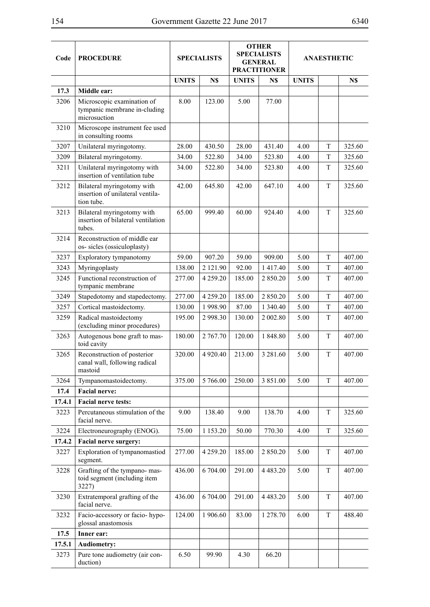| Code   | <b>PROCEDURE</b>                                                             |              | <b>SPECIALISTS</b> |              | <b>OTHER</b><br><b>SPECIALISTS</b><br><b>GENERAL</b><br><b>PRACTITIONER</b> | <b>ANAESTHETIC</b> |   |        |
|--------|------------------------------------------------------------------------------|--------------|--------------------|--------------|-----------------------------------------------------------------------------|--------------------|---|--------|
|        |                                                                              | <b>UNITS</b> | N\$                | <b>UNITS</b> | N\$                                                                         | <b>UNITS</b>       |   | N\$    |
| 17.3   | Middle ear:                                                                  |              |                    |              |                                                                             |                    |   |        |
| 3206   | Microscopic examination of<br>tympanic membrane in-cluding<br>microsuction   | 8.00         | 123.00             | 5.00         | 77.00                                                                       |                    |   |        |
| 3210   | Microscope instrument fee used<br>in consulting rooms                        |              |                    |              |                                                                             |                    |   |        |
| 3207   | Unilateral myringotomy.                                                      | 28.00        | 430.50             | 28.00        | 431.40                                                                      | 4.00               | T | 325.60 |
| 3209   | Bilateral myringotomy.                                                       | 34.00        | 522.80             | 34.00        | 523.80                                                                      | 4.00               | T | 325.60 |
| 3211   | Unilateral myringotomy with<br>insertion of ventilation tube                 | 34.00        | 522.80             | 34.00        | 523.80                                                                      | 4.00               | T | 325.60 |
| 3212   | Bilateral myringotomy with<br>insertion of unilateral ventila-<br>tion tube. | 42.00        | 645.80             | 42.00        | 647.10                                                                      | 4.00               | T | 325.60 |
| 3213   | Bilateral myringotomy with<br>insertion of bilateral ventilation<br>tubes.   | 65.00        | 999.40             | 60.00        | 924.40                                                                      | 4.00               | T | 325.60 |
| 3214   | Reconstruction of middle ear<br>os-sicles (ossiculoplasty)                   |              |                    |              |                                                                             |                    |   |        |
| 3237   | Exploratory tympanotomy                                                      | 59.00        | 907.20             | 59.00        | 909.00                                                                      | 5.00               | T | 407.00 |
| 3243   | Myringoplasty                                                                | 138.00       | 2 121.90           | 92.00        | 1 417.40                                                                    | 5.00               | T | 407.00 |
| 3245   | Functional reconstruction of<br>tympanic membrane                            | 277.00       | 4 2 5 9 . 2 0      | 185.00       | 2 850.20                                                                    | 5.00               | T | 407.00 |
| 3249   | Stapedotomy and stapedectomy.                                                | 277.00       | 4 2 5 9 . 2 0      | 185.00       | 2850.20                                                                     | 5.00               | T | 407.00 |
| 3257   | Cortical mastoidectomy.                                                      | 130.00       | 1998.90            | 87.00        | 1 340.40                                                                    | 5.00               | T | 407.00 |
| 3259   | Radical mastoidectomy<br>(excluding minor procedures)                        | 195.00       | 2 9 9 8.30         | 130.00       | 2 002.80                                                                    | 5.00               | T | 407.00 |
| 3263   | Autogenous bone graft to mas-<br>toid cavity                                 | 180.00       | 2 767.70           | 120.00       | 1848.80                                                                     | 5.00               | T | 407.00 |
| 3265   | Reconstruction of posterior<br>canal wall, following radical<br>mastoid      | 320.00       | 4 9 20.40          | 213.00       | 3 2 8 1 .60                                                                 | 5.00               | T | 407.00 |
| 3264   | Tympanomastoidectomy.                                                        | 375.00       | 5 766.00           | 250.00       | 3 851.00                                                                    | 5.00               | T | 407.00 |
| 17.4   | <b>Facial nerve:</b>                                                         |              |                    |              |                                                                             |                    |   |        |
| 17.4.1 | <b>Facial nerve tests:</b>                                                   |              |                    |              |                                                                             |                    |   |        |
| 3223   | Percutaneous stimulation of the<br>facial nerve.                             | 9.00         | 138.40             | 9.00         | 138.70                                                                      | 4.00               | T | 325.60 |
| 3224   | Electroneurography (ENOG).                                                   | 75.00        | 1 153.20           | 50.00        | 770.30                                                                      | 4.00               | T | 325.60 |
| 17.4.2 | <b>Facial nerve surgery:</b>                                                 |              |                    |              |                                                                             |                    |   |        |
| 3227   | Exploration of tympanomastiod<br>segment.                                    | 277.00       | 4 2 5 9 . 2 0      | 185.00       | 2 850.20                                                                    | 5.00               | T | 407.00 |
| 3228   | Grafting of the tympano-mas-<br>toid segment (including item<br>3227)        | 436.00       | 6 704.00           | 291.00       | 4483.20                                                                     | 5.00               | T | 407.00 |
| 3230   | Extratemporal grafting of the<br>facial nerve.                               | 436.00       | 6 704.00           | 291.00       | 4 4 8 3 . 2 0                                                               | 5.00               | T | 407.00 |
| 3232   | Facio-accessory or facio-hypo-<br>glossal anastomosis                        | 124.00       | 1 906.60           | 83.00        | 1 278.70                                                                    | 6.00               | T | 488.40 |
| 17.5   | Inner ear:                                                                   |              |                    |              |                                                                             |                    |   |        |
| 17.5.1 | <b>Audiometry:</b>                                                           |              |                    |              |                                                                             |                    |   |        |
| 3273   | Pure tone audiometry (air con-<br>duction)                                   | 6.50         | 99.90              | 4.30         | 66.20                                                                       |                    |   |        |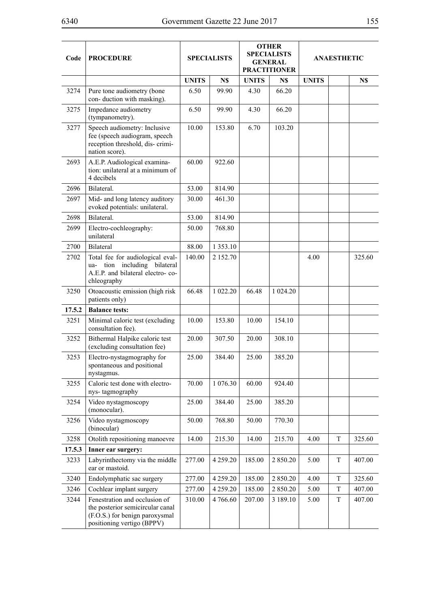| Code   | <b>PROCEDURE</b>                                                                                                                  |              | <b>SPECIALISTS</b> |              | <b>OTHER</b><br><b>SPECIALISTS</b><br><b>GENERAL</b><br><b>PRACTITIONER</b> | <b>ANAESTHETIC</b> |             |        |
|--------|-----------------------------------------------------------------------------------------------------------------------------------|--------------|--------------------|--------------|-----------------------------------------------------------------------------|--------------------|-------------|--------|
|        |                                                                                                                                   | <b>UNITS</b> | N\$                | <b>UNITS</b> | N\$                                                                         | <b>UNITS</b>       |             | N\$    |
| 3274   | Pure tone audiometry (bone<br>con-duction with masking).                                                                          | 6.50         | 99.90              | 4.30         | 66.20                                                                       |                    |             |        |
| 3275   | Impedance audiometry<br>(tympanometry).                                                                                           | 6.50         | 99.90              | 4.30         | 66.20                                                                       |                    |             |        |
| 3277   | Speech audiometry: Inclusive<br>fee (speech audiogram, speech<br>reception threshold, dis-crimi-<br>nation score).                | 10.00        | 153.80             | 6.70         | 103.20                                                                      |                    |             |        |
| 2693   | A.E.P. Audiological examina-<br>tion: unilateral at a minimum of<br>4 decibels                                                    | 60.00        | 922.60             |              |                                                                             |                    |             |        |
| 2696   | Bilateral.                                                                                                                        | 53.00        | 814.90             |              |                                                                             |                    |             |        |
| 2697   | Mid- and long latency auditory<br>evoked potentials: unilateral.                                                                  | 30.00        | 461.30             |              |                                                                             |                    |             |        |
| 2698   | Bilateral.                                                                                                                        | 53.00        | 814.90             |              |                                                                             |                    |             |        |
| 2699   | Electro-cochleography:<br>unilateral                                                                                              | 50.00        | 768.80             |              |                                                                             |                    |             |        |
| 2700   | Bilateral                                                                                                                         | 88.00        | 1 3 5 3 . 1 0      |              |                                                                             |                    |             |        |
| 2702   | Total fee for audiological eval-<br>ua- tion including bilateral<br>A.E.P. and bilateral electro-co-<br>chleography               | 140.00       | 2 152.70           |              |                                                                             | 4.00               |             | 325.60 |
| 3250   | Otoacoustic emission (high risk<br>patients only)                                                                                 | 66.48        | 1 022.20           | 66.48        | 1 024.20                                                                    |                    |             |        |
| 17.5.2 | <b>Balance tests:</b>                                                                                                             |              |                    |              |                                                                             |                    |             |        |
| 3251   | Minimal caloric test (excluding<br>consultation fee).                                                                             | 10.00        | 153.80             | 10.00        | 154.10                                                                      |                    |             |        |
| 3252   | Bithermal Halpike caloric test<br>(excluding consultation fee)                                                                    | 20.00        | 307.50             | 20.00        | 308.10                                                                      |                    |             |        |
| 3253   | Electro-nystagmography for<br>spontaneous and positional<br>nystagmus.                                                            | 25.00        | 384.40             | 25.00        | 385.20                                                                      |                    |             |        |
| 3255   | Caloric test done with electro-<br>nys-tagmography                                                                                | 70.00        | 1 0 7 6 . 3 0      | 60.00        | 924.40                                                                      |                    |             |        |
| 3254   | Video nystagmoscopy<br>(monocular).                                                                                               | 25.00        | 384.40             | 25.00        | 385.20                                                                      |                    |             |        |
| 3256   | Video nystagmoscopy<br>(binocular)                                                                                                | 50.00        | 768.80             | 50.00        | 770.30                                                                      |                    |             |        |
| 3258   | Otolith repositioning manoevre                                                                                                    | 14.00        | 215.30             | 14.00        | 215.70                                                                      | 4.00               | T           | 325.60 |
| 17.5.3 | Inner ear surgery:                                                                                                                |              |                    |              |                                                                             |                    |             |        |
| 3233   | Labyrinthectomy via the middle<br>ear or mastoid.                                                                                 | 277.00       | 4 2 5 9 . 2 0      | 185.00       | 2 8 5 0 . 2 0                                                               | 5.00               | T           | 407.00 |
| 3240   | Endolymphatic sac surgery                                                                                                         | 277.00       | 4 2 5 9 . 2 0      | 185.00       | 2850.20                                                                     | 4.00               | T           | 325.60 |
| 3246   | Cochlear implant surgery                                                                                                          | 277.00       | 4 2 5 9 . 2 0      | 185.00       | 2850.20                                                                     | 5.00               | $\mathbf T$ | 407.00 |
| 3244   | Fenestration and occlusion of<br>the posterior semicircular canal<br>(F.O.S.) for benign paroxysmal<br>positioning vertigo (BPPV) | 310.00       | 4766.60            | 207.00       | 3 189.10                                                                    | 5.00               | T           | 407.00 |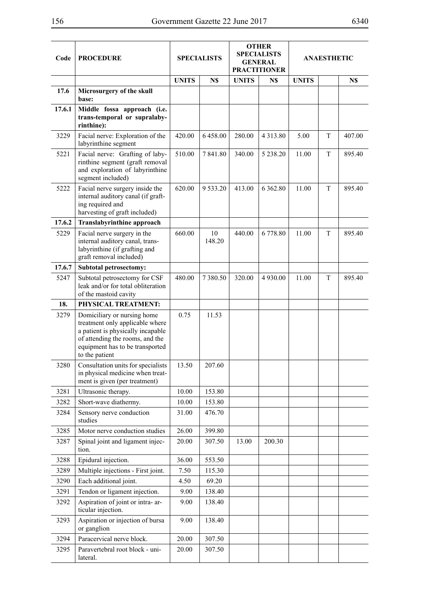| Code   | <b>PROCEDURE</b>                                                                                                                                                                            | <b>SPECIALISTS</b> |              |              | <b>OTHER</b><br><b>SPECIALISTS</b><br><b>GENERAL</b><br><b>PRACTITIONER</b> | <b>ANAESTHETIC</b> |   |        |
|--------|---------------------------------------------------------------------------------------------------------------------------------------------------------------------------------------------|--------------------|--------------|--------------|-----------------------------------------------------------------------------|--------------------|---|--------|
|        |                                                                                                                                                                                             | <b>UNITS</b>       | N\$          | <b>UNITS</b> | N\$                                                                         | <b>UNITS</b>       |   | N\$    |
| 17.6   | Microsurgery of the skull<br>base:                                                                                                                                                          |                    |              |              |                                                                             |                    |   |        |
| 17.6.1 | Middle fossa approach (i.e.<br>trans-temporal or supralaby-<br>rinthine):                                                                                                                   |                    |              |              |                                                                             |                    |   |        |
| 3229   | Facial nerve: Exploration of the<br>labyrinthine segment                                                                                                                                    | 420.00             | 6458.00      | 280.00       | 4 3 1 3 .80                                                                 | 5.00               | T | 407.00 |
| 5221   | Facial nerve: Grafting of laby-<br>rinthine segment (graft removal<br>and exploration of labyrinthine<br>segment included)                                                                  | 510.00             | 7841.80      | 340.00       | 5 2 3 8 . 2 0                                                               | 11.00              | T | 895.40 |
| 5222   | Facial nerve surgery inside the<br>internal auditory canal (if graft-<br>ing required and<br>harvesting of graft included)                                                                  | 620.00             | 9 533.20     | 413.00       | 6 3 6 2.80                                                                  | 11.00              | T | 895.40 |
| 17.6.2 | Translabyrinthine approach                                                                                                                                                                  |                    |              |              |                                                                             |                    |   |        |
| 5229   | Facial nerve surgery in the<br>internal auditory canal, trans-<br>labyrinthine (if grafting and<br>graft removal included)                                                                  | 660.00             | 10<br>148.20 | 440.00       | 6 778.80                                                                    | 11.00              | T | 895.40 |
| 17.6.7 | <b>Subtotal petrosectomy:</b>                                                                                                                                                               |                    |              |              |                                                                             |                    |   |        |
| 5247   | Subtotal petrosectomy for CSF<br>leak and/or for total obliteration<br>of the mastoid cavity                                                                                                | 480.00             | 7380.50      | 320.00       | 4 9 3 0 . 0 0                                                               | 11.00              | T | 895.40 |
| 18.    | PHYSICAL TREATMENT:                                                                                                                                                                         |                    |              |              |                                                                             |                    |   |        |
| 3279   | Domiciliary or nursing home<br>treatment only applicable where<br>a patient is physically incapable<br>of attending the rooms, and the<br>equipment has to be transported<br>to the patient | 0.75               | 11.53        |              |                                                                             |                    |   |        |
| 3280   | Consultation units for specialists<br>in physical medicine when treat-<br>ment is given (per treatment)                                                                                     | 13.50              | 207.60       |              |                                                                             |                    |   |        |
| 3281   | Ultrasonic therapy.                                                                                                                                                                         | 10.00              | 153.80       |              |                                                                             |                    |   |        |
| 3282   | Short-wave diathermy.                                                                                                                                                                       | 10.00              | 153.80       |              |                                                                             |                    |   |        |
| 3284   | Sensory nerve conduction<br>studies                                                                                                                                                         | 31.00              | 476.70       |              |                                                                             |                    |   |        |
| 3285   | Motor nerve conduction studies                                                                                                                                                              | 26.00              | 399.80       |              |                                                                             |                    |   |        |
| 3287   | Spinal joint and ligament injec-<br>tion.                                                                                                                                                   | 20.00              | 307.50       | 13.00        | 200.30                                                                      |                    |   |        |
| 3288   | Epidural injection.                                                                                                                                                                         | 36.00              | 553.50       |              |                                                                             |                    |   |        |
| 3289   | Multiple injections - First joint.                                                                                                                                                          | 7.50               | 115.30       |              |                                                                             |                    |   |        |
| 3290   | Each additional joint.                                                                                                                                                                      | 4.50               | 69.20        |              |                                                                             |                    |   |        |
| 3291   | Tendon or ligament injection.                                                                                                                                                               | 9.00               | 138.40       |              |                                                                             |                    |   |        |
| 3292   | Aspiration of joint or intra- ar-<br>ticular injection.                                                                                                                                     | 9.00               | 138.40       |              |                                                                             |                    |   |        |
| 3293   | Aspiration or injection of bursa<br>or ganglion                                                                                                                                             | 9.00               | 138.40       |              |                                                                             |                    |   |        |
| 3294   | Paracervical nerve block.                                                                                                                                                                   | 20.00              | 307.50       |              |                                                                             |                    |   |        |
| 3295   | Paravertebral root block - uni-<br>lateral.                                                                                                                                                 | 20.00              | 307.50       |              |                                                                             |                    |   |        |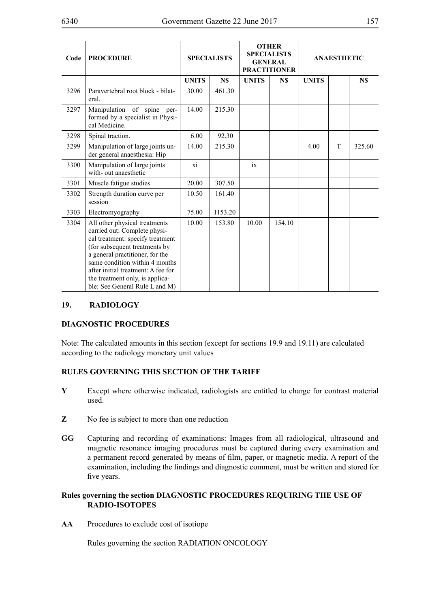| Code | <b>PROCEDURE</b>                                                                                                                                                                                                                                                                                                   | <b>SPECIALISTS</b> |         | <b>OTHER</b><br><b>SPECIALISTS</b><br><b>GENERAL</b><br><b>PRACTITIONER</b> |        | <b>ANAESTHETIC</b> |   |        |
|------|--------------------------------------------------------------------------------------------------------------------------------------------------------------------------------------------------------------------------------------------------------------------------------------------------------------------|--------------------|---------|-----------------------------------------------------------------------------|--------|--------------------|---|--------|
|      |                                                                                                                                                                                                                                                                                                                    | <b>UNITS</b>       | N\$     | <b>UNITS</b>                                                                | N\$    | <b>UNITS</b>       |   | N\$    |
| 3296 | Paravertebral root block - bilat-<br>eral.                                                                                                                                                                                                                                                                         | 30.00              | 461.30  |                                                                             |        |                    |   |        |
| 3297 | Manipulation of spine<br>per-<br>formed by a specialist in Physi-<br>cal Medicine.                                                                                                                                                                                                                                 | 14.00              | 215.30  |                                                                             |        |                    |   |        |
| 3298 | Spinal traction.                                                                                                                                                                                                                                                                                                   | 6.00               | 92.30   |                                                                             |        |                    |   |        |
| 3299 | Manipulation of large joints un-<br>der general anaesthesia: Hip                                                                                                                                                                                                                                                   | 14.00              | 215.30  |                                                                             |        | 4.00               | T | 325.60 |
| 3300 | Manipulation of large joints<br>with-out anaesthetic                                                                                                                                                                                                                                                               | xi                 |         | ix                                                                          |        |                    |   |        |
| 3301 | Muscle fatigue studies                                                                                                                                                                                                                                                                                             | 20.00              | 307.50  |                                                                             |        |                    |   |        |
| 3302 | Strength duration curve per<br>session                                                                                                                                                                                                                                                                             | 10.50              | 161.40  |                                                                             |        |                    |   |        |
| 3303 | Electromyography                                                                                                                                                                                                                                                                                                   | 75.00              | 1153.20 |                                                                             |        |                    |   |        |
| 3304 | All other physical treatments<br>carried out: Complete physi-<br>cal treatment: specify treatment<br>(for subsequent treatments by<br>a general practitioner, for the<br>same condition within 4 months<br>after initial treatment: A fee for<br>the treatment only, is applica-<br>ble: See General Rule L and M) | 10.00              | 153.80  | 10.00                                                                       | 154.10 |                    |   |        |

# **19. RADIOLOGY**

#### **DIAGNOSTIC PROCEDURES**

Note: The calculated amounts in this section (except for sections 19.9 and 19.11) are calculated according to the radiology monetary unit values

#### **RULES GOVERNING THIS SECTION OF THE TARIFF**

- **Y** Except where otherwise indicated, radiologists are entitled to charge for contrast material used.
- **Z** No fee is subject to more than one reduction
- **GG** Capturing and recording of examinations: Images from all radiological, ultrasound and magnetic resonance imaging procedures must be captured during every examination and a permanent record generated by means of film, paper, or magnetic media. A report of the examination, including the findings and diagnostic comment, must be written and stored for five years.

#### **Rules governing the section DIAGNOSTIC PROCEDURES REQUIRING THE USE OF RADIO-ISOTOPES**

**AA** Procedures to exclude cost of isotiope

Rules governing the section RADIATION ONCOLOGY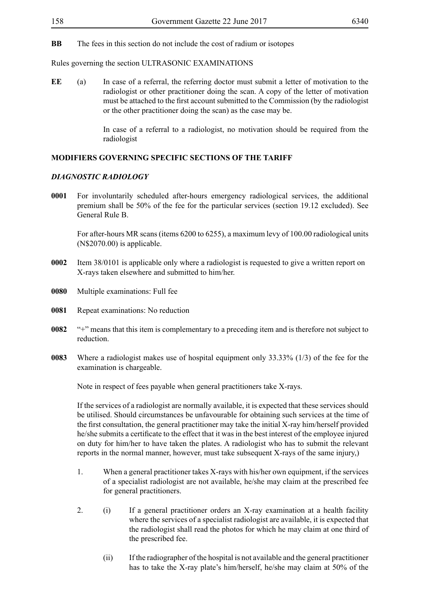## **BB** The fees in this section do not include the cost of radium or isotopes

Rules governing the section ULTRASONIC EXAMINATIONS

**EE** (a) In case of a referral, the referring doctor must submit a letter of motivation to the radiologist or other practitioner doing the scan. A copy of the letter of motivation must be attached to the first account submitted to the Commission (by the radiologist or the other practitioner doing the scan) as the case may be.

> In case of a referral to a radiologist, no motivation should be required from the radiologist

## **MODIFIERS GOVERNING SPECIFIC SECTIONS OF THE TARIFF**

## *DIAGNOSTIC RADIOLOGY*

**0001** For involuntarily scheduled after-hours emergency radiological services, the additional premium shall be 50% of the fee for the particular services (section 19.12 excluded). See General Rule B.

For after-hours MR scans (items 6200 to 6255), a maximum levy of 100.00 radiological units (N\$2070.00) is applicable.

- **0002** Item 38/0101 is applicable only where a radiologist is requested to give a written report on X-rays taken elsewhere and submitted to him/her.
- **0080** Multiple examinations: Full fee
- **0081** Repeat examinations: No reduction
- **0082** "+" means that this item is complementary to a preceding item and is therefore not subject to reduction.
- **0083** Where a radiologist makes use of hospital equipment only 33.33% (1/3) of the fee for the examination is chargeable.

Note in respect of fees payable when general practitioners take X-rays.

If the services of a radiologist are normally available, it is expected that these services should be utilised. Should circumstances be unfavourable for obtaining such services at the time of the first consultation, the general practitioner may take the initial X-ray him/herself provided he/she submits a certificate to the effect that it was in the best interest of the employee injured on duty for him/her to have taken the plates. A radiologist who has to submit the relevant reports in the normal manner, however, must take subsequent X-rays of the same injury,)

- 1. When a general practitioner takes X-rays with his/her own equipment, if the services of a specialist radiologist are not available, he/she may claim at the prescribed fee for general practitioners.
- 2. (i) If a general practitioner orders an X-ray examination at a health facility where the services of a specialist radiologist are available, it is expected that the radiologist shall read the photos for which he may claim at one third of the prescribed fee.
	- (ii) If the radiographer of the hospital is not available and the general practitioner has to take the X-ray plate's him/herself, he/she may claim at 50% of the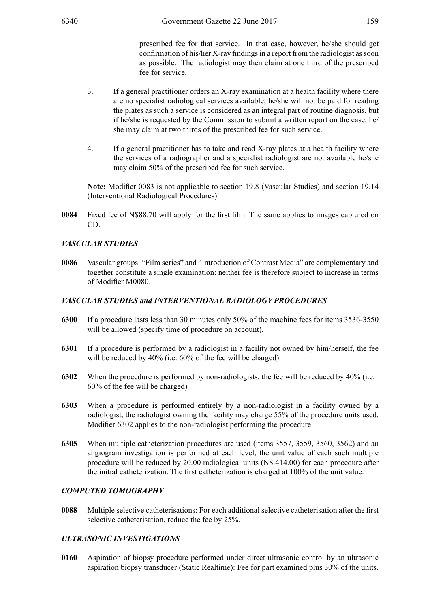prescribed fee for that service. In that case, however, he/she should get confirmation of his/her X-ray findings in a report from the radiologist as soon as possible. The radiologist may then claim at one third of the prescribed fee for service.

- 3. If a general practitioner orders an X-ray examination at a health facility where there are no specialist radiological services available, he/she will not be paid for reading the plates as such a service is considered as an integral part of routine diagnosis, but if he/she is requested by the Commission to submit a written report on the case, he/ she may claim at two thirds of the prescribed fee for such service.
- 4. If a general practitioner has to take and read X-ray plates at a health facility where the services of a radiographer and a specialist radiologist are not available he/she may claim 50% of the prescribed fee for such service.

**Note:** Modifier 0083 is not applicable to section 19.8 (Vascular Studies) and section 19.14 (Interventional Radiological Procedures)

**0084** Fixed fee of N\$88.70 will apply for the first film. The same applies to images captured on CD.

## *VASCULAR STUDIES*

**0086** Vascular groups: "Film series" and "Introduction of Contrast Media" are complementary and together constitute a single examination: neither fee is therefore subject to increase in terms of Modifier M0080.

## *VASCULAR STUDIES and INTERVENTIONAL RADIOLOGY PROCEDURES*

- **6300** If a procedure lasts less than 30 minutes only 50% of the machine fees for items 3536-3550 will be allowed (specify time of procedure on account).
- **6301** If a procedure is performed by a radiologist in a facility not owned by him/herself, the fee will be reduced by 40% (i.e. 60% of the fee will be charged)
- **6302** When the procedure is performed by non-radiologists, the fee will be reduced by 40% (i.e. 60% of the fee will be charged)
- **6303** When a procedure is performed entirely by a non-radiologist in a facility owned by a radiologist, the radiologist owning the facility may charge 55% of the procedure units used. Modifier 6302 applies to the non-radiologist performing the procedure
- **6305** When multiple catheterization procedures are used (items 3557, 3559, 3560, 3562) and an angiogram investigation is performed at each level, the unit value of each such multiple procedure will be reduced by 20.00 radiological units (N\$ 414.00) for each procedure after the initial catheterization. The first catheterization is charged at 100% of the unit value.

#### *COMPUTED TOMOGRAPHY*

**0088** Multiple selective catheterisations: For each additional selective catheterisation after the first selective catheterisation, reduce the fee by 25%.

#### *ULTRASONIC INVESTIGATIONS*

**0160** Aspiration of biopsy procedure performed under direct ultrasonic control by an ultrasonic aspiration biopsy transducer (Static Realtime): Fee for part examined plus 30% of the units.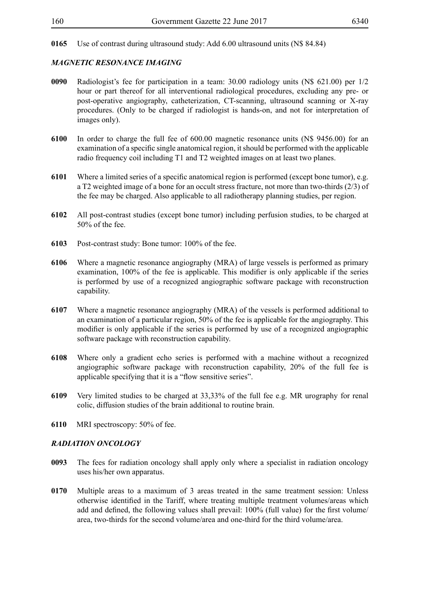**0165** Use of contrast during ultrasound study: Add 6.00 ultrasound units (N\$ 84.84)

## *MAGNETIC RESONANCE IMAGING*

- **0090** Radiologist's fee for participation in a team: 30.00 radiology units (N\$ 621.00) per 1/2 hour or part thereof for all interventional radiological procedures, excluding any pre- or post-operative angiography, catheterization, CT-scanning, ultrasound scanning or X-ray procedures. (Only to be charged if radiologist is hands-on, and not for interpretation of images only).
- **6100** In order to charge the full fee of 600.00 magnetic resonance units (N\$ 9456.00) for an examination of a specific single anatomical region, it should be performed with the applicable radio frequency coil including T1 and T2 weighted images on at least two planes.
- **6101** Where a limited series of a specific anatomical region is performed (except bone tumor), e.g. a T2 weighted image of a bone for an occult stress fracture, not more than two-thirds (2/3) of the fee may be charged. Also applicable to all radiotherapy planning studies, per region.
- **6102** All post-contrast studies (except bone tumor) including perfusion studies, to be charged at 50% of the fee.
- **6103** Post-contrast study: Bone tumor: 100% of the fee.
- **6106** Where a magnetic resonance angiography (MRA) of large vessels is performed as primary examination, 100% of the fee is applicable. This modifier is only applicable if the series is performed by use of a recognized angiographic software package with reconstruction capability.
- **6107** Where a magnetic resonance angiography (MRA) of the vessels is performed additional to an examination of a particular region, 50% of the fee is applicable for the angiography. This modifier is only applicable if the series is performed by use of a recognized angiographic software package with reconstruction capability.
- **6108** Where only a gradient echo series is performed with a machine without a recognized angiographic software package with reconstruction capability, 20% of the full fee is applicable specifying that it is a "flow sensitive series".
- **6109** Very limited studies to be charged at 33,33% of the full fee e.g. MR urography for renal colic, diffusion studies of the brain additional to routine brain.
- **6110** MRI spectroscopy: 50% of fee.

## *RADIATION ONCOLOGY*

- **0093** The fees for radiation oncology shall apply only where a specialist in radiation oncology uses his/her own apparatus.
- **0170** Multiple areas to a maximum of 3 areas treated in the same treatment session: Unless otherwise identified in the Tariff, where treating multiple treatment volumes/areas which add and defined, the following values shall prevail: 100% (full value) for the first volume/ area, two-thirds for the second volume/area and one-third for the third volume/area.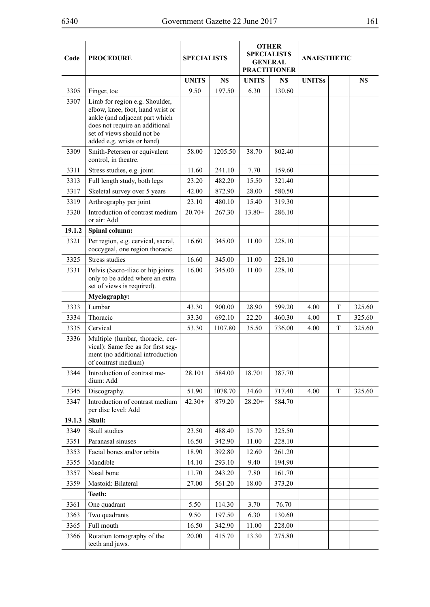| Code   | <b>PROCEDURE</b>                                                                                                                                                                                   | <b>SPECIALISTS</b> |         | <b>OTHER</b><br><b>SPECIALISTS</b><br><b>GENERAL</b><br><b>PRACTITIONER</b> |        | <b>ANAESTHETIC</b> |   |        |
|--------|----------------------------------------------------------------------------------------------------------------------------------------------------------------------------------------------------|--------------------|---------|-----------------------------------------------------------------------------|--------|--------------------|---|--------|
|        |                                                                                                                                                                                                    | <b>UNITS</b>       | N\$     | <b>UNITS</b>                                                                | N\$    | <b>UNITSs</b>      |   | N\$    |
| 3305   | Finger, toe                                                                                                                                                                                        | 9.50               | 197.50  | 6.30                                                                        | 130.60 |                    |   |        |
| 3307   | Limb for region e.g. Shoulder,<br>elbow, knee, foot, hand wrist or<br>ankle (and adjacent part which<br>does not require an additional<br>set of views should not be<br>added e.g. wrists or hand) |                    |         |                                                                             |        |                    |   |        |
| 3309   | Smith-Petersen or equivalent<br>control, in theatre.                                                                                                                                               | 58.00              | 1205.50 | 38.70                                                                       | 802.40 |                    |   |        |
| 3311   | Stress studies, e.g. joint.                                                                                                                                                                        | 11.60              | 241.10  | 7.70                                                                        | 159.60 |                    |   |        |
| 3313   | Full length study, both legs                                                                                                                                                                       | 23.20              | 482.20  | 15.50                                                                       | 321.40 |                    |   |        |
| 3317   | Skeletal survey over 5 years                                                                                                                                                                       | 42.00              | 872.90  | 28.00                                                                       | 580.50 |                    |   |        |
| 3319   | Arthrography per joint                                                                                                                                                                             | 23.10              | 480.10  | 15.40                                                                       | 319.30 |                    |   |        |
| 3320   | Introduction of contrast medium<br>or air: Add                                                                                                                                                     | $20.70+$           | 267.30  | $13.80+$                                                                    | 286.10 |                    |   |        |
| 19.1.2 | Spinal column:                                                                                                                                                                                     |                    |         |                                                                             |        |                    |   |        |
| 3321   | Per region, e.g. cervical, sacral,<br>coccygeal, one region thoracic                                                                                                                               | 16.60              | 345.00  | 11.00                                                                       | 228.10 |                    |   |        |
| 3325   | Stress studies                                                                                                                                                                                     | 16.60              | 345.00  | 11.00                                                                       | 228.10 |                    |   |        |
| 3331   | Pelvis (Sacro-iliac or hip joints<br>only to be added where an extra<br>set of views is required).                                                                                                 | 16.00              | 345.00  | 11.00                                                                       | 228.10 |                    |   |        |
|        | Myelography:                                                                                                                                                                                       |                    |         |                                                                             |        |                    |   |        |
| 3333   | Lumbar                                                                                                                                                                                             | 43.30              | 900.00  | 28.90                                                                       | 599.20 | 4.00               | T | 325.60 |
| 3334   | Thoracic                                                                                                                                                                                           | 33.30              | 692.10  | 22.20                                                                       | 460.30 | 4.00               | T | 325.60 |
| 3335   | Cervical                                                                                                                                                                                           | 53.30              | 1107.80 | 35.50                                                                       | 736.00 | 4.00               | T | 325.60 |
| 3336   | Multiple (lumbar, thoracic, cer-<br>vical): Same fee as for first seg-<br>ment (no additional introduction<br>of contrast medium)                                                                  |                    |         |                                                                             |        |                    |   |        |
| 3344   | Introduction of contrast me-<br>dium: Add                                                                                                                                                          | $28.10+$           | 584.00  | $18.70+$                                                                    | 387.70 |                    |   |        |
| 3345   | Discography.                                                                                                                                                                                       | 51.90              | 1078.70 | 34.60                                                                       | 717.40 | 4.00               | T | 325.60 |
| 3347   | Introduction of contrast medium<br>per disc level: Add                                                                                                                                             | $42.30+$           | 879.20  | $28.20+$                                                                    | 584.70 |                    |   |        |
| 19.1.3 | Skull:                                                                                                                                                                                             |                    |         |                                                                             |        |                    |   |        |
| 3349   | Skull studies                                                                                                                                                                                      | 23.50              | 488.40  | 15.70                                                                       | 325.50 |                    |   |        |
| 3351   | Paranasal sinuses                                                                                                                                                                                  | 16.50              | 342.90  | 11.00                                                                       | 228.10 |                    |   |        |
| 3353   | Facial bones and/or orbits                                                                                                                                                                         | 18.90              | 392.80  | 12.60                                                                       | 261.20 |                    |   |        |
| 3355   | Mandible                                                                                                                                                                                           | 14.10              | 293.10  | 9.40                                                                        | 194.90 |                    |   |        |
| 3357   | Nasal bone                                                                                                                                                                                         | 11.70              | 243.20  | 7.80                                                                        | 161.70 |                    |   |        |
| 3359   | Mastoid: Bilateral                                                                                                                                                                                 | 27.00              | 561.20  | 18.00                                                                       | 373.20 |                    |   |        |
|        | Teeth:                                                                                                                                                                                             |                    |         |                                                                             |        |                    |   |        |
| 3361   | One quadrant                                                                                                                                                                                       | 5.50               | 114.30  | 3.70                                                                        | 76.70  |                    |   |        |
| 3363   | Two quadrants                                                                                                                                                                                      | 9.50               | 197.50  | 6.30                                                                        | 130.60 |                    |   |        |
| 3365   | Full mouth                                                                                                                                                                                         | 16.50              | 342.90  | 11.00                                                                       | 228.00 |                    |   |        |
| 3366   | Rotation tomography of the<br>teeth and jaws.                                                                                                                                                      | 20.00              | 415.70  | 13.30                                                                       | 275.80 |                    |   |        |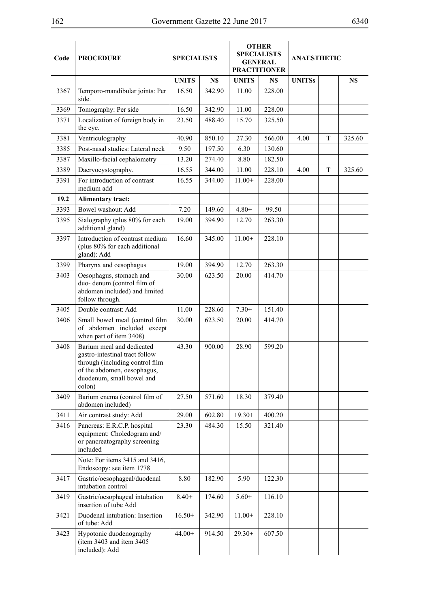$\overline{\phantom{a}}$ 

| Code | <b>PROCEDURE</b>                                                                                                                                                     | <b>SPECIALISTS</b> |        |              | <b>OTHER</b><br><b>SPECIALISTS</b><br><b>GENERAL</b><br><b>PRACTITIONER</b> |               | <b>ANAESTHETIC</b> |        |
|------|----------------------------------------------------------------------------------------------------------------------------------------------------------------------|--------------------|--------|--------------|-----------------------------------------------------------------------------|---------------|--------------------|--------|
|      |                                                                                                                                                                      | <b>UNITS</b>       | N\$    | <b>UNITS</b> | N\$                                                                         | <b>UNITSs</b> |                    | N\$    |
| 3367 | Temporo-mandibular joints: Per<br>side.                                                                                                                              | 16.50              | 342.90 | 11.00        | 228.00                                                                      |               |                    |        |
| 3369 | Tomography: Per side                                                                                                                                                 | 16.50              | 342.90 | 11.00        | 228.00                                                                      |               |                    |        |
| 3371 | Localization of foreign body in<br>the eye.                                                                                                                          | 23.50              | 488.40 | 15.70        | 325.50                                                                      |               |                    |        |
| 3381 | Ventriculography                                                                                                                                                     | 40.90              | 850.10 | 27.30        | 566.00                                                                      | 4.00          | T                  | 325.60 |
| 3385 | Post-nasal studies: Lateral neck                                                                                                                                     | 9.50               | 197.50 | 6.30         | 130.60                                                                      |               |                    |        |
| 3387 | Maxillo-facial cephalometry                                                                                                                                          | 13.20              | 274.40 | 8.80         | 182.50                                                                      |               |                    |        |
| 3389 | Dacryocystography.                                                                                                                                                   | 16.55              | 344.00 | 11.00        | 228.10                                                                      | 4.00          | T                  | 325.60 |
| 3391 | For introduction of contrast<br>medium add                                                                                                                           | 16.55              | 344.00 | $11.00+$     | 228.00                                                                      |               |                    |        |
| 19.2 | <b>Alimentary tract:</b>                                                                                                                                             |                    |        |              |                                                                             |               |                    |        |
| 3393 | Bowel washout: Add                                                                                                                                                   | 7.20               | 149.60 | $4.80+$      | 99.50                                                                       |               |                    |        |
| 3395 | Sialography (plus 80% for each<br>additional gland)                                                                                                                  | 19.00              | 394.90 | 12.70        | 263.30                                                                      |               |                    |        |
| 3397 | Introduction of contrast medium<br>(plus 80% for each additional<br>gland): Add                                                                                      | 16.60              | 345.00 | $11.00+$     | 228.10                                                                      |               |                    |        |
| 3399 | Pharynx and oesophagus                                                                                                                                               | 19.00              | 394.90 | 12.70        | 263.30                                                                      |               |                    |        |
| 3403 | Oesophagus, stomach and<br>duo- denum (control film of<br>abdomen included) and limited<br>follow through.                                                           | 30.00              | 623.50 | 20.00        | 414.70                                                                      |               |                    |        |
| 3405 | Double contrast: Add                                                                                                                                                 | 11.00              | 228.60 | $7.30+$      | 151.40                                                                      |               |                    |        |
| 3406 | Small bowel meal (control film<br>of abdomen included except<br>when part of item 3408)                                                                              | 30.00              | 623.50 | 20.00        | 414.70                                                                      |               |                    |        |
| 3408 | Barium meal and dedicated<br>gastro-intestinal tract follow<br>through (including control film<br>of the abdomen, oesophagus,<br>duodenum, small bowel and<br>colon) | 43.30              | 900.00 | 28.90        | 599.20                                                                      |               |                    |        |
| 3409 | Barium enema (control film of<br>abdomen included)                                                                                                                   | 27.50              | 571.60 | 18.30        | 379.40                                                                      |               |                    |        |
| 3411 | Air contrast study: Add                                                                                                                                              | 29.00              | 602.80 | $19.30+$     | 400.20                                                                      |               |                    |        |
| 3416 | Pancreas: E.R.C.P. hospital<br>equipment: Choledogram and/<br>or pancreatography screening<br>included                                                               | 23.30              | 484.30 | 15.50        | 321.40                                                                      |               |                    |        |
|      | Note: For items 3415 and 3416,<br>Endoscopy: see item 1778                                                                                                           |                    |        |              |                                                                             |               |                    |        |
| 3417 | Gastric/oesophageal/duodenal<br>intubation control                                                                                                                   | 8.80               | 182.90 | 5.90         | 122.30                                                                      |               |                    |        |
| 3419 | Gastric/oesophageal intubation<br>insertion of tube Add                                                                                                              | $8.40+$            | 174.60 | $5.60+$      | 116.10                                                                      |               |                    |        |
| 3421 | Duodenal intubation: Insertion<br>of tube: Add                                                                                                                       | $16.50+$           | 342.90 | $11.00+$     | 228.10                                                                      |               |                    |        |
| 3423 | Hypotonic duodenography<br>(item 3403 and item 3405)<br>included): Add                                                                                               | $44.00+$           | 914.50 | $29.30+$     | 607.50                                                                      |               |                    |        |

÷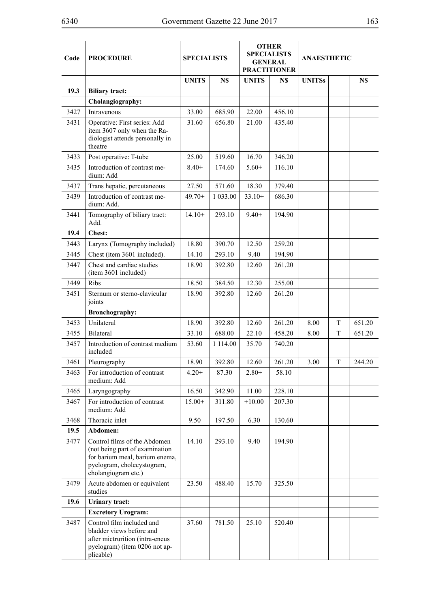| Code | <b>PROCEDURE</b>                                                                                                                                      | <b>SPECIALISTS</b> |          | <b>OTHER</b><br><b>SPECIALISTS</b><br><b>GENERAL</b><br><b>PRACTITIONER</b> |        | <b>ANAESTHETIC</b> |   |        |
|------|-------------------------------------------------------------------------------------------------------------------------------------------------------|--------------------|----------|-----------------------------------------------------------------------------|--------|--------------------|---|--------|
|      |                                                                                                                                                       | <b>UNITS</b>       | N\$      | <b>UNITS</b>                                                                | N\$    | <b>UNITSs</b>      |   | N\$    |
| 19.3 | <b>Biliary tract:</b>                                                                                                                                 |                    |          |                                                                             |        |                    |   |        |
|      | Cholangiography:                                                                                                                                      |                    |          |                                                                             |        |                    |   |        |
| 3427 | Intravenous                                                                                                                                           | 33.00              | 685.90   | 22.00                                                                       | 456.10 |                    |   |        |
| 3431 | Operative: First series: Add<br>item 3607 only when the Ra-<br>diologist attends personally in<br>theatre                                             | 31.60              | 656.80   | 21.00                                                                       | 435.40 |                    |   |        |
| 3433 | Post operative: T-tube                                                                                                                                | 25.00              | 519.60   | 16.70                                                                       | 346.20 |                    |   |        |
| 3435 | Introduction of contrast me-<br>dium: Add                                                                                                             | $8.40+$            | 174.60   | $5.60+$                                                                     | 116.10 |                    |   |        |
| 3437 | Trans hepatic, percutaneous                                                                                                                           | 27.50              | 571.60   | 18.30                                                                       | 379.40 |                    |   |        |
| 3439 | Introduction of contrast me-<br>dium: Add.                                                                                                            | $49.70+$           | 1 033.00 | $33.10+$                                                                    | 686.30 |                    |   |        |
| 3441 | Tomography of biliary tract:<br>Add.                                                                                                                  | $14.10+$           | 293.10   | $9.40+$                                                                     | 194.90 |                    |   |        |
| 19.4 | <b>Chest:</b>                                                                                                                                         |                    |          |                                                                             |        |                    |   |        |
| 3443 | Larynx (Tomography included)                                                                                                                          | 18.80              | 390.70   | 12.50                                                                       | 259.20 |                    |   |        |
| 3445 | Chest (item 3601 included).                                                                                                                           | 14.10              | 293.10   | 9.40                                                                        | 194.90 |                    |   |        |
| 3447 | Chest and cardiac studies<br>(item 3601 included)                                                                                                     | 18.90              | 392.80   | 12.60                                                                       | 261.20 |                    |   |        |
| 3449 | <b>Ribs</b>                                                                                                                                           | 18.50              | 384.50   | 12.30                                                                       | 255.00 |                    |   |        |
| 3451 | Sternum or sterno-clavicular<br>joints                                                                                                                | 18.90              | 392.80   | 12.60                                                                       | 261.20 |                    |   |        |
|      | <b>Bronchography:</b>                                                                                                                                 |                    |          |                                                                             |        |                    |   |        |
| 3453 | Unilateral                                                                                                                                            | 18.90              | 392.80   | 12.60                                                                       | 261.20 | 8.00               | T | 651.20 |
| 3455 | Bilateral                                                                                                                                             | 33.10              | 688.00   | 22.10                                                                       | 458.20 | 8.00               | T | 651.20 |
| 3457 | Introduction of contrast medium<br>included                                                                                                           | 53.60              | 1 114.00 | 35.70                                                                       | 740.20 |                    |   |        |
| 3461 | Pleurography                                                                                                                                          | 18.90              | 392.80   | 12.60                                                                       | 261.20 | 3.00               | T | 244.20 |
| 3463 | For introduction of contrast<br>medium: Add                                                                                                           | $4.20+$            | 87.30    | $2.80+$                                                                     | 58.10  |                    |   |        |
| 3465 | Laryngography                                                                                                                                         | 16.50              | 342.90   | 11.00                                                                       | 228.10 |                    |   |        |
| 3467 | For introduction of contrast<br>medium: Add                                                                                                           | $15.00+$           | 311.80   | $+10.00$                                                                    | 207.30 |                    |   |        |
| 3468 | Thoracic inlet                                                                                                                                        | 9.50               | 197.50   | 6.30                                                                        | 130.60 |                    |   |        |
| 19.5 | Abdomen:                                                                                                                                              |                    |          |                                                                             |        |                    |   |        |
| 3477 | Control films of the Abdomen<br>(not being part of examination<br>for barium meal, barium enema,<br>pyelogram, cholecystogram,<br>cholangiogram etc.) | 14.10              | 293.10   | 9.40                                                                        | 194.90 |                    |   |        |
| 3479 | Acute abdomen or equivalent<br>studies                                                                                                                | 23.50              | 488.40   | 15.70                                                                       | 325.50 |                    |   |        |
| 19.6 | Urinary tract:                                                                                                                                        |                    |          |                                                                             |        |                    |   |        |
|      | <b>Excretory Urogram:</b>                                                                                                                             |                    |          |                                                                             |        |                    |   |        |
| 3487 | Control film included and<br>bladder views before and<br>after mictrurition (intra-eneus<br>pyelogram) (item 0206 not ap-<br>plicable)                | 37.60              | 781.50   | 25.10                                                                       | 520.40 |                    |   |        |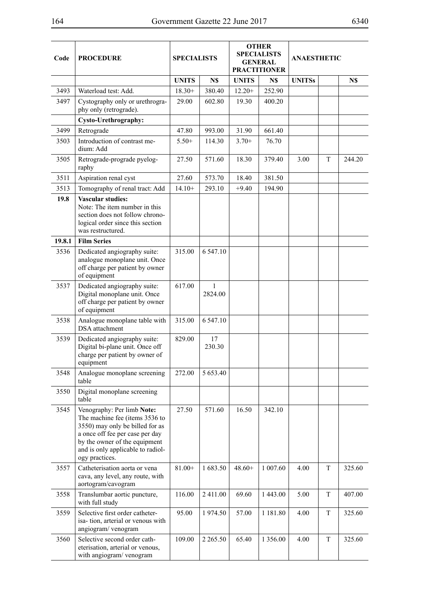| Code   | <b>PROCEDURE</b>                                                                                                                                                                                                           |              | <b>SPECIALISTS</b> |              | <b>OTHER</b><br><b>SPECIALISTS</b><br><b>GENERAL</b><br><b>PRACTITIONER</b> | <b>ANAESTHETIC</b> |   |        |
|--------|----------------------------------------------------------------------------------------------------------------------------------------------------------------------------------------------------------------------------|--------------|--------------------|--------------|-----------------------------------------------------------------------------|--------------------|---|--------|
|        |                                                                                                                                                                                                                            | <b>UNITS</b> | N\$                | <b>UNITS</b> | N\$                                                                         | <b>UNITSs</b>      |   | N\$    |
| 3493   | Waterload test: Add.                                                                                                                                                                                                       | $18.30+$     | 380.40             | $12.20+$     | 252.90                                                                      |                    |   |        |
| 3497   | Cystography only or urethrogra-<br>phy only (retrograde).                                                                                                                                                                  | 29.00        | 602.80             | 19.30        | 400.20                                                                      |                    |   |        |
|        | Cysto-Urethrography:                                                                                                                                                                                                       |              |                    |              |                                                                             |                    |   |        |
| 3499   | Retrograde                                                                                                                                                                                                                 | 47.80        | 993.00             | 31.90        | 661.40                                                                      |                    |   |        |
| 3503   | Introduction of contrast me-<br>dium: Add                                                                                                                                                                                  | $5.50+$      | 114.30             | $3.70+$      | 76.70                                                                       |                    |   |        |
| 3505   | Retrograde-prograde pyelog-<br>raphy                                                                                                                                                                                       | 27.50        | 571.60             | 18.30        | 379.40                                                                      | 3.00               | T | 244.20 |
| 3511   | Aspiration renal cyst                                                                                                                                                                                                      | 27.60        | 573.70             | 18.40        | 381.50                                                                      |                    |   |        |
| 3513   | Tomography of renal tract: Add                                                                                                                                                                                             | $14.10+$     | 293.10             | $+9.40$      | 194.90                                                                      |                    |   |        |
| 19.8   | <b>Vascular studies:</b><br>Note: The item number in this<br>section does not follow chrono-<br>logical order since this section<br>was restructured.                                                                      |              |                    |              |                                                                             |                    |   |        |
| 19.8.1 | <b>Film Series</b>                                                                                                                                                                                                         |              |                    |              |                                                                             |                    |   |        |
| 3536   | Dedicated angiography suite:<br>analogue monoplane unit. Once<br>off charge per patient by owner<br>of equipment                                                                                                           | 315.00       | 6 547.10           |              |                                                                             |                    |   |        |
| 3537   | Dedicated angiography suite:<br>Digital monoplane unit. Once<br>off charge per patient by owner<br>of equipment                                                                                                            | 617.00       | 1<br>2824.00       |              |                                                                             |                    |   |        |
| 3538   | Analogue monoplane table with<br><b>DSA</b> attachment                                                                                                                                                                     | 315.00       | 6 5 4 7 . 10       |              |                                                                             |                    |   |        |
| 3539   | Dedicated angiography suite:<br>Digital bi-plane unit. Once off<br>charge per patient by owner of<br>equipment                                                                                                             | 829.00       | 17<br>230.30       |              |                                                                             |                    |   |        |
| 3548   | Analogue monoplane screening<br>table                                                                                                                                                                                      | 272.00       | 5 653.40           |              |                                                                             |                    |   |        |
| 3550   | Digital monoplane screening<br>table                                                                                                                                                                                       |              |                    |              |                                                                             |                    |   |        |
| 3545   | Venography: Per limb Note:<br>The machine fee (items 3536 to<br>3550) may only be billed for as<br>a once off fee per case per day<br>by the owner of the equipment<br>and is only applicable to radiol-<br>ogy practices. | 27.50        | 571.60             | 16.50        | 342.10                                                                      |                    |   |        |
| 3557   | Catheterisation aorta or vena<br>cava, any level, any route, with<br>aortogram/cavogram                                                                                                                                    | $81.00+$     | 1683.50            | $48.60+$     | 1 007.60                                                                    | 4.00               | T | 325.60 |
| 3558   | Translumbar aortic puncture,<br>with full study                                                                                                                                                                            | 116.00       | 2 411.00           | 69.60        | 1 443.00                                                                    | 5.00               | T | 407.00 |
| 3559   | Selective first order catheter-<br>isa-tion, arterial or venous with<br>angiogram/venogram                                                                                                                                 | 95.00        | 1974.50            | 57.00        | 1 1 8 1 . 8 0                                                               | 4.00               | T | 325.60 |
| 3560   | Selective second order cath-<br>eterisation, arterial or venous,<br>with angiogram/ venogram                                                                                                                               | 109.00       | 2 2 6 5 .50        | 65.40        | 1 3 5 6 .00                                                                 | 4.00               | T | 325.60 |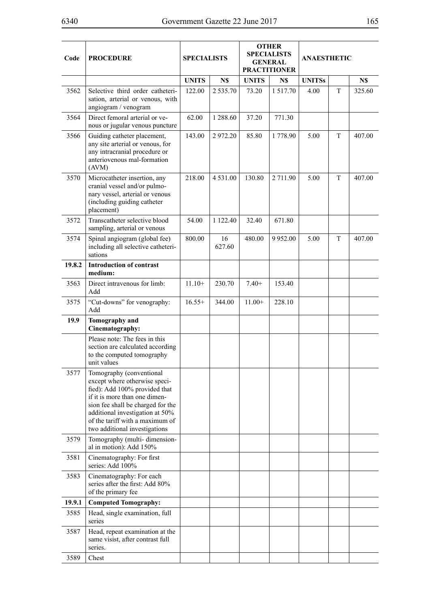| Code   | <b>PROCEDURE</b>                                                                                                                                                                                                                                                        | <b>SPECIALISTS</b> |               | <b>OTHER</b><br><b>SPECIALISTS</b><br><b>GENERAL</b><br><b>PRACTITIONER</b> |          |               | <b>ANAESTHETIC</b> |        |
|--------|-------------------------------------------------------------------------------------------------------------------------------------------------------------------------------------------------------------------------------------------------------------------------|--------------------|---------------|-----------------------------------------------------------------------------|----------|---------------|--------------------|--------|
|        |                                                                                                                                                                                                                                                                         | <b>UNITS</b>       | N\$           | <b>UNITS</b>                                                                | N\$      | <b>UNITSs</b> |                    | N\$    |
| 3562   | Selective third order catheteri-<br>sation, arterial or venous, with<br>angiogram / venogram                                                                                                                                                                            | 122.00             | 2 5 3 5 .70   | 73.20                                                                       | 1517.70  | 4.00          | T                  | 325.60 |
| 3564   | Direct femoral arterial or ve-<br>nous or jugular venous puncture                                                                                                                                                                                                       | 62.00              | 1 2 8 8 . 6 0 | 37.20                                                                       | 771.30   |               |                    |        |
| 3566   | Guiding catheter placement,<br>any site arterial or venous, for<br>any intracranial procedure or<br>anteriovenous mal-formation<br>(AVM)                                                                                                                                | 143.00             | 2972.20       | 85.80                                                                       | 1778.90  | 5.00          | T                  | 407.00 |
| 3570   | Microcatheter insertion, any<br>cranial vessel and/or pulmo-<br>nary vessel, arterial or venous<br>(including guiding catheter<br>placement)                                                                                                                            | 218.00             | 4 5 3 1 .00   | 130.80                                                                      | 2 711.90 | 5.00          | T                  | 407.00 |
| 3572   | Transcatheter selective blood<br>sampling, arterial or venous                                                                                                                                                                                                           | 54.00              | 1 1 2 2 . 4 0 | 32.40                                                                       | 671.80   |               |                    |        |
| 3574   | Spinal angiogram (global fee)<br>including all selective catheteri-<br>sations                                                                                                                                                                                          | 800.00             | 16<br>627.60  | 480.00                                                                      | 9952.00  | 5.00          | T                  | 407.00 |
| 19.8.2 | <b>Introduction of contrast</b><br>medium:                                                                                                                                                                                                                              |                    |               |                                                                             |          |               |                    |        |
| 3563   | Direct intravenous for limb:<br>Add                                                                                                                                                                                                                                     | $11.10+$           | 230.70        | $7.40+$                                                                     | 153.40   |               |                    |        |
| 3575   | "Cut-downs" for venography:<br>Add                                                                                                                                                                                                                                      | $16.55+$           | 344.00        | $11.00+$                                                                    | 228.10   |               |                    |        |
| 19.9   | Tomography and<br>Cinematography:                                                                                                                                                                                                                                       |                    |               |                                                                             |          |               |                    |        |
|        | Please note: The fees in this<br>section are calculated according<br>to the computed tomography<br>unit values                                                                                                                                                          |                    |               |                                                                             |          |               |                    |        |
| 3577   | Tomography (conventional<br>except where otherwise speci-<br>fied): Add 100% provided that<br>if it is more than one dimen-<br>sion fee shall be charged for the<br>additional investigation at 50%<br>of the tariff with a maximum of<br>two additional investigations |                    |               |                                                                             |          |               |                    |        |
| 3579   | Tomography (multi-dimension-<br>al in motion): Add 150%                                                                                                                                                                                                                 |                    |               |                                                                             |          |               |                    |        |
| 3581   | Cinematography: For first<br>series: Add 100%                                                                                                                                                                                                                           |                    |               |                                                                             |          |               |                    |        |
| 3583   | Cinematography: For each<br>series after the first: Add 80%<br>of the primary fee                                                                                                                                                                                       |                    |               |                                                                             |          |               |                    |        |
| 19.9.1 | <b>Computed Tomography:</b>                                                                                                                                                                                                                                             |                    |               |                                                                             |          |               |                    |        |
| 3585   | Head, single examination, full<br>series                                                                                                                                                                                                                                |                    |               |                                                                             |          |               |                    |        |
| 3587   | Head, repeat examination at the<br>same visist, after contrast full<br>series.                                                                                                                                                                                          |                    |               |                                                                             |          |               |                    |        |
| 3589   | Chest                                                                                                                                                                                                                                                                   |                    |               |                                                                             |          |               |                    |        |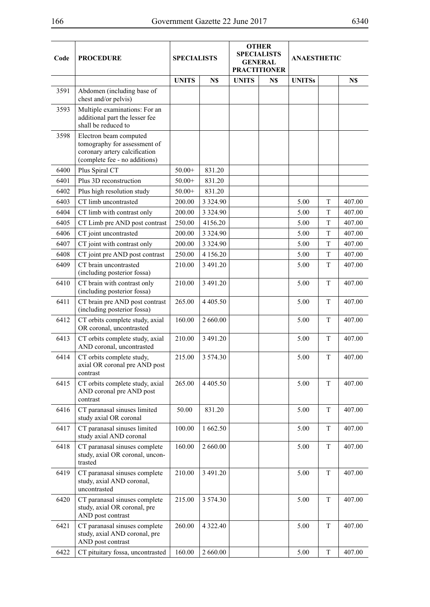| Code | <b>PROCEDURE</b>                                                                                                         |              | <b>SPECIALISTS</b> |              | <b>OTHER</b><br><b>SPECIALISTS</b><br><b>GENERAL</b><br><b>PRACTITIONER</b> | <b>ANAESTHETIC</b> |             |        |
|------|--------------------------------------------------------------------------------------------------------------------------|--------------|--------------------|--------------|-----------------------------------------------------------------------------|--------------------|-------------|--------|
|      |                                                                                                                          | <b>UNITS</b> | N\$                | <b>UNITS</b> | N\$                                                                         | <b>UNITSs</b>      |             | N\$    |
| 3591 | Abdomen (including base of<br>chest and/or pelvis)                                                                       |              |                    |              |                                                                             |                    |             |        |
| 3593 | Multiple examinations: For an<br>additional part the lesser fee<br>shall be reduced to                                   |              |                    |              |                                                                             |                    |             |        |
| 3598 | Electron beam computed<br>tomography for assessment of<br>coronary artery calcification<br>(complete fee - no additions) |              |                    |              |                                                                             |                    |             |        |
| 6400 | Plus Spiral CT                                                                                                           | $50.00+$     | 831.20             |              |                                                                             |                    |             |        |
| 6401 | Plus 3D reconstruction                                                                                                   | $50.00+$     | 831.20             |              |                                                                             |                    |             |        |
| 6402 | Plus high resolution study                                                                                               | $50.00+$     | 831.20             |              |                                                                             |                    |             |        |
| 6403 | CT limb uncontrasted                                                                                                     | 200.00       | 3 3 2 4 . 9 0      |              |                                                                             | 5.00               | $\mathbf T$ | 407.00 |
| 6404 | CT limb with contrast only                                                                                               | 200.00       | 3 3 2 4 . 9 0      |              |                                                                             | 5.00               | T           | 407.00 |
| 6405 | CT Limb pre AND post contrast                                                                                            | 250.00       | 4156.20            |              |                                                                             | 5.00               | T           | 407.00 |
| 6406 | CT joint uncontrasted                                                                                                    | 200.00       | 3 3 2 4 9 0        |              |                                                                             | 5.00               | T           | 407.00 |
| 6407 | CT joint with contrast only                                                                                              | 200.00       | 3 3 2 4 . 9 0      |              |                                                                             | 5.00               | T           | 407.00 |
| 6408 | CT joint pre AND post contrast                                                                                           | 250.00       | 4 1 5 6 .20        |              |                                                                             | 5.00               | T           | 407.00 |
| 6409 | CT brain uncontrasted<br>(including posterior fossa)                                                                     | 210.00       | 3 491.20           |              |                                                                             | 5.00               | T           | 407.00 |
| 6410 | CT brain with contrast only<br>(including posterior fossa)                                                               | 210.00       | 3 491.20           |              |                                                                             | 5.00               | T           | 407.00 |
| 6411 | CT brain pre AND post contrast<br>(including posterior fossa)                                                            | 265.00       | 4 4 0 5 .50        |              |                                                                             | 5.00               | T           | 407.00 |
| 6412 | CT orbits complete study, axial<br>OR coronal, uncontrasted                                                              | 160.00       | 2 660.00           |              |                                                                             | 5.00               | T           | 407.00 |
| 6413 | CT orbits complete study, axial<br>AND coronal, uncontrasted                                                             | 210.00       | 3 491.20           |              |                                                                             | 5.00               | T           | 407.00 |
| 6414 | CT orbits complete study,<br>axial OR coronal pre AND post<br>contrast                                                   | 215.00       | 3 5 7 4 . 3 0      |              |                                                                             | 5.00               | T           | 407.00 |
| 6415 | CT orbits complete study, axial<br>AND coronal pre AND post<br>contrast                                                  | 265.00       | 4 4 0 5 .50        |              |                                                                             | 5.00               | T           | 407.00 |
| 6416 | CT paranasal sinuses limited<br>study axial OR coronal                                                                   | 50.00        | 831.20             |              |                                                                             | 5.00               | T           | 407.00 |
| 6417 | CT paranasal sinuses limited<br>study axial AND coronal                                                                  | 100.00       | 1662.50            |              |                                                                             | 5.00               | T           | 407.00 |
| 6418 | CT paranasal sinuses complete<br>study, axial OR coronal, uncon-<br>trasted                                              | 160.00       | 2 660.00           |              |                                                                             | 5.00               | T           | 407.00 |
| 6419 | CT paranasal sinuses complete<br>study, axial AND coronal,<br>uncontrasted                                               | 210.00       | 3 491.20           |              |                                                                             | 5.00               | T           | 407.00 |
| 6420 | CT paranasal sinuses complete<br>study, axial OR coronal, pre<br>AND post contrast                                       | 215.00       | 3 5 7 4 . 3 0      |              |                                                                             | 5.00               | T           | 407.00 |
| 6421 | CT paranasal sinuses complete<br>study, axial AND coronal, pre<br>AND post contrast                                      | 260.00       | 4 3 2 2.40         |              |                                                                             | 5.00               | T           | 407.00 |
| 6422 | CT pituitary fossa, uncontrasted                                                                                         | 160.00       | 2 660.00           |              |                                                                             | 5.00               | T           | 407.00 |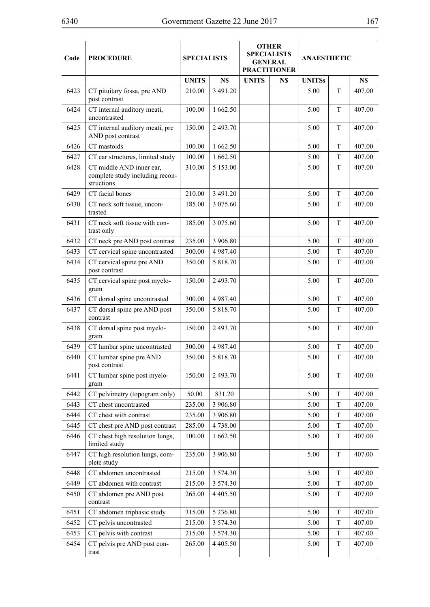| Code | <b>PROCEDURE</b>                                                          |              | <b>SPECIALISTS</b> |              | <b>OTHER</b><br><b>SPECIALISTS</b><br><b>GENERAL</b><br><b>PRACTITIONER</b> | <b>ANAESTHETIC</b> |             |        |
|------|---------------------------------------------------------------------------|--------------|--------------------|--------------|-----------------------------------------------------------------------------|--------------------|-------------|--------|
|      |                                                                           | <b>UNITS</b> | N\$                | <b>UNITS</b> | N\$                                                                         | <b>UNITSs</b>      |             | N\$    |
| 6423 | CT pituitary fossa, pre AND<br>post contrast                              | 210.00       | 3 491.20           |              |                                                                             | 5.00               | T           | 407.00 |
| 6424 | CT internal auditory meati,<br>uncontrasted                               | 100.00       | 1662.50            |              |                                                                             | 5.00               | T           | 407.00 |
| 6425 | CT internal auditory meati, pre<br>AND post contrast                      | 150.00       | 2493.70            |              |                                                                             | 5.00               | T           | 407.00 |
| 6426 | CT mastoids                                                               | 100.00       | 1 662.50           |              |                                                                             | 5.00               | T           | 407.00 |
| 6427 | CT ear structures, limited study                                          | 100.00       | 1 662.50           |              |                                                                             | 5.00               | T           | 407.00 |
| 6428 | CT middle AND inner ear,<br>complete study including recon-<br>structions | 310.00       | 5 1 5 3 .00        |              |                                                                             | 5.00               | T           | 407.00 |
| 6429 | CT facial bones                                                           | 210.00       | 3 491.20           |              |                                                                             | 5.00               | T           | 407.00 |
| 6430 | CT neck soft tissue, uncon-<br>trasted                                    | 185.00       | 3 075.60           |              |                                                                             | 5.00               | T           | 407.00 |
| 6431 | CT neck soft tissue with con-<br>trast only                               | 185.00       | 3 075.60           |              |                                                                             | 5.00               | T           | 407.00 |
| 6432 | CT neck pre AND post contrast                                             | 235.00       | 3 906.80           |              |                                                                             | 5.00               | T           | 407.00 |
| 6433 | CT cervical spine uncontrasted                                            | 300.00       | 4987.40            |              |                                                                             | 5.00               | T           | 407.00 |
| 6434 | CT cervical spine pre AND<br>post contrast                                | 350.00       | 5 818.70           |              |                                                                             | 5.00               | T           | 407.00 |
| 6435 | CT cervical spine post myelo-<br>gram                                     | 150.00       | 2493.70            |              |                                                                             | 5.00               | T           | 407.00 |
| 6436 | CT dorsal spine uncontrasted                                              | 300.00       | 4987.40            |              |                                                                             | 5.00               | T           | 407.00 |
| 6437 | CT dorsal spine pre AND post<br>contrast                                  | 350.00       | 5 818.70           |              |                                                                             | 5.00               | T           | 407.00 |
| 6438 | CT dorsal spine post myelo-<br>gram                                       | 150.00       | 2493.70            |              |                                                                             | 5.00               | T           | 407.00 |
| 6439 | CT lumbar spine uncontrasted                                              | 300.00       | 4 9 8 7 . 4 0      |              |                                                                             | 5.00               | T           | 407.00 |
| 6440 | CT lumbar spine pre AND<br>post contrast                                  | 350.00       | 5 818.70           |              |                                                                             | 5.00               | T           | 407.00 |
| 6441 | CT lumbar spine post myelo-<br>gram                                       | 150.00       | 2 493.70           |              |                                                                             | 5.00               | T           | 407.00 |
| 6442 | CT pelvimetry (topogram only)                                             | 50.00        | 831.20             |              |                                                                             | 5.00               | T           | 407.00 |
| 6443 | CT chest uncontrasted                                                     | 235.00       | 3 906.80           |              |                                                                             | 5.00               | $\mathbf T$ | 407.00 |
| 6444 | CT chest with contrast                                                    | 235.00       | 3 906.80           |              |                                                                             | 5.00               | T           | 407.00 |
| 6445 | CT chest pre AND post contrast                                            | 285.00       | 4738.00            |              |                                                                             | 5.00               | T           | 407.00 |
| 6446 | CT chest high resolution lungs,<br>limited study                          | 100.00       | 1 662.50           |              |                                                                             | 5.00               | T           | 407.00 |
| 6447 | CT high resolution lungs, com-<br>plete study                             | 235.00       | 3 906.80           |              |                                                                             | 5.00               | T           | 407.00 |
| 6448 | CT abdomen uncontrasted                                                   | 215.00       | 3 5 7 4 . 3 0      |              |                                                                             | 5.00               | T           | 407.00 |
| 6449 | CT abdomen with contrast                                                  | 215.00       | 3 5 7 4 . 3 0      |              |                                                                             | 5.00               | T           | 407.00 |
| 6450 | CT abdomen pre AND post<br>contrast                                       | 265.00       | 4 4 0 5 .50        |              |                                                                             | 5.00               | T           | 407.00 |
| 6451 | CT abdomen triphasic study                                                | 315.00       | 5 2 3 6 .80        |              |                                                                             | 5.00               | $\mathbf T$ | 407.00 |
| 6452 | CT pelvis uncontrasted                                                    | 215.00       | 3 5 7 4 . 3 0      |              |                                                                             | 5.00               | T           | 407.00 |
| 6453 | CT pelvis with contrast                                                   | 215.00       | 3 5 7 4 . 3 0      |              |                                                                             | 5.00               | T           | 407.00 |
| 6454 | CT pelvis pre AND post con-<br>trast                                      | 265.00       | 4 4 0 5 .50        |              |                                                                             | 5.00               | T           | 407.00 |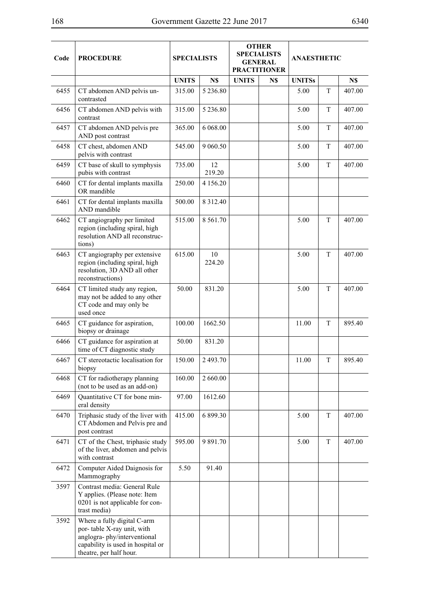۰.

 $\overline{\phantom{a}}$ 

| Code | <b>PROCEDURE</b>                                                                                                                                          | <b>SPECIALISTS</b> |               | <b>OTHER</b><br><b>SPECIALISTS</b><br><b>GENERAL</b><br><b>PRACTITIONER</b> |     |               | <b>ANAESTHETIC</b> |        |  |
|------|-----------------------------------------------------------------------------------------------------------------------------------------------------------|--------------------|---------------|-----------------------------------------------------------------------------|-----|---------------|--------------------|--------|--|
|      |                                                                                                                                                           | <b>UNITS</b>       | N\$           | <b>UNITS</b>                                                                | N\$ | <b>UNITSs</b> |                    | N\$    |  |
| 6455 | CT abdomen AND pelvis un-<br>contrasted                                                                                                                   | 315.00             | 5 2 3 6 . 8 0 |                                                                             |     | 5.00          | T                  | 407.00 |  |
| 6456 | CT abdomen AND pelvis with<br>contrast                                                                                                                    | 315.00             | 5 2 3 6 . 8 0 |                                                                             |     | 5.00          | T                  | 407.00 |  |
| 6457 | CT abdomen AND pelvis pre<br>AND post contrast                                                                                                            | 365.00             | 6 068.00      |                                                                             |     | 5.00          | T                  | 407.00 |  |
| 6458 | CT chest, abdomen AND<br>pelvis with contrast                                                                                                             | 545.00             | 9 060.50      |                                                                             |     | 5.00          | T                  | 407.00 |  |
| 6459 | CT base of skull to symphysis<br>pubis with contrast                                                                                                      | 735.00             | 12<br>219.20  |                                                                             |     | 5.00          | T                  | 407.00 |  |
| 6460 | CT for dental implants maxilla<br>OR mandible                                                                                                             | 250.00             | 4 1 5 6 . 20  |                                                                             |     |               |                    |        |  |
| 6461 | CT for dental implants maxilla<br>AND mandible                                                                                                            | 500.00             | 8 3 1 2 . 4 0 |                                                                             |     |               |                    |        |  |
| 6462 | CT angiography per limited<br>region (including spiral, high<br>resolution AND all reconstruc-<br>tions)                                                  | 515.00             | 8 5 6 1 .70   |                                                                             |     | 5.00          | T                  | 407.00 |  |
| 6463 | CT angiography per extensive<br>region (including spiral, high<br>resolution, 3D AND all other<br>reconstructions)                                        | 615.00             | 10<br>224.20  |                                                                             |     | 5.00          | T                  | 407.00 |  |
| 6464 | CT limited study any region,<br>may not be added to any other<br>CT code and may only be<br>used once                                                     | 50.00              | 831.20        |                                                                             |     | 5.00          | T                  | 407.00 |  |
| 6465 | CT guidance for aspiration,<br>biopsy or drainage                                                                                                         | 100.00             | 1662.50       |                                                                             |     | 11.00         | T                  | 895.40 |  |
| 6466 | CT guidance for aspiration at<br>time of CT diagnostic study                                                                                              | 50.00              | 831.20        |                                                                             |     |               |                    |        |  |
| 6467 | CT stereotactic localisation for<br>biopsy                                                                                                                | 150.00             | 2493.70       |                                                                             |     | 11.00         | T                  | 895.40 |  |
| 6468 | CT for radiotherapy planning<br>(not to be used as an add-on)                                                                                             | 160.00             | 2 660.00      |                                                                             |     |               |                    |        |  |
| 6469 | Quantitative CT for bone min-<br>eral density                                                                                                             | 97.00              | 1612.60       |                                                                             |     |               |                    |        |  |
| 6470 | Triphasic study of the liver with<br>CT Abdomen and Pelvis pre and<br>post contrast                                                                       | 415.00             | 6 899.30      |                                                                             |     | 5.00          | T                  | 407.00 |  |
| 6471 | CT of the Chest, triphasic study<br>of the liver, abdomen and pelvis<br>with contrast                                                                     | 595.00             | 9 891.70      |                                                                             |     | 5.00          | T                  | 407.00 |  |
| 6472 | Computer Aided Daignosis for<br>Mammography                                                                                                               | 5.50               | 91.40         |                                                                             |     |               |                    |        |  |
| 3597 | Contrast media: General Rule<br>Y applies. (Please note: Item<br>0201 is not applicable for con-<br>trast media)                                          |                    |               |                                                                             |     |               |                    |        |  |
| 3592 | Where a fully digital C-arm<br>por- table X-ray unit, with<br>anglogra-phy/interventional<br>capability is used in hospital or<br>theatre, per half hour. |                    |               |                                                                             |     |               |                    |        |  |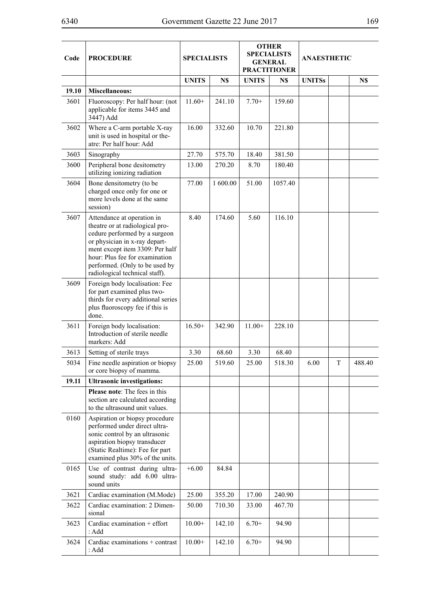|       |                                                                                                                                                                                                                                                                          |                    |          |              | <b>OTHER</b><br><b>SPECIALISTS</b> |                    |   |        |
|-------|--------------------------------------------------------------------------------------------------------------------------------------------------------------------------------------------------------------------------------------------------------------------------|--------------------|----------|--------------|------------------------------------|--------------------|---|--------|
| Code  | <b>PROCEDURE</b>                                                                                                                                                                                                                                                         | <b>SPECIALISTS</b> |          |              | <b>GENERAL</b>                     | <b>ANAESTHETIC</b> |   |        |
|       |                                                                                                                                                                                                                                                                          |                    |          |              | <b>PRACTITIONER</b>                |                    |   |        |
| 19.10 | <b>Miscellaneous:</b>                                                                                                                                                                                                                                                    | <b>UNITS</b>       | N\$      | <b>UNITS</b> | N\$                                | <b>UNITSs</b>      |   | N\$    |
| 3601  | Fluoroscopy: Per half hour: (not                                                                                                                                                                                                                                         | $11.60+$           | 241.10   | $7.70+$      | 159.60                             |                    |   |        |
|       | applicable for items 3445 and<br>3447) Add                                                                                                                                                                                                                               |                    |          |              |                                    |                    |   |        |
| 3602  | Where a C-arm portable X-ray<br>unit is used in hospital or the-<br>atre: Per half hour: Add                                                                                                                                                                             | 16.00              | 332.60   | 10.70        | 221.80                             |                    |   |        |
| 3603  | Sinography                                                                                                                                                                                                                                                               | 27.70              | 575.70   | 18.40        | 381.50                             |                    |   |        |
| 3600  | Peripheral bone desitometry<br>utilizing ionizing radiation                                                                                                                                                                                                              | 13.00              | 270.20   | 8.70         | 180.40                             |                    |   |        |
| 3604  | Bone densitometry (to be<br>charged once only for one or<br>more levels done at the same<br>session)                                                                                                                                                                     | 77.00              | 1 600.00 | 51.00        | 1057.40                            |                    |   |        |
| 3607  | Attendance at operation in<br>theatre or at radiological pro-<br>cedure performed by a surgeon<br>or physician in x-ray depart-<br>ment except item 3309: Per half<br>hour: Plus fee for examination<br>performed. (Only to be used by<br>radiological technical staff). | 8.40               | 174.60   | 5.60         | 116.10                             |                    |   |        |
| 3609  | Foreign body localisation: Fee<br>for part examined plus two-<br>thirds for every additional series<br>plus fluoroscopy fee if this is<br>done.                                                                                                                          |                    |          |              |                                    |                    |   |        |
| 3611  | Foreign body localisation:<br>Introduction of sterile needle<br>markers: Add                                                                                                                                                                                             | $16.50+$           | 342.90   | $11.00+$     | 228.10                             |                    |   |        |
| 3613  | Setting of sterile trays                                                                                                                                                                                                                                                 | 3.30               | 68.60    | 3.30         | 68.40                              |                    |   |        |
| 5034  | Fine needle aspiration or biopsy<br>or core biopsy of mamma.                                                                                                                                                                                                             | 25.00              | 519.60   | 25.00        | 518.30                             | 6.00               | T | 488.40 |
| 19.11 | <b>Ultrasonic investigations:</b>                                                                                                                                                                                                                                        |                    |          |              |                                    |                    |   |        |
|       | <b>Please note:</b> The fees in this<br>section are calculated according<br>to the ultrasound unit values.                                                                                                                                                               |                    |          |              |                                    |                    |   |        |
| 0160  | Aspiration or biopsy procedure<br>performed under direct ultra-<br>sonic control by an ultrasonic<br>aspiration biopsy transducer<br>(Static Realtime): Fee for part<br>examined plus 30% of the units.                                                                  |                    |          |              |                                    |                    |   |        |
| 0165  | Use of contrast during ultra-<br>sound study: add 6.00 ultra-<br>sound units                                                                                                                                                                                             | $+6.00$            | 84.84    |              |                                    |                    |   |        |
| 3621  | Cardiac examination (M.Mode)                                                                                                                                                                                                                                             | 25.00              | 355.20   | 17.00        | 240.90                             |                    |   |        |
| 3622  | Cardiac examination: 2 Dimen-<br>sional                                                                                                                                                                                                                                  | 50.00              | 710.30   | 33.00        | 467.70                             |                    |   |        |
| 3623  | Cardiac examination + effort<br>: Add                                                                                                                                                                                                                                    | $10.00+$           | 142.10   | $6.70+$      | 94.90                              |                    |   |        |
| 3624  | Cardiac examinations + contrast<br>: Add                                                                                                                                                                                                                                 | $10.00+$           | 142.10   | $6.70+$      | 94.90                              |                    |   |        |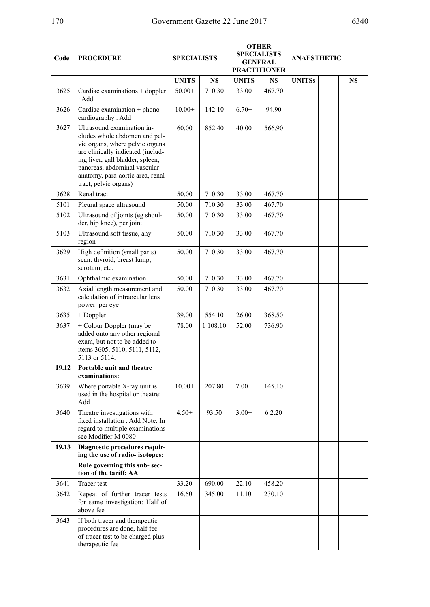$\overline{\phantom{a}}$ 

÷

| Code  | <b>PROCEDURE</b>                                                                                                                                                                                                                                                     | <b>SPECIALISTS</b> |          | <b>OTHER</b><br><b>SPECIALISTS</b><br><b>GENERAL</b><br><b>PRACTITIONER</b> |        |               | <b>ANAESTHETIC</b> |     |
|-------|----------------------------------------------------------------------------------------------------------------------------------------------------------------------------------------------------------------------------------------------------------------------|--------------------|----------|-----------------------------------------------------------------------------|--------|---------------|--------------------|-----|
|       |                                                                                                                                                                                                                                                                      | <b>UNITS</b>       | N\$      | <b>UNITS</b>                                                                | N\$    | <b>UNITSs</b> |                    | N\$ |
| 3625  | Cardiac examinations + doppler<br>: Add                                                                                                                                                                                                                              | $50.00+$           | 710.30   | 33.00                                                                       | 467.70 |               |                    |     |
| 3626  | Cardiac examination + phono-<br>cardiography: Add                                                                                                                                                                                                                    | $10.00+$           | 142.10   | $6.70+$                                                                     | 94.90  |               |                    |     |
| 3627  | Ultrasound examination in-<br>cludes whole abdomen and pel-<br>vic organs, where pelvic organs<br>are clinically indicated (includ-<br>ing liver, gall bladder, spleen,<br>pancreas, abdominal vascular<br>anatomy, para-aortic area, renal<br>tract, pelvic organs) | 60.00              | 852.40   | 40.00                                                                       | 566.90 |               |                    |     |
| 3628  | Renal tract                                                                                                                                                                                                                                                          | 50.00              | 710.30   | 33.00                                                                       | 467.70 |               |                    |     |
| 5101  | Pleural space ultrasound                                                                                                                                                                                                                                             | 50.00              | 710.30   | 33.00                                                                       | 467.70 |               |                    |     |
| 5102  | Ultrasound of joints (eg shoul-<br>der, hip knee), per joint                                                                                                                                                                                                         | 50.00              | 710.30   | 33.00                                                                       | 467.70 |               |                    |     |
| 5103  | Ultrasound soft tissue, any<br>region                                                                                                                                                                                                                                | 50.00              | 710.30   | 33.00                                                                       | 467.70 |               |                    |     |
| 3629  | High definition (small parts)<br>scan: thyroid, breast lump,<br>scrotum, etc.                                                                                                                                                                                        | 50.00              | 710.30   | 33.00                                                                       | 467.70 |               |                    |     |
| 3631  | Ophthalmic examination                                                                                                                                                                                                                                               | 50.00              | 710.30   | 33.00                                                                       | 467.70 |               |                    |     |
| 3632  | Axial length measurement and<br>calculation of intraocular lens<br>power: per eye                                                                                                                                                                                    | 50.00              | 710.30   | 33.00                                                                       | 467.70 |               |                    |     |
| 3635  | + Doppler                                                                                                                                                                                                                                                            | 39.00              | 554.10   | 26.00                                                                       | 368.50 |               |                    |     |
| 3637  | + Colour Doppler (may be<br>added onto any other regional<br>exam, but not to be added to<br>items 3605, 5110, 5111, 5112,<br>5113 or 5114.                                                                                                                          | 78.00              | 1 108.10 | 52.00                                                                       | 736.90 |               |                    |     |
| 19.12 | Portable unit and theatre<br>examinations:                                                                                                                                                                                                                           |                    |          |                                                                             |        |               |                    |     |
| 3639  | Where portable X-ray unit is<br>used in the hospital or theatre:<br>Add                                                                                                                                                                                              | $10.00+$           | 207.80   | $7.00+$                                                                     | 145.10 |               |                    |     |
| 3640  | Theatre investigations with<br>fixed installation : Add Note: In<br>regard to multiple examinations<br>see Modifier M 0080                                                                                                                                           | $4.50+$            | 93.50    | $3.00+$                                                                     | 6 2.20 |               |                    |     |
| 19.13 | Diagnostic procedures requir-<br>ing the use of radio- isotopes:                                                                                                                                                                                                     |                    |          |                                                                             |        |               |                    |     |
|       | Rule governing this sub-sec-<br>tion of the tariff: AA                                                                                                                                                                                                               |                    |          |                                                                             |        |               |                    |     |
| 3641  | Tracer test                                                                                                                                                                                                                                                          | 33.20              | 690.00   | 22.10                                                                       | 458.20 |               |                    |     |
| 3642  | Repeat of further tracer tests<br>for same investigation: Half of<br>above fee                                                                                                                                                                                       | 16.60              | 345.00   | 11.10                                                                       | 230.10 |               |                    |     |
| 3643  | If both tracer and therapeutic<br>procedures are done, half fee<br>of tracer test to be charged plus<br>therapeutic fee                                                                                                                                              |                    |          |                                                                             |        |               |                    |     |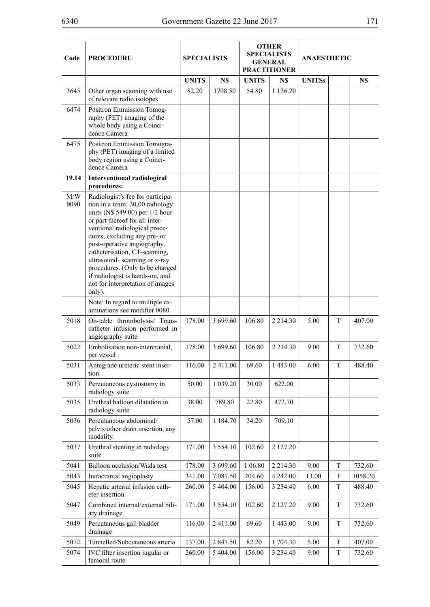| Code        | <b>PROCEDURE</b>                                                                                                                                                                                                                                                                                                                                                                                                              | <b>SPECIALISTS</b> |               |              | <b>OTHER</b><br><b>SPECIALISTS</b><br><b>GENERAL</b><br><b>PRACTITIONER</b> | <b>ANAESTHETIC</b> |             |         |
|-------------|-------------------------------------------------------------------------------------------------------------------------------------------------------------------------------------------------------------------------------------------------------------------------------------------------------------------------------------------------------------------------------------------------------------------------------|--------------------|---------------|--------------|-----------------------------------------------------------------------------|--------------------|-------------|---------|
|             |                                                                                                                                                                                                                                                                                                                                                                                                                               | <b>UNITS</b>       | N\$           | <b>UNITS</b> | N\$                                                                         | <b>UNITSs</b>      |             | N\$     |
| 3645        | Other organ scanning with use<br>of relevant radio isotopes                                                                                                                                                                                                                                                                                                                                                                   | 82.20              | 1708.50       | 54.80        | 1 1 3 6 . 2 0                                                               |                    |             |         |
| 6474        | Positron Emmission Tomog-<br>raphy (PET) imaging of the<br>whole body using a Coinci-<br>dence Camera                                                                                                                                                                                                                                                                                                                         |                    |               |              |                                                                             |                    |             |         |
| 6475        | Positron Emmission Tomogra-<br>phy (PET) imaging of a limited<br>body region using a Coinci-<br>dence Camera                                                                                                                                                                                                                                                                                                                  |                    |               |              |                                                                             |                    |             |         |
| 19.14       | <b>Interventional radiological</b><br>procedures:                                                                                                                                                                                                                                                                                                                                                                             |                    |               |              |                                                                             |                    |             |         |
| M/W<br>0090 | Radiologist's fee for participa-<br>tion in a team: 30,00 radiology<br>units (N\$ 549.00) per 1/2 hour<br>or part thereof for all inter-<br>ventional radiological proce-<br>dures, excluding any pre- or<br>post-operative angiography,<br>catheterisation, CT-scanning,<br>ultrasound-scanning or x-ray<br>procedures. (Only to be charged<br>if radiologist is hands-on, and<br>not for interpretation of images<br>only). |                    |               |              |                                                                             |                    |             |         |
|             | Note: In regard to multiple ex-<br>aminations see modifier 0080                                                                                                                                                                                                                                                                                                                                                               |                    |               |              |                                                                             |                    |             |         |
| 5018        | On-table thrombolysis/ Trans-<br>catheter infusion performed in<br>angiography suite                                                                                                                                                                                                                                                                                                                                          | 178.00             | 3 699.60      | 106.80       | 2 2 1 4 . 3 0                                                               | 5.00               | T           | 407.00  |
| 5022        | Embolisation non-intercranial,<br>per vessel.                                                                                                                                                                                                                                                                                                                                                                                 | 178.00             | 3 699.60      | 106.80       | 2 2 1 4 . 3 0                                                               | 9.00               | T           | 732.60  |
| 5031        | Antegrade ureteric stent inser-<br>tion                                                                                                                                                                                                                                                                                                                                                                                       | 116.00             | 2 411.00      | 69.60        | 1 443.00                                                                    | 6.00               | $\mathbf T$ | 488.40  |
| 5033        | Percutaneous cystostomy in<br>radiology suite                                                                                                                                                                                                                                                                                                                                                                                 | 50.00              | 1 0 39.20     | 30.00        | 622.00                                                                      |                    |             |         |
| 5035        | Urethral balloon dilatation in<br>radiology suite                                                                                                                                                                                                                                                                                                                                                                             | 38.00              | 789.80        | 22.80        | 472.70                                                                      |                    |             |         |
| 5036        | Percutaneous abdominal/<br>pelvis/other drain insertion, any<br>modality.                                                                                                                                                                                                                                                                                                                                                     | 57.00              | 1 1 8 4 . 7 0 | 34.20        | 709.10                                                                      |                    |             |         |
| 5037        | Urethral stenting in radiology<br>suite                                                                                                                                                                                                                                                                                                                                                                                       | 171.00             | 3 5 5 4 1 0   | 102.60       | 2 127.20                                                                    |                    |             |         |
| 5041        | Balloon occlusion/Wada test                                                                                                                                                                                                                                                                                                                                                                                                   | 178.00             | 3 699.60      | 1 06.80      | 2 2 1 4 . 3 0                                                               | 9.00               | T           | 732.60  |
| 5043        | Intracranial angioplasty                                                                                                                                                                                                                                                                                                                                                                                                      | 341.00             | 7 087.50      | 204.60       | 4 242.00                                                                    | 13.00              | T           | 1058.20 |
| 5045        | Hepatic arterial infusion cath-<br>eter insertion                                                                                                                                                                                                                                                                                                                                                                             | 260.00             | 5 404.00      | 156.00       | 3 2 3 4 . 4 0                                                               | 6.00               | T           | 488.40  |
| 5047        | Combined internal/external bili-<br>ary drainage                                                                                                                                                                                                                                                                                                                                                                              | 171.00             | 3 5 5 4 1 0   | 102.60       | 2 127.20                                                                    | 9.00               | T           | 732.60  |
| 5049        | Percutaneous gall bladder<br>drainage                                                                                                                                                                                                                                                                                                                                                                                         | 116.00             | 2 411.00      | 69.60        | 1 443.00                                                                    | 9.00               | T           | 732.60  |
| 5072        | Tunnelled/Subcutaneous arteria                                                                                                                                                                                                                                                                                                                                                                                                | 137.00             | 2 847.50      | 82.20        | 1704.30                                                                     | 5.00               | T           | 407.00  |
| 5074        | IVC filter insertion jugular or<br>femoral route                                                                                                                                                                                                                                                                                                                                                                              | 260.00             | 5 404.00      | 156.00       | 3 2 3 4 . 4 0                                                               | 9.00               | T           | 732.60  |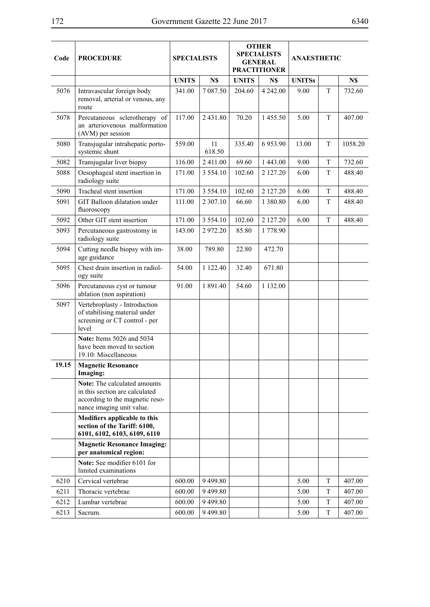| Code  | <b>PROCEDURE</b>                                                                                                               | <b>SPECIALISTS</b> |              |              | <b>OTHER</b><br><b>SPECIALISTS</b><br><b>GENERAL</b><br><b>PRACTITIONER</b> | <b>ANAESTHETIC</b> |             |         |
|-------|--------------------------------------------------------------------------------------------------------------------------------|--------------------|--------------|--------------|-----------------------------------------------------------------------------|--------------------|-------------|---------|
|       |                                                                                                                                | <b>UNITS</b>       | N\$          | <b>UNITS</b> | N\$                                                                         | <b>UNITSs</b>      |             | N\$     |
| 5076  | Intravascular foreign body<br>removal, arterial or venous, any<br>route                                                        | 341.00             | 7 0 8 7 .50  | 204.60       | 4 242,00                                                                    | 9.00               | T           | 732.60  |
| 5078  | Percutaneous sclerotherapy of<br>an arteriovenous malformation<br>(AVM) per session                                            | 117.00             | 2431.80      | 70.20        | 1455.50                                                                     | 5.00               | T           | 407.00  |
| 5080  | Transjugular intrahepatic porto-<br>systemic shunt                                                                             | 559.00             | 11<br>618.50 | 335.40       | 6953.90                                                                     | 13.00              | $\mathbf T$ | 1058.20 |
| 5082  | Transjugular liver biopsy                                                                                                      | 116.00             | 2 411.00     | 69.60        | 1 443.00                                                                    | 9.00               | $\mathbf T$ | 732.60  |
| 5088  | Oesophageal stent insertion in<br>radiology suite                                                                              | 171.00             | 3 5 5 4 1 0  | 102.60       | 2 127.20                                                                    | 6.00               | T           | 488.40  |
| 5090  | Tracheal stent insertion                                                                                                       | 171.00             | 3 5 5 4 1 0  | 102.60       | 2 127.20                                                                    | 6.00               | T           | 488.40  |
| 5091  | GIT Balloon dilatation under<br>fluoroscopy                                                                                    | 111.00             | 2 307.10     | 66.60        | 1 3 8 0 . 8 0                                                               | 6.00               | T           | 488.40  |
| 5092  | Other GIT stent insertion                                                                                                      | 171.00             | 3 5 5 4 1 0  | 102.60       | 2 127.20                                                                    | 6.00               | T           | 488.40  |
| 5093  | Percutaneous gastrostomy in<br>radiology suite                                                                                 | 143.00             | 2972.20      | 85.80        | 1 778.90                                                                    |                    |             |         |
| 5094  | Cutting needle biopsy with im-<br>age guidance                                                                                 | 38.00              | 789.80       | 22.80        | 472.70                                                                      |                    |             |         |
| 5095  | Chest drain insertion in radiol-<br>ogy suite                                                                                  | 54.00              | 1 122.40     | 32.40        | 671.80                                                                      |                    |             |         |
| 5096  | Percutaneous cyst or tumour<br>ablation (non aspiration)                                                                       | 91.00              | 1 891.40     | 54.60        | 1 132.00                                                                    |                    |             |         |
| 5097  | Vertebroplasty - Introduction<br>of stabilising material under<br>screening or CT control - per<br>level                       |                    |              |              |                                                                             |                    |             |         |
|       | Note: Items 5026 and 5034<br>have been moved to section<br>19.10. Miscellaneous                                                |                    |              |              |                                                                             |                    |             |         |
| 19.15 | <b>Magnetic Resonance</b><br>Imaging:                                                                                          |                    |              |              |                                                                             |                    |             |         |
|       | Note: The calculated amounts<br>in this section are calculated<br>according to the magnetic reso-<br>nance imaging unit value. |                    |              |              |                                                                             |                    |             |         |
|       | Modifiers applicable to this<br>section of the Tariff: 6100,<br>6101, 6102, 6103, 6109, 6110                                   |                    |              |              |                                                                             |                    |             |         |
|       | <b>Magnetic Resonance Imaging:</b><br>per anatomical region:                                                                   |                    |              |              |                                                                             |                    |             |         |
|       | Note: See modifier 6101 for<br>limited examinations                                                                            |                    |              |              |                                                                             |                    |             |         |
| 6210  | Cervical vertebrae                                                                                                             | 600.00             | 9499.80      |              |                                                                             | 5.00               | T           | 407.00  |
| 6211  | Thoracic vertebrae                                                                                                             | 600.00             | 9499.80      |              |                                                                             | 5.00               | T           | 407.00  |
| 6212  | Lumbar vertebrae                                                                                                               | 600.00             | 9499.80      |              |                                                                             | 5.00               | T           | 407.00  |
| 6213  | Sacrum.                                                                                                                        | 600.00             | 9499.80      |              |                                                                             | 5.00               | T           | 407.00  |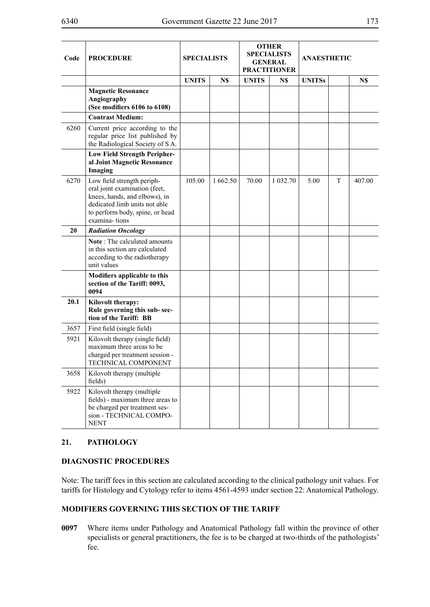| Code | <b>PROCEDURE</b>                                                                                                                                                                  | <b>SPECIALISTS</b> |         | <b>OTHER</b><br><b>SPECIALISTS</b><br><b>GENERAL</b><br><b>PRACTITIONER</b> |               | <b>ANAESTHETIC</b> |   |        |  |  |
|------|-----------------------------------------------------------------------------------------------------------------------------------------------------------------------------------|--------------------|---------|-----------------------------------------------------------------------------|---------------|--------------------|---|--------|--|--|
|      |                                                                                                                                                                                   | <b>UNITS</b>       | N\$     | <b>UNITS</b>                                                                | N\$           | <b>UNITSs</b>      |   | N\$    |  |  |
|      | <b>Magnetic Resonance</b><br>Angiography<br>(See modifiers 6106 to 6108)                                                                                                          |                    |         |                                                                             |               |                    |   |        |  |  |
|      | <b>Contrast Medium:</b>                                                                                                                                                           |                    |         |                                                                             |               |                    |   |        |  |  |
| 6260 | Current price according to the<br>regular price list published by<br>the Radiological Society of SA.                                                                              |                    |         |                                                                             |               |                    |   |        |  |  |
|      | <b>Low Field Strength Peripher-</b><br>al Joint Magnetic Resonance<br>Imaging                                                                                                     |                    |         |                                                                             |               |                    |   |        |  |  |
| 6270 | Low field strength periph-<br>eral joint examination (feet,<br>knees, hands, and elbows), in<br>dedicated limb units not able<br>to perform body, spine, or head<br>examina-tions | 105.00             | 1662.50 | 70.00                                                                       | 1 0 3 2 . 7 0 | 5.00               | T | 407.00 |  |  |
| 20   | <b>Radiation Oncology</b>                                                                                                                                                         |                    |         |                                                                             |               |                    |   |        |  |  |
|      | <b>Note:</b> The calculated amounts<br>in this section are calculated<br>according to the radiotherapy<br>unit values                                                             |                    |         |                                                                             |               |                    |   |        |  |  |
|      | Modifiers applicable to this<br>section of the Tariff: 0093,<br>0094                                                                                                              |                    |         |                                                                             |               |                    |   |        |  |  |
| 20.1 | Kilovolt therapy:<br>Rule governing this sub-sec-<br>tion of the Tariff: BB                                                                                                       |                    |         |                                                                             |               |                    |   |        |  |  |
| 3657 | First field (single field)                                                                                                                                                        |                    |         |                                                                             |               |                    |   |        |  |  |
| 5921 | Kilovolt therapy (single field)<br>maximum three areas to be<br>charged per treatment session -<br>TECHNICAL COMPONENT                                                            |                    |         |                                                                             |               |                    |   |        |  |  |
| 3658 | Kilovolt therapy (multiple<br>fields)                                                                                                                                             |                    |         |                                                                             |               |                    |   |        |  |  |
| 5922 | Kilovolt therapy (multiple<br>fields) - maximum three areas to<br>be charged per treatment ses-<br>sion - TECHNICAL COMPO-<br><b>NENT</b>                                         |                    |         |                                                                             |               |                    |   |        |  |  |

## **21. PATHOLOGY**

## **DIAGNOSTIC PROCEDURES**

Note: The tariff fees in this section are calculated according to the clinical pathology unit values. For tariffs for Histology and Cytology refer to items 4561-4593 under section 22: Anatomical Pathology.

# **MODIFIERS GOVERNING THIS SECTION OF THE TARIFF**

**0097** Where items under Pathology and Anatomical Pathology fall within the province of other specialists or general practitioners, the fee is to be charged at two-thirds of the pathologists' fee.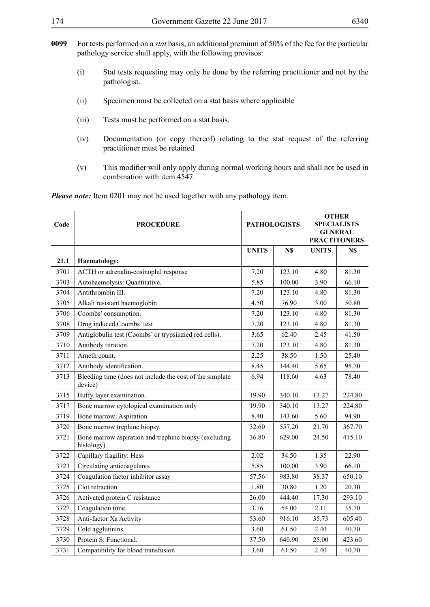- **0099** For tests performed on a *stat* basis, an additional premium of 50% of the fee for the particular pathology service shall apply, with the following provisos:
	- (i) Stat tests requesting may only be done by the referring practitioner and not by the pathologist.
	- (ii) Specimen must be collected on a stat basis where applicable
	- (iii) Tests must be performed on a stat basis.
	- (iv) Documentation (or copy thereof) relating to the stat request of the referring practitioner must be retained
	- (v) This modifier will only apply during normal working hours and shall not be used in combination with item 4547.

*Please note:* Item 0201 may not be used together with any pathology item.

| Code | <b>PROCEDURE</b>                                                    | <b>PATHOLOGISTS</b> |        | <b>OTHER</b><br><b>SPECIALISTS</b><br><b>GENERAL</b><br><b>PRACTITONERS</b> |        |
|------|---------------------------------------------------------------------|---------------------|--------|-----------------------------------------------------------------------------|--------|
|      |                                                                     | <b>UNITS</b>        | N\$    | <b>UNITS</b>                                                                | N\$    |
| 21.1 | <b>Haematology:</b>                                                 |                     |        |                                                                             |        |
| 3701 | ACTH or adrenalin-eosinophil response                               | 7.20                | 123.10 | 4.80                                                                        | 81.30  |
| 3703 | Autohaemolysis: Quantitative.                                       | 5.85                | 100.00 | 3.90                                                                        | 66.10  |
| 3704 | Antithrombin III.                                                   | 7.20                | 123.10 | 4.80                                                                        | 81.30  |
| 3705 | Alkali resistant haemoglobin                                        | 4.50                | 76.90  | 3.00                                                                        | 50.80  |
| 3706 | Coombs' consumption.                                                | 7.20                | 123.10 | 4.80                                                                        | 81.30  |
| 3708 | Drug induced Coombs' test                                           | 7.20                | 123.10 | 4.80                                                                        | 81.30  |
| 3709 | Antiglobulin test (Coombs' or trypsinzied red cells).               | 3.65                | 62.40  | 2.45                                                                        | 41.50  |
| 3710 | Antibody titration.                                                 | 7.20                | 123.10 | 4.80                                                                        | 81.30  |
| 3711 | Arneth count.                                                       | 2.25                | 38.50  | 1.50                                                                        | 25.40  |
| 3712 | Antibody identification.                                            | 8.45                | 144.40 | 5.65                                                                        | 95.70  |
| 3713 | Bleeding time (does not include the cost of the simplate<br>device) | 6.94                | 118.60 | 4.63                                                                        | 78.40  |
| 3715 | Buffy layer examination.                                            | 19.90               | 340.10 | 13.27                                                                       | 224.80 |
| 3717 | Bone marrow cytological examination only                            | 19.90               | 340.10 | 13.27                                                                       | 224.80 |
| 3719 | Bone marrow: Aspiration                                             | 8.40                | 143.60 | 5.60                                                                        | 94.90  |
| 3720 | Bone marrow trephine biopsy.                                        | 32.60               | 557.20 | 21.70                                                                       | 367.70 |
| 3721 | Bone marrow aspiration and trephine biopsy (excluding<br>histology) | 36.80               | 629.00 | 24.50                                                                       | 415.10 |
| 3722 | Capillary fragility: Hess                                           | 2.02                | 34.50  | 1.35                                                                        | 22.90  |
| 3723 | Circulating anticoagulants                                          | 5.85                | 100.00 | 3.90                                                                        | 66.10  |
| 3724 | Coagulation factor inhibitor assay                                  | 57.56               | 983.80 | 38.37                                                                       | 650.10 |
| 3725 | Clot retraction.                                                    | 1.80                | 30.80  | 1.20                                                                        | 20.30  |
| 3726 | Activated protein C resistance                                      | 26.00               | 444.40 | 17.30                                                                       | 293.10 |
| 3727 | Coagulation time.                                                   | 3.16                | 54.00  | 2.11                                                                        | 35.70  |
| 3728 | Anti-factor Xa Activity                                             | 53.60               | 916.10 | 35.73                                                                       | 605.40 |
| 3729 | Cold agglutinins.                                                   | 3.60                | 61.50  | 2.40                                                                        | 40.70  |
| 3730 | Protein S: Functional.                                              | 37.50               | 640.90 | 25.00                                                                       | 423.60 |
| 3731 | Compatibility for blood transfusion                                 | 3.60                | 61.50  | 2.40                                                                        | 40.70  |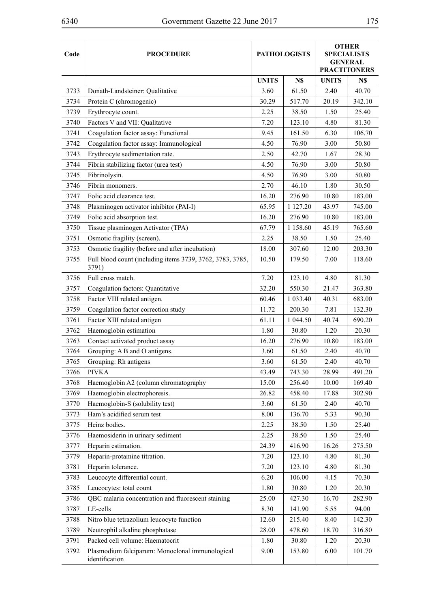| Code | <b>PROCEDURE</b>                                                   |              | <b>PATHOLOGISTS</b> | <b>OTHER</b><br><b>SPECIALISTS</b> |                     |  |
|------|--------------------------------------------------------------------|--------------|---------------------|------------------------------------|---------------------|--|
|      |                                                                    |              |                     |                                    | <b>GENERAL</b>      |  |
|      |                                                                    |              |                     |                                    | <b>PRACTITONERS</b> |  |
|      |                                                                    | <b>UNITS</b> | N\$                 | <b>UNITS</b>                       | N\$                 |  |
| 3733 | Donath-Landsteiner: Qualitative                                    | 3.60         | 61.50               | 2.40                               | 40.70               |  |
| 3734 | Protein C (chromogenic)                                            | 30.29        | 517.70              | 20.19                              | 342.10              |  |
| 3739 | Erythrocyte count.                                                 | 2.25         | 38.50               | 1.50                               | 25.40               |  |
| 3740 | Factors V and VII: Qualitative                                     | 7.20         | 123.10              | 4.80                               | 81.30               |  |
| 3741 | Coagulation factor assay: Functional                               | 9.45         | 161.50              | 6.30                               | 106.70              |  |
| 3742 | Coagulation factor assay: Immunological                            | 4.50         | 76.90               | 3.00                               | 50.80               |  |
| 3743 | Erythrocyte sedimentation rate.                                    | 2.50         | 42.70               | 1.67                               | 28.30               |  |
| 3744 | Fibrin stabilizing factor (urea test)                              | 4.50         | 76.90               | 3.00                               | 50.80               |  |
| 3745 | Fibrinolysin.                                                      | 4.50         | 76.90               | 3.00                               | 50.80               |  |
| 3746 | Fibrin monomers.                                                   | 2.70         | 46.10               | 1.80                               | 30.50               |  |
| 3747 | Folic acid clearance test.                                         | 16.20        | 276.90              | 10.80                              | 183.00              |  |
| 3748 | Plasminogen activator inhibitor (PAI-I)                            | 65.95        | 1 127.20            | 43.97                              | 745.00              |  |
| 3749 | Folic acid absorption test.                                        | 16.20        | 276.90              | 10.80                              | 183.00              |  |
| 3750 | Tissue plasminogen Activator (TPA)                                 | 67.79        | 1 1 58.60           | 45.19                              | 765.60              |  |
| 3751 | Osmotic fragility (screen).                                        | 2.25         | 38.50               | 1.50                               | 25.40               |  |
| 3753 | Osmotic fragility (before and after incubation)                    | 18.00        | 307.60              | 12.00                              | 203.30              |  |
| 3755 | Full blood count (including items 3739, 3762, 3783, 3785,<br>3791) | 10.50        | 179.50              | 7.00                               | 118.60              |  |
| 3756 | Full cross match.                                                  | 7.20         | 123.10              | 4.80                               | 81.30               |  |
| 3757 | Coagulation factors: Quantitative                                  | 32.20        | 550.30              | 21.47                              | 363.80              |  |
| 3758 | Factor VIII related antigen.                                       | 60.46        | 1 033.40            | 40.31                              | 683.00              |  |
| 3759 | Coagulation factor correction study                                | 11.72        | 200.30              | 7.81                               | 132.30              |  |
| 3761 | Factor XIII related antigen                                        | 61.11        | 1 044.50            | 40.74                              | 690.20              |  |
| 3762 | Haemoglobin estimation                                             | 1.80         | 30.80               | 1.20                               | 20.30               |  |
| 3763 | Contact activated product assay                                    | 16.20        | 276.90              | 10.80                              | 183.00              |  |
| 3764 | Grouping: A B and O antigens.                                      | 3.60         | 61.50               | 2.40                               | 40.70               |  |
| 3765 | Grouping: Rh antigens                                              | 3.60         | 61.50               | 2.40                               | 40.70               |  |
| 3766 | <b>PIVKA</b>                                                       | 43.49        | 743.30              | 28.99                              | 491.20              |  |
| 3768 | Haemoglobin A2 (column chromatography                              | 15.00        | 256.40              | 10.00                              | 169.40              |  |
| 3769 | Haemoglobin electrophoresis.                                       | 26.82        | 458.40              | 17.88                              | 302.90              |  |
| 3770 | Haemoglobin-S (solubility test)                                    | 3.60         | 61.50               | 2.40                               | 40.70               |  |
| 3773 | Ham's acidified serum test                                         | 8.00         | 136.70              | 5.33                               | 90.30               |  |
| 3775 | Heinz bodies.                                                      | 2.25         | 38.50               | 1.50                               | 25.40               |  |
| 3776 | Haemosiderin in urinary sediment                                   | 2.25         | 38.50               | 1.50                               | 25.40               |  |
| 3777 | Heparin estimation.                                                | 24.39        | 416.90              | 16.26                              | 275.50              |  |
| 3779 | Heparin-protamine titration.                                       | 7.20         | 123.10              | 4.80                               | 81.30               |  |
| 3781 | Heparin tolerance.                                                 | 7.20         | 123.10              | 4.80                               | 81.30               |  |
| 3783 | Leucocyte differential count.                                      | 6.20         | 106.00              | 4.15                               | 70.30               |  |
| 3785 | Leucocytes: total count                                            | 1.80         | 30.80               | 1.20                               | 20.30               |  |
| 3786 | QBC malaria concentration and fluorescent staining                 | 25.00        | 427.30              | 16.70                              | 282.90              |  |
| 3787 | LE-cells                                                           | 8.30         | 141.90              | 5.55                               | 94.00               |  |
| 3788 | Nitro blue tetrazolium leucocyte function                          | 12.60        | 215.40              | 8.40                               | 142.30              |  |
| 3789 | Neutrophil alkaline phosphatase                                    | 28.00        | 478.60              | 18.70                              | 316.80              |  |
| 3791 | Packed cell volume: Haematocrit                                    | 1.80         | 30.80               | 1.20                               | 20.30               |  |
| 3792 | Plasmodium falciparum: Monoclonal immunological                    | 9.00         | 153.80              | 6.00                               | 101.70              |  |
|      | identification                                                     |              |                     |                                    |                     |  |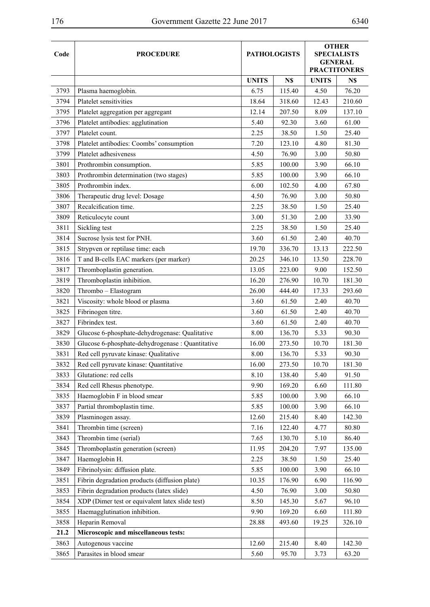| Code | <b>PROCEDURE</b>                                | <b>PATHOLOGISTS</b> |        | <b>OTHER</b><br><b>SPECIALISTS</b> |                     |
|------|-------------------------------------------------|---------------------|--------|------------------------------------|---------------------|
|      |                                                 |                     |        |                                    | <b>GENERAL</b>      |
|      |                                                 |                     |        |                                    | <b>PRACTITONERS</b> |
|      |                                                 | <b>UNITS</b>        | N\$    | <b>UNITS</b>                       | N\$                 |
| 3793 | Plasma haemoglobin.                             | 6.75                | 115.40 | 4.50                               | 76.20               |
| 3794 | Platelet sensitivities                          | 18.64               | 318.60 | 12.43                              | 210.60              |
| 3795 | Platelet aggregation per aggregant              | 12.14               | 207.50 | 8.09                               | 137.10              |
| 3796 | Platelet antibodies: agglutination              | 5.40                | 92.30  | 3.60                               | 61.00               |
| 3797 | Platelet count.                                 | 2.25                | 38.50  | 1.50                               | 25.40               |
| 3798 | Platelet antibodies: Coombs' consumption        | 7.20                | 123.10 | 4.80                               | 81.30               |
| 3799 | Platelet adhesiveness                           | 4.50                | 76.90  | 3.00                               | 50.80               |
| 3801 | Prothrombin consumption.                        | 5.85                | 100.00 | 3.90                               | 66.10               |
| 3803 | Prothrombin determination (two stages)          | 5.85                | 100.00 | 3.90                               | 66.10               |
| 3805 | Prothrombin index.                              | 6.00                | 102.50 | 4.00                               | 67.80               |
| 3806 | Therapeutic drug level: Dosage                  | 4.50                | 76.90  | 3.00                               | 50.80               |
| 3807 | Recalcification time.                           | 2.25                | 38.50  | 1.50                               | 25.40               |
| 3809 | Reticulocyte count                              | 3.00                | 51.30  | 2.00                               | 33.90               |
| 3811 | Sickling test                                   | 2.25                | 38.50  | 1.50                               | 25.40               |
| 3814 | Sucrose lysis test for PNH.                     | 3.60                | 61.50  | 2.40                               | 40.70               |
| 3815 | Strypven or reptilase time: each                | 19.70               | 336.70 | 13.13                              | 222.50              |
| 3816 | T and B-cells EAC markers (per marker)          | 20.25               | 346.10 | 13.50                              | 228.70              |
| 3817 | Thromboplastin generation.                      | 13.05               | 223.00 | 9.00                               | 152.50              |
| 3819 | Thromboplastin inhibition.                      | 16.20               | 276.90 | 10.70                              | 181.30              |
| 3820 | Thrombo - Elastogram                            | 26.00               | 444.40 | 17.33                              | 293.60              |
| 3821 | Viscosity: whole blood or plasma                | 3.60                | 61.50  | 2.40                               | 40.70               |
| 3825 | Fibrinogen titre.                               | 3.60                | 61.50  | 2.40                               | 40.70               |
| 3827 | Fibrindex test.                                 | 3.60                | 61.50  | 2.40                               | 40.70               |
| 3829 | Glucose 6-phosphate-dehydrogenase: Qualitative  | 8.00                | 136.70 | 5.33                               | 90.30               |
| 3830 | Glucose 6-phosphate-dehydrogenase: Quantitative | 16.00               | 273.50 | 10.70                              | 181.30              |
| 3831 | Red cell pyruvate kinase: Qualitative           | 8.00                | 136.70 | 5.33                               | 90.30               |
| 3832 | Red cell pyruvate kinase: Quantitative          | 16.00               | 273.50 | 10.70                              | 181.30              |
| 3833 | Glutatione: red cells                           | 8.10                | 138.40 | 5.40                               | 91.50               |
| 3834 | Red cell Rhesus phenotype.                      | 9.90                | 169.20 | 6.60                               | 111.80              |
| 3835 | Haemoglobin F in blood smear                    | 5.85                | 100.00 | 3.90                               | 66.10               |
| 3837 | Partial thromboplastin time.                    | 5.85                | 100.00 | 3.90                               | 66.10               |
| 3839 | Plasminogen assay.                              | 12.60               | 215.40 | 8.40                               | 142.30              |
| 3841 | Thrombin time (screen)                          | 7.16                | 122.40 | 4.77                               | 80.80               |
| 3843 | Thrombin time (serial)                          | 7.65                | 130.70 | 5.10                               | 86.40               |
| 3845 | Thromboplastin generation (screen)              | 11.95               | 204.20 | 7.97                               | 135.00              |
| 3847 | Haemoglobin H.                                  | 2.25                | 38.50  | 1.50                               | 25.40               |
| 3849 | Fibrinolysin: diffusion plate.                  | 5.85                | 100.00 | 3.90                               | 66.10               |
| 3851 | Fibrin degradation products (diffusion plate)   | 10.35               | 176.90 | 6.90                               | 116.90              |
| 3853 | Fibrin degradation products (latex slide)       | 4.50                | 76.90  | 3.00                               | 50.80               |
| 3854 | XDP (Dimer test or equivalent latex slide test) | 8.50                | 145.30 | 5.67                               | 96.10               |
| 3855 | Haemagglutination inhibition.                   | 9.90                | 169.20 | 6.60                               | 111.80              |
| 3858 | Heparin Removal                                 | 28.88               | 493.60 | 19.25                              | 326.10              |
| 21.2 | Microscopic and miscellaneous tests:            |                     |        |                                    |                     |
| 3863 | Autogenous vaccine                              | 12.60               | 215.40 | 8.40                               | 142.30              |
| 3865 | Parasites in blood smear                        | 5.60                | 95.70  | 3.73                               | 63.20               |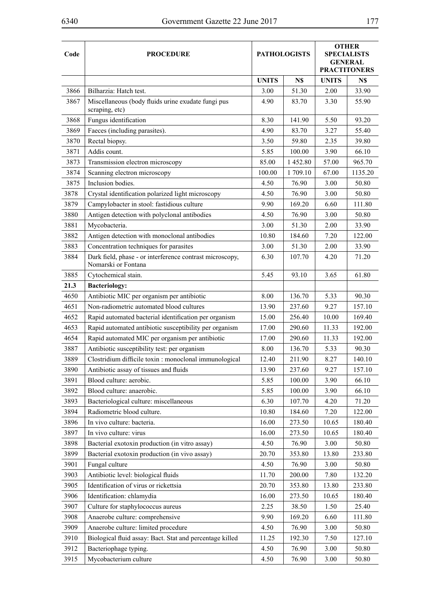| Code | <b>PROCEDURE</b>                                                                | <b>PATHOLOGISTS</b> |         | <b>OTHER</b><br><b>SPECIALISTS</b><br><b>GENERAL</b><br><b>PRACTITONERS</b> |         |
|------|---------------------------------------------------------------------------------|---------------------|---------|-----------------------------------------------------------------------------|---------|
|      |                                                                                 |                     |         |                                                                             |         |
|      |                                                                                 | <b>UNITS</b>        | N\$     | <b>UNITS</b>                                                                | N\$     |
| 3866 | Bilharzia: Hatch test.                                                          | 3.00                | 51.30   | 2.00                                                                        | 33.90   |
| 3867 | Miscellaneous (body fluids urine exudate fungi pus<br>scraping, etc)            | 4.90                | 83.70   | 3.30                                                                        | 55.90   |
| 3868 | Fungus identification                                                           | 8.30                | 141.90  | 5.50                                                                        | 93.20   |
| 3869 | Faeces (including parasites).                                                   | 4.90                | 83.70   | 3.27                                                                        | 55.40   |
| 3870 | Rectal biopsy.                                                                  | 3.50                | 59.80   | 2.35                                                                        | 39.80   |
| 3871 | Addis count.                                                                    | 5.85                | 100.00  | 3.90                                                                        | 66.10   |
| 3873 | Transmission electron microscopy                                                | 85.00               | 1452.80 | 57.00                                                                       | 965.70  |
| 3874 | Scanning electron microscopy                                                    | 100.00              | 1709.10 | 67.00                                                                       | 1135.20 |
| 3875 | Inclusion bodies.                                                               | 4.50                | 76.90   | 3.00                                                                        | 50.80   |
| 3878 | Crystal identification polarized light microscopy                               | 4.50                | 76.90   | 3.00                                                                        | 50.80   |
| 3879 | Campylobacter in stool: fastidious culture                                      | 9.90                | 169.20  | 6.60                                                                        | 111.80  |
| 3880 | Antigen detection with polyclonal antibodies                                    | 4.50                | 76.90   | 3.00                                                                        | 50.80   |
| 3881 | Mycobacteria.                                                                   | 3.00                | 51.30   | 2.00                                                                        | 33.90   |
| 3882 | Antigen detection with monoclonal antibodies                                    | 10.80               | 184.60  | 7.20                                                                        | 122.00  |
| 3883 | Concentration techniques for parasites                                          | 3.00                | 51.30   | 2.00                                                                        | 33.90   |
| 3884 | Dark field, phase - or interference contrast microscopy,<br>Nomarski or Fontana | 6.30                | 107.70  | 4.20                                                                        | 71.20   |
| 3885 | Cytochemical stain.                                                             | 5.45                | 93.10   | 3.65                                                                        | 61.80   |
| 21.3 | <b>Bacteriology:</b>                                                            |                     |         |                                                                             |         |
| 4650 | Antibiotic MIC per organism per antibiotic                                      | 8.00                | 136.70  | 5.33                                                                        | 90.30   |
| 4651 | Non-radiometric automated blood cultures                                        | 13.90               | 237.60  | 9.27                                                                        | 157.10  |
| 4652 | Rapid automated bacterial identification per organism                           | 15.00               | 256.40  | 10.00                                                                       | 169.40  |
| 4653 | Rapid automated antibiotic susceptibility per organism                          | 17.00               | 290.60  | 11.33                                                                       | 192.00  |
| 4654 | Rapid automated MIC per organism per antibiotic                                 | 17.00               | 290.60  | 11.33                                                                       | 192.00  |
| 3887 | Antibiotic susceptibility test: per organism                                    | 8.00                | 136.70  | 5.33                                                                        | 90.30   |
| 3889 | Clostridium difficile toxin : monoclonal immunological                          | 12.40               | 211.90  | 8.27                                                                        | 140.10  |
| 3890 | Antibiotic assay of tissues and fluids                                          | 13.90               | 237.60  | 9.27                                                                        | 157.10  |
| 3891 | Blood culture: aerobic.                                                         | 5.85                | 100.00  | 3.90                                                                        | 66.10   |
| 3892 | Blood culture: anaerobic.                                                       | 5.85                | 100.00  | 3.90                                                                        | 66.10   |
| 3893 | Bacteriological culture: miscellaneous                                          | 6.30                | 107.70  | 4.20                                                                        | 71.20   |
| 3894 | Radiometric blood culture.                                                      | 10.80               | 184.60  | 7.20                                                                        | 122.00  |
| 3896 | In vivo culture: bacteria.                                                      | 16.00               | 273.50  | 10.65                                                                       | 180.40  |
| 3897 | In vivo culture: virus                                                          | 16.00               | 273.50  | 10.65                                                                       | 180.40  |
| 3898 | Bacterial exotoxin production (in vitro assay)                                  | 4.50                | 76.90   | 3.00                                                                        | 50.80   |
| 3899 | Bacterial exotoxin production (in vivo assay)                                   | 20.70               | 353.80  | 13.80                                                                       | 233.80  |
| 3901 | Fungal culture                                                                  | 4.50                | 76.90   | 3.00                                                                        | 50.80   |
| 3903 | Antibiotic level: biological fluids                                             | 11.70               | 200.00  | 7.80                                                                        | 132.20  |
| 3905 | Identification of virus or rickettsia                                           | 20.70               | 353.80  | 13.80                                                                       | 233.80  |
| 3906 | Identification: chlamydia                                                       | 16.00               | 273.50  | 10.65                                                                       | 180.40  |
| 3907 | Culture for staphylococcus aureus                                               | 2.25                | 38.50   | 1.50                                                                        | 25.40   |
| 3908 | Anaerobe culture: comprehensive                                                 | 9.90                | 169.20  | 6.60                                                                        | 111.80  |
| 3909 | Anaerobe culture: limited procedure                                             | 4.50                | 76.90   | 3.00                                                                        | 50.80   |
| 3910 | Biological fluid assay: Bact. Stat and percentage killed                        | 11.25               | 192.30  | 7.50                                                                        | 127.10  |
| 3912 | Bacteriophage typing.                                                           | 4.50                | 76.90   | 3.00                                                                        | 50.80   |
| 3915 | Mycobacterium culture                                                           | 4.50                | 76.90   | 3.00                                                                        | 50.80   |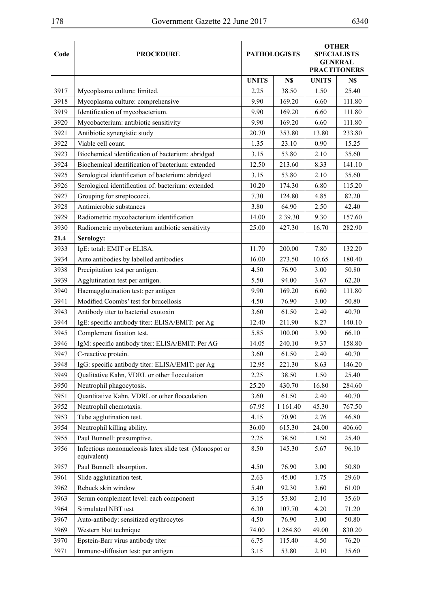$\overline{a}$ 

| Code | <b>PROCEDURE</b>                                                      |              | <b>PATHOLOGISTS</b> | <b>OTHER</b><br><b>SPECIALISTS</b> |                |  |
|------|-----------------------------------------------------------------------|--------------|---------------------|------------------------------------|----------------|--|
|      |                                                                       |              |                     |                                    | <b>GENERAL</b> |  |
|      |                                                                       |              |                     | <b>PRACTITONERS</b>                |                |  |
|      |                                                                       | <b>UNITS</b> | N\$                 | <b>UNITS</b>                       | N\$            |  |
| 3917 | Mycoplasma culture: limited.                                          | 2.25         | 38.50               | 1.50                               | 25.40          |  |
| 3918 | Mycoplasma culture: comprehensive                                     | 9.90         | 169.20              | 6.60                               | 111.80         |  |
| 3919 | Identification of mycobacterium.                                      | 9.90         | 169.20              | 6.60                               | 111.80         |  |
| 3920 | Mycobacterium: antibiotic sensitivity                                 | 9.90         | 169.20              | 6.60                               | 111.80         |  |
| 3921 | Antibiotic synergistic study                                          | 20.70        | 353.80              | 13.80                              | 233.80         |  |
| 3922 | Viable cell count.                                                    | 1.35         | 23.10               | 0.90                               | 15.25          |  |
| 3923 | Biochemical identification of bacterium: abridged                     | 3.15         | 53.80               | 2.10                               | 35.60          |  |
| 3924 | Biochemical identification of bacterium: extended                     | 12.50        | 213.60              | 8.33                               | 141.10         |  |
| 3925 | Serological identification of bacterium: abridged                     | 3.15         | 53.80               | 2.10                               | 35.60          |  |
| 3926 | Serological identification of: bacterium: extended                    | 10.20        | 174.30              | 6.80                               | 115.20         |  |
| 3927 | Grouping for streptococci.                                            | 7.30         | 124.80              | 4.85                               | 82.20          |  |
| 3928 | Antimicrobic substances                                               | 3.80         | 64.90               | 2.50                               | 42.40          |  |
| 3929 | Radiometric mycobacterium identification                              | 14.00        | 2 39.30             | 9.30                               | 157.60         |  |
| 3930 | Radiometric myobacterium antibiotic sensitivity                       | 25.00        | 427.30              | 16.70                              | 282.90         |  |
| 21.4 | Serology:                                                             |              |                     |                                    |                |  |
| 3933 | IgE: total: EMIT or ELISA.                                            | 11.70        | 200.00              | 7.80                               | 132.20         |  |
| 3934 | Auto antibodies by labelled antibodies                                | 16.00        | 273.50              | 10.65                              | 180.40         |  |
| 3938 | Precipitation test per antigen.                                       | 4.50         | 76.90               | 3.00                               | 50.80          |  |
| 3939 | Agglutination test per antigen.                                       | 5.50         | 94.00               | 3.67                               | 62.20          |  |
| 3940 | Haemagglutination test: per antigen                                   | 9.90         | 169.20              | 6.60                               | 111.80         |  |
| 3941 | Modified Coombs' test for brucellosis                                 | 4.50         | 76.90               | 3.00                               | 50.80          |  |
| 3943 | Antibody titer to bacterial exotoxin                                  | 3.60         | 61.50               | 2.40                               | 40.70          |  |
| 3944 | IgE: specific antibody titer: ELISA/EMIT: per Ag                      | 12.40        | 211.90              | 8.27                               | 140.10         |  |
| 3945 | Complement fixation test.                                             | 5.85         | 100.00              | 3.90                               | 66.10          |  |
| 3946 | IgM: specific antibody titer: ELISA/EMIT: Per AG                      | 14.05        | 240.10              | 9.37                               | 158.80         |  |
| 3947 | C-reactive protein.                                                   | 3.60         | 61.50               | 2.40                               | 40.70          |  |
| 3948 | IgG: specific antibody titer: ELISA/EMIT: per Ag                      | 12.95        | 221.30              | 8.63                               | 146.20         |  |
| 3949 | Qualitative Kahn, VDRL or other flocculation                          | 2.25         | 38.50               | 1.50                               | 25.40          |  |
| 3950 | Neutrophil phagocytosis.                                              | 25.20        | 430.70              | 16.80                              | 284.60         |  |
| 3951 | Quantitative Kahn, VDRL or other flocculation                         | 3.60         | 61.50               | 2.40                               | 40.70          |  |
| 3952 | Neutrophil chemotaxis.                                                | 67.95        | 1 1 6 1 . 4 0       | 45.30                              | 767.50         |  |
| 3953 | Tube agglutination test.                                              | 4.15         | 70.90               | 2.76                               | 46.80          |  |
| 3954 | Neutrophil killing ability.                                           | 36.00        | 615.30              | 24.00                              | 406.60         |  |
| 3955 | Paul Bunnell: presumptive.                                            | 2.25         | 38.50               | 1.50                               | 25.40          |  |
| 3956 | Infectious mononucleosis latex slide test (Monospot or<br>equivalent) | 8.50         | 145.30              | 5.67                               | 96.10          |  |
| 3957 | Paul Bunnell: absorption.                                             | 4.50         | 76.90               | 3.00                               | 50.80          |  |
| 3961 | Slide agglutination test.                                             | 2.63         | 45.00               | 1.75                               | 29.60          |  |
| 3962 | Rebuck skin window                                                    | 5.40         | 92.30               | 3.60                               | 61.00          |  |
| 3963 | Serum complement level: each component                                | 3.15         | 53.80               | 2.10                               | 35.60          |  |
| 3964 | Stimulated NBT test                                                   | 6.30         | 107.70              | 4.20                               | 71.20          |  |
| 3967 | Auto-antibody: sensitized erythrocytes                                | 4.50         | 76.90               | 3.00                               | 50.80          |  |
| 3969 | Western blot technique                                                | 74.00        | 1 264.80            | 49.00                              | 830.20         |  |
| 3970 | Epstein-Barr virus antibody titer                                     | 6.75         | 115.40              | 4.50                               | 76.20          |  |
| 3971 | Immuno-diffusion test: per antigen                                    | 3.15         | 53.80               | 2.10                               | 35.60          |  |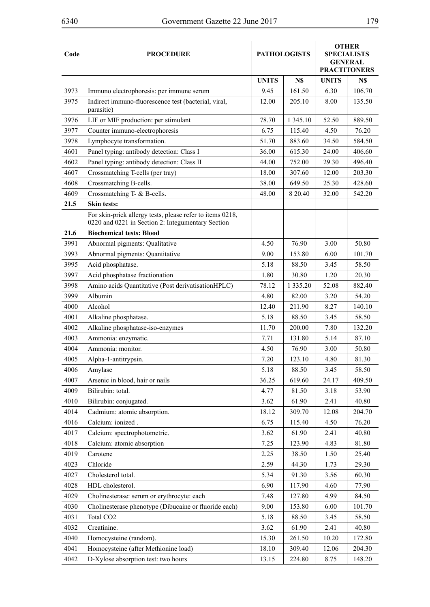| Code         | <b>PROCEDURE</b>                                                                                               | <b>PATHOLOGISTS</b> |               | <b>OTHER</b><br><b>SPECIALISTS</b><br><b>GENERAL</b><br><b>PRACTITONERS</b> |               |
|--------------|----------------------------------------------------------------------------------------------------------------|---------------------|---------------|-----------------------------------------------------------------------------|---------------|
|              |                                                                                                                | <b>UNITS</b>        | N\$           |                                                                             |               |
|              |                                                                                                                |                     |               | <b>UNITS</b>                                                                | N\$<br>106.70 |
| 3973<br>3975 | Immuno electrophoresis: per immune serum                                                                       | 9.45                | 161.50        | 6.30                                                                        |               |
|              | Indirect immuno-fluorescence test (bacterial, viral,<br>parasitic)                                             | 12.00               | 205.10        | 8.00                                                                        | 135.50        |
| 3976         | LIF or MIF production: per stimulant                                                                           | 78.70               | 1 345.10      | 52.50                                                                       | 889.50        |
| 3977         | Counter immuno-electrophoresis                                                                                 | 6.75                | 115.40        | 4.50                                                                        | 76.20         |
| 3978         | Lymphocyte transformation.                                                                                     | 51.70               | 883.60        | 34.50                                                                       | 584.50        |
| 4601         | Panel typing: antibody detection: Class I                                                                      | 36.00               | 615.30        | 24.00                                                                       | 406.60        |
| 4602         | Panel typing: antibody detection: Class II                                                                     | 44.00               | 752.00        | 29.30                                                                       | 496.40        |
| 4607         | Crossmatching T-cells (per tray)                                                                               | 18.00               | 307.60        | 12.00                                                                       | 203.30        |
| 4608         | Crossmatching B-cells.                                                                                         | 38.00               | 649.50        | 25.30                                                                       | 428.60        |
| 4609         | Crossmatching T- & B-cells.                                                                                    | 48.00               | 8 20.40       | 32.00                                                                       | 542.20        |
| 21.5         | <b>Skin tests:</b>                                                                                             |                     |               |                                                                             |               |
|              | For skin-prick allergy tests, please refer to items 0218,<br>0220 and 0221 in Section 2: Integumentary Section |                     |               |                                                                             |               |
| 21.6         | <b>Biochemical tests: Blood</b>                                                                                |                     |               |                                                                             |               |
| 3991         | Abnormal pigments: Qualitative                                                                                 | 4.50                | 76.90         | 3.00                                                                        | 50.80         |
| 3993         | Abnormal pigments: Quantitative                                                                                | 9.00                | 153.80        | 6.00                                                                        | 101.70        |
| 3995         | Acid phosphatase.                                                                                              | 5.18                | 88.50         | 3.45                                                                        | 58.50         |
| 3997         | Acid phosphatase fractionation                                                                                 | 1.80                | 30.80         | 1.20                                                                        | 20.30         |
| 3998         | Amino acids Quantitative (Post derivatisationHPLC)                                                             | 78.12               | 1 3 3 5 . 2 0 | 52.08                                                                       | 882.40        |
| 3999         | Albumin                                                                                                        | 4.80                | 82.00         | 3.20                                                                        | 54.20         |
| 4000         | Alcohol                                                                                                        | 12.40               | 211.90        | 8.27                                                                        | 140.10        |
| 4001         | Alkaline phosphatase.                                                                                          | 5.18                | 88.50         | 3.45                                                                        | 58.50         |
| 4002         | Alkaline phosphatase-iso-enzymes                                                                               | 11.70               | 200.00        | 7.80                                                                        | 132.20        |
| 4003         | Ammonia: enzymatic.                                                                                            | 7.71                | 131.80        | 5.14                                                                        | 87.10         |
| 4004         | Ammonia: monitor.                                                                                              | 4.50                | 76.90         | 3.00                                                                        | 50.80         |
| 4005         | Alpha-1-antitrypsin.                                                                                           | 7.20                | 123.10        | 4.80                                                                        | 81.30         |
| 4006         | Amylase                                                                                                        | 5.18                | 88.50         | 3.45                                                                        | 58.50         |
| 4007         | Arsenic in blood, hair or nails                                                                                | 36.25               | 619.60        | 24.17                                                                       | 409.50        |
| 4009         | Bilirubin: total.                                                                                              | 4.77                | 81.50         | 3.18                                                                        | 53.90         |
| 4010         | Bilirubin: conjugated.                                                                                         | 3.62                | 61.90         | 2.41                                                                        | 40.80         |
| 4014         | Cadmium: atomic absorption.                                                                                    | 18.12               | 309.70        | 12.08                                                                       | 204.70        |
| 4016         | Calcium: ionized.                                                                                              | 6.75                | 115.40        | 4.50                                                                        | 76.20         |
| 4017         | Calcium: spectrophotometric.                                                                                   | 3.62                | 61.90         | 2.41                                                                        | 40.80         |
| 4018         | Calcium: atomic absorption                                                                                     | 7.25                | 123.90        | 4.83                                                                        | 81.80         |
| 4019         | Carotene                                                                                                       | 2.25                | 38.50         | 1.50                                                                        | 25.40         |
| 4023         | Chloride                                                                                                       | 2.59                | 44.30         | 1.73                                                                        | 29.30         |
| 4027         | Cholesterol total.                                                                                             | 5.34                | 91.30         | 3.56                                                                        | 60.30         |
| 4028         | HDL cholesterol.                                                                                               | 6.90                | 117.90        | 4.60                                                                        | 77.90         |
| 4029         | Cholinesterase: serum or erythrocyte: each                                                                     | 7.48                | 127.80        | 4.99                                                                        | 84.50         |
| 4030         | Cholinesterase phenotype (Dibucaine or fluoride each)                                                          | 9.00                | 153.80        | 6.00                                                                        | 101.70        |
| 4031         | Total CO <sub>2</sub>                                                                                          | 5.18                | 88.50         | 3.45                                                                        | 58.50         |
| 4032         | Creatinine.                                                                                                    | 3.62                | 61.90         | 2.41                                                                        | 40.80         |
| 4040         | Homocysteine (random).                                                                                         | 15.30               | 261.50        | 10.20                                                                       | 172.80        |
| 4041         | Homocysteine (after Methionine load)                                                                           | 18.10               | 309.40        | 12.06                                                                       | 204.30        |
| 4042         | D-Xylose absorption test: two hours                                                                            | 13.15               | 224.80        | 8.75                                                                        | 148.20        |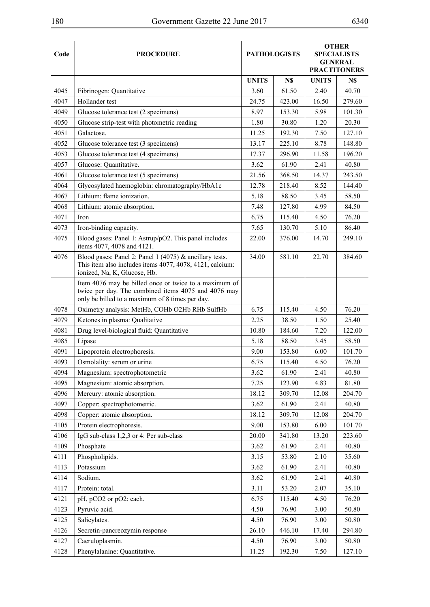| Code | <b>PROCEDURE</b>                                                                                                                                                | <b>PATHOLOGISTS</b> |        | <b>OTHER</b><br><b>SPECIALISTS</b> |                |  |
|------|-----------------------------------------------------------------------------------------------------------------------------------------------------------------|---------------------|--------|------------------------------------|----------------|--|
|      |                                                                                                                                                                 |                     |        |                                    | <b>GENERAL</b> |  |
|      |                                                                                                                                                                 |                     |        | <b>PRACTITONERS</b>                |                |  |
|      |                                                                                                                                                                 | <b>UNITS</b>        | N\$    | <b>UNITS</b>                       | N\$            |  |
| 4045 | Fibrinogen: Quantitative                                                                                                                                        | 3.60                | 61.50  | 2.40                               | 40.70          |  |
| 4047 | Hollander test                                                                                                                                                  | 24.75               | 423.00 | 16.50                              | 279.60         |  |
| 4049 | Glucose tolerance test (2 specimens)                                                                                                                            | 8.97                | 153.30 | 5.98                               | 101.30         |  |
| 4050 | Glucose strip-test with photometric reading                                                                                                                     | 1.80                | 30.80  | 1.20                               | 20.30          |  |
| 4051 | Galactose.                                                                                                                                                      | 11.25               | 192.30 | 7.50                               | 127.10         |  |
| 4052 | Glucose tolerance test (3 specimens)                                                                                                                            | 13.17               | 225.10 | 8.78                               | 148.80         |  |
| 4053 | Glucose tolerance test (4 specimens)                                                                                                                            | 17.37               | 296.90 | 11.58                              | 196.20         |  |
| 4057 | Glucose: Quantitative.                                                                                                                                          | 3.62                | 61.90  | 2.41                               | 40.80          |  |
| 4061 | Glucose tolerance test (5 specimens)                                                                                                                            | 21.56               | 368.50 | 14.37                              | 243.50         |  |
| 4064 | Glycosylated haemoglobin: chromatography/HbA1c                                                                                                                  | 12.78               | 218.40 | 8.52                               | 144.40         |  |
| 4067 | Lithium: flame ionization.                                                                                                                                      | 5.18                | 88.50  | 3.45                               | 58.50          |  |
| 4068 | Lithium: atomic absorption.                                                                                                                                     | 7.48                | 127.80 | 4.99                               | 84.50          |  |
| 4071 | Iron                                                                                                                                                            | 6.75                | 115.40 | 4.50                               | 76.20          |  |
| 4073 | Iron-binding capacity.                                                                                                                                          | 7.65                | 130.70 | 5.10                               | 86.40          |  |
| 4075 | Blood gases: Panel 1: Astrup/pO2. This panel includes<br>items 4077, 4078 and 4121.                                                                             | 22.00               | 376.00 | 14.70                              | 249.10         |  |
| 4076 | Blood gases: Panel 2: Panel 1 (4075) & ancillary tests.<br>This item also includes items 4077, 4078, 4121, calcium:<br>ionized, Na, K, Glucose, Hb.             | 34.00               | 581.10 | 22.70                              | 384.60         |  |
|      | Item 4076 may be billed once or twice to a maximum of<br>twice per day. The combined items 4075 and 4076 may<br>only be billed to a maximum of 8 times per day. |                     |        |                                    |                |  |
| 4078 | Oximetry analysis: MetHb, COHb O2Hb RHb SulfHb                                                                                                                  | 6.75                | 115.40 | 4.50                               | 76.20          |  |
| 4079 | Ketones in plasma: Qualitative                                                                                                                                  | 2.25                | 38.50  | 1.50                               | 25.40          |  |
| 4081 | Drug level-biological fluid: Quantitative                                                                                                                       | 10.80               | 184.60 | 7.20                               | 122.00         |  |
| 4085 | Lipase                                                                                                                                                          | 5.18                | 88.50  | 3.45                               | 58.50          |  |
| 4091 | Lipoprotein electrophoresis.                                                                                                                                    | 9.00                | 153.80 | 6.00                               | 101.70         |  |
| 4093 | Osmolality: serum or urine                                                                                                                                      | 6.75                | 115.40 | 4.50                               | 76.20          |  |
| 4094 | Magnesium: spectrophotometric                                                                                                                                   | 3.62                | 61.90  | 2.41                               | 40.80          |  |
| 4095 | Magnesium: atomic absorption.                                                                                                                                   | 7.25                | 123.90 | 4.83                               | 81.80          |  |
| 4096 | Mercury: atomic absorption.                                                                                                                                     | 18.12               | 309.70 | 12.08                              | 204.70         |  |
| 4097 | Copper: spectrophotometric.                                                                                                                                     | 3.62                | 61.90  | 2.41                               | 40.80          |  |
| 4098 | Copper: atomic absorption.                                                                                                                                      | 18.12               | 309.70 | 12.08                              | 204.70         |  |
| 4105 | Protein electrophoresis.                                                                                                                                        | 9.00                | 153.80 | 6.00                               | 101.70         |  |
| 4106 | IgG sub-class 1,2,3 or 4: Per sub-class                                                                                                                         | 20.00               | 341.80 | 13.20                              | 223.60         |  |
| 4109 | Phosphate                                                                                                                                                       | 3.62                | 61.90  | 2.41                               | 40.80          |  |
| 4111 | Phospholipids.                                                                                                                                                  | 3.15                | 53.80  | 2.10                               | 35.60          |  |
| 4113 | Potassium                                                                                                                                                       | 3.62                | 61.90  | 2.41                               | 40.80          |  |
| 4114 | Sodium.                                                                                                                                                         | 3.62                | 61,90  | 2.41                               | 40.80          |  |
| 4117 | Protein: total.                                                                                                                                                 | 3.11                | 53.20  | 2.07                               | 35.10          |  |
| 4121 | pH, pCO2 or pO2: each.                                                                                                                                          | 6.75                | 115.40 | 4.50                               | 76.20          |  |
| 4123 | Pyruvic acid.                                                                                                                                                   | 4.50                | 76.90  | 3.00                               | 50.80          |  |
| 4125 | Salicylates.                                                                                                                                                    | 4.50                | 76.90  | 3.00                               | 50.80          |  |
| 4126 | Secretin-pancreozymin response                                                                                                                                  | 26.10               | 446.10 | 17.40                              | 294.80         |  |
| 4127 | Caeruloplasmin.                                                                                                                                                 | 4.50                | 76.90  | 3.00                               | 50.80          |  |
| 4128 | Phenylalanine: Quantitative.                                                                                                                                    | 11.25               | 192.30 | 7.50                               | 127.10         |  |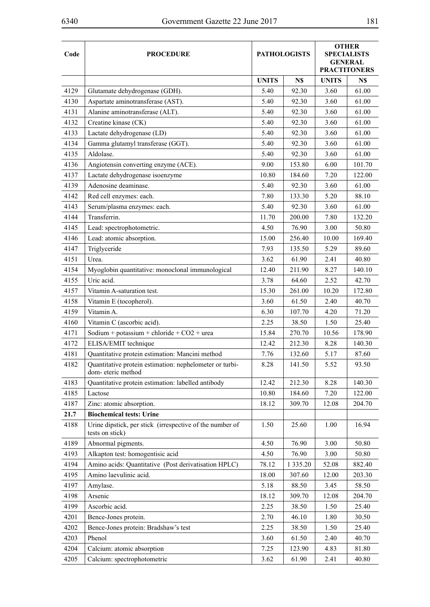| Code | <b>PROCEDURE</b>                                                             |              | <b>PATHOLOGISTS</b> | <b>OTHER</b><br><b>SPECIALISTS</b> |                     |  |
|------|------------------------------------------------------------------------------|--------------|---------------------|------------------------------------|---------------------|--|
|      |                                                                              |              |                     | <b>GENERAL</b>                     |                     |  |
|      |                                                                              |              |                     |                                    | <b>PRACTITONERS</b> |  |
|      |                                                                              | <b>UNITS</b> | N\$                 | <b>UNITS</b>                       | N\$                 |  |
| 4129 | Glutamate dehydrogenase (GDH).                                               | 5.40         | 92.30               | 3.60                               | 61.00               |  |
| 4130 | Aspartate aminotransferase (AST).                                            | 5.40         | 92.30               | 3.60                               | 61.00               |  |
| 4131 | Alanine aminotransferase (ALT).                                              | 5.40         | 92.30               | 3.60                               | 61.00               |  |
| 4132 | Creatine kinase (CK)                                                         | 5.40         | 92.30               | 3.60                               | 61.00               |  |
| 4133 | Lactate dehydrogenase (LD)                                                   | 5.40         | 92.30               | 3.60                               | 61.00               |  |
| 4134 | Gamma glutamyl transferase (GGT).                                            | 5.40         | 92.30               | 3.60                               | 61.00               |  |
| 4135 | Aldolase.                                                                    | 5.40         | 92.30               | 3.60                               | 61.00               |  |
| 4136 | Angiotensin converting enzyme (ACE).                                         | 9.00         | 153.80              | 6.00                               | 101.70              |  |
| 4137 | Lactate dehydrogenase isoenzyme                                              | 10.80        | 184.60              | 7.20                               | 122.00              |  |
| 4139 | Adenosine deaminase.                                                         | 5.40         | 92.30               | 3.60                               | 61.00               |  |
| 4142 | Red cell enzymes: each.                                                      | 7.80         | 133.30              | 5.20                               | 88.10               |  |
| 4143 | Serum/plasma enzymes: each.                                                  | 5.40         | 92.30               | 3.60                               | 61.00               |  |
| 4144 | Transferrin.                                                                 | 11.70        | 200.00              | 7.80                               | 132.20              |  |
| 4145 | Lead: spectrophotometric.                                                    | 4.50         | 76.90               | 3.00                               | 50.80               |  |
| 4146 | Lead: atomic absorption.                                                     | 15.00        | 256.40              | 10.00                              | 169.40              |  |
| 4147 | Triglyceride                                                                 | 7.93         | 135.50              | 5.29                               | 89.60               |  |
| 4151 | Urea.                                                                        | 3.62         | 61.90               | 2.41                               | 40.80               |  |
| 4154 | Myoglobin quantitative: monoclonal immunological                             | 12.40        | 211.90              | 8.27                               | 140.10              |  |
| 4155 | Uric acid.                                                                   | 3.78         | 64.60               | 2.52                               | 42.70               |  |
| 4157 | Vitamin A-saturation test.                                                   | 15.30        | 261.00              | 10.20                              | 172.80              |  |
| 4158 | Vitamin E (tocopherol).                                                      | 3.60         | 61.50               | 2.40                               | 40.70               |  |
| 4159 | Vitamin A.                                                                   | 6.30         | 107.70              | 4.20                               | 71.20               |  |
| 4160 | Vitamin C (ascorbic acid).                                                   | 2.25         | 38.50               | 1.50                               | 25.40               |  |
| 4171 | Sodium + potassium + chloride + $CO2$ + urea                                 | 15.84        | 270.70              | 10.56                              | 178.90              |  |
| 4172 | ELISA/EMIT technique                                                         | 12.42        | 212.30              | 8.28                               | 140.30              |  |
| 4181 | Quantitative protein estimation: Mancini method                              | 7.76         | 132.60              | 5.17                               | 87.60               |  |
| 4182 | Quantitative protein estimation: nephelometer or turbi-<br>dom-eteric method | 8.28         | 141.50              | 5.52                               | 93.50               |  |
| 4183 | Quantitative protein estimation: labelled antibody                           | 12.42        | 212.30              | 8.28                               | 140.30              |  |
| 4185 | Lactose                                                                      | 10.80        | 184.60              | 7.20                               | 122.00              |  |
| 4187 | Zinc: atomic absorption.                                                     | 18.12        | 309.70              | 12.08                              | 204.70              |  |
| 21.7 | <b>Biochemical tests: Urine</b>                                              |              |                     |                                    |                     |  |
| 4188 | Urine dipstick, per stick (irrespective of the number of<br>tests on stick)  | 1.50         | 25.60               | 1.00                               | 16.94               |  |
| 4189 | Abnormal pigments.                                                           | 4.50         | 76.90               | 3.00                               | 50.80               |  |
| 4193 | Alkapton test: homogentisic acid                                             | 4.50         | 76.90               | 3.00                               | 50.80               |  |
| 4194 | Amino acids: Quantitative (Post derivatisation HPLC)                         | 78.12        | 1 3 3 5 . 2 0       | 52.08                              | 882.40              |  |
| 4195 | Amino laevulinic acid.                                                       | 18.00        | 307.60              | 12.00                              | 203.30              |  |
| 4197 | Amylase.                                                                     | 5.18         | 88.50               | 3.45                               | 58.50               |  |
| 4198 | Arsenic                                                                      | 18.12        | 309.70              | 12.08                              | 204.70              |  |
| 4199 | Ascorbic acid.                                                               | 2.25         | 38.50               | 1.50                               | 25.40               |  |
| 4201 | Bence-Jones protein.                                                         | 2.70         | 46.10               | 1.80                               | 30.50               |  |
| 4202 | Bence-Jones protein: Bradshaw's test                                         | 2.25         | 38.50               | 1.50                               | 25.40               |  |
| 4203 | Phenol                                                                       | 3.60         | 61.50               | 2.40                               | 40.70               |  |
| 4204 | Calcium: atomic absorption                                                   | 7.25         | 123.90              | 4.83                               | 81.80               |  |
| 4205 | Calcium: spectrophotometric                                                  | 3.62         | 61.90               | 2.41                               | 40.80               |  |
|      |                                                                              |              |                     |                                    |                     |  |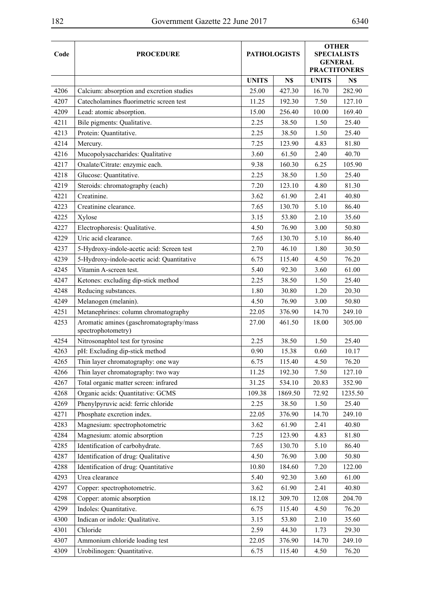| Code | <b>PROCEDURE</b>                           |              | <b>PATHOLOGISTS</b> | <b>OTHER</b><br><b>SPECIALISTS</b> |         |  |
|------|--------------------------------------------|--------------|---------------------|------------------------------------|---------|--|
|      |                                            |              |                     | <b>GENERAL</b>                     |         |  |
|      |                                            |              |                     | <b>PRACTITONERS</b>                |         |  |
|      |                                            | <b>UNITS</b> | N\$                 | <b>UNITS</b>                       | N\$     |  |
| 4206 | Calcium: absorption and excretion studies  | 25.00        | 427.30              | 16.70                              | 282.90  |  |
| 4207 | Catecholamines fluorimetric screen test    | 11.25        | 192.30              | 7.50                               | 127.10  |  |
| 4209 | Lead: atomic absorption.                   | 15.00        | 256.40              | 10.00                              | 169.40  |  |
| 4211 | Bile pigments: Qualitative.                | 2.25         | 38.50               | 1.50                               | 25.40   |  |
| 4213 | Protein: Quantitative.                     | 2.25         | 38.50               | 1.50                               | 25.40   |  |
| 4214 | Mercury.                                   | 7.25         | 123.90              | 4.83                               | 81.80   |  |
| 4216 | Mucopolysaccharides: Qualitative           | 3.60         | 61.50               | 2.40                               | 40.70   |  |
| 4217 | Oxalate/Citrate: enzymic each.             | 9.38         | 160.30              | 6.25                               | 105.90  |  |
| 4218 | Glucose: Quantitative.                     | 2.25         | 38.50               | 1.50                               | 25.40   |  |
| 4219 | Steroids: chromatography (each)            | 7.20         | 123.10              | 4.80                               | 81.30   |  |
| 4221 | Creatinine.                                | 3.62         | 61.90               | 2.41                               | 40.80   |  |
| 4223 | Creatinine clearance.                      | 7.65         | 130.70              | 5.10                               | 86.40   |  |
| 4225 | Xylose                                     | 3.15         | 53.80               | 2.10                               | 35.60   |  |
| 4227 | Electrophoresis: Qualitative.              | 4.50         | 76.90               | 3.00                               | 50.80   |  |
| 4229 | Uric acid clearance.                       | 7.65         | 130.70              | 5.10                               | 86.40   |  |
| 4237 | 5-Hydroxy-indole-acetic acid: Screen test  | 2.70         | 46.10               | 1.80                               | 30.50   |  |
| 4239 | 5-Hydroxy-indole-acetic acid: Quantitative | 6.75         | 115.40              | 4.50                               | 76.20   |  |
| 4245 | Vitamin A-screen test.                     | 5.40         | 92.30               | 3.60                               | 61.00   |  |
| 4247 | Ketones: excluding dip-stick method        | 2.25         | 38.50               | 1.50                               | 25.40   |  |
| 4248 | Reducing substances.                       | 1.80         | 30.80               | 1.20                               | 20.30   |  |
| 4249 | Melanogen (melanin).                       | 4.50         | 76.90               | 3.00                               | 50.80   |  |
| 4251 | Metanephrines: column chromatography       | 22.05        | 376.90              | 14.70                              | 249.10  |  |
| 4253 | Aromatic amines (gaschromatography/mass    | 27.00        | 461.50              | 18.00                              | 305.00  |  |
|      | spectrophotometry)                         |              |                     |                                    |         |  |
| 4254 | Nitrosonaphtol test for tyrosine           | 2.25         | 38.50               | 1.50                               | 25.40   |  |
| 4263 | pH: Excluding dip-stick method             | 0.90         | 15.38               | 0.60                               | 10.17   |  |
| 4265 | Thin layer chromatography: one way         | 6.75         | 115.40              | 4.50                               | 76.20   |  |
| 4266 | Thin layer chromatography: two way         | 11.25        | 192.30              | 7.50                               | 127.10  |  |
| 4267 | Total organic matter screen: infrared      | 31.25        | 534.10              | 20.83                              | 352.90  |  |
| 4268 | Organic acids: Quantitative: GCMS          | 109.38       | 1869.50             | 72.92                              | 1235.50 |  |
| 4269 | Phenylpyruvic acid: ferric chloride        | 2.25         | 38.50               | 1.50                               | 25.40   |  |
| 4271 | Phosphate excretion index.                 | 22.05        | 376.90              | 14.70                              | 249.10  |  |
| 4283 | Magnesium: spectrophotometric              | 3.62         | 61.90               | 2.41                               | 40.80   |  |
| 4284 | Magnesium: atomic absorption               | 7.25         | 123.90              | 4.83                               | 81.80   |  |
| 4285 | Identification of carbohydrate.            | 7.65         | 130.70              | 5.10                               | 86.40   |  |
| 4287 | Identification of drug: Qualitative        | 4.50         | 76.90               | 3.00                               | 50.80   |  |
| 4288 | Identification of drug: Quantitative       | 10.80        | 184.60              | 7.20                               | 122.00  |  |
| 4293 | Urea clearance                             | 5.40         | 92.30               | 3.60                               | 61.00   |  |
| 4297 | Copper: spectrophotometric.                | 3.62         | 61.90               | 2.41                               | 40.80   |  |
| 4298 | Copper: atomic absorption                  | 18.12        | 309.70              | 12.08                              | 204.70  |  |
| 4299 | Indoles: Quantitative.                     | 6.75         | 115.40              | 4.50                               | 76.20   |  |
| 4300 | Indican or indole: Qualitative.            | 3.15         | 53.80               | 2.10                               | 35.60   |  |
| 4301 | Chloride                                   | 2.59         | 44.30               | 1.73                               | 29.30   |  |
| 4307 | Ammonium chloride loading test             | 22.05        | 376.90              | 14.70                              | 249.10  |  |
| 4309 | Urobilinogen: Quantitative.                | 6.75         | 115.40              | 4.50                               | 76.20   |  |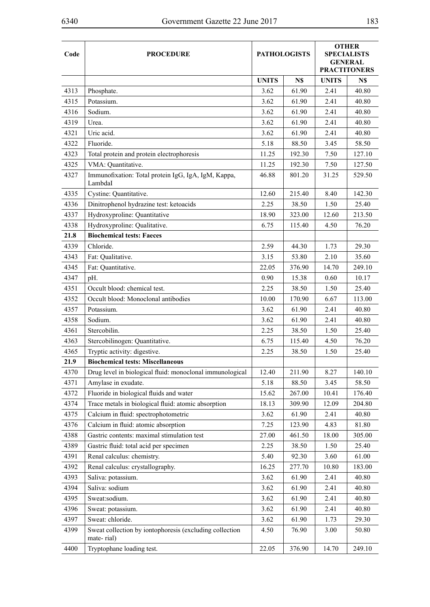| Code         | <b>PROCEDURE</b>                                               | <b>PATHOLOGISTS</b> |                 | <b>OTHER</b><br><b>SPECIALISTS</b><br><b>GENERAL</b><br><b>PRACTITONERS</b> |                  |  |
|--------------|----------------------------------------------------------------|---------------------|-----------------|-----------------------------------------------------------------------------|------------------|--|
|              |                                                                |                     |                 |                                                                             |                  |  |
|              |                                                                | <b>UNITS</b>        | N\$             | <b>UNITS</b>                                                                | N\$              |  |
| 4313         | Phosphate.                                                     | 3.62                | 61.90           | 2.41                                                                        | 40.80            |  |
| 4315<br>4316 | Potassium.<br>Sodium.                                          | 3.62                | 61.90           | 2.41                                                                        | 40.80            |  |
| 4319         | Urea.                                                          | 3.62<br>3.62        | 61.90<br>61.90  | 2.41<br>2.41                                                                | 40.80<br>40.80   |  |
| 4321         | Uric acid.                                                     | 3.62                | 61.90           | 2.41                                                                        | 40.80            |  |
| 4322         | Fluoride.                                                      | 5.18                | 88.50           | 3.45                                                                        | 58.50            |  |
| 4323         | Total protein and protein electrophoresis                      | 11.25               | 192.30          | 7.50                                                                        | 127.10           |  |
| 4325         | VMA: Quantitative.                                             | 11.25               | 192.30          | 7.50                                                                        | 127.50           |  |
| 4327         | Immunofixation: Total protein IgG, IgA, IgM, Kappa,            | 46.88               | 801.20          | 31.25                                                                       | 529.50           |  |
|              | LambdaI                                                        |                     |                 |                                                                             |                  |  |
| 4335         | Cystine: Quantitative.                                         | 12.60               | 215.40          | 8.40                                                                        | 142.30           |  |
| 4336         | Dinitrophenol hydrazine test: ketoacids                        | 2.25                | 38.50           | 1.50                                                                        | 25.40            |  |
| 4337         | Hydroxyproline: Quantitative                                   | 18.90               | 323.00          | 12.60                                                                       | 213.50           |  |
| 4338         | Hydroxyproline: Qualitative.                                   | 6.75                | 115.40          | 4.50                                                                        | 76.20            |  |
| 21.8         | <b>Biochemical tests: Faeces</b>                               |                     |                 |                                                                             |                  |  |
| 4339         | Chloride.                                                      | 2.59                | 44.30           | 1.73                                                                        | 29.30            |  |
| 4343         | Fat: Qualitative.                                              | 3.15                | 53.80           | 2.10                                                                        | 35.60            |  |
| 4345         | Fat: Quantitative.                                             | 22.05               | 376.90          | 14.70                                                                       | 249.10           |  |
| 4347         | pH.                                                            | 0.90                | 15.38           | 0.60                                                                        | 10.17            |  |
| 4351         | Occult blood: chemical test.                                   | 2.25                | 38.50           | 1.50                                                                        | 25.40            |  |
| 4352         | Occult blood: Monoclonal antibodies                            | 10.00               | 170.90          | 6.67                                                                        | 113.00           |  |
| 4357         | Potassium.                                                     | 3.62                | 61.90           | 2.41                                                                        | 40.80            |  |
| 4358         | Sodium.                                                        | 3.62                | 61.90           | 2.41                                                                        | 40.80            |  |
| 4361         | Stercobilin.                                                   | 2.25                | 38.50           | 1.50                                                                        | 25.40            |  |
| 4363         | Stercobilinogen: Quantitative.                                 | 6.75                | 115.40          | 4.50                                                                        | 76.20            |  |
| 4365         | Tryptic activity: digestive.                                   | 2.25                | 38.50           | 1.50                                                                        | 25.40            |  |
| 21.9         | <b>Biochemical tests: Miscellaneous</b>                        |                     |                 |                                                                             |                  |  |
| 4370         | Drug level in biological fluid: monoclonal immunological       | 12.40               | 211.90          | 8.27                                                                        | 140.10           |  |
| 4371<br>4372 | Amylase in exudate.<br>Fluoride in biological fluids and water | 5.18                | 88.50<br>267.00 | 3.45                                                                        | 58.50            |  |
| 4374         | Trace metals in biological fluid: atomic absorption            | 15.62<br>18.13      | 309.90          | 10.41<br>12.09                                                              | 176.40<br>204.80 |  |
| 4375         | Calcium in fluid: spectrophotometric                           | 3.62                | 61.90           | 2.41                                                                        | 40.80            |  |
| 4376         | Calcium in fluid: atomic absorption                            | 7.25                | 123.90          | 4.83                                                                        | 81.80            |  |
| 4388         | Gastric contents: maximal stimulation test                     | 27.00               | 461.50          | 18.00                                                                       | 305.00           |  |
| 4389         | Gastric fluid: total acid per specimen                         | 2.25                | 38.50           | 1.50                                                                        | 25.40            |  |
| 4391         | Renal calculus: chemistry.                                     | 5.40                | 92.30           | 3.60                                                                        | 61.00            |  |
| 4392         | Renal calculus: crystallography.                               | 16.25               | 277.70          | 10.80                                                                       | 183.00           |  |
| 4393         | Saliva: potassium.                                             | 3.62                | 61.90           | 2.41                                                                        | 40.80            |  |
| 4394         | Saliva: sodium                                                 | 3.62                | 61.90           | 2.41                                                                        | 40.80            |  |
| 4395         | Sweat:sodium.                                                  | 3.62                | 61.90           | 2.41                                                                        | 40.80            |  |
| 4396         | Sweat: potassium.                                              | 3.62                | 61.90           | 2.41                                                                        | 40.80            |  |
| 4397         | Sweat: chloride.                                               | 3.62                | 61.90           | 1.73                                                                        | 29.30            |  |
| 4399         | Sweat collection by iontophoresis (excluding collection        | 4.50                | 76.90           | 3.00                                                                        | 50.80            |  |
|              | mate-rial)                                                     |                     |                 |                                                                             |                  |  |
| 4400         | Tryptophane loading test.                                      | 22.05               | 376.90          | 14.70                                                                       | 249.10           |  |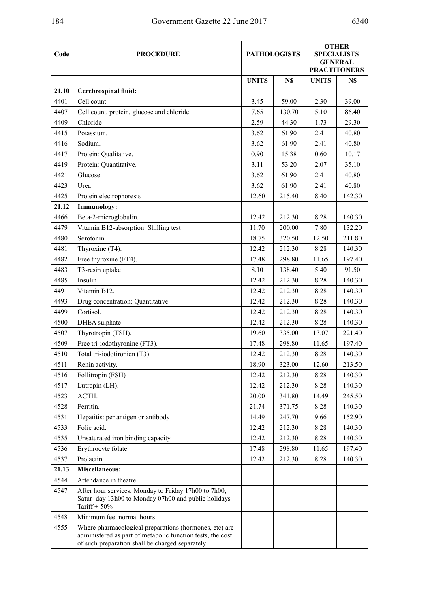| Code  | <b>PROCEDURE</b>                                                                                                                                                        | <b>PATHOLOGISTS</b> |        | <b>OTHER</b><br><b>SPECIALISTS</b><br><b>GENERAL</b><br><b>PRACTITONERS</b> |        |  |
|-------|-------------------------------------------------------------------------------------------------------------------------------------------------------------------------|---------------------|--------|-----------------------------------------------------------------------------|--------|--|
|       |                                                                                                                                                                         | <b>UNITS</b>        | N\$    | <b>UNITS</b>                                                                | N\$    |  |
| 21.10 | Cerebrospinal fluid:                                                                                                                                                    |                     |        |                                                                             |        |  |
| 4401  | Cell count                                                                                                                                                              | 3.45                | 59.00  | 2.30                                                                        | 39.00  |  |
| 4407  | Cell count, protein, glucose and chloride                                                                                                                               | 7.65                | 130.70 | 5.10                                                                        | 86.40  |  |
| 4409  | Chloride                                                                                                                                                                | 2.59                | 44.30  | 1.73                                                                        | 29.30  |  |
| 4415  | Potassium.                                                                                                                                                              | 3.62                | 61.90  | 2.41                                                                        | 40.80  |  |
| 4416  | Sodium.                                                                                                                                                                 | 3.62                | 61.90  | 2.41                                                                        | 40.80  |  |
| 4417  | Protein: Qualitative.                                                                                                                                                   | 0.90                | 15.38  | 0.60                                                                        | 10.17  |  |
| 4419  | Protein: Quantitative.                                                                                                                                                  | 3.11                | 53.20  | 2.07                                                                        | 35.10  |  |
| 4421  | Glucose.                                                                                                                                                                | 3.62                | 61.90  | 2.41                                                                        | 40.80  |  |
| 4423  | Urea                                                                                                                                                                    | 3.62                | 61.90  | 2.41                                                                        | 40.80  |  |
| 4425  | Protein electrophoresis                                                                                                                                                 | 12.60               | 215.40 | 8.40                                                                        | 142.30 |  |
| 21.12 | <b>Immunology:</b>                                                                                                                                                      |                     |        |                                                                             |        |  |
| 4466  | Beta-2-microglobulin.                                                                                                                                                   | 12.42               | 212.30 | 8.28                                                                        | 140.30 |  |
| 4479  | Vitamin B12-absorption: Shilling test                                                                                                                                   | 11.70               | 200.00 | 7.80                                                                        | 132.20 |  |
| 4480  | Serotonin.                                                                                                                                                              | 18.75               | 320.50 | 12.50                                                                       | 211.80 |  |
| 4481  | Thyroxine (T4).                                                                                                                                                         | 12.42               | 212.30 | 8.28                                                                        | 140.30 |  |
| 4482  | Free thyroxine (FT4).                                                                                                                                                   | 17.48               | 298.80 | 11.65                                                                       | 197.40 |  |
| 4483  | T3-resin uptake                                                                                                                                                         | 8.10                | 138.40 | 5.40                                                                        | 91.50  |  |
| 4485  | Insulin                                                                                                                                                                 | 12.42               | 212.30 | 8.28                                                                        | 140.30 |  |
| 4491  | Vitamin B12.                                                                                                                                                            | 12.42               | 212.30 | 8.28                                                                        | 140.30 |  |
| 4493  | Drug concentration: Quantitative                                                                                                                                        | 12.42               | 212.30 | 8.28                                                                        | 140.30 |  |
| 4499  | Cortisol.                                                                                                                                                               | 12.42               | 212.30 | 8.28                                                                        | 140.30 |  |
| 4500  | DHEA sulphate                                                                                                                                                           | 12.42               | 212.30 | 8.28                                                                        | 140.30 |  |
| 4507  | Thyrotropin (TSH).                                                                                                                                                      | 19.60               | 335.00 | 13.07                                                                       | 221.40 |  |
| 4509  | Free tri-iodothyronine (FT3).                                                                                                                                           | 17.48               | 298.80 | 11.65                                                                       | 197.40 |  |
| 4510  | Total tri-iodotironien (T3).                                                                                                                                            | 12.42               | 212.30 | 8.28                                                                        | 140.30 |  |
| 4511  | Renin activity.                                                                                                                                                         | 18.90               | 323.00 | 12.60                                                                       | 213.50 |  |
| 4516  | Follitropin (FSH)                                                                                                                                                       | 12.42               | 212.30 | 8.28                                                                        | 140.30 |  |
| 4517  | Lutropin (LH).                                                                                                                                                          | 12.42               | 212.30 | 8.28                                                                        | 140.30 |  |
| 4523  | ACTH.                                                                                                                                                                   | 20.00               | 341.80 | 14.49                                                                       | 245.50 |  |
| 4528  | Ferritin.                                                                                                                                                               | 21.74               | 371.75 | 8.28                                                                        | 140.30 |  |
| 4531  | Hepatitis: per antigen or antibody                                                                                                                                      | 14.49               | 247.70 | 9.66                                                                        | 152.90 |  |
| 4533  | Folic acid.                                                                                                                                                             | 12.42               | 212.30 | 8.28                                                                        | 140.30 |  |
| 4535  | Unsaturated iron binding capacity                                                                                                                                       | 12.42               | 212.30 | 8.28                                                                        | 140.30 |  |
| 4536  | Erythrocyte folate.                                                                                                                                                     | 17.48               | 298.80 | 11.65                                                                       | 197.40 |  |
| 4537  | Prolactin.                                                                                                                                                              | 12.42               | 212.30 | 8.28                                                                        | 140.30 |  |
| 21.13 | Miscellaneous:                                                                                                                                                          |                     |        |                                                                             |        |  |
| 4544  | Attendance in theatre                                                                                                                                                   |                     |        |                                                                             |        |  |
| 4547  | After hour services: Monday to Friday 17h00 to 7h00,<br>Satur- day 13h00 to Monday 07h00 and public holidays<br>Tariff + $50\%$                                         |                     |        |                                                                             |        |  |
| 4548  | Minimum fee: normal hours                                                                                                                                               |                     |        |                                                                             |        |  |
| 4555  | Where pharmacological preparations (hormones, etc) are<br>administered as part of metabolic function tests, the cost<br>of such preparation shall be charged separately |                     |        |                                                                             |        |  |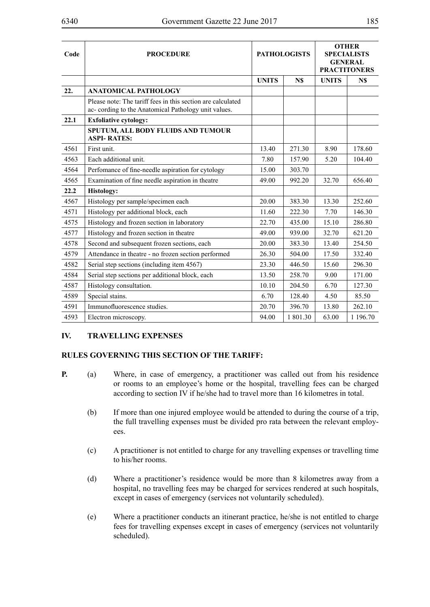| Code | <b>PROCEDURE</b>                                                                                                    |              | <b>PATHOLOGISTS</b> | <b>OTHER</b><br><b>SPECIALISTS</b><br><b>GENERAL</b><br><b>PRACTITONERS</b> |          |  |
|------|---------------------------------------------------------------------------------------------------------------------|--------------|---------------------|-----------------------------------------------------------------------------|----------|--|
|      |                                                                                                                     | <b>UNITS</b> | N\$                 | <b>UNITS</b>                                                                | N\$      |  |
| 22.  | <b>ANATOMICAL PATHOLOGY</b>                                                                                         |              |                     |                                                                             |          |  |
|      | Please note: The tariff fees in this section are calculated<br>ac- cording to the Anatomical Pathology unit values. |              |                     |                                                                             |          |  |
| 22.1 | <b>Exfoliative cytology:</b>                                                                                        |              |                     |                                                                             |          |  |
|      | SPUTUM, ALL BODY FLUIDS AND TUMOUR<br><b>ASPI-RATES:</b>                                                            |              |                     |                                                                             |          |  |
| 4561 | First unit.                                                                                                         | 13.40        | 271.30              | 8.90                                                                        | 178.60   |  |
| 4563 | Each additional unit.                                                                                               | 7.80         | 157.90              | 5.20                                                                        | 104.40   |  |
| 4564 | Perfomance of fine-needle aspiration for cytology                                                                   | 15.00        | 303.70              |                                                                             |          |  |
| 4565 | Examination of fine needle aspiration in theatre                                                                    | 49.00        | 992.20              | 32.70                                                                       | 656.40   |  |
| 22.2 | <b>Histology:</b>                                                                                                   |              |                     |                                                                             |          |  |
| 4567 | Histology per sample/specimen each                                                                                  | 20.00        | 383.30              | 13.30                                                                       | 252.60   |  |
| 4571 | Histology per additional block, each                                                                                | 11.60        | 222.30              | 7.70                                                                        | 146.30   |  |
| 4575 | Histology and frozen section in laboratory                                                                          | 22.70        | 435.00              | 15.10                                                                       | 286.80   |  |
| 4577 | Histology and frozen section in theatre                                                                             | 49.00        | 939.00              | 32.70                                                                       | 621.20   |  |
| 4578 | Second and subsequent frozen sections, each                                                                         | 20.00        | 383.30              | 13.40                                                                       | 254.50   |  |
| 4579 | Attendance in theatre - no frozen section performed                                                                 | 26.30        | 504.00              | 17.50                                                                       | 332.40   |  |
| 4582 | Serial step sections (including item 4567)                                                                          | 23.30        | 446.50              | 15.60                                                                       | 296.30   |  |
| 4584 | Serial step sections per additional block, each                                                                     | 13.50        | 258.70              | 9.00                                                                        | 171.00   |  |
| 4587 | Histology consultation.                                                                                             | 10.10        | 204.50              | 6.70                                                                        | 127.30   |  |
| 4589 | Special stains.                                                                                                     | 6.70         | 128.40              | 4.50                                                                        | 85.50    |  |
| 4591 | Immunofluorescence studies.                                                                                         | 20.70        | 396.70              | 13.80                                                                       | 262.10   |  |
| 4593 | Electron microscopy.                                                                                                | 94.00        | 1 801.30            | 63.00                                                                       | 1 196.70 |  |

## **IV. TRAVELLING ExPENSES**

## **RULES GOVERNING THIS SECTION OF THE TARIFF:**

- 
- **P.** (a) Where, in case of emergency, a practitioner was called out from his residence or rooms to an employee's home or the hospital, travelling fees can be charged according to section IV if he/she had to travel more than 16 kilometres in total.
	- (b) If more than one injured employee would be attended to during the course of a trip, the full travelling expenses must be divided pro rata between the relevant employees.
	- (c) A practitioner is not entitled to charge for any travelling expenses or travelling time to his/her rooms.
	- (d) Where a practitioner's residence would be more than 8 kilometres away from a hospital, no travelling fees may be charged for services rendered at such hospitals, except in cases of emergency (services not voluntarily scheduled).
	- (e) Where a practitioner conducts an itinerant practice, he/she is not entitled to charge fees for travelling expenses except in cases of emergency (services not voluntarily scheduled).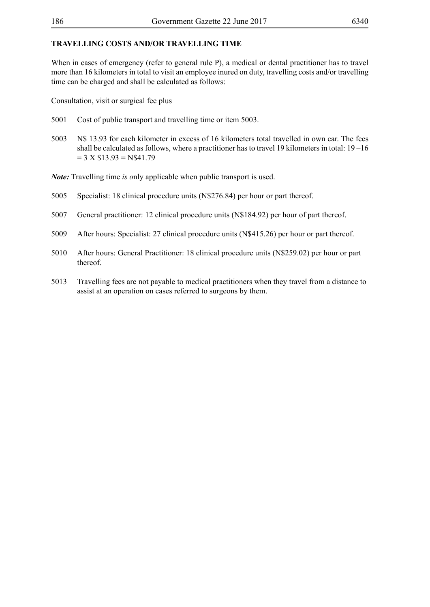## **TRAVELLING COSTS AND/OR TRAVELLING TIME**

When in cases of emergency (refer to general rule P), a medical or dental practitioner has to travel more than 16 kilometers in total to visit an employee inured on duty, travelling costs and/or travelling time can be charged and shall be calculated as follows:

Consultation, visit or surgical fee plus

- 5001 Cost of public transport and travelling time or item 5003.
- 5003 N\$ 13.93 for each kilometer in excess of 16 kilometers total travelled in own car. The fees shall be calculated as follows, where a practitioner has to travel 19 kilometers in total: 19 –16  $= 3 \times $13.93 = N$41.79$
- *Note:* Travelling time *is o*nly applicable when public transport is used.
- 5005 Specialist: 18 clinical procedure units (N\$276.84) per hour or part thereof.
- 5007 General practitioner: 12 clinical procedure units (N\$184.92) per hour of part thereof.
- 5009 After hours: Specialist: 27 clinical procedure units (N\$415.26) per hour or part thereof.
- 5010 After hours: General Practitioner: 18 clinical procedure units (N\$259.02) per hour or part thereof.
- 5013 Travelling fees are not payable to medical practitioners when they travel from a distance to assist at an operation on cases referred to surgeons by them.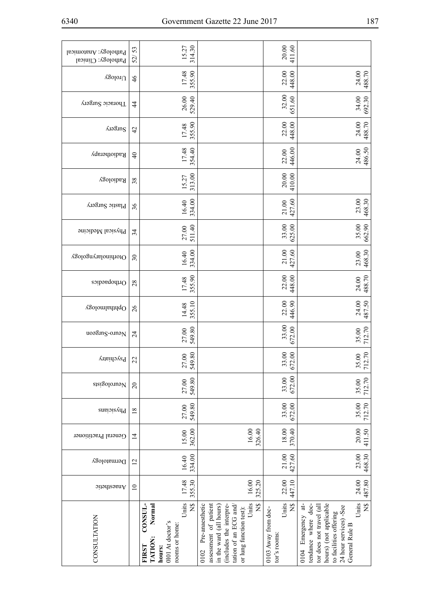| ۰.<br>۰.<br>× |  |
|---------------|--|
|---------------|--|

| Pathology: Anatomical<br>Pathology: Clinical | 53<br>52/       | 314.30<br>15.27                                                                                                     |                                                                                                                                                                                    | 20.00<br>411.60                                             |                                                                                                                                                                                                               |
|----------------------------------------------|-----------------|---------------------------------------------------------------------------------------------------------------------|------------------------------------------------------------------------------------------------------------------------------------------------------------------------------------|-------------------------------------------------------------|---------------------------------------------------------------------------------------------------------------------------------------------------------------------------------------------------------------|
| $\chi$ golor $U$                             | $\frac{4}{6}$   | 17.48<br>355.90                                                                                                     |                                                                                                                                                                                    | 22.00<br>448.00                                             | 24.00<br>488.70                                                                                                                                                                                               |
| Thoracic Surgery                             | $\overline{4}$  | 26.00<br>529.40                                                                                                     |                                                                                                                                                                                    | 32.00<br>651.60                                             | 34.00<br>692.30                                                                                                                                                                                               |
| <b>AIOSINS</b>                               | $\overline{4}$  | 355.90<br>17.48                                                                                                     |                                                                                                                                                                                    | 22.00<br>448.00                                             | 488.70<br>24.00                                                                                                                                                                                               |
| Radiotherapy                                 | $\Theta$        | 17.48<br>354.40                                                                                                     |                                                                                                                                                                                    | 446.00<br>22.00                                             | 486.50<br>24.00                                                                                                                                                                                               |
| Radiology                                    | 38              | 313.00<br>15.27                                                                                                     |                                                                                                                                                                                    | 20.00<br>410.00                                             |                                                                                                                                                                                                               |
| Plastic Surgery                              | 36              | 334.00<br>16.40                                                                                                     |                                                                                                                                                                                    | 427.60<br>21.00                                             | 468.30<br>23.00                                                                                                                                                                                               |
| Physical Medicine                            | $\mathfrak{F}$  | 511.40<br>27.00                                                                                                     |                                                                                                                                                                                    | 33.00<br>625.00                                             | 35.00<br>662.90                                                                                                                                                                                               |
| Otorhinolaryngology                          | 30              | 334.00<br>16.40                                                                                                     |                                                                                                                                                                                    | 21.00<br>427.60                                             | 468.30<br>23.00                                                                                                                                                                                               |
| Orthopaedics                                 | 28              | 355.90<br>17.48                                                                                                     |                                                                                                                                                                                    | 22.00<br>448.00                                             | 488.70<br>24.00                                                                                                                                                                                               |
| <b>VgolomiadinqO</b>                         | $\delta$        | 355.10<br>14.48                                                                                                     |                                                                                                                                                                                    | 22.00<br>446.90                                             | 24.00<br>487.50                                                                                                                                                                                               |
| uoagung-oruaN                                | $\overline{24}$ | 549.80<br>27.00                                                                                                     |                                                                                                                                                                                    | 33.00<br>672.00                                             | 712.70<br>35.00                                                                                                                                                                                               |
| $\rm F$ sychiatry                            | 22              | 549.80<br>27.00                                                                                                     |                                                                                                                                                                                    | 33.00<br>672.00                                             | 712.70<br>35.00                                                                                                                                                                                               |
| Neurologists                                 | $\overline{c}$  | 549.80<br>27.00                                                                                                     |                                                                                                                                                                                    | 672.00<br>33.00                                             | 712.70<br>35.00                                                                                                                                                                                               |
| Physicians                                   | $\overline{18}$ | 549.80<br>27.00                                                                                                     |                                                                                                                                                                                    | 33.00<br>672.00                                             | 35.00<br>712.70                                                                                                                                                                                               |
| General Practitioner                         | $\overline{4}$  | 362.00<br>15.00                                                                                                     | 16.00<br>326.40                                                                                                                                                                    | 18.00<br>370.40                                             | 20.00<br>411.50                                                                                                                                                                                               |
| Dermatology                                  | $\overline{c}$  | 334.00<br>16.40                                                                                                     |                                                                                                                                                                                    | 21.00<br>427.60                                             | 468.30<br>23.00                                                                                                                                                                                               |
| Anaesthetic                                  | $\overline{10}$ | 17.48<br>355.30                                                                                                     | 16.00<br>325.20                                                                                                                                                                    | 22.00<br>447.10                                             | 24.00<br>487.80                                                                                                                                                                                               |
| CONSULTATION                                 |                 | Units<br>$\tilde{z}$<br>CONSUL-<br>Normal<br>0101 At doctor's<br>rooms or home:<br>TATION<br><b>FIRST</b><br>hours: | Units<br>$\tilde{z}$<br>Pre-anaesthetic<br>assessment of patient<br>(includes the interpre-<br>tation of an ECG and/<br>in the ward (all hours)<br>or lung function test):<br>0102 | Units<br>$\tilde{z}$<br>0103 Away from doc-<br>tor's rooms: | $\overline{M}$<br>Units<br>$\ddot{a}$<br>tendance where doc-<br>hours) (not applicable<br>tor does not travel (all<br>24 hour services) -See<br>to facilities offering<br>Emergency<br>General Rule B<br>0104 |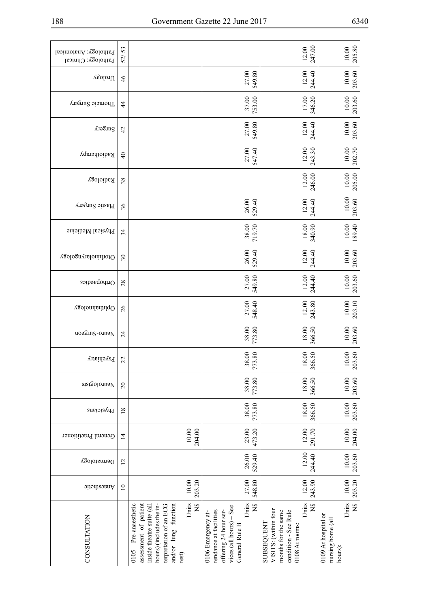| Pathology: Anatomical<br>Pathology: Clinical | 53<br>$\widetilde{\rm S}$ |                                                                                                                                                                                              |                                                                                                                                            | 247.00<br>12.00                                                                                                                      | 205.80<br>$10.00$                                                               |
|----------------------------------------------|---------------------------|----------------------------------------------------------------------------------------------------------------------------------------------------------------------------------------------|--------------------------------------------------------------------------------------------------------------------------------------------|--------------------------------------------------------------------------------------------------------------------------------------|---------------------------------------------------------------------------------|
| $\chi$ golor $U$                             | $\frac{4}{6}$             |                                                                                                                                                                                              | 27.00<br>549.80                                                                                                                            | 12.00<br>244.40                                                                                                                      | $10.00$<br>203.60                                                               |
| Thoracic Surgery                             | $\ddot{4}$                |                                                                                                                                                                                              | 37.00<br>753.00                                                                                                                            | 17.00<br>346.20                                                                                                                      | $10.00$<br>203.60                                                               |
| Surgery                                      | 42                        |                                                                                                                                                                                              | 27.00<br>549.80                                                                                                                            | 12.00<br>244.40                                                                                                                      | 10.00<br>203.60                                                                 |
| Radiotherapy                                 | $\overline{4}$            |                                                                                                                                                                                              | 27.00<br>547.40                                                                                                                            | 12.00<br>243.30                                                                                                                      | 10.00<br>202.70                                                                 |
| Radiology                                    | 38                        |                                                                                                                                                                                              |                                                                                                                                            | 12.00<br>246.00                                                                                                                      | $10.00$<br>205.00                                                               |
| Plastic Surgery                              | 36                        |                                                                                                                                                                                              | 26.00<br>529.40                                                                                                                            | 244.40<br>12.00                                                                                                                      | 10.00<br>203.60                                                                 |
| Physical Medicine                            | 34                        |                                                                                                                                                                                              | 38.00<br>719.70                                                                                                                            | 18.00<br>340.90                                                                                                                      | $10.00$<br>189.40                                                               |
| Otorhinolaryngology                          | $30\,$                    |                                                                                                                                                                                              | 26.00<br>529.40                                                                                                                            | 12.00<br>244.40                                                                                                                      | 10.00<br>203.60                                                                 |
| Orthopaedics                                 | 28                        |                                                                                                                                                                                              | 549.80<br>27.00                                                                                                                            | 244.40<br>12.00                                                                                                                      | 203.60<br>10.00                                                                 |
| Ophthalmology                                | 26                        |                                                                                                                                                                                              | 27.00<br>548.40                                                                                                                            | 12.00<br>243.80                                                                                                                      | 10.00<br>203.10                                                                 |
| uoagung-ounaN                                | $\overline{24}$           |                                                                                                                                                                                              | 38.00<br>773.80                                                                                                                            | 18.00<br>366.50                                                                                                                      | $10.00$<br>203.60                                                               |
| $\ensuremath{\mathsf{P}}$ sychiatry          | 22                        |                                                                                                                                                                                              | 38.00<br>773.80                                                                                                                            | 18.00<br>366.50                                                                                                                      | $\frac{10.00}{203.60}$                                                          |
| Neurologists                                 | $\overline{c}$            |                                                                                                                                                                                              | 38.00<br>773.80                                                                                                                            | $18.00\,$<br>366.50                                                                                                                  | 10.00<br>203.60                                                                 |
| Physicians                                   | $\overline{18}$           |                                                                                                                                                                                              | 38.00<br>773.80                                                                                                                            | 18.00<br>366.50                                                                                                                      | $10.00$<br>203.60                                                               |
| General Practitioner                         | $\overline{4}$            | 10.00<br>204.00                                                                                                                                                                              | 23.00<br>473.20                                                                                                                            | 12.00<br>291.70                                                                                                                      | $10.00$<br>204.00                                                               |
| Dermatology                                  | $\overline{2}$            |                                                                                                                                                                                              | 26.00<br>529.40                                                                                                                            | 12.00<br>244.40                                                                                                                      | $10.00$<br>203.60                                                               |
| Anaesthetic                                  | $\overline{10}$           | 203.20<br>10.00                                                                                                                                                                              | 27.00<br>548.80                                                                                                                            | 12.00<br>243.90                                                                                                                      | $10.00$<br>203.20                                                               |
| CONSULTATION                                 |                           | Units<br>and/or lung function<br>$\tilde{z}$<br>Pre-anaesthetic<br>assessment of patient<br>hours) (includes the in-<br>terpretation of an ECG<br>inside theatre suite (all<br>0105<br>test) | Units<br>$\tilde{z}$<br>vices (all hours) - See<br>offering 24 hour ser-<br>tendance at facilities<br>0106 Emergency at-<br>General Rule B | Units<br>$\frac{8}{2}$<br>VISITS: (within four<br>condition - See Rule<br>months for the same<br><b>SUBSEQUENT</b><br>0108 At rooms: | Units<br>$\widetilde{X}$<br>0109 At hospital or<br>nursing home (all<br>hours): |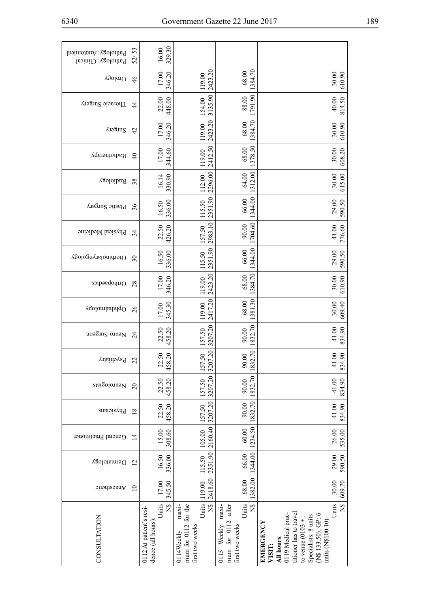| Pathology: Anatomical<br>Pathology: Clinical | 53<br>52)       | 329.30<br>16.00                                                         |                                                                                            |                                                                                            |                                                                                                                                                                                                               |
|----------------------------------------------|-----------------|-------------------------------------------------------------------------|--------------------------------------------------------------------------------------------|--------------------------------------------------------------------------------------------|---------------------------------------------------------------------------------------------------------------------------------------------------------------------------------------------------------------|
| $\chi$ golor $U$                             | $\frac{4}{6}$   | 17.00<br>346.20                                                         | 2423.20<br>119.00                                                                          | 1384.70<br>68.00                                                                           | 30.00<br>610.90                                                                                                                                                                                               |
| Thoracic Surgery                             | $\overline{4}$  | 448.00<br>22.00                                                         | 3135.90<br>154.00                                                                          | 1791.90<br>88.00                                                                           | 40.00<br>814.50                                                                                                                                                                                               |
| <b>Alaging</b>                               | $\overline{4}$  | 346.20<br>17.00                                                         | 2423.20<br>119.00                                                                          | 1384.70<br>68.00                                                                           | 30.00<br>610.90                                                                                                                                                                                               |
| Radiotherapy                                 | $\Theta$        | 344.60<br>17.00                                                         | 2412.50<br>119.00                                                                          | 1378.50<br>68.00                                                                           | 30.00<br>608.20                                                                                                                                                                                               |
| Radiology                                    | 38              | 16.14<br>330.90                                                         | 2296.00<br>112.00                                                                          | 1312.00<br>64.00                                                                           | 30.00<br>615.00                                                                                                                                                                                               |
| Plastic Surgery                              | 36              | 336.00<br>16.50                                                         | 2351.90<br>115.50                                                                          | 344.00<br>66.00                                                                            | 29.00<br>590.50                                                                                                                                                                                               |
| Physical Medicine                            | 34              | 426.20<br>22.50                                                         | 2983.10<br>157.50                                                                          | 1704.60<br>90.00                                                                           | 41.00<br>776.60                                                                                                                                                                                               |
| Otorhinolaryngology                          | $30\,$          | 16.50<br>336.00                                                         | 2351.90<br>115.50                                                                          | 1344.00<br>66.00                                                                           | 29.00<br>590.50                                                                                                                                                                                               |
| Orthopaedics                                 | 28              | 17.00<br>346.20                                                         | 2423.20<br>119.00                                                                          | 1384.70<br>68.00                                                                           | 30.00<br>610.90                                                                                                                                                                                               |
| <b>VgolomiadidO</b>                          | $\overline{26}$ | 345.30<br>17.00                                                         | 2417.20<br>119.00                                                                          | 1381.30<br>68.00                                                                           | 30.00<br>609.40                                                                                                                                                                                               |
| uoagung-oma <sub>N</sub>                     | $\overline{24}$ | 22.50<br>458.20                                                         | 3207.20<br>157.50                                                                          | 832.70<br>90.00                                                                            | 41.00<br>834.90                                                                                                                                                                                               |
| Psychiatry                                   | 22              | 22.50<br>458.20                                                         | 3207.20<br>157.50                                                                          | 1832.70<br>90.00                                                                           | 41.00<br>834.90                                                                                                                                                                                               |
| Neurologists                                 | $\Omega$        | 458.20<br>22.50                                                         | 3207.20<br>157.50                                                                          | 1832.70<br>90.00                                                                           | 41.00<br>834.90                                                                                                                                                                                               |
| Physicians                                   | $\frac{8}{18}$  | 458.20<br>22.50                                                         | 3207.20<br>157.50                                                                          | 1832.70<br>90.00                                                                           | 41.00<br>834.90                                                                                                                                                                                               |
| General Practitioner                         | $\overline{4}$  | 15.00<br>308.60                                                         | 2160.40<br>105.00                                                                          | 1234.50<br>60.00                                                                           | 26.00<br>535.00                                                                                                                                                                                               |
| Dermatology                                  | $\overline{2}$  | 336.00<br>16.50                                                         | 2351.90<br>115.50                                                                          | 1344.00<br>66.00                                                                           | 29.00<br>590.50                                                                                                                                                                                               |
| $\gamma$ naesthetic                          | $\overline{10}$ | 345.50<br>17.00                                                         | 2418.60<br>119.00                                                                          | 1382.00<br>68.00                                                                           | 30.00<br>609.70                                                                                                                                                                                               |
| CONSULTATION                                 |                 | Units<br>$\frac{8}{2}$<br>0112 At patient's resi-<br>dence (all hours): | Units<br>$\widetilde{X}$<br>maxi-<br>mum for 0112 for the<br>first two weeks<br>0114Weekly | Units<br>$\frac{8}{2}$<br>maxi-<br>mum for 0112 after<br>Weekly<br>first two weeks<br>0115 | Units<br>$\overline{z}$<br>titioner has to travel<br>0119 Medical prac-<br>(N\$ 133.50), GP: 6<br>Specialists: 8 units<br>to venue $(0103 +$<br>units (N\$100.10)<br><b>EMERGENCY</b><br>All hours:<br>VISIT: |